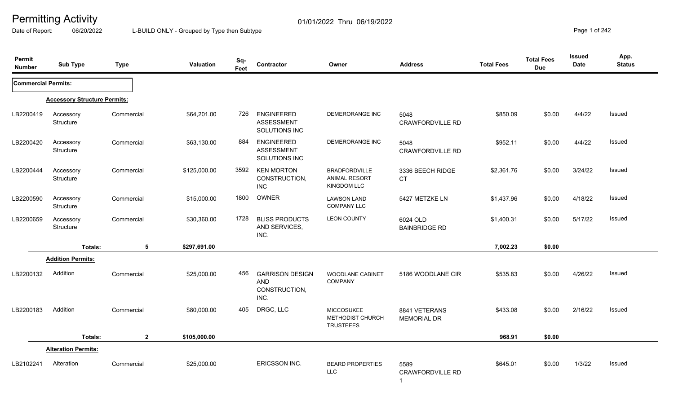Date of Report: 06/20/2022 L-BUILD ONLY - Grouped by Type then Subtype **Page 1** of 242

| Permit<br><b>Number</b>    | <b>Sub Type</b>                     | <b>Type</b>    | Valuation    | Sq-<br>Feet | Contractor                                                    | Owner                                                              | <b>Address</b>                      | <b>Total Fees</b> | <b>Total Fees</b><br><b>Due</b> | <b>Issued</b><br><b>Date</b> | App.<br><b>Status</b> |
|----------------------------|-------------------------------------|----------------|--------------|-------------|---------------------------------------------------------------|--------------------------------------------------------------------|-------------------------------------|-------------------|---------------------------------|------------------------------|-----------------------|
| <b>Commercial Permits:</b> |                                     |                |              |             |                                                               |                                                                    |                                     |                   |                                 |                              |                       |
|                            | <b>Accessory Structure Permits:</b> |                |              |             |                                                               |                                                                    |                                     |                   |                                 |                              |                       |
| LB2200419                  | Accessory<br>Structure              | Commercial     | \$64,201.00  | 726         | <b>ENGINEERED</b><br><b>ASSESSMENT</b><br>SOLUTIONS INC       | DEMERORANGE INC                                                    | 5048<br><b>CRAWFORDVILLE RD</b>     | \$850.09          | \$0.00                          | 4/4/22                       | Issued                |
| LB2200420                  | Accessory<br>Structure              | Commercial     | \$63,130.00  | 884         | <b>ENGINEERED</b><br><b>ASSESSMENT</b><br>SOLUTIONS INC       | DEMERORANGE INC                                                    | 5048<br><b>CRAWFORDVILLE RD</b>     | \$952.11          | \$0.00                          | 4/4/22                       | Issued                |
| LB2200444                  | Accessory<br>Structure              | Commercial     | \$125,000.00 | 3592        | <b>KEN MORTON</b><br>CONSTRUCTION,<br><b>INC</b>              | <b>BRADFORDVILLE</b><br><b>ANIMAL RESORT</b><br><b>KINGDOM LLC</b> | 3336 BEECH RIDGE<br><b>CT</b>       | \$2,361.76        | \$0.00                          | 3/24/22                      | <b>Issued</b>         |
| LB2200590                  | Accessory<br>Structure              | Commercial     | \$15,000.00  | 1800        | <b>OWNER</b>                                                  | <b>LAWSON LAND</b><br><b>COMPANY LLC</b>                           | 5427 METZKE LN                      | \$1,437.96        | \$0.00                          | 4/18/22                      | Issued                |
| LB2200659                  | Accessory<br>Structure              | Commercial     | \$30,360.00  | 1728        | <b>BLISS PRODUCTS</b><br>AND SERVICES,<br>INC.                | <b>LEON COUNTY</b>                                                 | 6024 OLD<br><b>BAINBRIDGE RD</b>    | \$1,400.31        | \$0.00                          | 5/17/22                      | <b>Issued</b>         |
|                            | Totals:                             | 5              | \$297,691.00 |             |                                                               |                                                                    |                                     | 7,002.23          | \$0.00                          |                              |                       |
|                            | <b>Addition Permits:</b>            |                |              |             |                                                               |                                                                    |                                     |                   |                                 |                              |                       |
| LB2200132                  | Addition                            | Commercial     | \$25,000.00  | 456         | <b>GARRISON DESIGN</b><br><b>AND</b><br>CONSTRUCTION,<br>INC. | <b>WOODLANE CABINET</b><br><b>COMPANY</b>                          | 5186 WOODLANE CIR                   | \$535.83          | \$0.00                          | 4/26/22                      | Issued                |
| LB2200183                  | Addition                            | Commercial     | \$80,000.00  | 405         | DRGC, LLC                                                     | <b>MICCOSUKEE</b><br>METHODIST CHURCH<br><b>TRUSTEEES</b>          | 8841 VETERANS<br><b>MEMORIAL DR</b> | \$433.08          | \$0.00                          | 2/16/22                      | <b>Issued</b>         |
|                            | Totals:                             | $\overline{2}$ | \$105,000.00 |             |                                                               |                                                                    |                                     | 968.91            | \$0.00                          |                              |                       |
|                            | <b>Alteration Permits:</b>          |                |              |             |                                                               |                                                                    |                                     |                   |                                 |                              |                       |
| LB2102241                  | Alteration                          | Commercial     | \$25,000.00  |             | ERICSSON INC.                                                 | <b>BEARD PROPERTIES</b><br><b>LLC</b>                              | 5589<br><b>CRAWFORDVILLE RD</b>     | \$645.01          | \$0.00                          | 1/3/22                       | Issued                |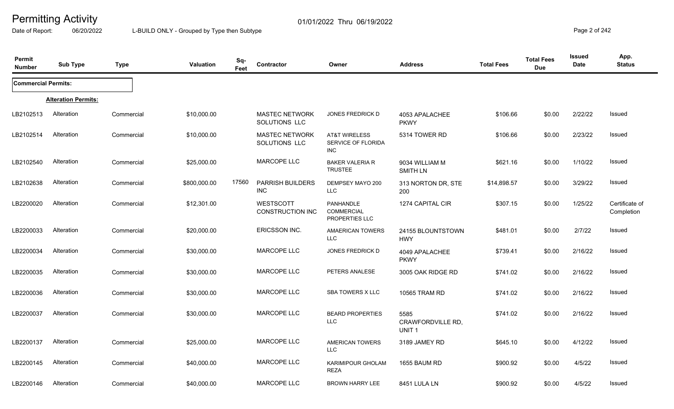Date of Report: 06/20/2022 L-BUILD ONLY - Grouped by Type then Subtype **Page 2 of 242** 

| Permit<br><b>Number</b>    | <b>Sub Type</b>            | <b>Type</b> | Valuation    | Sq-<br>Feet | Contractor                             | Owner                                                 | <b>Address</b>                                 | <b>Total Fees</b> | <b>Total Fees</b><br><b>Due</b> | <b>Issued</b><br>Date | App.<br><b>Status</b>        |
|----------------------------|----------------------------|-------------|--------------|-------------|----------------------------------------|-------------------------------------------------------|------------------------------------------------|-------------------|---------------------------------|-----------------------|------------------------------|
| <b>Commercial Permits:</b> |                            |             |              |             |                                        |                                                       |                                                |                   |                                 |                       |                              |
|                            | <b>Alteration Permits:</b> |             |              |             |                                        |                                                       |                                                |                   |                                 |                       |                              |
| LB2102513                  | Alteration                 | Commercial  | \$10,000.00  |             | <b>MASTEC NETWORK</b><br>SOLUTIONS LLC | JONES FREDRICK D                                      | 4053 APALACHEE<br><b>PKWY</b>                  | \$106.66          | \$0.00                          | 2/22/22               | Issued                       |
| LB2102514                  | Alteration                 | Commercial  | \$10,000.00  |             | <b>MASTEC NETWORK</b><br>SOLUTIONS LLC | <b>AT&amp;T WIRELESS</b><br>SERVICE OF FLORIDA<br>INC | 5314 TOWER RD                                  | \$106.66          | \$0.00                          | 2/23/22               | <b>Issued</b>                |
| LB2102540                  | Alteration                 | Commercial  | \$25,000.00  |             | <b>MARCOPE LLC</b>                     | <b>BAKER VALERIA R</b><br><b>TRUSTEE</b>              | 9034 WILLIAM M<br><b>SMITH LN</b>              | \$621.16          | \$0.00                          | 1/10/22               | Issued                       |
| LB2102638                  | Alteration                 | Commercial  | \$800,000.00 | 17560       | <b>PARRISH BUILDERS</b><br><b>INC</b>  | DEMPSEY MAYO 200<br><b>LLC</b>                        | 313 NORTON DR, STE<br>200                      | \$14,898.57       | \$0.00                          | 3/29/22               | Issued                       |
| LB2200020                  | Alteration                 | Commercial  | \$12,301.00  |             | WESTSCOTT<br><b>CONSTRUCTION INC</b>   | PANHANDLE<br><b>COMMERCIAL</b><br>PROPERTIES LLC      | 1274 CAPITAL CIR                               | \$307.15          | \$0.00                          | 1/25/22               | Certificate of<br>Completion |
| LB2200033                  | Alteration                 | Commercial  | \$20,000.00  |             | ERICSSON INC.                          | <b>AMAERICAN TOWERS</b><br>LLC                        | 24155 BLOUNTSTOWN<br><b>HWY</b>                | \$481.01          | \$0.00                          | 2/7/22                | Issued                       |
| LB2200034                  | Alteration                 | Commercial  | \$30,000.00  |             | MARCOPE LLC                            | JONES FREDRICK D                                      | 4049 APALACHEE<br><b>PKWY</b>                  | \$739.41          | \$0.00                          | 2/16/22               | <b>Issued</b>                |
| LB2200035                  | Alteration                 | Commercial  | \$30,000.00  |             | <b>MARCOPE LLC</b>                     | PETERS ANALESE                                        | 3005 OAK RIDGE RD                              | \$741.02          | \$0.00                          | 2/16/22               | Issued                       |
| LB2200036                  | Alteration                 | Commercial  | \$30,000.00  |             | MARCOPE LLC                            | <b>SBA TOWERS X LLC</b>                               | 10565 TRAM RD                                  | \$741.02          | \$0.00                          | 2/16/22               | <b>Issued</b>                |
| LB2200037                  | Alteration                 | Commercial  | \$30,000.00  |             | <b>MARCOPE LLC</b>                     | <b>BEARD PROPERTIES</b><br><b>LLC</b>                 | 5585<br>CRAWFORDVILLE RD,<br>UNIT <sub>1</sub> | \$741.02          | \$0.00                          | 2/16/22               | <b>Issued</b>                |
| LB2200137                  | Alteration                 | Commercial  | \$25,000.00  |             | MARCOPE LLC                            | <b>AMERICAN TOWERS</b><br><b>LLC</b>                  | 3189 JAMEY RD                                  | \$645.10          | \$0.00                          | 4/12/22               | Issued                       |
| LB2200145                  | Alteration                 | Commercial  | \$40,000.00  |             | MARCOPE LLC                            | KARIMIPOUR GHOLAM<br><b>REZA</b>                      | 1655 BAUM RD                                   | \$900.92          | \$0.00                          | 4/5/22                | Issued                       |
| LB2200146                  | Alteration                 | Commercial  | \$40,000.00  |             | <b>MARCOPE LLC</b>                     | <b>BROWN HARRY LEE</b>                                | 8451 LULA LN                                   | \$900.92          | \$0.00                          | 4/5/22                | Issued                       |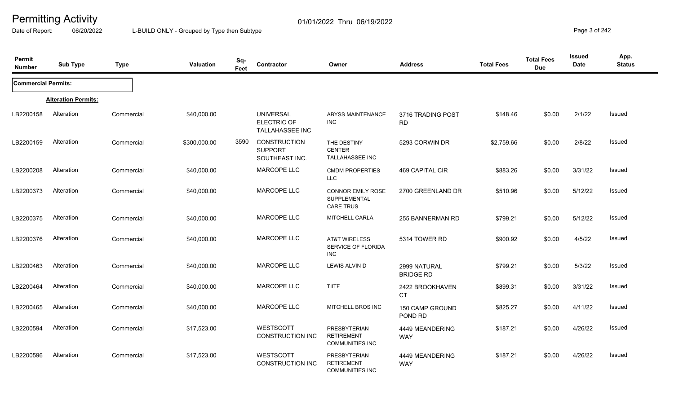Date of Report: 06/20/2022 L-BUILD ONLY - Grouped by Type then Subtype **Page 3** of 242

| Permit<br><b>Number</b>    | <b>Sub Type</b>            | <b>Type</b> | <b>Valuation</b> | Sq-<br>Feet | Contractor                                         | Owner                                                        | <b>Address</b>                   | <b>Total Fees</b> | <b>Total Fees</b><br><b>Due</b> | <b>Issued</b><br>Date | App.<br><b>Status</b> |
|----------------------------|----------------------------|-------------|------------------|-------------|----------------------------------------------------|--------------------------------------------------------------|----------------------------------|-------------------|---------------------------------|-----------------------|-----------------------|
| <b>Commercial Permits:</b> |                            |             |                  |             |                                                    |                                                              |                                  |                   |                                 |                       |                       |
|                            | <b>Alteration Permits:</b> |             |                  |             |                                                    |                                                              |                                  |                   |                                 |                       |                       |
| LB2200158                  | Alteration                 | Commercial  | \$40,000.00      |             | <b>UNIVERSAL</b><br>ELECTRIC OF<br>TALLAHASSEE INC | ABYSS MAINTENANCE<br><b>INC</b>                              | 3716 TRADING POST<br><b>RD</b>   | \$148.46          | \$0.00                          | 2/1/22                | Issued                |
| LB2200159                  | Alteration                 | Commercial  | \$300,000.00     | 3590        | CONSTRUCTION<br><b>SUPPORT</b><br>SOUTHEAST INC.   | THE DESTINY<br><b>CENTER</b><br>TALLAHASSEE INC              | 5293 CORWIN DR                   | \$2,759.66        | \$0.00                          | 2/8/22                | Issued                |
| LB2200208                  | Alteration                 | Commercial  | \$40,000.00      |             | MARCOPE LLC                                        | <b>CMDM PROPERTIES</b><br><b>LLC</b>                         | 469 CAPITAL CIR                  | \$883.26          | \$0.00                          | 3/31/22               | Issued                |
| LB2200373                  | Alteration                 | Commercial  | \$40,000.00      |             | <b>MARCOPE LLC</b>                                 | <b>CONNOR EMILY ROSE</b><br>SUPPLEMENTAL<br><b>CARE TRUS</b> | 2700 GREENLAND DR                | \$510.96          | \$0.00                          | 5/12/22               | Issued                |
| LB2200375                  | Alteration                 | Commercial  | \$40,000.00      |             | <b>MARCOPE LLC</b>                                 | MITCHELL CARLA                                               | 255 BANNERMAN RD                 | \$799.21          | \$0.00                          | 5/12/22               | Issued                |
| LB2200376                  | Alteration                 | Commercial  | \$40,000.00      |             | <b>MARCOPE LLC</b>                                 | <b>AT&amp;T WIRELESS</b><br>SERVICE OF FLORIDA<br><b>INC</b> | 5314 TOWER RD                    | \$900.92          | \$0.00                          | 4/5/22                | Issued                |
| LB2200463                  | Alteration                 | Commercial  | \$40,000.00      |             | <b>MARCOPE LLC</b>                                 | LEWIS ALVIN D                                                | 2999 NATURAL<br><b>BRIDGE RD</b> | \$799.21          | \$0.00                          | 5/3/22                | Issued                |
| LB2200464                  | Alteration                 | Commercial  | \$40,000.00      |             | MARCOPE LLC                                        | <b>TIITF</b>                                                 | 2422 BROOKHAVEN<br><b>CT</b>     | \$899.31          | \$0.00                          | 3/31/22               | Issued                |
| LB2200465                  | Alteration                 | Commercial  | \$40,000.00      |             | <b>MARCOPE LLC</b>                                 | MITCHELL BROS INC                                            | 150 CAMP GROUND<br>POND RD       | \$825.27          | \$0.00                          | 4/11/22               | <b>Issued</b>         |
| LB2200594                  | Alteration                 | Commercial  | \$17,523.00      |             | WESTSCOTT<br><b>CONSTRUCTION INC</b>               | PRESBYTERIAN<br><b>RETIREMENT</b><br><b>COMMUNITIES INC</b>  | 4449 MEANDERING<br><b>WAY</b>    | \$187.21          | \$0.00                          | 4/26/22               | <b>Issued</b>         |
| LB2200596                  | Alteration                 | Commercial  | \$17,523.00      |             | <b>WESTSCOTT</b><br><b>CONSTRUCTION INC</b>        | PRESBYTERIAN<br><b>RETIREMENT</b><br><b>COMMUNITIES INC</b>  | 4449 MEANDERING<br><b>WAY</b>    | \$187.21          | \$0.00                          | 4/26/22               | Issued                |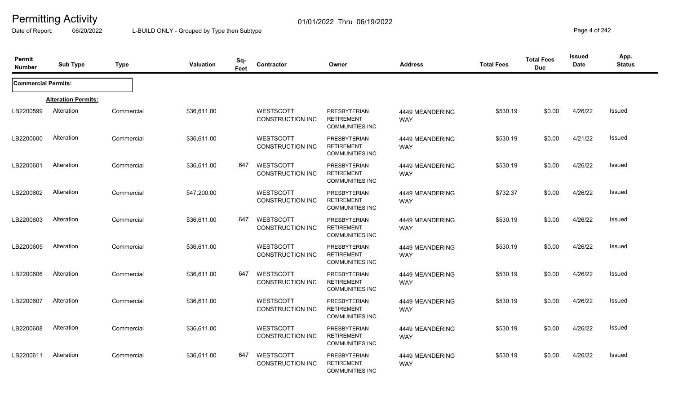Date of Report: 06/20/2022 L-BUILD ONLY - Grouped by Type then Subtype **Page 4** of 242

| Permit<br><b>Number</b>    | <b>Sub Type</b>            | <b>Type</b> | Valuation   | Sq-<br>Feet | Contractor                                  | Owner                                                              | <b>Address</b>                | <b>Total Fees</b> | <b>Total Fees</b><br><b>Due</b> | Issued<br>Date | App.<br><b>Status</b> |
|----------------------------|----------------------------|-------------|-------------|-------------|---------------------------------------------|--------------------------------------------------------------------|-------------------------------|-------------------|---------------------------------|----------------|-----------------------|
| <b>Commercial Permits:</b> |                            |             |             |             |                                             |                                                                    |                               |                   |                                 |                |                       |
|                            | <b>Alteration Permits:</b> |             |             |             |                                             |                                                                    |                               |                   |                                 |                |                       |
| LB2200599                  | Alteration                 | Commercial  | \$36,611.00 |             | <b>WESTSCOTT</b><br><b>CONSTRUCTION INC</b> | <b>PRESBYTERIAN</b><br><b>RETIREMENT</b><br><b>COMMUNITIES INC</b> | 4449 MEANDERING<br><b>WAY</b> | \$530.19          | \$0.00                          | 4/26/22        | Issued                |
| LB2200600                  | Alteration                 | Commercial  | \$36,611.00 |             | <b>WESTSCOTT</b><br><b>CONSTRUCTION INC</b> | PRESBYTERIAN<br><b>RETIREMENT</b><br><b>COMMUNITIES INC</b>        | 4449 MEANDERING<br><b>WAY</b> | \$530.19          | \$0.00                          | 4/21/22        | Issued                |
| LB2200601                  | Alteration                 | Commercial  | \$36,611.00 | 647         | WESTSCOTT<br><b>CONSTRUCTION INC</b>        | <b>PRESBYTERIAN</b><br><b>RETIREMENT</b><br><b>COMMUNITIES INC</b> | 4449 MEANDERING<br><b>WAY</b> | \$530.19          | \$0.00                          | 4/26/22        | Issued                |
| LB2200602                  | Alteration                 | Commercial  | \$47,200.00 |             | <b>WESTSCOTT</b><br><b>CONSTRUCTION INC</b> | <b>PRESBYTERIAN</b><br><b>RETIREMENT</b><br><b>COMMUNITIES INC</b> | 4449 MEANDERING<br><b>WAY</b> | \$732.37          | \$0.00                          | 4/26/22        | Issued                |
| LB2200603                  | Alteration                 | Commercial  | \$36,611.00 | 647         | <b>WESTSCOTT</b><br>CONSTRUCTION INC        | <b>PRESBYTERIAN</b><br><b>RETIREMENT</b><br><b>COMMUNITIES INC</b> | 4449 MEANDERING<br><b>WAY</b> | \$530.19          | \$0.00                          | 4/26/22        | Issued                |
| LB2200605                  | Alteration                 | Commercial  | \$36,611.00 |             | <b>WESTSCOTT</b><br><b>CONSTRUCTION INC</b> | <b>PRESBYTERIAN</b><br><b>RETIREMENT</b><br><b>COMMUNITIES INC</b> | 4449 MEANDERING<br><b>WAY</b> | \$530.19          | \$0.00                          | 4/26/22        | Issued                |
| LB2200606                  | Alteration                 | Commercial  | \$36,611.00 | 647         | WESTSCOTT<br><b>CONSTRUCTION INC</b>        | <b>PRESBYTERIAN</b><br><b>RETIREMENT</b><br><b>COMMUNITIES INC</b> | 4449 MEANDERING<br><b>WAY</b> | \$530.19          | \$0.00                          | 4/26/22        | Issued                |
| LB2200607                  | Alteration                 | Commercial  | \$36,611.00 |             | <b>WESTSCOTT</b><br>CONSTRUCTION INC        | PRESBYTERIAN<br><b>RETIREMENT</b><br><b>COMMUNITIES INC</b>        | 4449 MEANDERING<br><b>WAY</b> | \$530.19          | \$0.00                          | 4/26/22        | Issued                |
| LB2200608                  | Alteration                 | Commercial  | \$36,611.00 |             | <b>WESTSCOTT</b><br><b>CONSTRUCTION INC</b> | <b>PRESBYTERIAN</b><br><b>RETIREMENT</b><br><b>COMMUNITIES INC</b> | 4449 MEANDERING<br><b>WAY</b> | \$530.19          | \$0.00                          | 4/26/22        | Issued                |
| LB2200611                  | Alteration                 | Commercial  | \$36,611.00 | 647         | WESTSCOTT<br><b>CONSTRUCTION INC</b>        | <b>PRESBYTERIAN</b><br><b>RETIREMENT</b><br><b>COMMUNITIES INC</b> | 4449 MEANDERING<br><b>WAY</b> | \$530.19          | \$0.00                          | 4/26/22        | Issued                |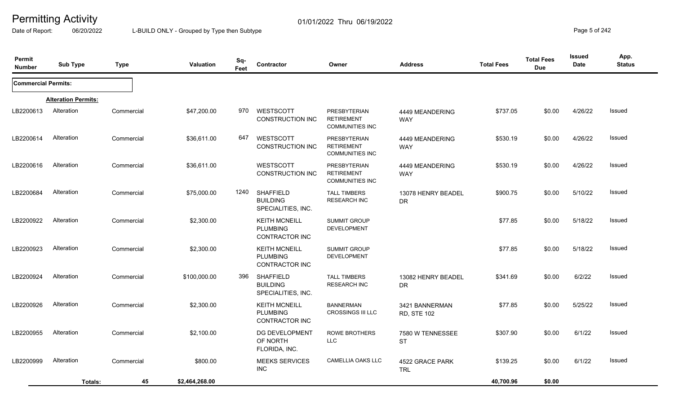Date of Report: 06/20/2022 L-BUILD ONLY - Grouped by Type then Subtype **Page 5** of 242

| Permit<br><b>Number</b>    | <b>Sub Type</b>            | <b>Type</b> | <b>Valuation</b> | Sq-<br>Feet | Contractor                                                       | Owner                                                              | <b>Address</b>                       | <b>Total Fees</b> | <b>Total Fees</b><br><b>Due</b> | <b>Issued</b><br>Date | App.<br><b>Status</b> |
|----------------------------|----------------------------|-------------|------------------|-------------|------------------------------------------------------------------|--------------------------------------------------------------------|--------------------------------------|-------------------|---------------------------------|-----------------------|-----------------------|
| <b>Commercial Permits:</b> |                            |             |                  |             |                                                                  |                                                                    |                                      |                   |                                 |                       |                       |
|                            | <b>Alteration Permits:</b> |             |                  |             |                                                                  |                                                                    |                                      |                   |                                 |                       |                       |
| LB2200613                  | Alteration                 | Commercial  | \$47,200.00      | 970         | WESTSCOTT<br><b>CONSTRUCTION INC</b>                             | <b>PRESBYTERIAN</b><br><b>RETIREMENT</b><br><b>COMMUNITIES INC</b> | 4449 MEANDERING<br><b>WAY</b>        | \$737.05          | \$0.00                          | 4/26/22               | Issued                |
| LB2200614                  | Alteration                 | Commercial  | \$36,611.00      | 647         | WESTSCOTT<br>CONSTRUCTION INC                                    | <b>PRESBYTERIAN</b><br><b>RETIREMENT</b><br><b>COMMUNITIES INC</b> | 4449 MEANDERING<br><b>WAY</b>        | \$530.19          | \$0.00                          | 4/26/22               | <b>Issued</b>         |
| LB2200616                  | Alteration                 | Commercial  | \$36,611.00      |             | <b>WESTSCOTT</b><br><b>CONSTRUCTION INC</b>                      | <b>PRESBYTERIAN</b><br><b>RETIREMENT</b><br><b>COMMUNITIES INC</b> | 4449 MEANDERING<br><b>WAY</b>        | \$530.19          | \$0.00                          | 4/26/22               | Issued                |
| LB2200684                  | Alteration                 | Commercial  | \$75,000.00      | 1240        | <b>SHAFFIELD</b><br><b>BUILDING</b><br>SPECIALITIES, INC.        | <b>TALL TIMBERS</b><br><b>RESEARCH INC</b>                         | 13078 HENRY BEADEL<br>DR.            | \$900.75          | \$0.00                          | 5/10/22               | Issued                |
| LB2200922                  | Alteration                 | Commercial  | \$2,300.00       |             | <b>KEITH MCNEILL</b><br><b>PLUMBING</b><br>CONTRACTOR INC        | <b>SUMMIT GROUP</b><br><b>DEVELOPMENT</b>                          |                                      | \$77.85           | \$0.00                          | 5/18/22               | Issued                |
| LB2200923                  | Alteration                 | Commercial  | \$2,300.00       |             | <b>KEITH MCNEILL</b><br><b>PLUMBING</b><br>CONTRACTOR INC        | <b>SUMMIT GROUP</b><br><b>DEVELOPMENT</b>                          |                                      | \$77.85           | \$0.00                          | 5/18/22               | Issued                |
| LB2200924                  | Alteration                 | Commercial  | \$100,000.00     | 396         | <b>SHAFFIELD</b><br><b>BUILDING</b><br>SPECIALITIES, INC.        | <b>TALL TIMBERS</b><br><b>RESEARCH INC</b>                         | 13082 HENRY BEADEL<br><b>DR</b>      | \$341.69          | \$0.00                          | 6/2/22                | Issued                |
| LB2200926                  | Alteration                 | Commercial  | \$2,300.00       |             | <b>KEITH MCNEILL</b><br><b>PLUMBING</b><br><b>CONTRACTOR INC</b> | <b>BANNERMAN</b><br><b>CROSSINGS III LLC</b>                       | 3421 BANNERMAN<br><b>RD, STE 102</b> | \$77.85           | \$0.00                          | 5/25/22               | Issued                |
| LB2200955                  | Alteration                 | Commercial  | \$2,100.00       |             | DG DEVELOPMENT<br>OF NORTH<br>FLORIDA, INC.                      | <b>ROWE BROTHERS</b><br>LLC                                        | 7580 W TENNESSEE<br><b>ST</b>        | \$307.90          | \$0.00                          | 6/1/22                | Issued                |
| LB2200999                  | Alteration                 | Commercial  | \$800.00         |             | <b>MEEKS SERVICES</b><br><b>INC</b>                              | <b>CAMELLIA OAKS LLC</b>                                           | 4522 GRACE PARK<br><b>TRL</b>        | \$139.25          | \$0.00                          | 6/1/22                | Issued                |
|                            | Totals:                    | 45          | \$2,464,268.00   |             |                                                                  |                                                                    |                                      | 40,700.96         | \$0.00                          |                       |                       |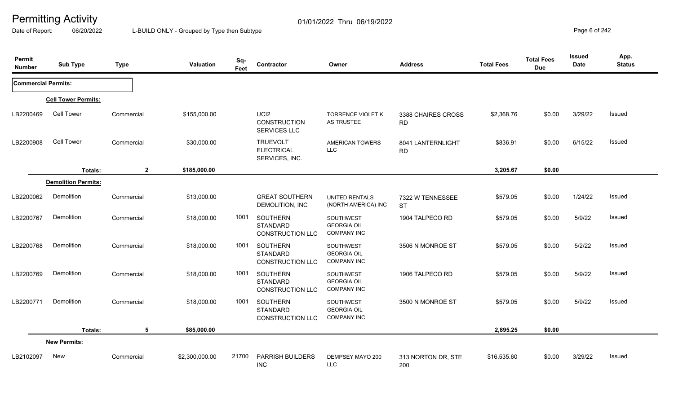Date of Report: 06/20/2022 L-BUILD ONLY - Grouped by Type then Subtype **Page 6** of 242

| Permit<br><b>Number</b>    | <b>Sub Type</b>            | <b>Type</b>  | Valuation      | Sq-<br>Feet | Contractor                                                    | Owner                                                 | <b>Address</b>                  | <b>Total Fees</b> | <b>Total Fees</b><br><b>Due</b> | <b>Issued</b><br>Date | App.<br><b>Status</b> |
|----------------------------|----------------------------|--------------|----------------|-------------|---------------------------------------------------------------|-------------------------------------------------------|---------------------------------|-------------------|---------------------------------|-----------------------|-----------------------|
| <b>Commercial Permits:</b> |                            |              |                |             |                                                               |                                                       |                                 |                   |                                 |                       |                       |
|                            | <b>Cell Tower Permits:</b> |              |                |             |                                                               |                                                       |                                 |                   |                                 |                       |                       |
| LB2200469                  | <b>Cell Tower</b>          | Commercial   | \$155,000.00   |             | UCI <sub>2</sub><br><b>CONSTRUCTION</b><br>SERVICES LLC       | <b>TORRENCE VIOLET K</b><br>AS TRUSTEE                | 3388 CHAIRES CROSS<br><b>RD</b> | \$2,368.76        | \$0.00                          | 3/29/22               | Issued                |
| LB2200908                  | Cell Tower                 | Commercial   | \$30,000.00    |             | <b>TRUEVOLT</b><br><b>ELECTRICAL</b><br>SERVICES, INC.        | <b>AMERICAN TOWERS</b><br><b>LLC</b>                  | 8041 LANTERNLIGHT<br><b>RD</b>  | \$836.91          | \$0.00                          | 6/15/22               | Issued                |
|                            | Totals:                    | $\mathbf{2}$ | \$185,000.00   |             |                                                               |                                                       |                                 | 3,205.67          | \$0.00                          |                       |                       |
|                            | <b>Demolition Permits:</b> |              |                |             |                                                               |                                                       |                                 |                   |                                 |                       |                       |
| LB2200062                  | Demolition                 | Commercial   | \$13,000.00    |             | <b>GREAT SOUTHERN</b><br>DEMOLITION, INC                      | <b>UNITED RENTALS</b><br>(NORTH AMERICA) INC          | 7322 W TENNESSEE<br><b>ST</b>   | \$579.05          | \$0.00                          | 1/24/22               | Issued                |
| LB2200767                  | Demolition                 | Commercial   | \$18,000.00    | 1001        | SOUTHERN<br><b>STANDARD</b><br><b>CONSTRUCTION LLC</b>        | SOUTHWEST<br><b>GEORGIA OIL</b><br><b>COMPANY INC</b> | 1904 TALPECO RD                 | \$579.05          | \$0.00                          | 5/9/22                | Issued                |
| LB2200768                  | Demolition                 | Commercial   | \$18,000.00    | 1001        | <b>SOUTHERN</b><br><b>STANDARD</b><br><b>CONSTRUCTION LLC</b> | SOUTHWEST<br><b>GEORGIA OIL</b><br><b>COMPANY INC</b> | 3506 N MONROE ST                | \$579.05          | \$0.00                          | 5/2/22                | Issued                |
| LB2200769                  | Demolition                 | Commercial   | \$18,000.00    | 1001        | SOUTHERN<br><b>STANDARD</b><br><b>CONSTRUCTION LLC</b>        | SOUTHWEST<br><b>GEORGIA OIL</b><br><b>COMPANY INC</b> | 1906 TALPECO RD                 | \$579.05          | \$0.00                          | 5/9/22                | Issued                |
| LB2200771                  | Demolition                 | Commercial   | \$18,000.00    | 1001        | SOUTHERN<br><b>STANDARD</b><br><b>CONSTRUCTION LLC</b>        | SOUTHWEST<br><b>GEORGIA OIL</b><br><b>COMPANY INC</b> | 3500 N MONROE ST                | \$579.05          | \$0.00                          | 5/9/22                | Issued                |
|                            | Totals:                    | 5            | \$85,000.00    |             |                                                               |                                                       |                                 | 2,895.25          | \$0.00                          |                       |                       |
|                            | <b>New Permits:</b>        |              |                |             |                                                               |                                                       |                                 |                   |                                 |                       |                       |
| LB2102097                  | New                        | Commercial   | \$2,300,000.00 | 21700       | <b>PARRISH BUILDERS</b><br><b>INC</b>                         | DEMPSEY MAYO 200<br><b>LLC</b>                        | 313 NORTON DR, STE<br>200       | \$16,535.60       | \$0.00                          | 3/29/22               | Issued                |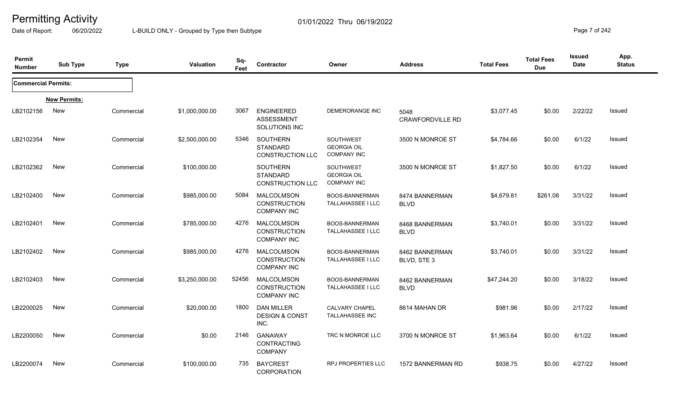Date of Report: 06/20/2022 L-BUILD ONLY - Grouped by Type then Subtype **Page 7** of 242

| Permit<br><b>Number</b>    | <b>Sub Type</b>     | <b>Type</b> | Valuation      | Sq-<br>Feet | Contractor                                                     | Owner                                                 | <b>Address</b>                  | <b>Total Fees</b> | <b>Total Fees</b><br><b>Due</b> | <b>Issued</b><br><b>Date</b> | App.<br><b>Status</b> |
|----------------------------|---------------------|-------------|----------------|-------------|----------------------------------------------------------------|-------------------------------------------------------|---------------------------------|-------------------|---------------------------------|------------------------------|-----------------------|
| <b>Commercial Permits:</b> |                     |             |                |             |                                                                |                                                       |                                 |                   |                                 |                              |                       |
|                            | <b>New Permits:</b> |             |                |             |                                                                |                                                       |                                 |                   |                                 |                              |                       |
| LB2102156                  | New                 | Commercial  | \$1,000,000.00 | 3067        | <b>ENGINEERED</b><br><b>ASSESSMENT</b><br>SOLUTIONS INC        | <b>DEMERORANGE INC</b>                                | 5048<br><b>CRAWFORDVILLE RD</b> | \$3,077.45        | \$0.00                          | 2/22/22                      | Issued                |
| LB2102354                  | <b>New</b>          | Commercial  | \$2,500,000.00 | 5346        | SOUTHERN<br><b>STANDARD</b><br><b>CONSTRUCTION LLC</b>         | SOUTHWEST<br><b>GEORGIA OIL</b><br><b>COMPANY INC</b> | 3500 N MONROE ST                | \$4,784.66        | \$0.00                          | 6/1/22                       | Issued                |
| LB2102362                  | New                 | Commercial  | \$100,000.00   |             | <b>SOUTHERN</b><br><b>STANDARD</b><br><b>CONSTRUCTION LLC</b>  | SOUTHWEST<br><b>GEORGIA OIL</b><br><b>COMPANY INC</b> | 3500 N MONROE ST                | \$1,827.50        | \$0.00                          | 6/1/22                       | Issued                |
| LB2102400                  | <b>New</b>          | Commercial  | \$985,000.00   | 5084        | MALCOLMSON<br><b>CONSTRUCTION</b><br><b>COMPANY INC</b>        | BOOS-BANNERMAN<br><b>TALLAHASSEE I LLC</b>            | 8474 BANNERMAN<br><b>BLVD</b>   | \$4,679.81        | \$261.08                        | 3/31/22                      | Issued                |
| LB2102401                  | New                 | Commercial  | \$785,000.00   | 4276        | <b>MALCOLMSON</b><br><b>CONSTRUCTION</b><br><b>COMPANY INC</b> | BOOS-BANNERMAN<br><b>TALLAHASSEE I LLC</b>            | 8468 BANNERMAN<br><b>BLVD</b>   | \$3,740.01        | \$0.00                          | 3/31/22                      | Issued                |
| LB2102402                  | <b>New</b>          | Commercial  | \$985,000.00   | 4276        | MALCOLMSON<br><b>CONSTRUCTION</b><br><b>COMPANY INC</b>        | BOOS-BANNERMAN<br><b>TALLAHASSEE I LLC</b>            | 8462 BANNERMAN<br>BLVD, STE 3   | \$3,740.01        | \$0.00                          | 3/31/22                      | Issued                |
| LB2102403                  | <b>New</b>          | Commercial  | \$3,250,000.00 | 52456       | MALCOLMSON<br><b>CONSTRUCTION</b><br><b>COMPANY INC</b>        | BOOS-BANNERMAN<br>TALLAHASSEE I LLC                   | 8462 BANNERMAN<br><b>BLVD</b>   | \$47,244.20       | \$0.00                          | 3/18/22                      | Issued                |
| LB2200025                  | New                 | Commercial  | \$20,000.00    | 1800        | <b>DAN MILLER</b><br><b>DESIGN &amp; CONST</b><br>INC.         | <b>CALVARY CHAPEL</b><br>TALLAHASSEE INC              | 8614 MAHAN DR                   | \$981.96          | \$0.00                          | 2/17/22                      | <b>Issued</b>         |
| LB2200050                  | <b>New</b>          | Commercial  | \$0.00         | 2146        | <b>GANAWAY</b><br><b>CONTRACTING</b><br><b>COMPANY</b>         | TRC N MONROE LLC                                      | 3700 N MONROE ST                | \$1,963.64        | \$0.00                          | 6/1/22                       | Issued                |
| LB2200074                  | <b>New</b>          | Commercial  | \$100,000.00   | 735         | <b>BAYCREST</b><br>CORPORATION                                 | <b>RPJ PROPERTIES LLC</b>                             | 1572 BANNERMAN RD               | \$938.75          | \$0.00                          | 4/27/22                      | Issued                |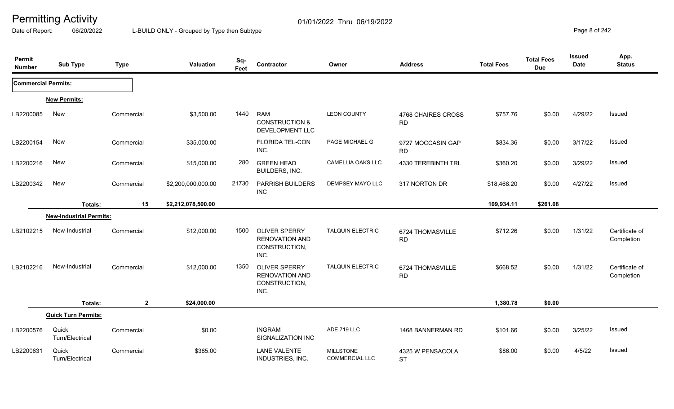Date of Report: 06/20/2022 L-BUILD ONLY - Grouped by Type then Subtype **Page 8** of 242

| Permit<br><b>Number</b>    | <b>Sub Type</b>                | <b>Type</b>  | Valuation          | Sq-<br>Feet | Contractor                                                             | Owner                                     | <b>Address</b>                  | <b>Total Fees</b> | <b>Total Fees</b><br><b>Due</b> | <b>Issued</b><br><b>Date</b> | App.<br><b>Status</b>        |
|----------------------------|--------------------------------|--------------|--------------------|-------------|------------------------------------------------------------------------|-------------------------------------------|---------------------------------|-------------------|---------------------------------|------------------------------|------------------------------|
| <b>Commercial Permits:</b> |                                |              |                    |             |                                                                        |                                           |                                 |                   |                                 |                              |                              |
|                            | <b>New Permits:</b>            |              |                    |             |                                                                        |                                           |                                 |                   |                                 |                              |                              |
| LB2200085                  | <b>New</b>                     | Commercial   | \$3,500.00         | 1440        | <b>RAM</b><br><b>CONSTRUCTION &amp;</b><br>DEVELOPMENT LLC             | <b>LEON COUNTY</b>                        | 4768 CHAIRES CROSS<br><b>RD</b> | \$757.76          | \$0.00                          | 4/29/22                      | Issued                       |
| LB2200154                  | New                            | Commercial   | \$35,000.00        |             | <b>FLORIDA TEL-CON</b><br>INC.                                         | PAGE MICHAEL G                            | 9727 MOCCASIN GAP<br><b>RD</b>  | \$834.36          | \$0.00                          | 3/17/22                      | Issued                       |
| LB2200216                  | New                            | Commercial   | \$15,000.00        | 280         | <b>GREEN HEAD</b><br>BUILDERS, INC.                                    | CAMELLIA OAKS LLC                         | 4330 TEREBINTH TRL              | \$360.20          | \$0.00                          | 3/29/22                      | Issued                       |
| LB2200342                  | New                            | Commercial   | \$2,200,000,000.00 | 21730       | <b>PARRISH BUILDERS</b><br><b>INC</b>                                  | DEMPSEY MAYO LLC                          | 317 NORTON DR                   | \$18,468.20       | \$0.00                          | 4/27/22                      | Issued                       |
|                            | Totals:                        | 15           | \$2,212,078,500.00 |             |                                                                        |                                           |                                 | 109,934.11        | \$261.08                        |                              |                              |
|                            | <b>New-Industrial Permits:</b> |              |                    |             |                                                                        |                                           |                                 |                   |                                 |                              |                              |
| LB2102215                  | New-Industrial                 | Commercial   | \$12,000.00        | 1500        | <b>OLIVER SPERRY</b><br><b>RENOVATION AND</b><br>CONSTRUCTION,<br>INC. | <b>TALQUIN ELECTRIC</b>                   | 6724 THOMASVILLE<br>RD          | \$712.26          | \$0.00                          | 1/31/22                      | Certificate of<br>Completion |
| LB2102216                  | New-Industrial                 | Commercial   | \$12,000.00        | 1350        | <b>OLIVER SPERRY</b><br><b>RENOVATION AND</b><br>CONSTRUCTION,<br>INC. | <b>TALQUIN ELECTRIC</b>                   | 6724 THOMASVILLE<br><b>RD</b>   | \$668.52          | \$0.00                          | 1/31/22                      | Certificate of<br>Completion |
|                            | Totals:                        | $\mathbf{2}$ | \$24,000.00        |             |                                                                        |                                           |                                 | 1,380.78          | \$0.00                          |                              |                              |
|                            | <b>Quick Turn Permits:</b>     |              |                    |             |                                                                        |                                           |                                 |                   |                                 |                              |                              |
| LB2200576                  | Quick<br>Turn/Electrical       | Commercial   | \$0.00             |             | <b>INGRAM</b><br>SIGNALIZATION INC                                     | ADE 719 LLC                               | 1468 BANNERMAN RD               | \$101.66          | \$0.00                          | 3/25/22                      | Issued                       |
| LB2200631                  | Quick<br>Turn/Electrical       | Commercial   | \$385.00           |             | <b>LANE VALENTE</b><br>INDUSTRIES, INC.                                | <b>MILLSTONE</b><br><b>COMMERCIAL LLC</b> | 4325 W PENSACOLA<br><b>ST</b>   | \$86.00           | \$0.00                          | 4/5/22                       | Issued                       |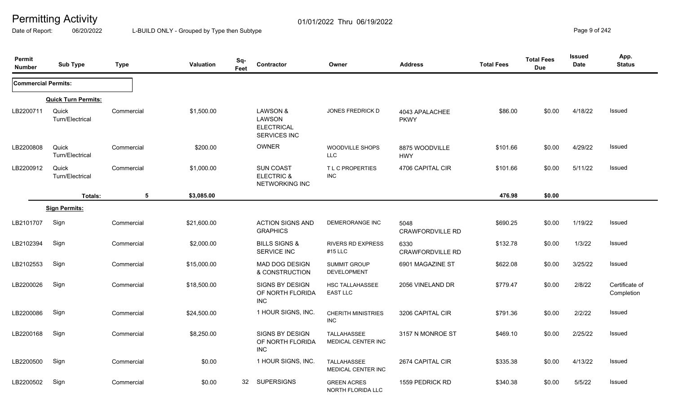Date of Report: 06/20/2022 L-BUILD ONLY - Grouped by Type then Subtype **Page 9** of 242

| Permit<br><b>Number</b>    | <b>Sub Type</b>            | <b>Type</b> | <b>Valuation</b> | Sq-<br>Feet | Contractor                                                  | Owner                                     | <b>Address</b>                  | <b>Total Fees</b> | <b>Total Fees</b><br><b>Due</b> | Issued<br>Date | App.<br><b>Status</b>        |
|----------------------------|----------------------------|-------------|------------------|-------------|-------------------------------------------------------------|-------------------------------------------|---------------------------------|-------------------|---------------------------------|----------------|------------------------------|
| <b>Commercial Permits:</b> |                            |             |                  |             |                                                             |                                           |                                 |                   |                                 |                |                              |
|                            | <b>Quick Turn Permits:</b> |             |                  |             |                                                             |                                           |                                 |                   |                                 |                |                              |
| LB2200711                  | Quick<br>Turn/Electrical   | Commercial  | \$1,500.00       |             | LAWSON &<br>LAWSON<br><b>ELECTRICAL</b><br>SERVICES INC     | <b>JONES FREDRICK D</b>                   | 4043 APALACHEE<br><b>PKWY</b>   | \$86.00           | \$0.00                          | 4/18/22        | Issued                       |
| LB2200808                  | Quick<br>Turn/Electrical   | Commercial  | \$200.00         |             | <b>OWNER</b>                                                | <b>WOODVILLE SHOPS</b><br><b>LLC</b>      | 8875 WOODVILLE<br><b>HWY</b>    | \$101.66          | \$0.00                          | 4/29/22        | Issued                       |
| LB2200912                  | Quick<br>Turn/Electrical   | Commercial  | \$1,000.00       |             | <b>SUN COAST</b><br><b>ELECTRIC &amp;</b><br>NETWORKING INC | T L C PROPERTIES<br>INC                   | 4706 CAPITAL CIR                | \$101.66          | \$0.00                          | 5/11/22        | Issued                       |
|                            | Totals:                    | 5           | \$3,085.00       |             |                                                             |                                           |                                 | 476.98            | \$0.00                          |                |                              |
|                            | <b>Sign Permits:</b>       |             |                  |             |                                                             |                                           |                                 |                   |                                 |                |                              |
| LB2101707                  | Sign                       | Commercial  | \$21,600.00      |             | <b>ACTION SIGNS AND</b><br><b>GRAPHICS</b>                  | <b>DEMERORANGE INC</b>                    | 5048<br>CRAWFORDVILLE RD        | \$690.25          | \$0.00                          | 1/19/22        | Issued                       |
| LB2102394                  | Sign                       | Commercial  | \$2,000.00       |             | <b>BILLS SIGNS &amp;</b><br><b>SERVICE INC</b>              | <b>RIVERS RD EXPRESS</b><br>#15 LLC       | 6330<br><b>CRAWFORDVILLE RD</b> | \$132.78          | \$0.00                          | 1/3/22         | Issued                       |
| LB2102553                  | Sign                       | Commercial  | \$15,000.00      |             | MAD DOG DESIGN<br>& CONSTRUCTION                            | <b>SUMMIT GROUP</b><br><b>DEVELOPMENT</b> | 6901 MAGAZINE ST                | \$622.08          | \$0.00                          | 3/25/22        | Issued                       |
| LB2200026                  | Sign                       | Commercial  | \$18,500.00      |             | SIGNS BY DESIGN<br>OF NORTH FLORIDA<br>INC                  | HSC TALLAHASSEE<br><b>EAST LLC</b>        | 2056 VINELAND DR                | \$779.47          | \$0.00                          | 2/8/22         | Certificate of<br>Completion |
| LB2200086                  | Sign                       | Commercial  | \$24,500.00      |             | 1 HOUR SIGNS, INC.                                          | <b>CHERITH MINISTRIES</b><br>INC          | 3206 CAPITAL CIR                | \$791.36          | \$0.00                          | 2/2/22         | Issued                       |
| LB2200168                  | Sign                       | Commercial  | \$8,250.00       |             | <b>SIGNS BY DESIGN</b><br>OF NORTH FLORIDA<br><b>INC</b>    | <b>TALLAHASSEE</b><br>MEDICAL CENTER INC  | 3157 N MONROE ST                | \$469.10          | \$0.00                          | 2/25/22        | Issued                       |
| LB2200500                  | Sign                       | Commercial  | \$0.00           |             | 1 HOUR SIGNS, INC.                                          | TALLAHASSEE<br>MEDICAL CENTER INC         | 2674 CAPITAL CIR                | \$335.38          | \$0.00                          | 4/13/22        | Issued                       |
| LB2200502                  | Sign                       | Commercial  | \$0.00           | 32          | <b>SUPERSIGNS</b>                                           | <b>GREEN ACRES</b><br>NORTH FLORIDA LLC   | 1559 PEDRICK RD                 | \$340.38          | \$0.00                          | 5/5/22         | Issued                       |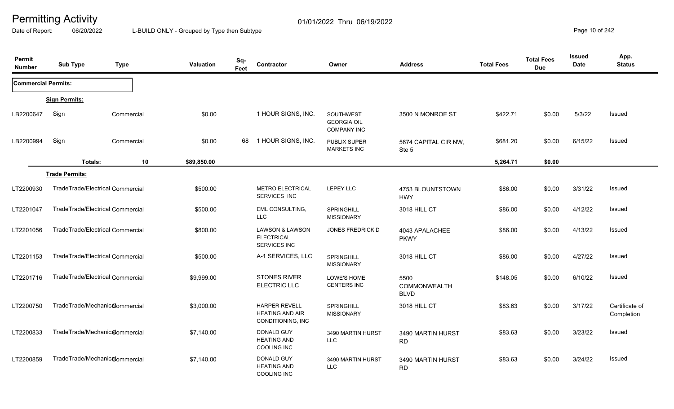Date of Report: 06/20/2022 L-BUILD ONLY - Grouped by Type then Subtype **Page 10** of 242

| Permit<br><b>Number</b>    | <b>Sub Type</b>                  | <b>Type</b> | Valuation   | Sq-<br>Feet | Contractor                                                          | Owner                                                        | <b>Address</b>                      | <b>Total Fees</b> | <b>Total Fees</b><br><b>Due</b> | Issued<br><b>Date</b> | App.<br><b>Status</b>        |
|----------------------------|----------------------------------|-------------|-------------|-------------|---------------------------------------------------------------------|--------------------------------------------------------------|-------------------------------------|-------------------|---------------------------------|-----------------------|------------------------------|
| <b>Commercial Permits:</b> |                                  |             |             |             |                                                                     |                                                              |                                     |                   |                                 |                       |                              |
|                            | <b>Sign Permits:</b>             |             |             |             |                                                                     |                                                              |                                     |                   |                                 |                       |                              |
| LB2200647                  | Sign                             | Commercial  | \$0.00      |             | 1 HOUR SIGNS, INC.                                                  | <b>SOUTHWEST</b><br><b>GEORGIA OIL</b><br><b>COMPANY INC</b> | 3500 N MONROE ST                    | \$422.71          | \$0.00                          | 5/3/22                | Issued                       |
| LB2200994                  | Sign                             | Commercial  | \$0.00      | 68          | 1 HOUR SIGNS, INC.                                                  | <b>PUBLIX SUPER</b><br><b>MARKETS INC</b>                    | 5674 CAPITAL CIR NW,<br>Ste 5       | \$681.20          | \$0.00                          | 6/15/22               | Issued                       |
|                            | Totals:                          | 10          | \$89,850.00 |             |                                                                     |                                                              |                                     | 5,264.71          | \$0.00                          |                       |                              |
|                            | <b>Trade Permits:</b>            |             |             |             |                                                                     |                                                              |                                     |                   |                                 |                       |                              |
| LT2200930                  | TradeTrade/Electrical Commercial |             | \$500.00    |             | <b>METRO ELECTRICAL</b><br>SERVICES INC                             | <b>LEPEY LLC</b>                                             | 4753 BLOUNTSTOWN<br><b>HWY</b>      | \$86.00           | \$0.00                          | 3/31/22               | Issued                       |
| LT2201047                  | TradeTrade/Electrical Commercial |             | \$500.00    |             | <b>EML CONSULTING,</b><br><b>LLC</b>                                | SPRINGHILL<br><b>MISSIONARY</b>                              | 3018 HILL CT                        | \$86.00           | \$0.00                          | 4/12/22               | Issued                       |
| LT2201056                  | TradeTrade/Electrical Commercial |             | \$800.00    |             | <b>LAWSON &amp; LAWSON</b><br><b>ELECTRICAL</b><br>SERVICES INC     | <b>JONES FREDRICK D</b>                                      | 4043 APALACHEE<br><b>PKWY</b>       | \$86.00           | \$0.00                          | 4/13/22               | <b>Issued</b>                |
| LT2201153                  | TradeTrade/Electrical Commercial |             | \$500.00    |             | A-1 SERVICES, LLC                                                   | <b>SPRINGHILL</b><br><b>MISSIONARY</b>                       | 3018 HILL CT                        | \$86.00           | \$0.00                          | 4/27/22               | <b>Issued</b>                |
| LT2201716                  | TradeTrade/Electrical Commercial |             | \$9,999.00  |             | <b>STONES RIVER</b><br>ELECTRIC LLC                                 | LOWE'S HOME<br><b>CENTERS INC</b>                            | 5500<br>COMMONWEALTH<br><b>BLVD</b> | \$148.05          | \$0.00                          | 6/10/22               | Issued                       |
| LT2200750                  | TradeTrade/Mechanic@ommercial    |             | \$3,000.00  |             | <b>HARPER REVELL</b><br><b>HEATING AND AIR</b><br>CONDITIONING, INC | <b>SPRINGHILL</b><br><b>MISSIONARY</b>                       | 3018 HILL CT                        | \$83.63           | \$0.00                          | 3/17/22               | Certificate of<br>Completion |
| LT2200833                  | TradeTrade/Mechanic@ommercial    |             | \$7,140.00  |             | <b>DONALD GUY</b><br><b>HEATING AND</b><br><b>COOLING INC</b>       | 3490 MARTIN HURST<br>LLC                                     | 3490 MARTIN HURST<br><b>RD</b>      | \$83.63           | \$0.00                          | 3/23/22               | Issued                       |
| LT2200859                  | TradeTrade/Mechanic@ommercial    |             | \$7,140.00  |             | DONALD GUY<br><b>HEATING AND</b><br><b>COOLING INC</b>              | 3490 MARTIN HURST<br><b>LLC</b>                              | 3490 MARTIN HURST<br><b>RD</b>      | \$83.63           | \$0.00                          | 3/24/22               | Issued                       |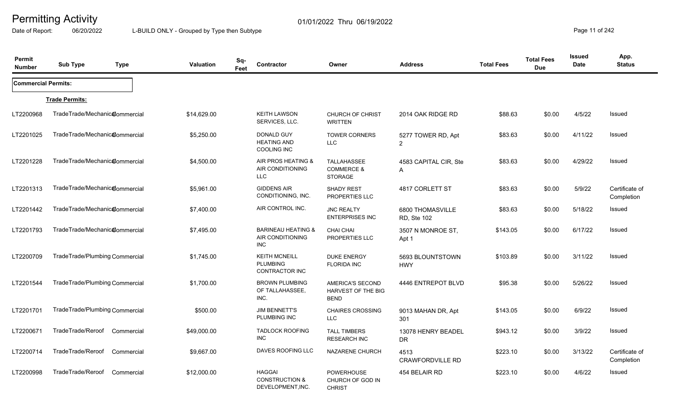Date of Report: 06/20/2022 L-BUILD ONLY - Grouped by Type then Subtype **Page 11** of 242

| Permit<br><b>Number</b>    | <b>Sub Type</b>                | <b>Type</b> | <b>Valuation</b> | Sq-<br>Feet | Contractor                                                      | Owner                                                         | <b>Address</b>                       | <b>Total Fees</b> | <b>Total Fees</b><br><b>Due</b> | <b>Issued</b><br>Date | App.<br><b>Status</b>        |
|----------------------------|--------------------------------|-------------|------------------|-------------|-----------------------------------------------------------------|---------------------------------------------------------------|--------------------------------------|-------------------|---------------------------------|-----------------------|------------------------------|
| <b>Commercial Permits:</b> |                                |             |                  |             |                                                                 |                                                               |                                      |                   |                                 |                       |                              |
|                            | <b>Trade Permits:</b>          |             |                  |             |                                                                 |                                                               |                                      |                   |                                 |                       |                              |
| LT2200968                  | TradeTrade/Mechanic@ommercial  |             | \$14,629.00      |             | <b>KEITH LAWSON</b><br>SERVICES, LLC.                           | <b>CHURCH OF CHRIST</b><br><b>WRITTEN</b>                     | 2014 OAK RIDGE RD                    | \$88.63           | \$0.00                          | 4/5/22                | Issued                       |
| LT2201025                  | TradeTrade/Mechanic@ommercial  |             | \$5,250.00       |             | DONALD GUY<br><b>HEATING AND</b><br><b>COOLING INC</b>          | <b>TOWER CORNERS</b><br>LLC                                   | 5277 TOWER RD, Apt<br>$\overline{2}$ | \$83.63           | \$0.00                          | 4/11/22               | Issued                       |
| LT2201228                  | TradeTrade/Mechanic@ommercial  |             | \$4,500.00       |             | AIR PROS HEATING &<br>AIR CONDITIONING<br><b>LLC</b>            | <b>TALLAHASSEE</b><br><b>COMMERCE &amp;</b><br><b>STORAGE</b> | 4583 CAPITAL CIR, Ste<br>A           | \$83.63           | \$0.00                          | 4/29/22               | Issued                       |
| LT2201313                  | TradeTrade/Mechanic@ommercial  |             | \$5,961.00       |             | <b>GIDDENS AIR</b><br>CONDITIONING, INC.                        | SHADY REST<br>PROPERTIES LLC                                  | 4817 CORLETT ST                      | \$83.63           | \$0.00                          | 5/9/22                | Certificate of<br>Completion |
| LT2201442                  | TradeTrade/Mechanic@ommercial  |             | \$7,400.00       |             | AIR CONTROL INC.                                                | <b>JNC REALTY</b><br><b>ENTERPRISES INC</b>                   | 6800 THOMASVILLE<br>RD, Ste 102      | \$83.63           | \$0.00                          | 5/18/22               | Issued                       |
| LT2201793                  | TradeTrade/Mechanic@ommercial  |             | \$7,495.00       |             | <b>BARINEAU HEATING &amp;</b><br>AIR CONDITIONING<br><b>INC</b> | <b>CHAI CHAI</b><br>PROPERTIES LLC                            | 3507 N MONROE ST,<br>Apt 1           | \$143.05          | \$0.00                          | 6/17/22               | Issued                       |
| LT2200709                  | TradeTrade/Plumbing Commercial |             | \$1,745.00       |             | <b>KEITH MCNEILL</b><br><b>PLUMBING</b><br>CONTRACTOR INC       | <b>DUKE ENERGY</b><br><b>FLORIDA INC</b>                      | 5693 BLOUNTSTOWN<br><b>HWY</b>       | \$103.89          | \$0.00                          | 3/11/22               | Issued                       |
| LT2201544                  | TradeTrade/Plumbing Commercial |             | \$1,700.00       |             | <b>BROWN PLUMBING</b><br>OF TALLAHASSEE,<br>INC.                | AMERICA'S SECOND<br>HARVEST OF THE BIG<br><b>BEND</b>         | 4446 ENTREPOT BLVD                   | \$95.38           | \$0.00                          | 5/26/22               | <b>Issued</b>                |
| LT2201701                  | TradeTrade/Plumbing Commercial |             | \$500.00         |             | <b>JIM BENNETT'S</b><br>PLUMBING INC                            | <b>CHAIRES CROSSING</b><br><b>LLC</b>                         | 9013 MAHAN DR, Apt<br>301            | \$143.05          | \$0.00                          | 6/9/22                | Issued                       |
| LT2200671                  | TradeTrade/Reroof              | Commercial  | \$49,000.00      |             | <b>TADLOCK ROOFING</b><br><b>INC</b>                            | <b>TALL TIMBERS</b><br><b>RESEARCH INC</b>                    | 13078 HENRY BEADEL<br><b>DR</b>      | \$943.12          | \$0.00                          | 3/9/22                | Issued                       |
| LT2200714                  | TradeTrade/Reroof              | Commercial  | \$9,667.00       |             | DAVES ROOFING LLC                                               | NAZARENE CHURCH                                               | 4513<br><b>CRAWFORDVILLE RD</b>      | \$223.10          | \$0.00                          | 3/13/22               | Certificate of<br>Completion |
| LT2200998                  | TradeTrade/Reroof              | Commercial  | \$12,000.00      |             | <b>HAGGAI</b><br><b>CONSTRUCTION &amp;</b><br>DEVELOPMENT, INC. | <b>POWERHOUSE</b><br>CHURCH OF GOD IN<br><b>CHRIST</b>        | 454 BELAIR RD                        | \$223.10          | \$0.00                          | 4/6/22                | Issued                       |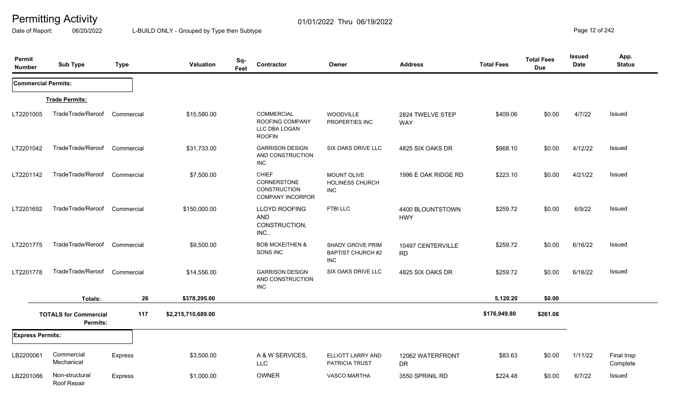Date of Report: 06/20/2022 L-BUILD ONLY - Grouped by Type then Subtype **Page 12** of 242

| Permit<br><b>Number</b>    | <b>Sub Type</b>                          | <b>Type</b>    | Valuation          | Sq-<br>Contractor<br>Feet                                                     | Owner                                               | <b>Address</b>                 | <b>Total Fees</b> | <b>Total Fees</b><br><b>Due</b> | <b>Issued</b><br><b>Date</b> | App.<br><b>Status</b>  |
|----------------------------|------------------------------------------|----------------|--------------------|-------------------------------------------------------------------------------|-----------------------------------------------------|--------------------------------|-------------------|---------------------------------|------------------------------|------------------------|
| <b>Commercial Permits:</b> |                                          |                |                    |                                                                               |                                                     |                                |                   |                                 |                              |                        |
|                            | <b>Trade Permits:</b>                    |                |                    |                                                                               |                                                     |                                |                   |                                 |                              |                        |
| LT2201005                  | TradeTrade/Reroof                        | Commercial     | \$15,580.00        | <b>COMMERCIAL</b><br>ROOFING COMPANY<br>LLC DBA LOGAN<br><b>ROOFIN</b>        | <b>WOODVILLE</b><br>PROPERTIES INC                  | 2824 TWELVE STEP<br><b>WAY</b> | \$409.06          | \$0.00                          | 4/7/22                       | Issued                 |
| LT2201042                  | TradeTrade/Reroof                        | Commercial     | \$31,733.00        | <b>GARRISON DESIGN</b><br>AND CONSTRUCTION<br><b>INC</b>                      | SIX OAKS DRIVE LLC                                  | 4825 SIX OAKS DR               | \$668.10          | \$0.00                          | 4/12/22                      | Issued                 |
| LT2201142                  | TradeTrade/Reroof                        | Commercial     | \$7,500.00         | <b>CHIEF</b><br>CORNERSTONE<br><b>CONSTRUCTION</b><br><b>COMPANY INCORPOR</b> | <b>MOUNT OLIVE</b><br>HOLINESS CHURCH<br>INC        | 1996 E OAK RIDGE RD            | \$223.10          | \$0.00                          | 4/21/22                      | Issued                 |
| LT2201692                  | TradeTrade/Reroof                        | Commercial     | \$150,000.00       | LLOYD ROOFING<br><b>AND</b><br>CONSTRUCTION,<br>INC.                          | <b>FTBILLC</b>                                      | 4400 BLOUNTSTOWN<br><b>HWY</b> | \$259.72          | \$0.00                          | 6/9/22                       | Issued                 |
| LT2201775                  | TradeTrade/Reroof                        | Commercial     | \$9,500.00         | <b>BOB MCKEITHEN &amp;</b><br>SONS INC                                        | SHADY GROVE PRIM<br><b>BAPTIST CHURCH #2</b><br>INC | 10497 CENTERVILLE<br><b>RD</b> | \$259.72          | \$0.00                          | 6/16/22                      | Issued                 |
| LT2201778                  | TradeTrade/Reroof                        | Commercial     | \$14,556.00        | <b>GARRISON DESIGN</b><br>AND CONSTRUCTION<br>INC                             | SIX OAKS DRIVE LLC                                  | 4825 SIX OAKS DR               | \$259.72          | \$0.00                          | 6/16/22                      | Issued                 |
|                            | Totals:                                  | 26             | \$378,295.00       |                                                                               |                                                     |                                | 5,120.20          | \$0.00                          |                              |                        |
|                            | <b>TOTALS for Commercial</b><br>Permits: | 117            | \$2,215,710,689.00 |                                                                               |                                                     |                                | \$176,949.80      | \$261.08                        |                              |                        |
| <b>Express Permits:</b>    |                                          |                |                    |                                                                               |                                                     |                                |                   |                                 |                              |                        |
| LB2200061                  | Commercial<br>Mechanical                 | Express        | \$3,500.00         | A & W SERVICES,<br><b>LLC</b>                                                 | ELLIOTT LARRY AND<br>PATRICIA TRUST                 | 12062 WATERFRONT<br><b>DR</b>  | \$83.63           | \$0.00                          | 1/11/22                      | Final Insp<br>Complete |
| LB2201086                  | Non-structural<br>Roof Repair            | <b>Express</b> | \$1,000.00         | <b>OWNER</b>                                                                  | <b>VASCO MARTHA</b>                                 | 3550 SPRINIL RD                | \$224.48          | \$0.00                          | 6/7/22                       | Issued                 |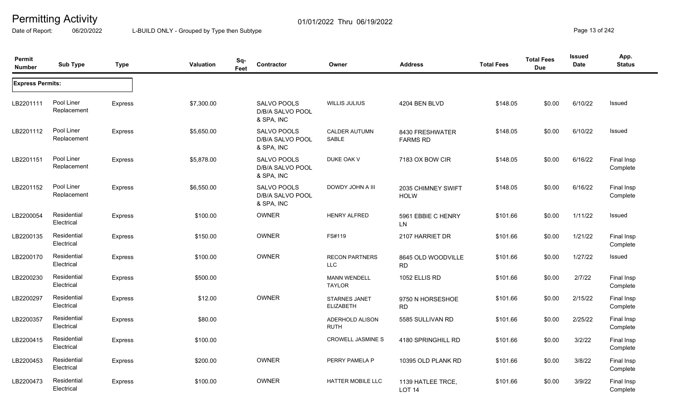Date of Report: 06/20/2022 L-BUILD ONLY - Grouped by Type then Subtype **Page 13** of 242

| <b>Permit</b><br><b>Number</b> | <b>Sub Type</b>           | <b>Type</b>    | Valuation  | Sq-<br>Feet | Contractor                                    | Owner                                    | <b>Address</b>                         | <b>Total Fees</b> | <b>Total Fees</b><br><b>Due</b> | <b>Issued</b><br>Date | App.<br><b>Status</b>  |
|--------------------------------|---------------------------|----------------|------------|-------------|-----------------------------------------------|------------------------------------------|----------------------------------------|-------------------|---------------------------------|-----------------------|------------------------|
| <b>Express Permits:</b>        |                           |                |            |             |                                               |                                          |                                        |                   |                                 |                       |                        |
| LB2201111                      | Pool Liner<br>Replacement | Express        | \$7,300.00 |             | SALVO POOLS<br>D/B/A SALVO POOL<br>& SPA, INC | <b>WILLIS JULIUS</b>                     | 4204 BEN BLVD                          | \$148.05          | \$0.00                          | 6/10/22               | Issued                 |
| LB2201112                      | Pool Liner<br>Replacement | Express        | \$5,650.00 |             | SALVO POOLS<br>D/B/A SALVO POOL<br>& SPA, INC | <b>CALDER AUTUMN</b><br>SABLE            | 8430 FRESHWATER<br><b>FARMS RD</b>     | \$148.05          | \$0.00                          | 6/10/22               | Issued                 |
| LB2201151                      | Pool Liner<br>Replacement | <b>Express</b> | \$5,878.00 |             | SALVO POOLS<br>D/B/A SALVO POOL<br>& SPA, INC | DUKE OAK V                               | 7183 OX BOW CIR                        | \$148.05          | \$0.00                          | 6/16/22               | Final Insp<br>Complete |
| LB2201152                      | Pool Liner<br>Replacement | Express        | \$6,550.00 |             | SALVO POOLS<br>D/B/A SALVO POOL<br>& SPA, INC | DOWDY JOHN A III                         | 2035 CHIMNEY SWIFT<br><b>HOLW</b>      | \$148.05          | \$0.00                          | 6/16/22               | Final Insp<br>Complete |
| LB2200054                      | Residential<br>Electrical | Express        | \$100.00   |             | <b>OWNER</b>                                  | <b>HENRY ALFRED</b>                      | 5961 EBBIE C HENRY<br>LN               | \$101.66          | \$0.00                          | 1/11/22               | Issued                 |
| LB2200135                      | Residential<br>Electrical | Express        | \$150.00   |             | <b>OWNER</b>                                  | FS#119                                   | 2107 HARRIET DR                        | \$101.66          | \$0.00                          | 1/21/22               | Final Insp<br>Complete |
| LB2200170                      | Residential<br>Electrical | <b>Express</b> | \$100.00   |             | OWNER                                         | <b>RECON PARTNERS</b><br><b>LLC</b>      | 8645 OLD WOODVILLE<br><b>RD</b>        | \$101.66          | \$0.00                          | 1/27/22               | Issued                 |
| LB2200230                      | Residential<br>Electrical | <b>Express</b> | \$500.00   |             |                                               | <b>MANN WENDELL</b><br><b>TAYLOR</b>     | 1052 ELLIS RD                          | \$101.66          | \$0.00                          | 2/7/22                | Final Insp<br>Complete |
| LB2200297                      | Residential<br>Electrical | <b>Express</b> | \$12.00    |             | <b>OWNER</b>                                  | <b>STARNES JANET</b><br><b>ELIZABETH</b> | 9750 N HORSESHOE<br><b>RD</b>          | \$101.66          | \$0.00                          | 2/15/22               | Final Insp<br>Complete |
| LB2200357                      | Residential<br>Electrical | <b>Express</b> | \$80.00    |             |                                               | ADERHOLD ALISON<br><b>RUTH</b>           | 5585 SULLIVAN RD                       | \$101.66          | \$0.00                          | 2/25/22               | Final Insp<br>Complete |
| LB2200415                      | Residential<br>Electrical | <b>Express</b> | \$100.00   |             |                                               | <b>CROWELL JASMINE S</b>                 | 4180 SPRINGHILL RD                     | \$101.66          | \$0.00                          | 3/2/22                | Final Insp<br>Complete |
| LB2200453                      | Residential<br>Electrical | <b>Express</b> | \$200.00   |             | <b>OWNER</b>                                  | PERRY PAMELA P                           | 10395 OLD PLANK RD                     | \$101.66          | \$0.00                          | 3/8/22                | Final Insp<br>Complete |
| LB2200473                      | Residential<br>Electrical | <b>Express</b> | \$100.00   |             | OWNER                                         | <b>HATTER MOBILE LLC</b>                 | 1139 HATLEE TRCE,<br>LOT <sub>14</sub> | \$101.66          | \$0.00                          | 3/9/22                | Final Insp<br>Complete |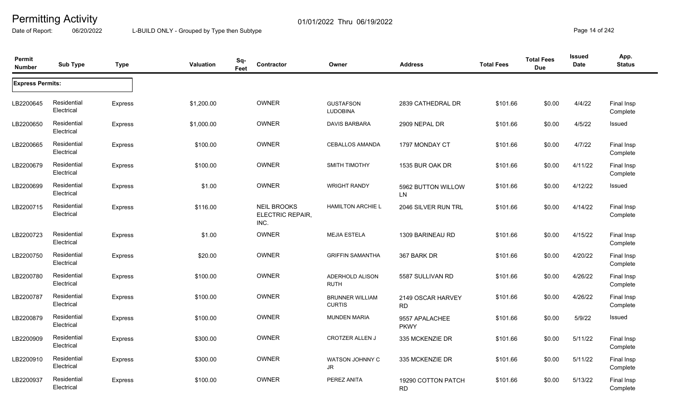Date of Report: 06/20/2022 L-BUILD ONLY - Grouped by Type then Subtype **Page 14** of 242

| Permit<br><b>Number</b> | <b>Sub Type</b>           | <b>Type</b>    | Valuation  | Sq-<br>Contractor<br>Feet                             | Owner                                   | <b>Address</b>                  | <b>Total Fees</b> | <b>Total Fees</b><br><b>Due</b> | <b>Issued</b><br>Date | App.<br><b>Status</b>  |
|-------------------------|---------------------------|----------------|------------|-------------------------------------------------------|-----------------------------------------|---------------------------------|-------------------|---------------------------------|-----------------------|------------------------|
| <b>Express Permits:</b> |                           |                |            |                                                       |                                         |                                 |                   |                                 |                       |                        |
| LB2200645               | Residential<br>Electrical | <b>Express</b> | \$1,200.00 | OWNER                                                 | <b>GUSTAFSON</b><br><b>LUDOBINA</b>     | 2839 CATHEDRAL DR               | \$101.66          | \$0.00                          | 4/4/22                | Final Insp<br>Complete |
| LB2200650               | Residential<br>Electrical | <b>Express</b> | \$1,000.00 | OWNER                                                 | <b>DAVIS BARBARA</b>                    | 2909 NEPAL DR                   | \$101.66          | \$0.00                          | 4/5/22                | Issued                 |
| LB2200665               | Residential<br>Electrical | <b>Express</b> | \$100.00   | OWNER                                                 | <b>CEBALLOS AMANDA</b>                  | 1797 MONDAY CT                  | \$101.66          | \$0.00                          | 4/7/22                | Final Insp<br>Complete |
| LB2200679               | Residential<br>Electrical | Express        | \$100.00   | OWNER                                                 | <b>SMITH TIMOTHY</b>                    | 1535 BUR OAK DR                 | \$101.66          | \$0.00                          | 4/11/22               | Final Insp<br>Complete |
| LB2200699               | Residential<br>Electrical | <b>Express</b> | \$1.00     | OWNER                                                 | <b>WRIGHT RANDY</b>                     | 5962 BUTTON WILLOW<br>LN        | \$101.66          | \$0.00                          | 4/12/22               | Issued                 |
| LB2200715               | Residential<br>Electrical | Express        | \$116.00   | <b>NEIL BROOKS</b><br><b>ELECTRIC REPAIR,</b><br>INC. | <b>HAMILTON ARCHIE L</b>                | 2046 SILVER RUN TRL             | \$101.66          | \$0.00                          | 4/14/22               | Final Insp<br>Complete |
| LB2200723               | Residential<br>Electrical | <b>Express</b> | \$1.00     | OWNER                                                 | <b>MEJIA ESTELA</b>                     | 1309 BARINEAU RD                | \$101.66          | \$0.00                          | 4/15/22               | Final Insp<br>Complete |
| LB2200750               | Residential<br>Electrical | Express        | \$20.00    | OWNER                                                 | <b>GRIFFIN SAMANTHA</b>                 | 367 BARK DR                     | \$101.66          | \$0.00                          | 4/20/22               | Final Insp<br>Complete |
| LB2200780               | Residential<br>Electrical | Express        | \$100.00   | OWNER                                                 | ADERHOLD ALISON<br><b>RUTH</b>          | 5587 SULLIVAN RD                | \$101.66          | \$0.00                          | 4/26/22               | Final Insp<br>Complete |
| LB2200787               | Residential<br>Electrical | <b>Express</b> | \$100.00   | OWNER                                                 | <b>BRUNNER WILLIAM</b><br><b>CURTIS</b> | 2149 OSCAR HARVEY<br><b>RD</b>  | \$101.66          | \$0.00                          | 4/26/22               | Final Insp<br>Complete |
| LB2200879               | Residential<br>Electrical | <b>Express</b> | \$100.00   | OWNER                                                 | <b>MUNDEN MARIA</b>                     | 9557 APALACHEE<br><b>PKWY</b>   | \$101.66          | \$0.00                          | 5/9/22                | Issued                 |
| LB2200909               | Residential<br>Electrical | Express        | \$300.00   | OWNER                                                 | <b>CROTZER ALLEN J</b>                  | 335 MCKENZIE DR                 | \$101.66          | \$0.00                          | 5/11/22               | Final Insp<br>Complete |
| LB2200910               | Residential<br>Electrical | <b>Express</b> | \$300.00   | <b>OWNER</b>                                          | WATSON JOHNNY C<br>JR                   | 335 MCKENZIE DR                 | \$101.66          | \$0.00                          | 5/11/22               | Final Insp<br>Complete |
| LB2200937               | Residential<br>Electrical | <b>Express</b> | \$100.00   | <b>OWNER</b>                                          | PEREZ ANITA                             | 19290 COTTON PATCH<br><b>RD</b> | \$101.66          | \$0.00                          | 5/13/22               | Final Insp<br>Complete |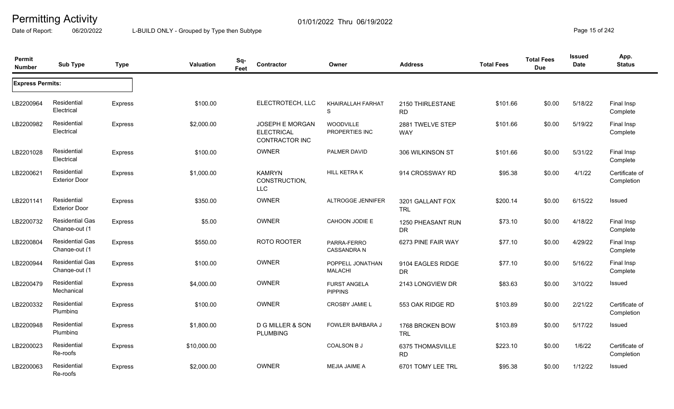Date of Report: 06/20/2022 L-BUILD ONLY - Grouped by Type then Subtype **Page 15** of 242

| Permit<br><b>Number</b> | <b>Sub Type</b>                         | <b>Type</b>    | Valuation   | Sq-<br>Contractor<br>Feet                              | Owner                                 | <b>Address</b>                 | <b>Total Fees</b> | <b>Total Fees</b><br><b>Due</b> | <b>Issued</b><br><b>Date</b> | App.<br><b>Status</b>        |
|-------------------------|-----------------------------------------|----------------|-------------|--------------------------------------------------------|---------------------------------------|--------------------------------|-------------------|---------------------------------|------------------------------|------------------------------|
| <b>Express Permits:</b> |                                         |                |             |                                                        |                                       |                                |                   |                                 |                              |                              |
| LB2200964               | Residential<br>Electrical               | <b>Express</b> | \$100.00    | ELECTROTECH, LLC                                       | <b>KHAIRALLAH FARHAT</b><br>S         | 2150 THIRLESTANE<br><b>RD</b>  | \$101.66          | \$0.00                          | 5/18/22                      | Final Insp<br>Complete       |
| LB2200982               | Residential<br>Electrical               | Express        | \$2,000.00  | JOSEPH E MORGAN<br><b>ELECTRICAL</b><br>CONTRACTOR INC | <b>WOODVILLE</b><br>PROPERTIES INC    | 2881 TWELVE STEP<br><b>WAY</b> | \$101.66          | \$0.00                          | 5/19/22                      | Final Insp<br>Complete       |
| LB2201028               | Residential<br>Electrical               | Express        | \$100.00    | <b>OWNER</b>                                           | PALMER DAVID                          | 306 WILKINSON ST               | \$101.66          | \$0.00                          | 5/31/22                      | Final Insp<br>Complete       |
| LB2200621               | Residential<br><b>Exterior Door</b>     | Express        | \$1,000.00  | <b>KAMRYN</b><br>CONSTRUCTION,<br><b>LLC</b>           | <b>HILL KETRAK</b>                    | 914 CROSSWAY RD                | \$95.38           | \$0.00                          | 4/1/22                       | Certificate of<br>Completion |
| LB2201141               | Residential<br><b>Exterior Door</b>     | <b>Express</b> | \$350.00    | <b>OWNER</b>                                           | ALTROGGE JENNIFER                     | 3201 GALLANT FOX<br><b>TRL</b> | \$200.14          | \$0.00                          | 6/15/22                      | Issued                       |
| LB2200732               | <b>Residential Gas</b><br>Change-out (1 | <b>Express</b> | \$5.00      | <b>OWNER</b>                                           | CAHOON JODIE E                        | 1250 PHEASANT RUN<br><b>DR</b> | \$73.10           | \$0.00                          | 4/18/22                      | Final Insp<br>Complete       |
| LB2200804               | <b>Residential Gas</b><br>Change-out (1 | Express        | \$550.00    | ROTO ROOTER                                            | PARRA-FERRO<br><b>CASSANDRA N</b>     | 6273 PINE FAIR WAY             | \$77.10           | \$0.00                          | 4/29/22                      | Final Insp<br>Complete       |
| LB2200944               | <b>Residential Gas</b><br>Change-out (1 | Express        | \$100.00    | <b>OWNER</b>                                           | POPPELL JONATHAN<br><b>MALACHI</b>    | 9104 EAGLES RIDGE<br><b>DR</b> | \$77.10           | \$0.00                          | 5/16/22                      | Final Insp<br>Complete       |
| LB2200479               | Residential<br>Mechanical               | <b>Express</b> | \$4,000.00  | OWNER                                                  | <b>FURST ANGELA</b><br><b>PIPPINS</b> | 2143 LONGVIEW DR               | \$83.63           | \$0.00                          | 3/10/22                      | Issued                       |
| LB2200332               | Residential<br>Plumbing                 | <b>Express</b> | \$100.00    | OWNER                                                  | <b>CROSBY JAMIE L</b>                 | 553 OAK RIDGE RD               | \$103.89          | \$0.00                          | 2/21/22                      | Certificate of<br>Completion |
| LB2200948               | Residential<br>Plumbing                 | <b>Express</b> | \$1,800.00  | <b>D G MILLER &amp; SON</b><br><b>PLUMBING</b>         | <b>FOWLER BARBARA J</b>               | 1768 BROKEN BOW<br><b>TRL</b>  | \$103.89          | \$0.00                          | 5/17/22                      | Issued                       |
| LB2200023               | Residential<br>Re-roofs                 | Express        | \$10,000.00 |                                                        | <b>COALSON B J</b>                    | 6375 THOMASVILLE<br><b>RD</b>  | \$223.10          | \$0.00                          | 1/6/22                       | Certificate of<br>Completion |
| LB2200063               | Residential<br>Re-roofs                 | <b>Express</b> | \$2,000.00  | <b>OWNER</b>                                           | <b>MEJIA JAIME A</b>                  | 6701 TOMY LEE TRL              | \$95.38           | \$0.00                          | 1/12/22                      | Issued                       |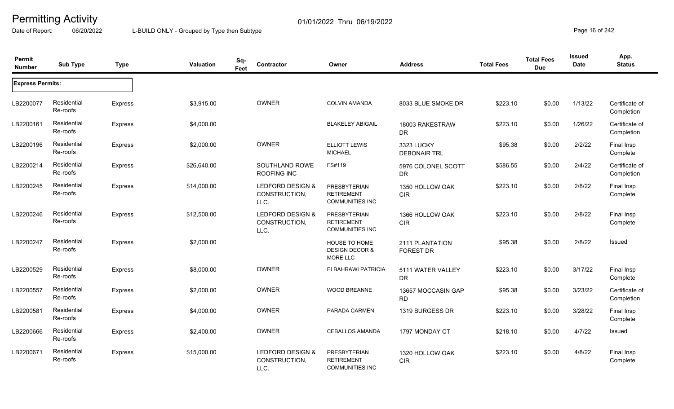Date of Report: 06/20/2022 L-BUILD ONLY - Grouped by Type then Subtype **Page 16** of 242

| Permit<br><b>Number</b> | <b>Sub Type</b>         | <b>Type</b>    | Valuation   | Sq-<br>Contractor<br>Feet                 | Owner                                                              | <b>Address</b>                      | <b>Total Fees</b> | <b>Total Fees</b><br><b>Due</b> | <b>Issued</b><br><b>Date</b> | App.<br><b>Status</b>        |
|-------------------------|-------------------------|----------------|-------------|-------------------------------------------|--------------------------------------------------------------------|-------------------------------------|-------------------|---------------------------------|------------------------------|------------------------------|
| <b>Express Permits:</b> |                         |                |             |                                           |                                                                    |                                     |                   |                                 |                              |                              |
| LB2200077               | Residential<br>Re-roofs | <b>Express</b> | \$3,915.00  | <b>OWNER</b>                              | <b>COLVIN AMANDA</b>                                               | 8033 BLUE SMOKE DR                  | \$223.10          | \$0.00                          | 1/13/22                      | Certificate of<br>Completion |
| LB2200161               | Residential<br>Re-roofs | <b>Express</b> | \$4,000.00  |                                           | <b>BLAKELEY ABIGAIL</b>                                            | 18003 RAKESTRAW<br><b>DR</b>        | \$223.10          | \$0.00                          | 1/26/22                      | Certificate of<br>Completion |
| LB2200196               | Residential<br>Re-roofs | <b>Express</b> | \$2,000.00  | <b>OWNER</b>                              | <b>ELLIOTT LEWIS</b><br><b>MICHAEL</b>                             | 3323 LUCKY<br><b>DEBONAIR TRL</b>   | \$95.38           | \$0.00                          | 2/2/22                       | Final Insp<br>Complete       |
| LB2200214               | Residential<br>Re-roofs | <b>Express</b> | \$26,640.00 | SOUTHLAND ROWE<br><b>ROOFING INC</b>      | FS#119                                                             | 5976 COLONEL SCOTT<br><b>DR</b>     | \$586.55          | \$0.00                          | 2/4/22                       | Certificate of<br>Completion |
| LB2200245               | Residential<br>Re-roofs | Express        | \$14,000.00 | LEDFORD DESIGN &<br>CONSTRUCTION,<br>LLC. | PRESBYTERIAN<br><b>RETIREMENT</b><br><b>COMMUNITIES INC</b>        | 1350 HOLLOW OAK<br><b>CIR</b>       | \$223.10          | \$0.00                          | 2/8/22                       | Final Insp<br>Complete       |
| LB2200246               | Residential<br>Re-roofs | <b>Express</b> | \$12,500.00 | LEDFORD DESIGN &<br>CONSTRUCTION,<br>LLC. | <b>PRESBYTERIAN</b><br><b>RETIREMENT</b><br><b>COMMUNITIES INC</b> | 1366 HOLLOW OAK<br><b>CIR</b>       | \$223.10          | \$0.00                          | 2/8/22                       | Final Insp<br>Complete       |
| LB2200247               | Residential<br>Re-roofs | <b>Express</b> | \$2,000.00  |                                           | <b>HOUSE TO HOME</b><br><b>DESIGN DECOR &amp;</b><br>MORE LLC      | 2111 PLANTATION<br><b>FOREST DR</b> | \$95.38           | \$0.00                          | 2/8/22                       | Issued                       |
| LB2200529               | Residential<br>Re-roofs | Express        | \$8,000.00  | <b>OWNER</b>                              | <b>ELBAHRAWI PATRICIA</b>                                          | 5111 WATER VALLEY<br><b>DR</b>      | \$223.10          | \$0.00                          | 3/17/22                      | Final Insp<br>Complete       |
| LB2200557               | Residential<br>Re-roofs | <b>Express</b> | \$2,000.00  | <b>OWNER</b>                              | <b>WOOD BREANNE</b>                                                | 13657 MOCCASIN GAP<br><b>RD</b>     | \$95.38           | \$0.00                          | 3/23/22                      | Certificate of<br>Completion |
| LB2200581               | Residential<br>Re-roofs | <b>Express</b> | \$4,000.00  | <b>OWNER</b>                              | PARADA CARMEN                                                      | 1319 BURGESS DR                     | \$223.10          | \$0.00                          | 3/28/22                      | Final Insp<br>Complete       |
| LB2200666               | Residential<br>Re-roofs | <b>Express</b> | \$2,400.00  | <b>OWNER</b>                              | <b>CEBALLOS AMANDA</b>                                             | 1797 MONDAY CT                      | \$218.10          | \$0.00                          | 4/7/22                       | Issued                       |
| LB2200671               | Residential<br>Re-roofs | <b>Express</b> | \$15,000.00 | LEDFORD DESIGN &<br>CONSTRUCTION,<br>LLC. | PRESBYTERIAN<br><b>RETIREMENT</b><br><b>COMMUNITIES INC</b>        | 1320 HOLLOW OAK<br><b>CIR</b>       | \$223.10          | \$0.00                          | 4/8/22                       | Final Insp<br>Complete       |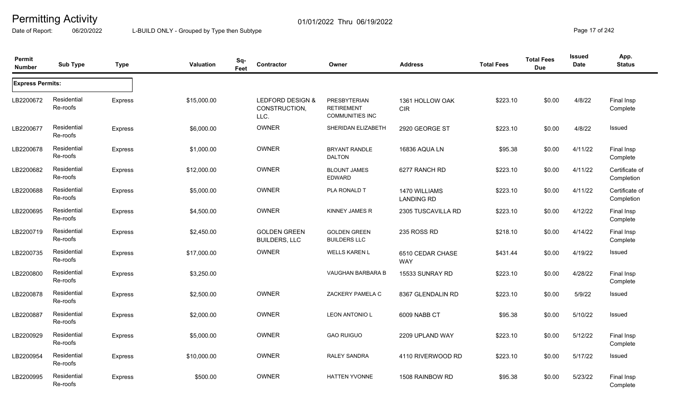Date of Report: 06/20/2022 L-BUILD ONLY - Grouped by Type then Subtype **Page 17** of 242

| Permit<br><b>Number</b> | <b>Sub Type</b>         | <b>Type</b>    | <b>Valuation</b> | Sq-<br>Feet | Contractor                                  | Owner                                                              | <b>Address</b>                     | <b>Total Fees</b> | <b>Total Fees</b><br><b>Due</b> | <b>Issued</b><br><b>Date</b> | App.<br><b>Status</b>        |
|-------------------------|-------------------------|----------------|------------------|-------------|---------------------------------------------|--------------------------------------------------------------------|------------------------------------|-------------------|---------------------------------|------------------------------|------------------------------|
| <b>Express Permits:</b> |                         |                |                  |             |                                             |                                                                    |                                    |                   |                                 |                              |                              |
| LB2200672               | Residential<br>Re-roofs | Express        | \$15,000.00      |             | LEDFORD DESIGN &<br>CONSTRUCTION,<br>LLC.   | <b>PRESBYTERIAN</b><br><b>RETIREMENT</b><br><b>COMMUNITIES INC</b> | 1361 HOLLOW OAK<br><b>CIR</b>      | \$223.10          | \$0.00                          | 4/8/22                       | Final Insp<br>Complete       |
| LB2200677               | Residential<br>Re-roofs | <b>Express</b> | \$6,000.00       |             | OWNER                                       | SHERIDAN ELIZABETH                                                 | 2920 GEORGE ST                     | \$223.10          | \$0.00                          | 4/8/22                       | Issued                       |
| LB2200678               | Residential<br>Re-roofs | Express        | \$1,000.00       |             | OWNER                                       | <b>BRYANT RANDLE</b><br><b>DALTON</b>                              | 16836 AQUA LN                      | \$95.38           | \$0.00                          | 4/11/22                      | Final Insp<br>Complete       |
| LB2200682               | Residential<br>Re-roofs | Express        | \$12,000.00      |             | OWNER                                       | <b>BLOUNT JAMES</b><br><b>EDWARD</b>                               | 6277 RANCH RD                      | \$223.10          | \$0.00                          | 4/11/22                      | Certificate of<br>Completion |
| LB2200688               | Residential<br>Re-roofs | <b>Express</b> | \$5,000.00       |             | OWNER                                       | PLA RONALD T                                                       | 1470 WILLIAMS<br><b>LANDING RD</b> | \$223.10          | \$0.00                          | 4/11/22                      | Certificate of<br>Completion |
| LB2200695               | Residential<br>Re-roofs | Express        | \$4,500.00       |             | OWNER                                       | KINNEY JAMES R                                                     | 2305 TUSCAVILLA RD                 | \$223.10          | \$0.00                          | 4/12/22                      | Final Insp<br>Complete       |
| LB2200719               | Residential<br>Re-roofs | <b>Express</b> | \$2,450.00       |             | <b>GOLDEN GREEN</b><br><b>BUILDERS, LLC</b> | <b>GOLDEN GREEN</b><br><b>BUILDERS LLC</b>                         | 235 ROSS RD                        | \$218.10          | \$0.00                          | 4/14/22                      | Final Insp<br>Complete       |
| LB2200735               | Residential<br>Re-roofs | Express        | \$17,000.00      |             | <b>OWNER</b>                                | <b>WELLS KAREN L</b>                                               | 6510 CEDAR CHASE<br><b>WAY</b>     | \$431.44          | \$0.00                          | 4/19/22                      | Issued                       |
| LB2200800               | Residential<br>Re-roofs | <b>Express</b> | \$3,250.00       |             |                                             | VAUGHAN BARBARA B                                                  | 15533 SUNRAY RD                    | \$223.10          | \$0.00                          | 4/28/22                      | Final Insp<br>Complete       |
| LB2200878               | Residential<br>Re-roofs | <b>Express</b> | \$2,500.00       |             | <b>OWNER</b>                                | ZACKERY PAMELA C                                                   | 8367 GLENDALIN RD                  | \$223.10          | \$0.00                          | 5/9/22                       | Issued                       |
| LB2200887               | Residential<br>Re-roofs | <b>Express</b> | \$2,000.00       |             | OWNER                                       | <b>LEON ANTONIO L</b>                                              | 6009 NABB CT                       | \$95.38           | \$0.00                          | 5/10/22                      | Issued                       |
| LB2200929               | Residential<br>Re-roofs | <b>Express</b> | \$5,000.00       |             | OWNER                                       | <b>GAO RUIGUO</b>                                                  | 2209 UPLAND WAY                    | \$223.10          | \$0.00                          | 5/12/22                      | Final Insp<br>Complete       |
| LB2200954               | Residential<br>Re-roofs | <b>Express</b> | \$10,000.00      |             | <b>OWNER</b>                                | <b>RALEY SANDRA</b>                                                | 4110 RIVERWOOD RD                  | \$223.10          | \$0.00                          | 5/17/22                      | Issued                       |
| LB2200995               | Residential<br>Re-roofs | Express        | \$500.00         |             | OWNER                                       | <b>HATTEN YVONNE</b>                                               | 1508 RAINBOW RD                    | \$95.38           | \$0.00                          | 5/23/22                      | Final Insp<br>Complete       |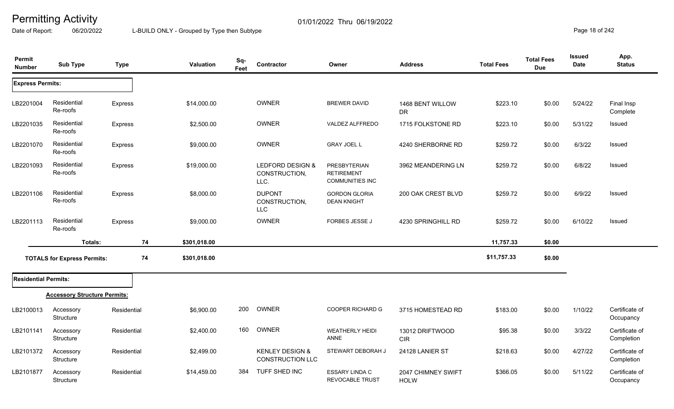Date of Report: 06/20/2022 L-BUILD ONLY - Grouped by Type then Subtype **Page 18** of 242

| Permit<br><b>Number</b>     | <b>Sub Type</b>                     | <b>Type</b> | Valuation          | Sq-<br>Feet | Contractor                                            | Owner                                                              | <b>Address</b>                    | <b>Total Fees</b> | <b>Total Fees</b><br><b>Due</b> | <b>Issued</b><br><b>Date</b> | App.<br><b>Status</b>        |
|-----------------------------|-------------------------------------|-------------|--------------------|-------------|-------------------------------------------------------|--------------------------------------------------------------------|-----------------------------------|-------------------|---------------------------------|------------------------------|------------------------------|
| <b>Express Permits:</b>     |                                     |             |                    |             |                                                       |                                                                    |                                   |                   |                                 |                              |                              |
| LB2201004                   | Residential<br>Re-roofs             | Express     | \$14,000.00        |             | <b>OWNER</b>                                          | <b>BREWER DAVID</b>                                                | 1468 BENT WILLOW<br><b>DR</b>     | \$223.10          | \$0.00                          | 5/24/22                      | Final Insp<br>Complete       |
| LB2201035                   | Residential<br>Re-roofs             | Express     | \$2,500.00         |             | <b>OWNER</b>                                          | VALDEZ ALFFREDO                                                    | 1715 FOLKSTONE RD                 | \$223.10          | \$0.00                          | 5/31/22                      | Issued                       |
| LB2201070                   | Residential<br>Re-roofs             | Express     | \$9,000.00         |             | <b>OWNER</b>                                          | <b>GRAY JOEL L</b>                                                 | 4240 SHERBORNE RD                 | \$259.72          | \$0.00                          | 6/3/22                       | Issued                       |
| LB2201093                   | Residential<br>Re-roofs             | Express     | \$19,000.00        |             | LEDFORD DESIGN &<br>CONSTRUCTION,<br>LLC.             | <b>PRESBYTERIAN</b><br><b>RETIREMENT</b><br><b>COMMUNITIES INC</b> | 3962 MEANDERING LN                | \$259.72          | \$0.00                          | 6/8/22                       | Issued                       |
| LB2201106                   | Residential<br>Re-roofs             | Express     | \$8,000.00         |             | <b>DUPONT</b><br>CONSTRUCTION,<br><b>LLC</b>          | <b>GORDON GLORIA</b><br><b>DEAN KNIGHT</b>                         | 200 OAK CREST BLVD                | \$259.72          | \$0.00                          | 6/9/22                       | Issued                       |
| LB2201113                   | Residential<br>Re-roofs             | Express     | \$9,000.00         |             | <b>OWNER</b>                                          | FORBES JESSE J                                                     | 4230 SPRINGHILL RD                | \$259.72          | \$0.00                          | 6/10/22                      | Issued                       |
|                             | Totals:                             |             | 74<br>\$301,018.00 |             |                                                       |                                                                    |                                   | 11,757.33         | \$0.00                          |                              |                              |
|                             | <b>TOTALS for Express Permits:</b>  |             | 74<br>\$301,018.00 |             |                                                       |                                                                    |                                   | \$11,757.33       | \$0.00                          |                              |                              |
| <b>Residential Permits:</b> |                                     |             |                    |             |                                                       |                                                                    |                                   |                   |                                 |                              |                              |
|                             | <b>Accessory Structure Permits:</b> |             |                    |             |                                                       |                                                                    |                                   |                   |                                 |                              |                              |
| LB2100013                   | Accessory<br>Structure              | Residential | \$6,900.00         | 200         | OWNER                                                 | <b>COOPER RICHARD G</b>                                            | 3715 HOMESTEAD RD                 | \$183.00          | \$0.00                          | 1/10/22                      | Certificate of<br>Occupancy  |
| LB2101141                   | Accessory<br>Structure              | Residential | \$2,400.00         | 160         | OWNER                                                 | <b>WEATHERLY HEIDI</b><br>ANNE                                     | 13012 DRIFTWOOD<br><b>CIR</b>     | \$95.38           | \$0.00                          | 3/3/22                       | Certificate of<br>Completion |
| LB2101372                   | Accessory<br>Structure              | Residential | \$2,499.00         |             | <b>KENLEY DESIGN &amp;</b><br><b>CONSTRUCTION LLC</b> | STEWART DEBORAH J                                                  | 24128 LANIER ST                   | \$218.63          | \$0.00                          | 4/27/22                      | Certificate of<br>Completion |
| LB2101877                   | Accessory<br>Structure              | Residential | \$14,459.00        | 384         | TUFF SHED INC                                         | <b>ESSARY LINDA C</b><br><b>REVOCABLE TRUST</b>                    | 2047 CHIMNEY SWIFT<br><b>HOLW</b> | \$366.05          | \$0.00                          | 5/11/22                      | Certificate of<br>Occupancy  |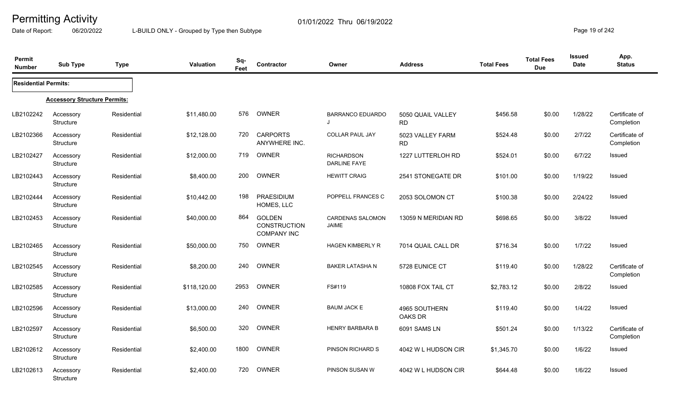Date of Report: 06/20/2022 L-BUILD ONLY - Grouped by Type then Subtype **Page 19** of 242

| Permit<br><b>Number</b>     | <b>Sub Type</b>                     | <b>Type</b> | Valuation    | Sq-<br>Feet | Contractor                                                 | Owner                                    | <b>Address</b>                 | <b>Total Fees</b> | <b>Total Fees</b><br><b>Due</b> | Issued<br><b>Date</b> | App.<br><b>Status</b>        |
|-----------------------------|-------------------------------------|-------------|--------------|-------------|------------------------------------------------------------|------------------------------------------|--------------------------------|-------------------|---------------------------------|-----------------------|------------------------------|
| <b>Residential Permits:</b> |                                     |             |              |             |                                                            |                                          |                                |                   |                                 |                       |                              |
|                             | <b>Accessory Structure Permits:</b> |             |              |             |                                                            |                                          |                                |                   |                                 |                       |                              |
| LB2102242                   | Accessory<br>Structure              | Residential | \$11,480.00  | 576         | OWNER                                                      | <b>BARRANCO EDUARDO</b>                  | 5050 QUAIL VALLEY<br><b>RD</b> | \$456.58          | \$0.00                          | 1/28/22               | Certificate of<br>Completion |
| LB2102366                   | Accessory<br>Structure              | Residential | \$12,128.00  | 720         | <b>CARPORTS</b><br>ANYWHERE INC.                           | <b>COLLAR PAUL JAY</b>                   | 5023 VALLEY FARM<br><b>RD</b>  | \$524.48          | \$0.00                          | 2/7/22                | Certificate of<br>Completion |
| LB2102427                   | Accessory<br>Structure              | Residential | \$12,000.00  | 719         | OWNER                                                      | <b>RICHARDSON</b><br><b>DARLINE FAYE</b> | 1227 LUTTERLOH RD              | \$524.01          | \$0.00                          | 6/7/22                | Issued                       |
| LB2102443                   | Accessory<br>Structure              | Residential | \$8,400.00   | 200         | OWNER                                                      | <b>HEWITT CRAIG</b>                      | 2541 STONEGATE DR              | \$101.00          | \$0.00                          | 1/19/22               | Issued                       |
| LB2102444                   | Accessory<br>Structure              | Residential | \$10,442.00  | 198         | PRAESIDIUM<br>HOMES, LLC                                   | POPPELL FRANCES C                        | 2053 SOLOMON CT                | \$100.38          | \$0.00                          | 2/24/22               | Issued                       |
| LB2102453                   | Accessory<br>Structure              | Residential | \$40,000.00  | 864         | <b>GOLDEN</b><br><b>CONSTRUCTION</b><br><b>COMPANY INC</b> | <b>CARDENAS SALOMON</b><br><b>JAIME</b>  | 13059 N MERIDIAN RD            | \$698.65          | \$0.00                          | 3/8/22                | Issued                       |
| LB2102465                   | Accessory<br>Structure              | Residential | \$50,000.00  | 750         | OWNER                                                      | <b>HAGEN KIMBERLY R</b>                  | 7014 QUAIL CALL DR             | \$716.34          | \$0.00                          | 1/7/22                | Issued                       |
| LB2102545                   | Accessory<br>Structure              | Residential | \$8,200.00   | 240         | OWNER                                                      | <b>BAKER LATASHA N</b>                   | 5728 EUNICE CT                 | \$119.40          | \$0.00                          | 1/28/22               | Certificate of<br>Completion |
| LB2102585                   | Accessory<br>Structure              | Residential | \$118,120.00 | 2953        | OWNER                                                      | FS#119                                   | 10808 FOX TAIL CT              | \$2,783.12        | \$0.00                          | 2/8/22                | Issued                       |
| LB2102596                   | Accessory<br>Structure              | Residential | \$13,000.00  | 240         | OWNER                                                      | <b>BAUM JACK E</b>                       | 4965 SOUTHERN<br>OAKS DR       | \$119.40          | \$0.00                          | 1/4/22                | Issued                       |
| LB2102597                   | Accessory<br>Structure              | Residential | \$6,500.00   | 320         | OWNER                                                      | <b>HENRY BARBARA B</b>                   | 6091 SAMS LN                   | \$501.24          | \$0.00                          | 1/13/22               | Certificate of<br>Completion |
| LB2102612                   | Accessory<br>Structure              | Residential | \$2,400.00   | 1800        | OWNER                                                      | PINSON RICHARD S                         | 4042 W L HUDSON CIR            | \$1,345.70        | \$0.00                          | 1/6/22                | Issued                       |
| LB2102613                   | Accessory<br>Structure              | Residential | \$2,400.00   | 720         | OWNER                                                      | PINSON SUSAN W                           | 4042 W L HUDSON CIR            | \$644.48          | \$0.00                          | 1/6/22                | Issued                       |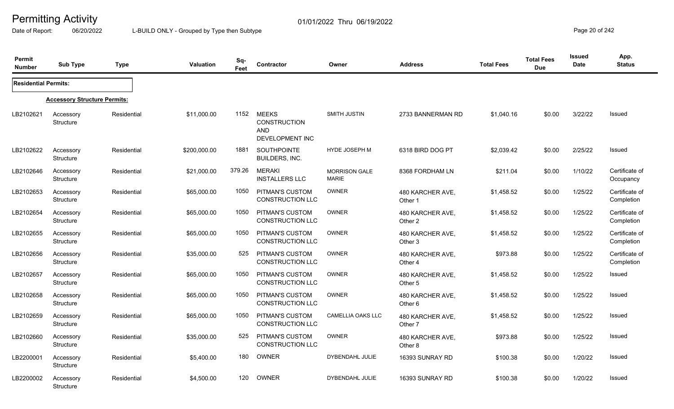Date of Report: 06/20/2022 L-BUILD ONLY - Grouped by Type then Subtype **Page 20** of 242

| Permit<br><b>Number</b>     | <b>Sub Type</b>                     | <b>Type</b> | <b>Valuation</b> | Sq-<br>Feet | <b>Contractor</b>                                                    | Owner                                | <b>Address</b>              | <b>Total Fees</b> | <b>Total Fees</b><br><b>Due</b> | <b>Issued</b><br>Date | App.<br><b>Status</b>        |
|-----------------------------|-------------------------------------|-------------|------------------|-------------|----------------------------------------------------------------------|--------------------------------------|-----------------------------|-------------------|---------------------------------|-----------------------|------------------------------|
| <b>Residential Permits:</b> |                                     |             |                  |             |                                                                      |                                      |                             |                   |                                 |                       |                              |
|                             | <b>Accessory Structure Permits:</b> |             |                  |             |                                                                      |                                      |                             |                   |                                 |                       |                              |
| LB2102621                   | Accessory<br><b>Structure</b>       | Residential | \$11,000.00      | 1152        | <b>MEEKS</b><br><b>CONSTRUCTION</b><br><b>AND</b><br>DEVELOPMENT INC | SMITH JUSTIN                         | 2733 BANNERMAN RD           | \$1,040.16        | \$0.00                          | 3/22/22               | Issued                       |
| LB2102622                   | Accessory<br>Structure              | Residential | \$200,000.00     | 1881        | SOUTHPOINTE<br>BUILDERS, INC.                                        | HYDE JOSEPH M                        | 6318 BIRD DOG PT            | \$2,039.42        | \$0.00                          | 2/25/22               | Issued                       |
| LB2102646                   | Accessory<br>Structure              | Residential | \$21,000.00      | 379.26      | <b>MERAKI</b><br><b>INSTALLERS LLC</b>                               | <b>MORRISON GALE</b><br><b>MARIE</b> | 8368 FORDHAM LN             | \$211.04          | \$0.00                          | 1/10/22               | Certificate of<br>Occupancy  |
| LB2102653                   | Accessory<br>Structure              | Residential | \$65,000.00      | 1050        | PITMAN'S CUSTOM<br>CONSTRUCTION LLC                                  | <b>OWNER</b>                         | 480 KARCHER AVE,<br>Other 1 | \$1,458.52        | \$0.00                          | 1/25/22               | Certificate of<br>Completion |
| LB2102654                   | Accessory<br><b>Structure</b>       | Residential | \$65,000.00      | 1050        | PITMAN'S CUSTOM<br><b>CONSTRUCTION LLC</b>                           | <b>OWNER</b>                         | 480 KARCHER AVE,<br>Other 2 | \$1,458.52        | \$0.00                          | 1/25/22               | Certificate of<br>Completion |
| LB2102655                   | Accessory<br>Structure              | Residential | \$65,000.00      | 1050        | PITMAN'S CUSTOM<br><b>CONSTRUCTION LLC</b>                           | <b>OWNER</b>                         | 480 KARCHER AVE,<br>Other 3 | \$1,458.52        | \$0.00                          | 1/25/22               | Certificate of<br>Completion |
| LB2102656                   | Accessory<br>Structure              | Residential | \$35,000.00      | 525         | PITMAN'S CUSTOM<br><b>CONSTRUCTION LLC</b>                           | <b>OWNER</b>                         | 480 KARCHER AVE,<br>Other 4 | \$973.88          | \$0.00                          | 1/25/22               | Certificate of<br>Completion |
| LB2102657                   | Accessory<br><b>Structure</b>       | Residential | \$65,000.00      | 1050        | PITMAN'S CUSTOM<br><b>CONSTRUCTION LLC</b>                           | <b>OWNER</b>                         | 480 KARCHER AVE,<br>Other 5 | \$1,458.52        | \$0.00                          | 1/25/22               | Issued                       |
| LB2102658                   | Accessory<br>Structure              | Residential | \$65,000.00      | 1050        | PITMAN'S CUSTOM<br>CONSTRUCTION LLC                                  | <b>OWNER</b>                         | 480 KARCHER AVE,<br>Other 6 | \$1,458.52        | \$0.00                          | 1/25/22               | Issued                       |
| LB2102659                   | Accessory<br>Structure              | Residential | \$65,000.00      | 1050        | PITMAN'S CUSTOM<br><b>CONSTRUCTION LLC</b>                           | <b>CAMELLIA OAKS LLC</b>             | 480 KARCHER AVE,<br>Other 7 | \$1,458.52        | \$0.00                          | 1/25/22               | Issued                       |
| LB2102660                   | Accessory<br>Structure              | Residential | \$35,000.00      | 525         | PITMAN'S CUSTOM<br>CONSTRUCTION LLC                                  | <b>OWNER</b>                         | 480 KARCHER AVE,<br>Other 8 | \$973.88          | \$0.00                          | 1/25/22               | Issued                       |
| LB2200001                   | Accessory<br><b>Structure</b>       | Residential | \$5,400.00       | 180         | <b>OWNER</b>                                                         | DYBENDAHL JULIE                      | 16393 SUNRAY RD             | \$100.38          | \$0.00                          | 1/20/22               | Issued                       |
| LB2200002                   | Accessory<br><b>Structure</b>       | Residential | \$4,500.00       | 120         | <b>OWNER</b>                                                         | <b>DYBENDAHL JULIE</b>               | 16393 SUNRAY RD             | \$100.38          | \$0.00                          | 1/20/22               | <b>Issued</b>                |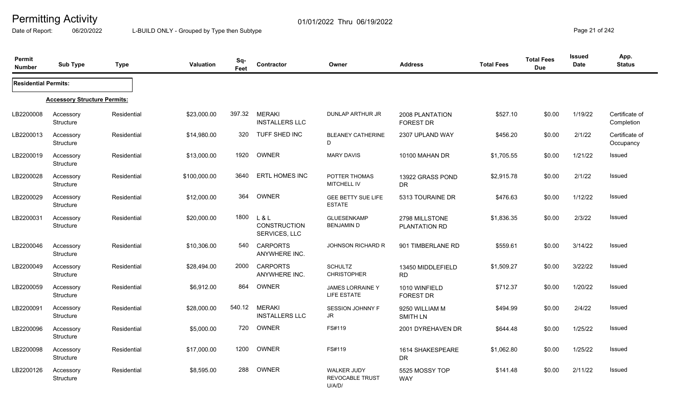Date of Report: 06/20/2022 L-BUILD ONLY - Grouped by Type then Subtype **Page 21** of 242

| Permit<br><b>Number</b>     | <b>Sub Type</b>                     | <b>Type</b> | <b>Valuation</b> | Sq-<br>Feet | Contractor                                        | Owner                                                  | <b>Address</b>                         | <b>Total Fees</b> | <b>Total Fees</b><br><b>Due</b> | <b>Issued</b><br>Date | App.<br><b>Status</b>        |
|-----------------------------|-------------------------------------|-------------|------------------|-------------|---------------------------------------------------|--------------------------------------------------------|----------------------------------------|-------------------|---------------------------------|-----------------------|------------------------------|
| <b>Residential Permits:</b> |                                     |             |                  |             |                                                   |                                                        |                                        |                   |                                 |                       |                              |
|                             | <b>Accessory Structure Permits:</b> |             |                  |             |                                                   |                                                        |                                        |                   |                                 |                       |                              |
| LB2200008                   | Accessory<br>Structure              | Residential | \$23,000.00      | 397.32      | <b>MERAKI</b><br><b>INSTALLERS LLC</b>            | DUNLAP ARTHUR JR                                       | 2008 PLANTATION<br>FOREST DR           | \$527.10          | \$0.00                          | 1/19/22               | Certificate of<br>Completion |
| LB2200013                   | Accessory<br>Structure              | Residential | \$14,980.00      | 320         | TUFF SHED INC                                     | <b>BLEANEY CATHERINE</b><br>D                          | 2307 UPLAND WAY                        | \$456.20          | \$0.00                          | 2/1/22                | Certificate of<br>Occupancy  |
| LB2200019                   | Accessory<br>Structure              | Residential | \$13,000.00      | 1920        | OWNER                                             | <b>MARY DAVIS</b>                                      | 10100 MAHAN DR                         | \$1,705.55        | \$0.00                          | 1/21/22               | Issued                       |
| LB2200028                   | Accessory<br>Structure              | Residential | \$100,000.00     | 3640        | <b>ERTL HOMES INC</b>                             | POTTER THOMAS<br><b>MITCHELL IV</b>                    | 13922 GRASS POND<br><b>DR</b>          | \$2,915.78        | \$0.00                          | 2/1/22                | <b>Issued</b>                |
| LB2200029                   | Accessory<br><b>Structure</b>       | Residential | \$12,000.00      | 364         | OWNER                                             | GEE BETTY SUE LIFE<br><b>ESTATE</b>                    | 5313 TOURAINE DR                       | \$476.63          | \$0.00                          | 1/12/22               | <b>Issued</b>                |
| LB2200031                   | Accessory<br>Structure              | Residential | \$20,000.00      | 1800        | $L$ & $L$<br><b>CONSTRUCTION</b><br>SERVICES, LLC | <b>GLUESENKAMP</b><br><b>BENJAMIN D</b>                | 2798 MILLSTONE<br><b>PLANTATION RD</b> | \$1,836.35        | \$0.00                          | 2/3/22                | <b>Issued</b>                |
| LB2200046                   | Accessory<br>Structure              | Residential | \$10,306.00      | 540         | <b>CARPORTS</b><br>ANYWHERE INC.                  | <b>JOHNSON RICHARD R</b>                               | 901 TIMBERLANE RD                      | \$559.61          | \$0.00                          | 3/14/22               | Issued                       |
| LB2200049                   | Accessory<br>Structure              | Residential | \$28,494.00      | 2000        | <b>CARPORTS</b><br>ANYWHERE INC.                  | <b>SCHULTZ</b><br><b>CHRISTOPHER</b>                   | 13450 MIDDLEFIELD<br><b>RD</b>         | \$1,509.27        | \$0.00                          | 3/22/22               | <b>Issued</b>                |
| LB2200059                   | Accessory<br><b>Structure</b>       | Residential | \$6,912.00       | 864         | <b>OWNER</b>                                      | <b>JAMES LORRAINE Y</b><br>LIFE ESTATE                 | 1010 WINFIELD<br>FOREST DR             | \$712.37          | \$0.00                          | 1/20/22               | <b>Issued</b>                |
| LB2200091                   | Accessory<br>Structure              | Residential | \$28,000.00      | 540.12      | <b>MERAKI</b><br><b>INSTALLERS LLC</b>            | <b>SESSION JOHNNY F</b><br>JR                          | 9250 WILLIAM M<br><b>SMITH LN</b>      | \$494.99          | \$0.00                          | 2/4/22                | Issued                       |
| LB2200096                   | Accessory<br><b>Structure</b>       | Residential | \$5,000.00       | 720         | OWNER                                             | FS#119                                                 | 2001 DYREHAVEN DR                      | \$644.48          | \$0.00                          | 1/25/22               | Issued                       |
| LB2200098                   | Accessory<br>Structure              | Residential | \$17,000.00      | 1200        | OWNER                                             | FS#119                                                 | 1614 SHAKESPEARE<br><b>DR</b>          | \$1,062.80        | \$0.00                          | 1/25/22               | Issued                       |
| LB2200126                   | Accessory<br>Structure              | Residential | \$8,595.00       | 288         | OWNER                                             | <b>WALKER JUDY</b><br><b>REVOCABLE TRUST</b><br>U/A/D/ | 5525 MOSSY TOP<br><b>WAY</b>           | \$141.48          | \$0.00                          | 2/11/22               | <b>Issued</b>                |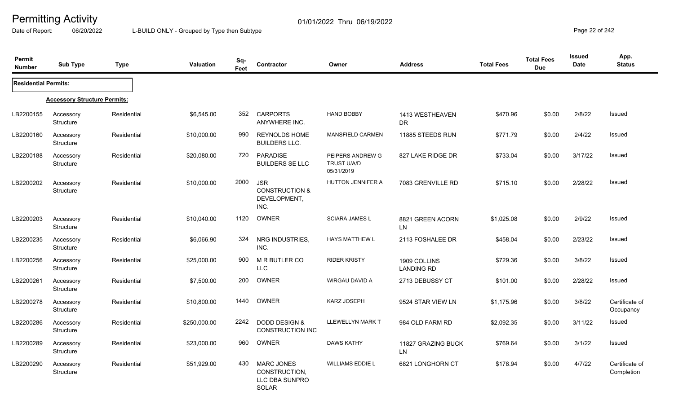Date of Report: 06/20/2022 L-BUILD ONLY - Grouped by Type then Subtype **Page 22 of 242** 

| Permit<br><b>Number</b>     | <b>Sub Type</b>                     | <b>Type</b> | <b>Valuation</b> | Sq-<br>Feet | <b>Contractor</b>                                                    | Owner                                                | <b>Address</b>                    | <b>Total Fees</b> | <b>Total Fees</b><br><b>Due</b> | <b>Issued</b><br>Date | App.<br><b>Status</b>        |
|-----------------------------|-------------------------------------|-------------|------------------|-------------|----------------------------------------------------------------------|------------------------------------------------------|-----------------------------------|-------------------|---------------------------------|-----------------------|------------------------------|
| <b>Residential Permits:</b> |                                     |             |                  |             |                                                                      |                                                      |                                   |                   |                                 |                       |                              |
|                             | <b>Accessory Structure Permits:</b> |             |                  |             |                                                                      |                                                      |                                   |                   |                                 |                       |                              |
| LB2200155                   | Accessory<br><b>Structure</b>       | Residential | \$6,545.00       |             | 352 CARPORTS<br>ANYWHERE INC.                                        | <b>HAND BOBBY</b>                                    | 1413 WESTHEAVEN<br><b>DR</b>      | \$470.96          | \$0.00                          | 2/8/22                | <b>Issued</b>                |
| LB2200160                   | Accessory<br>Structure              | Residential | \$10,000.00      | 990         | <b>REYNOLDS HOME</b><br><b>BUILDERS LLC.</b>                         | MANSFIELD CARMEN                                     | 11885 STEEDS RUN                  | \$771.79          | \$0.00                          | 2/4/22                | <b>Issued</b>                |
| LB2200188                   | Accessory<br>Structure              | Residential | \$20,080.00      | 720         | <b>PARADISE</b><br><b>BUILDERS SE LLC</b>                            | PEIPERS ANDREW G<br><b>TRUST U/A/D</b><br>05/31/2019 | 827 LAKE RIDGE DR                 | \$733.04          | \$0.00                          | 3/17/22               | Issued                       |
| LB2200202                   | Accessory<br>Structure              | Residential | \$10,000.00      | 2000        | <b>JSR</b><br><b>CONSTRUCTION &amp;</b><br>DEVELOPMENT,<br>INC.      | <b>HUTTON JENNIFER A</b>                             | 7083 GRENVILLE RD                 | \$715.10          | \$0.00                          | 2/28/22               | <b>Issued</b>                |
| LB2200203                   | Accessory<br>Structure              | Residential | \$10,040.00      | 1120        | OWNER                                                                | <b>SCIARA JAMES L</b>                                | 8821 GREEN ACORN<br>LN.           | \$1,025.08        | \$0.00                          | 2/9/22                | Issued                       |
| LB2200235                   | Accessory<br>Structure              | Residential | \$6,066.90       | 324         | NRG INDUSTRIES,<br>INC.                                              | <b>HAYS MATTHEW L</b>                                | 2113 FOSHALEE DR                  | \$458.04          | \$0.00                          | 2/23/22               | Issued                       |
| LB2200256                   | Accessory<br>Structure              | Residential | \$25,000.00      | 900         | M R BUTLER CO<br><b>LLC</b>                                          | <b>RIDER KRISTY</b>                                  | 1909 COLLINS<br><b>LANDING RD</b> | \$729.36          | \$0.00                          | 3/8/22                | <b>Issued</b>                |
| LB2200261                   | Accessory<br>Structure              | Residential | \$7,500.00       | 200         | OWNER                                                                | WIRGAU DAVID A                                       | 2713 DEBUSSY CT                   | \$101.00          | \$0.00                          | 2/28/22               | Issued                       |
| LB2200278                   | Accessory<br>Structure              | Residential | \$10,800.00      | 1440        | OWNER                                                                | <b>KARZ JOSEPH</b>                                   | 9524 STAR VIEW LN                 | \$1,175.96        | \$0.00                          | 3/8/22                | Certificate of<br>Occupancy  |
| LB2200286                   | Accessory<br>Structure              | Residential | \$250,000.00     | 2242        | <b>DODD DESIGN &amp;</b><br><b>CONSTRUCTION INC</b>                  | <b>LLEWELLYN MARK T</b>                              | 984 OLD FARM RD                   | \$2,092.35        | \$0.00                          | 3/11/22               | <b>Issued</b>                |
| LB2200289                   | Accessory<br>Structure              | Residential | \$23,000.00      | 960         | OWNER                                                                | <b>DAWS KATHY</b>                                    | 11827 GRAZING BUCK<br>LN          | \$769.64          | \$0.00                          | 3/1/22                | Issued                       |
| LB2200290                   | Accessory<br>Structure              | Residential | \$51,929.00      | 430         | <b>MARC JONES</b><br>CONSTRUCTION,<br>LLC DBA SUNPRO<br><b>SOLAR</b> | <b>WILLIAMS EDDIE L</b>                              | 6821 LONGHORN CT                  | \$178.94          | \$0.00                          | 4/7/22                | Certificate of<br>Completion |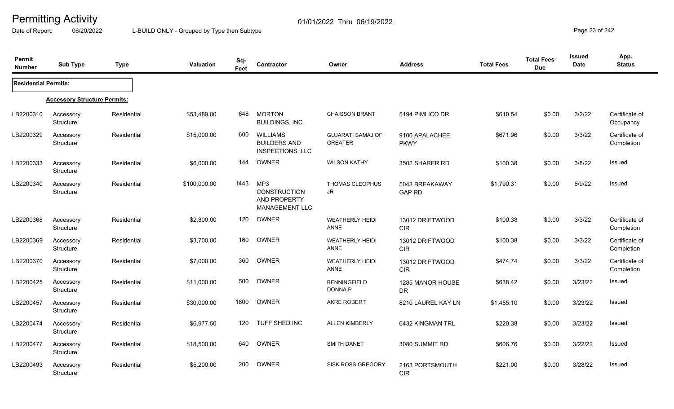Date of Report: 06/20/2022 L-BUILD ONLY - Grouped by Type then Subtype **Page 23** of 242

| Permit<br><b>Number</b>     | <b>Sub Type</b>                     | <b>Type</b> | <b>Valuation</b> | Sq-<br>Feet | Contractor                                                        | Owner                                      | <b>Address</b>                  | <b>Total Fees</b> | <b>Total Fees</b><br><b>Due</b> | <b>Issued</b><br><b>Date</b> | App.<br><b>Status</b>        |
|-----------------------------|-------------------------------------|-------------|------------------|-------------|-------------------------------------------------------------------|--------------------------------------------|---------------------------------|-------------------|---------------------------------|------------------------------|------------------------------|
| <b>Residential Permits:</b> |                                     |             |                  |             |                                                                   |                                            |                                 |                   |                                 |                              |                              |
|                             | <b>Accessory Structure Permits:</b> |             |                  |             |                                                                   |                                            |                                 |                   |                                 |                              |                              |
| LB2200310                   | Accessory<br>Structure              | Residential | \$53,489.00      | 648         | <b>MORTON</b><br><b>BUILDINGS, INC</b>                            | <b>CHAISSON BRANT</b>                      | 5194 PIMLICO DR                 | \$610.54          | \$0.00                          | 3/2/22                       | Certificate of<br>Occupancy  |
| LB2200329                   | Accessory<br>Structure              | Residential | \$15,000.00      | 600         | <b>WILLIAMS</b><br><b>BUILDERS AND</b><br><b>INSPECTIONS, LLC</b> | <b>GUJARATI SAMAJ OF</b><br><b>GREATER</b> | 9100 APALACHEE<br><b>PKWY</b>   | \$671.96          | \$0.00                          | 3/3/22                       | Certificate of<br>Completion |
| LB2200333                   | Accessory<br>Structure              | Residential | \$6,000.00       | 144         | OWNER                                                             | <b>WILSON KATHY</b>                        | 3502 SHARER RD                  | \$100.38          | \$0.00                          | 3/8/22                       | <b>Issued</b>                |
| LB2200340                   | Accessory<br>Structure              | Residential | \$100,000.00     | 1443        | MP3<br><b>CONSTRUCTION</b><br>AND PROPERTY<br>MANAGEMENT LLC      | THOMAS CLEOPHUS<br>JR                      | 5043 BREAKAWAY<br><b>GAP RD</b> | \$1,790.31        | \$0.00                          | 6/9/22                       | <b>Issued</b>                |
| LB2200368                   | Accessory<br>Structure              | Residential | \$2,800.00       | 120         | OWNER                                                             | <b>WEATHERLY HEIDI</b><br>ANNE             | 13012 DRIFTWOOD<br><b>CIR</b>   | \$100.38          | \$0.00                          | 3/3/22                       | Certificate of<br>Completion |
| LB2200369                   | Accessory<br>Structure              | Residential | \$3,700.00       | 160         | OWNER                                                             | <b>WEATHERLY HEIDI</b><br>ANNE             | 13012 DRIFTWOOD<br><b>CIR</b>   | \$100.38          | \$0.00                          | 3/3/22                       | Certificate of<br>Completion |
| LB2200370                   | Accessory<br>Structure              | Residential | \$7,000.00       | 360         | OWNER                                                             | <b>WEATHERLY HEIDI</b><br>ANNE             | 13012 DRIFTWOOD<br>CIR          | \$474.74          | \$0.00                          | 3/3/22                       | Certificate of<br>Completion |
| LB2200425                   | Accessory<br>Structure              | Residential | \$11,000.00      | 500         | OWNER                                                             | <b>BENNINGFIELD</b><br><b>DONNA P</b>      | 1285 MANOR HOUSE<br>DR.         | \$638.42          | \$0.00                          | 3/23/22                      | Issued                       |
| LB2200457                   | Accessory<br>Structure              | Residential | \$30,000.00      | 1800        | OWNER                                                             | <b>AKRE ROBERT</b>                         | 8210 LAUREL KAY LN              | \$1,455.10        | \$0.00                          | 3/23/22                      | Issued                       |
| LB2200474                   | Accessory<br>Structure              | Residential | \$6,977.50       | 120         | TUFF SHED INC                                                     | <b>ALLEN KIMBERLY</b>                      | 6432 KINGMAN TRL                | \$220.38          | \$0.00                          | 3/23/22                      | <b>Issued</b>                |
| LB2200477                   | Accessory<br>Structure              | Residential | \$18,500.00      | 640         | OWNER                                                             | <b>SMITH DANET</b>                         | 3080 SUMMIT RD                  | \$606.76          | \$0.00                          | 3/22/22                      | <b>Issued</b>                |
| LB2200493                   | Accessory<br>Structure              | Residential | \$5,200.00       | 200         | OWNER                                                             | <b>SISK ROSS GREGORY</b>                   | 2163 PORTSMOUTH<br><b>CIR</b>   | \$221.00          | \$0.00                          | 3/28/22                      | <b>Issued</b>                |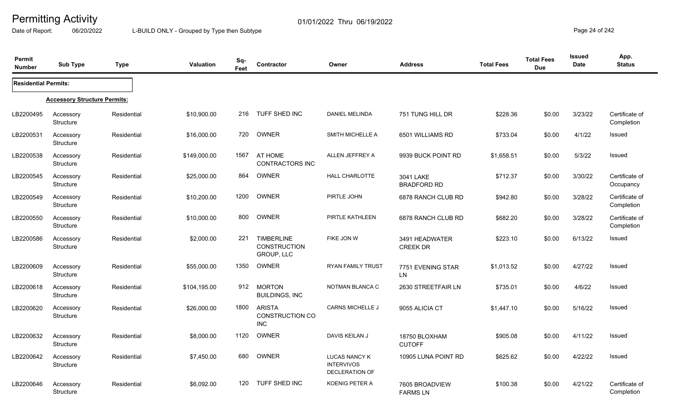Date of Report: 06/20/2022 L-BUILD ONLY - Grouped by Type then Subtype **Page 24** of 242

| <b>Permit</b><br><b>Number</b> | <b>Sub Type</b>                     | <b>Type</b> | <b>Valuation</b> | Sq-<br>Feet | Contractor                                             | Owner                                                       | <b>Address</b>                    | <b>Total Fees</b> | <b>Total Fees</b><br><b>Due</b> | <b>Issued</b><br><b>Date</b> | App.<br><b>Status</b>        |
|--------------------------------|-------------------------------------|-------------|------------------|-------------|--------------------------------------------------------|-------------------------------------------------------------|-----------------------------------|-------------------|---------------------------------|------------------------------|------------------------------|
| <b>Residential Permits:</b>    |                                     |             |                  |             |                                                        |                                                             |                                   |                   |                                 |                              |                              |
|                                | <b>Accessory Structure Permits:</b> |             |                  |             |                                                        |                                                             |                                   |                   |                                 |                              |                              |
| LB2200495                      | Accessory<br>Structure              | Residential | \$10,900.00      | 216         | TUFF SHED INC                                          | <b>DANIEL MELINDA</b>                                       | 751 TUNG HILL DR                  | \$228.36          | \$0.00                          | 3/23/22                      | Certificate of<br>Completion |
| LB2200531                      | Accessory<br><b>Structure</b>       | Residential | \$16,000.00      | 720         | OWNER                                                  | <b>SMITH MICHELLE A</b>                                     | 6501 WILLIAMS RD                  | \$733.04          | \$0.00                          | 4/1/22                       | Issued                       |
| LB2200538                      | Accessory<br><b>Structure</b>       | Residential | \$149,000.00     | 1567        | AT HOME<br><b>CONTRACTORS INC</b>                      | ALLEN JEFFREY A                                             | 9939 BUCK POINT RD                | \$1,658.51        | \$0.00                          | 5/3/22                       | Issued                       |
| LB2200545                      | Accessory<br>Structure              | Residential | \$25,000.00      | 864         | OWNER                                                  | <b>HALL CHARLOTTE</b>                                       | 3041 LAKE<br><b>BRADFORD RD</b>   | \$712.37          | \$0.00                          | 3/30/22                      | Certificate of<br>Occupancy  |
| LB2200549                      | Accessory<br><b>Structure</b>       | Residential | \$10,200.00      | 1200        | <b>OWNER</b>                                           | PIRTLE JOHN                                                 | 6878 RANCH CLUB RD                | \$942.80          | \$0.00                          | 3/28/22                      | Certificate of<br>Completion |
| LB2200550                      | Accessory<br><b>Structure</b>       | Residential | \$10,000.00      | 800         | <b>OWNER</b>                                           | PIRTLE KATHLEEN                                             | 6878 RANCH CLUB RD                | \$682.20          | \$0.00                          | 3/28/22                      | Certificate of<br>Completion |
| LB2200586                      | Accessory<br>Structure              | Residential | \$2,000.00       | 221         | <b>TIMBERLINE</b><br><b>CONSTRUCTION</b><br>GROUP, LLC | FIKE JON W                                                  | 3491 HEADWATER<br><b>CREEK DR</b> | \$223.10          | \$0.00                          | 6/13/22                      | Issued                       |
| LB2200609                      | Accessory<br><b>Structure</b>       | Residential | \$55,000.00      | 1350        | <b>OWNER</b>                                           | RYAN FAMILY TRUST                                           | 7751 EVENING STAR<br>LN           | \$1,013.52        | \$0.00                          | 4/27/22                      | <b>Issued</b>                |
| LB2200618                      | Accessory<br>Structure              | Residential | \$104,195.00     | 912         | <b>MORTON</b><br><b>BUILDINGS, INC</b>                 | NOTMAN BLANCA C                                             | 2630 STREETFAIR LN                | \$735.01          | \$0.00                          | 4/6/22                       | Issued                       |
| LB2200620                      | Accessory<br><b>Structure</b>       | Residential | \$26,000.00      | 1800        | <b>ARISTA</b><br>CONSTRUCTION CO<br><b>INC</b>         | <b>CARNS MICHELLE J</b>                                     | 9055 ALICIA CT                    | \$1,447.10        | \$0.00                          | 5/16/22                      | Issued                       |
| LB2200632                      | Accessory<br><b>Structure</b>       | Residential | \$8,000.00       | 1120        | OWNER                                                  | DAVIS KEILAN J                                              | 18750 BLOXHAM<br><b>CUTOFF</b>    | \$905.08          | \$0.00                          | 4/11/22                      | <b>Issued</b>                |
| LB2200642                      | Accessory<br>Structure              | Residential | \$7,450.00       | 680         | OWNER                                                  | <b>LUCAS NANCY K</b><br><b>INTERVIVOS</b><br>DECLERATION OF | 10905 LUNA POINT RD               | \$625.62          | \$0.00                          | 4/22/22                      | Issued                       |
| LB2200646                      | Accessory<br><b>Structure</b>       | Residential | \$6,092.00       | 120         | <b>TUFF SHED INC</b>                                   | KOENIG PETER A                                              | 7605 BROADVIEW<br><b>FARMS LN</b> | \$100.38          | \$0.00                          | 4/21/22                      | Certificate of<br>Completion |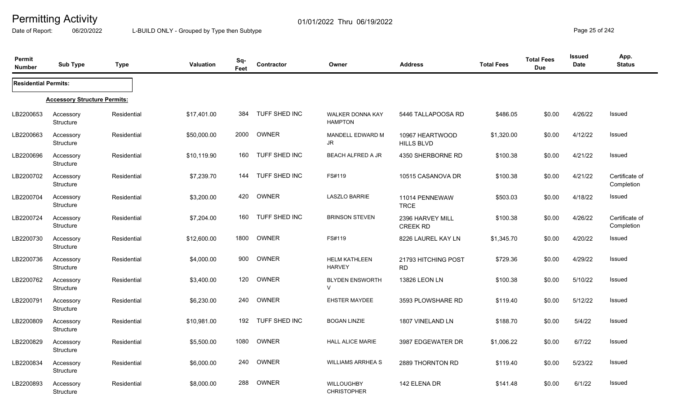Date of Report: 06/20/2022 L-BUILD ONLY - Grouped by Type then Subtype **Page 25** of 242

| Permit<br><b>Number</b>     | <b>Sub Type</b>                     | Type        | <b>Valuation</b> | Sq-<br>Feet | Contractor           | Owner                                     | <b>Address</b>                       | <b>Total Fees</b> | <b>Total Fees</b><br><b>Due</b> | <b>Issued</b><br>Date | App.<br><b>Status</b>        |
|-----------------------------|-------------------------------------|-------------|------------------|-------------|----------------------|-------------------------------------------|--------------------------------------|-------------------|---------------------------------|-----------------------|------------------------------|
| <b>Residential Permits:</b> |                                     |             |                  |             |                      |                                           |                                      |                   |                                 |                       |                              |
|                             | <b>Accessory Structure Permits:</b> |             |                  |             |                      |                                           |                                      |                   |                                 |                       |                              |
| LB2200653                   | Accessory<br>Structure              | Residential | \$17,401.00      | 384         | <b>TUFF SHED INC</b> | <b>WALKER DONNA KAY</b><br><b>HAMPTON</b> | 5446 TALLAPOOSA RD                   | \$486.05          | \$0.00                          | 4/26/22               | <b>Issued</b>                |
| LB2200663                   | Accessory<br>Structure              | Residential | \$50,000.00      | 2000        | OWNER                | MANDELL EDWARD M<br>JR.                   | 10967 HEARTWOOD<br><b>HILLS BLVD</b> | \$1,320.00        | \$0.00                          | 4/12/22               | <b>Issued</b>                |
| LB2200696                   | Accessory<br>Structure              | Residential | \$10,119.90      | 160         | TUFF SHED INC        | <b>BEACH ALFRED A JR</b>                  | 4350 SHERBORNE RD                    | \$100.38          | \$0.00                          | 4/21/22               | Issued                       |
| LB2200702                   | Accessory<br>Structure              | Residential | \$7,239.70       | 144         | TUFF SHED INC        | FS#119                                    | 10515 CASANOVA DR                    | \$100.38          | \$0.00                          | 4/21/22               | Certificate of<br>Completion |
| LB2200704                   | Accessory<br>Structure              | Residential | \$3,200.00       | 420         | OWNER                | <b>LASZLO BARRIE</b>                      | 11014 PENNEWAW<br><b>TRCE</b>        | \$503.03          | \$0.00                          | 4/18/22               | Issued                       |
| LB2200724                   | Accessory<br>Structure              | Residential | \$7,204.00       | 160         | TUFF SHED INC        | <b>BRINSON STEVEN</b>                     | 2396 HARVEY MILL<br><b>CREEK RD</b>  | \$100.38          | \$0.00                          | 4/26/22               | Certificate of<br>Completion |
| LB2200730                   | Accessory<br>Structure              | Residential | \$12,600.00      | 1800        | OWNER                | FS#119                                    | 8226 LAUREL KAY LN                   | \$1,345.70        | \$0.00                          | 4/20/22               | Issued                       |
| LB2200736                   | Accessory<br>Structure              | Residential | \$4,000.00       | 900         | OWNER                | <b>HELM KATHLEEN</b><br><b>HARVEY</b>     | 21793 HITCHING POST<br><b>RD</b>     | \$729.36          | \$0.00                          | 4/29/22               | Issued                       |
| LB2200762                   | Accessory<br>Structure              | Residential | \$3,400.00       | 120         | OWNER                | <b>BLYDEN ENSWORTH</b><br>$\vee$          | 13826 LEON LN                        | \$100.38          | \$0.00                          | 5/10/22               | Issued                       |
| LB2200791                   | Accessory<br>Structure              | Residential | \$6,230.00       | 240         | <b>OWNER</b>         | <b>EHSTER MAYDEE</b>                      | 3593 PLOWSHARE RD                    | \$119.40          | \$0.00                          | 5/12/22               | <b>Issued</b>                |
| LB2200809                   | Accessory<br>Structure              | Residential | \$10,981.00      | 192         | TUFF SHED INC        | <b>BOGAN LINZIE</b>                       | 1807 VINELAND LN                     | \$188.70          | \$0.00                          | 5/4/22                | <b>Issued</b>                |
| LB2200829                   | Accessory<br>Structure              | Residential | \$5,500.00       | 1080        | OWNER                | <b>HALL ALICE MARIE</b>                   | 3987 EDGEWATER DR                    | \$1,006.22        | \$0.00                          | 6/7/22                | <b>Issued</b>                |
| LB2200834                   | Accessory<br>Structure              | Residential | \$6,000.00       | 240         | OWNER                | <b>WILLIAMS ARRHEA S</b>                  | 2889 THORNTON RD                     | \$119.40          | \$0.00                          | 5/23/22               | Issued                       |
| LB2200893                   | Accessory<br><b>Structure</b>       | Residential | \$8,000.00       | 288         | <b>OWNER</b>         | <b>WILLOUGHBY</b><br><b>CHRISTOPHER</b>   | 142 ELENA DR                         | \$141.48          | \$0.00                          | 6/1/22                | <b>Issued</b>                |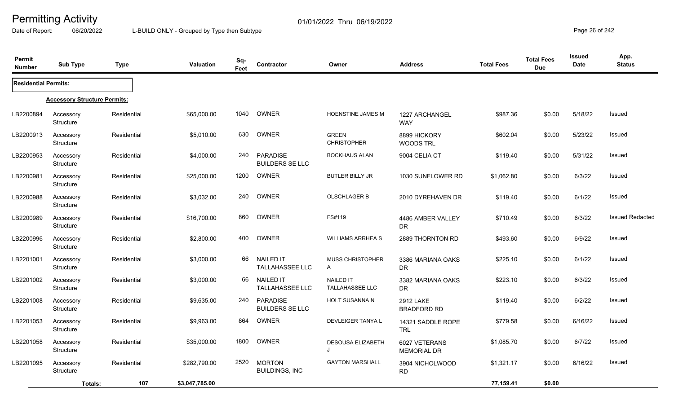Date of Report: 06/20/2022 L-BUILD ONLY - Grouped by Type then Subtype **Page 26** of 242

| Permit<br><b>Number</b>     | <b>Sub Type</b>                     | <b>Type</b> | <b>Valuation</b> | Sq-<br>Feet | <b>Contractor</b>                          | Owner                                      | <b>Address</b>                         | <b>Total Fees</b> | <b>Total Fees</b><br><b>Due</b> | <b>Issued</b><br><b>Date</b> | App.<br><b>Status</b>  |
|-----------------------------|-------------------------------------|-------------|------------------|-------------|--------------------------------------------|--------------------------------------------|----------------------------------------|-------------------|---------------------------------|------------------------------|------------------------|
| <b>Residential Permits:</b> |                                     |             |                  |             |                                            |                                            |                                        |                   |                                 |                              |                        |
|                             | <b>Accessory Structure Permits:</b> |             |                  |             |                                            |                                            |                                        |                   |                                 |                              |                        |
| LB2200894                   | Accessory<br>Structure              | Residential | \$65,000.00      | 1040        | OWNER                                      | <b>HOENSTINE JAMES M</b>                   | 1227 ARCHANGEL<br><b>WAY</b>           | \$987.36          | \$0.00                          | 5/18/22                      | <b>Issued</b>          |
| LB2200913                   | Accessory<br>Structure              | Residential | \$5,010.00       | 630         | OWNER                                      | <b>GREEN</b><br><b>CHRISTOPHER</b>         | 8899 HICKORY<br><b>WOODS TRL</b>       | \$602.04          | \$0.00                          | 5/23/22                      | Issued                 |
| LB2200953                   | Accessory<br>Structure              | Residential | \$4,000.00       | 240         | <b>PARADISE</b><br><b>BUILDERS SE LLC</b>  | <b>BOCKHAUS ALAN</b>                       | 9004 CELIA CT                          | \$119.40          | \$0.00                          | 5/31/22                      | Issued                 |
| LB2200981                   | Accessory<br>Structure              | Residential | \$25,000.00      | 1200        | OWNER                                      | <b>BUTLER BILLY JR</b>                     | 1030 SUNFLOWER RD                      | \$1,062.80        | \$0.00                          | 6/3/22                       | Issued                 |
| LB2200988                   | Accessory<br>Structure              | Residential | \$3,032.00       | 240         | OWNER                                      | <b>OLSCHLAGER B</b>                        | 2010 DYREHAVEN DR                      | \$119.40          | \$0.00                          | 6/1/22                       | Issued                 |
| LB2200989                   | Accessory<br>Structure              | Residential | \$16,700.00      | 860         | OWNER                                      | FS#119                                     | 4486 AMBER VALLEY<br><b>DR</b>         | \$710.49          | \$0.00                          | 6/3/22                       | <b>Issued Redacted</b> |
| LB2200996                   | Accessory<br>Structure              | Residential | \$2,800.00       | 400         | OWNER                                      | <b>WILLIAMS ARRHEA S</b>                   | 2889 THORNTON RD                       | \$493.60          | \$0.00                          | 6/9/22                       | Issued                 |
| LB2201001                   | Accessory<br>Structure              | Residential | \$3,000.00       | 66          | <b>NAILED IT</b><br>TALLAHASSEE LLC        | MUSS CHRISTOPHER<br>A                      | 3386 MARIANA OAKS<br><b>DR</b>         | \$225.10          | \$0.00                          | 6/1/22                       | <b>Issued</b>          |
| LB2201002                   | Accessory<br>Structure              | Residential | \$3,000.00       | 66          | <b>NAILED IT</b><br><b>TALLAHASSEE LLC</b> | <b>NAILED IT</b><br><b>TALLAHASSEE LLC</b> | 3382 MARIANA OAKS<br><b>DR</b>         | \$223.10          | \$0.00                          | 6/3/22                       | Issued                 |
| LB2201008                   | Accessory<br>Structure              | Residential | \$9,635.00       | 240         | <b>PARADISE</b><br><b>BUILDERS SE LLC</b>  | <b>HOLT SUSANNA N</b>                      | <b>2912 LAKE</b><br><b>BRADFORD RD</b> | \$119.40          | \$0.00                          | 6/2/22                       | <b>Issued</b>          |
| LB2201053                   | Accessory<br>Structure              | Residential | \$9,963.00       | 864         | OWNER                                      | DEVLEIGER TANYA L                          | 14321 SADDLE ROPE<br><b>TRL</b>        | \$779.58          | \$0.00                          | 6/16/22                      | <b>Issued</b>          |
| LB2201058                   | Accessory<br>Structure              | Residential | \$35,000.00      | 1800        | OWNER                                      | DESOUSA ELIZABETH<br>J                     | 6027 VETERANS<br><b>MEMORIAL DR</b>    | \$1,085.70        | \$0.00                          | 6/7/22                       | <b>Issued</b>          |
| LB2201095                   | Accessory<br>Structure              | Residential | \$282,790.00     | 2520        | <b>MORTON</b><br><b>BUILDINGS, INC</b>     | <b>GAYTON MARSHALL</b>                     | 3904 NICHOLWOOD<br><b>RD</b>           | \$1,321.17        | \$0.00                          | 6/16/22                      | <b>Issued</b>          |
|                             | Totals:                             | 107         | \$3,047,785.00   |             |                                            |                                            |                                        | 77,159.41         | \$0.00                          |                              |                        |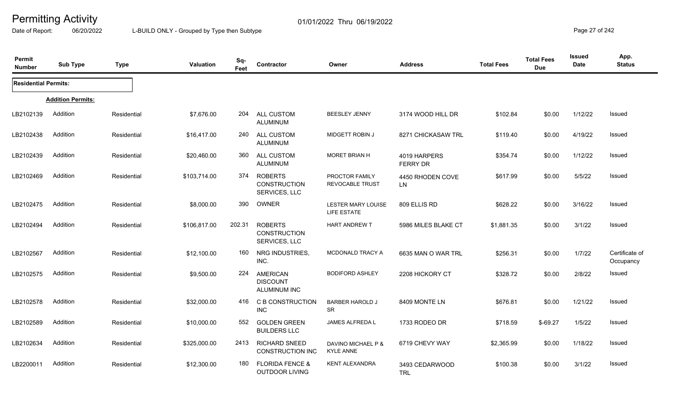Date of Report: 06/20/2022 L-BUILD ONLY - Grouped by Type then Subtype **Page 27** of 242

| <b>Permit</b><br><b>Number</b> | <b>Sub Type</b>          | <b>Type</b> | <b>Valuation</b> | Sq-<br>Feet | Contractor                                             | Owner                                    | <b>Address</b>                  | <b>Total Fees</b> | <b>Total Fees</b><br><b>Due</b> | <b>Issued</b><br>Date | App.<br><b>Status</b>       |
|--------------------------------|--------------------------|-------------|------------------|-------------|--------------------------------------------------------|------------------------------------------|---------------------------------|-------------------|---------------------------------|-----------------------|-----------------------------|
| <b>Residential Permits:</b>    |                          |             |                  |             |                                                        |                                          |                                 |                   |                                 |                       |                             |
|                                | <b>Addition Permits:</b> |             |                  |             |                                                        |                                          |                                 |                   |                                 |                       |                             |
| LB2102139                      | Addition                 | Residential | \$7,676.00       | 204         | ALL CUSTOM<br><b>ALUMINUM</b>                          | <b>BEESLEY JENNY</b>                     | 3174 WOOD HILL DR               | \$102.84          | \$0.00                          | 1/12/22               | Issued                      |
| LB2102438                      | Addition                 | Residential | \$16,417.00      | 240         | ALL CUSTOM<br><b>ALUMINUM</b>                          | <b>MIDGETT ROBIN J</b>                   | 8271 CHICKASAW TRL              | \$119.40          | \$0.00                          | 4/19/22               | Issued                      |
| LB2102439                      | Addition                 | Residential | \$20,460.00      | 360         | ALL CUSTOM<br><b>ALUMINUM</b>                          | <b>MORET BRIAN H</b>                     | 4019 HARPERS<br><b>FERRY DR</b> | \$354.74          | \$0.00                          | 1/12/22               | Issued                      |
| LB2102469                      | Addition                 | Residential | \$103,714.00     | 374         | <b>ROBERTS</b><br><b>CONSTRUCTION</b><br>SERVICES, LLC | PROCTOR FAMILY<br><b>REVOCABLE TRUST</b> | 4450 RHODEN COVE<br><b>LN</b>   | \$617.99          | \$0.00                          | 5/5/22                | Issued                      |
| LB2102475                      | Addition                 | Residential | \$8,000.00       | 390         | OWNER                                                  | LESTER MARY LOUISE<br>LIFE ESTATE        | 809 ELLIS RD                    | \$628.22          | \$0.00                          | 3/16/22               | Issued                      |
| LB2102494                      | Addition                 | Residential | \$106,817.00     | 202.31      | <b>ROBERTS</b><br><b>CONSTRUCTION</b><br>SERVICES, LLC | <b>HART ANDREW T</b>                     | 5986 MILES BLAKE CT             | \$1,881.35        | \$0.00                          | 3/1/22                | Issued                      |
| LB2102567                      | Addition                 | Residential | \$12,100.00      | 160         | NRG INDUSTRIES,<br>INC.                                | MCDONALD TRACY A                         | 6635 MAN O WAR TRL              | \$256.31          | \$0.00                          | 1/7/22                | Certificate of<br>Occupancy |
| LB2102575                      | Addition                 | Residential | \$9,500.00       | 224         | <b>AMERICAN</b><br><b>DISCOUNT</b><br>ALUMINUM INC     | <b>BODIFORD ASHLEY</b>                   | 2208 HICKORY CT                 | \$328.72          | \$0.00                          | 2/8/22                | Issued                      |
| LB2102578                      | Addition                 | Residential | \$32,000.00      | 416         | <b>C B CONSTRUCTION</b><br><b>INC</b>                  | <b>BARBER HAROLD J</b><br><b>SR</b>      | 8409 MONTE LN                   | \$676.81          | \$0.00                          | 1/21/22               | Issued                      |
| LB2102589                      | Addition                 | Residential | \$10,000.00      | 552         | <b>GOLDEN GREEN</b><br><b>BUILDERS LLC</b>             | JAMES ALFREDA L                          | 1733 RODEO DR                   | \$718.59          | $$-69.27$                       | 1/5/22                | Issued                      |
| LB2102634                      | Addition                 | Residential | \$325,000.00     | 2413        | <b>RICHARD SNEED</b><br><b>CONSTRUCTION INC</b>        | DAVINO MICHAEL P &<br><b>KYLE ANNE</b>   | 6719 CHEVY WAY                  | \$2,365.99        | \$0.00                          | 1/18/22               | Issued                      |
| LB2200011                      | Addition                 | Residential | \$12,300.00      | 180         | <b>FLORIDA FENCE &amp;</b><br><b>OUTDOOR LIVING</b>    | <b>KENT ALEXANDRA</b>                    | 3493 CEDARWOOD<br><b>TRL</b>    | \$100.38          | \$0.00                          | 3/1/22                | Issued                      |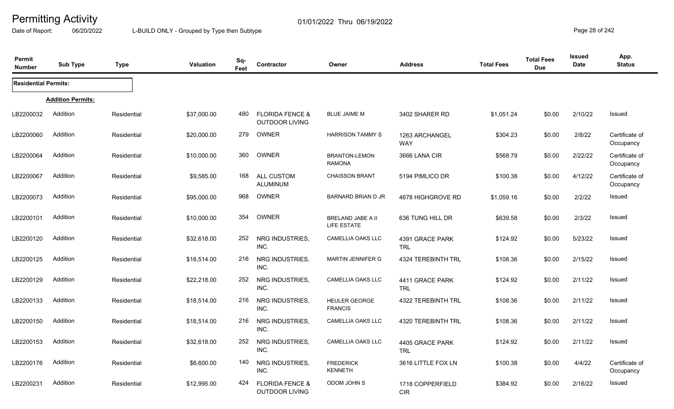Date of Report: 06/20/2022 L-BUILD ONLY - Grouped by Type then Subtype **Page 28** of 242

| Permit<br><b>Number</b>     | <b>Sub Type</b>          | <b>Type</b> | <b>Valuation</b> | Sq-<br>Feet | Contractor                                          | Owner                                  | <b>Address</b>                 | <b>Total Fees</b> | <b>Total Fees</b><br><b>Due</b> | <b>Issued</b><br>Date | App.<br><b>Status</b>       |
|-----------------------------|--------------------------|-------------|------------------|-------------|-----------------------------------------------------|----------------------------------------|--------------------------------|-------------------|---------------------------------|-----------------------|-----------------------------|
| <b>Residential Permits:</b> |                          |             |                  |             |                                                     |                                        |                                |                   |                                 |                       |                             |
|                             | <b>Addition Permits:</b> |             |                  |             |                                                     |                                        |                                |                   |                                 |                       |                             |
| LB2200032                   | Addition                 | Residential | \$37,000.00      | 480         | <b>FLORIDA FENCE &amp;</b><br><b>OUTDOOR LIVING</b> | <b>BLUE JAIME M</b>                    | 3402 SHARER RD                 | \$1,051.24        | \$0.00                          | 2/10/22               | Issued                      |
| LB2200060                   | Addition                 | Residential | \$20,000.00      | 279         | OWNER                                               | <b>HARRISON TAMMY S</b>                | 1263 ARCHANGEL<br><b>WAY</b>   | \$304.23          | \$0.00                          | 2/8/22                | Certificate of<br>Occupancy |
| LB2200064                   | Addition                 | Residential | \$10,000.00      | 360         | OWNER                                               | <b>BRANTON-LEMON</b><br><b>RAMONA</b>  | 3666 LANA CIR                  | \$568.79          | \$0.00                          | 2/22/22               | Certificate of<br>Occupancy |
| LB2200067                   | Addition                 | Residential | \$9,585.00       | 168         | <b>ALL CUSTOM</b><br><b>ALUMINUM</b>                | <b>CHAISSON BRANT</b>                  | 5194 PIMLICO DR                | \$100.38          | \$0.00                          | 4/12/22               | Certificate of<br>Occupancy |
| LB2200073                   | Addition                 | Residential | \$95,000.00      | 968         | <b>OWNER</b>                                        | <b>BARNARD BRIAN D JR</b>              | 4678 HIGHGROVE RD              | \$1,059.16        | \$0.00                          | 2/2/22                | Issued                      |
| LB2200101                   | Addition                 | Residential | \$10,000.00      | 354         | OWNER                                               | BRELAND JABE A II<br>LIFE ESTATE       | 636 TUNG HILL DR               | \$639.58          | \$0.00                          | 2/3/22                | Issued                      |
| LB2200120                   | Addition                 | Residential | \$32,618.00      | 252         | NRG INDUSTRIES,<br>INC.                             | <b>CAMELLIA OAKS LLC</b>               | 4391 GRACE PARK<br><b>TRL</b>  | \$124.92          | \$0.00                          | 5/23/22               | Issued                      |
| LB2200125                   | Addition                 | Residential | \$18,514.00      | 216         | NRG INDUSTRIES,<br>INC.                             | <b>MARTIN JENNIFER G</b>               | 4324 TEREBINTH TRL             | \$108.36          | \$0.00                          | 2/15/22               | Issued                      |
| LB2200129                   | Addition                 | Residential | \$22,218.00      | 252         | NRG INDUSTRIES,<br>INC.                             | <b>CAMELLIA OAKS LLC</b>               | 4411 GRACE PARK<br><b>TRL</b>  | \$124.92          | \$0.00                          | 2/11/22               | Issued                      |
| LB2200133                   | Addition                 | Residential | \$18,514.00      | 216         | NRG INDUSTRIES,<br>INC.                             | <b>HEULER GEORGE</b><br><b>FRANCIS</b> | <b>4322 TEREBINTH TRL</b>      | \$108.36          | \$0.00                          | 2/11/22               | Issued                      |
| LB2200150                   | Addition                 | Residential | \$18,514.00      | 216         | NRG INDUSTRIES,<br>INC.                             | <b>CAMELLIA OAKS LLC</b>               | 4320 TEREBINTH TRL             | \$108.36          | \$0.00                          | 2/11/22               | Issued                      |
| LB2200153                   | Addition                 | Residential | \$32,618.00      | 252         | NRG INDUSTRIES,<br>INC.                             | CAMELLIA OAKS LLC                      | 4405 GRACE PARK<br><b>TRL</b>  | \$124.92          | \$0.00                          | 2/11/22               | Issued                      |
| LB2200176                   | Addition                 | Residential | \$6,600.00       | 140         | NRG INDUSTRIES,<br>INC.                             | <b>FREDERICK</b><br><b>KENNETH</b>     | 3616 LITTLE FOX LN             | \$100.38          | \$0.00                          | 4/4/22                | Certificate of<br>Occupancy |
| LB2200231                   | Addition                 | Residential | \$12,995.00      | 424         | <b>FLORIDA FENCE &amp;</b><br><b>OUTDOOR LIVING</b> | ODOM JOHN S                            | 1718 COPPERFIELD<br><b>CIR</b> | \$384.92          | \$0.00                          | 2/16/22               | Issued                      |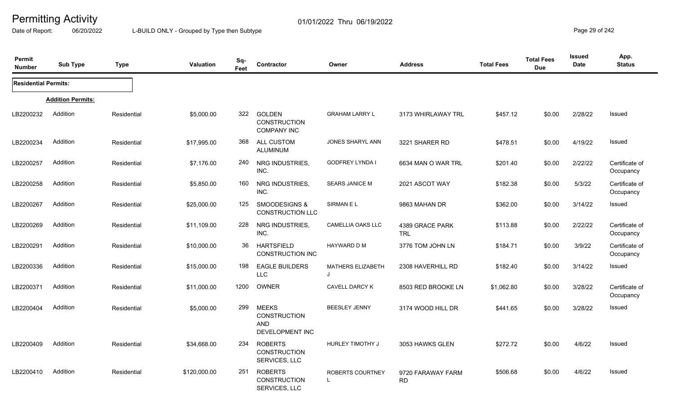Date of Report: 06/20/2022 L-BUILD ONLY - Grouped by Type then Subtype **Page 29 of 242** 

| Permit<br><b>Number</b>     | <b>Sub Type</b>          | <b>Type</b> | <b>Valuation</b> | Sq-<br>Feet | Contractor                                                           | Owner                         | <b>Address</b>                 | <b>Total Fees</b> | <b>Total Fees</b><br><b>Due</b> | <b>Issued</b><br><b>Date</b> | App.<br><b>Status</b>       |
|-----------------------------|--------------------------|-------------|------------------|-------------|----------------------------------------------------------------------|-------------------------------|--------------------------------|-------------------|---------------------------------|------------------------------|-----------------------------|
| <b>Residential Permits:</b> |                          |             |                  |             |                                                                      |                               |                                |                   |                                 |                              |                             |
|                             | <b>Addition Permits:</b> |             |                  |             |                                                                      |                               |                                |                   |                                 |                              |                             |
| LB2200232                   | Addition                 | Residential | \$5,000.00       | 322         | <b>GOLDEN</b><br><b>CONSTRUCTION</b><br><b>COMPANY INC</b>           | <b>GRAHAM LARRY L</b>         | 3173 WHIRLAWAY TRL             | \$457.12          | \$0.00                          | 2/28/22                      | Issued                      |
| LB2200234                   | Addition                 | Residential | \$17,995.00      | 368         | <b>ALL CUSTOM</b><br>ALUMINUM                                        | JONES SHARYL ANN              | 3221 SHARER RD                 | \$478.51          | \$0.00                          | 4/19/22                      | <b>Issued</b>               |
| LB2200257                   | Addition                 | Residential | \$7,176.00       | 240         | NRG INDUSTRIES,<br>INC.                                              | <b>GODFREY LYNDA I</b>        | 6634 MAN O WAR TRL             | \$201.40          | \$0.00                          | 2/22/22                      | Certificate of<br>Occupancy |
| LB2200258                   | Addition                 | Residential | \$5,850.00       | 160         | NRG INDUSTRIES,<br>INC.                                              | <b>SEARS JANICE M</b>         | 2021 ASCOT WAY                 | \$182.38          | \$0.00                          | 5/3/22                       | Certificate of<br>Occupancy |
| LB2200267                   | Addition                 | Residential | \$25,000.00      | 125         | SMOODESIGNS &<br><b>CONSTRUCTION LLC</b>                             | SIRMAN E L                    | 9863 MAHAN DR                  | \$362.00          | \$0.00                          | 3/14/22                      | Issued                      |
| LB2200269                   | Addition                 | Residential | \$11,109.00      | 228         | NRG INDUSTRIES,<br>INC.                                              | <b>CAMELLIA OAKS LLC</b>      | 4389 GRACE PARK<br><b>TRL</b>  | \$113.88          | \$0.00                          | 2/22/22                      | Certificate of<br>Occupancy |
| LB2200291                   | Addition                 | Residential | \$10,000.00      | 36          | <b>HARTSFIELD</b><br><b>CONSTRUCTION INC</b>                         | HAYWARD D M                   | 3776 TOM JOHN LN               | \$184.71          | \$0.00                          | 3/9/22                       | Certificate of<br>Occupancy |
| LB2200336                   | Addition                 | Residential | \$15,000.00      | 198         | <b>EAGLE BUILDERS</b><br><b>LLC</b>                                  | <b>MATHERS ELIZABETH</b><br>J | 2308 HAVERHILL RD              | \$182.40          | \$0.00                          | 3/14/22                      | Issued                      |
| LB2200371                   | Addition                 | Residential | \$11,000.00      | 1200        | OWNER                                                                | <b>CAVELL DARCY K</b>         | 8503 RED BROOKE LN             | \$1,062.80        | \$0.00                          | 3/28/22                      | Certificate of<br>Occupancy |
| LB2200404                   | Addition                 | Residential | \$5,000.00       | 299         | <b>MEEKS</b><br><b>CONSTRUCTION</b><br><b>AND</b><br>DEVELOPMENT INC | <b>BEESLEY JENNY</b>          | 3174 WOOD HILL DR              | \$441.65          | \$0.00                          | 3/28/22                      | Issued                      |
| LB2200409                   | Addition                 | Residential | \$34,668.00      | 234         | <b>ROBERTS</b><br><b>CONSTRUCTION</b><br>SERVICES, LLC               | HURLEY TIMOTHY J              | 3053 HAWKS GLEN                | \$272.72          | \$0.00                          | 4/6/22                       | Issued                      |
| LB2200410                   | Addition                 | Residential | \$120,000.00     | 251         | <b>ROBERTS</b><br>CONSTRUCTION<br>SERVICES, LLC                      | ROBERTS COURTNEY              | 9720 FARAWAY FARM<br><b>RD</b> | \$506.68          | \$0.00                          | 4/6/22                       | Issued                      |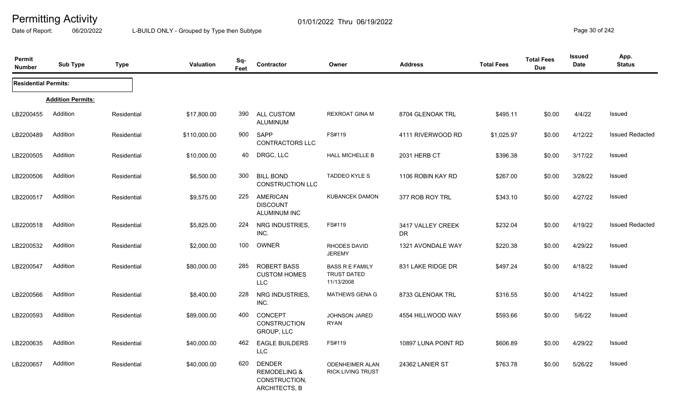Date of Report: 06/20/2022 L-BUILD ONLY - Grouped by Type then Subtype **Page 30** of 242

| Permit<br><b>Number</b>     | <b>Sub Type</b>          | <b>Type</b> | <b>Valuation</b> | Sq-<br>Feet | Contractor                                                                 | Owner                                                      | <b>Address</b>                 | <b>Total Fees</b> | <b>Total Fees</b><br><b>Due</b> | Issued<br>Date | App.<br><b>Status</b>  |
|-----------------------------|--------------------------|-------------|------------------|-------------|----------------------------------------------------------------------------|------------------------------------------------------------|--------------------------------|-------------------|---------------------------------|----------------|------------------------|
| <b>Residential Permits:</b> |                          |             |                  |             |                                                                            |                                                            |                                |                   |                                 |                |                        |
|                             | <b>Addition Permits:</b> |             |                  |             |                                                                            |                                                            |                                |                   |                                 |                |                        |
| LB2200455                   | Addition                 | Residential | \$17,800.00      | 390         | ALL CUSTOM<br><b>ALUMINUM</b>                                              | <b>REXROAT GINA M</b>                                      | 8704 GLENOAK TRL               | \$495.11          | \$0.00                          | 4/4/22         | Issued                 |
| LB2200489                   | Addition                 | Residential | \$110,000.00     | 900         | SAPP<br><b>CONTRACTORS LLC</b>                                             | FS#119                                                     | 4111 RIVERWOOD RD              | \$1,025.97        | \$0.00                          | 4/12/22        | <b>Issued Redacted</b> |
| LB2200505                   | Addition                 | Residential | \$10,000.00      | 40          | DRGC, LLC                                                                  | <b>HALL MICHELLE B</b>                                     | 2031 HERB CT                   | \$396.38          | \$0.00                          | 3/17/22        | Issued                 |
| LB2200506                   | Addition                 | Residential | \$6,500.00       | 300         | <b>BILL BOND</b><br>CONSTRUCTION LLC                                       | TADDEO KYLE S                                              | 1106 ROBIN KAY RD              | \$267.00          | \$0.00                          | 3/28/22        | Issued                 |
| LB2200517                   | Addition                 | Residential | \$9,575.00       | 225         | AMERICAN<br><b>DISCOUNT</b><br>ALUMINUM INC                                | <b>KUBANCEK DAMON</b>                                      | 377 ROB ROY TRL                | \$343.10          | \$0.00                          | 4/27/22        | Issued                 |
| LB2200518                   | Addition                 | Residential | \$5,825.00       | 224         | NRG INDUSTRIES,<br>INC.                                                    | FS#119                                                     | 3417 VALLEY CREEK<br><b>DR</b> | \$232.04          | \$0.00                          | 4/19/22        | <b>Issued Redacted</b> |
| LB2200532                   | Addition                 | Residential | \$2,000.00       | 100         | OWNER                                                                      | <b>RHODES DAVID</b><br><b>JEREMY</b>                       | 1321 AVONDALE WAY              | \$220.38          | \$0.00                          | 4/29/22        | Issued                 |
| LB2200547                   | Addition                 | Residential | \$80,000.00      | 285         | <b>ROBERT BASS</b><br><b>CUSTOM HOMES</b><br><b>LLC</b>                    | <b>BASS R E FAMILY</b><br><b>TRUST DATED</b><br>11/13/2008 | 831 LAKE RIDGE DR              | \$497.24          | \$0.00                          | 4/18/22        | Issued                 |
| LB2200566                   | Addition                 | Residential | \$8,400.00       | 228         | NRG INDUSTRIES,<br>INC.                                                    | <b>MATHEWS GENA G</b>                                      | 8733 GLENOAK TRL               | \$316.55          | \$0.00                          | 4/14/22        | Issued                 |
| LB2200593                   | Addition                 | Residential | \$89,000.00      | 400         | CONCEPT<br><b>CONSTRUCTION</b><br>GROUP, LLC                               | <b>JOHNSON JARED</b><br><b>RYAN</b>                        | 4554 HILLWOOD WAY              | \$593.66          | \$0.00                          | 5/6/22         | Issued                 |
| LB2200635                   | Addition                 | Residential | \$40,000.00      | 462         | <b>EAGLE BUILDERS</b><br><b>LLC</b>                                        | FS#119                                                     | 10897 LUNA POINT RD            | \$606.89          | \$0.00                          | 4/29/22        | Issued                 |
| LB2200657                   | Addition                 | Residential | \$40,000.00      | 620         | <b>DENDER</b><br><b>REMODELING &amp;</b><br>CONSTRUCTION,<br>ARCHITECTS, B | <b>ODENHEIMER ALAN</b><br><b>RICK LIVING TRUST</b>         | 24362 LANIER ST                | \$763.78          | \$0.00                          | 5/26/22        | Issued                 |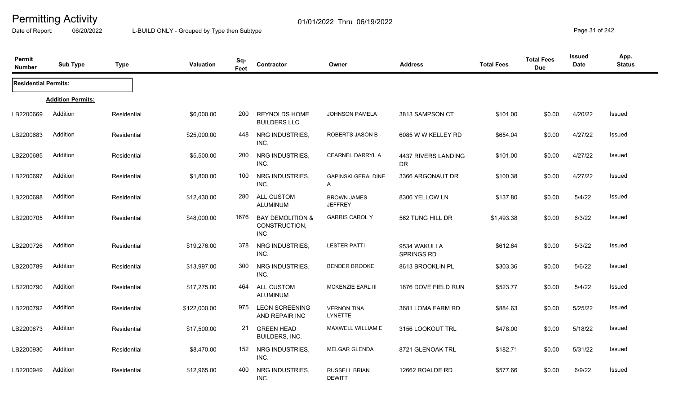Date of Report: 06/20/2022 L-BUILD ONLY - Grouped by Type then Subtype **Page 31** of 242

| Permit<br><b>Number</b>     | <b>Sub Type</b>          | <b>Type</b> | Valuation    | Sq-<br>Feet | Contractor                                                 | Owner                                 | <b>Address</b>                    | <b>Total Fees</b> | <b>Total Fees</b><br><b>Due</b> | Issued<br><b>Date</b> | App.<br><b>Status</b> |
|-----------------------------|--------------------------|-------------|--------------|-------------|------------------------------------------------------------|---------------------------------------|-----------------------------------|-------------------|---------------------------------|-----------------------|-----------------------|
| <b>Residential Permits:</b> |                          |             |              |             |                                                            |                                       |                                   |                   |                                 |                       |                       |
|                             | <b>Addition Permits:</b> |             |              |             |                                                            |                                       |                                   |                   |                                 |                       |                       |
| LB2200669                   | Addition                 | Residential | \$6,000.00   | <b>200</b>  | <b>REYNOLDS HOME</b><br><b>BUILDERS LLC.</b>               | <b>JOHNSON PAMELA</b>                 | 3813 SAMPSON CT                   | \$101.00          | \$0.00                          | 4/20/22               | Issued                |
| LB2200683                   | Addition                 | Residential | \$25,000.00  | 448         | NRG INDUSTRIES,<br>INC.                                    | ROBERTS JASON B                       | 6085 W W KELLEY RD                | \$654.04          | \$0.00                          | 4/27/22               | Issued                |
| LB2200685                   | Addition                 | Residential | \$5,500.00   | 200         | NRG INDUSTRIES,<br>INC.                                    | <b>CEARNEL DARRYL A</b>               | 4437 RIVERS LANDING<br>DR.        | \$101.00          | \$0.00                          | 4/27/22               | Issued                |
| LB2200697                   | Addition                 | Residential | \$1,800.00   | 100         | NRG INDUSTRIES,<br>INC.                                    | <b>GAPINSKI GERALDINE</b><br>A        | 3366 ARGONAUT DR                  | \$100.38          | \$0.00                          | 4/27/22               | Issued                |
| LB2200698                   | Addition                 | Residential | \$12,430.00  | 280         | ALL CUSTOM<br><b>ALUMINUM</b>                              | <b>BROWN JAMES</b><br><b>JEFFREY</b>  | 8306 YELLOW LN                    | \$137.80          | \$0.00                          | 5/4/22                | Issued                |
| LB2200705                   | Addition                 | Residential | \$48,000.00  | 1676        | <b>BAY DEMOLITION &amp;</b><br>CONSTRUCTION,<br><b>INC</b> | <b>GARRIS CAROL Y</b>                 | 562 TUNG HILL DR                  | \$1,493.38        | \$0.00                          | 6/3/22                | Issued                |
| LB2200726                   | Addition                 | Residential | \$19,276.00  | 378         | NRG INDUSTRIES,<br>INC.                                    | <b>LESTER PATTI</b>                   | 9534 WAKULLA<br><b>SPRINGS RD</b> | \$612.64          | \$0.00                          | 5/3/22                | Issued                |
| LB2200789                   | Addition                 | Residential | \$13,997.00  | 300         | NRG INDUSTRIES,<br>INC.                                    | <b>BENDER BROOKE</b>                  | 8613 BROOKLIN PL                  | \$303.36          | \$0.00                          | 5/6/22                | Issued                |
| LB2200790                   | Addition                 | Residential | \$17,275.00  | 464         | ALL CUSTOM<br><b>ALUMINUM</b>                              | <b>MCKENZIE EARL III</b>              | 1876 DOVE FIELD RUN               | \$523.77          | \$0.00                          | 5/4/22                | Issued                |
| LB2200792                   | Addition                 | Residential | \$122,000.00 | 975         | <b>LEON SCREENING</b><br>AND REPAIR INC                    | <b>VERNON TINA</b><br><b>LYNETTE</b>  | 3681 LOMA FARM RD                 | \$884.63          | \$0.00                          | 5/25/22               | Issued                |
| LB2200873                   | Addition                 | Residential | \$17,500.00  | 21          | <b>GREEN HEAD</b><br>BUILDERS, INC.                        | MAXWELL WILLIAM E                     | 3156 LOOKOUT TRL                  | \$478.00          | \$0.00                          | 5/18/22               | Issued                |
| LB2200930                   | Addition                 | Residential | \$8,470.00   | 152         | NRG INDUSTRIES,<br>INC.                                    | <b>MELGAR GLENDA</b>                  | 8721 GLENOAK TRL                  | \$182.71          | \$0.00                          | 5/31/22               | Issued                |
| LB2200949                   | Addition                 | Residential | \$12,965.00  | 400         | NRG INDUSTRIES,<br>INC.                                    | <b>RUSSELL BRIAN</b><br><b>DEWITT</b> | 12662 ROALDE RD                   | \$577.66          | \$0.00                          | 6/9/22                | Issued                |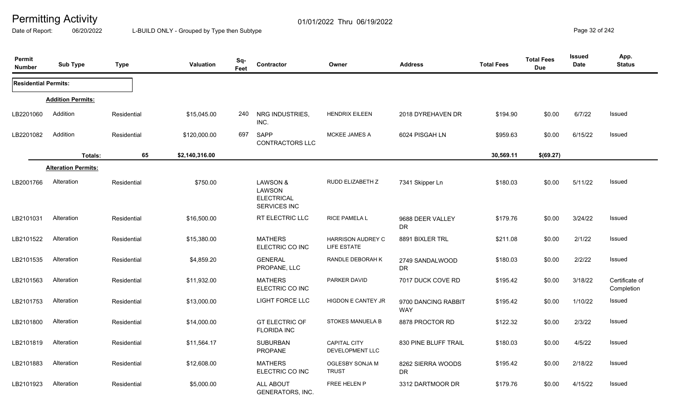Date of Report: 06/20/2022 L-BUILD ONLY - Grouped by Type then Subtype **Page 32 of 242** 

| Permit<br><b>Number</b>     | <b>Sub Type</b>            | <b>Type</b> | <b>Valuation</b> | Sq-<br>Feet | Contractor                                              | Owner                                   | <b>Address</b>                    | <b>Total Fees</b> | <b>Total Fees</b><br><b>Due</b> | <b>Issued</b><br><b>Date</b> | App.<br><b>Status</b>        |
|-----------------------------|----------------------------|-------------|------------------|-------------|---------------------------------------------------------|-----------------------------------------|-----------------------------------|-------------------|---------------------------------|------------------------------|------------------------------|
| <b>Residential Permits:</b> |                            |             |                  |             |                                                         |                                         |                                   |                   |                                 |                              |                              |
|                             | <b>Addition Permits:</b>   |             |                  |             |                                                         |                                         |                                   |                   |                                 |                              |                              |
| LB2201060                   | Addition                   | Residential | \$15,045.00      | 240         | NRG INDUSTRIES,<br>INC.                                 | <b>HENDRIX EILEEN</b>                   | 2018 DYREHAVEN DR                 | \$194.90          | \$0.00                          | 6/7/22                       | <b>Issued</b>                |
| LB2201082                   | Addition                   | Residential | \$120,000.00     | 697         | <b>SAPP</b><br>CONTRACTORS LLC                          | MCKEE JAMES A                           | 6024 PISGAH LN                    | \$959.63          | \$0.00                          | 6/15/22                      | <b>Issued</b>                |
|                             | Totals:                    | 65          | \$2,140,316.00   |             |                                                         |                                         |                                   | 30,569.11         | \$(69.27)                       |                              |                              |
|                             | <b>Alteration Permits:</b> |             |                  |             |                                                         |                                         |                                   |                   |                                 |                              |                              |
| LB2001766                   | Alteration                 | Residential | \$750.00         |             | LAWSON &<br>LAWSON<br><b>ELECTRICAL</b><br>SERVICES INC | RUDD ELIZABETH Z                        | 7341 Skipper Ln                   | \$180.03          | \$0.00                          | 5/11/22                      | Issued                       |
| LB2101031                   | Alteration                 | Residential | \$16,500.00      |             | RT ELECTRIC LLC                                         | RICE PAMELA L                           | 9688 DEER VALLEY<br><b>DR</b>     | \$179.76          | \$0.00                          | 3/24/22                      | <b>Issued</b>                |
| LB2101522                   | Alteration                 | Residential | \$15,380.00      |             | <b>MATHERS</b><br>ELECTRIC CO INC                       | <b>HARRISON AUDREY C</b><br>LIFE ESTATE | 8891 BIXLER TRL                   | \$211.08          | \$0.00                          | 2/1/22                       | Issued                       |
| LB2101535                   | Alteration                 | Residential | \$4,859.20       |             | <b>GENERAL</b><br>PROPANE, LLC                          | RANDLE DEBORAH K                        | 2749 SANDALWOOD<br><b>DR</b>      | \$180.03          | \$0.00                          | 2/2/22                       | Issued                       |
| LB2101563                   | Alteration                 | Residential | \$11,932.00      |             | <b>MATHERS</b><br>ELECTRIC CO INC                       | PARKER DAVID                            | 7017 DUCK COVE RD                 | \$195.42          | \$0.00                          | 3/18/22                      | Certificate of<br>Completion |
| LB2101753                   | Alteration                 | Residential | \$13,000.00      |             | LIGHT FORCE LLC                                         | HIGDON E CANTEY JR                      | 9700 DANCING RABBIT<br><b>WAY</b> | \$195.42          | \$0.00                          | 1/10/22                      | Issued                       |
| LB2101800                   | Alteration                 | Residential | \$14,000.00      |             | <b>GT ELECTRIC OF</b><br><b>FLORIDA INC</b>             | STOKES MANUELA B                        | 8878 PROCTOR RD                   | \$122.32          | \$0.00                          | 2/3/22                       | Issued                       |
| LB2101819                   | Alteration                 | Residential | \$11,564.17      |             | <b>SUBURBAN</b><br><b>PROPANE</b>                       | <b>CAPITAL CITY</b><br>DEVELOPMENT LLC  | 830 PINE BLUFF TRAIL              | \$180.03          | \$0.00                          | 4/5/22                       | Issued                       |
| LB2101883                   | Alteration                 | Residential | \$12,608.00      |             | <b>MATHERS</b><br>ELECTRIC CO INC                       | OGLESBY SONJA M<br><b>TRUST</b>         | 8262 SIERRA WOODS<br><b>DR</b>    | \$195.42          | \$0.00                          | 2/18/22                      | Issued                       |
| LB2101923                   | Alteration                 | Residential | \$5,000.00       |             | ALL ABOUT<br><b>GENERATORS, INC.</b>                    | FREE HELEN P                            | 3312 DARTMOOR DR                  | \$179.76          | \$0.00                          | 4/15/22                      | <b>Issued</b>                |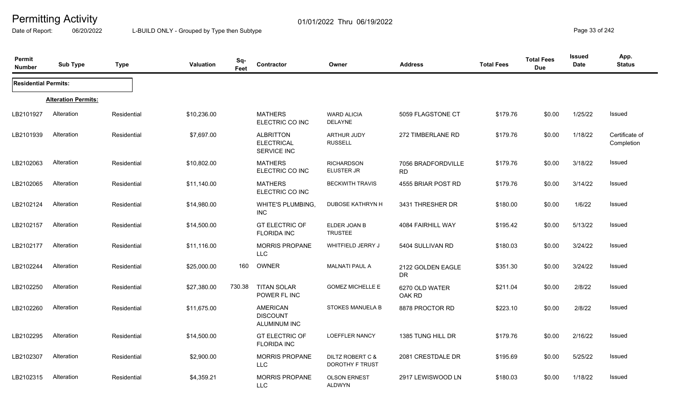Date of Report: 06/20/2022 L-BUILD ONLY - Grouped by Type then Subtype **Page 33** of 242

| Permit<br><b>Number</b>     | <b>Sub Type</b>            | <b>Type</b> | <b>Valuation</b> | Sq-<br>Feet | Contractor                                           | Owner                                      | <b>Address</b>                  | <b>Total Fees</b> | <b>Total Fees</b><br><b>Due</b> | <b>Issued</b><br>Date | App.<br><b>Status</b>        |
|-----------------------------|----------------------------|-------------|------------------|-------------|------------------------------------------------------|--------------------------------------------|---------------------------------|-------------------|---------------------------------|-----------------------|------------------------------|
| <b>Residential Permits:</b> |                            |             |                  |             |                                                      |                                            |                                 |                   |                                 |                       |                              |
|                             | <b>Alteration Permits:</b> |             |                  |             |                                                      |                                            |                                 |                   |                                 |                       |                              |
| LB2101927                   | Alteration                 | Residential | \$10,236.00      |             | <b>MATHERS</b><br>ELECTRIC CO INC                    | <b>WARD ALICIA</b><br><b>DELAYNE</b>       | 5059 FLAGSTONE CT               | \$179.76          | \$0.00                          | 1/25/22               | Issued                       |
| LB2101939                   | Alteration                 | Residential | \$7,697.00       |             | <b>ALBRITTON</b><br><b>ELECTRICAL</b><br>SERVICE INC | <b>ARTHUR JUDY</b><br><b>RUSSELL</b>       | 272 TIMBERLANE RD               | \$179.76          | \$0.00                          | 1/18/22               | Certificate of<br>Completion |
| LB2102063                   | Alteration                 | Residential | \$10,802.00      |             | <b>MATHERS</b><br>ELECTRIC CO INC                    | <b>RICHARDSON</b><br>ELUSTER JR            | 7056 BRADFORDVILLE<br><b>RD</b> | \$179.76          | \$0.00                          | 3/18/22               | Issued                       |
| LB2102065                   | Alteration                 | Residential | \$11,140.00      |             | <b>MATHERS</b><br>ELECTRIC CO INC                    | <b>BECKWITH TRAVIS</b>                     | 4555 BRIAR POST RD              | \$179.76          | \$0.00                          | 3/14/22               | Issued                       |
| LB2102124                   | Alteration                 | Residential | \$14,980.00      |             | WHITE'S PLUMBING,<br><b>INC</b>                      | <b>DUBOSE KATHRYN H</b>                    | 3431 THRESHER DR                | \$180.00          | \$0.00                          | 1/6/22                | Issued                       |
| LB2102157                   | Alteration                 | Residential | \$14,500.00      |             | <b>GT ELECTRIC OF</b><br><b>FLORIDA INC</b>          | ELDER JOAN B<br><b>TRUSTEE</b>             | 4084 FAIRHILL WAY               | \$195.42          | \$0.00                          | 5/13/22               | Issued                       |
| LB2102177                   | Alteration                 | Residential | \$11,116.00      |             | <b>MORRIS PROPANE</b><br><b>LLC</b>                  | WHITFIELD JERRY J                          | 5404 SULLIVAN RD                | \$180.03          | \$0.00                          | 3/24/22               | Issued                       |
| LB2102244                   | Alteration                 | Residential | \$25,000.00      | 160         | OWNER                                                | <b>MALNATI PAUL A</b>                      | 2122 GOLDEN EAGLE<br>DR         | \$351.30          | \$0.00                          | 3/24/22               | Issued                       |
| LB2102250                   | Alteration                 | Residential | \$27,380.00      | 730.38      | <b>TITAN SOLAR</b><br>POWER FL INC                   | <b>GOMEZ MICHELLE E</b>                    | 6270 OLD WATER<br>OAK RD        | \$211.04          | \$0.00                          | 2/8/22                | Issued                       |
| LB2102260                   | Alteration                 | Residential | \$11,675.00      |             | <b>AMERICAN</b><br><b>DISCOUNT</b><br>ALUMINUM INC   | <b>STOKES MANUELA B</b>                    | 8878 PROCTOR RD                 | \$223.10          | \$0.00                          | 2/8/22                | Issued                       |
| LB2102295                   | Alteration                 | Residential | \$14,500.00      |             | <b>GT ELECTRIC OF</b><br><b>FLORIDA INC</b>          | LOEFFLER NANCY                             | 1385 TUNG HILL DR               | \$179.76          | \$0.00                          | 2/16/22               | Issued                       |
| LB2102307                   | Alteration                 | Residential | \$2,900.00       |             | MORRIS PROPANE<br><b>LLC</b>                         | DILTZ ROBERT C &<br><b>DOROTHY F TRUST</b> | 2081 CRESTDALE DR               | \$195.69          | \$0.00                          | 5/25/22               | Issued                       |
| LB2102315                   | Alteration                 | Residential | \$4,359.21       |             | <b>MORRIS PROPANE</b><br><b>LLC</b>                  | <b>OLSON ERNEST</b><br><b>ALDWYN</b>       | 2917 LEWISWOOD LN               | \$180.03          | \$0.00                          | 1/18/22               | Issued                       |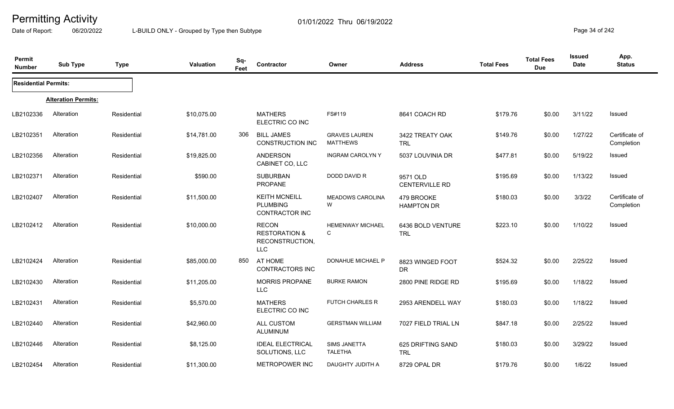Date of Report: 06/20/2022 L-BUILD ONLY - Grouped by Type then Subtype **Page 34** of 242

| Permit<br><b>Number</b>     | <b>Sub Type</b>            | <b>Type</b> | Valuation   | Sq-<br>Feet | <b>Contractor</b>                                                         | Owner                                   | <b>Address</b>                  | <b>Total Fees</b> | <b>Total Fees</b><br><b>Due</b> | <b>Issued</b><br>Date | App.<br><b>Status</b>        |
|-----------------------------|----------------------------|-------------|-------------|-------------|---------------------------------------------------------------------------|-----------------------------------------|---------------------------------|-------------------|---------------------------------|-----------------------|------------------------------|
| <b>Residential Permits:</b> |                            |             |             |             |                                                                           |                                         |                                 |                   |                                 |                       |                              |
|                             | <b>Alteration Permits:</b> |             |             |             |                                                                           |                                         |                                 |                   |                                 |                       |                              |
| LB2102336                   | Alteration                 | Residential | \$10,075.00 |             | <b>MATHERS</b><br>ELECTRIC CO INC                                         | FS#119                                  | 8641 COACH RD                   | \$179.76          | \$0.00                          | 3/11/22               | Issued                       |
| LB2102351                   | Alteration                 | Residential | \$14,781.00 | 306         | <b>BILL JAMES</b><br><b>CONSTRUCTION INC</b>                              | <b>GRAVES LAUREN</b><br><b>MATTHEWS</b> | 3422 TREATY OAK<br><b>TRL</b>   | \$149.76          | \$0.00                          | 1/27/22               | Certificate of<br>Completion |
| LB2102356                   | Alteration                 | Residential | \$19,825.00 |             | ANDERSON<br>CABINET CO, LLC                                               | <b>INGRAM CAROLYNY</b>                  | 5037 LOUVINIA DR                | \$477.81          | \$0.00                          | 5/19/22               | Issued                       |
| LB2102371                   | Alteration                 | Residential | \$590.00    |             | <b>SUBURBAN</b><br>PROPANE                                                | DODD DAVID R                            | 9571 OLD<br>CENTERVILLE RD      | \$195.69          | \$0.00                          | 1/13/22               | Issued                       |
| LB2102407                   | Alteration                 | Residential | \$11,500.00 |             | <b>KEITH MCNEILL</b><br><b>PLUMBING</b><br><b>CONTRACTOR INC</b>          | <b>MEADOWS CAROLINA</b><br>W            | 479 BROOKE<br><b>HAMPTON DR</b> | \$180.03          | \$0.00                          | 3/3/22                | Certificate of<br>Completion |
| LB2102412                   | Alteration                 | Residential | \$10,000.00 |             | <b>RECON</b><br><b>RESTORATION &amp;</b><br>RECONSTRUCTION,<br><b>LLC</b> | <b>HEMENWAY MICHAEL</b><br>C            | 6436 BOLD VENTURE<br><b>TRL</b> | \$223.10          | \$0.00                          | 1/10/22               | Issued                       |
| LB2102424                   | Alteration                 | Residential | \$85,000.00 | 850         | AT HOME<br><b>CONTRACTORS INC</b>                                         | DONAHUE MICHAEL P                       | 8823 WINGED FOOT<br>DR          | \$524.32          | \$0.00                          | 2/25/22               | Issued                       |
| LB2102430                   | Alteration                 | Residential | \$11,205.00 |             | <b>MORRIS PROPANE</b><br><b>LLC</b>                                       | <b>BURKE RAMON</b>                      | 2800 PINE RIDGE RD              | \$195.69          | \$0.00                          | 1/18/22               | <b>Issued</b>                |
| LB2102431                   | Alteration                 | Residential | \$5,570.00  |             | <b>MATHERS</b><br>ELECTRIC CO INC                                         | FUTCH CHARLES R                         | 2953 ARENDELL WAY               | \$180.03          | \$0.00                          | 1/18/22               | <b>Issued</b>                |
| LB2102440                   | Alteration                 | Residential | \$42,960.00 |             | ALL CUSTOM<br>ALUMINUM                                                    | <b>GERSTMAN WILLIAM</b>                 | 7027 FIELD TRIAL LN             | \$847.18          | \$0.00                          | 2/25/22               | <b>Issued</b>                |
| LB2102446                   | Alteration                 | Residential | \$8,125.00  |             | <b>IDEAL ELECTRICAL</b><br>SOLUTIONS, LLC                                 | <b>SIMS JANETTA</b><br><b>TALETHA</b>   | 625 DRIFTING SAND<br><b>TRL</b> | \$180.03          | \$0.00                          | 3/29/22               | <b>Issued</b>                |
| LB2102454                   | Alteration                 | Residential | \$11,300.00 |             | <b>METROPOWER INC</b>                                                     | DAUGHTY JUDITH A                        | 8729 OPAL DR                    | \$179.76          | \$0.00                          | 1/6/22                | Issued                       |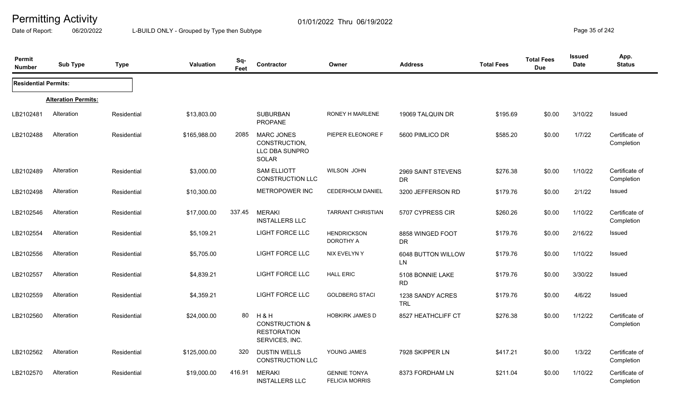Date of Report: 06/20/2022 L-BUILD ONLY - Grouped by Type then Subtype **Page 35** of 242

| Permit<br><b>Number</b>     | <b>Sub Type</b>            | <b>Type</b> | <b>Valuation</b> | Sq-<br>Feet | Contractor                                                               | Owner                                        | <b>Address</b>                  | <b>Total Fees</b> | <b>Total Fees</b><br><b>Due</b> | <b>Issued</b><br>Date | App.<br><b>Status</b>        |
|-----------------------------|----------------------------|-------------|------------------|-------------|--------------------------------------------------------------------------|----------------------------------------------|---------------------------------|-------------------|---------------------------------|-----------------------|------------------------------|
| <b>Residential Permits:</b> |                            |             |                  |             |                                                                          |                                              |                                 |                   |                                 |                       |                              |
|                             | <b>Alteration Permits:</b> |             |                  |             |                                                                          |                                              |                                 |                   |                                 |                       |                              |
| LB2102481                   | Alteration                 | Residential | \$13,803.00      |             | <b>SUBURBAN</b><br><b>PROPANE</b>                                        | RONEY H MARLENE                              | 19069 TALQUIN DR                | \$195.69          | \$0.00                          | 3/10/22               | Issued                       |
| LB2102488                   | Alteration                 | Residential | \$165,988.00     | 2085        | <b>MARC JONES</b><br>CONSTRUCTION,<br>LLC DBA SUNPRO<br>SOLAR            | PIEPER ELEONORE F                            | 5600 PIMLICO DR                 | \$585.20          | \$0.00                          | 1/7/22                | Certificate of<br>Completion |
| LB2102489                   | Alteration                 | Residential | \$3,000.00       |             | <b>SAM ELLIOTT</b><br><b>CONSTRUCTION LLC</b>                            | <b>WILSON JOHN</b>                           | 2969 SAINT STEVENS<br><b>DR</b> | \$276.38          | \$0.00                          | 1/10/22               | Certificate of<br>Completion |
| LB2102498                   | Alteration                 | Residential | \$10,300.00      |             | METROPOWER INC                                                           | <b>CEDERHOLM DANIEL</b>                      | 3200 JEFFERSON RD               | \$179.76          | \$0.00                          | 2/1/22                | Issued                       |
| LB2102546                   | Alteration                 | Residential | \$17,000.00      | 337.45      | <b>MERAKI</b><br><b>INSTALLERS LLC</b>                                   | <b>TARRANT CHRISTIAN</b>                     | 5707 CYPRESS CIR                | \$260.26          | \$0.00                          | 1/10/22               | Certificate of<br>Completion |
| LB2102554                   | Alteration                 | Residential | \$5,109.21       |             | LIGHT FORCE LLC                                                          | <b>HENDRICKSON</b><br>DOROTHY A              | 8858 WINGED FOOT<br><b>DR</b>   | \$179.76          | \$0.00                          | 2/16/22               | Issued                       |
| LB2102556                   | Alteration                 | Residential | \$5,705.00       |             | LIGHT FORCE LLC                                                          | NIX EVELYN Y                                 | 6048 BUTTON WILLOW<br><b>LN</b> | \$179.76          | \$0.00                          | 1/10/22               | Issued                       |
| LB2102557                   | Alteration                 | Residential | \$4,839.21       |             | LIGHT FORCE LLC                                                          | <b>HALL ERIC</b>                             | 5108 BONNIE LAKE<br><b>RD</b>   | \$179.76          | \$0.00                          | 3/30/22               | Issued                       |
| LB2102559                   | Alteration                 | Residential | \$4,359.21       |             | <b>LIGHT FORCE LLC</b>                                                   | <b>GOLDBERG STACI</b>                        | 1238 SANDY ACRES<br><b>TRL</b>  | \$179.76          | \$0.00                          | 4/6/22                | Issued                       |
| LB2102560                   | Alteration                 | Residential | \$24,000.00      | 80          | H&H<br><b>CONSTRUCTION &amp;</b><br><b>RESTORATION</b><br>SERVICES, INC. | <b>HOBKIRK JAMES D</b>                       | 8527 HEATHCLIFF CT              | \$276.38          | \$0.00                          | 1/12/22               | Certificate of<br>Completion |
| LB2102562                   | Alteration                 | Residential | \$125,000.00     | 320         | <b>DUSTIN WELLS</b><br>CONSTRUCTION LLC                                  | YOUNG JAMES                                  | 7928 SKIPPER LN                 | \$417.21          | \$0.00                          | 1/3/22                | Certificate of<br>Completion |
| LB2102570                   | Alteration                 | Residential | \$19,000.00      | 416.91      | <b>MERAKI</b><br><b>INSTALLERS LLC</b>                                   | <b>GENNIE TONYA</b><br><b>FELICIA MORRIS</b> | 8373 FORDHAM LN                 | \$211.04          | \$0.00                          | 1/10/22               | Certificate of<br>Completion |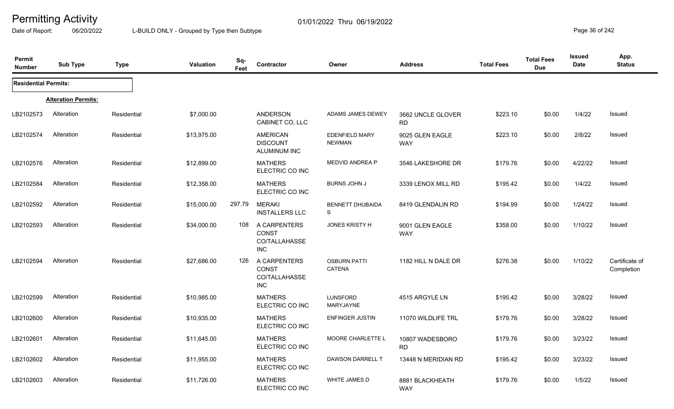Date of Report: 06/20/2022 L-BUILD ONLY - Grouped by Type then Subtype **Page 36** of 242

| Permit<br><b>Number</b>     | <b>Sub Type</b>            | <b>Type</b> | Valuation   | Sq-<br>Feet | Contractor                                                  | Owner                                  | <b>Address</b>                 | <b>Total Fees</b> | <b>Total Fees</b><br><b>Due</b> | <b>Issued</b><br>Date | App.<br><b>Status</b>        |
|-----------------------------|----------------------------|-------------|-------------|-------------|-------------------------------------------------------------|----------------------------------------|--------------------------------|-------------------|---------------------------------|-----------------------|------------------------------|
| <b>Residential Permits:</b> |                            |             |             |             |                                                             |                                        |                                |                   |                                 |                       |                              |
|                             | <b>Alteration Permits:</b> |             |             |             |                                                             |                                        |                                |                   |                                 |                       |                              |
| LB2102573                   | Alteration                 | Residential | \$7,000.00  |             | <b>ANDERSON</b><br>CABINET CO, LLC                          | ADAMS JAMES DEWEY                      | 3662 UNCLE GLOVER<br><b>RD</b> | \$223.10          | \$0.00                          | 1/4/22                | Issued                       |
| LB2102574                   | Alteration                 | Residential | \$13,975.00 |             | <b>AMERICAN</b><br><b>DISCOUNT</b><br>ALUMINUM INC          | <b>EDENFIELD MARY</b><br><b>NEWMAN</b> | 9025 GLEN EAGLE<br><b>WAY</b>  | \$223.10          | \$0.00                          | 2/8/22                | Issued                       |
| LB2102576                   | Alteration                 | Residential | \$12,899.00 |             | <b>MATHERS</b><br>ELECTRIC CO INC                           | MEDVID ANDREA P                        | 3546 LAKESHORE DR              | \$179.76          | \$0.00                          | 4/22/22               | Issued                       |
| LB2102584                   | Alteration                 | Residential | \$12,358.00 |             | <b>MATHERS</b><br>ELECTRIC CO INC                           | <b>BURNS JOHN J</b>                    | 3339 LENOX MILL RD             | \$195.42          | \$0.00                          | 1/4/22                | <b>Issued</b>                |
| LB2102592                   | Alteration                 | Residential | \$15,000.00 | 297.79      | <b>MERAKI</b><br><b>INSTALLERS LLC</b>                      | <b>BENNETT DHUBAIDA</b><br>S           | 8419 GLENDALIN RD              | \$194.99          | \$0.00                          | 1/24/22               | Issued                       |
| LB2102593                   | Alteration                 | Residential | \$34,000.00 | 108         | A CARPENTERS<br><b>CONST</b><br>CO/TALLAHASSE<br><b>INC</b> | <b>JONES KRISTY H</b>                  | 9001 GLEN EAGLE<br><b>WAY</b>  | \$358.00          | \$0.00                          | 1/10/22               | Issued                       |
| LB2102594                   | Alteration                 | Residential | \$27,686.00 | 126         | A CARPENTERS<br>CONST<br>CO/TALLAHASSE<br><b>INC</b>        | <b>OSBURN PATTI</b><br>CATENA          | 1182 HILL N DALE DR            | \$276.38          | \$0.00                          | 1/10/22               | Certificate of<br>Completion |
| LB2102599                   | Alteration                 | Residential | \$10,985.00 |             | <b>MATHERS</b><br>ELECTRIC CO INC                           | LUNSFORD<br>MARYJAYNE                  | 4515 ARGYLE LN                 | \$195.42          | \$0.00                          | 3/28/22               | Issued                       |
| LB2102600                   | Alteration                 | Residential | \$10,935.00 |             | <b>MATHERS</b><br>ELECTRIC CO INC                           | <b>ENFINGER JUSTIN</b>                 | 11070 WILDLIFE TRL             | \$179.76          | \$0.00                          | 3/28/22               | Issued                       |
| LB2102601                   | Alteration                 | Residential | \$11,645.00 |             | <b>MATHERS</b><br>ELECTRIC CO INC                           | MOORE CHARLETTE L                      | 10807 WADESBORO<br><b>RD</b>   | \$179.76          | \$0.00                          | 3/23/22               | Issued                       |
| LB2102602                   | Alteration                 | Residential | \$11,955.00 |             | <b>MATHERS</b><br>ELECTRIC CO INC                           | <b>DAWSON DARRELL T</b>                | 13448 N MERIDIAN RD            | \$195.42          | \$0.00                          | 3/23/22               | Issued                       |
| LB2102603                   | Alteration                 | Residential | \$11,726.00 |             | <b>MATHERS</b><br>ELECTRIC CO INC                           | WHITE JAMES D                          | 8881 BLACKHEATH<br><b>WAY</b>  | \$179.76          | \$0.00                          | 1/5/22                | Issued                       |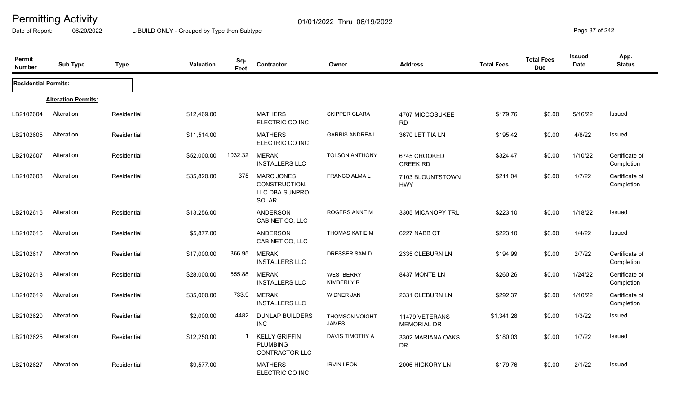Date of Report: 06/20/2022 L-BUILD ONLY - Grouped by Type then Subtype **Page 37** of 242

| Permit<br><b>Number</b>     | <b>Sub Type</b>            | <b>Type</b> | <b>Valuation</b> | Sq-<br>Feet | Contractor                                                           | Owner                                 | <b>Address</b>                       | <b>Total Fees</b> | <b>Total Fees</b><br><b>Due</b> | Issued<br>Date | App.<br><b>Status</b>        |
|-----------------------------|----------------------------|-------------|------------------|-------------|----------------------------------------------------------------------|---------------------------------------|--------------------------------------|-------------------|---------------------------------|----------------|------------------------------|
| <b>Residential Permits:</b> |                            |             |                  |             |                                                                      |                                       |                                      |                   |                                 |                |                              |
|                             | <b>Alteration Permits:</b> |             |                  |             |                                                                      |                                       |                                      |                   |                                 |                |                              |
| LB2102604                   | Alteration                 | Residential | \$12,469.00      |             | <b>MATHERS</b><br>ELECTRIC CO INC                                    | <b>SKIPPER CLARA</b>                  | 4707 MICCOSUKEE<br><b>RD</b>         | \$179.76          | \$0.00                          | 5/16/22        | Issued                       |
| LB2102605                   | Alteration                 | Residential | \$11,514.00      |             | <b>MATHERS</b><br>ELECTRIC CO INC                                    | <b>GARRIS ANDREA L</b>                | 3670 LETITIA LN                      | \$195.42          | \$0.00                          | 4/8/22         | Issued                       |
| LB2102607                   | Alteration                 | Residential | \$52,000.00      | 1032.32     | <b>MERAKI</b><br><b>INSTALLERS LLC</b>                               | <b>TOLSON ANTHONY</b>                 | 6745 CROOKED<br><b>CREEK RD</b>      | \$324.47          | \$0.00                          | 1/10/22        | Certificate of<br>Completion |
| LB2102608                   | Alteration                 | Residential | \$35,820.00      | 375         | <b>MARC JONES</b><br>CONSTRUCTION,<br>LLC DBA SUNPRO<br><b>SOLAR</b> | <b>FRANCO ALMA L</b>                  | 7103 BLOUNTSTOWN<br><b>HWY</b>       | \$211.04          | \$0.00                          | 1/7/22         | Certificate of<br>Completion |
| LB2102615                   | Alteration                 | Residential | \$13,256.00      |             | <b>ANDERSON</b><br>CABINET CO, LLC                                   | ROGERS ANNE M                         | 3305 MICANOPY TRL                    | \$223.10          | \$0.00                          | 1/18/22        | Issued                       |
| LB2102616                   | Alteration                 | Residential | \$5,877.00       |             | ANDERSON<br>CABINET CO, LLC                                          | <b>THOMAS KATIE M</b>                 | 6227 NABB CT                         | \$223.10          | \$0.00                          | 1/4/22         | Issued                       |
| LB2102617                   | Alteration                 | Residential | \$17,000.00      | 366.95      | <b>MERAKI</b><br><b>INSTALLERS LLC</b>                               | DRESSER SAM D                         | 2335 CLEBURN LN                      | \$194.99          | \$0.00                          | 2/7/22         | Certificate of<br>Completion |
| LB2102618                   | Alteration                 | Residential | \$28,000.00      | 555.88      | <b>MERAKI</b><br><b>INSTALLERS LLC</b>                               | <b>WESTBERRY</b><br><b>KIMBERLY R</b> | 8437 MONTE LN                        | \$260.26          | \$0.00                          | 1/24/22        | Certificate of<br>Completion |
| LB2102619                   | Alteration                 | Residential | \$35,000.00      | 733.9       | <b>MERAKI</b><br><b>INSTALLERS LLC</b>                               | <b>WIDNER JAN</b>                     | 2331 CLEBURN LN                      | \$292.37          | \$0.00                          | 1/10/22        | Certificate of<br>Completion |
| LB2102620                   | Alteration                 | Residential | \$2,000.00       | 4482        | <b>DUNLAP BUILDERS</b><br><b>INC</b>                                 | THOMSON VOIGHT<br><b>JAMES</b>        | 11479 VETERANS<br><b>MEMORIAL DR</b> | \$1,341.28        | \$0.00                          | 1/3/22         | Issued                       |
| LB2102625                   | Alteration                 | Residential | \$12,250.00      |             | <b>KELLY GRIFFIN</b><br><b>PLUMBING</b><br><b>CONTRACTOR LLC</b>     | DAVIS TIMOTHY A                       | 3302 MARIANA OAKS<br><b>DR</b>       | \$180.03          | \$0.00                          | 1/7/22         | <b>Issued</b>                |
| LB2102627                   | Alteration                 | Residential | \$9,577.00       |             | <b>MATHERS</b><br>ELECTRIC CO INC                                    | <b>IRVIN LEON</b>                     | 2006 HICKORY LN                      | \$179.76          | \$0.00                          | 2/1/22         | Issued                       |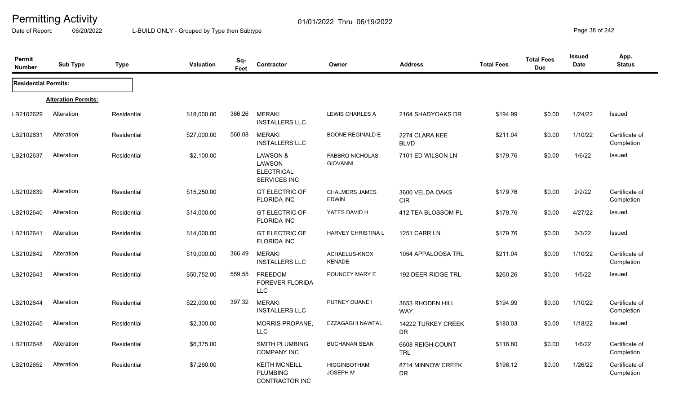Date of Report: 06/20/2022 L-BUILD ONLY - Grouped by Type then Subtype **Page 38** of 242

| Permit<br><b>Number</b>     | <b>Sub Type</b>            | <b>Type</b> | Valuation   | Sq-<br>Feet | <b>Contractor</b>                                                  | Owner                                     | <b>Address</b>                 | <b>Total Fees</b> | <b>Total Fees</b><br><b>Due</b> | <b>Issued</b><br><b>Date</b> | App.<br><b>Status</b>        |
|-----------------------------|----------------------------|-------------|-------------|-------------|--------------------------------------------------------------------|-------------------------------------------|--------------------------------|-------------------|---------------------------------|------------------------------|------------------------------|
| <b>Residential Permits:</b> |                            |             |             |             |                                                                    |                                           |                                |                   |                                 |                              |                              |
|                             | <b>Alteration Permits:</b> |             |             |             |                                                                    |                                           |                                |                   |                                 |                              |                              |
| LB2102629                   | Alteration                 | Residential | \$18,000.00 | 386.26      | <b>MERAKI</b><br><b>INSTALLERS LLC</b>                             | <b>LEWIS CHARLES A</b>                    | 2164 SHADYOAKS DR              | \$194.99          | \$0.00                          | 1/24/22                      | Issued                       |
| LB2102631                   | Alteration                 | Residential | \$27,000.00 | 560.08      | <b>MERAKI</b><br><b>INSTALLERS LLC</b>                             | <b>BOONE REGINALD E</b>                   | 2274 CLARA KEE<br><b>BLVD</b>  | \$211.04          | \$0.00                          | 1/10/22                      | Certificate of<br>Completion |
| LB2102637                   | Alteration                 | Residential | \$2,100.00  |             | <b>LAWSON &amp;</b><br>LAWSON<br><b>ELECTRICAL</b><br>SERVICES INC | <b>FABBRO NICHOLAS</b><br><b>GIOVANNI</b> | 7101 ED WILSON LN              | \$179.76          | \$0.00                          | 1/6/22                       | Issued                       |
| LB2102639                   | Alteration                 | Residential | \$15,250.00 |             | <b>GT ELECTRIC OF</b><br><b>FLORIDA INC</b>                        | <b>CHALMERS JAMES</b><br><b>EDWIN</b>     | 3600 VELDA OAKS<br><b>CIR</b>  | \$179.76          | \$0.00                          | 2/2/22                       | Certificate of<br>Completion |
| LB2102640                   | Alteration                 | Residential | \$14,000.00 |             | <b>GT ELECTRIC OF</b><br><b>FLORIDA INC</b>                        | YATES DAVID H                             | 412 TEA BLOSSOM PL             | \$179.76          | \$0.00                          | 4/27/22                      | Issued                       |
| LB2102641                   | Alteration                 | Residential | \$14,000.00 |             | <b>GT ELECTRIC OF</b><br><b>FLORIDA INC</b>                        | HARVEY CHRISTINA L                        | 1251 CARR LN                   | \$179.76          | \$0.00                          | 3/3/22                       | Issued                       |
| LB2102642                   | Alteration                 | Residential | \$19,000.00 | 366.49      | <b>MERAKI</b><br><b>INSTALLERS LLC</b>                             | ACHAELUS-KNOX<br><b>KENADE</b>            | 1054 APPALOOSA TRL             | \$211.04          | \$0.00                          | 1/10/22                      | Certificate of<br>Completion |
| LB2102643                   | Alteration                 | Residential | \$50,752.00 | 559.55      | FREEDOM<br><b>FOREVER FLORIDA</b><br><b>LLC</b>                    | POUNCEY MARY E                            | 192 DEER RIDGE TRL             | \$260.26          | \$0.00                          | 1/5/22                       | Issued                       |
| LB2102644                   | Alteration                 | Residential | \$22,000.00 | 397.32      | <b>MERAKI</b><br><b>INSTALLERS LLC</b>                             | PUTNEY DUANE I                            | 3653 RHODEN HILL<br><b>WAY</b> | \$194.99          | \$0.00                          | 1/10/22                      | Certificate of<br>Completion |
| LB2102645                   | Alteration                 | Residential | \$2,300.00  |             | <b>MORRIS PROPANE,</b><br><b>LLC</b>                               | EZZAGAGHI NAWFAL                          | 14222 TURKEY CREEK<br>DR       | \$180.03          | \$0.00                          | 1/18/22                      | Issued                       |
| LB2102648                   | Alteration                 | Residential | \$6,375.00  |             | SMITH PLUMBING<br><b>COMPANY INC</b>                               | <b>BUCHANAN SEAN</b>                      | 6608 REIGH COUNT<br><b>TRL</b> | \$116.80          | \$0.00                          | 1/6/22                       | Certificate of<br>Completion |
| LB2102652                   | Alteration                 | Residential | \$7,260.00  |             | <b>KEITH MCNEILL</b><br><b>PLUMBING</b><br>CONTRACTOR INC          | <b>HIGGINBOTHAM</b><br><b>JOSEPH M</b>    | 8714 MINNOW CREEK<br><b>DR</b> | \$196.12          | \$0.00                          | 1/26/22                      | Certificate of<br>Completion |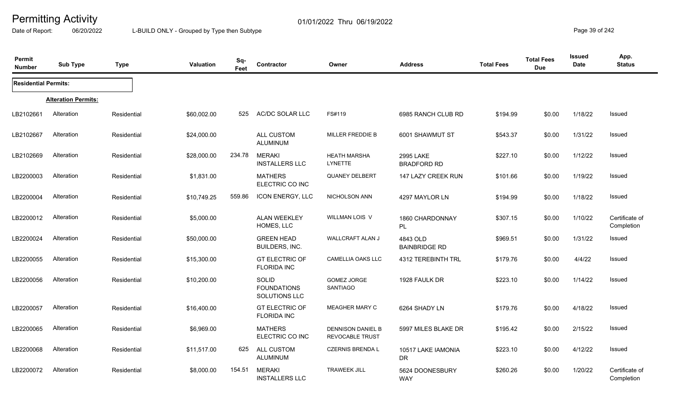Date of Report: 06/20/2022 L-BUILD ONLY - Grouped by Type then Subtype **Page 39 of 242** 

| <b>Permit</b><br><b>Number</b> | <b>Sub Type</b>            | <b>Type</b> | Valuation   | Sq-<br>Feet | Contractor                                   | Owner                                              | <b>Address</b>                   | <b>Total Fees</b> | <b>Total Fees</b><br><b>Due</b> | <b>Issued</b><br>Date | App.<br><b>Status</b>        |
|--------------------------------|----------------------------|-------------|-------------|-------------|----------------------------------------------|----------------------------------------------------|----------------------------------|-------------------|---------------------------------|-----------------------|------------------------------|
| <b>Residential Permits:</b>    |                            |             |             |             |                                              |                                                    |                                  |                   |                                 |                       |                              |
|                                | <b>Alteration Permits:</b> |             |             |             |                                              |                                                    |                                  |                   |                                 |                       |                              |
| LB2102661                      | Alteration                 | Residential | \$60,002.00 | 525         | AC/DC SOLAR LLC                              | FS#119                                             | 6985 RANCH CLUB RD               | \$194.99          | \$0.00                          | 1/18/22               | Issued                       |
| LB2102667                      | Alteration                 | Residential | \$24,000.00 |             | ALL CUSTOM<br>ALUMINUM                       | MILLER FREDDIE B                                   | 6001 SHAWMUT ST                  | \$543.37          | \$0.00                          | 1/31/22               | Issued                       |
| LB2102669                      | Alteration                 | Residential | \$28,000.00 | 234.78      | <b>MERAKI</b><br><b>INSTALLERS LLC</b>       | <b>HEATH MARSHA</b><br><b>LYNETTE</b>              | 2995 LAKE<br><b>BRADFORD RD</b>  | \$227.10          | \$0.00                          | 1/12/22               | Issued                       |
| LB2200003                      | Alteration                 | Residential | \$1,831.00  |             | <b>MATHERS</b><br>ELECTRIC CO INC            | QUANEY DELBERT                                     | 147 LAZY CREEK RUN               | \$101.66          | \$0.00                          | 1/19/22               | Issued                       |
| LB2200004                      | Alteration                 | Residential | \$10,749.25 | 559.86      | <b>ICON ENERGY, LLC</b>                      | NICHOLSON ANN                                      | 4297 MAYLOR LN                   | \$194.99          | \$0.00                          | 1/18/22               | Issued                       |
| LB2200012                      | Alteration                 | Residential | \$5,000.00  |             | ALAN WEEKLEY<br>HOMES, LLC                   | WILLMAN LOIS V                                     | 1860 CHARDONNAY<br>PL.           | \$307.15          | \$0.00                          | 1/10/22               | Certificate of<br>Completion |
| LB2200024                      | Alteration                 | Residential | \$50,000.00 |             | <b>GREEN HEAD</b><br>BUILDERS, INC.          | WALLCRAFT ALAN J                                   | 4843 OLD<br><b>BAINBRIDGE RD</b> | \$969.51          | \$0.00                          | 1/31/22               | Issued                       |
| LB2200055                      | Alteration                 | Residential | \$15,300.00 |             | <b>GT ELECTRIC OF</b><br><b>FLORIDA INC</b>  | <b>CAMELLIA OAKS LLC</b>                           | 4312 TEREBINTH TRL               | \$179.76          | \$0.00                          | 4/4/22                | Issued                       |
| LB2200056                      | Alteration                 | Residential | \$10,200.00 |             | SOLID<br><b>FOUNDATIONS</b><br>SOLUTIONS LLC | GOMEZ JORGE<br><b>SANTIAGO</b>                     | 1928 FAULK DR                    | \$223.10          | \$0.00                          | 1/14/22               | Issued                       |
| LB2200057                      | Alteration                 | Residential | \$16,400.00 |             | <b>GT ELECTRIC OF</b><br><b>FLORIDA INC</b>  | <b>MEAGHER MARY C</b>                              | 6264 SHADY LN                    | \$179.76          | \$0.00                          | 4/18/22               | Issued                       |
| LB2200065                      | Alteration                 | Residential | \$6,969.00  |             | <b>MATHERS</b><br>ELECTRIC CO INC            | <b>DENNISON DANIEL B</b><br><b>REVOCABLE TRUST</b> | 5997 MILES BLAKE DR              | \$195.42          | \$0.00                          | 2/15/22               | Issued                       |
| LB2200068                      | Alteration                 | Residential | \$11,517.00 | 625         | <b>ALL CUSTOM</b><br><b>ALUMINUM</b>         | <b>CZERNIS BRENDA L</b>                            | 10517 LAKE IAMONIA<br><b>DR</b>  | \$223.10          | \$0.00                          | 4/12/22               | Issued                       |
| LB2200072                      | Alteration                 | Residential | \$8,000.00  | 154.51      | <b>MERAKI</b><br><b>INSTALLERS LLC</b>       | <b>TRAWEEK JILL</b>                                | 5624 DOONESBURY<br><b>WAY</b>    | \$260.26          | \$0.00                          | 1/20/22               | Certificate of<br>Completion |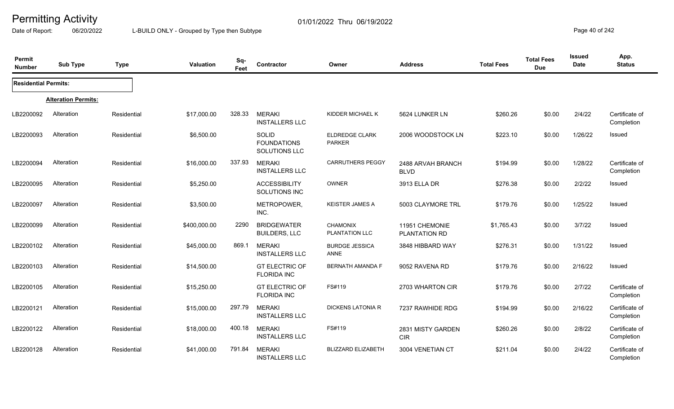Date of Report: 06/20/2022 L-BUILD ONLY - Grouped by Type then Subtype **Page 40** of 242

| Permit<br><b>Number</b>     | <b>Sub Type</b>            | <b>Type</b> | <b>Valuation</b> | Sq-<br>Feet | Contractor                                          | Owner                                  | <b>Address</b>                   | <b>Total Fees</b> | <b>Total Fees</b><br><b>Due</b> | <b>Issued</b><br><b>Date</b> | App.<br><b>Status</b>        |
|-----------------------------|----------------------------|-------------|------------------|-------------|-----------------------------------------------------|----------------------------------------|----------------------------------|-------------------|---------------------------------|------------------------------|------------------------------|
| <b>Residential Permits:</b> |                            |             |                  |             |                                                     |                                        |                                  |                   |                                 |                              |                              |
|                             | <b>Alteration Permits:</b> |             |                  |             |                                                     |                                        |                                  |                   |                                 |                              |                              |
| LB2200092                   | Alteration                 | Residential | \$17,000.00      | 328.33      | <b>MERAKI</b><br><b>INSTALLERS LLC</b>              | KIDDER MICHAEL K                       | 5624 LUNKER LN                   | \$260.26          | \$0.00                          | 2/4/22                       | Certificate of<br>Completion |
| LB2200093                   | Alteration                 | Residential | \$6,500.00       |             | <b>SOLID</b><br><b>FOUNDATIONS</b><br>SOLUTIONS LLC | <b>ELDREDGE CLARK</b><br><b>PARKER</b> | 2006 WOODSTOCK LN                | \$223.10          | \$0.00                          | 1/26/22                      | Issued                       |
| LB2200094                   | Alteration                 | Residential | \$16,000.00      | 337.93      | <b>MERAKI</b><br><b>INSTALLERS LLC</b>              | CARRUTHERS PEGGY                       | 2488 ARVAH BRANCH<br><b>BLVD</b> | \$194.99          | \$0.00                          | 1/28/22                      | Certificate of<br>Completion |
| LB2200095                   | Alteration                 | Residential | \$5,250.00       |             | <b>ACCESSIBILITY</b><br>SOLUTIONS INC               | <b>OWNER</b>                           | 3913 ELLA DR                     | \$276.38          | \$0.00                          | 2/2/22                       | Issued                       |
| LB2200097                   | Alteration                 | Residential | \$3,500.00       |             | METROPOWER,<br>INC.                                 | <b>KEISTER JAMES A</b>                 | 5003 CLAYMORE TRL                | \$179.76          | \$0.00                          | 1/25/22                      | Issued                       |
| LB2200099                   | Alteration                 | Residential | \$400,000.00     | 2290        | <b>BRIDGEWATER</b><br><b>BUILDERS, LLC</b>          | <b>CHAMONIX</b><br>PLANTATION LLC      | 11951 CHEMONIE<br>PLANTATION RD  | \$1,765.43        | \$0.00                          | 3/7/22                       | <b>Issued</b>                |
| LB2200102                   | Alteration                 | Residential | \$45,000.00      | 869.1       | <b>MERAKI</b><br><b>INSTALLERS LLC</b>              | <b>BURDGE JESSICA</b><br><b>ANNE</b>   | 3848 HIBBARD WAY                 | \$276.31          | \$0.00                          | 1/31/22                      | <b>Issued</b>                |
| LB2200103                   | Alteration                 | Residential | \$14,500.00      |             | <b>GT ELECTRIC OF</b><br><b>FLORIDA INC</b>         | <b>BERNATH AMANDA F</b>                | 9052 RAVENA RD                   | \$179.76          | \$0.00                          | 2/16/22                      | Issued                       |
| LB2200105                   | Alteration                 | Residential | \$15,250.00      |             | <b>GT ELECTRIC OF</b><br><b>FLORIDA INC</b>         | FS#119                                 | 2703 WHARTON CIR                 | \$179.76          | \$0.00                          | 2/7/22                       | Certificate of<br>Completion |
| LB2200121                   | Alteration                 | Residential | \$15,000.00      | 297.79      | <b>MERAKI</b><br><b>INSTALLERS LLC</b>              | <b>DICKENS LATONIA R</b>               | 7237 RAWHIDE RDG                 | \$194.99          | \$0.00                          | 2/16/22                      | Certificate of<br>Completion |
| LB2200122                   | Alteration                 | Residential | \$18,000.00      | 400.18      | <b>MERAKI</b><br><b>INSTALLERS LLC</b>              | FS#119                                 | 2831 MISTY GARDEN<br><b>CIR</b>  | \$260.26          | \$0.00                          | 2/8/22                       | Certificate of<br>Completion |
| LB2200128                   | Alteration                 | Residential | \$41,000.00      | 791.84      | <b>MERAKI</b><br><b>INSTALLERS LLC</b>              | <b>BLIZZARD ELIZABETH</b>              | 3004 VENETIAN CT                 | \$211.04          | \$0.00                          | 2/4/22                       | Certificate of<br>Completion |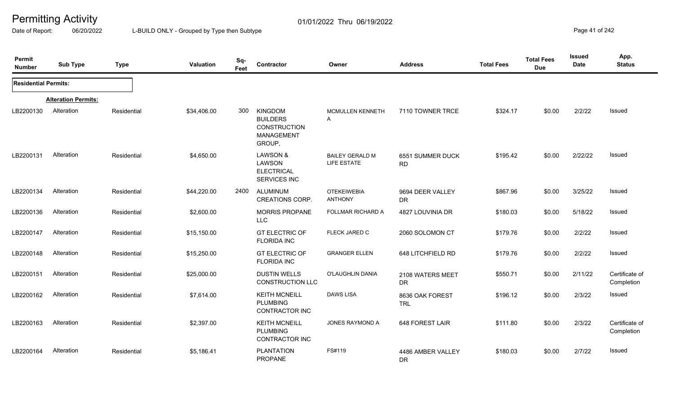Date of Report: 06/20/2022 L-BUILD ONLY - Grouped by Type then Subtype **Page 41** of 242

| Permit<br><b>Number</b>     | <b>Sub Type</b>            | <b>Type</b> | Valuation   | Sq-<br>Feet | Contractor                                                                       | Owner                                 | <b>Address</b>                 | <b>Total Fees</b> | <b>Total Fees</b><br><b>Due</b> | <b>Issued</b><br><b>Date</b> | App.<br><b>Status</b>        |
|-----------------------------|----------------------------|-------------|-------------|-------------|----------------------------------------------------------------------------------|---------------------------------------|--------------------------------|-------------------|---------------------------------|------------------------------|------------------------------|
| <b>Residential Permits:</b> |                            |             |             |             |                                                                                  |                                       |                                |                   |                                 |                              |                              |
|                             | <b>Alteration Permits:</b> |             |             |             |                                                                                  |                                       |                                |                   |                                 |                              |                              |
| LB2200130                   | Alteration                 | Residential | \$34,406.00 | 300         | <b>KINGDOM</b><br><b>BUILDERS</b><br><b>CONSTRUCTION</b><br>MANAGEMENT<br>GROUP, | MCMULLEN KENNETH<br>A                 | 7110 TOWNER TRCE               | \$324.17          | \$0.00                          | 2/2/22                       | Issued                       |
| LB2200131                   | Alteration                 | Residential | \$4,650.00  |             | <b>LAWSON &amp;</b><br>LAWSON<br><b>ELECTRICAL</b><br>SERVICES INC               | <b>BAILEY GERALD M</b><br>LIFE ESTATE | 6551 SUMMER DUCK<br><b>RD</b>  | \$195.42          | \$0.00                          | 2/22/22                      | Issued                       |
| LB2200134                   | Alteration                 | Residential | \$44,220.00 | 2400        | <b>ALUMINUM</b><br><b>CREATIONS CORP.</b>                                        | <b>OTEKEIWEBIA</b><br><b>ANTHONY</b>  | 9694 DEER VALLEY<br><b>DR</b>  | \$867.96          | \$0.00                          | 3/25/22                      | Issued                       |
| LB2200136                   | Alteration                 | Residential | \$2,600.00  |             | <b>MORRIS PROPANE</b><br><b>LLC</b>                                              | FOLLMAR RICHARD A                     | 4827 LOUVINIA DR               | \$180.03          | \$0.00                          | 5/18/22                      | <b>Issued</b>                |
| LB2200147                   | Alteration                 | Residential | \$15,150.00 |             | <b>GT ELECTRIC OF</b><br><b>FLORIDA INC</b>                                      | FLECK JARED C                         | 2060 SOLOMON CT                | \$179.76          | \$0.00                          | 2/2/22                       | Issued                       |
| LB2200148                   | Alteration                 | Residential | \$15,250.00 |             | <b>GT ELECTRIC OF</b><br><b>FLORIDA INC</b>                                      | <b>GRANGER ELLEN</b>                  | 648 LITCHFIELD RD              | \$179.76          | \$0.00                          | 2/2/22                       | Issued                       |
| LB2200151                   | Alteration                 | Residential | \$25,000.00 |             | <b>DUSTIN WELLS</b><br><b>CONSTRUCTION LLC</b>                                   | O'LAUGHLIN DANIA                      | 2108 WATERS MEET<br><b>DR</b>  | \$550.71          | \$0.00                          | 2/11/22                      | Certificate of<br>Completion |
| LB2200162                   | Alteration                 | Residential | \$7,614.00  |             | <b>KEITH MCNEILL</b><br><b>PLUMBING</b><br><b>CONTRACTOR INC</b>                 | <b>DAWS LISA</b>                      | 8636 OAK FOREST<br><b>TRL</b>  | \$196.12          | \$0.00                          | 2/3/22                       | Issued                       |
| LB2200163                   | Alteration                 | Residential | \$2,397.00  |             | <b>KEITH MCNEILL</b><br><b>PLUMBING</b><br>CONTRACTOR INC                        | <b>JONES RAYMOND A</b>                | 648 FOREST LAIR                | \$111.80          | \$0.00                          | 2/3/22                       | Certificate of<br>Completion |
| LB2200164                   | Alteration                 | Residential | \$5,186.41  |             | <b>PLANTATION</b><br>PROPANE                                                     | FS#119                                | 4486 AMBER VALLEY<br><b>DR</b> | \$180.03          | \$0.00                          | 2/7/22                       | Issued                       |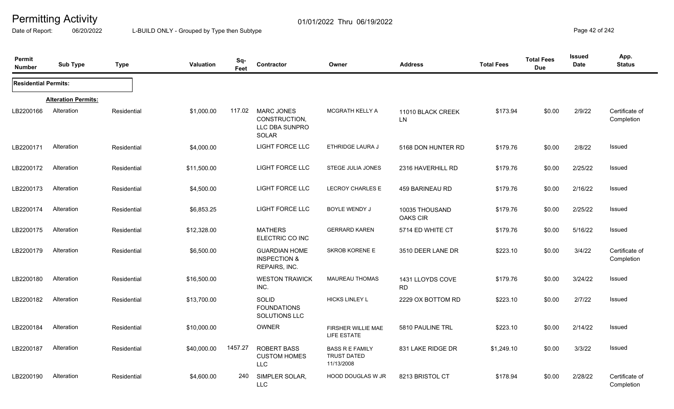Date of Report: 06/20/2022 L-BUILD ONLY - Grouped by Type then Subtype **Page 42** of 242

| Permit<br><b>Number</b>     | <b>Sub Type</b>            | <b>Type</b> | <b>Valuation</b> | Sq-<br>Feet | Contractor                                                       | Owner                                                      | <b>Address</b>                    | <b>Total Fees</b> | <b>Total Fees</b><br><b>Due</b> | <b>Issued</b><br><b>Date</b> | App.<br><b>Status</b>        |
|-----------------------------|----------------------------|-------------|------------------|-------------|------------------------------------------------------------------|------------------------------------------------------------|-----------------------------------|-------------------|---------------------------------|------------------------------|------------------------------|
| <b>Residential Permits:</b> |                            |             |                  |             |                                                                  |                                                            |                                   |                   |                                 |                              |                              |
|                             | <b>Alteration Permits:</b> |             |                  |             |                                                                  |                                                            |                                   |                   |                                 |                              |                              |
| LB2200166                   | Alteration                 | Residential | \$1,000.00       | 117.02      | <b>MARC JONES</b><br>CONSTRUCTION,<br>LLC DBA SUNPRO<br>SOLAR    | MCGRATH KELLY A                                            | 11010 BLACK CREEK<br>LN           | \$173.94          | \$0.00                          | 2/9/22                       | Certificate of<br>Completion |
| LB2200171                   | Alteration                 | Residential | \$4,000.00       |             | LIGHT FORCE LLC                                                  | ETHRIDGE LAURA J                                           | 5168 DON HUNTER RD                | \$179.76          | \$0.00                          | 2/8/22                       | <b>Issued</b>                |
| LB2200172                   | Alteration                 | Residential | \$11,500.00      |             | LIGHT FORCE LLC                                                  | STEGE JULIA JONES                                          | 2316 HAVERHILL RD                 | \$179.76          | \$0.00                          | 2/25/22                      | <b>Issued</b>                |
| LB2200173                   | Alteration                 | Residential | \$4,500.00       |             | <b>LIGHT FORCE LLC</b>                                           | <b>LECROY CHARLES E</b>                                    | <b>459 BARINEAU RD</b>            | \$179.76          | \$0.00                          | 2/16/22                      | Issued                       |
| LB2200174                   | Alteration                 | Residential | \$6,853.25       |             | <b>LIGHT FORCE LLC</b>                                           | BOYLE WENDY J                                              | 10035 THOUSAND<br><b>OAKS CIR</b> | \$179.76          | \$0.00                          | 2/25/22                      | Issued                       |
| LB2200175                   | Alteration                 | Residential | \$12,328.00      |             | <b>MATHERS</b><br>ELECTRIC CO INC                                | <b>GERRARD KAREN</b>                                       | 5714 ED WHITE CT                  | \$179.76          | \$0.00                          | 5/16/22                      | <b>Issued</b>                |
| LB2200179                   | Alteration                 | Residential | \$6,500.00       |             | <b>GUARDIAN HOME</b><br><b>INSPECTION &amp;</b><br>REPAIRS, INC. | <b>SKROB KORENE E</b>                                      | 3510 DEER LANE DR                 | \$223.10          | \$0.00                          | 3/4/22                       | Certificate of<br>Completion |
| LB2200180                   | Alteration                 | Residential | \$16,500.00      |             | <b>WESTON TRAWICK</b><br>INC.                                    | <b>MAUREAU THOMAS</b>                                      | 1431 LLOYDS COVE<br><b>RD</b>     | \$179.76          | \$0.00                          | 3/24/22                      | <b>Issued</b>                |
| LB2200182                   | Alteration                 | Residential | \$13,700.00      |             | SOLID<br><b>FOUNDATIONS</b><br>SOLUTIONS LLC                     | <b>HICKS LINLEY L</b>                                      | 2229 OX BOTTOM RD                 | \$223.10          | \$0.00                          | 2/7/22                       | <b>Issued</b>                |
| LB2200184                   | Alteration                 | Residential | \$10,000.00      |             | <b>OWNER</b>                                                     | FIRSHER WILLIE MAE<br><b>LIFE ESTATE</b>                   | 5810 PAULINE TRL                  | \$223.10          | \$0.00                          | 2/14/22                      | Issued                       |
| LB2200187                   | Alteration                 | Residential | \$40,000.00      | 1457.27     | <b>ROBERT BASS</b><br><b>CUSTOM HOMES</b><br><b>LLC</b>          | <b>BASS R E FAMILY</b><br><b>TRUST DATED</b><br>11/13/2008 | 831 LAKE RIDGE DR                 | \$1,249.10        | \$0.00                          | 3/3/22                       | Issued                       |
| LB2200190                   | Alteration                 | Residential | \$4,600.00       | 240         | SIMPLER SOLAR,<br><b>LLC</b>                                     | <b>HOOD DOUGLAS W JR</b>                                   | 8213 BRISTOL CT                   | \$178.94          | \$0.00                          | 2/28/22                      | Certificate of<br>Completion |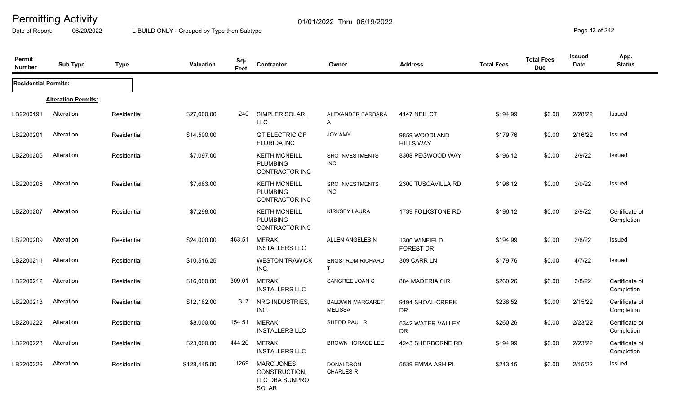Date of Report: 06/20/2022 L-BUILD ONLY - Grouped by Type then Subtype **Page 43** of 242

| Permit<br><b>Number</b>     | <b>Sub Type</b>            | <b>Type</b> | <b>Valuation</b> | Sq-<br>Feet | Contractor                                                           | Owner                                     | <b>Address</b>                    | <b>Total Fees</b> | <b>Total Fees</b><br><b>Due</b> | <b>Issued</b><br>Date | App.<br><b>Status</b>        |
|-----------------------------|----------------------------|-------------|------------------|-------------|----------------------------------------------------------------------|-------------------------------------------|-----------------------------------|-------------------|---------------------------------|-----------------------|------------------------------|
| <b>Residential Permits:</b> |                            |             |                  |             |                                                                      |                                           |                                   |                   |                                 |                       |                              |
|                             | <b>Alteration Permits:</b> |             |                  |             |                                                                      |                                           |                                   |                   |                                 |                       |                              |
| LB2200191                   | Alteration                 | Residential | \$27,000.00      | 240         | SIMPLER SOLAR,<br><b>LLC</b>                                         | ALEXANDER BARBARA<br>A                    | 4147 NEIL CT                      | \$194.99          | \$0.00                          | 2/28/22               | Issued                       |
| LB2200201                   | Alteration                 | Residential | \$14,500.00      |             | <b>GT ELECTRIC OF</b><br><b>FLORIDA INC</b>                          | <b>JOY AMY</b>                            | 9859 WOODLAND<br><b>HILLS WAY</b> | \$179.76          | \$0.00                          | 2/16/22               | Issued                       |
| LB2200205                   | Alteration                 | Residential | \$7,097.00       |             | <b>KEITH MCNEILL</b><br><b>PLUMBING</b><br><b>CONTRACTOR INC</b>     | <b>SRO INVESTMENTS</b><br><b>INC</b>      | 8308 PEGWOOD WAY                  | \$196.12          | \$0.00                          | 2/9/22                | <b>Issued</b>                |
| LB2200206                   | Alteration                 | Residential | \$7,683.00       |             | <b>KEITH MCNEILL</b><br><b>PLUMBING</b><br>CONTRACTOR INC            | <b>SRO INVESTMENTS</b><br><b>INC</b>      | 2300 TUSCAVILLA RD                | \$196.12          | \$0.00                          | 2/9/22                | Issued                       |
| LB2200207                   | Alteration                 | Residential | \$7,298.00       |             | <b>KEITH MCNEILL</b><br><b>PLUMBING</b><br>CONTRACTOR INC            | <b>KIRKSEY LAURA</b>                      | 1739 FOLKSTONE RD                 | \$196.12          | \$0.00                          | 2/9/22                | Certificate of<br>Completion |
| LB2200209                   | Alteration                 | Residential | \$24,000.00      | 463.51      | <b>MERAKI</b><br><b>INSTALLERS LLC</b>                               | ALLEN ANGELES N                           | 1300 WINFIELD<br><b>FOREST DR</b> | \$194.99          | \$0.00                          | 2/8/22                | Issued                       |
| LB2200211                   | Alteration                 | Residential | \$10,516.25      |             | <b>WESTON TRAWICK</b><br>INC.                                        | <b>ENGSTROM RICHARD</b><br>$\mathsf{T}$   | 309 CARR LN                       | \$179.76          | \$0.00                          | 4/7/22                | Issued                       |
| LB2200212                   | Alteration                 | Residential | \$16,000.00      | 309.01      | <b>MERAKI</b><br><b>INSTALLERS LLC</b>                               | SANGREE JOAN S                            | 884 MADERIA CIR                   | \$260.26          | \$0.00                          | 2/8/22                | Certificate of<br>Completion |
| LB2200213                   | Alteration                 | Residential | \$12,182.00      | 317         | NRG INDUSTRIES,<br>INC.                                              | <b>BALDWIN MARGARET</b><br><b>MELISSA</b> | 9194 SHOAL CREEK<br><b>DR</b>     | \$238.52          | \$0.00                          | 2/15/22               | Certificate of<br>Completion |
| LB2200222                   | Alteration                 | Residential | \$8,000.00       | 154.51      | <b>MERAKI</b><br><b>INSTALLERS LLC</b>                               | SHEDD PAUL R                              | 5342 WATER VALLEY<br>DR           | \$260.26          | \$0.00                          | 2/23/22               | Certificate of<br>Completion |
| LB2200223                   | Alteration                 | Residential | \$23,000.00      | 444.20      | <b>MERAKI</b><br><b>INSTALLERS LLC</b>                               | <b>BROWN HORACE LEE</b>                   | 4243 SHERBORNE RD                 | \$194.99          | \$0.00                          | 2/23/22               | Certificate of<br>Completion |
| LB2200229                   | Alteration                 | Residential | \$128,445.00     | 1269        | <b>MARC JONES</b><br>CONSTRUCTION.<br>LLC DBA SUNPRO<br><b>SOLAR</b> | <b>DONALDSON</b><br><b>CHARLES R</b>      | 5539 EMMA ASH PL                  | \$243.15          | \$0.00                          | 2/15/22               | Issued                       |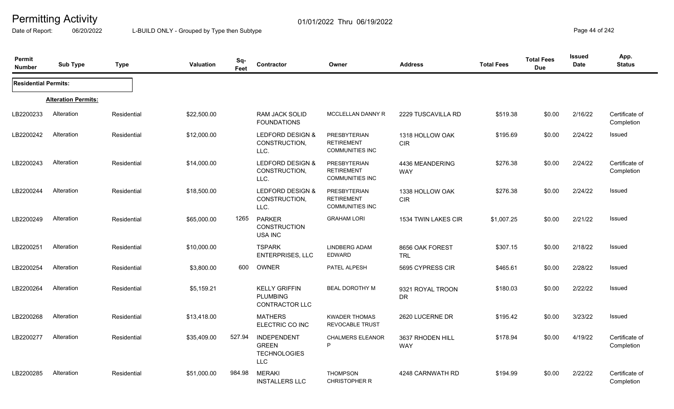Date of Report: 06/20/2022 L-BUILD ONLY - Grouped by Type then Subtype **Page 44** of 242

| Permit<br><b>Number</b>     | <b>Sub Type</b>            | <b>Type</b> | <b>Valuation</b> | Sq-<br>Feet | Contractor                                                              | Owner                                                              | <b>Address</b>                 | <b>Total Fees</b> | <b>Total Fees</b><br><b>Due</b> | Issued<br>Date | App.<br><b>Status</b>        |
|-----------------------------|----------------------------|-------------|------------------|-------------|-------------------------------------------------------------------------|--------------------------------------------------------------------|--------------------------------|-------------------|---------------------------------|----------------|------------------------------|
| <b>Residential Permits:</b> |                            |             |                  |             |                                                                         |                                                                    |                                |                   |                                 |                |                              |
|                             | <b>Alteration Permits:</b> |             |                  |             |                                                                         |                                                                    |                                |                   |                                 |                |                              |
| LB2200233                   | Alteration                 | Residential | \$22,500.00      |             | RAM JACK SOLID<br><b>FOUNDATIONS</b>                                    | MCCLELLAN DANNY R                                                  | 2229 TUSCAVILLA RD             | \$519.38          | \$0.00                          | 2/16/22        | Certificate of<br>Completion |
| LB2200242                   | Alteration                 | Residential | \$12,000.00      |             | LEDFORD DESIGN &<br>CONSTRUCTION,<br>LLC.                               | <b>PRESBYTERIAN</b><br><b>RETIREMENT</b><br><b>COMMUNITIES INC</b> | 1318 HOLLOW OAK<br>CIR         | \$195.69          | \$0.00                          | 2/24/22        | Issued                       |
| LB2200243                   | Alteration                 | Residential | \$14,000.00      |             | LEDFORD DESIGN &<br>CONSTRUCTION,<br>LLC.                               | <b>PRESBYTERIAN</b><br><b>RETIREMENT</b><br><b>COMMUNITIES INC</b> | 4436 MEANDERING<br><b>WAY</b>  | \$276.38          | \$0.00                          | 2/24/22        | Certificate of<br>Completion |
| LB2200244                   | Alteration                 | Residential | \$18,500.00      |             | LEDFORD DESIGN &<br>CONSTRUCTION,<br>LLC.                               | PRESBYTERIAN<br><b>RETIREMENT</b><br><b>COMMUNITIES INC</b>        | 1338 HOLLOW OAK<br>CIR         | \$276.38          | \$0.00                          | 2/24/22        | <b>Issued</b>                |
| LB2200249                   | Alteration                 | Residential | \$65,000.00      | 1265        | <b>PARKER</b><br><b>CONSTRUCTION</b><br><b>USA INC</b>                  | <b>GRAHAM LORI</b>                                                 | 1534 TWIN LAKES CIR            | \$1,007.25        | \$0.00                          | 2/21/22        | <b>Issued</b>                |
| LB2200251                   | Alteration                 | Residential | \$10,000.00      |             | <b>TSPARK</b><br><b>ENTERPRISES, LLC</b>                                | <b>LINDBERG ADAM</b><br><b>EDWARD</b>                              | 8656 OAK FOREST<br><b>TRL</b>  | \$307.15          | \$0.00                          | 2/18/22        | <b>Issued</b>                |
| LB2200254                   | Alteration                 | Residential | \$3,800.00       | 600         | OWNER                                                                   | PATEL ALPESH                                                       | 5695 CYPRESS CIR               | \$465.61          | \$0.00                          | 2/28/22        | Issued                       |
| LB2200264                   | Alteration                 | Residential | \$5,159.21       |             | <b>KELLY GRIFFIN</b><br><b>PLUMBING</b><br>CONTRACTOR LLC               | <b>BEAL DOROTHY M</b>                                              | 9321 ROYAL TROON<br><b>DR</b>  | \$180.03          | \$0.00                          | 2/22/22        | Issued                       |
| LB2200268                   | Alteration                 | Residential | \$13,418.00      |             | <b>MATHERS</b><br>ELECTRIC CO INC                                       | <b>KWADER THOMAS</b><br><b>REVOCABLE TRUST</b>                     | 2620 LUCERNE DR                | \$195.42          | \$0.00                          | 3/23/22        | Issued                       |
| LB2200277                   | Alteration                 | Residential | \$35,409.00      | 527.94      | <b>INDEPENDENT</b><br><b>GREEN</b><br><b>TECHNOLOGIES</b><br><b>LLC</b> | <b>CHALMERS ELEANOR</b><br>P                                       | 3637 RHODEN HILL<br><b>WAY</b> | \$178.94          | \$0.00                          | 4/19/22        | Certificate of<br>Completion |
| LB2200285                   | Alteration                 | Residential | \$51,000.00      | 984.98      | <b>MERAKI</b><br><b>INSTALLERS LLC</b>                                  | <b>THOMPSON</b><br>CHRISTOPHER R                                   | 4248 CARNWATH RD               | \$194.99          | \$0.00                          | 2/22/22        | Certificate of<br>Completion |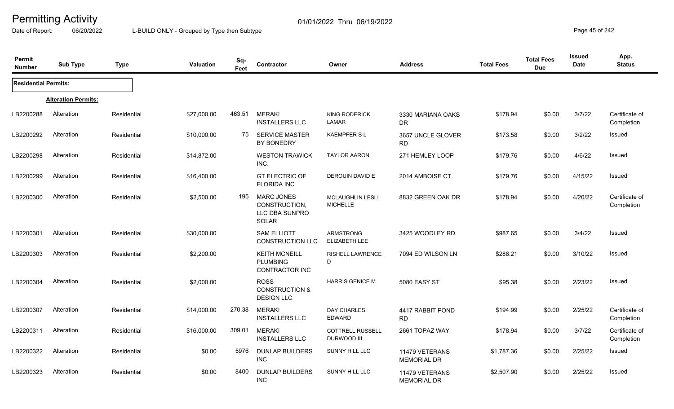Date of Report: 06/20/2022 L-BUILD ONLY - Grouped by Type then Subtype **Page 45** of 242

| <b>Permit</b><br><b>Number</b> | <b>Sub Type</b>            | <b>Type</b> | <b>Valuation</b> | Sq-<br>Feet | Contractor                                                    | Owner                                      | <b>Address</b>                       | <b>Total Fees</b> | <b>Total Fees</b><br><b>Due</b> | Issued<br>Date | App.<br><b>Status</b>        |
|--------------------------------|----------------------------|-------------|------------------|-------------|---------------------------------------------------------------|--------------------------------------------|--------------------------------------|-------------------|---------------------------------|----------------|------------------------------|
| <b>Residential Permits:</b>    |                            |             |                  |             |                                                               |                                            |                                      |                   |                                 |                |                              |
|                                | <b>Alteration Permits:</b> |             |                  |             |                                                               |                                            |                                      |                   |                                 |                |                              |
| LB2200288                      | Alteration                 | Residential | \$27,000.00      | 463.51      | <b>MERAKI</b><br><b>INSTALLERS LLC</b>                        | <b>KING RODERICK</b><br>LAMAR              | 3330 MARIANA OAKS<br><b>DR</b>       | \$178.94          | \$0.00                          | 3/7/22         | Certificate of<br>Completion |
| LB2200292                      | Alteration                 | Residential | \$10,000.00      | 75          | <b>SERVICE MASTER</b><br>BY BONEDRY                           | <b>KAEMPFERSL</b>                          | 3657 UNCLE GLOVER<br><b>RD</b>       | \$173.58          | \$0.00                          | 3/2/22         | Issued                       |
| LB2200298                      | Alteration                 | Residential | \$14,872.00      |             | <b>WESTON TRAWICK</b><br>INC.                                 | <b>TAYLOR AARON</b>                        | 271 HEMLEY LOOP                      | \$179.76          | \$0.00                          | 4/6/22         | Issued                       |
| LB2200299                      | Alteration                 | Residential | \$16,400.00      |             | <b>GT ELECTRIC OF</b><br><b>FLORIDA INC</b>                   | DEROUIN DAVID E                            | 2014 AMBOISE CT                      | \$179.76          | \$0.00                          | 4/15/22        | Issued                       |
| LB2200300                      | Alteration                 | Residential | \$2,500.00       | 195         | <b>MARC JONES</b><br>CONSTRUCTION,<br>LLC DBA SUNPRO<br>SOLAR | <b>MCLAUGHLIN LESLI</b><br><b>MICHELLE</b> | 8832 GREEN OAK DR                    | \$178.94          | \$0.00                          | 4/20/22        | Certificate of<br>Completion |
| LB2200301                      | Alteration                 | Residential | \$30,000.00      |             | <b>SAM ELLIOTT</b><br><b>CONSTRUCTION LLC</b>                 | <b>ARMSTRONG</b><br>ELIZABETH LEE          | 3425 WOODLEY RD                      | \$987.65          | \$0.00                          | 3/4/22         | Issued                       |
| LB2200303                      | Alteration                 | Residential | \$2,200.00       |             | <b>KEITH MCNEILL</b><br><b>PLUMBING</b><br>CONTRACTOR INC     | RISHELL LAWRENCE<br>D                      | 7094 ED WILSON LN                    | \$288.21          | \$0.00                          | 3/10/22        | Issued                       |
| LB2200304                      | Alteration                 | Residential | \$2,000.00       |             | <b>ROSS</b><br><b>CONSTRUCTION &amp;</b><br><b>DESIGN LLC</b> | <b>HARRIS GENICE M</b>                     | <b>5080 EASY ST</b>                  | \$95.38           | \$0.00                          | 2/23/22        | Issued                       |
| LB2200307                      | Alteration                 | Residential | \$14,000.00      | 270.38      | <b>MERAKI</b><br><b>INSTALLERS LLC</b>                        | <b>DAY CHARLES</b><br><b>EDWARD</b>        | 4417 RABBIT POND<br><b>RD</b>        | \$194.99          | \$0.00                          | 2/25/22        | Certificate of<br>Completion |
| LB2200311                      | Alteration                 | Residential | \$16,000.00      | 309.01      | <b>MERAKI</b><br><b>INSTALLERS LLC</b>                        | <b>COTTRELL RUSSELL</b><br>DURWOOD III     | 2661 TOPAZ WAY                       | \$178.94          | \$0.00                          | 3/7/22         | Certificate of<br>Completion |
| LB2200322                      | Alteration                 | Residential | \$0.00           | 5976        | <b>DUNLAP BUILDERS</b><br><b>INC</b>                          | <b>SUNNY HILL LLC</b>                      | 11479 VETERANS<br><b>MEMORIAL DR</b> | \$1,787.36        | \$0.00                          | 2/25/22        | Issued                       |
| LB2200323                      | Alteration                 | Residential | \$0.00           | 8400        | <b>DUNLAP BUILDERS</b><br>INC                                 | <b>SUNNY HILL LLC</b>                      | 11479 VETERANS<br><b>MEMORIAL DR</b> | \$2,507.90        | \$0.00                          | 2/25/22        | Issued                       |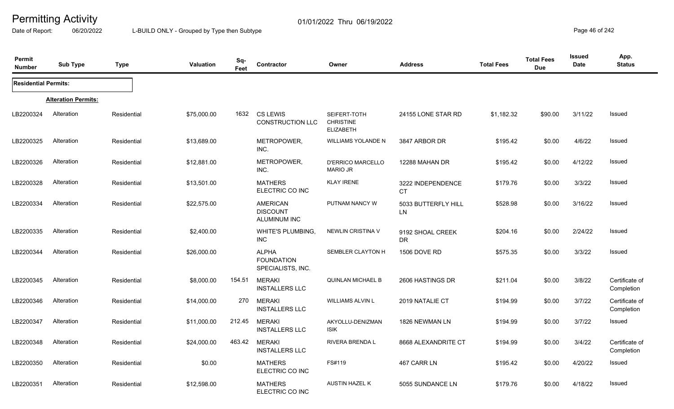Date of Report: 06/20/2022 L-BUILD ONLY - Grouped by Type then Subtype **Page 46** of 242

| Permit<br><b>Number</b>     | <b>Sub Type</b>            | <b>Type</b> | <b>Valuation</b> | Sq-<br>Feet | Contractor                                             | Owner                                                | <b>Address</b>                 | <b>Total Fees</b> | <b>Total Fees</b><br><b>Due</b> | Issued<br>Date | App.<br><b>Status</b>        |
|-----------------------------|----------------------------|-------------|------------------|-------------|--------------------------------------------------------|------------------------------------------------------|--------------------------------|-------------------|---------------------------------|----------------|------------------------------|
| <b>Residential Permits:</b> |                            |             |                  |             |                                                        |                                                      |                                |                   |                                 |                |                              |
|                             | <b>Alteration Permits:</b> |             |                  |             |                                                        |                                                      |                                |                   |                                 |                |                              |
| LB2200324                   | Alteration                 | Residential | \$75,000.00      | 1632        | <b>CS LEWIS</b><br><b>CONSTRUCTION LLC</b>             | SEIFERT-TOTH<br><b>CHRISTINE</b><br><b>ELIZABETH</b> | 24155 LONE STAR RD             | \$1,182.32        | \$90.00                         | 3/11/22        | Issued                       |
| LB2200325                   | Alteration                 | Residential | \$13,689.00      |             | METROPOWER,<br>INC.                                    | WILLIAMS YOLANDE N                                   | 3847 ARBOR DR                  | \$195.42          | \$0.00                          | 4/6/22         | Issued                       |
| LB2200326                   | Alteration                 | Residential | \$12,881.00      |             | METROPOWER,<br>INC.                                    | <b>D'ERRICO MARCELLO</b><br><b>MARIO JR</b>          | 12288 MAHAN DR                 | \$195.42          | \$0.00                          | 4/12/22        | Issued                       |
| LB2200328                   | Alteration                 | Residential | \$13,501.00      |             | <b>MATHERS</b><br>ELECTRIC CO INC                      | <b>KLAY IRENE</b>                                    | 3222 INDEPENDENCE<br><b>CT</b> | \$179.76          | \$0.00                          | 3/3/22         | Issued                       |
| LB2200334                   | Alteration                 | Residential | \$22,575.00      |             | <b>AMERICAN</b><br><b>DISCOUNT</b><br>ALUMINUM INC     | PUTNAM NANCY W                                       | 5033 BUTTERFLY HILL<br>LN      | \$528.98          | \$0.00                          | 3/16/22        | Issued                       |
| LB2200335                   | Alteration                 | Residential | \$2,400.00       |             | WHITE'S PLUMBING,<br><b>INC</b>                        | <b>NEWLIN CRISTINA V</b>                             | 9192 SHOAL CREEK<br><b>DR</b>  | \$204.16          | \$0.00                          | 2/24/22        | Issued                       |
| LB2200344                   | Alteration                 | Residential | \$26,000.00      |             | <b>ALPHA</b><br><b>FOUNDATION</b><br>SPECIALISTS, INC. | SEMBLER CLAYTON H                                    | 1506 DOVE RD                   | \$575.35          | \$0.00                          | 3/3/22         | Issued                       |
| LB2200345                   | Alteration                 | Residential | \$8,000.00       | 154.51      | <b>MERAKI</b><br><b>INSTALLERS LLC</b>                 | <b>QUINLAN MICHAEL B</b>                             | 2606 HASTINGS DR               | \$211.04          | \$0.00                          | 3/8/22         | Certificate of<br>Completion |
| LB2200346                   | Alteration                 | Residential | \$14,000.00      | 270         | <b>MERAKI</b><br><b>INSTALLERS LLC</b>                 | <b>WILLIAMS ALVIN L</b>                              | 2019 NATALIE CT                | \$194.99          | \$0.00                          | 3/7/22         | Certificate of<br>Completion |
| LB2200347                   | Alteration                 | Residential | \$11,000.00      | 212.45      | <b>MERAKI</b><br><b>INSTALLERS LLC</b>                 | AKYOLLU-DENIZMAN<br><b>ISIK</b>                      | 1826 NEWMAN LN                 | \$194.99          | \$0.00                          | 3/7/22         | Issued                       |
| LB2200348                   | Alteration                 | Residential | \$24,000.00      | 463.42      | <b>MERAKI</b><br><b>INSTALLERS LLC</b>                 | RIVERA BRENDA L                                      | 8668 ALEXANDRITE CT            | \$194.99          | \$0.00                          | 3/4/22         | Certificate of<br>Completion |
| LB2200350                   | Alteration                 | Residential | \$0.00           |             | <b>MATHERS</b><br>ELECTRIC CO INC                      | FS#119                                               | 467 CARR LN                    | \$195.42          | \$0.00                          | 4/20/22        | Issued                       |
| LB2200351                   | Alteration                 | Residential | \$12,598.00      |             | <b>MATHERS</b><br>ELECTRIC CO INC                      | <b>AUSTIN HAZEL K</b>                                | 5055 SUNDANCE LN               | \$179.76          | \$0.00                          | 4/18/22        | Issued                       |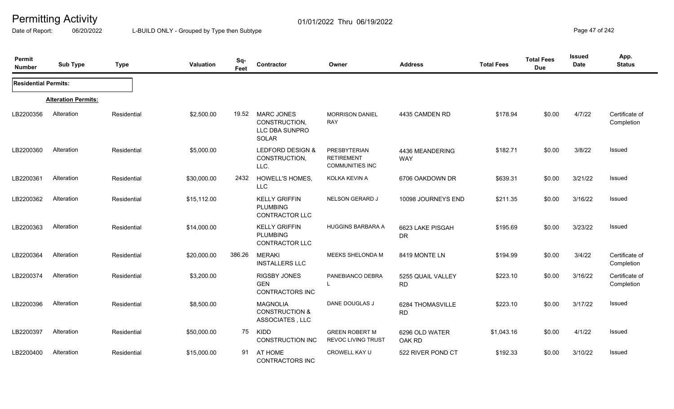Date of Report: 06/20/2022 L-BUILD ONLY - Grouped by Type then Subtype **Page 47** of 242

| Permit<br><b>Number</b>     | <b>Sub Type</b>            | <b>Type</b> | Valuation   | Sq-<br>Feet | Contractor                                                       | Owner                                                       | <b>Address</b>                 | <b>Total Fees</b> | <b>Total Fees</b><br><b>Due</b> | <b>Issued</b><br>Date | App.<br><b>Status</b>        |
|-----------------------------|----------------------------|-------------|-------------|-------------|------------------------------------------------------------------|-------------------------------------------------------------|--------------------------------|-------------------|---------------------------------|-----------------------|------------------------------|
| <b>Residential Permits:</b> |                            |             |             |             |                                                                  |                                                             |                                |                   |                                 |                       |                              |
|                             | <b>Alteration Permits:</b> |             |             |             |                                                                  |                                                             |                                |                   |                                 |                       |                              |
| LB2200356                   | Alteration                 | Residential | \$2,500.00  | 19.52       | <b>MARC JONES</b><br>CONSTRUCTION,<br>LLC DBA SUNPRO<br>SOLAR    | <b>MORRISON DANIEL</b><br><b>RAY</b>                        | 4435 CAMDEN RD                 | \$178.94          | \$0.00                          | 4/7/22                | Certificate of<br>Completion |
| LB2200360                   | Alteration                 | Residential | \$5,000.00  |             | LEDFORD DESIGN &<br>CONSTRUCTION,<br>LLC.                        | PRESBYTERIAN<br><b>RETIREMENT</b><br><b>COMMUNITIES INC</b> | 4436 MEANDERING<br><b>WAY</b>  | \$182.71          | \$0.00                          | 3/8/22                | <b>Issued</b>                |
| LB2200361                   | Alteration                 | Residential | \$30,000.00 | 2432        | <b>HOWELL'S HOMES,</b><br><b>LLC</b>                             | KOLKA KEVIN A                                               | 6706 OAKDOWN DR                | \$639.31          | \$0.00                          | 3/21/22               | Issued                       |
| LB2200362                   | Alteration                 | Residential | \$15,112.00 |             | <b>KELLY GRIFFIN</b><br><b>PLUMBING</b><br><b>CONTRACTOR LLC</b> | NELSON GERARD J                                             | 10098 JOURNEYS END             | \$211.35          | \$0.00                          | 3/16/22               | <b>Issued</b>                |
| LB2200363                   | Alteration                 | Residential | \$14,000.00 |             | <b>KELLY GRIFFIN</b><br><b>PLUMBING</b><br><b>CONTRACTOR LLC</b> | <b>HUGGINS BARBARA A</b>                                    | 6623 LAKE PISGAH<br><b>DR</b>  | \$195.69          | \$0.00                          | 3/23/22               | Issued                       |
| LB2200364                   | Alteration                 | Residential | \$20,000.00 | 386.26      | <b>MERAKI</b><br><b>INSTALLERS LLC</b>                           | <b>MEEKS SHELONDA M</b>                                     | 8419 MONTE LN                  | \$194.99          | \$0.00                          | 3/4/22                | Certificate of<br>Completion |
| LB2200374                   | Alteration                 | Residential | \$3,200.00  |             | <b>RIGSBY JONES</b><br><b>GEN</b><br><b>CONTRACTORS INC</b>      | PANEBIANCO DEBRA                                            | 5255 QUAIL VALLEY<br><b>RD</b> | \$223.10          | \$0.00                          | 3/16/22               | Certificate of<br>Completion |
| LB2200396                   | Alteration                 | Residential | \$8,500.00  |             | <b>MAGNOLIA</b><br><b>CONSTRUCTION &amp;</b><br>ASSOCIATES, LLC  | DANE DOUGLAS J                                              | 6284 THOMASVILLE<br><b>RD</b>  | \$223.10          | \$0.00                          | 3/17/22               | Issued                       |
| LB2200397                   | Alteration                 | Residential | \$50,000.00 | 75          | KIDD<br><b>CONSTRUCTION INC</b>                                  | <b>GREEN ROBERT M</b><br><b>REVOC LIVING TRUST</b>          | 6296 OLD WATER<br>OAK RD       | \$1,043.16        | \$0.00                          | 4/1/22                | <b>Issued</b>                |
| LB2200400                   | Alteration                 | Residential | \$15,000.00 | 91          | AT HOME<br><b>CONTRACTORS INC</b>                                | CROWELL KAY U                                               | 522 RIVER POND CT              | \$192.33          | \$0.00                          | 3/10/22               | <b>Issued</b>                |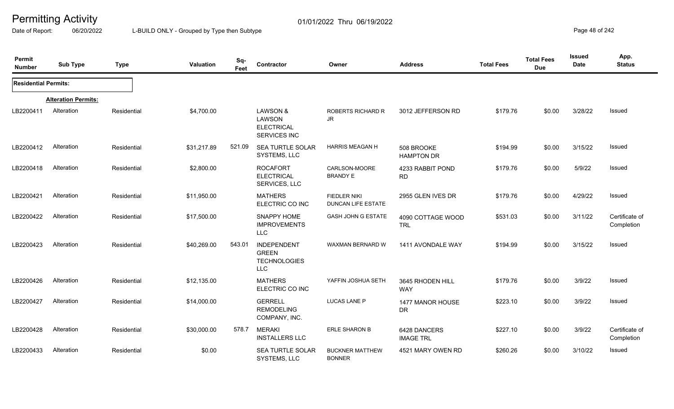Date of Report: 06/20/2022 L-BUILD ONLY - Grouped by Type then Subtype **Page 48** of 242

| Permit<br><b>Number</b>     | <b>Sub Type</b>            | <b>Type</b> | Valuation   | Sq-<br>Feet | Contractor                                                              | Owner                                            | <b>Address</b>                   | <b>Total Fees</b> | <b>Total Fees</b><br><b>Due</b> | <b>Issued</b><br>Date | App.<br><b>Status</b>        |
|-----------------------------|----------------------------|-------------|-------------|-------------|-------------------------------------------------------------------------|--------------------------------------------------|----------------------------------|-------------------|---------------------------------|-----------------------|------------------------------|
| <b>Residential Permits:</b> |                            |             |             |             |                                                                         |                                                  |                                  |                   |                                 |                       |                              |
|                             | <b>Alteration Permits:</b> |             |             |             |                                                                         |                                                  |                                  |                   |                                 |                       |                              |
| LB2200411                   | Alteration                 | Residential | \$4,700.00  |             | LAWSON &<br>LAWSON<br><b>ELECTRICAL</b><br>SERVICES INC                 | <b>ROBERTS RICHARD R</b><br>JR                   | 3012 JEFFERSON RD                | \$179.76          | \$0.00                          | 3/28/22               | Issued                       |
| LB2200412                   | Alteration                 | Residential | \$31,217.89 | 521.09      | <b>SEA TURTLE SOLAR</b><br>SYSTEMS, LLC                                 | <b>HARRIS MEAGAN H</b>                           | 508 BROOKE<br><b>HAMPTON DR</b>  | \$194.99          | \$0.00                          | 3/15/22               | <b>Issued</b>                |
| LB2200418                   | Alteration                 | Residential | \$2,800.00  |             | <b>ROCAFORT</b><br><b>ELECTRICAL</b><br>SERVICES, LLC                   | CARLSON-MOORE<br><b>BRANDY E</b>                 | 4233 RABBIT POND<br><b>RD</b>    | \$179.76          | \$0.00                          | 5/9/22                | Issued                       |
| LB2200421                   | Alteration                 | Residential | \$11,950.00 |             | <b>MATHERS</b><br>ELECTRIC CO INC                                       | <b>FIEDLER NIKI</b><br><b>DUNCAN LIFE ESTATE</b> | 2955 GLEN IVES DR                | \$179.76          | \$0.00                          | 4/29/22               | Issued                       |
| LB2200422                   | Alteration                 | Residential | \$17,500.00 |             | SNAPPY HOME<br><b>IMPROVEMENTS</b><br><b>LLC</b>                        | <b>GASH JOHN G ESTATE</b>                        | 4090 COTTAGE WOOD<br>TRL         | \$531.03          | \$0.00                          | 3/11/22               | Certificate of<br>Completion |
| LB2200423                   | Alteration                 | Residential | \$40,269.00 | 543.01      | <b>INDEPENDENT</b><br><b>GREEN</b><br><b>TECHNOLOGIES</b><br><b>LLC</b> | WAXMAN BERNARD W                                 | 1411 AVONDALE WAY                | \$194.99          | \$0.00                          | 3/15/22               | Issued                       |
| LB2200426                   | Alteration                 | Residential | \$12,135.00 |             | <b>MATHERS</b><br>ELECTRIC CO INC                                       | YAFFIN JOSHUA SETH                               | 3645 RHODEN HILL<br>WAY          | \$179.76          | \$0.00                          | 3/9/22                | <b>Issued</b>                |
| LB2200427                   | Alteration                 | Residential | \$14,000.00 |             | <b>GERRELL</b><br><b>REMODELING</b><br>COMPANY, INC.                    | <b>LUCAS LANE P</b>                              | 1477 MANOR HOUSE<br><b>DR</b>    | \$223.10          | \$0.00                          | 3/9/22                | Issued                       |
| LB2200428                   | Alteration                 | Residential | \$30,000.00 | 578.7       | <b>MERAKI</b><br><b>INSTALLERS LLC</b>                                  | ERLE SHARON B                                    | 6428 DANCERS<br><b>IMAGE TRL</b> | \$227.10          | \$0.00                          | 3/9/22                | Certificate of<br>Completion |
| LB2200433                   | Alteration                 | Residential | \$0.00      |             | <b>SEA TURTLE SOLAR</b><br>SYSTEMS, LLC                                 | <b>BUCKNER MATTHEW</b><br><b>BONNER</b>          | 4521 MARY OWEN RD                | \$260.26          | \$0.00                          | 3/10/22               | <b>Issued</b>                |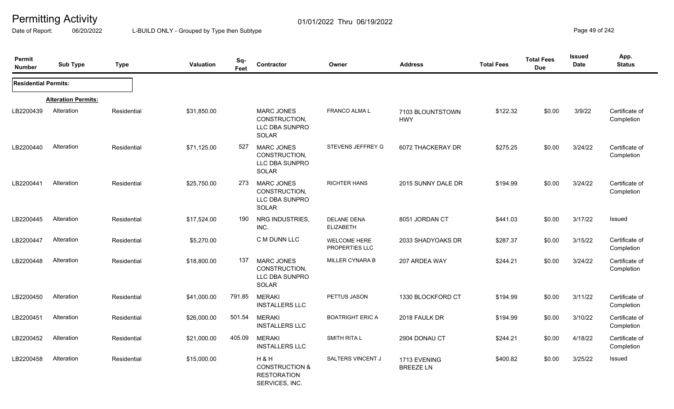Date of Report: 06/20/2022 L-BUILD ONLY - Grouped by Type then Subtype **Page 19** of 242

| Permit<br><b>Number</b>     | <b>Sub Type</b>            | <b>Type</b> | <b>Valuation</b> | Sq-<br>Feet | Contractor                                                               | Owner                                  | <b>Address</b>                   | <b>Total Fees</b> | <b>Total Fees</b><br><b>Due</b> | <b>Issued</b><br><b>Date</b> | App.<br><b>Status</b>        |
|-----------------------------|----------------------------|-------------|------------------|-------------|--------------------------------------------------------------------------|----------------------------------------|----------------------------------|-------------------|---------------------------------|------------------------------|------------------------------|
| <b>Residential Permits:</b> |                            |             |                  |             |                                                                          |                                        |                                  |                   |                                 |                              |                              |
|                             | <b>Alteration Permits:</b> |             |                  |             |                                                                          |                                        |                                  |                   |                                 |                              |                              |
| LB2200439                   | Alteration                 | Residential | \$31,850.00      |             | <b>MARC JONES</b><br>CONSTRUCTION,<br>LLC DBA SUNPRO<br><b>SOLAR</b>     | FRANCO ALMA L                          | 7103 BLOUNTSTOWN<br><b>HWY</b>   | \$122.32          | \$0.00                          | 3/9/22                       | Certificate of<br>Completion |
| LB2200440                   | Alteration                 | Residential | \$71,125.00      | 527         | <b>MARC JONES</b><br>CONSTRUCTION,<br>LLC DBA SUNPRO<br>SOLAR            | STEVENS JEFFREY G                      | 6072 THACKERAY DR                | \$275.25          | \$0.00                          | 3/24/22                      | Certificate of<br>Completion |
| LB2200441                   | Alteration                 | Residential | \$25,750.00      | 273         | <b>MARC JONES</b><br>CONSTRUCTION,<br>LLC DBA SUNPRO<br>SOLAR            | <b>RICHTER HANS</b>                    | 2015 SUNNY DALE DR               | \$194.99          | \$0.00                          | 3/24/22                      | Certificate of<br>Completion |
| LB2200445                   | Alteration                 | Residential | \$17,524.00      | 190         | NRG INDUSTRIES,<br>INC.                                                  | <b>DELANE DENA</b><br><b>ELIZABETH</b> | 8051 JORDAN CT                   | \$441.03          | \$0.00                          | 3/17/22                      | Issued                       |
| LB2200447                   | Alteration                 | Residential | \$5,270.00       |             | C M DUNN LLC                                                             | <b>WELCOME HERE</b><br>PROPERTIES LLC  | 2033 SHADYOAKS DR                | \$287.37          | \$0.00                          | 3/15/22                      | Certificate of<br>Completion |
| LB2200448                   | Alteration                 | Residential | \$18,800.00      | 137         | <b>MARC JONES</b><br>CONSTRUCTION,<br>LLC DBA SUNPRO<br><b>SOLAR</b>     | <b>MILLER CYNARA B</b>                 | 207 ARDEA WAY                    | \$244.21          | \$0.00                          | 3/24/22                      | Certificate of<br>Completion |
| LB2200450                   | Alteration                 | Residential | \$41,000.00      | 791.85      | <b>MERAKI</b><br><b>INSTALLERS LLC</b>                                   | PETTUS JASON                           | 1330 BLOCKFORD CT                | \$194.99          | \$0.00                          | 3/11/22                      | Certificate of<br>Completion |
| LB2200451                   | Alteration                 | Residential | \$26,000.00      | 501.54      | <b>MERAKI</b><br><b>INSTALLERS LLC</b>                                   | <b>BOATRIGHT ERIC A</b>                | 2018 FAULK DR                    | \$194.99          | \$0.00                          | 3/10/22                      | Certificate of<br>Completion |
| LB2200452                   | Alteration                 | Residential | \$21,000.00      | 405.09      | <b>MERAKI</b><br><b>INSTALLERS LLC</b>                                   | <b>SMITH RITA L</b>                    | 2904 DONAU CT                    | \$244.21          | \$0.00                          | 4/18/22                      | Certificate of<br>Completion |
| LB2200458                   | Alteration                 | Residential | \$15,000.00      |             | H&H<br><b>CONSTRUCTION &amp;</b><br><b>RESTORATION</b><br>SERVICES, INC. | SALTERS VINCENT J                      | 1713 EVENING<br><b>BREEZE LN</b> | \$400.82          | \$0.00                          | 3/25/22                      | Issued                       |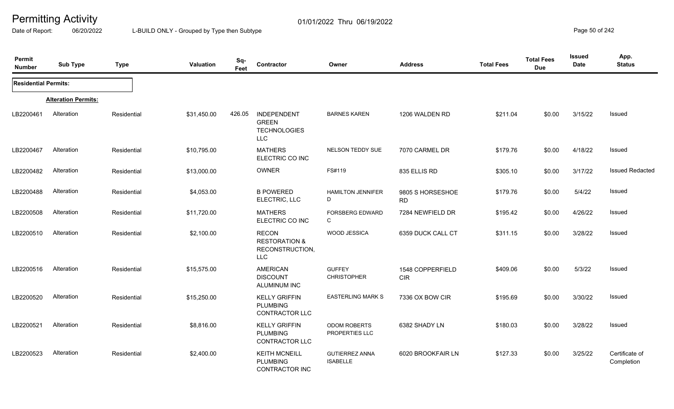Date of Report: 06/20/2022 L-BUILD ONLY - Grouped by Type then Subtype **Page 50** of 242

| Permit<br><b>Number</b>     | <b>Sub Type</b>            | <b>Type</b> | Valuation   | Sq-<br>Feet | Contractor                                                                | Owner                                    | <b>Address</b>                 | <b>Total Fees</b> | <b>Total Fees</b><br><b>Due</b> | <b>Issued</b><br>Date | App.<br><b>Status</b>        |
|-----------------------------|----------------------------|-------------|-------------|-------------|---------------------------------------------------------------------------|------------------------------------------|--------------------------------|-------------------|---------------------------------|-----------------------|------------------------------|
| <b>Residential Permits:</b> |                            |             |             |             |                                                                           |                                          |                                |                   |                                 |                       |                              |
|                             | <b>Alteration Permits:</b> |             |             |             |                                                                           |                                          |                                |                   |                                 |                       |                              |
| LB2200461                   | Alteration                 | Residential | \$31,450.00 | 426.05      | <b>INDEPENDENT</b><br><b>GREEN</b><br><b>TECHNOLOGIES</b><br><b>LLC</b>   | <b>BARNES KAREN</b>                      | 1206 WALDEN RD                 | \$211.04          | \$0.00                          | 3/15/22               | Issued                       |
| LB2200467                   | Alteration                 | Residential | \$10,795.00 |             | <b>MATHERS</b><br>ELECTRIC CO INC                                         | NELSON TEDDY SUE                         | 7070 CARMEL DR                 | \$179.76          | \$0.00                          | 4/18/22               | Issued                       |
| LB2200482                   | Alteration                 | Residential | \$13,000.00 |             | OWNER                                                                     | FS#119                                   | 835 ELLIS RD                   | \$305.10          | \$0.00                          | 3/17/22               | <b>Issued Redacted</b>       |
| LB2200488                   | Alteration                 | Residential | \$4,053.00  |             | <b>B POWERED</b><br>ELECTRIC, LLC                                         | <b>HAMILTON JENNIFER</b><br>D            | 9805 S HORSESHOE<br><b>RD</b>  | \$179.76          | \$0.00                          | 5/4/22                | <b>Issued</b>                |
| LB2200508                   | Alteration                 | Residential | \$11,720.00 |             | <b>MATHERS</b><br>ELECTRIC CO INC                                         | <b>FORSBERG EDWARD</b><br>C              | 7284 NEWFIELD DR               | \$195.42          | \$0.00                          | 4/26/22               | Issued                       |
| LB2200510                   | Alteration                 | Residential | \$2,100.00  |             | <b>RECON</b><br><b>RESTORATION &amp;</b><br>RECONSTRUCTION,<br><b>LLC</b> | WOOD JESSICA                             | 6359 DUCK CALL CT              | \$311.15          | \$0.00                          | 3/28/22               | <b>Issued</b>                |
| LB2200516                   | Alteration                 | Residential | \$15,575.00 |             | <b>AMERICAN</b><br><b>DISCOUNT</b><br><b>ALUMINUM INC</b>                 | <b>GUFFEY</b><br><b>CHRISTOPHER</b>      | 1548 COPPERFIELD<br><b>CIR</b> | \$409.06          | \$0.00                          | 5/3/22                | Issued                       |
| LB2200520                   | Alteration                 | Residential | \$15,250.00 |             | <b>KELLY GRIFFIN</b><br><b>PLUMBING</b><br><b>CONTRACTOR LLC</b>          | <b>EASTERLING MARK S</b>                 | 7336 OX BOW CIR                | \$195.69          | \$0.00                          | 3/30/22               | <b>Issued</b>                |
| LB2200521                   | Alteration                 | Residential | \$8,816.00  |             | <b>KELLY GRIFFIN</b><br><b>PLUMBING</b><br>CONTRACTOR LLC                 | <b>ODOM ROBERTS</b><br>PROPERTIES LLC    | 6382 SHADY LN                  | \$180.03          | \$0.00                          | 3/28/22               | <b>Issued</b>                |
| LB2200523                   | Alteration                 | Residential | \$2,400.00  |             | <b>KEITH MCNEILL</b><br><b>PLUMBING</b><br><b>CONTRACTOR INC</b>          | <b>GUTIERREZ ANNA</b><br><b>ISABELLE</b> | 6020 BROOKFAIR LN              | \$127.33          | \$0.00                          | 3/25/22               | Certificate of<br>Completion |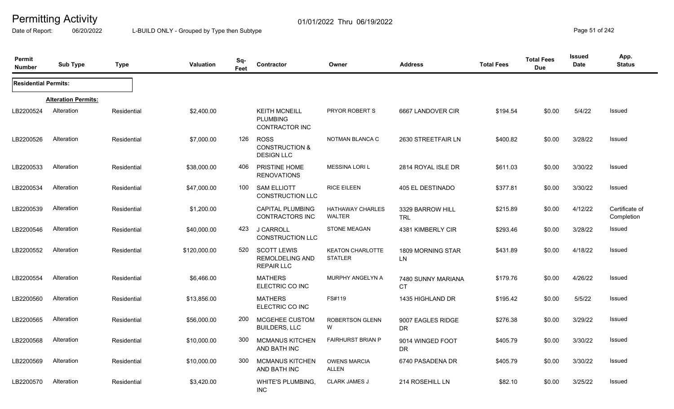Date of Report: 06/20/2022 L-BUILD ONLY - Grouped by Type then Subtype **Page 51** of 242

| Permit<br><b>Number</b>     | <b>Sub Type</b>            | <b>Type</b> | <b>Valuation</b> | Sq-<br>Feet | Contractor                                                        | Owner                                     | <b>Address</b>                  | <b>Total Fees</b> | <b>Total Fees</b><br><b>Due</b> | <b>Issued</b><br><b>Date</b> | App.<br><b>Status</b>        |
|-----------------------------|----------------------------|-------------|------------------|-------------|-------------------------------------------------------------------|-------------------------------------------|---------------------------------|-------------------|---------------------------------|------------------------------|------------------------------|
| <b>Residential Permits:</b> |                            |             |                  |             |                                                                   |                                           |                                 |                   |                                 |                              |                              |
|                             | <b>Alteration Permits:</b> |             |                  |             |                                                                   |                                           |                                 |                   |                                 |                              |                              |
| LB2200524                   | Alteration                 | Residential | \$2,400.00       |             | <b>KEITH MCNEILL</b><br><b>PLUMBING</b><br>CONTRACTOR INC         | PRYOR ROBERT S                            | 6667 LANDOVER CIR               | \$194.54          | \$0.00                          | 5/4/22                       | <b>Issued</b>                |
| LB2200526                   | Alteration                 | Residential | \$7,000.00       | 126         | <b>ROSS</b><br><b>CONSTRUCTION &amp;</b><br><b>DESIGN LLC</b>     | NOTMAN BLANCA C                           | 2630 STREETFAIR LN              | \$400.82          | \$0.00                          | 3/28/22                      | Issued                       |
| LB2200533                   | Alteration                 | Residential | \$38,000.00      | 406         | PRISTINE HOME<br><b>RENOVATIONS</b>                               | <b>MESSINA LORI L</b>                     | 2814 ROYAL ISLE DR              | \$611.03          | \$0.00                          | 3/30/22                      | Issued                       |
| LB2200534                   | Alteration                 | Residential | \$47,000.00      | 100         | <b>SAM ELLIOTT</b><br>CONSTRUCTION LLC                            | <b>RICE EILEEN</b>                        | 405 EL DESTINADO                | \$377.81          | \$0.00                          | 3/30/22                      | Issued                       |
| LB2200539                   | Alteration                 | Residential | \$1,200.00       |             | <b>CAPITAL PLUMBING</b><br>CONTRACTORS INC                        | <b>HATHAWAY CHARLES</b><br><b>WALTER</b>  | 3329 BARROW HILL<br><b>TRL</b>  | \$215.89          | \$0.00                          | 4/12/22                      | Certificate of<br>Completion |
| LB2200546                   | Alteration                 | Residential | \$40,000.00      | 423         | J CARROLL<br><b>CONSTRUCTION LLC</b>                              | <b>STONE MEAGAN</b>                       | 4381 KIMBERLY CIR               | \$293.46          | \$0.00                          | 3/28/22                      | Issued                       |
| LB2200552                   | Alteration                 | Residential | \$120,000.00     | 520         | <b>SCOTT LEWIS</b><br><b>REMOLDELING AND</b><br><b>REPAIR LLC</b> | <b>KEATON CHARLOTTE</b><br><b>STATLER</b> | 1809 MORNING STAR<br>LN         | \$431.89          | \$0.00                          | 4/18/22                      | Issued                       |
| LB2200554                   | Alteration                 | Residential | \$6,466.00       |             | <b>MATHERS</b><br>ELECTRIC CO INC                                 | MURPHY ANGELYN A                          | 7480 SUNNY MARIANA<br><b>CT</b> | \$179.76          | \$0.00                          | 4/26/22                      | Issued                       |
| LB2200560                   | Alteration                 | Residential | \$13,856.00      |             | <b>MATHERS</b><br>ELECTRIC CO INC                                 | FS#119                                    | 1435 HIGHLAND DR                | \$195.42          | \$0.00                          | 5/5/22                       | Issued                       |
| LB2200565                   | Alteration                 | Residential | \$56,000.00      | 200         | MCGEHEE CUSTOM<br><b>BUILDERS, LLC</b>                            | <b>ROBERTSON GLENN</b><br>W               | 9007 EAGLES RIDGE<br>DR         | \$276.38          | \$0.00                          | 3/29/22                      | Issued                       |
| LB2200568                   | Alteration                 | Residential | \$10,000.00      | 300         | <b>MCMANUS KITCHEN</b><br>AND BATH INC                            | <b>FAIRHURST BRIAN P</b>                  | 9014 WINGED FOOT<br>DR.         | \$405.79          | \$0.00                          | 3/30/22                      | Issued                       |
| LB2200569                   | Alteration                 | Residential | \$10,000.00      | 300         | <b>MCMANUS KITCHEN</b><br>AND BATH INC                            | <b>OWENS MARCIA</b><br><b>ALLEN</b>       | 6740 PASADENA DR                | \$405.79          | \$0.00                          | 3/30/22                      | Issued                       |
| LB2200570                   | Alteration                 | Residential | \$3,420.00       |             | WHITE'S PLUMBING,<br><b>INC</b>                                   | <b>CLARK JAMES J</b>                      | 214 ROSEHILL LN                 | \$82.10           | \$0.00                          | 3/25/22                      | Issued                       |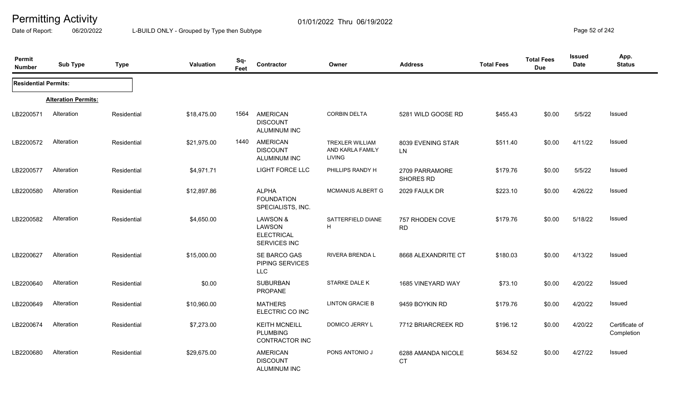Date of Report: 06/20/2022 L-BUILD ONLY - Grouped by Type then Subtype **Page 52 of 242** 

| Permit<br><b>Number</b>     | <b>Sub Type</b>            | <b>Type</b> | Valuation   | Sq-<br>Feet | Contractor                                                       | Owner                                                       | <b>Address</b>                  | <b>Total Fees</b> | <b>Total Fees</b><br><b>Due</b> | Issued<br><b>Date</b> | App.<br><b>Status</b>        |
|-----------------------------|----------------------------|-------------|-------------|-------------|------------------------------------------------------------------|-------------------------------------------------------------|---------------------------------|-------------------|---------------------------------|-----------------------|------------------------------|
| <b>Residential Permits:</b> |                            |             |             |             |                                                                  |                                                             |                                 |                   |                                 |                       |                              |
|                             | <b>Alteration Permits:</b> |             |             |             |                                                                  |                                                             |                                 |                   |                                 |                       |                              |
| LB2200571                   | Alteration                 | Residential | \$18,475.00 | 1564        | <b>AMERICAN</b><br><b>DISCOUNT</b><br><b>ALUMINUM INC</b>        | <b>CORBIN DELTA</b>                                         | 5281 WILD GOOSE RD              | \$455.43          | \$0.00                          | 5/5/22                | Issued                       |
| LB2200572                   | Alteration                 | Residential | \$21,975.00 | 1440        | <b>AMERICAN</b><br><b>DISCOUNT</b><br>ALUMINUM INC               | <b>TREXLER WILLIAM</b><br>AND KARLA FAMILY<br><b>LIVING</b> | 8039 EVENING STAR<br>LN         | \$511.40          | \$0.00                          | 4/11/22               | <b>Issued</b>                |
| LB2200577                   | Alteration                 | Residential | \$4,971.71  |             | <b>LIGHT FORCE LLC</b>                                           | PHILLIPS RANDY H                                            | 2709 PARRAMORE<br>SHORES RD     | \$179.76          | \$0.00                          | 5/5/22                | Issued                       |
| LB2200580                   | Alteration                 | Residential | \$12,897.86 |             | <b>ALPHA</b><br><b>FOUNDATION</b><br>SPECIALISTS, INC.           | <b>MCMANUS ALBERT G</b>                                     | 2029 FAULK DR                   | \$223.10          | \$0.00                          | 4/26/22               | <b>Issued</b>                |
| LB2200582                   | Alteration                 | Residential | \$4,650.00  |             | LAWSON &<br>LAWSON<br><b>ELECTRICAL</b><br>SERVICES INC          | SATTERFIELD DIANE<br>H                                      | 757 RHODEN COVE<br><b>RD</b>    | \$179.76          | \$0.00                          | 5/18/22               | <b>Issued</b>                |
| LB2200627                   | Alteration                 | Residential | \$15,000.00 |             | SE BARCO GAS<br>PIPING SERVICES<br><b>LLC</b>                    | RIVERA BRENDA L                                             | 8668 ALEXANDRITE CT             | \$180.03          | \$0.00                          | 4/13/22               | Issued                       |
| LB2200640                   | Alteration                 | Residential | \$0.00      |             | <b>SUBURBAN</b><br>PROPANE                                       | STARKE DALE K                                               | 1685 VINEYARD WAY               | \$73.10           | \$0.00                          | 4/20/22               | <b>Issued</b>                |
| LB2200649                   | Alteration                 | Residential | \$10,960.00 |             | <b>MATHERS</b><br>ELECTRIC CO INC                                | <b>LINTON GRACIE B</b>                                      | 9459 BOYKIN RD                  | \$179.76          | \$0.00                          | 4/20/22               | Issued                       |
| LB2200674                   | Alteration                 | Residential | \$7,273.00  |             | <b>KEITH MCNEILL</b><br><b>PLUMBING</b><br><b>CONTRACTOR INC</b> | DOMICO JERRY L                                              | 7712 BRIARCREEK RD              | \$196.12          | \$0.00                          | 4/20/22               | Certificate of<br>Completion |
| LB2200680                   | Alteration                 | Residential | \$29,675.00 |             | AMERICAN<br><b>DISCOUNT</b><br><b>ALUMINUM INC</b>               | PONS ANTONIO J                                              | 6288 AMANDA NICOLE<br><b>CT</b> | \$634.52          | \$0.00                          | 4/27/22               | Issued                       |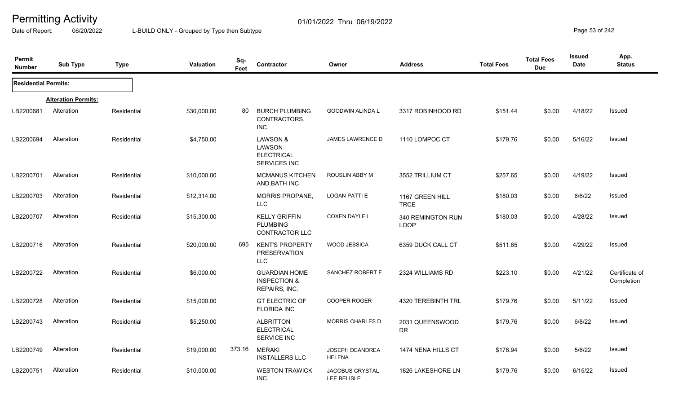Date of Report: 06/20/2022 L-BUILD ONLY - Grouped by Type then Subtype **Page 53** of 242

| Permit<br><b>Number</b>     | <b>Sub Type</b>            | <b>Type</b> | <b>Valuation</b> | Sq-<br>Feet | Contractor                                                         | Owner                                 | <b>Address</b>                   | <b>Total Fees</b> | <b>Total Fees</b><br><b>Due</b> | Issued<br><b>Date</b> | App.<br><b>Status</b>        |
|-----------------------------|----------------------------|-------------|------------------|-------------|--------------------------------------------------------------------|---------------------------------------|----------------------------------|-------------------|---------------------------------|-----------------------|------------------------------|
| <b>Residential Permits:</b> |                            |             |                  |             |                                                                    |                                       |                                  |                   |                                 |                       |                              |
|                             | <b>Alteration Permits:</b> |             |                  |             |                                                                    |                                       |                                  |                   |                                 |                       |                              |
| LB2200681                   | Alteration                 | Residential | \$30,000.00      | 80          | <b>BURCH PLUMBING</b><br>CONTRACTORS,<br>INC.                      | <b>GOODWIN ALINDA L</b>               | 3317 ROBINHOOD RD                | \$151.44          | \$0.00                          | 4/18/22               | Issued                       |
| LB2200694                   | Alteration                 | Residential | \$4,750.00       |             | <b>LAWSON &amp;</b><br>LAWSON<br><b>ELECTRICAL</b><br>SERVICES INC | JAMES LAWRENCE D                      | 1110 LOMPOC CT                   | \$179.76          | \$0.00                          | 5/16/22               | Issued                       |
| LB2200701                   | Alteration                 | Residential | \$10,000.00      |             | <b>MCMANUS KITCHEN</b><br>AND BATH INC                             | ROUSLIN ABBY M                        | 3552 TRILLIUM CT                 | \$257.65          | \$0.00                          | 4/19/22               | Issued                       |
| LB2200703                   | Alteration                 | Residential | \$12,314.00      |             | <b>MORRIS PROPANE,</b><br><b>LLC</b>                               | <b>LOGAN PATTI E</b>                  | 1167 GREEN HILL<br><b>TRCE</b>   | \$180.03          | \$0.00                          | 6/6/22                | <b>Issued</b>                |
| LB2200707                   | Alteration                 | Residential | \$15,300.00      |             | <b>KELLY GRIFFIN</b><br><b>PLUMBING</b><br>CONTRACTOR LLC          | <b>COXEN DAYLE L</b>                  | 340 REMINGTON RUN<br><b>LOOP</b> | \$180.03          | \$0.00                          | 4/28/22               | Issued                       |
| LB2200716                   | Alteration                 | Residential | \$20,000.00      | 695         | <b>KENT'S PROPERTY</b><br><b>PRESERVATION</b><br><b>LLC</b>        | <b>WOOD JESSICA</b>                   | 6359 DUCK CALL CT                | \$511.85          | \$0.00                          | 4/29/22               | Issued                       |
| LB2200722                   | Alteration                 | Residential | \$6,000.00       |             | <b>GUARDIAN HOME</b><br><b>INSPECTION &amp;</b><br>REPAIRS, INC.   | SANCHEZ ROBERT F                      | 2324 WILLIAMS RD                 | \$223.10          | \$0.00                          | 4/21/22               | Certificate of<br>Completion |
| LB2200728                   | Alteration                 | Residential | \$15,000.00      |             | <b>GT ELECTRIC OF</b><br><b>FLORIDA INC</b>                        | <b>COOPER ROGER</b>                   | 4320 TEREBINTH TRL               | \$179.76          | \$0.00                          | 5/11/22               | Issued                       |
| LB2200743                   | Alteration                 | Residential | \$5,250.00       |             | <b>ALBRITTON</b><br><b>ELECTRICAL</b><br>SERVICE INC               | <b>MORRIS CHARLES D</b>               | 2031 QUEENSWOOD<br><b>DR</b>     | \$179.76          | \$0.00                          | 6/8/22                | Issued                       |
| LB2200749                   | Alteration                 | Residential | \$19,000.00      | 373.16      | <b>MERAKI</b><br><b>INSTALLERS LLC</b>                             | JOSEPH DEANDREA<br><b>HELENA</b>      | 1474 NENA HILLS CT               | \$178.94          | \$0.00                          | 5/6/22                | <b>Issued</b>                |
| LB2200751                   | Alteration                 | Residential | \$10,000.00      |             | <b>WESTON TRAWICK</b><br>INC.                                      | <b>JACOBUS CRYSTAL</b><br>LEE BELISLE | 1826 LAKESHORE LN                | \$179.76          | \$0.00                          | 6/15/22               | Issued                       |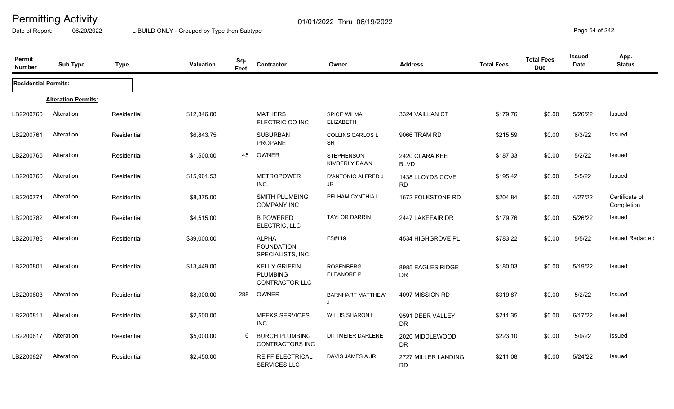Date of Report: 06/20/2022 L-BUILD ONLY - Grouped by Type then Subtype **Page 54** of 242

| Permit<br><b>Number</b>     | <b>Sub Type</b>            | <b>Type</b> | Valuation   | Sq-<br>Feet | Contractor                                                | Owner                                     | <b>Address</b>                   | <b>Total Fees</b> | <b>Total Fees</b><br><b>Due</b> | Issued<br>Date | App.<br><b>Status</b>        |
|-----------------------------|----------------------------|-------------|-------------|-------------|-----------------------------------------------------------|-------------------------------------------|----------------------------------|-------------------|---------------------------------|----------------|------------------------------|
| <b>Residential Permits:</b> |                            |             |             |             |                                                           |                                           |                                  |                   |                                 |                |                              |
|                             | <b>Alteration Permits:</b> |             |             |             |                                                           |                                           |                                  |                   |                                 |                |                              |
| LB2200760                   | Alteration                 | Residential | \$12,346.00 |             | <b>MATHERS</b><br>ELECTRIC CO INC                         | <b>SPICE WILMA</b><br><b>ELIZABETH</b>    | 3324 VAILLAN CT                  | \$179.76          | \$0.00                          | 5/26/22        | <b>Issued</b>                |
| LB2200761                   | Alteration                 | Residential | \$6,843.75  |             | <b>SUBURBAN</b><br>PROPANE                                | <b>COLLINS CARLOS L</b><br>SR             | 9066 TRAM RD                     | \$215.59          | \$0.00                          | 6/3/22         | <b>Issued</b>                |
| LB2200765                   | Alteration                 | Residential | \$1,500.00  | 45          | OWNER                                                     | <b>STEPHENSON</b><br><b>KIMBERLY DAWN</b> | 2420 CLARA KEE<br><b>BLVD</b>    | \$187.33          | \$0.00                          | 5/2/22         | Issued                       |
| LB2200766                   | Alteration                 | Residential | \$15,961.53 |             | METROPOWER,<br>INC.                                       | D'ANTONIO ALFRED J<br>JR                  | 1438 LLOYDS COVE<br><b>RD</b>    | \$195.42          | \$0.00                          | 5/5/22         | <b>Issued</b>                |
| LB2200774                   | Alteration                 | Residential | \$8,375.00  |             | SMITH PLUMBING<br><b>COMPANY INC</b>                      | PELHAM CYNTHIA L                          | 1672 FOLKSTONE RD                | \$204.84          | \$0.00                          | 4/27/22        | Certificate of<br>Completion |
| LB2200782                   | Alteration                 | Residential | \$4,515.00  |             | <b>B POWERED</b><br>ELECTRIC, LLC                         | <b>TAYLOR DARRIN</b>                      | 2447 LAKEFAIR DR                 | \$179.76          | \$0.00                          | 5/26/22        | Issued                       |
| LB2200786                   | Alteration                 | Residential | \$39,000.00 |             | <b>ALPHA</b><br><b>FOUNDATION</b><br>SPECIALISTS, INC.    | FS#119                                    | 4534 HIGHGROVE PL                | \$783.22          | \$0.00                          | 5/5/22         | <b>Issued Redacted</b>       |
| LB2200801                   | Alteration                 | Residential | \$13,449.00 |             | <b>KELLY GRIFFIN</b><br><b>PLUMBING</b><br>CONTRACTOR LLC | <b>ROSENBERG</b><br>ELEANORE P            | 8985 EAGLES RIDGE<br><b>DR</b>   | \$180.03          | \$0.00                          | 5/19/22        | Issued                       |
| LB2200803                   | Alteration                 | Residential | \$8,000.00  | 288         | OWNER                                                     | <b>BARNHART MATTHEW</b>                   | 4097 MISSION RD                  | \$319.87          | \$0.00                          | 5/2/22         | Issued                       |
| LB2200811                   | Alteration                 | Residential | \$2,500.00  |             | <b>MEEKS SERVICES</b><br><b>INC</b>                       | <b>WILLIS SHARON L</b>                    | 9591 DEER VALLEY<br><b>DR</b>    | \$211.35          | \$0.00                          | 6/17/22        | Issued                       |
| LB2200817                   | Alteration                 | Residential | \$5,000.00  | 6           | <b>BURCH PLUMBING</b><br><b>CONTRACTORS INC</b>           | <b>DITTMEIER DARLENE</b>                  | 2020 MIDDLEWOOD<br>DR            | \$223.10          | \$0.00                          | 5/9/22         | Issued                       |
| LB2200827                   | Alteration                 | Residential | \$2,450.00  |             | <b>REIFF ELECTRICAL</b><br><b>SERVICES LLC</b>            | DAVIS JAMES A JR                          | 2727 MILLER LANDING<br><b>RD</b> | \$211.08          | \$0.00                          | 5/24/22        | Issued                       |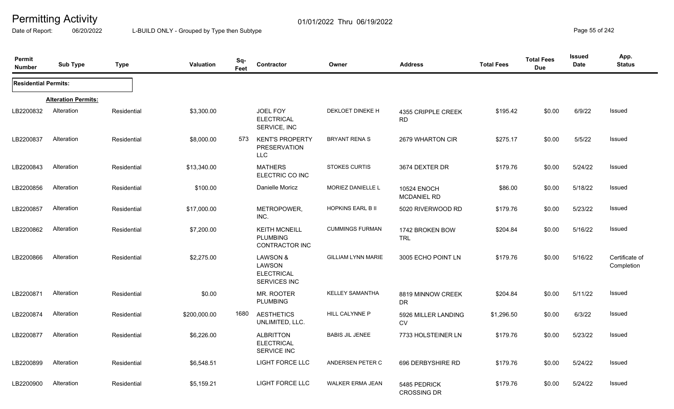Date of Report: 06/20/2022 L-BUILD ONLY - Grouped by Type then Subtype **Page 55** of 242

| Permit<br><b>Number</b>     | <b>Sub Type</b>            | <b>Type</b> | <b>Valuation</b> | Sq-<br>Feet | Contractor                                                | Owner                     | <b>Address</b>                           | <b>Total Fees</b> | <b>Total Fees</b><br><b>Due</b> | <b>Issued</b><br>Date | App.<br><b>Status</b>        |
|-----------------------------|----------------------------|-------------|------------------|-------------|-----------------------------------------------------------|---------------------------|------------------------------------------|-------------------|---------------------------------|-----------------------|------------------------------|
| <b>Residential Permits:</b> |                            |             |                  |             |                                                           |                           |                                          |                   |                                 |                       |                              |
|                             | <b>Alteration Permits:</b> |             |                  |             |                                                           |                           |                                          |                   |                                 |                       |                              |
| LB2200832                   | Alteration                 | Residential | \$3,300.00       |             | <b>JOEL FOY</b><br><b>ELECTRICAL</b><br>SERVICE, INC      | DEKLOET DINEKE H          | 4355 CRIPPLE CREEK<br><b>RD</b>          | \$195.42          | \$0.00                          | 6/9/22                | Issued                       |
| LB2200837                   | Alteration                 | Residential | \$8,000.00       | 573         | <b>KENT'S PROPERTY</b><br>PRESERVATION<br><b>LLC</b>      | <b>BRYANT RENA S</b>      | 2679 WHARTON CIR                         | \$275.17          | \$0.00                          | 5/5/22                | Issued                       |
| LB2200843                   | Alteration                 | Residential | \$13,340.00      |             | <b>MATHERS</b><br>ELECTRIC CO INC                         | <b>STOKES CURTIS</b>      | 3674 DEXTER DR                           | \$179.76          | \$0.00                          | 5/24/22               | Issued                       |
| LB2200856                   | Alteration                 | Residential | \$100.00         |             | Danielle Moricz                                           | MORIEZ DANIELLE L         | <b>10524 ENOCH</b><br><b>MCDANIEL RD</b> | \$86.00           | \$0.00                          | 5/18/22               | Issued                       |
| LB2200857                   | Alteration                 | Residential | \$17,000.00      |             | METROPOWER,<br>INC.                                       | <b>HOPKINS EARL B II</b>  | 5020 RIVERWOOD RD                        | \$179.76          | \$0.00                          | 5/23/22               | Issued                       |
| LB2200862                   | Alteration                 | Residential | \$7,200.00       |             | <b>KEITH MCNEILL</b><br><b>PLUMBING</b><br>CONTRACTOR INC | <b>CUMMINGS FURMAN</b>    | 1742 BROKEN BOW<br><b>TRL</b>            | \$204.84          | \$0.00                          | 5/16/22               | Issued                       |
| LB2200866                   | Alteration                 | Residential | \$2,275.00       |             | LAWSON &<br>LAWSON<br><b>ELECTRICAL</b><br>SERVICES INC   | <b>GILLIAM LYNN MARIE</b> | 3005 ECHO POINT LN                       | \$179.76          | \$0.00                          | 5/16/22               | Certificate of<br>Completion |
| LB2200871                   | Alteration                 | Residential | \$0.00           |             | MR. ROOTER<br><b>PLUMBING</b>                             | <b>KELLEY SAMANTHA</b>    | 8819 MINNOW CREEK<br><b>DR</b>           | \$204.84          | \$0.00                          | 5/11/22               | Issued                       |
| LB2200874                   | Alteration                 | Residential | \$200,000.00     | 1680        | <b>AESTHETICS</b><br>UNLIMITED, LLC.                      | HILL CALYNNE P            | 5926 MILLER LANDING<br><b>CV</b>         | \$1,296.50        | \$0.00                          | 6/3/22                | <b>Issued</b>                |
| LB2200877                   | Alteration                 | Residential | \$6,226.00       |             | <b>ALBRITTON</b><br><b>ELECTRICAL</b><br>SERVICE INC      | <b>BABIS JIL JENEE</b>    | 7733 HOLSTEINER LN                       | \$179.76          | \$0.00                          | 5/23/22               | <b>Issued</b>                |
| LB2200899                   | Alteration                 | Residential | \$6,548.51       |             | LIGHT FORCE LLC                                           | ANDERSEN PETER C          | 696 DERBYSHIRE RD                        | \$179.76          | \$0.00                          | 5/24/22               | Issued                       |
| LB2200900                   | Alteration                 | Residential | \$5,159.21       |             | LIGHT FORCE LLC                                           | <b>WALKER ERMA JEAN</b>   | 5485 PEDRICK<br><b>CROSSING DR</b>       | \$179.76          | \$0.00                          | 5/24/22               | <b>Issued</b>                |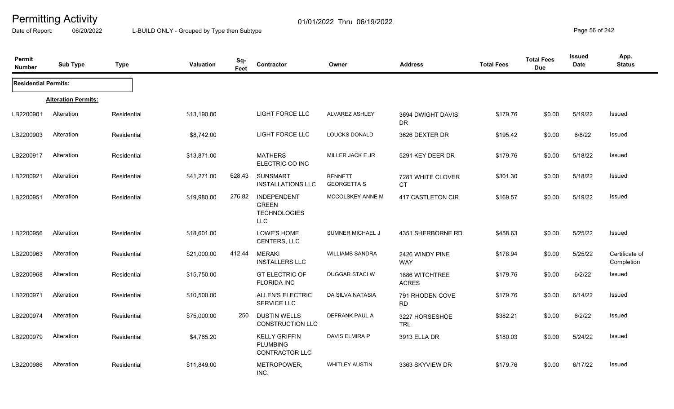Date of Report: 06/20/2022 L-BUILD ONLY - Grouped by Type then Subtype **Page 56** of 242

| Permit<br><b>Number</b>     | <b>Sub Type</b>            | <b>Type</b> | Valuation   | Sq-<br>Feet | Contractor                                                              | Owner                                | <b>Address</b>                 | <b>Total Fees</b> | <b>Total Fees</b><br><b>Due</b> | <b>Issued</b><br>Date | App.<br><b>Status</b>        |
|-----------------------------|----------------------------|-------------|-------------|-------------|-------------------------------------------------------------------------|--------------------------------------|--------------------------------|-------------------|---------------------------------|-----------------------|------------------------------|
| <b>Residential Permits:</b> |                            |             |             |             |                                                                         |                                      |                                |                   |                                 |                       |                              |
|                             | <b>Alteration Permits:</b> |             |             |             |                                                                         |                                      |                                |                   |                                 |                       |                              |
| LB2200901                   | Alteration                 | Residential | \$13,190.00 |             | LIGHT FORCE LLC                                                         | <b>ALVAREZ ASHLEY</b>                | 3694 DWIGHT DAVIS<br>DR.       | \$179.76          | \$0.00                          | 5/19/22               | Issued                       |
| LB2200903                   | Alteration                 | Residential | \$8,742.00  |             | <b>LIGHT FORCE LLC</b>                                                  | <b>LOUCKS DONALD</b>                 | 3626 DEXTER DR                 | \$195.42          | \$0.00                          | 6/8/22                | <b>Issued</b>                |
| LB2200917                   | Alteration                 | Residential | \$13,871.00 |             | <b>MATHERS</b><br>ELECTRIC CO INC                                       | MILLER JACK E JR                     | 5291 KEY DEER DR               | \$179.76          | \$0.00                          | 5/18/22               | Issued                       |
| LB2200921                   | Alteration                 | Residential | \$41,271.00 | 628.43      | <b>SUNSMART</b><br><b>INSTALLATIONS LLC</b>                             | <b>BENNETT</b><br><b>GEORGETTA S</b> | 7281 WHITE CLOVER<br><b>CT</b> | \$301.30          | \$0.00                          | 5/18/22               | Issued                       |
| LB2200951                   | Alteration                 | Residential | \$19,980.00 | 276.82      | <b>INDEPENDENT</b><br><b>GREEN</b><br><b>TECHNOLOGIES</b><br><b>LLC</b> | MCCOLSKEY ANNE M                     | 417 CASTLETON CIR              | \$169.57          | \$0.00                          | 5/19/22               | Issued                       |
| LB2200956                   | Alteration                 | Residential | \$18,601.00 |             | LOWE'S HOME<br>CENTERS, LLC                                             | SUMNER MICHAEL J                     | 4351 SHERBORNE RD              | \$458.63          | \$0.00                          | 5/25/22               | Issued                       |
| LB2200963                   | Alteration                 | Residential | \$21,000.00 | 412.44      | <b>MERAKI</b><br><b>INSTALLERS LLC</b>                                  | <b>WILLIAMS SANDRA</b>               | 2426 WINDY PINE<br><b>WAY</b>  | \$178.94          | \$0.00                          | 5/25/22               | Certificate of<br>Completion |
| LB2200968                   | Alteration                 | Residential | \$15,750.00 |             | <b>GT ELECTRIC OF</b><br><b>FLORIDA INC</b>                             | DUGGAR STACI W                       | 1886 WITCHTREE<br><b>ACRES</b> | \$179.76          | \$0.00                          | 6/2/22                | Issued                       |
| LB2200971                   | Alteration                 | Residential | \$10,500.00 |             | <b>ALLEN'S ELECTRIC</b><br>SERVICE LLC                                  | DA SILVA NATASIA                     | 791 RHODEN COVE<br><b>RD</b>   | \$179.76          | \$0.00                          | 6/14/22               | Issued                       |
| LB2200974                   | Alteration                 | Residential | \$75,000.00 | 250         | <b>DUSTIN WELLS</b><br><b>CONSTRUCTION LLC</b>                          | DEFRANK PAUL A                       | 3227 HORSESHOE<br><b>TRL</b>   | \$382.21          | \$0.00                          | 6/2/22                | Issued                       |
| LB2200979                   | Alteration                 | Residential | \$4,765.20  |             | <b>KELLY GRIFFIN</b><br><b>PLUMBING</b><br><b>CONTRACTOR LLC</b>        | <b>DAVIS ELMIRA P</b>                | 3913 ELLA DR                   | \$180.03          | \$0.00                          | 5/24/22               | Issued                       |
| LB2200986                   | Alteration                 | Residential | \$11,849.00 |             | METROPOWER,<br>INC.                                                     | <b>WHITLEY AUSTIN</b>                | 3363 SKYVIEW DR                | \$179.76          | \$0.00                          | 6/17/22               | <b>Issued</b>                |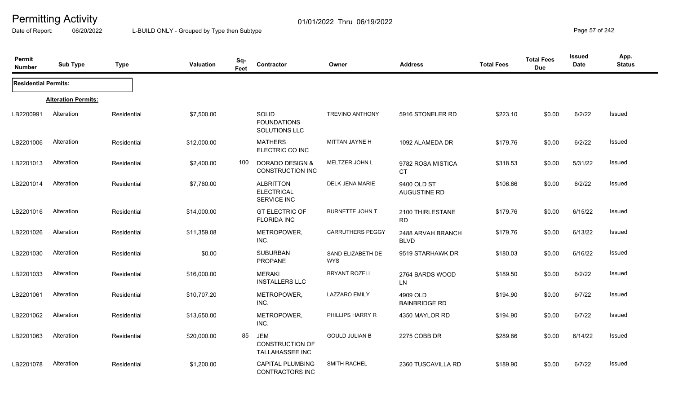Date of Report: 06/20/2022 L-BUILD ONLY - Grouped by Type then Subtype **Page 57** of 242

| Permit<br><b>Number</b>     | <b>Sub Type</b>            | <b>Type</b> | Valuation   | Sq-<br>Feet | Contractor                                                     | Owner                           | <b>Address</b>                   | <b>Total Fees</b> | <b>Total Fees</b><br><b>Due</b> | Issued<br>Date | App.<br><b>Status</b> |
|-----------------------------|----------------------------|-------------|-------------|-------------|----------------------------------------------------------------|---------------------------------|----------------------------------|-------------------|---------------------------------|----------------|-----------------------|
| <b>Residential Permits:</b> |                            |             |             |             |                                                                |                                 |                                  |                   |                                 |                |                       |
|                             | <b>Alteration Permits:</b> |             |             |             |                                                                |                                 |                                  |                   |                                 |                |                       |
| LB2200991                   | Alteration                 | Residential | \$7,500.00  |             | SOLID<br><b>FOUNDATIONS</b><br>SOLUTIONS LLC                   | <b>TREVINO ANTHONY</b>          | 5916 STONELER RD                 | \$223.10          | \$0.00                          | 6/2/22         | Issued                |
| LB2201006                   | Alteration                 | Residential | \$12,000.00 |             | <b>MATHERS</b><br>ELECTRIC CO INC                              | MITTAN JAYNE H                  | 1092 ALAMEDA DR                  | \$179.76          | \$0.00                          | 6/2/22         | Issued                |
| LB2201013                   | Alteration                 | Residential | \$2,400.00  | 100         | DORADO DESIGN &<br><b>CONSTRUCTION INC</b>                     | MELTZER JOHN L                  | 9782 ROSA MISTICA<br><b>CT</b>   | \$318.53          | \$0.00                          | 5/31/22        | Issued                |
| LB2201014                   | Alteration                 | Residential | \$7,760.00  |             | <b>ALBRITTON</b><br><b>ELECTRICAL</b><br><b>SERVICE INC</b>    | DELK JENA MARIE                 | 9400 OLD ST<br>AUGUSTINE RD      | \$106.66          | \$0.00                          | 6/2/22         | Issued                |
| LB2201016                   | Alteration                 | Residential | \$14,000.00 |             | <b>GT ELECTRIC OF</b><br><b>FLORIDA INC</b>                    | <b>BURNETTE JOHN T</b>          | 2100 THIRLESTANE<br><b>RD</b>    | \$179.76          | \$0.00                          | 6/15/22        | Issued                |
| LB2201026                   | Alteration                 | Residential | \$11,359.08 |             | METROPOWER,<br>INC.                                            | <b>CARRUTHERS PEGGY</b>         | 2488 ARVAH BRANCH<br><b>BLVD</b> | \$179.76          | \$0.00                          | 6/13/22        | Issued                |
| LB2201030                   | Alteration                 | Residential | \$0.00      |             | <b>SUBURBAN</b><br><b>PROPANE</b>                              | SAND ELIZABETH DE<br><b>WYS</b> | 9519 STARHAWK DR                 | \$180.03          | \$0.00                          | 6/16/22        | Issued                |
| LB2201033                   | Alteration                 | Residential | \$16,000.00 |             | <b>MERAKI</b><br><b>INSTALLERS LLC</b>                         | <b>BRYANT ROZELL</b>            | 2764 BARDS WOOD<br>LN            | \$189.50          | \$0.00                          | 6/2/22         | Issued                |
| LB2201061                   | Alteration                 | Residential | \$10,707.20 |             | METROPOWER,<br>INC.                                            | <b>LAZZARO EMILY</b>            | 4909 OLD<br><b>BAINBRIDGE RD</b> | \$194.90          | \$0.00                          | 6/7/22         | Issued                |
| LB2201062                   | Alteration                 | Residential | \$13,650.00 |             | METROPOWER,<br>INC.                                            | PHILLIPS HARRY R                | 4350 MAYLOR RD                   | \$194.90          | \$0.00                          | 6/7/22         | Issued                |
| LB2201063                   | Alteration                 | Residential | \$20,000.00 | 85          | <b>JEM</b><br><b>CONSTRUCTION OF</b><br><b>TALLAHASSEE INC</b> | <b>GOULD JULIAN B</b>           | 2275 COBB DR                     | \$289.86          | \$0.00                          | 6/14/22        | Issued                |
| LB2201078                   | Alteration                 | Residential | \$1,200.00  |             | <b>CAPITAL PLUMBING</b><br>CONTRACTORS INC                     | <b>SMITH RACHEL</b>             | 2360 TUSCAVILLA RD               | \$189.90          | \$0.00                          | 6/7/22         | Issued                |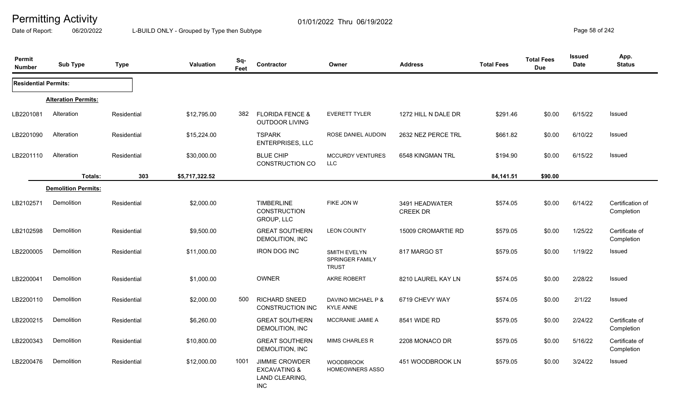Date of Report: 06/20/2022 L-BUILD ONLY - Grouped by Type then Subtype **Page 58** of 242

| Permit<br><b>Number</b>     | <b>Sub Type</b>            | <b>Type</b> | <b>Valuation</b> | Sq-<br>Feet | Contractor                                                                       | Owner                                                  | <b>Address</b>                    | <b>Total Fees</b> | <b>Total Fees</b><br><b>Due</b> | <b>Issued</b><br><b>Date</b> | App.<br><b>Status</b>          |
|-----------------------------|----------------------------|-------------|------------------|-------------|----------------------------------------------------------------------------------|--------------------------------------------------------|-----------------------------------|-------------------|---------------------------------|------------------------------|--------------------------------|
| <b>Residential Permits:</b> |                            |             |                  |             |                                                                                  |                                                        |                                   |                   |                                 |                              |                                |
|                             | <b>Alteration Permits:</b> |             |                  |             |                                                                                  |                                                        |                                   |                   |                                 |                              |                                |
| LB2201081                   | Alteration                 | Residential | \$12,795.00      | 382         | <b>FLORIDA FENCE &amp;</b><br><b>OUTDOOR LIVING</b>                              | <b>EVERETT TYLER</b>                                   | 1272 HILL N DALE DR               | \$291.46          | \$0.00                          | 6/15/22                      | Issued                         |
| LB2201090                   | Alteration                 | Residential | \$15,224.00      |             | <b>TSPARK</b><br>ENTERPRISES, LLC                                                | ROSE DANIEL AUDOIN                                     | 2632 NEZ PERCE TRL                | \$661.82          | \$0.00                          | 6/10/22                      | Issued                         |
| LB2201110                   | Alteration                 | Residential | \$30,000.00      |             | <b>BLUE CHIP</b><br><b>CONSTRUCTION CO</b>                                       | <b>MCCURDY VENTURES</b><br>LLC                         | 6548 KINGMAN TRL                  | \$194.90          | \$0.00                          | 6/15/22                      | Issued                         |
|                             | Totals:                    | 303         | \$5,717,322.52   |             |                                                                                  |                                                        |                                   | 84,141.51         | \$90.00                         |                              |                                |
|                             | <b>Demolition Permits:</b> |             |                  |             |                                                                                  |                                                        |                                   |                   |                                 |                              |                                |
| LB2102571                   | Demolition                 | Residential | \$2,000.00       |             | <b>TIMBERLINE</b><br><b>CONSTRUCTION</b><br>GROUP, LLC                           | FIKE JON W                                             | 3491 HEADWATER<br><b>CREEK DR</b> | \$574.05          | \$0.00                          | 6/14/22                      | Certification of<br>Completion |
| LB2102598                   | Demolition                 | Residential | \$9,500.00       |             | <b>GREAT SOUTHERN</b><br>DEMOLITION, INC                                         | <b>LEON COUNTY</b>                                     | 15009 CROMARTIE RD                | \$579.05          | \$0.00                          | 1/25/22                      | Certificate of<br>Completion   |
| LB2200005                   | Demolition                 | Residential | \$11,000.00      |             | <b>IRON DOG INC</b>                                                              | <b>SMITH EVELYN</b><br>SPRINGER FAMILY<br><b>TRUST</b> | 817 MARGO ST                      | \$579.05          | \$0.00                          | 1/19/22                      | Issued                         |
| LB2200041                   | Demolition                 | Residential | \$1,000.00       |             | OWNER                                                                            | <b>AKRE ROBERT</b>                                     | 8210 LAUREL KAY LN                | \$574.05          | \$0.00                          | 2/28/22                      | <b>Issued</b>                  |
| LB2200110                   | Demolition                 | Residential | \$2,000.00       | 500         | <b>RICHARD SNEED</b><br><b>CONSTRUCTION INC</b>                                  | DAVINO MICHAEL P &<br><b>KYLE ANNE</b>                 | 6719 CHEVY WAY                    | \$574.05          | \$0.00                          | 2/1/22                       | <b>Issued</b>                  |
| LB2200215                   | Demolition                 | Residential | \$6,260.00       |             | <b>GREAT SOUTHERN</b><br>DEMOLITION, INC                                         | MCCRANIE JAMIE A                                       | 8541 WIDE RD                      | \$579.05          | \$0.00                          | 2/24/22                      | Certificate of<br>Completion   |
| LB2200343                   | Demolition                 | Residential | \$10,800.00      |             | <b>GREAT SOUTHERN</b><br>DEMOLITION, INC                                         | <b>MIMS CHARLES R</b>                                  | 2208 MONACO DR                    | \$579.05          | \$0.00                          | 5/16/22                      | Certificate of<br>Completion   |
| LB2200476                   | Demolition                 | Residential | \$12,000.00      | 1001        | <b>JIMMIE CROWDER</b><br><b>EXCAVATING &amp;</b><br>LAND CLEARING,<br><b>INC</b> | <b>WOODBROOK</b><br><b>HOMEOWNERS ASSO</b>             | 451 WOODBROOK LN                  | \$579.05          | \$0.00                          | 3/24/22                      | Issued                         |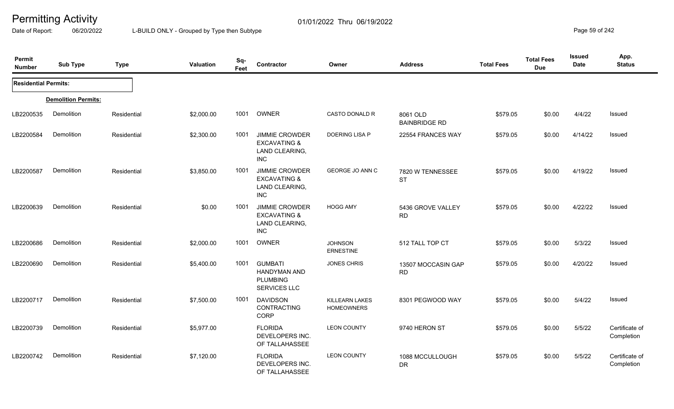Date of Report: 06/20/2022 L-BUILD ONLY - Grouped by Type then Subtype **Page 59 of 242** 

| Permit<br><b>Number</b>     | <b>Sub Type</b>            | <b>Type</b> | Valuation  | Sq-<br>Feet | Contractor                                                                       | Owner                               | <b>Address</b>                   | <b>Total Fees</b> | <b>Total Fees</b><br><b>Due</b> | <b>Issued</b><br><b>Date</b> | App.<br><b>Status</b>        |
|-----------------------------|----------------------------|-------------|------------|-------------|----------------------------------------------------------------------------------|-------------------------------------|----------------------------------|-------------------|---------------------------------|------------------------------|------------------------------|
| <b>Residential Permits:</b> |                            |             |            |             |                                                                                  |                                     |                                  |                   |                                 |                              |                              |
|                             | <b>Demolition Permits:</b> |             |            |             |                                                                                  |                                     |                                  |                   |                                 |                              |                              |
| LB2200535                   | Demolition                 | Residential | \$2,000.00 | 1001        | OWNER                                                                            | <b>CASTO DONALD R</b>               | 8061 OLD<br><b>BAINBRIDGE RD</b> | \$579.05          | \$0.00                          | 4/4/22                       | Issued                       |
| LB2200584                   | Demolition                 | Residential | \$2,300.00 | 1001        | <b>JIMMIE CROWDER</b><br><b>EXCAVATING &amp;</b><br>LAND CLEARING,<br><b>INC</b> | <b>DOERING LISA P</b>               | 22554 FRANCES WAY                | \$579.05          | \$0.00                          | 4/14/22                      | Issued                       |
| LB2200587                   | Demolition                 | Residential | \$3,850.00 | 1001        | <b>JIMMIE CROWDER</b><br><b>EXCAVATING &amp;</b><br>LAND CLEARING,<br>INC.       | GEORGE JO ANN C                     | 7820 W TENNESSEE<br><b>ST</b>    | \$579.05          | \$0.00                          | 4/19/22                      | Issued                       |
| LB2200639                   | Demolition                 | Residential | \$0.00     | 1001        | <b>JIMMIE CROWDER</b><br><b>EXCAVATING &amp;</b><br>LAND CLEARING,<br>INC.       | <b>HOGG AMY</b>                     | 5436 GROVE VALLEY<br><b>RD</b>   | \$579.05          | \$0.00                          | 4/22/22                      | Issued                       |
| LB2200686                   | Demolition                 | Residential | \$2,000.00 | 1001        | <b>OWNER</b>                                                                     | <b>JOHNSON</b><br><b>ERNESTINE</b>  | 512 TALL TOP CT                  | \$579.05          | \$0.00                          | 5/3/22                       | Issued                       |
| LB2200690                   | Demolition                 | Residential | \$5,400.00 | 1001        | <b>GUMBATI</b><br>HANDYMAN AND<br><b>PLUMBING</b><br>SERVICES LLC                | <b>JONES CHRIS</b>                  | 13507 MOCCASIN GAP<br><b>RD</b>  | \$579.05          | \$0.00                          | 4/20/22                      | Issued                       |
| LB2200717                   | Demolition                 | Residential | \$7,500.00 | 1001        | <b>DAVIDSON</b><br>CONTRACTING<br>CORP                                           | KILLEARN LAKES<br><b>HOMEOWNERS</b> | 8301 PEGWOOD WAY                 | \$579.05          | \$0.00                          | 5/4/22                       | Issued                       |
| LB2200739                   | Demolition                 | Residential | \$5,977.00 |             | <b>FLORIDA</b><br>DEVELOPERS INC.<br>OF TALLAHASSEE                              | <b>LEON COUNTY</b>                  | 9740 HERON ST                    | \$579.05          | \$0.00                          | 5/5/22                       | Certificate of<br>Completion |
| LB2200742                   | Demolition                 | Residential | \$7,120.00 |             | <b>FLORIDA</b><br>DEVELOPERS INC.<br>OF TALLAHASSEE                              | <b>LEON COUNTY</b>                  | 1088 MCCULLOUGH<br><b>DR</b>     | \$579.05          | \$0.00                          | 5/5/22                       | Certificate of<br>Completion |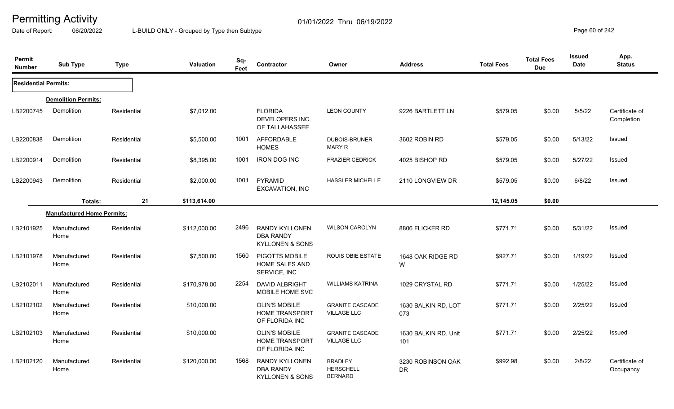Date of Report: 06/20/2022 L-BUILD ONLY - Grouped by Type then Subtype **Page 60** of 242

| Permit<br><b>Number</b>     | <b>Sub Type</b>                   | <b>Type</b> | <b>Valuation</b> | Sq-<br>Feet | Contractor                                                              | Owner                                                | <b>Address</b>                 | <b>Total Fees</b> | <b>Total Fees</b><br><b>Due</b> | <b>Issued</b><br><b>Date</b> | App.<br><b>Status</b>        |
|-----------------------------|-----------------------------------|-------------|------------------|-------------|-------------------------------------------------------------------------|------------------------------------------------------|--------------------------------|-------------------|---------------------------------|------------------------------|------------------------------|
| <b>Residential Permits:</b> |                                   |             |                  |             |                                                                         |                                                      |                                |                   |                                 |                              |                              |
|                             | <b>Demolition Permits:</b>        |             |                  |             |                                                                         |                                                      |                                |                   |                                 |                              |                              |
| LB2200745                   | Demolition                        | Residential | \$7,012.00       |             | <b>FLORIDA</b><br>DEVELOPERS INC.<br>OF TALLAHASSEE                     | <b>LEON COUNTY</b>                                   | 9226 BARTLETT LN               | \$579.05          | \$0.00                          | 5/5/22                       | Certificate of<br>Completion |
| LB2200838                   | Demolition                        | Residential | \$5,500.00       | 1001        | AFFORDABLE<br><b>HOMES</b>                                              | <b>DUBOIS-BRUNER</b><br><b>MARY R</b>                | 3602 ROBIN RD                  | \$579.05          | \$0.00                          | 5/13/22                      | <b>Issued</b>                |
| LB2200914                   | Demolition                        | Residential | \$8,395.00       | 1001        | <b>IRON DOG INC</b>                                                     | <b>FRAZIER CEDRICK</b>                               | 4025 BISHOP RD                 | \$579.05          | \$0.00                          | 5/27/22                      | Issued                       |
| LB2200943                   | Demolition                        | Residential | \$2,000.00       | 1001        | PYRAMID<br>EXCAVATION, INC                                              | <b>HASSLER MICHELLE</b>                              | 2110 LONGVIEW DR               | \$579.05          | \$0.00                          | 6/8/22                       | Issued                       |
|                             | Totals:                           | 21          | \$113,614.00     |             |                                                                         |                                                      |                                | 12,145.05         | \$0.00                          |                              |                              |
|                             | <b>Manufactured Home Permits:</b> |             |                  |             |                                                                         |                                                      |                                |                   |                                 |                              |                              |
| LB2101925                   | Manufactured<br>Home              | Residential | \$112,000.00     | 2496        | <b>RANDY KYLLONEN</b><br><b>DBA RANDY</b><br><b>KYLLONEN &amp; SONS</b> | <b>WILSON CAROLYN</b>                                | 8806 FLICKER RD                | \$771.71          | \$0.00                          | 5/31/22                      | <b>Issued</b>                |
| LB2101978                   | Manufactured<br>Home              | Residential | \$7,500.00       | 1560        | PIGOTTS MOBILE<br>HOME SALES AND<br>SERVICE, INC                        | ROUIS OBIE ESTATE                                    | 1648 OAK RIDGE RD<br>W         | \$927.71          | \$0.00                          | 1/19/22                      | <b>Issued</b>                |
| LB2102011                   | Manufactured<br>Home              | Residential | \$170,978.00     | 2254        | DAVID ALBRIGHT<br>MOBILE HOME SVC                                       | <b>WILLIAMS KATRINA</b>                              | 1029 CRYSTAL RD                | \$771.71          | \$0.00                          | 1/25/22                      | Issued                       |
| LB2102102                   | Manufactured<br>Home              | Residential | \$10,000.00      |             | <b>OLIN'S MOBILE</b><br><b>HOME TRANSPORT</b><br>OF FLORIDA INC         | <b>GRANITE CASCADE</b><br><b>VILLAGE LLC</b>         | 1630 BALKIN RD, LOT<br>073     | \$771.71          | \$0.00                          | 2/25/22                      | Issued                       |
| LB2102103                   | Manufactured<br>Home              | Residential | \$10,000.00      |             | <b>OLIN'S MOBILE</b><br><b>HOME TRANSPORT</b><br>OF FLORIDA INC         | <b>GRANITE CASCADE</b><br><b>VILLAGE LLC</b>         | 1630 BALKIN RD, Unit<br>101    | \$771.71          | \$0.00                          | 2/25/22                      | <b>Issued</b>                |
| LB2102120                   | Manufactured<br>Home              | Residential | \$120,000.00     | 1568        | <b>RANDY KYLLONEN</b><br><b>DBA RANDY</b><br><b>KYLLONEN &amp; SONS</b> | <b>BRADLEY</b><br><b>HERSCHELL</b><br><b>BERNARD</b> | 3230 ROBINSON OAK<br><b>DR</b> | \$992.98          | \$0.00                          | 2/8/22                       | Certificate of<br>Occupancy  |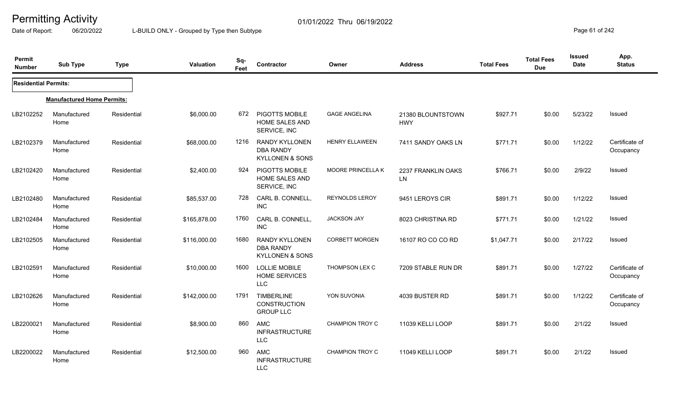Date of Report: 06/20/2022 L-BUILD ONLY - Grouped by Type then Subtype **Page 61** of 242

| Permit<br><b>Number</b>     | <b>Sub Type</b>                   | <b>Type</b> | Valuation    | Sq-<br>Feet | Contractor                                                              | Owner                    | <b>Address</b>                  | <b>Total Fees</b> | <b>Total Fees</b><br><b>Due</b> | Issued<br><b>Date</b> | App.<br><b>Status</b>       |
|-----------------------------|-----------------------------------|-------------|--------------|-------------|-------------------------------------------------------------------------|--------------------------|---------------------------------|-------------------|---------------------------------|-----------------------|-----------------------------|
| <b>Residential Permits:</b> |                                   |             |              |             |                                                                         |                          |                                 |                   |                                 |                       |                             |
|                             | <b>Manufactured Home Permits:</b> |             |              |             |                                                                         |                          |                                 |                   |                                 |                       |                             |
| LB2102252                   | Manufactured<br>Home              | Residential | \$6,000.00   | 672         | PIGOTTS MOBILE<br><b>HOME SALES AND</b><br>SERVICE, INC                 | <b>GAGE ANGELINA</b>     | 21380 BLOUNTSTOWN<br><b>HWY</b> | \$927.71          | \$0.00                          | 5/23/22               | Issued                      |
| LB2102379                   | Manufactured<br>Home              | Residential | \$68,000.00  | 1216        | <b>RANDY KYLLONEN</b><br><b>DBA RANDY</b><br><b>KYLLONEN &amp; SONS</b> | <b>HENRY ELLAWEEN</b>    | 7411 SANDY OAKS LN              | \$771.71          | \$0.00                          | 1/12/22               | Certificate of<br>Occupancy |
| LB2102420                   | Manufactured<br>Home              | Residential | \$2,400.00   | 924         | PIGOTTS MOBILE<br><b>HOME SALES AND</b><br>SERVICE, INC                 | <b>MOORE PRINCELLA K</b> | 2237 FRANKLIN OAKS<br>LN        | \$766.71          | \$0.00                          | 2/9/22                | Issued                      |
| LB2102480                   | Manufactured<br>Home              | Residential | \$85,537.00  | 728         | CARL B. CONNELL,<br><b>INC</b>                                          | REYNOLDS LEROY           | 9451 LEROYS CIR                 | \$891.71          | \$0.00                          | 1/12/22               | <b>Issued</b>               |
| LB2102484                   | Manufactured<br>Home              | Residential | \$165,878.00 | 1760        | CARL B. CONNELL,<br><b>INC</b>                                          | <b>JACKSON JAY</b>       | 8023 CHRISTINA RD               | \$771.71          | \$0.00                          | 1/21/22               | <b>Issued</b>               |
| LB2102505                   | Manufactured<br>Home              | Residential | \$116,000.00 | 1680        | <b>RANDY KYLLONEN</b><br><b>DBA RANDY</b><br><b>KYLLONEN &amp; SONS</b> | <b>CORBETT MORGEN</b>    | 16107 RO CO CO RD               | \$1,047.71        | \$0.00                          | 2/17/22               | Issued                      |
| LB2102591                   | Manufactured<br>Home              | Residential | \$10,000.00  | 1600        | LOLLIE MOBILE<br><b>HOME SERVICES</b><br><b>LLC</b>                     | THOMPSON LEX C           | 7209 STABLE RUN DR              | \$891.71          | \$0.00                          | 1/27/22               | Certificate of<br>Occupancy |
| LB2102626                   | Manufactured<br>Home              | Residential | \$142,000.00 | 1791        | <b>TIMBERLINE</b><br><b>CONSTRUCTION</b><br><b>GROUP LLC</b>            | YON SUVONIA              | 4039 BUSTER RD                  | \$891.71          | \$0.00                          | 1/12/22               | Certificate of<br>Occupancy |
| LB2200021                   | Manufactured<br>Home              | Residential | \$8,900.00   | 860         | <b>AMC</b><br><b>INFRASTRUCTURE</b><br><b>LLC</b>                       | <b>CHAMPION TROY C</b>   | 11039 KELLI LOOP                | \$891.71          | \$0.00                          | 2/1/22                | Issued                      |
| LB2200022                   | Manufactured<br>Home              | Residential | \$12,500.00  | 960         | <b>AMC</b><br><b>INFRASTRUCTURE</b><br><b>LLC</b>                       | <b>CHAMPION TROY C</b>   | 11049 KELLI LOOP                | \$891.71          | \$0.00                          | 2/1/22                | Issued                      |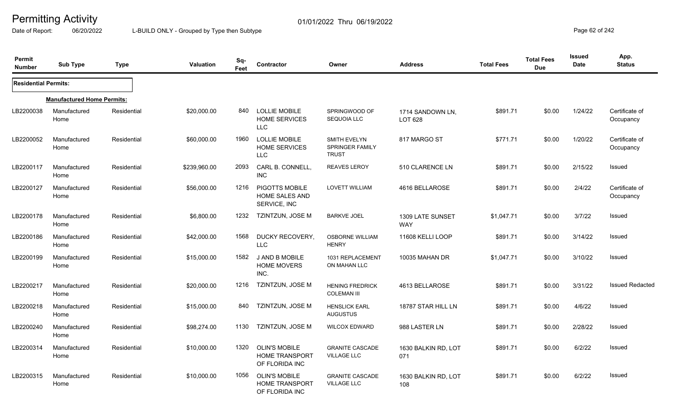Date of Report: 06/20/2022 L-BUILD ONLY - Grouped by Type then Subtype **Page 62** of 242

| Permit<br><b>Number</b>     | Sub Type                          | <b>Type</b> | <b>Valuation</b> | Sq-<br>Feet | Contractor                                                      | Owner                                                         | <b>Address</b>                 | <b>Total Fees</b> | <b>Total Fees</b><br><b>Due</b> | <b>Issued</b><br><b>Date</b> | App.<br><b>Status</b>       |
|-----------------------------|-----------------------------------|-------------|------------------|-------------|-----------------------------------------------------------------|---------------------------------------------------------------|--------------------------------|-------------------|---------------------------------|------------------------------|-----------------------------|
| <b>Residential Permits:</b> |                                   |             |                  |             |                                                                 |                                                               |                                |                   |                                 |                              |                             |
|                             | <b>Manufactured Home Permits:</b> |             |                  |             |                                                                 |                                                               |                                |                   |                                 |                              |                             |
| LB2200038                   | Manufactured<br>Home              | Residential | \$20,000.00      | 840         | <b>LOLLIE MOBILE</b><br><b>HOME SERVICES</b><br>LLC             | SPRINGWOOD OF<br><b>SEQUOIA LLC</b>                           | 1714 SANDOWN LN,<br>LOT 628    | \$891.71          | \$0.00                          | 1/24/22                      | Certificate of<br>Occupancy |
| LB2200052                   | Manufactured<br>Home              | Residential | \$60,000.00      | 1960        | <b>LOLLIE MOBILE</b><br><b>HOME SERVICES</b><br><b>LLC</b>      | <b>SMITH EVELYN</b><br><b>SPRINGER FAMILY</b><br><b>TRUST</b> | 817 MARGO ST                   | \$771.71          | \$0.00                          | 1/20/22                      | Certificate of<br>Occupancy |
| LB2200117                   | Manufactured<br>Home              | Residential | \$239,960.00     | 2093        | CARL B. CONNELL,<br><b>INC</b>                                  | <b>REAVES LEROY</b>                                           | 510 CLARENCE LN                | \$891.71          | \$0.00                          | 2/15/22                      | Issued                      |
| LB2200127                   | Manufactured<br>Home              | Residential | \$56,000.00      | 1216        | PIGOTTS MOBILE<br>HOME SALES AND<br>SERVICE, INC                | <b>LOVETT WILLIAM</b>                                         | 4616 BELLAROSE                 | \$891.71          | \$0.00                          | 2/4/22                       | Certificate of<br>Occupancy |
| LB2200178                   | Manufactured<br>Home              | Residential | \$6,800.00       | 1232        | <b>TZINTZUN, JOSE M</b>                                         | <b>BARKVE JOEL</b>                                            | 1309 LATE SUNSET<br><b>WAY</b> | \$1,047.71        | \$0.00                          | 3/7/22                       | <b>Issued</b>               |
| LB2200186                   | Manufactured<br>Home              | Residential | \$42,000.00      | 1568        | DUCKY RECOVERY,<br><b>LLC</b>                                   | <b>OSBORNE WILLIAM</b><br><b>HENRY</b>                        | 11608 KELLI LOOP               | \$891.71          | \$0.00                          | 3/14/22                      | Issued                      |
| LB2200199                   | Manufactured<br>Home              | Residential | \$15,000.00      | 1582        | <b>J AND B MOBILE</b><br><b>HOME MOVERS</b><br>INC.             | 1031 REPLACEMENT<br>ON MAHAN LLC                              | 10035 MAHAN DR                 | \$1,047.71        | \$0.00                          | 3/10/22                      | Issued                      |
| LB2200217                   | Manufactured<br>Home              | Residential | \$20,000.00      | 1216        | TZINTZUN, JOSE M                                                | <b>HENING FREDRICK</b><br><b>COLEMAN III</b>                  | 4613 BELLAROSE                 | \$891.71          | \$0.00                          | 3/31/22                      | <b>Issued Redacted</b>      |
| LB2200218                   | Manufactured<br>Home              | Residential | \$15,000.00      | 840         | TZINTZUN, JOSE M                                                | <b>HENSLICK EARL</b><br><b>AUGUSTUS</b>                       | 18787 STAR HILL LN             | \$891.71          | \$0.00                          | 4/6/22                       | Issued                      |
| LB2200240                   | Manufactured<br>Home              | Residential | \$98,274.00      | 1130        | <b>TZINTZUN, JOSE M</b>                                         | <b>WILCOX EDWARD</b>                                          | 988 LASTER LN                  | \$891.71          | \$0.00                          | 2/28/22                      | Issued                      |
| LB2200314                   | Manufactured<br>Home              | Residential | \$10,000.00      | 1320        | <b>OLIN'S MOBILE</b><br><b>HOME TRANSPORT</b><br>OF FLORIDA INC | <b>GRANITE CASCADE</b><br><b>VILLAGE LLC</b>                  | 1630 BALKIN RD, LOT<br>071     | \$891.71          | \$0.00                          | 6/2/22                       | <b>Issued</b>               |
| LB2200315                   | Manufactured<br>Home              | Residential | \$10,000.00      | 1056        | <b>OLIN'S MOBILE</b><br><b>HOME TRANSPORT</b><br>OF FLORIDA INC | <b>GRANITE CASCADE</b><br><b>VILLAGE LLC</b>                  | 1630 BALKIN RD, LOT<br>108     | \$891.71          | \$0.00                          | 6/2/22                       | Issued                      |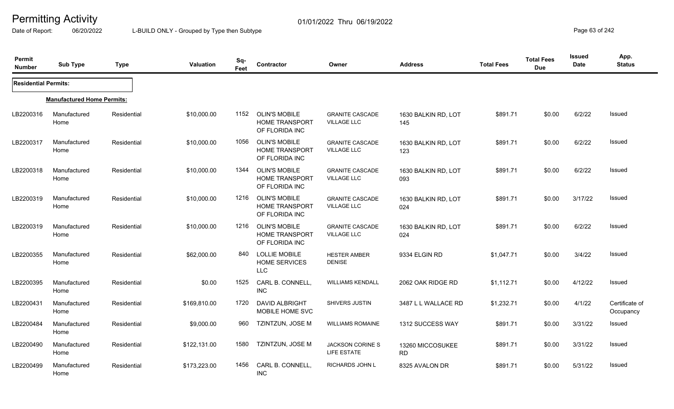Date of Report: 06/20/2022 L-BUILD ONLY - Grouped by Type then Subtype **Page 63** of 242

| Permit<br><b>Number</b>     | <b>Sub Type</b>                   | <b>Type</b> | <b>Valuation</b> | Sq-<br>Feet | <b>Contractor</b>                                               | Owner                                        | <b>Address</b>                | <b>Total Fees</b> | <b>Total Fees</b><br><b>Due</b> | <b>Issued</b><br>Date | App.<br><b>Status</b>       |
|-----------------------------|-----------------------------------|-------------|------------------|-------------|-----------------------------------------------------------------|----------------------------------------------|-------------------------------|-------------------|---------------------------------|-----------------------|-----------------------------|
| <b>Residential Permits:</b> |                                   |             |                  |             |                                                                 |                                              |                               |                   |                                 |                       |                             |
|                             | <b>Manufactured Home Permits:</b> |             |                  |             |                                                                 |                                              |                               |                   |                                 |                       |                             |
| LB2200316                   | Manufactured<br>Home              | Residential | \$10,000.00      | 1152        | <b>OLIN'S MOBILE</b><br><b>HOME TRANSPORT</b><br>OF FLORIDA INC | <b>GRANITE CASCADE</b><br><b>VILLAGE LLC</b> | 1630 BALKIN RD, LOT<br>145    | \$891.71          | \$0.00                          | 6/2/22                | Issued                      |
| LB2200317                   | Manufactured<br>Home              | Residential | \$10,000.00      | 1056        | <b>OLIN'S MOBILE</b><br><b>HOME TRANSPORT</b><br>OF FLORIDA INC | <b>GRANITE CASCADE</b><br><b>VILLAGE LLC</b> | 1630 BALKIN RD, LOT<br>123    | \$891.71          | \$0.00                          | 6/2/22                | Issued                      |
| LB2200318                   | Manufactured<br>Home              | Residential | \$10,000.00      | 1344        | <b>OLIN'S MOBILE</b><br><b>HOME TRANSPORT</b><br>OF FLORIDA INC | <b>GRANITE CASCADE</b><br><b>VILLAGE LLC</b> | 1630 BALKIN RD, LOT<br>093    | \$891.71          | \$0.00                          | 6/2/22                | <b>Issued</b>               |
| LB2200319                   | Manufactured<br>Home              | Residential | \$10,000.00      | 1216        | <b>OLIN'S MOBILE</b><br><b>HOME TRANSPORT</b><br>OF FLORIDA INC | <b>GRANITE CASCADE</b><br><b>VILLAGE LLC</b> | 1630 BALKIN RD, LOT<br>024    | \$891.71          | \$0.00                          | 3/17/22               | <b>Issued</b>               |
| LB2200319                   | Manufactured<br>Home              | Residential | \$10,000.00      | 1216        | <b>OLIN'S MOBILE</b><br><b>HOME TRANSPORT</b><br>OF FLORIDA INC | <b>GRANITE CASCADE</b><br><b>VILLAGE LLC</b> | 1630 BALKIN RD, LOT<br>024    | \$891.71          | \$0.00                          | 6/2/22                | <b>Issued</b>               |
| LB2200355                   | Manufactured<br>Home              | Residential | \$62,000.00      | 840         | <b>LOLLIE MOBILE</b><br><b>HOME SERVICES</b><br><b>LLC</b>      | <b>HESTER AMBER</b><br><b>DENISE</b>         | 9334 ELGIN RD                 | \$1,047.71        | \$0.00                          | 3/4/22                | Issued                      |
| LB2200395                   | Manufactured<br>Home              | Residential | \$0.00           | 1525        | CARL B. CONNELL<br><b>INC</b>                                   | <b>WILLIAMS KENDALL</b>                      | 2062 OAK RIDGE RD             | \$1,112.71        | \$0.00                          | 4/12/22               | Issued                      |
| LB2200431                   | Manufactured<br>Home              | Residential | \$169,810.00     | 1720        | DAVID ALBRIGHT<br>MOBILE HOME SVC                               | SHIVERS JUSTIN                               | 3487 L L WALLACE RD           | \$1,232.71        | \$0.00                          | 4/1/22                | Certificate of<br>Occupancy |
| LB2200484                   | Manufactured<br>Home              | Residential | \$9,000.00       | 960         | TZINTZUN, JOSE M                                                | <b>WILLIAMS ROMAINE</b>                      | 1312 SUCCESS WAY              | \$891.71          | \$0.00                          | 3/31/22               | Issued                      |
| LB2200490                   | Manufactured<br>Home              | Residential | \$122,131.00     | 1580        | TZINTZUN, JOSE M                                                | <b>JACKSON CORINE S</b><br>LIFE ESTATE       | 13260 MICCOSUKEE<br><b>RD</b> | \$891.71          | \$0.00                          | 3/31/22               | <b>Issued</b>               |
| LB2200499                   | Manufactured<br>Home              | Residential | \$173,223.00     | 1456        | CARL B. CONNELL,<br><b>INC</b>                                  | <b>RICHARDS JOHN L</b>                       | 8325 AVALON DR                | \$891.71          | \$0.00                          | 5/31/22               | <b>Issued</b>               |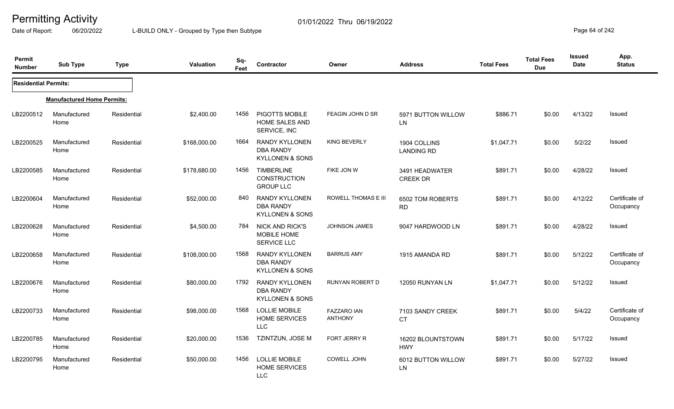Date of Report: 06/20/2022 L-BUILD ONLY - Grouped by Type then Subtype **Page 64** of 242

| Permit<br><b>Number</b>     | <b>Sub Type</b>                   | <b>Type</b> | Valuation    | Sq-<br>Feet | Contractor                                                              | Owner                                | <b>Address</b>                    | <b>Total Fees</b> | <b>Total Fees</b><br><b>Due</b> | <b>Issued</b><br>Date | App.<br><b>Status</b>       |
|-----------------------------|-----------------------------------|-------------|--------------|-------------|-------------------------------------------------------------------------|--------------------------------------|-----------------------------------|-------------------|---------------------------------|-----------------------|-----------------------------|
| <b>Residential Permits:</b> |                                   |             |              |             |                                                                         |                                      |                                   |                   |                                 |                       |                             |
|                             | <b>Manufactured Home Permits:</b> |             |              |             |                                                                         |                                      |                                   |                   |                                 |                       |                             |
| LB2200512                   | Manufactured<br>Home              | Residential | \$2,400.00   | 1456        | PIGOTTS MOBILE<br><b>HOME SALES AND</b><br>SERVICE, INC                 | <b>FEAGIN JOHN D SR</b>              | 5971 BUTTON WILLOW<br>LN          | \$886.71          | \$0.00                          | 4/13/22               | <b>Issued</b>               |
| LB2200525                   | Manufactured<br>Home              | Residential | \$168,000.00 | 1664        | <b>RANDY KYLLONEN</b><br><b>DBA RANDY</b><br><b>KYLLONEN &amp; SONS</b> | <b>KING BEVERLY</b>                  | 1904 COLLINS<br><b>LANDING RD</b> | \$1,047.71        | \$0.00                          | 5/2/22                | <b>Issued</b>               |
| LB2200585                   | Manufactured<br>Home              | Residential | \$178,680.00 | 1456        | <b>TIMBERLINE</b><br><b>CONSTRUCTION</b><br><b>GROUP LLC</b>            | FIKE JON W                           | 3491 HEADWATER<br><b>CREEK DR</b> | \$891.71          | \$0.00                          | 4/28/22               | <b>Issued</b>               |
| LB2200604                   | Manufactured<br>Home              | Residential | \$52,000.00  | 840         | RANDY KYLLONEN<br><b>DBA RANDY</b><br><b>KYLLONEN &amp; SONS</b>        | ROWELL THOMAS E III                  | 6502 TOM ROBERTS<br><b>RD</b>     | \$891.71          | \$0.00                          | 4/12/22               | Certificate of<br>Occupancy |
| LB2200628                   | Manufactured<br>Home              | Residential | \$4,500.00   | 784         | <b>NICK AND RICK'S</b><br><b>MOBILE HOME</b><br><b>SERVICE LLC</b>      | <b>JOHNSON JAMES</b>                 | 9047 HARDWOOD LN                  | \$891.71          | \$0.00                          | 4/28/22               | Issued                      |
| LB2200658                   | Manufactured<br>Home              | Residential | \$108,000.00 | 1568        | <b>RANDY KYLLONEN</b><br><b>DBA RANDY</b><br><b>KYLLONEN &amp; SONS</b> | <b>BARRUS AMY</b>                    | 1915 AMANDA RD                    | \$891.71          | \$0.00                          | 5/12/22               | Certificate of<br>Occupancy |
| LB2200676                   | Manufactured<br>Home              | Residential | \$80,000.00  | 1792        | <b>RANDY KYLLONEN</b><br><b>DBA RANDY</b><br><b>KYLLONEN &amp; SONS</b> | RUNYAN ROBERT D                      | 12050 RUNYAN LN                   | \$1,047.71        | \$0.00                          | 5/12/22               | Issued                      |
| LB2200733                   | Manufactured<br>Home              | Residential | \$98,000.00  | 1568        | LOLLIE MOBILE<br><b>HOME SERVICES</b><br><b>LLC</b>                     | <b>FAZZARO IAN</b><br><b>ANTHONY</b> | 7103 SANDY CREEK<br>CT.           | \$891.71          | \$0.00                          | 5/4/22                | Certificate of<br>Occupancy |
| LB2200785                   | Manufactured<br>Home              | Residential | \$20,000.00  | 1536        | TZINTZUN, JOSE M                                                        | <b>FORT JERRY R</b>                  | 16202 BLOUNTSTOWN<br><b>HWY</b>   | \$891.71          | \$0.00                          | 5/17/22               | Issued                      |
| LB2200795                   | Manufactured<br>Home              | Residential | \$50,000.00  | 1456        | <b>LOLLIE MOBILE</b><br><b>HOME SERVICES</b><br><b>LLC</b>              | <b>COWELL JOHN</b>                   | 6012 BUTTON WILLOW<br>LN          | \$891.71          | \$0.00                          | 5/27/22               | Issued                      |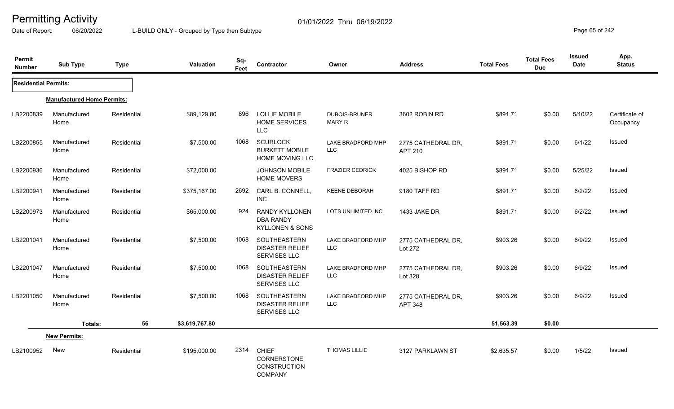Date of Report: 06/20/2022 L-BUILD ONLY - Grouped by Type then Subtype **Page 65** of 242

| Permit<br><b>Number</b>     | <b>Sub Type</b>                   | <b>Type</b> | Valuation      | Sq-<br>Feet | Contractor                                                              | Owner                           | <b>Address</b>                       | <b>Total Fees</b> | <b>Total Fees</b><br><b>Due</b> | <b>Issued</b><br><b>Date</b> | App.<br><b>Status</b>       |
|-----------------------------|-----------------------------------|-------------|----------------|-------------|-------------------------------------------------------------------------|---------------------------------|--------------------------------------|-------------------|---------------------------------|------------------------------|-----------------------------|
| <b>Residential Permits:</b> |                                   |             |                |             |                                                                         |                                 |                                      |                   |                                 |                              |                             |
|                             | <b>Manufactured Home Permits:</b> |             |                |             |                                                                         |                                 |                                      |                   |                                 |                              |                             |
| LB2200839                   | Manufactured<br>Home              | Residential | \$89,129.80    | 896         | <b>LOLLIE MOBILE</b><br><b>HOME SERVICES</b><br><b>LLC</b>              | DUBOIS-BRUNER<br><b>MARY R</b>  | 3602 ROBIN RD                        | \$891.71          | \$0.00                          | 5/10/22                      | Certificate of<br>Occupancy |
| LB2200855                   | Manufactured<br>Home              | Residential | \$7,500.00     | 1068        | <b>SCURLOCK</b><br><b>BURKETT MOBILE</b><br>HOME MOVING LLC             | LAKE BRADFORD MHP<br><b>LLC</b> | 2775 CATHEDRAL DR,<br>APT 210        | \$891.71          | \$0.00                          | 6/1/22                       | Issued                      |
| LB2200936                   | Manufactured<br>Home              | Residential | \$72,000.00    |             | <b>JOHNSON MOBILE</b><br><b>HOME MOVERS</b>                             | <b>FRAZIER CEDRICK</b>          | 4025 BISHOP RD                       | \$891.71          | \$0.00                          | 5/25/22                      | Issued                      |
| LB2200941                   | Manufactured<br>Home              | Residential | \$375,167.00   | 2692        | CARL B. CONNELL,<br><b>INC</b>                                          | <b>KEENE DEBORAH</b>            | 9180 TAFF RD                         | \$891.71          | \$0.00                          | 6/2/22                       | Issued                      |
| LB2200973                   | Manufactured<br>Home              | Residential | \$65,000.00    | 924         | <b>RANDY KYLLONEN</b><br><b>DBA RANDY</b><br><b>KYLLONEN &amp; SONS</b> | LOTS UNLIMITED INC              | 1433 JAKE DR                         | \$891.71          | \$0.00                          | 6/2/22                       | <b>Issued</b>               |
| LB2201041                   | Manufactured<br>Home              | Residential | \$7,500.00     | 1068        | SOUTHEASTERN<br><b>DISASTER RELIEF</b><br>SERVISES LLC                  | LAKE BRADFORD MHP<br>LLC        | 2775 CATHEDRAL DR,<br>Lot 272        | \$903.26          | \$0.00                          | 6/9/22                       | Issued                      |
| LB2201047                   | Manufactured<br>Home              | Residential | \$7,500.00     | 1068        | SOUTHEASTERN<br><b>DISASTER RELIEF</b><br>SERVISES LLC                  | LAKE BRADFORD MHP<br>LLC        | 2775 CATHEDRAL DR,<br>Lot 328        | \$903.26          | \$0.00                          | 6/9/22                       | Issued                      |
| LB2201050                   | Manufactured<br>Home              | Residential | \$7,500.00     | 1068        | SOUTHEASTERN<br><b>DISASTER RELIEF</b><br>SERVISES LLC                  | LAKE BRADFORD MHP<br><b>LLC</b> | 2775 CATHEDRAL DR,<br><b>APT 348</b> | \$903.26          | \$0.00                          | 6/9/22                       | Issued                      |
|                             | Totals:                           | 56          | \$3,619,767.80 |             |                                                                         |                                 |                                      | 51,563.39         | \$0.00                          |                              |                             |
|                             | <b>New Permits:</b>               |             |                |             |                                                                         |                                 |                                      |                   |                                 |                              |                             |
| LB2100952                   | New                               | Residential | \$195,000.00   | 2314        | <b>CHIEF</b><br>CORNERSTONE<br><b>CONSTRUCTION</b><br><b>COMPANY</b>    | <b>THOMAS LILLIE</b>            | 3127 PARKLAWN ST                     | \$2,635.57        | \$0.00                          | 1/5/22                       | Issued                      |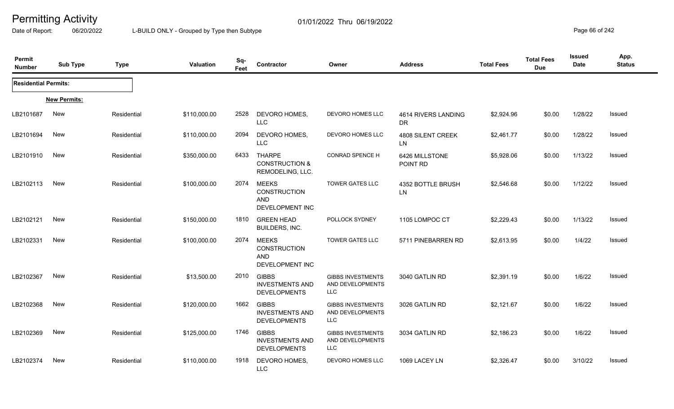Date of Report: 06/20/2022 L-BUILD ONLY - Grouped by Type then Subtype **Page 66** of 242

| Permit<br><b>Number</b>     | <b>Sub Type</b>     | <b>Type</b> | <b>Valuation</b> | Sq-<br>Feet | Contractor                                                           | Owner                                                      | <b>Address</b>                   | <b>Total Fees</b> | <b>Total Fees</b><br><b>Due</b> | <b>Issued</b><br>Date | App.<br><b>Status</b> |
|-----------------------------|---------------------|-------------|------------------|-------------|----------------------------------------------------------------------|------------------------------------------------------------|----------------------------------|-------------------|---------------------------------|-----------------------|-----------------------|
| <b>Residential Permits:</b> |                     |             |                  |             |                                                                      |                                                            |                                  |                   |                                 |                       |                       |
|                             | <b>New Permits:</b> |             |                  |             |                                                                      |                                                            |                                  |                   |                                 |                       |                       |
| LB2101687                   | <b>New</b>          | Residential | \$110,000.00     | 2528        | DEVORO HOMES,<br><b>LLC</b>                                          | DEVORO HOMES LLC                                           | 4614 RIVERS LANDING<br><b>DR</b> | \$2,924.96        | \$0.00                          | 1/28/22               | <b>Issued</b>         |
| LB2101694                   | <b>New</b>          | Residential | \$110,000.00     | 2094        | DEVORO HOMES,<br><b>LLC</b>                                          | DEVORO HOMES LLC                                           | 4808 SILENT CREEK<br>LN          | \$2,461.77        | \$0.00                          | 1/28/22               | Issued                |
| LB2101910                   | <b>New</b>          | Residential | \$350,000.00     | 6433        | <b>THARPE</b><br><b>CONSTRUCTION &amp;</b><br>REMODELING, LLC.       | <b>CONRAD SPENCE H</b>                                     | 6426 MILLSTONE<br>POINT RD       | \$5,928.06        | \$0.00                          | 1/13/22               | Issued                |
| LB2102113                   | <b>New</b>          | Residential | \$100,000.00     | 2074        | <b>MEEKS</b><br><b>CONSTRUCTION</b><br><b>AND</b><br>DEVELOPMENT INC | <b>TOWER GATES LLC</b>                                     | 4352 BOTTLE BRUSH<br>LN          | \$2,546.68        | \$0.00                          | 1/12/22               | Issued                |
| LB2102121                   | New                 | Residential | \$150,000.00     | 1810        | <b>GREEN HEAD</b><br>BUILDERS, INC.                                  | POLLOCK SYDNEY                                             | 1105 LOMPOC CT                   | \$2,229.43        | \$0.00                          | 1/13/22               | Issued                |
| LB2102331                   | <b>New</b>          | Residential | \$100,000.00     | 2074        | MEEKS<br><b>CONSTRUCTION</b><br><b>AND</b><br>DEVELOPMENT INC        | <b>TOWER GATES LLC</b>                                     | 5711 PINEBARREN RD               | \$2,613.95        | \$0.00                          | 1/4/22                | Issued                |
| LB2102367                   | <b>New</b>          | Residential | \$13,500.00      | 2010        | <b>GIBBS</b><br><b>INVESTMENTS AND</b><br><b>DEVELOPMENTS</b>        | <b>GIBBS INVESTMENTS</b><br>AND DEVELOPMENTS<br><b>LLC</b> | 3040 GATLIN RD                   | \$2,391.19        | \$0.00                          | 1/6/22                | Issued                |
| LB2102368                   | <b>New</b>          | Residential | \$120,000.00     | 1662        | <b>GIBBS</b><br><b>INVESTMENTS AND</b><br><b>DEVELOPMENTS</b>        | <b>GIBBS INVESTMENTS</b><br>AND DEVELOPMENTS<br>LLC        | 3026 GATLIN RD                   | \$2,121.67        | \$0.00                          | 1/6/22                | Issued                |
| LB2102369                   | <b>New</b>          | Residential | \$125,000.00     | 1746        | <b>GIBBS</b><br><b>INVESTMENTS AND</b><br><b>DEVELOPMENTS</b>        | <b>GIBBS INVESTMENTS</b><br>AND DEVELOPMENTS<br><b>LLC</b> | 3034 GATLIN RD                   | \$2,186.23        | \$0.00                          | 1/6/22                | Issued                |
| LB2102374                   | <b>New</b>          | Residential | \$110,000.00     | 1918        | DEVORO HOMES,<br><b>LLC</b>                                          | DEVORO HOMES LLC                                           | 1069 LACEY LN                    | \$2,326.47        | \$0.00                          | 3/10/22               | Issued                |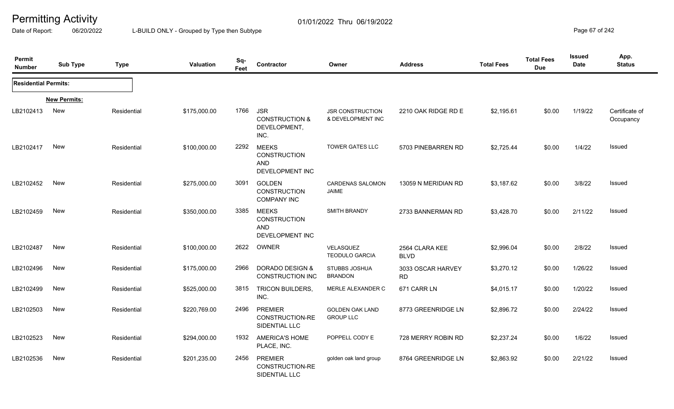Date of Report: 06/20/2022 L-BUILD ONLY - Grouped by Type then Subtype **Page 67** of 242

| Permit<br><b>Number</b>     | <b>Sub Type</b>     | <b>Type</b> | <b>Valuation</b> | Sq-<br>Feet | Contractor                                                           | Owner                                        | <b>Address</b>                 | <b>Total Fees</b> | <b>Total Fees</b><br><b>Due</b> | <b>Issued</b><br><b>Date</b> | App.<br><b>Status</b>       |
|-----------------------------|---------------------|-------------|------------------|-------------|----------------------------------------------------------------------|----------------------------------------------|--------------------------------|-------------------|---------------------------------|------------------------------|-----------------------------|
| <b>Residential Permits:</b> |                     |             |                  |             |                                                                      |                                              |                                |                   |                                 |                              |                             |
|                             | <b>New Permits:</b> |             |                  |             |                                                                      |                                              |                                |                   |                                 |                              |                             |
| LB2102413                   | New                 | Residential | \$175,000.00     | 1766        | <b>JSR</b><br><b>CONSTRUCTION &amp;</b><br>DEVELOPMENT,<br>INC.      | <b>JSR CONSTRUCTION</b><br>& DEVELOPMENT INC | 2210 OAK RIDGE RD E            | \$2,195.61        | \$0.00                          | 1/19/22                      | Certificate of<br>Occupancy |
| LB2102417                   | <b>New</b>          | Residential | \$100,000.00     | 2292        | <b>MEEKS</b><br><b>CONSTRUCTION</b><br><b>AND</b><br>DEVELOPMENT INC | <b>TOWER GATES LLC</b>                       | 5703 PINEBARREN RD             | \$2,725.44        | \$0.00                          | 1/4/22                       | Issued                      |
| LB2102452                   | New                 | Residential | \$275,000.00     | 3091        | <b>GOLDEN</b><br><b>CONSTRUCTION</b><br><b>COMPANY INC</b>           | <b>CARDENAS SALOMON</b><br>JAIME             | 13059 N MERIDIAN RD            | \$3,187.62        | \$0.00                          | 3/8/22                       | Issued                      |
| LB2102459                   | <b>New</b>          | Residential | \$350,000.00     | 3385        | <b>MEEKS</b><br><b>CONSTRUCTION</b><br>AND<br><b>DEVELOPMENT INC</b> | <b>SMITH BRANDY</b>                          | 2733 BANNERMAN RD              | \$3,428.70        | \$0.00                          | 2/11/22                      | Issued                      |
| LB2102487                   | New                 | Residential | \$100,000.00     | 2622        | <b>OWNER</b>                                                         | VELASQUEZ<br><b>TEODULO GARCIA</b>           | 2564 CLARA KEE<br><b>BLVD</b>  | \$2,996.04        | \$0.00                          | 2/8/22                       | <b>Issued</b>               |
| LB2102496                   | New                 | Residential | \$175,000.00     | 2966        | DORADO DESIGN &<br><b>CONSTRUCTION INC</b>                           | <b>STUBBS JOSHUA</b><br><b>BRANDON</b>       | 3033 OSCAR HARVEY<br><b>RD</b> | \$3,270.12        | \$0.00                          | 1/26/22                      | Issued                      |
| LB2102499                   | <b>New</b>          | Residential | \$525,000.00     | 3815        | <b>TRICON BUILDERS,</b><br>INC.                                      | MERLE ALEXANDER C                            | 671 CARR LN                    | \$4,015.17        | \$0.00                          | 1/20/22                      | Issued                      |
| LB2102503                   | New                 | Residential | \$220,769.00     | 2496        | <b>PREMIER</b><br>CONSTRUCTION-RE<br>SIDENTIAL LLC                   | <b>GOLDEN OAK LAND</b><br><b>GROUP LLC</b>   | 8773 GREENRIDGE LN             | \$2,896.72        | \$0.00                          | 2/24/22                      | <b>Issued</b>               |
| LB2102523                   | <b>New</b>          | Residential | \$294,000.00     | 1932        | AMERICA'S HOME<br>PLACE, INC.                                        | POPPELL CODY E                               | 728 MERRY ROBIN RD             | \$2,237.24        | \$0.00                          | 1/6/22                       | Issued                      |
| LB2102536                   | New                 | Residential | \$201,235.00     | 2456        | <b>PREMIER</b><br>CONSTRUCTION-RE<br>SIDENTIAL LLC                   | golden oak land group                        | 8764 GREENRIDGE LN             | \$2,863.92        | \$0.00                          | 2/21/22                      | <b>Issued</b>               |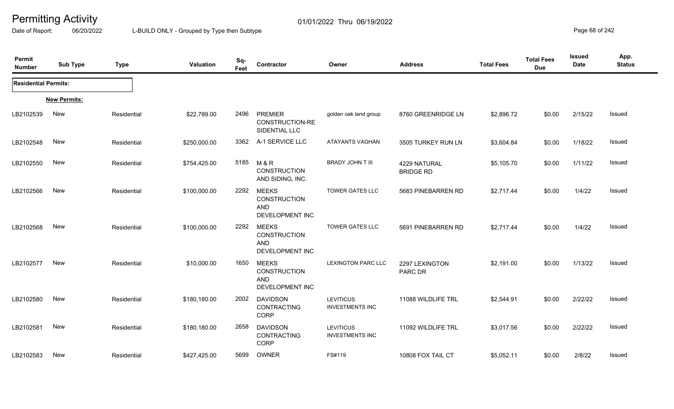Date of Report: 06/20/2022 L-BUILD ONLY - Grouped by Type then Subtype **Page 68** of 242

| Permit<br><b>Number</b>     | <b>Sub Type</b>     | <b>Type</b> | <b>Valuation</b> | Sq-<br>Feet | Contractor                                                           | Owner                                      | <b>Address</b>                   | <b>Total Fees</b> | <b>Total Fees</b><br><b>Due</b> | <b>Issued</b><br><b>Date</b> | App.<br><b>Status</b> |
|-----------------------------|---------------------|-------------|------------------|-------------|----------------------------------------------------------------------|--------------------------------------------|----------------------------------|-------------------|---------------------------------|------------------------------|-----------------------|
| <b>Residential Permits:</b> |                     |             |                  |             |                                                                      |                                            |                                  |                   |                                 |                              |                       |
|                             | <b>New Permits:</b> |             |                  |             |                                                                      |                                            |                                  |                   |                                 |                              |                       |
| LB2102539                   | New                 | Residential | \$22,789.00      | 2496        | PREMIER<br>CONSTRUCTION-RE<br>SIDENTIAL LLC                          | golden oak land group                      | 8760 GREENRIDGE LN               | \$2,896.72        | \$0.00                          | 2/15/22                      | Issued                |
| LB2102548                   | New                 | Residential | \$250,000.00     | 3362        | A-1 SERVICE LLC                                                      | ATAYANTS VAGHAN                            | 3505 TURKEY RUN LN               | \$3,604.84        | \$0.00                          | 1/18/22                      | Issued                |
| LB2102550                   | New                 | Residential | \$754,425.00     | 5185        | M & R<br><b>CONSTRUCTION</b><br>AND SIDING, INC.                     | <b>BRADY JOHN T III</b>                    | 4229 NATURAL<br><b>BRIDGE RD</b> | \$5,105.70        | \$0.00                          | 1/11/22                      | Issued                |
| LB2102566                   | New                 | Residential | \$100,000.00     | 2292        | <b>MEEKS</b><br>CONSTRUCTION<br><b>AND</b><br>DEVELOPMENT INC        | <b>TOWER GATES LLC</b>                     | 5683 PINEBARREN RD               | \$2,717.44        | \$0.00                          | 1/4/22                       | Issued                |
| LB2102568                   | New                 | Residential | \$100,000.00     | 2292        | <b>MEEKS</b><br><b>CONSTRUCTION</b><br><b>AND</b><br>DEVELOPMENT INC | <b>TOWER GATES LLC</b>                     | 5691 PINEBARREN RD               | \$2,717.44        | \$0.00                          | 1/4/22                       | Issued                |
| LB2102577                   | New                 | Residential | \$10,000.00      | 1650        | <b>MEEKS</b><br>CONSTRUCTION<br><b>AND</b><br>DEVELOPMENT INC        | <b>LEXINGTON PARC LLC</b>                  | 2297 LEXINGTON<br>PARC DR        | \$2,191.00        | \$0.00                          | 1/13/22                      | Issued                |
| LB2102580                   | New                 | Residential | \$180,180.00     | 2002        | <b>DAVIDSON</b><br>CONTRACTING<br>CORP                               | <b>LEVITICUS</b><br><b>INVESTMENTS INC</b> | 11088 WILDLIFE TRL               | \$2,544.91        | \$0.00                          | 2/22/22                      | Issued                |
| LB2102581                   | New                 | Residential | \$180,180.00     | 2658        | <b>DAVIDSON</b><br>CONTRACTING<br>CORP                               | <b>LEVITICUS</b><br><b>INVESTMENTS INC</b> | 11092 WILDLIFE TRL               | \$3,017.56        | \$0.00                          | 2/22/22                      | <b>Issued</b>         |
| LB2102583                   | New                 | Residential | \$427,425.00     | 5699        | OWNER                                                                | FS#119                                     | 10808 FOX TAIL CT                | \$5,052.11        | \$0.00                          | 2/8/22                       | Issued                |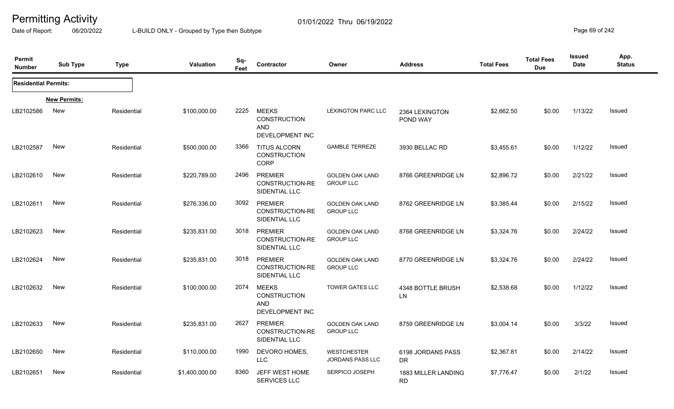Date of Report: 06/20/2022 L-BUILD ONLY - Grouped by Type then Subtype **Page 69** of 242

| Permit<br><b>Number</b>     | <b>Sub Type</b>     | <b>Type</b> | <b>Valuation</b> | Sq-<br>Feet | Contractor                                                           | Owner                                         | <b>Address</b>                   | <b>Total Fees</b> | <b>Total Fees</b><br><b>Due</b> | Issued<br>Date | App.<br><b>Status</b> |
|-----------------------------|---------------------|-------------|------------------|-------------|----------------------------------------------------------------------|-----------------------------------------------|----------------------------------|-------------------|---------------------------------|----------------|-----------------------|
| <b>Residential Permits:</b> |                     |             |                  |             |                                                                      |                                               |                                  |                   |                                 |                |                       |
|                             | <b>New Permits:</b> |             |                  |             |                                                                      |                                               |                                  |                   |                                 |                |                       |
| LB2102586                   | New                 | Residential | \$100,000.00     | 2225        | <b>MEEKS</b><br><b>CONSTRUCTION</b><br><b>AND</b><br>DEVELOPMENT INC | <b>LEXINGTON PARC LLC</b>                     | 2364 LEXINGTON<br>POND WAY       | \$2,662.50        | \$0.00                          | 1/13/22        | Issued                |
| LB2102587                   | <b>New</b>          | Residential | \$500,000.00     | 3366        | <b>TITUS ALCORN</b><br><b>CONSTRUCTION</b><br>CORP                   | <b>GAMBLE TERREZE</b>                         | 3930 BELLAC RD                   | \$3,455.61        | \$0.00                          | 1/12/22        | Issued                |
| LB2102610                   | <b>New</b>          | Residential | \$220,789.00     | 2496        | <b>PREMIER</b><br>CONSTRUCTION-RE<br>SIDENTIAL LLC                   | <b>GOLDEN OAK LAND</b><br><b>GROUP LLC</b>    | 8766 GREENRIDGE LN               | \$2,896.72        | \$0.00                          | 2/21/22        | Issued                |
| LB2102611                   | New                 | Residential | \$276,336.00     | 3092        | <b>PREMIER</b><br>CONSTRUCTION-RE<br>SIDENTIAL LLC                   | <b>GOLDEN OAK LAND</b><br><b>GROUP LLC</b>    | 8762 GREENRIDGE LN               | \$3,385.44        | \$0.00                          | 2/15/22        | Issued                |
| LB2102623                   | <b>New</b>          | Residential | \$235,831.00     | 3018        | <b>PREMIER</b><br>CONSTRUCTION-RE<br>SIDENTIAL LLC                   | <b>GOLDEN OAK LAND</b><br><b>GROUP LLC</b>    | 8768 GREENRIDGE LN               | \$3,324.76        | \$0.00                          | 2/24/22        | Issued                |
| LB2102624                   | <b>New</b>          | Residential | \$235,831.00     | 3018        | <b>PREMIER</b><br>CONSTRUCTION-RE<br>SIDENTIAL LLC                   | <b>GOLDEN OAK LAND</b><br><b>GROUP LLC</b>    | 8770 GREENRIDGE LN               | \$3,324.76        | \$0.00                          | 2/24/22        | Issued                |
| LB2102632                   | New                 | Residential | \$100,000.00     | 2074        | <b>MEEKS</b><br><b>CONSTRUCTION</b><br><b>AND</b><br>DEVELOPMENT INC | <b>TOWER GATES LLC</b>                        | 4348 BOTTLE BRUSH<br>LN          | \$2,538.68        | \$0.00                          | 1/12/22        | Issued                |
| LB2102633                   | New                 | Residential | \$235,831.00     | 2627        | <b>PREMIER</b><br>CONSTRUCTION-RE<br>SIDENTIAL LLC                   | <b>GOLDEN OAK LAND</b><br><b>GROUP LLC</b>    | 8759 GREENRIDGE LN               | \$3,004.14        | \$0.00                          | 3/3/22         | Issued                |
| LB2102650                   | New                 | Residential | \$110,000.00     | 1990        | DEVORO HOMES,<br><b>LLC</b>                                          | <b>WESTCHESTER</b><br><b>JORDANS PASS LLC</b> | 6198 JORDANS PASS<br>DR          | \$2,367.81        | \$0.00                          | 2/14/22        | Issued                |
| LB2102651                   | New                 | Residential | \$1,400,000.00   | 8360        | JEFF WEST HOME<br><b>SERVICES LLC</b>                                | <b>SERPICO JOSEPH</b>                         | 1883 MILLER LANDING<br><b>RD</b> | \$7,776.47        | \$0.00                          | 2/1/22         | <b>Issued</b>         |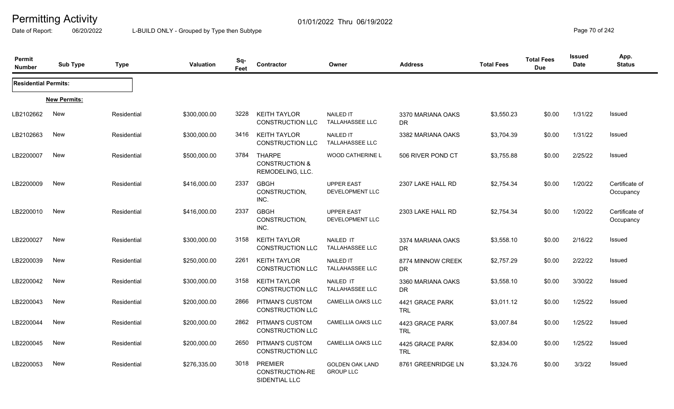Date of Report: 06/20/2022 L-BUILD ONLY - Grouped by Type then Subtype **Page 70** of 242

| Permit<br><b>Number</b>     | <b>Sub Type</b>     | <b>Type</b> | <b>Valuation</b> | Sq-<br>Feet | Contractor                                                     | Owner                                      | <b>Address</b>                 | <b>Total Fees</b> | <b>Total Fees</b><br><b>Due</b> | <b>Issued</b><br>Date | App.<br><b>Status</b>       |
|-----------------------------|---------------------|-------------|------------------|-------------|----------------------------------------------------------------|--------------------------------------------|--------------------------------|-------------------|---------------------------------|-----------------------|-----------------------------|
| <b>Residential Permits:</b> |                     |             |                  |             |                                                                |                                            |                                |                   |                                 |                       |                             |
|                             | <b>New Permits:</b> |             |                  |             |                                                                |                                            |                                |                   |                                 |                       |                             |
| LB2102662                   | New                 | Residential | \$300,000.00     | 3228        | <b>KEITH TAYLOR</b><br><b>CONSTRUCTION LLC</b>                 | <b>NAILED IT</b><br><b>TALLAHASSEE LLC</b> | 3370 MARIANA OAKS<br>DR.       | \$3,550.23        | \$0.00                          | 1/31/22               | <b>Issued</b>               |
| LB2102663                   | New                 | Residential | \$300,000.00     | 3416        | <b>KEITH TAYLOR</b><br><b>CONSTRUCTION LLC</b>                 | <b>NAILED IT</b><br><b>TALLAHASSEE LLC</b> | 3382 MARIANA OAKS              | \$3,704.39        | \$0.00                          | 1/31/22               | <b>Issued</b>               |
| LB2200007                   | New                 | Residential | \$500,000.00     | 3784        | <b>THARPE</b><br><b>CONSTRUCTION &amp;</b><br>REMODELING, LLC. | <b>WOOD CATHERINE L</b>                    | 506 RIVER POND CT              | \$3,755.88        | \$0.00                          | 2/25/22               | Issued                      |
| LB2200009                   | New                 | Residential | \$416,000.00     | 2337        | <b>GBGH</b><br>CONSTRUCTION,<br>INC.                           | <b>UPPER EAST</b><br>DEVELOPMENT LLC       | 2307 LAKE HALL RD              | \$2,754.34        | \$0.00                          | 1/20/22               | Certificate of<br>Occupancy |
| LB2200010                   | New                 | Residential | \$416,000.00     | 2337        | <b>GBGH</b><br>CONSTRUCTION,<br>INC.                           | <b>UPPER EAST</b><br>DEVELOPMENT LLC       | 2303 LAKE HALL RD              | \$2,754.34        | \$0.00                          | 1/20/22               | Certificate of<br>Occupancy |
| LB2200027                   | <b>New</b>          | Residential | \$300,000.00     | 3158        | <b>KEITH TAYLOR</b><br><b>CONSTRUCTION LLC</b>                 | NAILED IT<br><b>TALLAHASSEE LLC</b>        | 3374 MARIANA OAKS<br><b>DR</b> | \$3,558.10        | \$0.00                          | 2/16/22               | Issued                      |
| LB2200039                   | New                 | Residential | \$250,000.00     | 2261        | <b>KEITH TAYLOR</b><br>CONSTRUCTION LLC                        | <b>NAILED IT</b><br><b>TALLAHASSEE LLC</b> | 8774 MINNOW CREEK<br><b>DR</b> | \$2,757.29        | \$0.00                          | 2/22/22               | Issued                      |
| LB2200042                   | New                 | Residential | \$300,000.00     | 3158        | <b>KEITH TAYLOR</b><br><b>CONSTRUCTION LLC</b>                 | NAILED IT<br><b>TALLAHASSEE LLC</b>        | 3360 MARIANA OAKS<br><b>DR</b> | \$3,558.10        | \$0.00                          | 3/30/22               | <b>Issued</b>               |
| LB2200043                   | <b>New</b>          | Residential | \$200,000.00     | 2866        | PITMAN'S CUSTOM<br><b>CONSTRUCTION LLC</b>                     | CAMELLIA OAKS LLC                          | 4421 GRACE PARK<br><b>TRL</b>  | \$3,011.12        | \$0.00                          | 1/25/22               | Issued                      |
| LB2200044                   | New                 | Residential | \$200,000.00     | 2862        | <b>PITMAN'S CUSTOM</b><br>CONSTRUCTION LLC                     | CAMELLIA OAKS LLC                          | 4423 GRACE PARK<br><b>TRL</b>  | \$3,007.84        | \$0.00                          | 1/25/22               | Issued                      |
| LB2200045                   | New                 | Residential | \$200,000.00     | 2650        | PITMAN'S CUSTOM<br>CONSTRUCTION LLC                            | <b>CAMELLIA OAKS LLC</b>                   | 4425 GRACE PARK<br><b>TRL</b>  | \$2,834.00        | \$0.00                          | 1/25/22               | <b>Issued</b>               |
| LB2200053                   | New                 | Residential | \$276,335.00     | 3018        | <b>PREMIER</b><br>CONSTRUCTION-RE<br>SIDENTIAL LLC             | <b>GOLDEN OAK LAND</b><br><b>GROUP LLC</b> | 8761 GREENRIDGE LN             | \$3,324.76        | \$0.00                          | 3/3/22                | <b>Issued</b>               |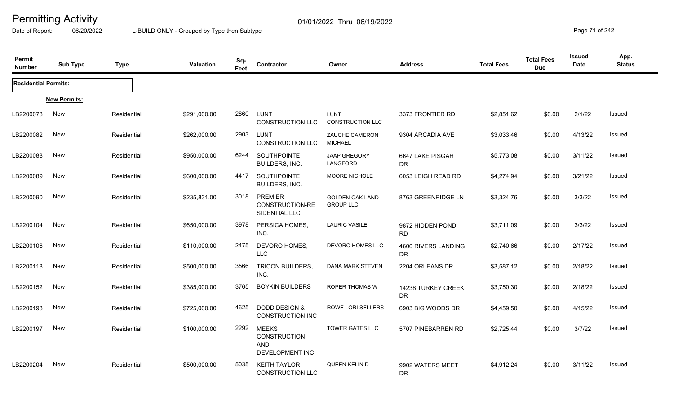Date of Report: 06/20/2022 L-BUILD ONLY - Grouped by Type then Subtype **Page 71** of 242

| Permit<br><b>Number</b>     | <b>Sub Type</b>     | <b>Type</b> | Valuation    | Sq-<br>Feet | Contractor                                                           | Owner                                      | <b>Address</b>                   | <b>Total Fees</b> | <b>Total Fees</b><br><b>Due</b> | <b>Issued</b><br><b>Date</b> | App.<br><b>Status</b> |
|-----------------------------|---------------------|-------------|--------------|-------------|----------------------------------------------------------------------|--------------------------------------------|----------------------------------|-------------------|---------------------------------|------------------------------|-----------------------|
| <b>Residential Permits:</b> |                     |             |              |             |                                                                      |                                            |                                  |                   |                                 |                              |                       |
|                             | <b>New Permits:</b> |             |              |             |                                                                      |                                            |                                  |                   |                                 |                              |                       |
| LB2200078                   | <b>New</b>          | Residential | \$291,000.00 | 2860        | <b>LUNT</b><br><b>CONSTRUCTION LLC</b>                               | <b>LUNT</b><br>CONSTRUCTION LLC            | 3373 FRONTIER RD                 | \$2,851.62        | \$0.00                          | 2/1/22                       | Issued                |
| LB2200082                   | New                 | Residential | \$262,000.00 | 2903        | <b>LUNT</b><br><b>CONSTRUCTION LLC</b>                               | ZAUCHE CAMERON<br><b>MICHAEL</b>           | 9304 ARCADIA AVE                 | \$3,033.46        | \$0.00                          | 4/13/22                      | Issued                |
| LB2200088                   | <b>New</b>          | Residential | \$950,000.00 | 6244        | SOUTHPOINTE<br>BUILDERS, INC.                                        | <b>JAAP GREGORY</b><br>LANGFORD            | 6647 LAKE PISGAH<br><b>DR</b>    | \$5,773.08        | \$0.00                          | 3/11/22                      | <b>Issued</b>         |
| LB2200089                   | <b>New</b>          | Residential | \$600,000.00 | 4417        | SOUTHPOINTE<br>BUILDERS, INC.                                        | <b>MOORE NICHOLE</b>                       | 6053 LEIGH READ RD               | \$4,274.94        | \$0.00                          | 3/21/22                      | Issued                |
| LB2200090                   | New                 | Residential | \$235,831.00 | 3018        | <b>PREMIER</b><br>CONSTRUCTION-RE<br>SIDENTIAL LLC                   | <b>GOLDEN OAK LAND</b><br><b>GROUP LLC</b> | 8763 GREENRIDGE LN               | \$3,324.76        | \$0.00                          | 3/3/22                       | <b>Issued</b>         |
| LB2200104                   | New                 | Residential | \$650,000.00 | 3978        | PERSICA HOMES,<br>INC.                                               | <b>LAURIC VASILE</b>                       | 9872 HIDDEN POND<br><b>RD</b>    | \$3,711.09        | \$0.00                          | 3/3/22                       | <b>Issued</b>         |
| LB2200106                   | New                 | Residential | \$110,000.00 | 2475        | DEVORO HOMES,<br>LLC                                                 | DEVORO HOMES LLC                           | 4600 RIVERS LANDING<br><b>DR</b> | \$2,740.66        | \$0.00                          | 2/17/22                      | Issued                |
| LB2200118                   | <b>New</b>          | Residential | \$500,000.00 | 3566        | <b>TRICON BUILDERS,</b><br>INC.                                      | DANA MARK STEVEN                           | 2204 ORLEANS DR                  | \$3,587.12        | \$0.00                          | 2/18/22                      | Issued                |
| LB2200152                   | New                 | Residential | \$385,000.00 | 3765        | <b>BOYKIN BUILDERS</b>                                               | <b>ROPER THOMAS W</b>                      | 14238 TURKEY CREEK<br><b>DR</b>  | \$3,750.30        | \$0.00                          | 2/18/22                      | Issued                |
| LB2200193                   | <b>New</b>          | Residential | \$725,000.00 | 4625        | <b>DODD DESIGN &amp;</b><br><b>CONSTRUCTION INC</b>                  | <b>ROWE LORI SELLERS</b>                   | 6903 BIG WOODS DR                | \$4,459.50        | \$0.00                          | 4/15/22                      | Issued                |
| LB2200197                   | <b>New</b>          | Residential | \$100,000.00 | 2292        | <b>MEEKS</b><br><b>CONSTRUCTION</b><br><b>AND</b><br>DEVELOPMENT INC | <b>TOWER GATES LLC</b>                     | 5707 PINEBARREN RD               | \$2,725.44        | \$0.00                          | 3/7/22                       | Issued                |
| LB2200204                   | New                 | Residential | \$500,000.00 | 5035        | <b>KEITH TAYLOR</b><br><b>CONSTRUCTION LLC</b>                       | <b>QUEEN KELIN D</b>                       | 9902 WATERS MEET<br><b>DR</b>    | \$4,912.24        | \$0.00                          | 3/11/22                      | Issued                |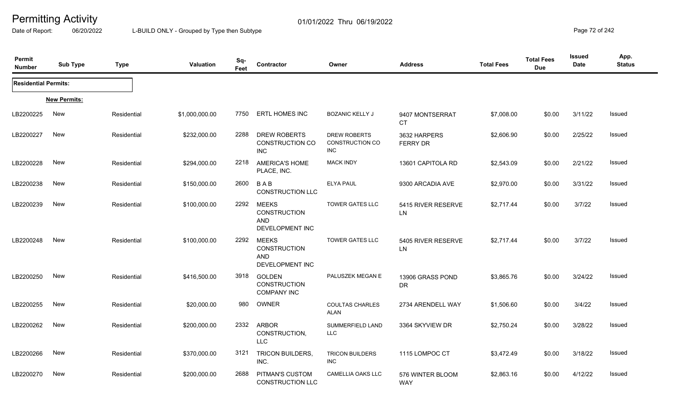Date of Report: 06/20/2022 L-BUILD ONLY - Grouped by Type then Subtype **Page 72** of 242

| Permit<br><b>Number</b>     | <b>Sub Type</b>     | <b>Type</b> | <b>Valuation</b> | Sq-<br>Feet | Contractor                                                           | Owner                                         | <b>Address</b>                   | <b>Total Fees</b> | <b>Total Fees</b><br><b>Due</b> | <b>Issued</b><br><b>Date</b> | App.<br><b>Status</b> |
|-----------------------------|---------------------|-------------|------------------|-------------|----------------------------------------------------------------------|-----------------------------------------------|----------------------------------|-------------------|---------------------------------|------------------------------|-----------------------|
| <b>Residential Permits:</b> |                     |             |                  |             |                                                                      |                                               |                                  |                   |                                 |                              |                       |
|                             | <b>New Permits:</b> |             |                  |             |                                                                      |                                               |                                  |                   |                                 |                              |                       |
| LB2200225                   | New                 | Residential | \$1,000,000.00   | 7750        | <b>ERTL HOMES INC</b>                                                | <b>BOZANIC KELLY J</b>                        | 9407 MONTSERRAT<br><b>CT</b>     | \$7,008.00        | \$0.00                          | 3/11/22                      | Issued                |
| LB2200227                   | New                 | Residential | \$232,000.00     | 2288        | DREW ROBERTS<br><b>CONSTRUCTION CO</b><br><b>INC</b>                 | <b>DREW ROBERTS</b><br>CONSTRUCTION CO<br>INC | 3632 HARPERS<br><b>FERRY DR</b>  | \$2,606.90        | \$0.00                          | 2/25/22                      | Issued                |
| LB2200228                   | <b>New</b>          | Residential | \$294,000.00     | 2218        | <b>AMERICA'S HOME</b><br>PLACE, INC.                                 | <b>MACK INDY</b>                              | 13601 CAPITOLA RD                | \$2,543.09        | \$0.00                          | 2/21/22                      | Issued                |
| LB2200238                   | New                 | Residential | \$150,000.00     | 2600        | BAB<br><b>CONSTRUCTION LLC</b>                                       | <b>ELYA PAUL</b>                              | 9300 ARCADIA AVE                 | \$2,970.00        | \$0.00                          | 3/31/22                      | Issued                |
| LB2200239                   | New                 | Residential | \$100,000.00     | 2292        | MEEKS<br><b>CONSTRUCTION</b><br><b>AND</b><br>DEVELOPMENT INC        | <b>TOWER GATES LLC</b>                        | 5415 RIVER RESERVE<br>${\sf LN}$ | \$2,717.44        | \$0.00                          | 3/7/22                       | <b>Issued</b>         |
| LB2200248                   | New                 | Residential | \$100,000.00     | 2292        | <b>MEEKS</b><br><b>CONSTRUCTION</b><br><b>AND</b><br>DEVELOPMENT INC | <b>TOWER GATES LLC</b>                        | 5405 RIVER RESERVE<br>${\sf LN}$ | \$2,717.44        | \$0.00                          | 3/7/22                       | Issued                |
| LB2200250                   | New                 | Residential | \$416,500.00     | 3918        | <b>GOLDEN</b><br><b>CONSTRUCTION</b><br><b>COMPANY INC</b>           | PALUSZEK MEGAN E                              | 13906 GRASS POND<br><b>DR</b>    | \$3,865.76        | \$0.00                          | 3/24/22                      | Issued                |
| LB2200255                   | New                 | Residential | \$20,000.00      | 980         | OWNER                                                                | <b>COULTAS CHARLES</b><br><b>ALAN</b>         | 2734 ARENDELL WAY                | \$1,506.60        | \$0.00                          | 3/4/22                       | Issued                |
| LB2200262                   | New                 | Residential | \$200,000.00     | 2332        | ARBOR<br>CONSTRUCTION,<br><b>LLC</b>                                 | SUMMERFIELD LAND<br><b>LLC</b>                | 3364 SKYVIEW DR                  | \$2,750.24        | \$0.00                          | 3/28/22                      | Issued                |
| LB2200266                   | <b>New</b>          | Residential | \$370,000.00     | 3121        | <b>TRICON BUILDERS,</b><br>INC.                                      | <b>TRICON BUILDERS</b><br>INC.                | 1115 LOMPOC CT                   | \$3,472.49        | \$0.00                          | 3/18/22                      | Issued                |
| LB2200270                   | New                 | Residential | \$200,000.00     | 2688        | PITMAN'S CUSTOM<br><b>CONSTRUCTION LLC</b>                           | <b>CAMELLIA OAKS LLC</b>                      | 576 WINTER BLOOM<br><b>WAY</b>   | \$2,863.16        | \$0.00                          | 4/12/22                      | Issued                |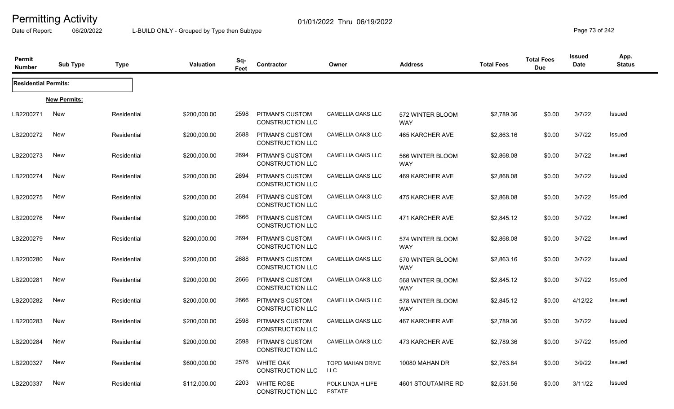Date of Report: 06/20/2022 L-BUILD ONLY - Grouped by Type then Subtype **Page 73** of 242

| Permit<br><b>Number</b>     | <b>Sub Type</b>     | <b>Type</b> | Valuation    | Sq-<br>Feet | Contractor                                   | Owner                                 | <b>Address</b>                 | <b>Total Fees</b> | <b>Total Fees</b><br><b>Due</b> | Issued<br>Date | App.<br><b>Status</b> |
|-----------------------------|---------------------|-------------|--------------|-------------|----------------------------------------------|---------------------------------------|--------------------------------|-------------------|---------------------------------|----------------|-----------------------|
| <b>Residential Permits:</b> |                     |             |              |             |                                              |                                       |                                |                   |                                 |                |                       |
|                             | <b>New Permits:</b> |             |              |             |                                              |                                       |                                |                   |                                 |                |                       |
| LB2200271                   | New                 | Residential | \$200,000.00 | 2598        | PITMAN'S CUSTOM<br><b>CONSTRUCTION LLC</b>   | <b>CAMELLIA OAKS LLC</b>              | 572 WINTER BLOOM<br><b>WAY</b> | \$2,789.36        | \$0.00                          | 3/7/22         | Issued                |
| LB2200272                   | New                 | Residential | \$200,000.00 | 2688        | PITMAN'S CUSTOM<br><b>CONSTRUCTION LLC</b>   | <b>CAMELLIA OAKS LLC</b>              | 465 KARCHER AVE                | \$2,863.16        | \$0.00                          | 3/7/22         | Issued                |
| LB2200273                   | New                 | Residential | \$200,000.00 | 2694        | PITMAN'S CUSTOM<br><b>CONSTRUCTION LLC</b>   | <b>CAMELLIA OAKS LLC</b>              | 566 WINTER BLOOM<br>WAY        | \$2,868.08        | \$0.00                          | 3/7/22         | Issued                |
| LB2200274                   | New                 | Residential | \$200,000.00 | 2694        | PITMAN'S CUSTOM<br><b>CONSTRUCTION LLC</b>   | <b>CAMELLIA OAKS LLC</b>              | 469 KARCHER AVE                | \$2,868.08        | \$0.00                          | 3/7/22         | Issued                |
| LB2200275                   | New                 | Residential | \$200,000.00 | 2694        | PITMAN'S CUSTOM<br><b>CONSTRUCTION LLC</b>   | <b>CAMELLIA OAKS LLC</b>              | 475 KARCHER AVE                | \$2,868.08        | \$0.00                          | 3/7/22         | Issued                |
| LB2200276                   | New                 | Residential | \$200,000.00 | 2666        | PITMAN'S CUSTOM<br><b>CONSTRUCTION LLC</b>   | <b>CAMELLIA OAKS LLC</b>              | 471 KARCHER AVE                | \$2,845.12        | \$0.00                          | 3/7/22         | Issued                |
| LB2200279                   | New                 | Residential | \$200,000.00 | 2694        | PITMAN'S CUSTOM<br><b>CONSTRUCTION LLC</b>   | <b>CAMELLIA OAKS LLC</b>              | 574 WINTER BLOOM<br><b>WAY</b> | \$2,868.08        | \$0.00                          | 3/7/22         | Issued                |
| LB2200280                   | New                 | Residential | \$200,000.00 | 2688        | PITMAN'S CUSTOM<br><b>CONSTRUCTION LLC</b>   | <b>CAMELLIA OAKS LLC</b>              | 570 WINTER BLOOM<br><b>WAY</b> | \$2,863.16        | \$0.00                          | 3/7/22         | Issued                |
| LB2200281                   | New                 | Residential | \$200,000.00 | 2666        | <b>PITMAN'S CUSTOM</b><br>CONSTRUCTION LLC   | CAMELLIA OAKS LLC                     | 568 WINTER BLOOM<br>WAY        | \$2,845.12        | \$0.00                          | 3/7/22         | Issued                |
| LB2200282                   | New                 | Residential | \$200,000.00 | 2666        | PITMAN'S CUSTOM<br><b>CONSTRUCTION LLC</b>   | CAMELLIA OAKS LLC                     | 578 WINTER BLOOM<br>WAY        | \$2,845.12        | \$0.00                          | 4/12/22        | Issued                |
| LB2200283                   | New                 | Residential | \$200,000.00 | 2598        | PITMAN'S CUSTOM<br><b>CONSTRUCTION LLC</b>   | CAMELLIA OAKS LLC                     | 467 KARCHER AVE                | \$2,789.36        | \$0.00                          | 3/7/22         | Issued                |
| LB2200284                   | New                 | Residential | \$200,000.00 | 2598        | PITMAN'S CUSTOM<br>CONSTRUCTION LLC          | <b>CAMELLIA OAKS LLC</b>              | 473 KARCHER AVE                | \$2,789.36        | \$0.00                          | 3/7/22         | Issued                |
| LB2200327                   | New                 | Residential | \$600,000.00 | 2576        | <b>WHITE OAK</b><br><b>CONSTRUCTION LLC</b>  | <b>TOPD MAHAN DRIVE</b><br><b>LLC</b> | 10080 MAHAN DR                 | \$2,763.84        | \$0.00                          | 3/9/22         | Issued                |
| LB2200337                   | New                 | Residential | \$112,000.00 | 2203        | <b>WHITE ROSE</b><br><b>CONSTRUCTION LLC</b> | POLK LINDA H LIFE<br><b>ESTATE</b>    | 4601 STOUTAMIRE RD             | \$2,531.56        | \$0.00                          | 3/11/22        | Issued                |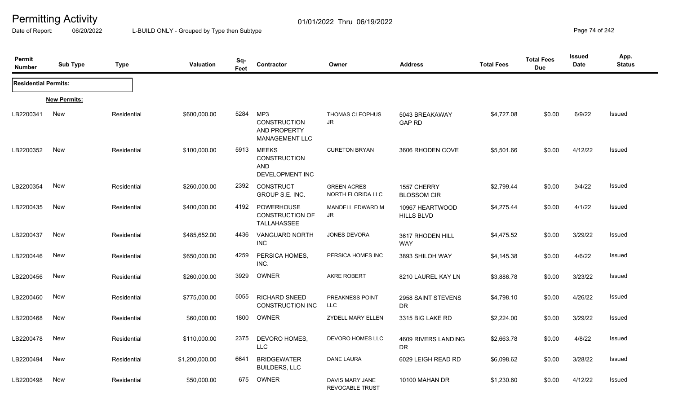Date of Report: 06/20/2022 L-BUILD ONLY - Grouped by Type then Subtype **Page 74** of 242

| Permit<br><b>Number</b>     | <b>Sub Type</b>     | <b>Type</b> | <b>Valuation</b> | Sq-<br>Feet | Contractor                                                           | Owner                                     | <b>Address</b>                       | <b>Total Fees</b> | <b>Total Fees</b><br><b>Due</b> | <b>Issued</b><br><b>Date</b> | App.<br><b>Status</b> |
|-----------------------------|---------------------|-------------|------------------|-------------|----------------------------------------------------------------------|-------------------------------------------|--------------------------------------|-------------------|---------------------------------|------------------------------|-----------------------|
| <b>Residential Permits:</b> |                     |             |                  |             |                                                                      |                                           |                                      |                   |                                 |                              |                       |
|                             | <b>New Permits:</b> |             |                  |             |                                                                      |                                           |                                      |                   |                                 |                              |                       |
| LB2200341                   | New                 | Residential | \$600,000.00     | 5284        | MP3<br><b>CONSTRUCTION</b><br>AND PROPERTY<br><b>MANAGEMENT LLC</b>  | THOMAS CLEOPHUS<br>JR                     | 5043 BREAKAWAY<br><b>GAP RD</b>      | \$4,727.08        | \$0.00                          | 6/9/22                       | <b>Issued</b>         |
| LB2200352                   | New                 | Residential | \$100,000.00     | 5913        | <b>MEEKS</b><br><b>CONSTRUCTION</b><br><b>AND</b><br>DEVELOPMENT INC | <b>CURETON BRYAN</b>                      | 3606 RHODEN COVE                     | \$5,501.66        | \$0.00                          | 4/12/22                      | Issued                |
| LB2200354                   | New                 | Residential | \$260,000.00     | 2392        | <b>CONSTRUCT</b><br>GROUP S.E. INC.                                  | <b>GREEN ACRES</b><br>NORTH FLORIDA LLC   | 1557 CHERRY<br><b>BLOSSOM CIR</b>    | \$2,799.44        | \$0.00                          | 3/4/22                       | <b>Issued</b>         |
| LB2200435                   | New                 | Residential | \$400,000.00     | 4192        | POWERHOUSE<br><b>CONSTRUCTION OF</b><br>TALLAHASSEE                  | MANDELL EDWARD M<br>JR                    | 10967 HEARTWOOD<br><b>HILLS BLVD</b> | \$4,275.44        | \$0.00                          | 4/1/22                       | <b>Issued</b>         |
| LB2200437                   | New                 | Residential | \$485,652.00     | 4436        | <b>VANGUARD NORTH</b><br><b>INC</b>                                  | <b>JONES DEVORA</b>                       | 3617 RHODEN HILL<br><b>WAY</b>       | \$4,475.52        | \$0.00                          | 3/29/22                      | <b>Issued</b>         |
| LB2200446                   | New                 | Residential | \$650,000.00     | 4259        | PERSICA HOMES,<br>INC.                                               | PERSICA HOMES INC                         | 3893 SHILOH WAY                      | \$4,145.38        | \$0.00                          | 4/6/22                       | <b>Issued</b>         |
| LB2200456                   | New                 | Residential | \$260,000.00     | 3929        | OWNER                                                                | <b>AKRE ROBERT</b>                        | 8210 LAUREL KAY LN                   | \$3,886.78        | \$0.00                          | 3/23/22                      | <b>Issued</b>         |
| LB2200460                   | New                 | Residential | \$775,000.00     | 5055        | <b>RICHARD SNEED</b><br><b>CONSTRUCTION INC</b>                      | PREAKNESS POINT<br><b>LLC</b>             | 2958 SAINT STEVENS<br><b>DR</b>      | \$4,798.10        | \$0.00                          | 4/26/22                      | <b>Issued</b>         |
| LB2200468                   | New                 | Residential | \$60,000.00      | 1800        | OWNER                                                                | <b>ZYDELL MARY ELLEN</b>                  | 3315 BIG LAKE RD                     | \$2,224.00        | \$0.00                          | 3/29/22                      | Issued                |
| LB2200478                   | New                 | Residential | \$110,000.00     | 2375        | DEVORO HOMES,<br><b>LLC</b>                                          | DEVORO HOMES LLC                          | 4609 RIVERS LANDING<br>DR            | \$2,663.78        | \$0.00                          | 4/8/22                       | <b>Issued</b>         |
| LB2200494                   | <b>New</b>          | Residential | \$1,200,000.00   | 6641        | <b>BRIDGEWATER</b><br><b>BUILDERS, LLC</b>                           | DANE LAURA                                | 6029 LEIGH READ RD                   | \$6,098.62        | \$0.00                          | 3/28/22                      | <b>Issued</b>         |
| LB2200498                   | New                 | Residential | \$50,000.00      | 675         | OWNER                                                                | DAVIS MARY JANE<br><b>REVOCABLE TRUST</b> | 10100 MAHAN DR                       | \$1,230.60        | \$0.00                          | 4/12/22                      | <b>Issued</b>         |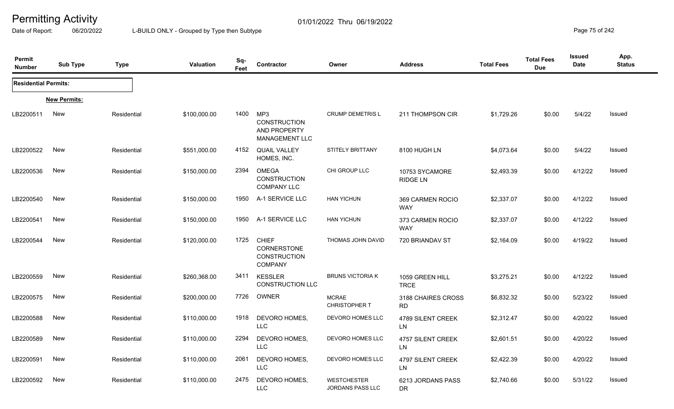Date of Report: 06/20/2022 L-BUILD ONLY - Grouped by Type then Subtype **Page 75** of 242

| Permit<br><b>Number</b>     | <b>Sub Type</b>     | <b>Type</b> | <b>Valuation</b> | Sq-<br>Feet | Contractor                                                           | Owner                                         | <b>Address</b>                    | <b>Total Fees</b> | <b>Total Fees</b><br><b>Due</b> | <b>Issued</b><br><b>Date</b> | App.<br><b>Status</b> |
|-----------------------------|---------------------|-------------|------------------|-------------|----------------------------------------------------------------------|-----------------------------------------------|-----------------------------------|-------------------|---------------------------------|------------------------------|-----------------------|
| <b>Residential Permits:</b> |                     |             |                  |             |                                                                      |                                               |                                   |                   |                                 |                              |                       |
|                             | <b>New Permits:</b> |             |                  |             |                                                                      |                                               |                                   |                   |                                 |                              |                       |
| LB2200511                   | New                 | Residential | \$100,000.00     | 1400        | MP3<br><b>CONSTRUCTION</b><br>AND PROPERTY<br><b>MANAGEMENT LLC</b>  | <b>CRUMP DEMETRIS L</b>                       | 211 THOMPSON CIR                  | \$1,729.26        | \$0.00                          | 5/4/22                       | Issued                |
| LB2200522                   | <b>New</b>          | Residential | \$551,000.00     | 4152        | <b>QUAIL VALLEY</b><br>HOMES, INC.                                   | <b>STITELY BRITTANY</b>                       | 8100 HUGH LN                      | \$4,073.64        | \$0.00                          | 5/4/22                       | Issued                |
| LB2200536                   | <b>New</b>          | Residential | \$150,000.00     | 2394        | <b>OMEGA</b><br><b>CONSTRUCTION</b><br><b>COMPANY LLC</b>            | CHI GROUP LLC                                 | 10753 SYCAMORE<br><b>RIDGE LN</b> | \$2,493.39        | \$0.00                          | 4/12/22                      | <b>Issued</b>         |
| LB2200540                   | New                 | Residential | \$150,000.00     | 1950        | A-1 SERVICE LLC                                                      | <b>HAN YICHUN</b>                             | 369 CARMEN ROCIO<br><b>WAY</b>    | \$2,337.07        | \$0.00                          | 4/12/22                      | Issued                |
| LB2200541                   | New                 | Residential | \$150,000.00     | 1950        | A-1 SERVICE LLC                                                      | <b>HAN YICHUN</b>                             | 373 CARMEN ROCIO<br><b>WAY</b>    | \$2,337.07        | \$0.00                          | 4/12/22                      | <b>Issued</b>         |
| LB2200544                   | <b>New</b>          | Residential | \$120,000.00     | 1725        | <b>CHIEF</b><br>CORNERSTONE<br><b>CONSTRUCTION</b><br><b>COMPANY</b> | THOMAS JOHN DAVID                             | 720 BRIANDAV ST                   | \$2,164.09        | \$0.00                          | 4/19/22                      | Issued                |
| LB2200559                   | <b>New</b>          | Residential | \$260,368.00     | 3411        | <b>KESSLER</b><br><b>CONSTRUCTION LLC</b>                            | <b>BRUNS VICTORIA K</b>                       | 1059 GREEN HILL<br><b>TRCE</b>    | \$3,275.21        | \$0.00                          | 4/12/22                      | <b>Issued</b>         |
| LB2200575                   | <b>New</b>          | Residential | \$200,000.00     | 7726        | <b>OWNER</b>                                                         | <b>MCRAE</b><br>CHRISTOPHER T                 | 3188 CHAIRES CROSS<br><b>RD</b>   | \$6,832.32        | \$0.00                          | 5/23/22                      | <b>Issued</b>         |
| LB2200588                   | New                 | Residential | \$110,000.00     | 1918        | DEVORO HOMES,<br><b>LLC</b>                                          | DEVORO HOMES LLC                              | 4789 SILENT CREEK<br>LN           | \$2,312.47        | \$0.00                          | 4/20/22                      | Issued                |
| LB2200589                   | <b>New</b>          | Residential | \$110,000.00     | 2294        | DEVORO HOMES,<br><b>LLC</b>                                          | DEVORO HOMES LLC                              | 4757 SILENT CREEK<br><b>LN</b>    | \$2,601.51        | \$0.00                          | 4/20/22                      | Issued                |
| LB2200591                   | <b>New</b>          | Residential | \$110,000.00     | 2061        | DEVORO HOMES,<br><b>LLC</b>                                          | DEVORO HOMES LLC                              | 4797 SILENT CREEK<br>LN           | \$2,422.39        | \$0.00                          | 4/20/22                      | Issued                |
| LB2200592                   | New                 | Residential | \$110,000.00     | 2475        | DEVORO HOMES,<br><b>LLC</b>                                          | <b>WESTCHESTER</b><br><b>JORDANS PASS LLC</b> | 6213 JORDANS PASS<br><b>DR</b>    | \$2,740.66        | \$0.00                          | 5/31/22                      | Issued                |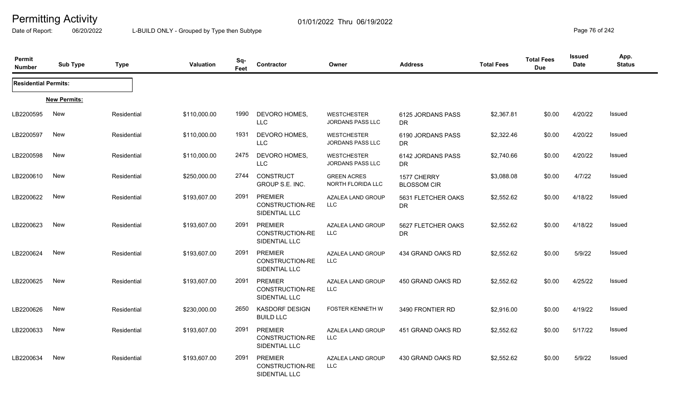Date of Report: 06/20/2022 L-BUILD ONLY - Grouped by Type then Subtype **Page 76** of 242

| Permit<br><b>Number</b>     | <b>Sub Type</b>     | <b>Type</b> | <b>Valuation</b> | Sq-<br>Feet | Contractor                                         | Owner                                         | <b>Address</b>                    | <b>Total Fees</b> | <b>Total Fees</b><br><b>Due</b> | <b>Issued</b><br><b>Date</b> | App.<br><b>Status</b> |
|-----------------------------|---------------------|-------------|------------------|-------------|----------------------------------------------------|-----------------------------------------------|-----------------------------------|-------------------|---------------------------------|------------------------------|-----------------------|
| <b>Residential Permits:</b> |                     |             |                  |             |                                                    |                                               |                                   |                   |                                 |                              |                       |
|                             | <b>New Permits:</b> |             |                  |             |                                                    |                                               |                                   |                   |                                 |                              |                       |
| LB2200595                   | <b>New</b>          | Residential | \$110,000.00     | 1990        | DEVORO HOMES,<br><b>LLC</b>                        | <b>WESTCHESTER</b><br><b>JORDANS PASS LLC</b> | 6125 JORDANS PASS<br>DR           | \$2,367.81        | \$0.00                          | 4/20/22                      | Issued                |
| LB2200597                   | New                 | Residential | \$110,000.00     | 1931        | DEVORO HOMES,<br><b>LLC</b>                        | <b>WESTCHESTER</b><br><b>JORDANS PASS LLC</b> | 6190 JORDANS PASS<br>DR.          | \$2,322.46        | \$0.00                          | 4/20/22                      | Issued                |
| LB2200598                   | <b>New</b>          | Residential | \$110,000.00     | 2475        | DEVORO HOMES,<br><b>LLC</b>                        | <b>WESTCHESTER</b><br><b>JORDANS PASS LLC</b> | 6142 JORDANS PASS<br><b>DR</b>    | \$2,740.66        | \$0.00                          | 4/20/22                      | Issued                |
| LB2200610                   | New                 | Residential | \$250,000.00     | 2744        | <b>CONSTRUCT</b><br>GROUP S.E. INC.                | <b>GREEN ACRES</b><br>NORTH FLORIDA LLC       | 1577 CHERRY<br><b>BLOSSOM CIR</b> | \$3,088.08        | \$0.00                          | 4/7/22                       | <b>Issued</b>         |
| LB2200622                   | New                 | Residential | \$193,607.00     | 2091        | <b>PREMIER</b><br>CONSTRUCTION-RE<br>SIDENTIAL LLC | AZALEA LAND GROUP<br><b>LLC</b>               | 5631 FLETCHER OAKS<br>DR          | \$2,552.62        | \$0.00                          | 4/18/22                      | Issued                |
| LB2200623                   | New                 | Residential | \$193,607.00     | 2091        | <b>PREMIER</b><br>CONSTRUCTION-RE<br>SIDENTIAL LLC | AZALEA LAND GROUP<br><b>LLC</b>               | 5627 FLETCHER OAKS<br><b>DR</b>   | \$2,552.62        | \$0.00                          | 4/18/22                      | Issued                |
| LB2200624                   | New                 | Residential | \$193,607.00     | 2091        | <b>PREMIER</b><br>CONSTRUCTION-RE<br>SIDENTIAL LLC | AZALEA LAND GROUP<br><b>LLC</b>               | 434 GRAND OAKS RD                 | \$2,552.62        | \$0.00                          | 5/9/22                       | Issued                |
| LB2200625                   | <b>New</b>          | Residential | \$193,607.00     | 2091        | <b>PREMIER</b><br>CONSTRUCTION-RE<br>SIDENTIAL LLC | AZALEA LAND GROUP<br><b>LLC</b>               | 450 GRAND OAKS RD                 | \$2,552.62        | \$0.00                          | 4/25/22                      | Issued                |
| LB2200626                   | <b>New</b>          | Residential | \$230,000.00     | 2650        | <b>KASDORF DESIGN</b><br><b>BUILD LLC</b>          | FOSTER KENNETH W                              | 3490 FRONTIER RD                  | \$2,916.00        | \$0.00                          | 4/19/22                      | Issued                |
| LB2200633                   | <b>New</b>          | Residential | \$193,607.00     | 2091        | <b>PREMIER</b><br>CONSTRUCTION-RE<br>SIDENTIAL LLC | AZALEA LAND GROUP<br><b>LLC</b>               | 451 GRAND OAKS RD                 | \$2,552.62        | \$0.00                          | 5/17/22                      | <b>Issued</b>         |
| LB2200634                   | <b>New</b>          | Residential | \$193,607.00     | 2091        | <b>PREMIER</b><br>CONSTRUCTION-RE<br>SIDENTIAL LLC | AZALEA LAND GROUP<br><b>LLC</b>               | 430 GRAND OAKS RD                 | \$2,552.62        | \$0.00                          | 5/9/22                       | Issued                |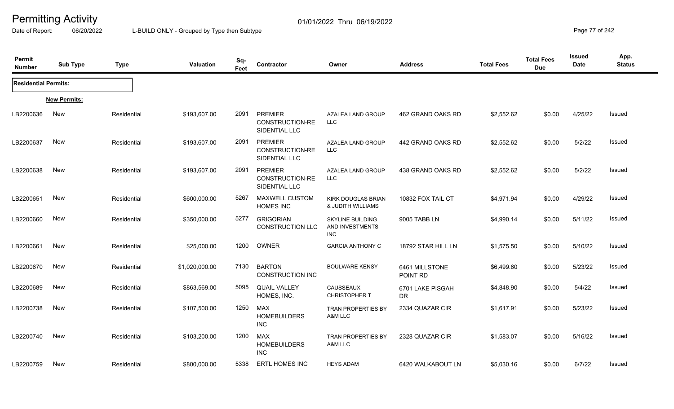Date of Report: 06/20/2022 L-BUILD ONLY - Grouped by Type then Subtype **Page 77** of 242

| Permit<br><b>Number</b>     | <b>Sub Type</b>     | <b>Type</b> | <b>Valuation</b> | Sq-<br>Feet | Contractor                                         | Owner                                                    | <b>Address</b>             | <b>Total Fees</b> | <b>Total Fees</b><br><b>Due</b> | <b>Issued</b><br>Date | App.<br><b>Status</b> |
|-----------------------------|---------------------|-------------|------------------|-------------|----------------------------------------------------|----------------------------------------------------------|----------------------------|-------------------|---------------------------------|-----------------------|-----------------------|
| <b>Residential Permits:</b> |                     |             |                  |             |                                                    |                                                          |                            |                   |                                 |                       |                       |
|                             | <b>New Permits:</b> |             |                  |             |                                                    |                                                          |                            |                   |                                 |                       |                       |
| LB2200636                   | New                 | Residential | \$193,607.00     | 2091        | <b>PREMIER</b><br>CONSTRUCTION-RE<br>SIDENTIAL LLC | AZALEA LAND GROUP<br>LLC                                 | 462 GRAND OAKS RD          | \$2,552.62        | \$0.00                          | 4/25/22               | Issued                |
| LB2200637                   | <b>New</b>          | Residential | \$193,607.00     | 2091        | <b>PREMIER</b><br>CONSTRUCTION-RE<br>SIDENTIAL LLC | AZALEA LAND GROUP<br>LLC.                                | 442 GRAND OAKS RD          | \$2,552.62        | \$0.00                          | 5/2/22                | <b>Issued</b>         |
| LB2200638                   | <b>New</b>          | Residential | \$193,607.00     | 2091        | <b>PREMIER</b><br>CONSTRUCTION-RE<br>SIDENTIAL LLC | AZALEA LAND GROUP<br><b>LLC</b>                          | 438 GRAND OAKS RD          | \$2,552.62        | \$0.00                          | 5/2/22                | Issued                |
| LB2200651                   | <b>New</b>          | Residential | \$600,000.00     | 5267        | MAXWELL CUSTOM<br><b>HOMES INC</b>                 | <b>KIRK DOUGLAS BRIAN</b><br>& JUDITH WILLIAMS           | 10832 FOX TAIL CT          | \$4,971.94        | \$0.00                          | 4/29/22               | <b>Issued</b>         |
| LB2200660                   | New                 | Residential | \$350,000.00     | 5277        | <b>GRIGORIAN</b><br><b>CONSTRUCTION LLC</b>        | <b>SKYLINE BUILDING</b><br>AND INVESTMENTS<br><b>INC</b> | 9005 TABB LN               | \$4,990.14        | \$0.00                          | 5/11/22               | Issued                |
| LB2200661                   | <b>New</b>          | Residential | \$25,000.00      | 1200        | OWNER                                              | <b>GARCIA ANTHONY C</b>                                  | 18792 STAR HILL LN         | \$1,575.50        | \$0.00                          | 5/10/22               | Issued                |
| LB2200670                   | <b>New</b>          | Residential | \$1,020,000.00   | 7130        | <b>BARTON</b><br><b>CONSTRUCTION INC</b>           | <b>BOULWARE KENSY</b>                                    | 6461 MILLSTONE<br>POINT RD | \$6,499.60        | \$0.00                          | 5/23/22               | <b>Issued</b>         |
| LB2200689                   | <b>New</b>          | Residential | \$863,569.00     | 5095        | <b>QUAIL VALLEY</b><br>HOMES, INC.                 | CAUSSEAUX<br>CHRISTOPHER T                               | 6701 LAKE PISGAH<br>DR     | \$4,848.90        | \$0.00                          | 5/4/22                | Issued                |
| LB2200738                   | <b>New</b>          | Residential | \$107,500.00     | 1250        | <b>MAX</b><br><b>HOMEBUILDERS</b><br><b>INC</b>    | <b>TRAN PROPERTIES BY</b><br>A&M LLC                     | 2334 QUAZAR CIR            | \$1,617.91        | \$0.00                          | 5/23/22               | Issued                |
| LB2200740                   | <b>New</b>          | Residential | \$103,200.00     | 1200        | <b>MAX</b><br><b>HOMEBUILDERS</b><br><b>INC</b>    | TRAN PROPERTIES BY<br>A&M LLC                            | 2328 QUAZAR CIR            | \$1,583.07        | \$0.00                          | 5/16/22               | <b>Issued</b>         |
| LB2200759                   | <b>New</b>          | Residential | \$800,000.00     | 5338        | ERTL HOMES INC                                     | <b>HEYS ADAM</b>                                         | 6420 WALKABOUT LN          | \$5,030.16        | \$0.00                          | 6/7/22                | <b>Issued</b>         |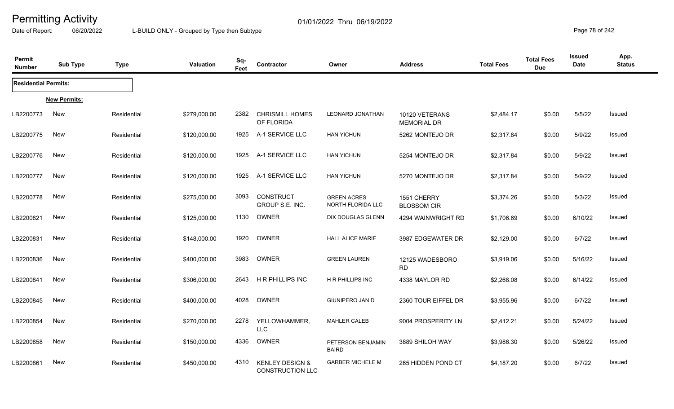Date of Report: 06/20/2022 L-BUILD ONLY - Grouped by Type then Subtype **Page 78** of 242

| Permit<br><b>Number</b>     | <b>Sub Type</b>     | <b>Type</b> | <b>Valuation</b> | Sq-<br>Feet | Contractor                                            | Owner                                   | <b>Address</b>                       | <b>Total Fees</b> | <b>Total Fees</b><br><b>Due</b> | <b>Issued</b><br>Date | App.<br><b>Status</b> |
|-----------------------------|---------------------|-------------|------------------|-------------|-------------------------------------------------------|-----------------------------------------|--------------------------------------|-------------------|---------------------------------|-----------------------|-----------------------|
| <b>Residential Permits:</b> |                     |             |                  |             |                                                       |                                         |                                      |                   |                                 |                       |                       |
|                             | <b>New Permits:</b> |             |                  |             |                                                       |                                         |                                      |                   |                                 |                       |                       |
| LB2200773                   | <b>New</b>          | Residential | \$279,000.00     | 2382        | <b>CHRISMILL HOMES</b><br>OF FLORIDA                  | <b>LEONARD JONATHAN</b>                 | 10120 VETERANS<br><b>MEMORIAL DR</b> | \$2,484.17        | \$0.00                          | 5/5/22                | Issued                |
| LB2200775                   | New                 | Residential | \$120,000.00     | 1925        | A-1 SERVICE LLC                                       | <b>HAN YICHUN</b>                       | 5262 MONTEJO DR                      | \$2,317.84        | \$0.00                          | 5/9/22                | Issued                |
| LB2200776                   | New                 | Residential | \$120,000.00     | 1925        | A-1 SERVICE LLC                                       | <b>HAN YICHUN</b>                       | 5254 MONTEJO DR                      | \$2,317.84        | \$0.00                          | 5/9/22                | Issued                |
| LB2200777                   | <b>New</b>          | Residential | \$120,000.00     | 1925        | A-1 SERVICE LLC                                       | <b>HAN YICHUN</b>                       | 5270 MONTEJO DR                      | \$2,317.84        | \$0.00                          | 5/9/22                | <b>Issued</b>         |
| LB2200778                   | <b>New</b>          | Residential | \$275,000.00     | 3093        | CONSTRUCT<br>GROUP S.E. INC.                          | <b>GREEN ACRES</b><br>NORTH FLORIDA LLC | 1551 CHERRY<br><b>BLOSSOM CIR</b>    | \$3,374.26        | \$0.00                          | 5/3/22                | Issued                |
| LB2200821                   | <b>New</b>          | Residential | \$125,000.00     | 1130        | <b>OWNER</b>                                          | DIX DOUGLAS GLENN                       | 4294 WAINWRIGHT RD                   | \$1,706.69        | \$0.00                          | 6/10/22               | Issued                |
| LB2200831                   | <b>New</b>          | Residential | \$148,000.00     | 1920        | OWNER                                                 | <b>HALL ALICE MARIE</b>                 | 3987 EDGEWATER DR                    | \$2,129.00        | \$0.00                          | 6/7/22                | Issued                |
| LB2200836                   | New                 | Residential | \$400,000.00     | 3983        | OWNER                                                 | <b>GREEN LAUREN</b>                     | 12125 WADESBORO<br><b>RD</b>         | \$3,919.06        | \$0.00                          | 5/16/22               | Issued                |
| LB2200841                   | New                 | Residential | \$306,000.00     | 2643        | H R PHILLIPS INC                                      | <b>H R PHILLIPS INC</b>                 | 4338 MAYLOR RD                       | \$2,268.08        | \$0.00                          | 6/14/22               | <b>Issued</b>         |
| LB2200845                   | New                 | Residential | \$400,000.00     | 4028        | OWNER                                                 | <b>GIUNIPERO JAN D</b>                  | 2360 TOUR EIFFEL DR                  | \$3,955.96        | \$0.00                          | 6/7/22                | Issued                |
| LB2200854                   | <b>New</b>          | Residential | \$270,000.00     | 2278        | YELLOWHAMMER,<br><b>LLC</b>                           | <b>MAHLER CALEB</b>                     | 9004 PROSPERITY LN                   | \$2,412.21        | \$0.00                          | 5/24/22               | Issued                |
| LB2200858                   | <b>New</b>          | Residential | \$150,000.00     | 4336        | OWNER                                                 | PETERSON BENJAMIN<br><b>BAIRD</b>       | 3889 SHILOH WAY                      | \$3,986.30        | \$0.00                          | 5/26/22               | Issued                |
| LB2200861                   | <b>New</b>          | Residential | \$450,000.00     | 4310        | <b>KENLEY DESIGN &amp;</b><br><b>CONSTRUCTION LLC</b> | <b>GARBER MICHELE M</b>                 | 265 HIDDEN POND CT                   | \$4,187.20        | \$0.00                          | 6/7/22                | Issued                |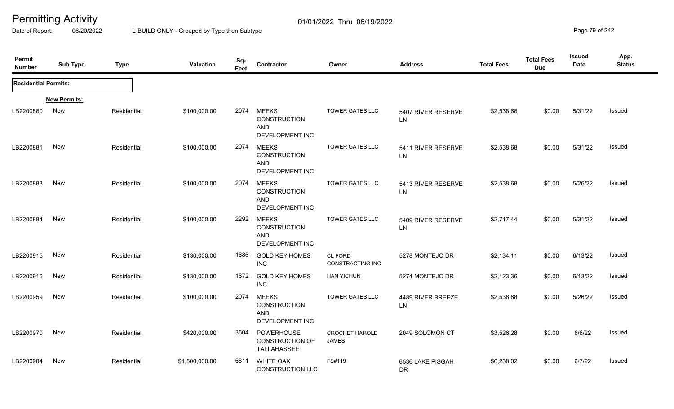Date of Report: 06/20/2022 L-BUILD ONLY - Grouped by Type then Subtype **Page 79** of 242

| Permit<br><b>Number</b>     | <b>Sub Type</b>     | <b>Type</b> | <b>Valuation</b> | Sq-<br>Feet | Contractor                                                           | Owner                              | <b>Address</b>                | <b>Total Fees</b> | <b>Total Fees</b><br><b>Due</b> | <b>Issued</b><br><b>Date</b> | App.<br><b>Status</b> |
|-----------------------------|---------------------|-------------|------------------|-------------|----------------------------------------------------------------------|------------------------------------|-------------------------------|-------------------|---------------------------------|------------------------------|-----------------------|
| <b>Residential Permits:</b> |                     |             |                  |             |                                                                      |                                    |                               |                   |                                 |                              |                       |
|                             | <b>New Permits:</b> |             |                  |             |                                                                      |                                    |                               |                   |                                 |                              |                       |
| LB2200880                   | New                 | Residential | \$100,000.00     | 2074        | <b>MEEKS</b><br><b>CONSTRUCTION</b><br><b>AND</b><br>DEVELOPMENT INC | <b>TOWER GATES LLC</b>             | 5407 RIVER RESERVE<br>LN      | \$2,538.68        | \$0.00                          | 5/31/22                      | Issued                |
| LB2200881                   | New                 | Residential | \$100,000.00     | 2074        | MEEKS<br><b>CONSTRUCTION</b><br><b>AND</b><br>DEVELOPMENT INC        | <b>TOWER GATES LLC</b>             | 5411 RIVER RESERVE<br>LN      | \$2,538.68        | \$0.00                          | 5/31/22                      | Issued                |
| LB2200883                   | <b>New</b>          | Residential | \$100,000.00     | 2074        | <b>MEEKS</b><br><b>CONSTRUCTION</b><br><b>AND</b><br>DEVELOPMENT INC | <b>TOWER GATES LLC</b>             | 5413 RIVER RESERVE<br>LN      | \$2,538.68        | \$0.00                          | 5/26/22                      | Issued                |
| LB2200884                   | <b>New</b>          | Residential | \$100,000.00     | 2292        | <b>MEEKS</b><br><b>CONSTRUCTION</b><br><b>AND</b><br>DEVELOPMENT INC | <b>TOWER GATES LLC</b>             | 5409 RIVER RESERVE<br>LN      | \$2,717.44        | \$0.00                          | 5/31/22                      | Issued                |
| LB2200915                   | <b>New</b>          | Residential | \$130,000.00     | 1686        | <b>GOLD KEY HOMES</b><br><b>INC</b>                                  | CL FORD<br><b>CONSTRACTING INC</b> | 5278 MONTEJO DR               | \$2,134.11        | \$0.00                          | 6/13/22                      | Issued                |
| LB2200916                   | New                 | Residential | \$130,000.00     | 1672        | <b>GOLD KEY HOMES</b><br><b>INC</b>                                  | <b>HAN YICHUN</b>                  | 5274 MONTEJO DR               | \$2,123.36        | \$0.00                          | 6/13/22                      | Issued                |
| LB2200959                   | New                 | Residential | \$100,000.00     | 2074        | <b>MEEKS</b><br><b>CONSTRUCTION</b><br><b>AND</b><br>DEVELOPMENT INC | <b>TOWER GATES LLC</b>             | 4489 RIVER BREEZE<br>LN       | \$2,538.68        | \$0.00                          | 5/26/22                      | Issued                |
| LB2200970                   | New                 | Residential | \$420,000.00     | 3504        | <b>POWERHOUSE</b><br><b>CONSTRUCTION OF</b><br>TALLAHASSEE           | <b>CROCHET HAROLD</b><br>JAMES     | 2049 SOLOMON CT               | \$3,526.28        | \$0.00                          | 6/6/22                       | <b>Issued</b>         |
| LB2200984                   | <b>New</b>          | Residential | \$1,500,000.00   | 6811        | WHITE OAK<br>CONSTRUCTION LLC                                        | FS#119                             | 6536 LAKE PISGAH<br><b>DR</b> | \$6,238.02        | \$0.00                          | 6/7/22                       | Issued                |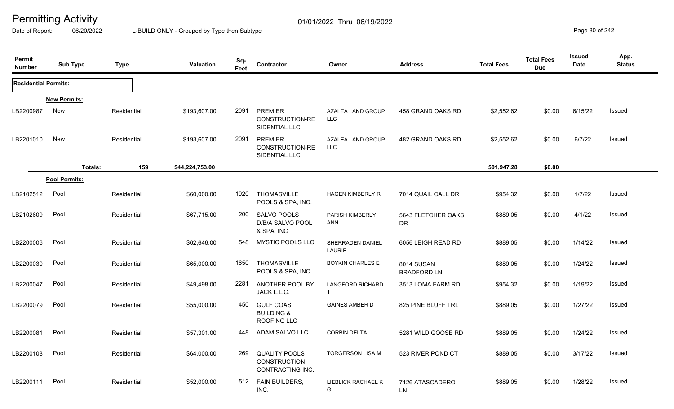Date of Report: 06/20/2022 L-BUILD ONLY - Grouped by Type then Subtype **Page 80** of 242

| Permit<br><b>Number</b>     | <b>Sub Type</b>      | <b>Type</b> | Valuation       | Sq-<br>Feet | Contractor                                                       | Owner                                   | <b>Address</b>                   | <b>Total Fees</b> | <b>Total Fees</b><br><b>Due</b> | Issued<br>Date | App.<br><b>Status</b> |
|-----------------------------|----------------------|-------------|-----------------|-------------|------------------------------------------------------------------|-----------------------------------------|----------------------------------|-------------------|---------------------------------|----------------|-----------------------|
| <b>Residential Permits:</b> |                      |             |                 |             |                                                                  |                                         |                                  |                   |                                 |                |                       |
|                             | <b>New Permits:</b>  |             |                 |             |                                                                  |                                         |                                  |                   |                                 |                |                       |
| LB2200987                   | New                  | Residential | \$193,607.00    | 2091        | <b>PREMIER</b><br>CONSTRUCTION-RE<br>SIDENTIAL LLC               | AZALEA LAND GROUP<br>LLC.               | 458 GRAND OAKS RD                | \$2,552.62        | \$0.00                          | 6/15/22        | Issued                |
| LB2201010                   | New                  | Residential | \$193,607.00    | 2091        | <b>PREMIER</b><br>CONSTRUCTION-RE<br>SIDENTIAL LLC               | AZALEA LAND GROUP<br>LLC                | 482 GRAND OAKS RD                | \$2,552.62        | \$0.00                          | 6/7/22         | Issued                |
|                             | Totals:              | 159         | \$44,224,753.00 |             |                                                                  |                                         |                                  | 501,947.28        | \$0.00                          |                |                       |
|                             | <b>Pool Permits:</b> |             |                 |             |                                                                  |                                         |                                  |                   |                                 |                |                       |
| LB2102512                   | Pool                 | Residential | \$60,000.00     | 1920        | <b>THOMASVILLE</b><br>POOLS & SPA, INC.                          | HAGEN KIMBERLY R                        | 7014 QUAIL CALL DR               | \$954.32          | \$0.00                          | 1/7/22         | Issued                |
| LB2102609                   | Pool                 | Residential | \$67,715.00     | 200         | SALVO POOLS<br>D/B/A SALVO POOL<br>& SPA, INC                    | PARISH KIMBERLY<br>ANN                  | 5643 FLETCHER OAKS<br>DR.        | \$889.05          | \$0.00                          | 4/1/22         | Issued                |
| LB2200006                   | Pool                 | Residential | \$62,646.00     | 548         | MYSTIC POOLS LLC                                                 | SHERRADEN DANIEL<br>LAURIE              | 6056 LEIGH READ RD               | \$889.05          | \$0.00                          | 1/14/22        | Issued                |
| LB2200030                   | Pool                 | Residential | \$65,000.00     | 1650        | THOMASVILLE<br>POOLS & SPA, INC.                                 | <b>BOYKIN CHARLES E</b>                 | 8014 SUSAN<br><b>BRADFORD LN</b> | \$889.05          | \$0.00                          | 1/24/22        | Issued                |
| LB2200047                   | Pool                 | Residential | \$49,498.00     | 2281        | ANOTHER POOL BY<br>JACK L.L.C.                                   | <b>LANGFORD RICHARD</b><br>$\mathsf{T}$ | 3513 LOMA FARM RD                | \$954.32          | \$0.00                          | 1/19/22        | Issued                |
| LB2200079                   | Pool                 | Residential | \$55,000.00     | 450         | <b>GULF COAST</b><br><b>BUILDING &amp;</b><br><b>ROOFING LLC</b> | <b>GAINES AMBER D</b>                   | 825 PINE BLUFF TRL               | \$889.05          | \$0.00                          | 1/27/22        | Issued                |
| LB2200081                   | Pool                 | Residential | \$57,301.00     | 448         | ADAM SALVO LLC                                                   | <b>CORBIN DELTA</b>                     | 5281 WILD GOOSE RD               | \$889.05          | \$0.00                          | 1/24/22        | Issued                |
| LB2200108                   | Pool                 | Residential | \$64,000.00     | 269         | <b>QUALITY POOLS</b><br><b>CONSTRUCTION</b><br>CONTRACTING INC.  | <b>TORGERSON LISA M</b>                 | 523 RIVER POND CT                | \$889.05          | \$0.00                          | 3/17/22        | Issued                |
| LB2200111                   | Pool                 | Residential | \$52,000.00     | 512         | FAIN BUILDERS,<br>INC.                                           | LIEBLICK RACHAEL K<br>G                 | 7126 ATASCADERO<br>LN            | \$889.05          | \$0.00                          | 1/28/22        | Issued                |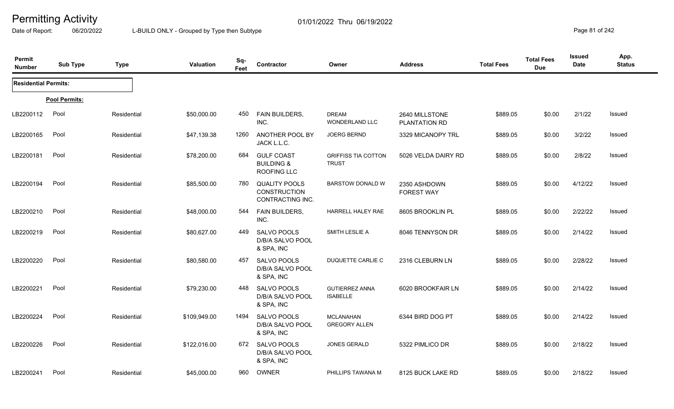Date of Report: 06/20/2022 L-BUILD ONLY - Grouped by Type then Subtype **Page 81** of 242

| Permit<br><b>Number</b>     | <b>Sub Type</b> | <b>Type</b> | Valuation    | Sq-<br>Feet | Contractor                                                      | Owner                                      | <b>Address</b>                    | <b>Total Fees</b> | <b>Total Fees</b><br><b>Due</b> | <b>Issued</b><br><b>Date</b> | App.<br><b>Status</b> |
|-----------------------------|-----------------|-------------|--------------|-------------|-----------------------------------------------------------------|--------------------------------------------|-----------------------------------|-------------------|---------------------------------|------------------------------|-----------------------|
| <b>Residential Permits:</b> |                 |             |              |             |                                                                 |                                            |                                   |                   |                                 |                              |                       |
|                             | Pool Permits:   |             |              |             |                                                                 |                                            |                                   |                   |                                 |                              |                       |
| LB2200112                   | Pool            | Residential | \$50,000.00  | 450         | FAIN BUILDERS,<br>INC.                                          | <b>DREAM</b><br>WONDERLAND LLC             | 2640 MILLSTONE<br>PLANTATION RD   | \$889.05          | \$0.00                          | 2/1/22                       | Issued                |
| LB2200165                   | Pool            | Residential | \$47,139.38  | 1260        | ANOTHER POOL BY<br>JACK L.L.C.                                  | <b>JOERG BERND</b>                         | 3329 MICANOPY TRL                 | \$889.05          | \$0.00                          | 3/2/22                       | Issued                |
| LB2200181                   | Pool            | Residential | \$78,200.00  | 684         | <b>GULF COAST</b><br><b>BUILDING &amp;</b><br>ROOFING LLC       | <b>GRIFFISS TIA COTTON</b><br><b>TRUST</b> | 5026 VELDA DAIRY RD               | \$889.05          | \$0.00                          | 2/8/22                       | Issued                |
| LB2200194                   | Pool            | Residential | \$85,500.00  | 780         | <b>QUALITY POOLS</b><br><b>CONSTRUCTION</b><br>CONTRACTING INC. | <b>BARSTOW DONALD W</b>                    | 2350 ASHDOWN<br><b>FOREST WAY</b> | \$889.05          | \$0.00                          | 4/12/22                      | Issued                |
| LB2200210                   | Pool            | Residential | \$48,000.00  | 544         | FAIN BUILDERS,<br>INC.                                          | HARRELL HALEY RAE                          | 8605 BROOKLIN PL                  | \$889.05          | \$0.00                          | 2/22/22                      | Issued                |
| LB2200219                   | Pool            | Residential | \$80,627.00  | 449         | <b>SALVO POOLS</b><br>D/B/A SALVO POOL<br>& SPA, INC            | SMITH LESLIE A                             | 8046 TENNYSON DR                  | \$889.05          | \$0.00                          | 2/14/22                      | Issued                |
| LB2200220                   | Pool            | Residential | \$80,580.00  | 457         | SALVO POOLS<br>D/B/A SALVO POOL<br>& SPA, INC                   | DUQUETTE CARLIE C                          | 2316 CLEBURN LN                   | \$889.05          | \$0.00                          | 2/28/22                      | Issued                |
| LB2200221                   | Pool            | Residential | \$79,230.00  | 448         | SALVO POOLS<br>D/B/A SALVO POOL<br>& SPA, INC                   | <b>GUTIERREZ ANNA</b><br><b>ISABELLE</b>   | 6020 BROOKFAIR LN                 | \$889.05          | \$0.00                          | 2/14/22                      | Issued                |
| LB2200224                   | Pool            | Residential | \$109,949.00 | 1494        | <b>SALVO POOLS</b><br>D/B/A SALVO POOL<br>& SPA, INC            | <b>MCLANAHAN</b><br><b>GREGORY ALLEN</b>   | 6344 BIRD DOG PT                  | \$889.05          | \$0.00                          | 2/14/22                      | Issued                |
| LB2200226                   | Pool            | Residential | \$122,016.00 | 672         | <b>SALVO POOLS</b><br>D/B/A SALVO POOL<br>& SPA, INC            | JONES GERALD                               | 5322 PIMLICO DR                   | \$889.05          | \$0.00                          | 2/18/22                      | Issued                |
| LB2200241                   | Pool            | Residential | \$45,000.00  | 960         | OWNER                                                           | PHILLIPS TAWANA M                          | 8125 BUCK LAKE RD                 | \$889.05          | \$0.00                          | 2/18/22                      | Issued                |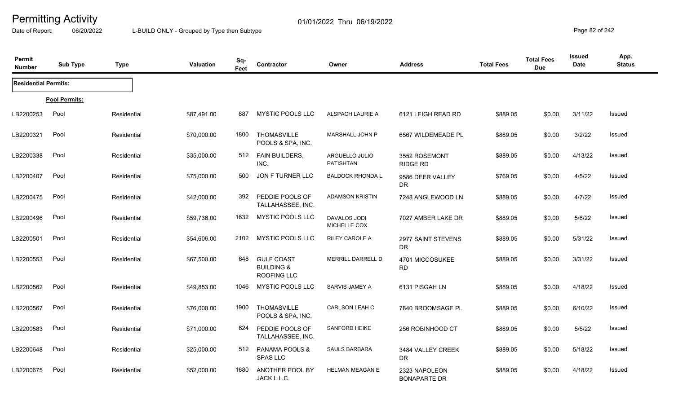Date of Report: 06/20/2022 L-BUILD ONLY - Grouped by Type then Subtype **Page 82** of 242

| Permit<br><b>Number</b>     | <b>Sub Type</b> | <b>Type</b> | Valuation   | Sq-<br>Feet | Contractor                                                | Owner                               | <b>Address</b>                       | <b>Total Fees</b> | <b>Total Fees</b><br><b>Due</b> | Issued<br><b>Date</b> | App.<br><b>Status</b> |
|-----------------------------|-----------------|-------------|-------------|-------------|-----------------------------------------------------------|-------------------------------------|--------------------------------------|-------------------|---------------------------------|-----------------------|-----------------------|
| <b>Residential Permits:</b> |                 |             |             |             |                                                           |                                     |                                      |                   |                                 |                       |                       |
|                             | Pool Permits:   |             |             |             |                                                           |                                     |                                      |                   |                                 |                       |                       |
| LB2200253                   | Pool            | Residential | \$87,491.00 | 887         | MYSTIC POOLS LLC                                          | ALSPACH LAURIE A                    | 6121 LEIGH READ RD                   | \$889.05          | \$0.00                          | 3/11/22               | Issued                |
| LB2200321                   | Pool            | Residential | \$70,000.00 | 1800        | <b>THOMASVILLE</b><br>POOLS & SPA, INC.                   | MARSHALL JOHN P                     | 6567 WILDEMEADE PL                   | \$889.05          | \$0.00                          | 3/2/22                | Issued                |
| LB2200338                   | Pool            | Residential | \$35,000.00 | 512         | FAIN BUILDERS,<br>INC.                                    | ARGUELLO JULIO<br><b>PATISHTAN</b>  | 3552 ROSEMONT<br><b>RIDGE RD</b>     | \$889.05          | \$0.00                          | 4/13/22               | Issued                |
| LB2200407                   | Pool            | Residential | \$75,000.00 | 500         | JON F TURNER LLC                                          | <b>BALDOCK RHONDA L</b>             | 9586 DEER VALLEY<br>DR               | \$769.05          | \$0.00                          | 4/5/22                | Issued                |
| LB2200475                   | Pool            | Residential | \$42,000.00 | 392         | PEDDIE POOLS OF<br>TALLAHASSEE, INC.                      | <b>ADAMSON KRISTIN</b>              | 7248 ANGLEWOOD LN                    | \$889.05          | \$0.00                          | 4/7/22                | Issued                |
| LB2200496                   | Pool            | Residential | \$59,736.00 | 1632        | MYSTIC POOLS LLC                                          | <b>DAVALOS JODI</b><br>MICHELLE COX | 7027 AMBER LAKE DR                   | \$889.05          | \$0.00                          | 5/6/22                | Issued                |
| LB2200501                   | Pool            | Residential | \$54,606.00 | 2102        | MYSTIC POOLS LLC                                          | <b>RILEY CAROLE A</b>               | 2977 SAINT STEVENS<br><b>DR</b>      | \$889.05          | \$0.00                          | 5/31/22               | Issued                |
| LB2200553                   | Pool            | Residential | \$67,500.00 | 648         | <b>GULF COAST</b><br><b>BUILDING &amp;</b><br>ROOFING LLC | <b>MERRILL DARRELL D</b>            | 4701 MICCOSUKEE<br><b>RD</b>         | \$889.05          | \$0.00                          | 3/31/22               | Issued                |
| LB2200562                   | Pool            | Residential | \$49,853.00 | 1046        | <b>MYSTIC POOLS LLC</b>                                   | SARVIS JAMEY A                      | 6131 PISGAH LN                       | \$889.05          | \$0.00                          | 4/18/22               | Issued                |
| LB2200567                   | Pool            | Residential | \$76,000.00 | 1900        | THOMASVILLE<br>POOLS & SPA, INC.                          | <b>CARLSON LEAH C</b>               | 7840 BROOMSAGE PL                    | \$889.05          | \$0.00                          | 6/10/22               | Issued                |
| LB2200583                   | Pool            | Residential | \$71,000.00 | 624         | PEDDIE POOLS OF<br>TALLAHASSEE, INC.                      | <b>SANFORD HEIKE</b>                | 256 ROBINHOOD CT                     | \$889.05          | \$0.00                          | 5/5/22                | Issued                |
| LB2200648                   | Pool            | Residential | \$25,000.00 | 512         | PANAMA POOLS &<br><b>SPAS LLC</b>                         | <b>SAULS BARBARA</b>                | 3484 VALLEY CREEK<br><b>DR</b>       | \$889.05          | \$0.00                          | 5/18/22               | Issued                |
| LB2200675                   | Pool            | Residential | \$52,000.00 | 1680        | ANOTHER POOL BY<br>JACK L.L.C.                            | <b>HELMAN MEAGAN E</b>              | 2323 NAPOLEON<br><b>BONAPARTE DR</b> | \$889.05          | \$0.00                          | 4/18/22               | <b>Issued</b>         |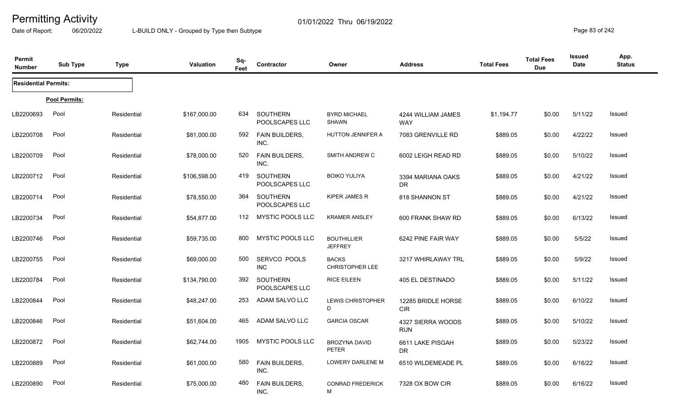Date of Report: 06/20/2022 L-BUILD ONLY - Grouped by Type then Subtype **Page 83** of 242

| Permit<br><b>Number</b>     | <b>Sub Type</b> | <b>Type</b> | Valuation    | Sq-<br>Feet | Contractor                        | Owner                                  | <b>Address</b>                   | <b>Total Fees</b> | <b>Total Fees</b><br><b>Due</b> | <b>Issued</b><br>Date | App.<br><b>Status</b> |
|-----------------------------|-----------------|-------------|--------------|-------------|-----------------------------------|----------------------------------------|----------------------------------|-------------------|---------------------------------|-----------------------|-----------------------|
| <b>Residential Permits:</b> |                 |             |              |             |                                   |                                        |                                  |                   |                                 |                       |                       |
|                             | Pool Permits:   |             |              |             |                                   |                                        |                                  |                   |                                 |                       |                       |
| LB2200693                   | Pool            | Residential | \$167,000.00 | 634         | <b>SOUTHERN</b><br>POOLSCAPES LLC | <b>BYRD MICHAEL</b><br><b>SHAWN</b>    | 4244 WILLIAM JAMES<br><b>WAY</b> | \$1,194.77        | \$0.00                          | 5/11/22               | Issued                |
| LB2200708                   | Pool            | Residential | \$81,000.00  | 592         | <b>FAIN BUILDERS,</b><br>INC.     | HUTTON JENNIFER A                      | 7083 GRENVILLE RD                | \$889.05          | \$0.00                          | 4/22/22               | <b>Issued</b>         |
| LB2200709                   | Pool            | Residential | \$78,000.00  | 520         | <b>FAIN BUILDERS,</b><br>INC.     | SMITH ANDREW C                         | 6002 LEIGH READ RD               | \$889.05          | \$0.00                          | 5/10/22               | Issued                |
| LB2200712                   | Pool            | Residential | \$106,598.00 | 419         | SOUTHERN<br>POOLSCAPES LLC        | <b>BOIKO YULIYA</b>                    | 3394 MARIANA OAKS<br>DR.         | \$889.05          | \$0.00                          | 4/21/22               | Issued                |
| LB2200714                   | Pool            | Residential | \$78,550.00  | 364         | <b>SOUTHERN</b><br>POOLSCAPES LLC | <b>KIPER JAMES R</b>                   | 818 SHANNON ST                   | \$889.05          | \$0.00                          | 4/21/22               | Issued                |
| LB2200734                   | Pool            | Residential | \$54,877.00  | 112         | MYSTIC POOLS LLC                  | <b>KRAMER ANSLEY</b>                   | 600 FRANK SHAW RD                | \$889.05          | \$0.00                          | 6/13/22               | Issued                |
| LB2200746                   | Pool            | Residential | \$59,735.00  | 800         | MYSTIC POOLS LLC                  | <b>BOUTHILLIER</b><br><b>JEFFREY</b>   | 6242 PINE FAIR WAY               | \$889.05          | \$0.00                          | 5/5/22                | Issued                |
| LB2200755                   | Pool            | Residential | \$69,000.00  | 500         | SERVCO POOLS<br><b>INC</b>        | <b>BACKS</b><br><b>CHRISTOPHER LEE</b> | 3217 WHIRLAWAY TRL               | \$889.05          | \$0.00                          | 5/9/22                | <b>Issued</b>         |
| LB2200784                   | Pool            | Residential | \$134,790.00 | 392         | SOUTHERN<br>POOLSCAPES LLC        | <b>RICE EILEEN</b>                     | 405 EL DESTINADO                 | \$889.05          | \$0.00                          | 5/11/22               | <b>Issued</b>         |
| LB2200844                   | Pool            | Residential | \$48,247.00  | 253         | ADAM SALVO LLC                    | <b>LEWIS CHRISTOPHER</b><br>D          | 12285 BRIDLE HORSE<br><b>CIR</b> | \$889.05          | \$0.00                          | 6/10/22               | Issued                |
| LB2200846                   | Pool            | Residential | \$51,604.00  | 465         | ADAM SALVO LLC                    | <b>GARCIA OSCAR</b>                    | 4327 SIERRA WOODS<br><b>RUN</b>  | \$889.05          | \$0.00                          | 5/10/22               | <b>Issued</b>         |
| LB2200872                   | Pool            | Residential | \$62,744.00  | 1905        | <b>MYSTIC POOLS LLC</b>           | <b>BROZYNA DAVID</b><br><b>PETER</b>   | 6611 LAKE PISGAH<br>DR.          | \$889.05          | \$0.00                          | 5/23/22               | Issued                |
| LB2200889                   | Pool            | Residential | \$61,000.00  | 580         | <b>FAIN BUILDERS,</b><br>INC.     | LOWERY DARLENE M                       | 6510 WILDEMEADE PL               | \$889.05          | \$0.00                          | 6/16/22               | Issued                |
| LB2200890                   | Pool            | Residential | \$75,000.00  | 480         | FAIN BUILDERS,<br>INC.            | <b>CONRAD FREDERICK</b><br>M           | 7328 OX BOW CIR                  | \$889.05          | \$0.00                          | 6/16/22               | Issued                |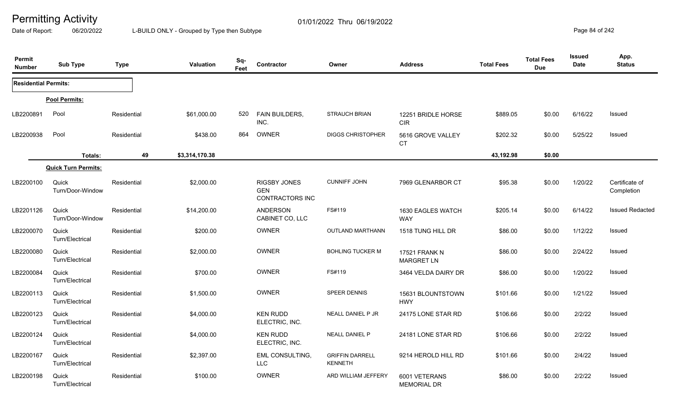Date of Report: 06/20/2022 L-BUILD ONLY - Grouped by Type then Subtype **Page 84** of 242

| Permit<br><b>Number</b>     | <b>Sub Type</b>            | <b>Type</b> | <b>Valuation</b> | Sq-<br>Feet | <b>Contractor</b>                                    | Owner                                    | <b>Address</b>                            | <b>Total Fees</b> | <b>Total Fees</b><br><b>Due</b> | <b>Issued</b><br><b>Date</b> | App.<br><b>Status</b>        |
|-----------------------------|----------------------------|-------------|------------------|-------------|------------------------------------------------------|------------------------------------------|-------------------------------------------|-------------------|---------------------------------|------------------------------|------------------------------|
| <b>Residential Permits:</b> |                            |             |                  |             |                                                      |                                          |                                           |                   |                                 |                              |                              |
|                             | Pool Permits:              |             |                  |             |                                                      |                                          |                                           |                   |                                 |                              |                              |
| LB2200891                   | Pool                       | Residential | \$61,000.00      | 520         | FAIN BUILDERS,<br>INC.                               | <b>STRAUCH BRIAN</b>                     | 12251 BRIDLE HORSE<br>CIR                 | \$889.05          | \$0.00                          | 6/16/22                      | Issued                       |
| LB2200938                   | Pool                       | Residential | \$438.00         | 864         | <b>OWNER</b>                                         | <b>DIGGS CHRISTOPHER</b>                 | 5616 GROVE VALLEY<br><b>CT</b>            | \$202.32          | \$0.00                          | 5/25/22                      | Issued                       |
|                             | Totals:                    | 49          | \$3,314,170.38   |             |                                                      |                                          |                                           | 43,192.98         | \$0.00                          |                              |                              |
|                             | <b>Quick Turn Permits:</b> |             |                  |             |                                                      |                                          |                                           |                   |                                 |                              |                              |
| LB2200100                   | Quick<br>Turn/Door-Window  | Residential | \$2,000.00       |             | RIGSBY JONES<br><b>GEN</b><br><b>CONTRACTORS INC</b> | <b>CUNNIFF JOHN</b>                      | 7969 GLENARBOR CT                         | \$95.38           | \$0.00                          | 1/20/22                      | Certificate of<br>Completion |
| LB2201126                   | Quick<br>Turn/Door-Window  | Residential | \$14,200.00      |             | <b>ANDERSON</b><br>CABINET CO, LLC                   | FS#119                                   | 1630 EAGLES WATCH<br><b>WAY</b>           | \$205.14          | \$0.00                          | 6/14/22                      | <b>Issued Redacted</b>       |
| LB2200070                   | Quick<br>Turn/Electrical   | Residential | \$200.00         |             | <b>OWNER</b>                                         | <b>OUTLAND MARTHANN</b>                  | 1518 TUNG HILL DR                         | \$86.00           | \$0.00                          | 1/12/22                      | Issued                       |
| LB2200080                   | Quick<br>Turn/Electrical   | Residential | \$2,000.00       |             | OWNER                                                | <b>BOHLING TUCKER M</b>                  | <b>17521 FRANK N</b><br><b>MARGRET LN</b> | \$86.00           | \$0.00                          | 2/24/22                      | Issued                       |
| LB2200084                   | Quick<br>Turn/Electrical   | Residential | \$700.00         |             | <b>OWNER</b>                                         | FS#119                                   | 3464 VELDA DAIRY DR                       | \$86.00           | \$0.00                          | 1/20/22                      | Issued                       |
| LB2200113                   | Quick<br>Turn/Electrical   | Residential | \$1,500.00       |             | OWNER                                                | <b>SPEER DENNIS</b>                      | 15631 BLOUNTSTOWN<br><b>HWY</b>           | \$101.66          | \$0.00                          | 1/21/22                      | Issued                       |
| LB2200123                   | Quick<br>Turn/Electrical   | Residential | \$4,000.00       |             | <b>KEN RUDD</b><br>ELECTRIC, INC.                    | NEALL DANIEL P JR                        | 24175 LONE STAR RD                        | \$106.66          | \$0.00                          | 2/2/22                       | Issued                       |
| LB2200124                   | Quick<br>Turn/Electrical   | Residential | \$4,000.00       |             | <b>KEN RUDD</b><br>ELECTRIC, INC.                    | <b>NEALL DANIEL P</b>                    | 24181 LONE STAR RD                        | \$106.66          | \$0.00                          | 2/2/22                       | Issued                       |
| LB2200167                   | Quick<br>Turn/Electrical   | Residential | \$2,397.00       |             | <b>EML CONSULTING,</b><br><b>LLC</b>                 | <b>GRIFFIN DARRELL</b><br><b>KENNETH</b> | 9214 HEROLD HILL RD                       | \$101.66          | \$0.00                          | 2/4/22                       | Issued                       |
| LB2200198                   | Quick<br>Turn/Electrical   | Residential | \$100.00         |             | <b>OWNER</b>                                         | ARD WILLIAM JEFFERY                      | 6001 VETERANS<br><b>MEMORIAL DR</b>       | \$86.00           | \$0.00                          | 2/2/22                       | Issued                       |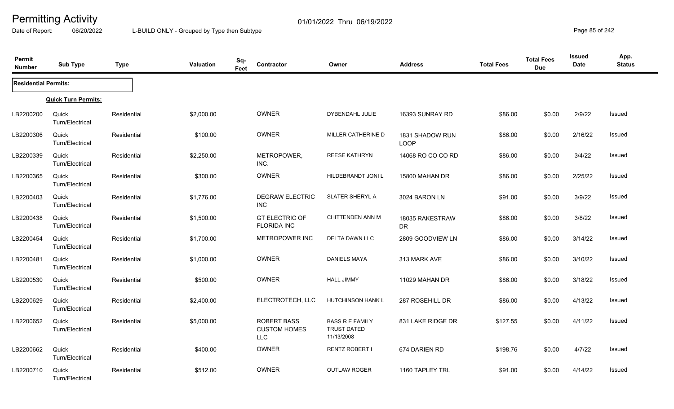Date of Report: 06/20/2022 L-BUILD ONLY - Grouped by Type then Subtype **Page 85** of 242

| Permit<br><b>Number</b>     | <b>Sub Type</b>            | <b>Type</b> | Valuation  | Sq-<br>Feet | Contractor                                              | Owner                                                      | <b>Address</b>                 | <b>Total Fees</b> | <b>Total Fees</b><br><b>Due</b> | <b>Issued</b><br><b>Date</b> | App.<br><b>Status</b> |
|-----------------------------|----------------------------|-------------|------------|-------------|---------------------------------------------------------|------------------------------------------------------------|--------------------------------|-------------------|---------------------------------|------------------------------|-----------------------|
| <b>Residential Permits:</b> |                            |             |            |             |                                                         |                                                            |                                |                   |                                 |                              |                       |
|                             | <b>Quick Turn Permits:</b> |             |            |             |                                                         |                                                            |                                |                   |                                 |                              |                       |
| LB2200200                   | Quick<br>Turn/Electrical   | Residential | \$2,000.00 |             | <b>OWNER</b>                                            | DYBENDAHL JULIE                                            | 16393 SUNRAY RD                | \$86.00           | \$0.00                          | 2/9/22                       | Issued                |
| LB2200306                   | Quick<br>Turn/Electrical   | Residential | \$100.00   |             | <b>OWNER</b>                                            | MILLER CATHERINE D                                         | 1831 SHADOW RUN<br><b>LOOP</b> | \$86.00           | \$0.00                          | 2/16/22                      | <b>Issued</b>         |
| LB2200339                   | Quick<br>Turn/Electrical   | Residential | \$2,250.00 |             | METROPOWER,<br>INC.                                     | <b>REESE KATHRYN</b>                                       | 14068 RO CO CO RD              | \$86.00           | \$0.00                          | 3/4/22                       | <b>Issued</b>         |
| LB2200365                   | Quick<br>Turn/Electrical   | Residential | \$300.00   |             | <b>OWNER</b>                                            | HILDEBRANDT JONI L                                         | 15800 MAHAN DR                 | \$86.00           | \$0.00                          | 2/25/22                      | Issued                |
| LB2200403                   | Quick<br>Turn/Electrical   | Residential | \$1,776.00 |             | <b>DEGRAW ELECTRIC</b><br><b>INC</b>                    | SLATER SHERYL A                                            | 3024 BARON LN                  | \$91.00           | \$0.00                          | 3/9/22                       | Issued                |
| LB2200438                   | Quick<br>Turn/Electrical   | Residential | \$1,500.00 |             | <b>GT ELECTRIC OF</b><br><b>FLORIDA INC</b>             | <b>CHITTENDEN ANN M</b>                                    | 18035 RAKESTRAW<br><b>DR</b>   | \$86.00           | \$0.00                          | 3/8/22                       | Issued                |
| LB2200454                   | Quick<br>Turn/Electrical   | Residential | \$1,700.00 |             | METROPOWER INC                                          | DELTA DAWN LLC                                             | 2809 GOODVIEW LN               | \$86.00           | \$0.00                          | 3/14/22                      | Issued                |
| LB2200481                   | Quick<br>Turn/Electrical   | Residential | \$1,000.00 |             | <b>OWNER</b>                                            | <b>DANIELS MAYA</b>                                        | 313 MARK AVE                   | \$86.00           | \$0.00                          | 3/10/22                      | Issued                |
| LB2200530                   | Quick<br>Turn/Electrical   | Residential | \$500.00   |             | OWNER                                                   | <b>HALL JIMMY</b>                                          | 11029 MAHAN DR                 | \$86.00           | \$0.00                          | 3/18/22                      | Issued                |
| LB2200629                   | Quick<br>Turn/Electrical   | Residential | \$2,400.00 |             | ELECTROTECH, LLC                                        | <b>HUTCHINSON HANK L</b>                                   | 287 ROSEHILL DR                | \$86.00           | \$0.00                          | 4/13/22                      | Issued                |
| LB2200652                   | Quick<br>Turn/Electrical   | Residential | \$5,000.00 |             | <b>ROBERT BASS</b><br><b>CUSTOM HOMES</b><br><b>LLC</b> | <b>BASS R E FAMILY</b><br><b>TRUST DATED</b><br>11/13/2008 | 831 LAKE RIDGE DR              | \$127.55          | \$0.00                          | 4/11/22                      | Issued                |
| LB2200662                   | Quick<br>Turn/Electrical   | Residential | \$400.00   |             | OWNER                                                   | RENTZ ROBERT I                                             | 674 DARIEN RD                  | \$198.76          | \$0.00                          | 4/7/22                       | Issued                |
| LB2200710                   | Quick<br>Turn/Electrical   | Residential | \$512.00   |             | <b>OWNER</b>                                            | <b>OUTLAW ROGER</b>                                        | 1160 TAPLEY TRL                | \$91.00           | \$0.00                          | 4/14/22                      | <b>Issued</b>         |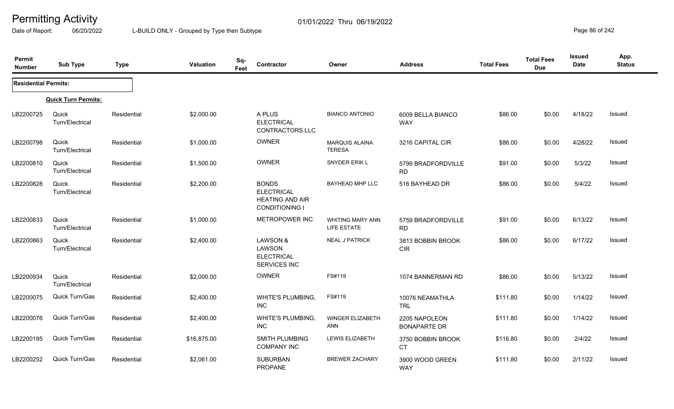Date of Report: 06/20/2022 L-BUILD ONLY - Grouped by Type then Subtype **Page 86** of 242

| Permit<br><b>Number</b>     | <b>Sub Type</b>            | <b>Type</b> | Valuation   | Sq-<br>Feet | Contractor                                                                           | Owner                                  | <b>Address</b>                       | <b>Total Fees</b> | <b>Total Fees</b><br><b>Due</b> | <b>Issued</b><br>Date | App.<br><b>Status</b> |
|-----------------------------|----------------------------|-------------|-------------|-------------|--------------------------------------------------------------------------------------|----------------------------------------|--------------------------------------|-------------------|---------------------------------|-----------------------|-----------------------|
| <b>Residential Permits:</b> |                            |             |             |             |                                                                                      |                                        |                                      |                   |                                 |                       |                       |
|                             | <b>Quick Turn Permits:</b> |             |             |             |                                                                                      |                                        |                                      |                   |                                 |                       |                       |
| LB2200725                   | Quick<br>Turn/Electrical   | Residential | \$2,000.00  |             | A PLUS<br><b>ELECTRICAL</b><br><b>CONTRACTORS LLC</b>                                | <b>BIANCO ANTONIO</b>                  | 6009 BELLA BIANCO<br><b>WAY</b>      | \$86.00           | \$0.00                          | 4/18/22               | Issued                |
| LB2200798                   | Quick<br>Turn/Electrical   | Residential | \$1,000.00  |             | <b>OWNER</b>                                                                         | <b>MARQUIS ALAINA</b><br><b>TERESA</b> | 3216 CAPITAL CIR                     | \$86.00           | \$0.00                          | 4/28/22               | Issued                |
| LB2200810                   | Quick<br>Turn/Electrical   | Residential | \$1,500.00  |             | OWNER                                                                                | SNYDER ERIK L                          | 5799 BRADFORDVILLE<br><b>RD</b>      | \$91.00           | \$0.00                          | 5/3/22                | Issued                |
| LB2200828                   | Quick<br>Turn/Electrical   | Residential | \$2,200.00  |             | <b>BONDS</b><br><b>ELECTRICAL</b><br><b>HEATING AND AIR</b><br><b>CONDITIONING I</b> | <b>BAYHEAD MHP LLC</b>                 | 516 BAYHEAD DR                       | \$86.00           | \$0.00                          | 5/4/22                | Issued                |
| LB2200833                   | Quick<br>Turn/Electrical   | Residential | \$1,000.00  |             | METROPOWER INC                                                                       | <b>WHITING MARY ANN</b><br>LIFE ESTATE | 5759 BRADFORDVILLE<br>RD.            | \$91.00           | \$0.00                          | 6/13/22               | Issued                |
| LB2200863                   | Quick<br>Turn/Electrical   | Residential | \$2,400.00  |             | LAWSON &<br>LAWSON<br><b>ELECTRICAL</b><br>SERVICES INC                              | <b>NEAL J PATRICK</b>                  | 3813 BOBBIN BROOK<br><b>CIR</b>      | \$86.00           | \$0.00                          | 6/17/22               | Issued                |
| LB2200934                   | Quick<br>Turn/Electrical   | Residential | \$2,000.00  |             | <b>OWNER</b>                                                                         | FS#119                                 | 1074 BANNERMAN RD                    | \$86.00           | \$0.00                          | 5/13/22               | <b>Issued</b>         |
| LB2200075                   | Quick Turn/Gas             | Residential | \$2,400.00  |             | WHITE'S PLUMBING,<br><b>INC</b>                                                      | FS#119                                 | 10076 NEAMATHLA<br><b>TRL</b>        | \$111.80          | \$0.00                          | 1/14/22               | Issued                |
| LB2200076                   | Quick Turn/Gas             | Residential | \$2,400.00  |             | <b>WHITE'S PLUMBING,</b><br><b>INC</b>                                               | WINGER ELIZABETH<br>ANN                | 2205 NAPOLEON<br><b>BONAPARTE DR</b> | \$111.80          | \$0.00                          | 1/14/22               | Issued                |
| LB2200195                   | <b>Quick Turn/Gas</b>      | Residential | \$16,875.00 |             | SMITH PLUMBING<br><b>COMPANY INC</b>                                                 | <b>LEWIS ELIZABETH</b>                 | 3750 BOBBIN BROOK<br><b>CT</b>       | \$116.80          | \$0.00                          | 2/4/22                | Issued                |
| LB2200252                   | <b>Quick Turn/Gas</b>      | Residential | \$2,061.00  |             | <b>SUBURBAN</b><br>PROPANE                                                           | <b>BREWER ZACHARY</b>                  | 3900 WOOD GREEN<br><b>WAY</b>        | \$111.80          | \$0.00                          | 2/11/22               | Issued                |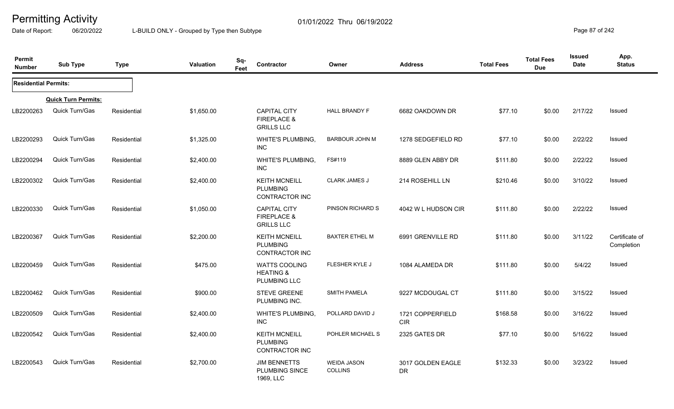Date of Report: 06/20/2022 L-BUILD ONLY - Grouped by Type then Subtype **Page 87** of 242

| Permit<br><b>Number</b>     | <b>Sub Type</b>            | <b>Type</b> | <b>Valuation</b> | Sq-<br>Feet | Contractor                                                         | Owner                                | <b>Address</b>                 | <b>Total Fees</b> | <b>Total Fees</b><br><b>Due</b> | <b>Issued</b><br>Date | App.<br><b>Status</b>        |
|-----------------------------|----------------------------|-------------|------------------|-------------|--------------------------------------------------------------------|--------------------------------------|--------------------------------|-------------------|---------------------------------|-----------------------|------------------------------|
| <b>Residential Permits:</b> |                            |             |                  |             |                                                                    |                                      |                                |                   |                                 |                       |                              |
|                             | <b>Quick Turn Permits:</b> |             |                  |             |                                                                    |                                      |                                |                   |                                 |                       |                              |
| LB2200263                   | Quick Turn/Gas             | Residential | \$1,650.00       |             | <b>CAPITAL CITY</b><br><b>FIREPLACE &amp;</b><br><b>GRILLS LLC</b> | <b>HALL BRANDY F</b>                 | 6682 OAKDOWN DR                | \$77.10           | \$0.00                          | 2/17/22               | Issued                       |
| LB2200293                   | <b>Quick Turn/Gas</b>      | Residential | \$1,325.00       |             | WHITE'S PLUMBING,<br><b>INC</b>                                    | <b>BARBOUR JOHN M</b>                | 1278 SEDGEFIELD RD             | \$77.10           | \$0.00                          | 2/22/22               | Issued                       |
| LB2200294                   | Quick Turn/Gas             | Residential | \$2,400.00       |             | <b>WHITE'S PLUMBING,</b><br><b>INC</b>                             | FS#119                               | 8889 GLEN ABBY DR              | \$111.80          | \$0.00                          | 2/22/22               | Issued                       |
| LB2200302                   | Quick Turn/Gas             | Residential | \$2,400.00       |             | <b>KEITH MCNEILL</b><br><b>PLUMBING</b><br>CONTRACTOR INC          | <b>CLARK JAMES J</b>                 | 214 ROSEHILL LN                | \$210.46          | \$0.00                          | 3/10/22               | <b>Issued</b>                |
| LB2200330                   | Quick Turn/Gas             | Residential | \$1,050.00       |             | <b>CAPITAL CITY</b><br><b>FIREPLACE &amp;</b><br><b>GRILLS LLC</b> | PINSON RICHARD S                     | 4042 W L HUDSON CIR            | \$111.80          | \$0.00                          | 2/22/22               | Issued                       |
| LB2200367                   | <b>Quick Turn/Gas</b>      | Residential | \$2,200.00       |             | <b>KEITH MCNEILL</b><br><b>PLUMBING</b><br>CONTRACTOR INC          | <b>BAXTER ETHEL M</b>                | 6991 GRENVILLE RD              | \$111.80          | \$0.00                          | 3/11/22               | Certificate of<br>Completion |
| LB2200459                   | Quick Turn/Gas             | Residential | \$475.00         |             | <b>WATTS COOLING</b><br><b>HEATING &amp;</b><br>PLUMBING LLC       | FLESHER KYLE J                       | 1084 ALAMEDA DR                | \$111.80          | \$0.00                          | 5/4/22                | Issued                       |
| LB2200462                   | Quick Turn/Gas             | Residential | \$900.00         |             | <b>STEVE GREENE</b><br>PLUMBING INC.                               | <b>SMITH PAMELA</b>                  | 9227 MCDOUGAL CT               | \$111.80          | \$0.00                          | 3/15/22               | Issued                       |
| LB2200509                   | <b>Quick Turn/Gas</b>      | Residential | \$2,400.00       |             | <b>WHITE'S PLUMBING,</b><br><b>INC</b>                             | POLLARD DAVID J                      | 1721 COPPERFIELD<br><b>CIR</b> | \$168.58          | \$0.00                          | 3/16/22               | Issued                       |
| LB2200542                   | <b>Quick Turn/Gas</b>      | Residential | \$2,400.00       |             | <b>KEITH MCNEILL</b><br><b>PLUMBING</b><br>CONTRACTOR INC          | POHLER MICHAEL S                     | 2325 GATES DR                  | \$77.10           | \$0.00                          | 5/16/22               | Issued                       |
| LB2200543                   | Quick Turn/Gas             | Residential | \$2,700.00       |             | <b>JIM BENNETTS</b><br>PLUMBING SINCE<br>1969, LLC                 | <b>WEIDA JASON</b><br><b>COLLINS</b> | 3017 GOLDEN EAGLE<br><b>DR</b> | \$132.33          | \$0.00                          | 3/23/22               | <b>Issued</b>                |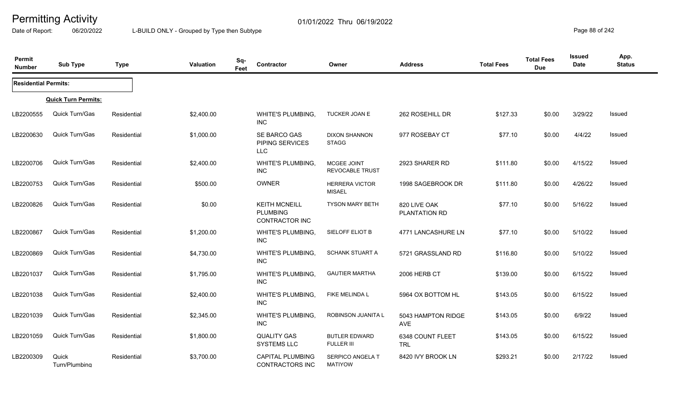Date of Report: 06/20/2022 L-BUILD ONLY - Grouped by Type then Subtype **Page 88** of 242

| Permit<br><b>Number</b>     | <b>Sub Type</b>            | <b>Type</b> | Valuation  | Sq-<br>Feet | Contractor                                                       | Owner                                  | <b>Address</b>                 | <b>Total Fees</b> | <b>Total Fees</b><br><b>Due</b> | <b>Issued</b><br>Date | App.<br><b>Status</b> |
|-----------------------------|----------------------------|-------------|------------|-------------|------------------------------------------------------------------|----------------------------------------|--------------------------------|-------------------|---------------------------------|-----------------------|-----------------------|
| <b>Residential Permits:</b> |                            |             |            |             |                                                                  |                                        |                                |                   |                                 |                       |                       |
|                             | <b>Quick Turn Permits:</b> |             |            |             |                                                                  |                                        |                                |                   |                                 |                       |                       |
| LB2200555                   | Quick Turn/Gas             | Residential | \$2,400.00 |             | <b>WHITE'S PLUMBING,</b><br>INC.                                 | TUCKER JOAN E                          | 262 ROSEHILL DR                | \$127.33          | \$0.00                          | 3/29/22               | Issued                |
| LB2200630                   | Quick Turn/Gas             | Residential | \$1,000.00 |             | SE BARCO GAS<br>PIPING SERVICES<br><b>LLC</b>                    | <b>DIXON SHANNON</b><br><b>STAGG</b>   | 977 ROSEBAY CT                 | \$77.10           | \$0.00                          | 4/4/22                | Issued                |
| LB2200706                   | Quick Turn/Gas             | Residential | \$2,400.00 |             | <b>WHITE'S PLUMBING,</b><br><b>INC</b>                           | MCGEE JOINT<br>REVOCABLE TRUST         | 2923 SHARER RD                 | \$111.80          | \$0.00                          | 4/15/22               | <b>Issued</b>         |
| LB2200753                   | Quick Turn/Gas             | Residential | \$500.00   |             | OWNER                                                            | <b>HERRERA VICTOR</b><br><b>MISAEL</b> | 1998 SAGEBROOK DR              | \$111.80          | \$0.00                          | 4/26/22               | Issued                |
| LB2200826                   | Quick Turn/Gas             | Residential | \$0.00     |             | <b>KEITH MCNEILL</b><br><b>PLUMBING</b><br><b>CONTRACTOR INC</b> | <b>TYSON MARY BETH</b>                 | 820 LIVE OAK<br>PLANTATION RD  | \$77.10           | \$0.00                          | 5/16/22               | Issued                |
| LB2200867                   | Quick Turn/Gas             | Residential | \$1,200.00 |             | <b>WHITE'S PLUMBING,</b><br><b>INC</b>                           | SIELOFF ELIOT B                        | 4771 LANCASHURE LN             | \$77.10           | \$0.00                          | 5/10/22               | Issued                |
| LB2200869                   | Quick Turn/Gas             | Residential | \$4,730.00 |             | <b>WHITE'S PLUMBING,</b><br><b>INC</b>                           | <b>SCHANK STUART A</b>                 | 5721 GRASSLAND RD              | \$116.80          | \$0.00                          | 5/10/22               | Issued                |
| LB2201037                   | Quick Turn/Gas             | Residential | \$1,795.00 |             | <b>WHITE'S PLUMBING,</b><br><b>INC</b>                           | <b>GAUTIER MARTHA</b>                  | 2006 HERB CT                   | \$139.00          | \$0.00                          | 6/15/22               | Issued                |
| LB2201038                   | Quick Turn/Gas             | Residential | \$2,400.00 |             | <b>WHITE'S PLUMBING,</b><br><b>INC</b>                           | FIKE MELINDA L                         | 5964 OX BOTTOM HL              | \$143.05          | \$0.00                          | 6/15/22               | Issued                |
| LB2201039                   | Quick Turn/Gas             | Residential | \$2,345.00 |             | <b>WHITE'S PLUMBING,</b><br><b>INC</b>                           | ROBINSON JUANITA L                     | 5043 HAMPTON RIDGE<br>AVE      | \$143.05          | \$0.00                          | 6/9/22                | Issued                |
| LB2201059                   | Quick Turn/Gas             | Residential | \$1,800.00 |             | <b>QUALITY GAS</b><br><b>SYSTEMS LLC</b>                         | <b>BUTLER EDWARD</b><br>FULLER III     | 6348 COUNT FLEET<br><b>TRL</b> | \$143.05          | \$0.00                          | 6/15/22               | Issued                |
| LB2200309                   | Quick<br>Turn/Plumbina     | Residential | \$3,700.00 |             | <b>CAPITAL PLUMBING</b><br>CONTRACTORS INC                       | SERPICO ANGELA T<br><b>MATIYOW</b>     | 8420 IVY BROOK LN              | \$293.21          | \$0.00                          | 2/17/22               | Issued                |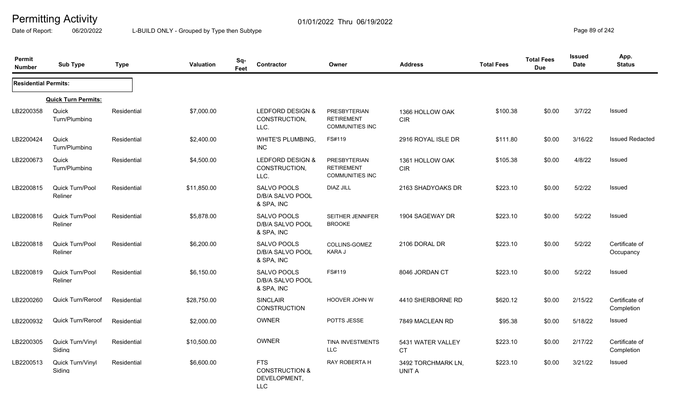Date of Report: 06/20/2022 L-BUILD ONLY - Grouped by Type then Subtype **Page 89** of 242

| Permit<br><b>Number</b>     | <b>Sub Type</b>            | <b>Type</b> | <b>Valuation</b> | Sq-<br>Feet | <b>Contractor</b>                                                     | Owner                                                       | <b>Address</b>                      | <b>Total Fees</b> | <b>Total Fees</b><br><b>Due</b> | <b>Issued</b><br><b>Date</b> | App.<br><b>Status</b>        |
|-----------------------------|----------------------------|-------------|------------------|-------------|-----------------------------------------------------------------------|-------------------------------------------------------------|-------------------------------------|-------------------|---------------------------------|------------------------------|------------------------------|
| <b>Residential Permits:</b> |                            |             |                  |             |                                                                       |                                                             |                                     |                   |                                 |                              |                              |
|                             | <b>Quick Turn Permits:</b> |             |                  |             |                                                                       |                                                             |                                     |                   |                                 |                              |                              |
| LB2200358                   | Quick<br>Turn/Plumbina     | Residential | \$7,000.00       |             | LEDFORD DESIGN &<br>CONSTRUCTION,<br>LLC.                             | PRESBYTERIAN<br><b>RETIREMENT</b><br><b>COMMUNITIES INC</b> | 1366 HOLLOW OAK<br>CIR              | \$100.38          | \$0.00                          | 3/7/22                       | Issued                       |
| LB2200424                   | Quick<br>Turn/Plumbing     | Residential | \$2,400.00       |             | <b>WHITE'S PLUMBING,</b><br><b>INC</b>                                | FS#119                                                      | 2916 ROYAL ISLE DR                  | \$111.80          | \$0.00                          | 3/16/22                      | <b>Issued Redacted</b>       |
| LB2200673                   | Quick<br>Turn/Plumbina     | Residential | \$4,500.00       |             | <b>LEDFORD DESIGN &amp;</b><br>CONSTRUCTION,<br>LLC.                  | PRESBYTERIAN<br><b>RETIREMENT</b><br><b>COMMUNITIES INC</b> | 1361 HOLLOW OAK<br><b>CIR</b>       | \$105.38          | \$0.00                          | 4/8/22                       | Issued                       |
| LB2200815                   | Quick Turn/Pool<br>Reliner | Residential | \$11,850.00      |             | SALVO POOLS<br>D/B/A SALVO POOL<br>& SPA, INC                         | <b>DIAZ JILL</b>                                            | 2163 SHADYOAKS DR                   | \$223.10          | \$0.00                          | 5/2/22                       | Issued                       |
| LB2200816                   | Quick Turn/Pool<br>Reliner | Residential | \$5,878.00       |             | SALVO POOLS<br>D/B/A SALVO POOL<br>& SPA, INC                         | SEITHER JENNIFER<br><b>BROOKE</b>                           | 1904 SAGEWAY DR                     | \$223.10          | \$0.00                          | 5/2/22                       | <b>Issued</b>                |
| LB2200818                   | Quick Turn/Pool<br>Reliner | Residential | \$6,200.00       |             | SALVO POOLS<br>D/B/A SALVO POOL<br>& SPA, INC                         | <b>COLLINS-GOMEZ</b><br>KARA J                              | 2106 DORAL DR                       | \$223.10          | \$0.00                          | 5/2/22                       | Certificate of<br>Occupancy  |
| LB2200819                   | Quick Turn/Pool<br>Reliner | Residential | \$6,150.00       |             | SALVO POOLS<br>D/B/A SALVO POOL<br>& SPA, INC                         | FS#119                                                      | 8046 JORDAN CT                      | \$223.10          | \$0.00                          | 5/2/22                       | Issued                       |
| LB2200260                   | <b>Quick Turn/Reroof</b>   | Residential | \$28,750.00      |             | <b>SINCLAIR</b><br><b>CONSTRUCTION</b>                                | HOOVER JOHN W                                               | 4410 SHERBORNE RD                   | \$620.12          | \$0.00                          | 2/15/22                      | Certificate of<br>Completion |
| LB2200932                   | <b>Quick Turn/Reroof</b>   | Residential | \$2,000.00       |             | OWNER                                                                 | POTTS JESSE                                                 | 7849 MACLEAN RD                     | \$95.38           | \$0.00                          | 5/18/22                      | Issued                       |
| LB2200305                   | Quick Turn/Vinyl<br>Sidina | Residential | \$10,500.00      |             | OWNER                                                                 | TINA INVESTMENTS<br><b>LLC</b>                              | 5431 WATER VALLEY<br><b>CT</b>      | \$223.10          | \$0.00                          | 2/17/22                      | Certificate of<br>Completion |
| LB2200513                   | Quick Turn/Vinyl<br>Sidina | Residential | \$6,600.00       |             | <b>FTS</b><br><b>CONSTRUCTION &amp;</b><br>DEVELOPMENT,<br><b>LLC</b> | <b>RAY ROBERTA H</b>                                        | 3492 TORCHMARK LN,<br><b>UNIT A</b> | \$223.10          | \$0.00                          | 3/21/22                      | Issued                       |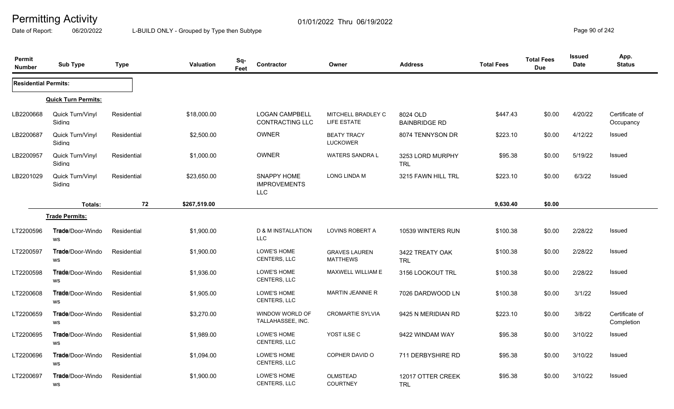Date of Report: 06/20/2022 L-BUILD ONLY - Grouped by Type then Subtype **Page 90** of 242

| Permit<br><b>Number</b>     | <b>Sub Type</b>                       | <b>Type</b> | <b>Valuation</b> | Sq-<br>Feet | Contractor                                      | Owner                                    | <b>Address</b>                   | <b>Total Fees</b> | <b>Total Fees</b><br><b>Due</b> | Issued<br><b>Date</b> | App.<br><b>Status</b>        |
|-----------------------------|---------------------------------------|-------------|------------------|-------------|-------------------------------------------------|------------------------------------------|----------------------------------|-------------------|---------------------------------|-----------------------|------------------------------|
| <b>Residential Permits:</b> |                                       |             |                  |             |                                                 |                                          |                                  |                   |                                 |                       |                              |
|                             | <b>Quick Turn Permits:</b>            |             |                  |             |                                                 |                                          |                                  |                   |                                 |                       |                              |
| LB2200668                   | Quick Turn/Vinyl<br>Sidina            | Residential | \$18,000.00      |             | <b>LOGAN CAMPBELL</b><br><b>CONTRACTING LLC</b> | MITCHELL BRADLEY C<br><b>LIFE ESTATE</b> | 8024 OLD<br><b>BAINBRIDGE RD</b> | \$447.43          | \$0.00                          | 4/20/22               | Certificate of<br>Occupancy  |
| LB2200687                   | Quick Turn/Vinyl<br>Sidina            | Residential | \$2,500.00       |             | OWNER                                           | <b>BEATY TRACY</b><br><b>LUCKOWER</b>    | 8074 TENNYSON DR                 | \$223.10          | \$0.00                          | 4/12/22               | <b>Issued</b>                |
| LB2200957                   | Quick Turn/Vinyl<br>Siding            | Residential | \$1,000.00       |             | OWNER                                           | <b>WATERS SANDRA L</b>                   | 3253 LORD MURPHY<br><b>TRL</b>   | \$95.38           | \$0.00                          | 5/19/22               | Issued                       |
| LB2201029                   | Quick Turn/Vinyl<br>Sidina            | Residential | \$23,650.00      |             | SNAPPY HOME<br><b>IMPROVEMENTS</b><br>LLC       | <b>LONG LINDA M</b>                      | 3215 FAWN HILL TRL               | \$223.10          | \$0.00                          | 6/3/22                | <b>Issued</b>                |
|                             | Totals:                               | 72          | \$267,519.00     |             |                                                 |                                          |                                  | 9,630.40          | \$0.00                          |                       |                              |
|                             | <b>Trade Permits:</b>                 |             |                  |             |                                                 |                                          |                                  |                   |                                 |                       |                              |
| LT2200596                   | <b>Trade</b> /Door-Windo<br>WS        | Residential | \$1,900.00       |             | <b>D &amp; M INSTALLATION</b><br><b>LLC</b>     | <b>LOVINS ROBERT A</b>                   | 10539 WINTERS RUN                | \$100.38          | \$0.00                          | 2/28/22               | Issued                       |
| LT2200597                   | <b>Trade/Door-Windo</b><br>WS         | Residential | \$1,900.00       |             | LOWE'S HOME<br><b>CENTERS, LLC</b>              | <b>GRAVES LAUREN</b><br><b>MATTHEWS</b>  | 3422 TREATY OAK<br><b>TRL</b>    | \$100.38          | \$0.00                          | 2/28/22               | <b>Issued</b>                |
| LT2200598                   | <b>Trade</b> /Door-Windo<br><b>WS</b> | Residential | \$1,936.00       |             | LOWE'S HOME<br><b>CENTERS, LLC</b>              | MAXWELL WILLIAM E                        | 3156 LOOKOUT TRL                 | \$100.38          | \$0.00                          | 2/28/22               | Issued                       |
| LT2200608                   | <b>Trade</b> /Door-Windo<br>WS        | Residential | \$1,905.00       |             | LOWE'S HOME<br>CENTERS, LLC                     | <b>MARTIN JEANNIE R</b>                  | 7026 DARDWOOD LN                 | \$100.38          | \$0.00                          | 3/1/22                | <b>Issued</b>                |
| LT2200659                   | <b>Trade/Door-Windo</b><br>WS         | Residential | \$3,270.00       |             | WINDOW WORLD OF<br>TALLAHASSEE, INC.            | <b>CROMARTIE SYLVIA</b>                  | 9425 N MERIDIAN RD               | \$223.10          | \$0.00                          | 3/8/22                | Certificate of<br>Completion |
| LT2200695                   | Trade/Door-Windo<br><b>WS</b>         | Residential | \$1,989.00       |             | LOWE'S HOME<br><b>CENTERS, LLC</b>              | YOST ILSE C                              | 9422 WINDAM WAY                  | \$95.38           | \$0.00                          | 3/10/22               | Issued                       |
| LT2200696                   | <b>Trade</b> /Door-Windo<br>WS        | Residential | \$1,094.00       |             | LOWE'S HOME<br>CENTERS, LLC                     | COPHER DAVID O                           | 711 DERBYSHIRE RD                | \$95.38           | \$0.00                          | 3/10/22               | Issued                       |
| LT2200697                   | Trade/Door-Windo<br>WS                | Residential | \$1,900.00       |             | <b>LOWE'S HOME</b><br><b>CENTERS, LLC</b>       | <b>OLMSTEAD</b><br><b>COURTNEY</b>       | 12017 OTTER CREEK<br><b>TRL</b>  | \$95.38           | \$0.00                          | 3/10/22               | <b>Issued</b>                |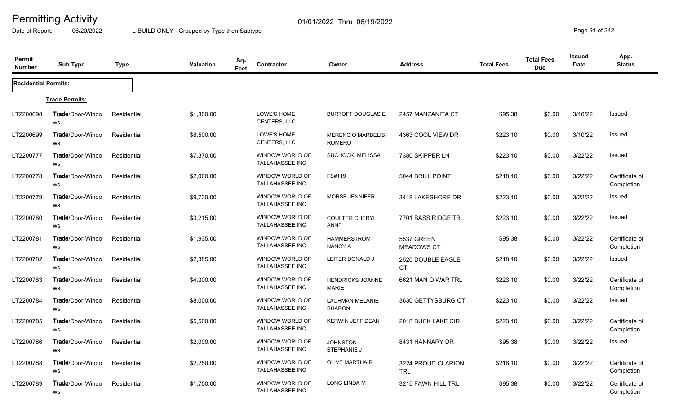Date of Report: 06/20/2022 L-BUILD ONLY - Grouped by Type then Subtype **Page 91** of 242

| Permit<br><b>Number</b>     | <b>Sub Type</b>                      | Type        | Valuation  | Sq-<br>Feet | Contractor                                       | Owner                                     | <b>Address</b>                         | <b>Total Fees</b> | <b>Total Fees</b><br><b>Due</b> | <b>Issued</b><br><b>Date</b> | App.<br><b>Status</b>        |
|-----------------------------|--------------------------------------|-------------|------------|-------------|--------------------------------------------------|-------------------------------------------|----------------------------------------|-------------------|---------------------------------|------------------------------|------------------------------|
| <b>Residential Permits:</b> |                                      |             |            |             |                                                  |                                           |                                        |                   |                                 |                              |                              |
|                             | <b>Trade Permits:</b>                |             |            |             |                                                  |                                           |                                        |                   |                                 |                              |                              |
| LT2200698                   | Trade/Door-Windo<br>WS               | Residential | \$1,300.00 |             | LOWE'S HOME<br>CENTERS, LLC                      | <b>BURTOFT DOUGLAS E</b>                  | 2457 MANZANITA CT                      | \$95.38           | \$0.00                          | 3/10/22                      | Issued                       |
| LT2200699                   | Trade/Door-Windo<br>WS               | Residential | \$8,500.00 |             | LOWE'S HOME<br>CENTERS, LLC                      | <b>MERENCIO MARBELIS</b><br><b>ROMERO</b> | 4363 COOL VIEW DR                      | \$223.10          | \$0.00                          | 3/10/22                      | Issued                       |
| LT2200777                   | <b>Trade/Door-Windo</b><br>WS        | Residential | \$7,370.00 |             | WINDOW WORLD OF<br><b>TALLAHASSEE INC</b>        | <b>SUCHOCKI MELISSA</b>                   | 7380 SKIPPER LN                        | \$223.10          | \$0.00                          | 3/22/22                      | <b>Issued</b>                |
| LT2200778                   | <b>Trade/Door-Windo</b><br>WS        | Residential | \$2,060.00 |             | WINDOW WORLD OF<br><b>TALLAHASSEE INC</b>        | FS#119                                    | 5044 BRILL POINT                       | \$218.10          | \$0.00                          | 3/22/22                      | Certificate of<br>Completion |
| LT2200779                   | Trade/Door-Windo<br>WS               | Residential | \$9,730.00 |             | <b>WINDOW WORLD OF</b><br>TALLAHASSEE INC        | <b>MORSE JENNIFER</b>                     | 3418 LAKESHORE DR                      | \$223.10          | \$0.00                          | 3/22/22                      | Issued                       |
| LT2200780                   | <b>Trade/Door-Windo</b><br>WS        | Residential | \$3,215.00 |             | WINDOW WORLD OF<br><b>TALLAHASSEE INC</b>        | COULTER CHERYL<br>ANNE                    | 7701 BASS RIDGE TRL                    | \$223.10          | \$0.00                          | 3/22/22                      | Issued                       |
| LT2200781                   | <b>Trade/Door-Windo</b><br>WS        | Residential | \$1,935.00 |             | WINDOW WORLD OF<br><b>TALLAHASSEE INC</b>        | <b>HAMMERSTROM</b><br><b>NANCY A</b>      | <b>5537 GREEN</b><br><b>MEADOWS CT</b> | \$95.38           | \$0.00                          | 3/22/22                      | Certificate of<br>Completion |
| LT2200782                   | Trade/Door-Windo<br>WS               | Residential | \$2,385.00 |             | WINDOW WORLD OF<br><b>TALLAHASSEE INC</b>        | LEITER DONALD J                           | 2520 DOUBLE EAGLE<br>CT.               | \$218.10          | \$0.00                          | 3/22/22                      | Issued                       |
| LT2200783                   | <b>Trade/Door-Windo</b><br>WS        | Residential | \$4,300.00 |             | WINDOW WORLD OF<br><b>TALLAHASSEE INC</b>        | <b>HENDRICKS JOANNE</b><br><b>MARIE</b>   | 6621 MAN O WAR TRL                     | \$223.10          | \$0.00                          | 3/22/22                      | Certificate of<br>Completion |
| LT2200784                   | <b>Trade/Door-Windo</b><br>WS        | Residential | \$8,000.00 |             | <b>WINDOW WORLD OF</b><br><b>TALLAHASSEE INC</b> | <b>LACHMAN MELANIE</b><br><b>SHARON</b>   | 3630 GETTYSBURG CT                     | \$223.10          | \$0.00                          | 3/22/22                      | <b>Issued</b>                |
| LT2200785                   | Trade/Door-Windo<br>WS               | Residential | \$5,500.00 |             | WINDOW WORLD OF<br>TALLAHASSEE INC               | KERWIN JEFF DEAN                          | 2018 BUCK LAKE CIR                     | \$223.10          | \$0.00                          | 3/22/22                      | Certificate of<br>Completion |
| LT2200786                   | <b>Trade/Door-Windo</b><br><b>WS</b> | Residential | \$2,000.00 |             | WINDOW WORLD OF<br><b>TALLAHASSEE INC</b>        | <b>JOHNSTON</b><br>STEPHANIE J            | 8431 HANNARY DR                        | \$95.38           | \$0.00                          | 3/22/22                      | Issued                       |
| LT2200788                   | <b>Trade/Door-Windo</b><br><b>WS</b> | Residential | \$2,250.00 |             | WINDOW WORLD OF<br><b>TALLAHASSEE INC</b>        | <b>OLIVE MARTHA R</b>                     | 3224 PROUD CLARION<br><b>TRL</b>       | \$218.10          | \$0.00                          | 3/22/22                      | Certificate of<br>Completion |
| LT2200789                   | Trade/Door-Windo<br>WS               | Residential | \$1,750.00 |             | WINDOW WORLD OF<br><b>TALLAHASSEE INC</b>        | <b>LONG LINDA M</b>                       | 3215 FAWN HILL TRL                     | \$95.38           | \$0.00                          | 3/22/22                      | Certificate of<br>Completion |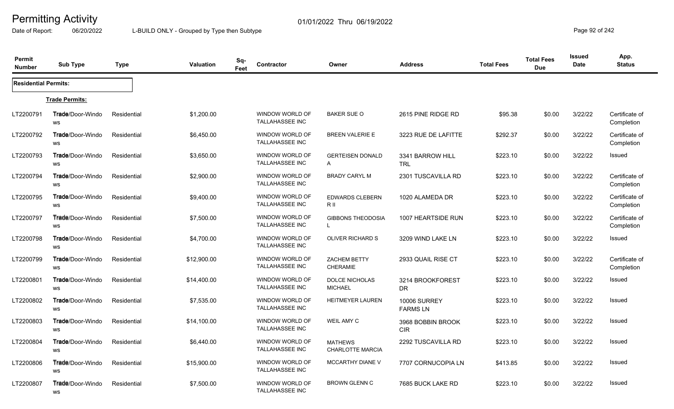Date of Report: 06/20/2022 L-BUILD ONLY - Grouped by Type then Subtype **Page 92** of 242

| Permit<br><b>Number</b>     | <b>Sub Type</b>                       | Type        | Valuation   | Sq-<br>Feet | <b>Contractor</b>                                | Owner                                     | <b>Address</b>                         | <b>Total Fees</b> | <b>Total Fees</b><br><b>Due</b> | <b>Issued</b><br><b>Date</b> | App.<br><b>Status</b>        |
|-----------------------------|---------------------------------------|-------------|-------------|-------------|--------------------------------------------------|-------------------------------------------|----------------------------------------|-------------------|---------------------------------|------------------------------|------------------------------|
| <b>Residential Permits:</b> |                                       |             |             |             |                                                  |                                           |                                        |                   |                                 |                              |                              |
|                             | <b>Trade Permits:</b>                 |             |             |             |                                                  |                                           |                                        |                   |                                 |                              |                              |
| LT2200791                   | <b>Trade/Door-Windo</b><br><b>WS</b>  | Residential | \$1,200.00  |             | WINDOW WORLD OF<br>TALLAHASSEE INC               | <b>BAKER SUE O</b>                        | 2615 PINE RIDGE RD                     | \$95.38           | \$0.00                          | 3/22/22                      | Certificate of<br>Completion |
| LT2200792                   | Trade/Door-Windo<br><b>WS</b>         | Residential | \$6,450.00  |             | WINDOW WORLD OF<br>TALLAHASSEE INC               | <b>BREEN VALERIE E</b>                    | 3223 RUE DE LAFITTE                    | \$292.37          | \$0.00                          | 3/22/22                      | Certificate of<br>Completion |
| LT2200793                   | <b>Trade</b> /Door-Windo<br>WS        | Residential | \$3,650.00  |             | WINDOW WORLD OF<br>TALLAHASSEE INC               | <b>GERTEISEN DONALD</b><br>$\mathsf{A}$   | 3341 BARROW HILL<br><b>TRL</b>         | \$223.10          | \$0.00                          | 3/22/22                      | Issued                       |
| LT2200794                   | <b>Trade</b> /Door-Windo<br><b>WS</b> | Residential | \$2,900.00  |             | WINDOW WORLD OF<br><b>TALLAHASSEE INC</b>        | <b>BRADY CARYL M</b>                      | 2301 TUSCAVILLA RD                     | \$223.10          | \$0.00                          | 3/22/22                      | Certificate of<br>Completion |
| LT2200795                   | <b>Trade</b> /Door-Windo<br>WS        | Residential | \$9,400.00  |             | WINDOW WORLD OF<br><b>TALLAHASSEE INC</b>        | <b>EDWARDS CLEBERN</b><br>R II            | 1020 ALAMEDA DR                        | \$223.10          | \$0.00                          | 3/22/22                      | Certificate of<br>Completion |
| LT2200797                   | <b>Trade/Door-Windo</b><br>WS         | Residential | \$7,500.00  |             | WINDOW WORLD OF<br><b>TALLAHASSEE INC</b>        | <b>GIBBONS THEODOSIA</b><br>$\mathbf{I}$  | 1007 HEARTSIDE RUN                     | \$223.10          | \$0.00                          | 3/22/22                      | Certificate of<br>Completion |
| LT2200798                   | <b>Trade/Door-Windo</b><br>WS         | Residential | \$4,700.00  |             | WINDOW WORLD OF<br><b>TALLAHASSEE INC</b>        | <b>OLIVER RICHARD S</b>                   | 3209 WIND LAKE LN                      | \$223.10          | \$0.00                          | 3/22/22                      | Issued                       |
| LT2200799                   | <b>Trade</b> /Door-Windo<br>ws        | Residential | \$12,900.00 |             | WINDOW WORLD OF<br><b>TALLAHASSEE INC</b>        | ZACHEM BETTY<br><b>CHERAMIE</b>           | 2933 QUAIL RISE CT                     | \$223.10          | \$0.00                          | 3/22/22                      | Certificate of<br>Completion |
| LT2200801                   | <b>Trade</b> /Door-Windo<br>WS        | Residential | \$14,400.00 |             | WINDOW WORLD OF<br><b>TALLAHASSEE INC</b>        | <b>DOLCE NICHOLAS</b><br><b>MICHAEL</b>   | 3214 BROOKFOREST<br><b>DR</b>          | \$223.10          | \$0.00                          | 3/22/22                      | Issued                       |
| LT2200802                   | <b>Trade/Door-Windo</b><br>ws         | Residential | \$7,535.00  |             | WINDOW WORLD OF<br><b>TALLAHASSEE INC</b>        | <b>HEITMEYER LAUREN</b>                   | <b>10006 SURREY</b><br><b>FARMS LN</b> | \$223.10          | \$0.00                          | 3/22/22                      | Issued                       |
| LT2200803                   | <b>Trade</b> /Door-Windo<br>ws        | Residential | \$14,100.00 |             | WINDOW WORLD OF<br><b>TALLAHASSEE INC</b>        | <b>WEIL AMY C</b>                         | 3968 BOBBIN BROOK<br><b>CIR</b>        | \$223.10          | \$0.00                          | 3/22/22                      | Issued                       |
| LT2200804                   | <b>Trade</b> /Door-Windo<br>ws        | Residential | \$6,440.00  |             | WINDOW WORLD OF<br><b>TALLAHASSEE INC</b>        | <b>MATHEWS</b><br><b>CHARLOTTE MARCIA</b> | 2292 TUSCAVILLA RD                     | \$223.10          | \$0.00                          | 3/22/22                      | Issued                       |
| LT2200806                   | Trade/Door-Windo<br>WS                | Residential | \$15,900.00 |             | <b>WINDOW WORLD OF</b><br><b>TALLAHASSEE INC</b> | <b>MCCARTHY DIANE V</b>                   | 7707 CORNUCOPIA LN                     | \$413.85          | \$0.00                          | 3/22/22                      | Issued                       |
| LT2200807                   | Trade/Door-Windo<br>ws                | Residential | \$7,500.00  |             | <b>WINDOW WORLD OF</b><br><b>TALLAHASSEE INC</b> | <b>BROWN GLENN C</b>                      | 7685 BUCK LAKE RD                      | \$223.10          | \$0.00                          | 3/22/22                      | <b>Issued</b>                |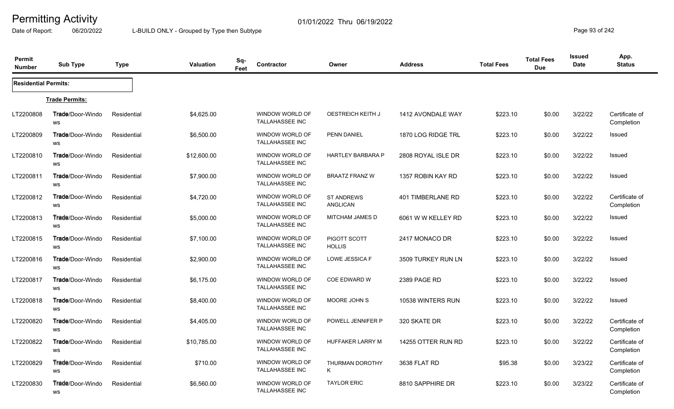Date of Report: 06/20/2022 L-BUILD ONLY - Grouped by Type then Subtype **Page 93** of 242

| Permit<br><b>Number</b>     | <b>Sub Type</b>                      | Type        | Valuation   | Sq-<br>Feet | Contractor                                | Owner                                | <b>Address</b>     | <b>Total Fees</b> | <b>Total Fees</b><br><b>Due</b> | Issued<br><b>Date</b> | App.<br><b>Status</b>        |
|-----------------------------|--------------------------------------|-------------|-------------|-------------|-------------------------------------------|--------------------------------------|--------------------|-------------------|---------------------------------|-----------------------|------------------------------|
| <b>Residential Permits:</b> |                                      |             |             |             |                                           |                                      |                    |                   |                                 |                       |                              |
|                             | <b>Trade Permits:</b>                |             |             |             |                                           |                                      |                    |                   |                                 |                       |                              |
| LT2200808                   | Trade/Door-Windo<br>WS               | Residential | \$4,625.00  |             | WINDOW WORLD OF<br><b>TALLAHASSEE INC</b> | <b>OESTREICH KEITH J</b>             | 1412 AVONDALE WAY  | \$223.10          | \$0.00                          | 3/22/22               | Certificate of<br>Completion |
| LT2200809                   | Trade/Door-Windo<br>WS               | Residential | \$6,500.00  |             | WINDOW WORLD OF<br><b>TALLAHASSEE INC</b> | <b>PENN DANIEL</b>                   | 1870 LOG RIDGE TRL | \$223.10          | \$0.00                          | 3/22/22               | Issued                       |
| LT2200810                   | <b>Trade/Door-Windo</b><br>WS        | Residential | \$12,600.00 |             | WINDOW WORLD OF<br><b>TALLAHASSEE INC</b> | <b>HARTLEY BARBARA P</b>             | 2808 ROYAL ISLE DR | \$223.10          | \$0.00                          | 3/22/22               | Issued                       |
| LT2200811                   | <b>Trade/Door-Windo</b><br>WS        | Residential | \$7,900.00  |             | WINDOW WORLD OF<br><b>TALLAHASSEE INC</b> | <b>BRAATZ FRANZ W</b>                | 1357 ROBIN KAY RD  | \$223.10          | \$0.00                          | 3/22/22               | Issued                       |
| LT2200812                   | Trade/Door-Windo<br>WS               | Residential | \$4,720.00  |             | <b>WINDOW WORLD OF</b><br>TALLAHASSEE INC | <b>ST ANDREWS</b><br><b>ANGLICAN</b> | 401 TIMBERLANE RD  | \$223.10          | \$0.00                          | 3/22/22               | Certificate of<br>Completion |
| LT2200813                   | <b>Trade/Door-Windo</b><br>WS        | Residential | \$5,000.00  |             | WINDOW WORLD OF<br><b>TALLAHASSEE INC</b> | MITCHAM JAMES D                      | 6061 W W KELLEY RD | \$223.10          | \$0.00                          | 3/22/22               | Issued                       |
| LT2200815                   | <b>Trade/Door-Windo</b><br>WS        | Residential | \$7,100.00  |             | WINDOW WORLD OF<br><b>TALLAHASSEE INC</b> | PIGOTT SCOTT<br><b>HOLLIS</b>        | 2417 MONACO DR     | \$223.10          | \$0.00                          | 3/22/22               | Issued                       |
| LT2200816                   | Trade/Door-Windo<br>WS               | Residential | \$2,900.00  |             | WINDOW WORLD OF<br><b>TALLAHASSEE INC</b> | LOWE JESSICA F                       | 3509 TURKEY RUN LN | \$223.10          | \$0.00                          | 3/22/22               | Issued                       |
| LT2200817                   | <b>Trade/Door-Windo</b><br>WS        | Residential | \$6,175.00  |             | WINDOW WORLD OF<br><b>TALLAHASSEE INC</b> | COE EDWARD W                         | 2389 PAGE RD       | \$223.10          | \$0.00                          | 3/22/22               | Issued                       |
| LT2200818                   | <b>Trade/Door-Windo</b><br>WS        | Residential | \$8,400.00  |             | WINDOW WORLD OF<br><b>TALLAHASSEE INC</b> | MOORE JOHN S                         | 10538 WINTERS RUN  | \$223.10          | \$0.00                          | 3/22/22               | <b>Issued</b>                |
| LT2200820                   | Trade/Door-Windo<br>WS               | Residential | \$4,405.00  |             | WINDOW WORLD OF<br>TALLAHASSEE INC        | POWELL JENNIFER P                    | 320 SKATE DR       | \$223.10          | \$0.00                          | 3/22/22               | Certificate of<br>Completion |
| LT2200822                   | <b>Trade/Door-Windo</b><br><b>WS</b> | Residential | \$10,785.00 |             | WINDOW WORLD OF<br><b>TALLAHASSEE INC</b> | HUFFAKER LARRY M                     | 14255 OTTER RUN RD | \$223.10          | \$0.00                          | 3/22/22               | Certificate of<br>Completion |
| LT2200829                   | <b>Trade/Door-Windo</b><br><b>WS</b> | Residential | \$710.00    |             | WINDOW WORLD OF<br><b>TALLAHASSEE INC</b> | THURMAN DOROTHY<br>K                 | 3638 FLAT RD       | \$95.38           | \$0.00                          | 3/23/22               | Certificate of<br>Completion |
| LT2200830                   | Trade/Door-Windo<br>WS               | Residential | \$6,560.00  |             | WINDOW WORLD OF<br><b>TALLAHASSEE INC</b> | <b>TAYLOR ERIC</b>                   | 8810 SAPPHIRE DR   | \$223.10          | \$0.00                          | 3/23/22               | Certificate of<br>Completion |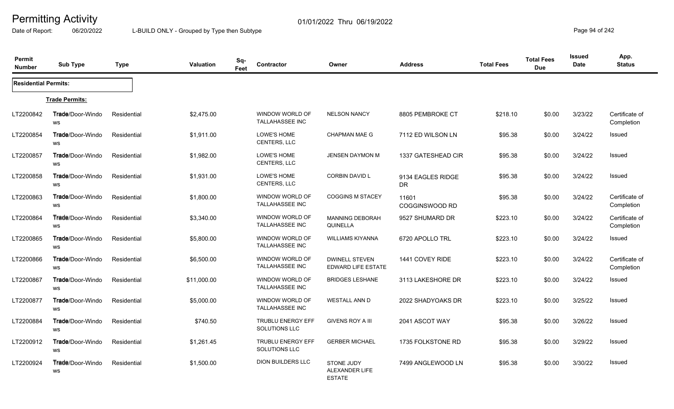Date of Report: 06/20/2022 L-BUILD ONLY - Grouped by Type then Subtype **Page 94** of 242

| Permit<br><b>Number</b>     | <b>Sub Type</b>                       | <b>Type</b> | Valuation   | Sq-<br>Feet | Contractor                                | Owner                                                | <b>Address</b>                 | <b>Total Fees</b> | <b>Total Fees</b><br><b>Due</b> | <b>Issued</b><br><b>Date</b> | App.<br><b>Status</b>        |
|-----------------------------|---------------------------------------|-------------|-------------|-------------|-------------------------------------------|------------------------------------------------------|--------------------------------|-------------------|---------------------------------|------------------------------|------------------------------|
| <b>Residential Permits:</b> |                                       |             |             |             |                                           |                                                      |                                |                   |                                 |                              |                              |
|                             | <b>Trade Permits:</b>                 |             |             |             |                                           |                                                      |                                |                   |                                 |                              |                              |
| LT2200842                   | <b>Trade/Door-Windo</b><br>WS         | Residential | \$2,475.00  |             | WINDOW WORLD OF<br><b>TALLAHASSEE INC</b> | <b>NELSON NANCY</b>                                  | 8805 PEMBROKE CT               | \$218.10          | \$0.00                          | 3/23/22                      | Certificate of<br>Completion |
| LT2200854                   | Trade/Door-Windo<br><b>WS</b>         | Residential | \$1,911.00  |             | LOWE'S HOME<br><b>CENTERS, LLC</b>        | <b>CHAPMAN MAE G</b>                                 | 7112 ED WILSON LN              | \$95.38           | \$0.00                          | 3/24/22                      | Issued                       |
| LT2200857                   | <b>Trade/Door-Windo</b><br>WS         | Residential | \$1,982.00  |             | LOWE'S HOME<br>CENTERS, LLC               | <b>JENSEN DAYMON M</b>                               | <b>1337 GATESHEAD CIR</b>      | \$95.38           | \$0.00                          | 3/24/22                      | Issued                       |
| LT2200858                   | <b>Trade/Door-Windo</b><br>WS         | Residential | \$1,931.00  |             | LOWE'S HOME<br><b>CENTERS, LLC</b>        | <b>CORBIN DAVID L</b>                                | 9134 EAGLES RIDGE<br><b>DR</b> | \$95.38           | \$0.00                          | 3/24/22                      | <b>Issued</b>                |
| LT2200863                   | Trade/Door-Windo<br>WS                | Residential | \$1,800.00  |             | WINDOW WORLD OF<br>TALLAHASSEE INC        | <b>COGGINS M STACEY</b>                              | 11601<br>COGGINSWOOD RD        | \$95.38           | \$0.00                          | 3/24/22                      | Certificate of<br>Completion |
| LT2200864                   | <b>Trade/Door-Windo</b><br>WS         | Residential | \$3,340.00  |             | WINDOW WORLD OF<br><b>TALLAHASSEE INC</b> | <b>MANNING DEBORAH</b><br>QUINELLA                   | 9527 SHUMARD DR                | \$223.10          | \$0.00                          | 3/24/22                      | Certificate of<br>Completion |
| LT2200865                   | <b>Trade</b> /Door-Windo<br><b>WS</b> | Residential | \$5,800.00  |             | WINDOW WORLD OF<br><b>TALLAHASSEE INC</b> | <b>WILLIAMS KIYANNA</b>                              | 6720 APOLLO TRL                | \$223.10          | \$0.00                          | 3/24/22                      | Issued                       |
| LT2200866                   | Trade/Door-Windo<br>WS                | Residential | \$6,500.00  |             | WINDOW WORLD OF<br>TALLAHASSEE INC        | <b>DWINELL STEVEN</b><br><b>EDWARD LIFE ESTATE</b>   | 1441 COVEY RIDE                | \$223.10          | \$0.00                          | 3/24/22                      | Certificate of<br>Completion |
| LT2200867                   | Trade/Door-Windo<br>WS                | Residential | \$11,000.00 |             | WINDOW WORLD OF<br><b>TALLAHASSEE INC</b> | <b>BRIDGES LESHANE</b>                               | 3113 LAKESHORE DR              | \$223.10          | \$0.00                          | 3/24/22                      | Issued                       |
| LT2200877                   | <b>Trade/Door-Windo</b><br><b>WS</b>  | Residential | \$5,000.00  |             | WINDOW WORLD OF<br><b>TALLAHASSEE INC</b> | <b>WESTALL ANN D</b>                                 | 2022 SHADYOAKS DR              | \$223.10          | \$0.00                          | 3/25/22                      | Issued                       |
| LT2200884                   | Trade/Door-Windo<br>WS                | Residential | \$740.50    |             | <b>TRUBLU ENERGY EFF</b><br>SOLUTIONS LLC | <b>GIVENS ROY A III</b>                              | 2041 ASCOT WAY                 | \$95.38           | \$0.00                          | 3/26/22                      | <b>Issued</b>                |
| LT2200912                   | <b>Trade/Door-Windo</b><br>ws         | Residential | \$1,261.45  |             | <b>TRUBLU ENERGY EFF</b><br>SOLUTIONS LLC | <b>GERBER MICHAEL</b>                                | 1735 FOLKSTONE RD              | \$95.38           | \$0.00                          | 3/29/22                      | Issued                       |
| LT2200924                   | <b>Trade/Door-Windo</b><br>WS         | Residential | \$1,500.00  |             | <b>DION BUILDERS LLC</b>                  | <b>STONE JUDY</b><br>ALEXANDER LIFE<br><b>ESTATE</b> | 7499 ANGLEWOOD LN              | \$95.38           | \$0.00                          | 3/30/22                      | <b>Issued</b>                |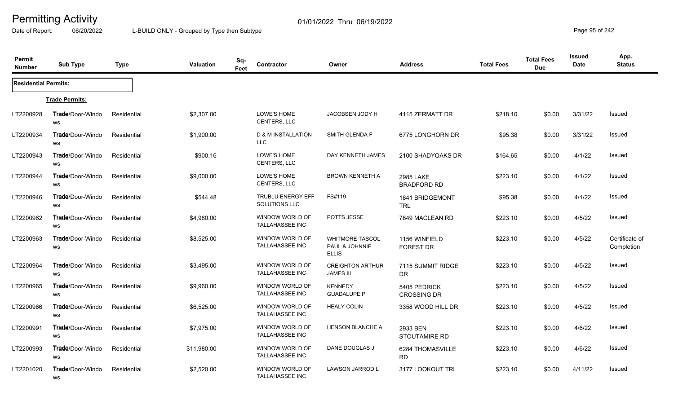Date of Report: 06/20/2022 L-BUILD ONLY - Grouped by Type then Subtype **Page 95** of 242

| Permit<br><b>Number</b>     | <b>Sub Type</b>               | <b>Type</b> | Valuation   | Sq-<br>Feet | Contractor                                       | Owner                                                    | <b>Address</b>                         | <b>Total Fees</b> | <b>Total Fees</b><br><b>Due</b> | Issued<br><b>Date</b> | App.<br><b>Status</b>        |
|-----------------------------|-------------------------------|-------------|-------------|-------------|--------------------------------------------------|----------------------------------------------------------|----------------------------------------|-------------------|---------------------------------|-----------------------|------------------------------|
| <b>Residential Permits:</b> |                               |             |             |             |                                                  |                                                          |                                        |                   |                                 |                       |                              |
|                             | <b>Trade Permits:</b>         |             |             |             |                                                  |                                                          |                                        |                   |                                 |                       |                              |
| LT2200928                   | <b>Trade/Door-Windo</b><br>WS | Residential | \$2,307.00  |             | LOWE'S HOME<br>CENTERS, LLC                      | JACOBSEN JODY H                                          | 4115 ZERMATT DR                        | \$218.10          | \$0.00                          | 3/31/22               | Issued                       |
| LT2200934                   | Trade/Door-Windo<br>WS        | Residential | \$1,900.00  |             | D & M INSTALLATION<br><b>LLC</b>                 | SMITH GLENDA F                                           | 6775 LONGHORN DR                       | \$95.38           | \$0.00                          | 3/31/22               | <b>Issued</b>                |
| LT2200943                   | Trade/Door-Windo<br>WS        | Residential | \$900.16    |             | LOWE'S HOME<br><b>CENTERS, LLC</b>               | DAY KENNETH JAMES                                        | 2100 SHADYOAKS DR                      | \$164.65          | \$0.00                          | 4/1/22                | Issued                       |
| LT2200944                   | Trade/Door-Windo<br>WS        | Residential | \$9,000.00  |             | LOWE'S HOME<br><b>CENTERS, LLC</b>               | <b>BROWN KENNETH A</b>                                   | <b>2985 LAKE</b><br><b>BRADFORD RD</b> | \$223.10          | \$0.00                          | 4/1/22                | Issued                       |
| LT2200946                   | Trade/Door-Windo<br><b>WS</b> | Residential | \$544.48    |             | <b>TRUBLU ENERGY EFF</b><br><b>SOLUTIONS LLC</b> | FS#119                                                   | 1841 BRIDGEMONT<br><b>TRL</b>          | \$95.38           | \$0.00                          | 4/1/22                | <b>Issued</b>                |
| LT2200962                   | <b>Trade/Door-Windo</b><br>WS | Residential | \$4,980.00  |             | WINDOW WORLD OF<br>TALLAHASSEE INC               | POTTS JESSE                                              | 7849 MACLEAN RD                        | \$223.10          | \$0.00                          | 4/5/22                | Issued                       |
| LT2200963                   | Trade/Door-Windo<br>WS        | Residential | \$8,525.00  |             | WINDOW WORLD OF<br><b>TALLAHASSEE INC</b>        | <b>WHITMORE TASCOL</b><br>PAUL & JOHNNIE<br><b>ELLIS</b> | 1156 WINFIELD<br><b>FOREST DR</b>      | \$223.10          | \$0.00                          | 4/5/22                | Certificate of<br>Completion |
| LT2200964                   | Trade/Door-Windo<br>WS        | Residential | \$3,495.00  |             | WINDOW WORLD OF<br><b>TALLAHASSEE INC</b>        | <b>CREIGHTON ARTHUR</b><br><b>JAMES III</b>              | 7115 SUMMIT RIDGE<br><b>DR</b>         | \$223.10          | \$0.00                          | 4/5/22                | Issued                       |
| LT2200965                   | Trade/Door-Windo<br>WS        | Residential | \$9,960.00  |             | WINDOW WORLD OF<br><b>TALLAHASSEE INC</b>        | <b>KENNEDY</b><br><b>GUADALUPE P</b>                     | 5405 PEDRICK<br><b>CROSSING DR</b>     | \$223.10          | \$0.00                          | 4/5/22                | <b>Issued</b>                |
| LT2200966                   | Trade/Door-Windo<br>WS        | Residential | \$6,525.00  |             | WINDOW WORLD OF<br><b>TALLAHASSEE INC</b>        | <b>HEALY COLIN</b>                                       | 3358 WOOD HILL DR                      | \$223.10          | \$0.00                          | 4/5/22                | <b>Issued</b>                |
| LT2200991                   | Trade/Door-Windo<br><b>WS</b> | Residential | \$7,975.00  |             | WINDOW WORLD OF<br><b>TALLAHASSEE INC</b>        | <b>HENSON BLANCHE A</b>                                  | 2933 BEN<br>STOUTAMIRE RD              | \$223.10          | \$0.00                          | 4/6/22                | <b>Issued</b>                |
| LT2200993                   | <b>Trade/Door-Windo</b><br>WS | Residential | \$11,980.00 |             | WINDOW WORLD OF<br>TALLAHASSEE INC               | DANE DOUGLAS J                                           | 6284 THOMASVILLE<br><b>RD</b>          | \$223.10          | \$0.00                          | 4/6/22                | Issued                       |
| LT2201020                   | Trade/Door-Windo<br>WS        | Residential | \$2,520.00  |             | WINDOW WORLD OF<br><b>TALLAHASSEE INC</b>        | <b>LAWSON JARROD L</b>                                   | 3177 LOOKOUT TRL                       | \$223.10          | \$0.00                          | 4/11/22               | <b>Issued</b>                |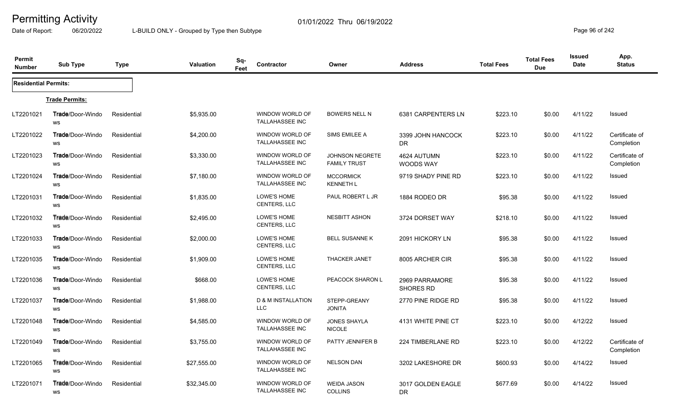Date of Report: 06/20/2022 L-BUILD ONLY - Grouped by Type then Subtype **Page 96** of 242

| Permit<br><b>Number</b>     | <b>Sub Type</b>                      | <b>Type</b> | Valuation   | Sq-<br>Feet | Contractor                                  | Owner                                         | <b>Address</b>                     | <b>Total Fees</b> | <b>Total Fees</b><br><b>Due</b> | <b>Issued</b><br><b>Date</b> | App.<br><b>Status</b>        |
|-----------------------------|--------------------------------------|-------------|-------------|-------------|---------------------------------------------|-----------------------------------------------|------------------------------------|-------------------|---------------------------------|------------------------------|------------------------------|
| <b>Residential Permits:</b> |                                      |             |             |             |                                             |                                               |                                    |                   |                                 |                              |                              |
|                             | <b>Trade Permits:</b>                |             |             |             |                                             |                                               |                                    |                   |                                 |                              |                              |
| LT2201021                   | <b>Trade</b> /Door-Windo<br>WS       | Residential | \$5,935.00  |             | WINDOW WORLD OF<br><b>TALLAHASSEE INC</b>   | <b>BOWERS NELL N</b>                          | 6381 CARPENTERS LN                 | \$223.10          | \$0.00                          | 4/11/22                      | Issued                       |
| LT2201022                   | Trade/Door-Windo<br>WS               | Residential | \$4,200.00  |             | WINDOW WORLD OF<br><b>TALLAHASSEE INC</b>   | SIMS EMILEE A                                 | 3399 JOHN HANCOCK<br>DR.           | \$223.10          | \$0.00                          | 4/11/22                      | Certificate of<br>Completion |
| LT2201023                   | <b>Trade/Door-Windo</b><br>WS        | Residential | \$3,330.00  |             | WINDOW WORLD OF<br>TALLAHASSEE INC          | <b>JOHNSON NEGRETE</b><br><b>FAMILY TRUST</b> | 4624 AUTUMN<br><b>WOODS WAY</b>    | \$223.10          | \$0.00                          | 4/11/22                      | Certificate of<br>Completion |
| LT2201024                   | <b>Trade/Door-Windo</b><br><b>WS</b> | Residential | \$7,180.00  |             | WINDOW WORLD OF<br>TALLAHASSEE INC          | <b>MCCORMICK</b><br><b>KENNETH L</b>          | 9719 SHADY PINE RD                 | \$223.10          | \$0.00                          | 4/11/22                      | Issued                       |
| LT2201031                   | Trade/Door-Windo<br><b>WS</b>        | Residential | \$1,835.00  |             | LOWE'S HOME<br>CENTERS, LLC                 | PAUL ROBERT L JR                              | 1884 RODEO DR                      | \$95.38           | \$0.00                          | 4/11/22                      | Issued                       |
| LT2201032                   | <b>Trade/Door-Windo</b><br><b>WS</b> | Residential | \$2,495.00  |             | LOWE'S HOME<br><b>CENTERS, LLC</b>          | <b>NESBITT ASHON</b>                          | 3724 DORSET WAY                    | \$218.10          | \$0.00                          | 4/11/22                      | Issued                       |
| LT2201033                   | <b>Trade</b> /Door-Windo<br>WS       | Residential | \$2,000.00  |             | LOWE'S HOME<br><b>CENTERS, LLC</b>          | <b>BELL SUSANNE K</b>                         | 2091 HICKORY LN                    | \$95.38           | \$0.00                          | 4/11/22                      | <b>Issued</b>                |
| LT2201035                   | <b>Trade</b> /Door-Windo<br>WS       | Residential | \$1,909.00  |             | LOWE'S HOME<br><b>CENTERS, LLC</b>          | <b>THACKER JANET</b>                          | 8005 ARCHER CIR                    | \$95.38           | \$0.00                          | 4/11/22                      | <b>Issued</b>                |
| LT2201036                   | <b>Trade</b> /Door-Windo<br>WS       | Residential | \$668.00    |             | LOWE'S HOME<br>CENTERS, LLC                 | PEACOCK SHARON L                              | 2969 PARRAMORE<br><b>SHORES RD</b> | \$95.38           | \$0.00                          | 4/11/22                      | <b>Issued</b>                |
| LT2201037                   | <b>Trade/Door-Windo</b><br>WS        | Residential | \$1,988.00  |             | <b>D &amp; M INSTALLATION</b><br><b>LLC</b> | STEPP-GREANY<br><b>JONITA</b>                 | 2770 PINE RIDGE RD                 | \$95.38           | \$0.00                          | 4/11/22                      | <b>Issued</b>                |
| LT2201048                   | Trade/Door-Windo<br>WS               | Residential | \$4,585.00  |             | WINDOW WORLD OF<br><b>TALLAHASSEE INC</b>   | <b>JONES SHAYLA</b><br><b>NICOLE</b>          | 4131 WHITE PINE CT                 | \$223.10          | \$0.00                          | 4/12/22                      | <b>Issued</b>                |
| LT2201049                   | <b>Trade/Door-Windo</b><br>WS        | Residential | \$3,755.00  |             | WINDOW WORLD OF<br><b>TALLAHASSEE INC</b>   | PATTY JENNIFER B                              | 224 TIMBERLANE RD                  | \$223.10          | \$0.00                          | 4/12/22                      | Certificate of<br>Completion |
| LT2201065                   | Trade/Door-Windo<br>WS               | Residential | \$27,555.00 |             | WINDOW WORLD OF<br><b>TALLAHASSEE INC</b>   | <b>NELSON DAN</b>                             | 3202 LAKESHORE DR                  | \$600.93          | \$0.00                          | 4/14/22                      | Issued                       |
| LT2201071                   | <b>Trade</b> /Door-Windo<br>WS       | Residential | \$32,345.00 |             | WINDOW WORLD OF<br><b>TALLAHASSEE INC</b>   | <b>WEIDA JASON</b><br><b>COLLINS</b>          | 3017 GOLDEN EAGLE<br>DR.           | \$677.69          | \$0.00                          | 4/14/22                      | Issued                       |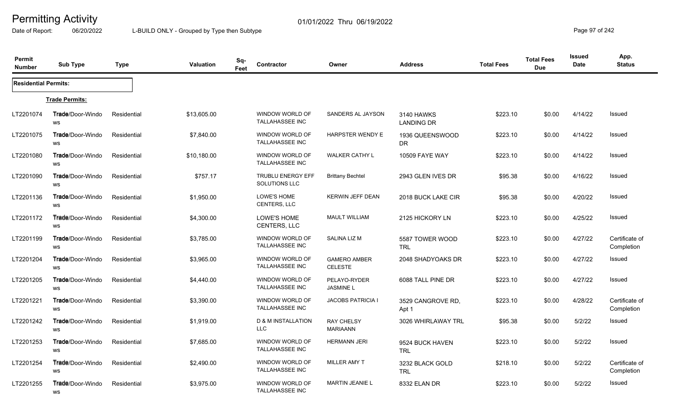Date of Report: 06/20/2022 L-BUILD ONLY - Grouped by Type then Subtype **Page 97** of 242

| Permit<br><b>Number</b>     | <b>Sub Type</b>                      | <b>Type</b> | <b>Valuation</b> | Sq-<br>Feet | Contractor                                       | Owner                                 | <b>Address</b>                  | <b>Total Fees</b> | <b>Total Fees</b><br><b>Due</b> | Issued<br>Date | App.<br><b>Status</b>        |
|-----------------------------|--------------------------------------|-------------|------------------|-------------|--------------------------------------------------|---------------------------------------|---------------------------------|-------------------|---------------------------------|----------------|------------------------------|
| <b>Residential Permits:</b> |                                      |             |                  |             |                                                  |                                       |                                 |                   |                                 |                |                              |
|                             | <b>Trade Permits:</b>                |             |                  |             |                                                  |                                       |                                 |                   |                                 |                |                              |
| LT2201074                   | <b>Trade/Door-Windo</b><br>WS        | Residential | \$13,605.00      |             | WINDOW WORLD OF<br><b>TALLAHASSEE INC</b>        | SANDERS AL JAYSON                     | 3140 HAWKS<br><b>LANDING DR</b> | \$223.10          | \$0.00                          | 4/14/22        | Issued                       |
| LT2201075                   | Trade/Door-Windo<br>WS               | Residential | \$7,840.00       |             | WINDOW WORLD OF<br><b>TALLAHASSEE INC</b>        | <b>HARPSTER WENDY E</b>               | 1936 QUEENSWOOD<br>DR.          | \$223.10          | \$0.00                          | 4/14/22        | <b>Issued</b>                |
| LT2201080                   | <b>Trade/Door-Windo</b><br>WS        | Residential | \$10,180.00      |             | WINDOW WORLD OF<br><b>TALLAHASSEE INC</b>        | <b>WALKER CATHY L</b>                 | 10509 FAYE WAY                  | \$223.10          | \$0.00                          | 4/14/22        | Issued                       |
| LT2201090                   | <b>Trade/Door-Windo</b><br><b>WS</b> | Residential | \$757.17         |             | <b>TRUBLU ENERGY EFF</b><br><b>SOLUTIONS LLC</b> | <b>Brittany Bechtel</b>               | 2943 GLEN IVES DR               | \$95.38           | \$0.00                          | 4/16/22        | Issued                       |
| LT2201136                   | Trade/Door-Windo<br>WS               | Residential | \$1,950.00       |             | LOWE'S HOME<br>CENTERS, LLC                      | <b>KERWIN JEFF DEAN</b>               | 2018 BUCK LAKE CIR              | \$95.38           | \$0.00                          | 4/20/22        | Issued                       |
| LT2201172                   | <b>Trade/Door-Windo</b><br>WS        | Residential | \$4,300.00       |             | LOWE'S HOME<br>CENTERS, LLC                      | <b>MAULT WILLIAM</b>                  | 2125 HICKORY LN                 | \$223.10          | \$0.00                          | 4/25/22        | Issued                       |
| LT2201199                   | <b>Trade/Door-Windo</b><br>WS        | Residential | \$3,785.00       |             | WINDOW WORLD OF<br><b>TALLAHASSEE INC</b>        | SALINA LIZ M                          | 5587 TOWER WOOD<br><b>TRL</b>   | \$223.10          | \$0.00                          | 4/27/22        | Certificate of<br>Completion |
| LT2201204                   | Trade/Door-Windo<br>WS               | Residential | \$3,965.00       |             | WINDOW WORLD OF<br><b>TALLAHASSEE INC</b>        | <b>GAMERO AMBER</b><br><b>CELESTE</b> | 2048 SHADYOAKS DR               | \$223.10          | \$0.00                          | 4/27/22        | Issued                       |
| LT2201205                   | <b>Trade</b> /Door-Windo<br>WS       | Residential | \$4,440.00       |             | WINDOW WORLD OF<br><b>TALLAHASSEE INC</b>        | PELAYO-RYDER<br><b>JASMINE L</b>      | 6088 TALL PINE DR               | \$223.10          | \$0.00                          | 4/27/22        | Issued                       |
| LT2201221                   | Trade/Door-Windo<br>WS               | Residential | \$3,390.00       |             | WINDOW WORLD OF<br><b>TALLAHASSEE INC</b>        | <b>JACOBS PATRICIA I</b>              | 3529 CANGROVE RD,<br>Apt 1      | \$223.10          | \$0.00                          | 4/28/22        | Certificate of<br>Completion |
| LT2201242                   | Trade/Door-Windo<br>WS               | Residential | \$1,919.00       |             | <b>D &amp; M INSTALLATION</b><br><b>LLC</b>      | <b>RAY CHELSY</b><br><b>MARIAANN</b>  | 3026 WHIRLAWAY TRL              | \$95.38           | \$0.00                          | 5/2/22         | Issued                       |
| LT2201253                   | Trade/Door-Windo<br>WS               | Residential | \$7,685.00       |             | WINDOW WORLD OF<br><b>TALLAHASSEE INC</b>        | <b>HERMANN JERI</b>                   | 9524 BUCK HAVEN<br><b>TRL</b>   | \$223.10          | \$0.00                          | 5/2/22         | Issued                       |
| LT2201254                   | <b>Trade/Door-Windo</b><br>WS        | Residential | \$2,490.00       |             | WINDOW WORLD OF<br>TALLAHASSEE INC               | <b>MILLER AMY T</b>                   | 3232 BLACK GOLD<br><b>TRL</b>   | \$218.10          | \$0.00                          | 5/2/22         | Certificate of<br>Completion |
| LT2201255                   | <b>Trade</b> /Door-Windo<br>WS       | Residential | \$3,975.00       |             | WINDOW WORLD OF<br><b>TALLAHASSEE INC</b>        | <b>MARTIN JEANIE L</b>                | 8332 ELAN DR                    | \$223.10          | \$0.00                          | 5/2/22         | Issued                       |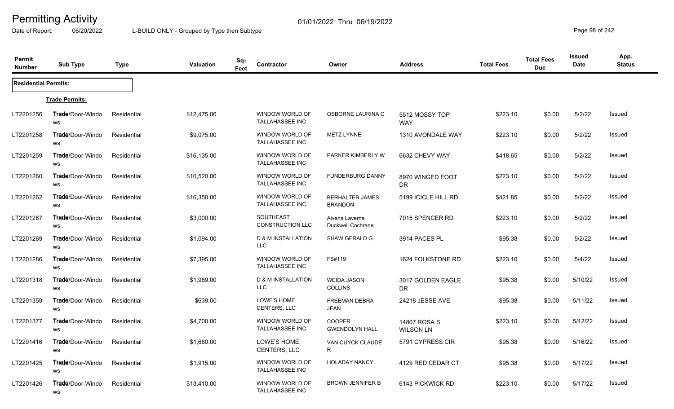Date of Report: 06/20/2022 L-BUILD ONLY - Grouped by Type then Subtype **Page 98** of 242

| Permit<br><b>Number</b>     | <b>Sub Type</b>               | <b>Type</b> | <b>Valuation</b> | Sq-<br>Feet | Contractor                                  | Owner                                    | <b>Address</b>                   | <b>Total Fees</b> | <b>Total Fees</b><br><b>Due</b> | <b>Issued</b><br>Date | App.<br><b>Status</b> |
|-----------------------------|-------------------------------|-------------|------------------|-------------|---------------------------------------------|------------------------------------------|----------------------------------|-------------------|---------------------------------|-----------------------|-----------------------|
| <b>Residential Permits:</b> |                               |             |                  |             |                                             |                                          |                                  |                   |                                 |                       |                       |
|                             | <b>Trade Permits:</b>         |             |                  |             |                                             |                                          |                                  |                   |                                 |                       |                       |
| LT2201256                   | <b>Trade/Door-Windo</b><br>WS | Residential | \$12,475.00      |             | WINDOW WORLD OF<br><b>TALLAHASSEE INC</b>   | OSBORNE LAURINA C                        | 5512 MOSSY TOP<br><b>WAY</b>     | \$223.10          | \$0.00                          | 5/2/22                | <b>Issued</b>         |
| LT2201258                   | Trade/Door-Windo<br>WS        | Residential | \$9,075.00       |             | WINDOW WORLD OF<br><b>TALLAHASSEE INC</b>   | <b>METZ LYNNE</b>                        | 1310 AVONDALE WAY                | \$223.10          | \$0.00                          | 5/2/22                | <b>Issued</b>         |
| LT2201259                   | <b>Trade/Door-Windo</b><br>WS | Residential | \$16,135.00      |             | WINDOW WORLD OF<br><b>TALLAHASSEE INC</b>   | PARKER KIMBERLY W                        | 6632 CHEVY WAY                   | \$418.65          | \$0.00                          | 5/2/22                | <b>Issued</b>         |
| LT2201260                   | <b>Trade/Door-Windo</b><br>ws | Residential | \$10,520.00      |             | WINDOW WORLD OF<br><b>TALLAHASSEE INC</b>   | <b>FUNDERBURG DANNY</b>                  | 8970 WINGED FOOT<br><b>DR</b>    | \$223.10          | \$0.00                          | 5/2/22                | <b>Issued</b>         |
| LT2201262                   | Trade/Door-Windo<br>ws        | Residential | \$16,350.00      |             | WINDOW WORLD OF<br><b>TALLAHASSEE INC</b>   | <b>BERHALTER JAMES</b><br><b>BRANDON</b> | 5199 ICICLE HILL RD              | \$421.85          | \$0.00                          | 5/2/22                | <b>Issued</b>         |
| LT2201267                   | <b>Trade/Door-Windo</b><br>ws | Residential | \$3,000.00       |             | <b>SOUTHEAST</b><br><b>CONSTRUCTION LLC</b> | Alvena Laverne<br>Duckwell Cochrane      | 7015 SPENCER RD                  | \$223.10          | \$0.00                          | 5/2/22                | <b>Issued</b>         |
| LT2201269                   | <b>Trade/Door-Windo</b><br>ws | Residential | \$1,094.00       |             | D & M INSTALLATION<br><b>LLC</b>            | SHAW GERALD G                            | 3914 PACES PL                    | \$95.38           | \$0.00                          | 5/2/22                | <b>Issued</b>         |
| LT2201286                   | Trade/Door-Windo<br><b>WS</b> | Residential | \$7,395.00       |             | WINDOW WORLD OF<br><b>TALLAHASSEE INC</b>   | FS#119                                   | 1624 FOLKSTONE RD                | \$223.10          | \$0.00                          | 5/4/22                | <b>Issued</b>         |
| LT2201318                   | <b>Trade/Door-Windo</b><br>WS | Residential | \$1,989.00       |             | <b>D &amp; M INSTALLATION</b><br><b>LLC</b> | <b>WEIDA JASON</b><br><b>COLLINS</b>     | 3017 GOLDEN EAGLE<br><b>DR</b>   | \$95.38           | \$0.00                          | 5/10/22               | <b>Issued</b>         |
| LT2201359                   | <b>Trade/Door-Windo</b><br>WS | Residential | \$639.00         |             | <b>LOWE'S HOME</b><br><b>CENTERS, LLC</b>   | <b>FREEMAN DEBRA</b><br><b>JEAN</b>      | 24218 JESSE AVE                  | \$95.38           | \$0.00                          | 5/11/22               | <b>Issued</b>         |
| LT2201377                   | Trade/Door-Windo<br>ws        | Residential | \$4,700.00       |             | WINDOW WORLD OF<br><b>TALLAHASSEE INC</b>   | <b>COOPER</b><br><b>GWENDOLYN HALL</b>   | 14807 ROSA S<br><b>WILSON LN</b> | \$223.10          | \$0.00                          | 5/12/22               | <b>Issued</b>         |
| LT2201416                   | <b>Trade/Door-Windo</b><br>ws | Residential | \$1,680.00       |             | <b>LOWE'S HOME</b><br>CENTERS, LLC          | VAN CUYCK CLAUDE<br>R                    | 5791 CYPRESS CIR                 | \$95.38           | \$0.00                          | 5/16/22               | <b>Issued</b>         |
| LT2201425                   | <b>Trade/Door-Windo</b><br>WS | Residential | \$1,915.00       |             | WINDOW WORLD OF<br><b>TALLAHASSEE INC</b>   | <b>HOLADAY NANCY</b>                     | 4129 RED CEDAR CT                | \$95.38           | \$0.00                          | 5/17/22               | <b>Issued</b>         |
| LT2201426                   | Trade/Door-Windo<br>WS        | Residential | \$13,410.00      |             | WINDOW WORLD OF<br><b>TALLAHASSEE INC</b>   | <b>BROWN JENNIFER B</b>                  | 6143 PICKWICK RD                 | \$223.10          | \$0.00                          | 5/17/22               | <b>Issued</b>         |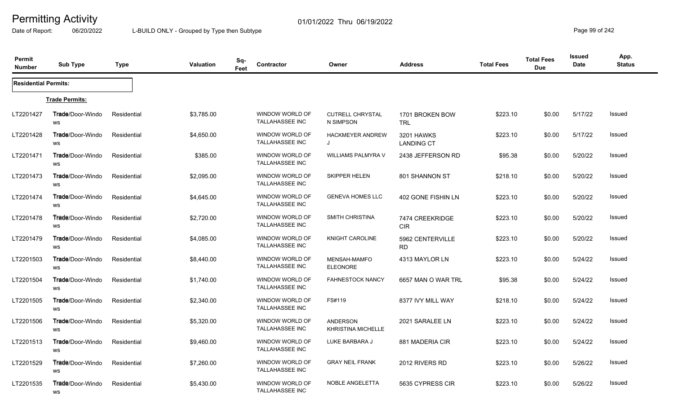Date of Report: 06/20/2022 L-BUILD ONLY - Grouped by Type then Subtype **Page 99** of 242

| Permit<br><b>Number</b>     | <b>Sub Type</b>                | <b>Type</b> | Valuation  | Sq-<br>Feet | Contractor                                       | Owner                                        | <b>Address</b>                  | <b>Total Fees</b> | <b>Total Fees</b><br><b>Due</b> | Issued<br><b>Date</b> | App.<br><b>Status</b> |
|-----------------------------|--------------------------------|-------------|------------|-------------|--------------------------------------------------|----------------------------------------------|---------------------------------|-------------------|---------------------------------|-----------------------|-----------------------|
| <b>Residential Permits:</b> |                                |             |            |             |                                                  |                                              |                                 |                   |                                 |                       |                       |
|                             | <b>Trade Permits:</b>          |             |            |             |                                                  |                                              |                                 |                   |                                 |                       |                       |
| LT2201427                   | <b>Trade/Door-Windo</b><br>WS  | Residential | \$3,785.00 |             | <b>WINDOW WORLD OF</b><br><b>TALLAHASSEE INC</b> | <b>CUTRELL CHRYSTAL</b><br>N SIMPSON         | 1701 BROKEN BOW<br><b>TRL</b>   | \$223.10          | \$0.00                          | 5/17/22               | <b>Issued</b>         |
| LT2201428                   | Trade/Door-Windo<br>WS         | Residential | \$4,650.00 |             | WINDOW WORLD OF<br><b>TALLAHASSEE INC</b>        | <b>HACKMEYER ANDREW</b><br>J                 | 3201 HAWKS<br><b>LANDING CT</b> | \$223.10          | \$0.00                          | 5/17/22               | <b>Issued</b>         |
| LT2201471                   | Trade/Door-Windo<br>ws         | Residential | \$385.00   |             | WINDOW WORLD OF<br><b>TALLAHASSEE INC</b>        | WILLIAMS PALMYRA V                           | 2438 JEFFERSON RD               | \$95.38           | \$0.00                          | 5/20/22               | <b>Issued</b>         |
| LT2201473                   | <b>Trade</b> /Door-Windo<br>WS | Residential | \$2,095.00 |             | WINDOW WORLD OF<br>TALLAHASSEE INC               | SKIPPER HELEN                                | 801 SHANNON ST                  | \$218.10          | \$0.00                          | 5/20/22               | <b>Issued</b>         |
| LT2201474                   | <b>Trade</b> /Door-Windo<br>WS | Residential | \$4,645.00 |             | WINDOW WORLD OF<br><b>TALLAHASSEE INC</b>        | <b>GENEVA HOMES LLC</b>                      | 402 GONE FISHIN LN              | \$223.10          | \$0.00                          | 5/20/22               | <b>Issued</b>         |
| LT2201478                   | <b>Trade/Door-Windo</b><br>WS  | Residential | \$2,720.00 |             | WINDOW WORLD OF<br><b>TALLAHASSEE INC</b>        | <b>SMITH CHRISTINA</b>                       | 7474 CREEKRIDGE<br><b>CIR</b>   | \$223.10          | \$0.00                          | 5/20/22               | <b>Issued</b>         |
| LT2201479                   | <b>Trade/Door-Windo</b><br>ws  | Residential | \$4,085.00 |             | WINDOW WORLD OF<br><b>TALLAHASSEE INC</b>        | KNIGHT CAROLINE                              | 5962 CENTERVILLE<br><b>RD</b>   | \$223.10          | \$0.00                          | 5/20/22               | <b>Issued</b>         |
| LT2201503                   | Trade/Door-Windo<br>WS         | Residential | \$8,440.00 |             | WINDOW WORLD OF<br>TALLAHASSEE INC               | MENSAH-MAMFO<br><b>ELEONORE</b>              | 4313 MAYLOR LN                  | \$223.10          | \$0.00                          | 5/24/22               | <b>Issued</b>         |
| LT2201504                   | <b>Trade/Door-Windo</b><br>ws  | Residential | \$1,740.00 |             | WINDOW WORLD OF<br>TALLAHASSEE INC               | <b>FAHNESTOCK NANCY</b>                      | 6657 MAN O WAR TRL              | \$95.38           | \$0.00                          | 5/24/22               | <b>Issued</b>         |
| LT2201505                   | <b>Trade/Door-Windo</b><br>WS  | Residential | \$2,340.00 |             | WINDOW WORLD OF<br><b>TALLAHASSEE INC</b>        | FS#119                                       | 8377 IVY MILL WAY               | \$218.10          | \$0.00                          | 5/24/22               | <b>Issued</b>         |
| LT2201506                   | Trade/Door-Windo<br>ws         | Residential | \$5,320.00 |             | WINDOW WORLD OF<br><b>TALLAHASSEE INC</b>        | <b>ANDERSON</b><br><b>KHRISTINA MICHELLE</b> | 2021 SARALEE LN                 | \$223.10          | \$0.00                          | 5/24/22               | <b>Issued</b>         |
| LT2201513                   | <b>Trade/Door-Windo</b><br>WS  | Residential | \$9,460.00 |             | <b>WINDOW WORLD OF</b><br><b>TALLAHASSEE INC</b> | LUKE BARBARA J                               | 881 MADERIA CIR                 | \$223.10          | \$0.00                          | 5/24/22               | <b>Issued</b>         |
| LT2201529                   | <b>Trade</b> /Door-Windo<br>WS | Residential | \$7,260.00 |             | WINDOW WORLD OF<br><b>TALLAHASSEE INC</b>        | <b>GRAY NEIL FRANK</b>                       | 2012 RIVERS RD                  | \$223.10          | \$0.00                          | 5/26/22               | Issued                |
| LT2201535                   | <b>Trade</b> /Door-Windo<br>WS | Residential | \$5,430.00 |             | WINDOW WORLD OF<br><b>TALLAHASSEE INC</b>        | NOBLE ANGELETTA                              | 5635 CYPRESS CIR                | \$223.10          | \$0.00                          | 5/26/22               | <b>Issued</b>         |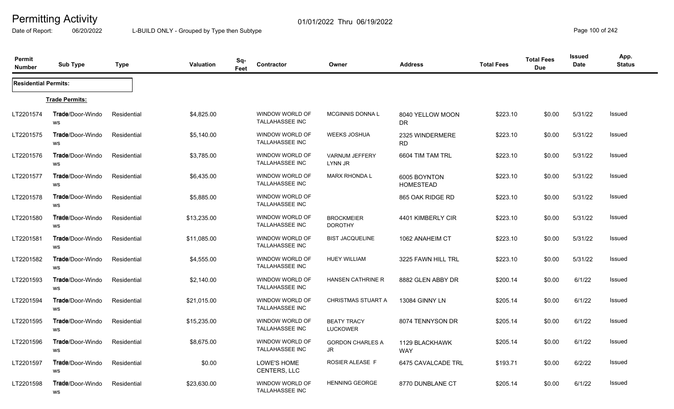Date of Report: 06/20/2022 L-BUILD ONLY - Grouped by Type then Subtype **Page 100** of 242

| Permit<br><b>Number</b>     | <b>Sub Type</b>                       | Type        | Valuation   | Sq-<br>Feet | Contractor                                       | Owner                                 | <b>Address</b>                   | <b>Total Fees</b> | <b>Total Fees</b><br><b>Due</b> | <b>Issued</b><br>Date | App.<br><b>Status</b> |
|-----------------------------|---------------------------------------|-------------|-------------|-------------|--------------------------------------------------|---------------------------------------|----------------------------------|-------------------|---------------------------------|-----------------------|-----------------------|
| <b>Residential Permits:</b> |                                       |             |             |             |                                                  |                                       |                                  |                   |                                 |                       |                       |
|                             | <b>Trade Permits:</b>                 |             |             |             |                                                  |                                       |                                  |                   |                                 |                       |                       |
| LT2201574                   | <b>Trade/Door-Windo</b><br>WS         | Residential | \$4,825.00  |             | WINDOW WORLD OF<br><b>TALLAHASSEE INC</b>        | <b>MCGINNIS DONNAL</b>                | 8040 YELLOW MOON<br>DR.          | \$223.10          | \$0.00                          | 5/31/22               | <b>Issued</b>         |
| LT2201575                   | <b>Trade</b> /Door-Windo<br>ws        | Residential | \$5,140.00  |             | WINDOW WORLD OF<br><b>TALLAHASSEE INC</b>        | <b>WEEKS JOSHUA</b>                   | 2325 WINDERMERE<br><b>RD</b>     | \$223.10          | \$0.00                          | 5/31/22               | Issued                |
| LT2201576                   | <b>Trade</b> /Door-Windo<br>WS        | Residential | \$3,785.00  |             | WINDOW WORLD OF<br><b>TALLAHASSEE INC</b>        | <b>VARNUM JEFFERY</b><br>LYNN JR      | 6604 TIM TAM TRL                 | \$223.10          | \$0.00                          | 5/31/22               | <b>Issued</b>         |
| LT2201577                   | <b>Trade</b> /Door-Windo<br><b>WS</b> | Residential | \$6,435.00  |             | WINDOW WORLD OF<br><b>TALLAHASSEE INC</b>        | <b>MARX RHONDA L</b>                  | 6005 BOYNTON<br><b>HOMESTEAD</b> | \$223.10          | \$0.00                          | 5/31/22               | <b>Issued</b>         |
| LT2201578                   | Trade/Door-Windo<br><b>WS</b>         | Residential | \$5,885.00  |             | WINDOW WORLD OF<br><b>TALLAHASSEE INC</b>        |                                       | 865 OAK RIDGE RD                 | \$223.10          | \$0.00                          | 5/31/22               | Issued                |
| LT2201580                   | <b>Trade/Door-Windo</b><br>WS         | Residential | \$13,235.00 |             | WINDOW WORLD OF<br><b>TALLAHASSEE INC</b>        | <b>BROCKMEIER</b><br><b>DOROTHY</b>   | 4401 KIMBERLY CIR                | \$223.10          | \$0.00                          | 5/31/22               | <b>Issued</b>         |
| LT2201581                   | <b>Trade/Door-Windo</b><br>ws         | Residential | \$11,085.00 |             | <b>WINDOW WORLD OF</b><br><b>TALLAHASSEE INC</b> | <b>BIST JACQUELINE</b>                | 1062 ANAHEIM CT                  | \$223.10          | \$0.00                          | 5/31/22               | <b>Issued</b>         |
| LT2201582                   | <b>Trade</b> /Door-Windo<br>WS        | Residential | \$4,555.00  |             | WINDOW WORLD OF<br><b>TALLAHASSEE INC</b>        | <b>HUEY WILLIAM</b>                   | 3225 FAWN HILL TRL               | \$223.10          | \$0.00                          | 5/31/22               | <b>Issued</b>         |
| LT2201593                   | <b>Trade/Door-Windo</b><br>WS         | Residential | \$2,140.00  |             | WINDOW WORLD OF<br><b>TALLAHASSEE INC</b>        | <b>HANSEN CATHRINE R</b>              | 8882 GLEN ABBY DR                | \$200.14          | \$0.00                          | 6/1/22                | <b>Issued</b>         |
| LT2201594                   | <b>Trade</b> /Door-Windo<br>WS        | Residential | \$21,015.00 |             | WINDOW WORLD OF<br><b>TALLAHASSEE INC</b>        | <b>CHRISTMAS STUART A</b>             | 13084 GINNY LN                   | \$205.14          | \$0.00                          | 6/1/22                | <b>Issued</b>         |
| LT2201595                   | Trade/Door-Windo<br>WS                | Residential | \$15,235.00 |             | WINDOW WORLD OF<br><b>TALLAHASSEE INC</b>        | <b>BEATY TRACY</b><br><b>LUCKOWER</b> | 8074 TENNYSON DR                 | \$205.14          | \$0.00                          | 6/1/22                | Issued                |
| LT2201596                   | <b>Trade/Door-Windo</b><br><b>WS</b>  | Residential | \$8,675.00  |             | WINDOW WORLD OF<br>TALLAHASSEE INC               | <b>GORDON CHARLES A</b><br>JR         | 1129 BLACKHAWK<br><b>WAY</b>     | \$205.14          | \$0.00                          | 6/1/22                | <b>Issued</b>         |
| LT2201597                   | <b>Trade/Door-Windo</b><br>WS         | Residential | \$0.00      |             | LOWE'S HOME<br>CENTERS, LLC                      | <b>ROSIER ALEASE F</b>                | 6475 CAVALCADE TRL               | \$193.71          | \$0.00                          | 6/2/22                | <b>Issued</b>         |
| LT2201598                   | <b>Trade</b> /Door-Windo<br>WS        | Residential | \$23,630.00 |             | WINDOW WORLD OF<br><b>TALLAHASSEE INC</b>        | <b>HENNING GEORGE</b>                 | 8770 DUNBLANE CT                 | \$205.14          | \$0.00                          | 6/1/22                | <b>Issued</b>         |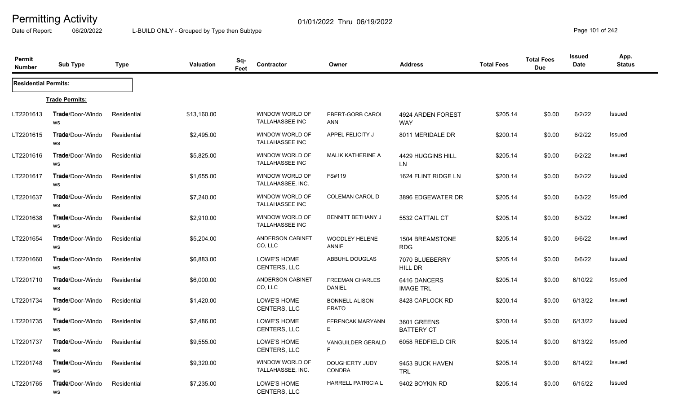Date of Report: 06/20/2022 L-BUILD ONLY - Grouped by Type then Subtype **Page 101** of 242

| Permit<br><b>Number</b>     | <b>Sub Type</b>                | <b>Type</b> | Valuation   | Sq-<br>Feet | Contractor                                | Owner                                   | <b>Address</b>                   | <b>Total Fees</b> | <b>Total Fees</b><br><b>Due</b> | Issued<br>Date | App.<br><b>Status</b> |
|-----------------------------|--------------------------------|-------------|-------------|-------------|-------------------------------------------|-----------------------------------------|----------------------------------|-------------------|---------------------------------|----------------|-----------------------|
| <b>Residential Permits:</b> |                                |             |             |             |                                           |                                         |                                  |                   |                                 |                |                       |
|                             | <b>Trade Permits:</b>          |             |             |             |                                           |                                         |                                  |                   |                                 |                |                       |
| LT2201613                   | Trade/Door-Windo<br>WS         | Residential | \$13,160.00 |             | WINDOW WORLD OF<br><b>TALLAHASSEE INC</b> | EBERT-GORB CAROL<br><b>ANN</b>          | 4924 ARDEN FOREST<br><b>WAY</b>  | \$205.14          | \$0.00                          | 6/2/22         | <b>Issued</b>         |
| LT2201615                   | Trade/Door-Windo<br>WS         | Residential | \$2,495.00  |             | WINDOW WORLD OF<br><b>TALLAHASSEE INC</b> | APPEL FELICITY J                        | 8011 MERIDALE DR                 | \$200.14          | \$0.00                          | 6/2/22         | <b>Issued</b>         |
| LT2201616                   | <b>Trade/Door-Windo</b><br>WS  | Residential | \$5,825.00  |             | WINDOW WORLD OF<br><b>TALLAHASSEE INC</b> | <b>MALIK KATHERINE A</b>                | 4429 HUGGINS HILL<br>LN.         | \$205.14          | \$0.00                          | 6/2/22         | Issued                |
| LT2201617                   | <b>Trade</b> /Door-Windo<br>WS | Residential | \$1,655.00  |             | WINDOW WORLD OF<br>TALLAHASSEE, INC.      | FS#119                                  | 1624 FLINT RIDGE LN              | \$200.14          | \$0.00                          | 6/2/22         | <b>Issued</b>         |
| LT2201637                   | Trade/Door-Windo<br>WS         | Residential | \$7,240.00  |             | WINDOW WORLD OF<br><b>TALLAHASSEE INC</b> | <b>COLEMAN CAROL D</b>                  | 3896 EDGEWATER DR                | \$205.14          | \$0.00                          | 6/3/22         | Issued                |
| LT2201638                   | <b>Trade/Door-Windo</b><br>WS  | Residential | \$2,910.00  |             | WINDOW WORLD OF<br><b>TALLAHASSEE INC</b> | <b>BENNITT BETHANY J</b>                | 5532 CATTAIL CT                  | \$205.14          | \$0.00                          | 6/3/22         | Issued                |
| LT2201654                   | <b>Trade/Door-Windo</b><br>WS  | Residential | \$5,204.00  |             | <b>ANDERSON CABINET</b><br>CO, LLC        | <b>WOODLEY HELENE</b><br><b>ANNIE</b>   | 1504 BREAMSTONE<br><b>RDG</b>    | \$205.14          | \$0.00                          | 6/6/22         | Issued                |
| LT2201660                   | Trade/Door-Windo<br>WS         | Residential | \$6,883.00  |             | LOWE'S HOME<br>CENTERS, LLC               | ABBUHL DOUGLAS                          | 7070 BLUEBERRY<br>HILL DR        | \$205.14          | \$0.00                          | 6/6/22         | Issued                |
| LT2201710                   | <b>Trade/Door-Windo</b><br>WS  | Residential | \$6,000.00  |             | <b>ANDERSON CABINET</b><br>CO, LLC        | <b>FREEMAN CHARLES</b><br><b>DANIEL</b> | 6416 DANCERS<br><b>IMAGE TRL</b> | \$205.14          | \$0.00                          | 6/10/22        | Issued                |
| LT2201734                   | <b>Trade/Door-Windo</b><br>WS  | Residential | \$1,420.00  |             | LOWE'S HOME<br><b>CENTERS, LLC</b>        | <b>BONNELL ALISON</b><br><b>ERATO</b>   | 8428 CAPLOCK RD                  | \$200.14          | \$0.00                          | 6/13/22        | <b>Issued</b>         |
| LT2201735                   | Trade/Door-Windo<br>WS         | Residential | \$2,486.00  |             | LOWE'S HOME<br><b>CENTERS, LLC</b>        | <b>FERENCAK MARYANN</b><br>Е            | 3601 GREENS<br><b>BATTERY CT</b> | \$200.14          | \$0.00                          | 6/13/22        | <b>Issued</b>         |
| LT2201737                   | <b>Trade/Door-Windo</b><br>WS  | Residential | \$9,555.00  |             | LOWE'S HOME<br>CENTERS, LLC               | <b>VANGUILDER GERALD</b><br>F.          | 6058 REDFIELD CIR                | \$205.14          | \$0.00                          | 6/13/22        | <b>Issued</b>         |
| LT2201748                   | <b>Trade</b> /Door-Windo<br>WS | Residential | \$9,320.00  |             | WINDOW WORLD OF<br>TALLAHASSEE, INC.      | DOUGHERTY JUDY<br><b>CONDRA</b>         | 9453 BUCK HAVEN<br><b>TRL</b>    | \$205.14          | \$0.00                          | 6/14/22        | <b>Issued</b>         |
| LT2201765                   | Trade/Door-Windo<br>WS         | Residential | \$7,235.00  |             | LOWE'S HOME<br>CENTERS, LLC               | <b>HARRELL PATRICIA L</b>               | 9402 BOYKIN RD                   | \$205.14          | \$0.00                          | 6/15/22        | Issued                |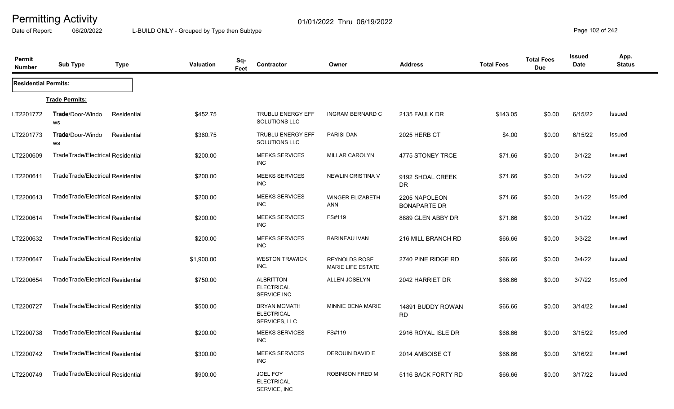Date of Report: 06/20/2022 L-BUILD ONLY - Grouped by Type then Subtype **Page 102 of 242** 

| Permit<br><b>Number</b>     | <b>Sub Type</b>                   | <b>Type</b> | Valuation  | Sq-<br>Feet | Contractor                                                | Owner                                     | <b>Address</b>                       | <b>Total Fees</b> | <b>Total Fees</b><br><b>Due</b> | <b>Issued</b><br>Date | App.<br><b>Status</b> |
|-----------------------------|-----------------------------------|-------------|------------|-------------|-----------------------------------------------------------|-------------------------------------------|--------------------------------------|-------------------|---------------------------------|-----------------------|-----------------------|
| <b>Residential Permits:</b> |                                   |             |            |             |                                                           |                                           |                                      |                   |                                 |                       |                       |
|                             | <b>Trade Permits:</b>             |             |            |             |                                                           |                                           |                                      |                   |                                 |                       |                       |
| LT2201772                   | Trade/Door-Windo<br>WS            | Residential | \$452.75   |             | <b>TRUBLU ENERGY EFF</b><br>SOLUTIONS LLC                 | <b>INGRAM BERNARD C</b>                   | 2135 FAULK DR                        | \$143.05          | \$0.00                          | 6/15/22               | Issued                |
| LT2201773                   | Trade/Door-Windo<br>WS            | Residential | \$360.75   |             | <b>TRUBLU ENERGY EFF</b><br><b>SOLUTIONS LLC</b>          | <b>PARISI DAN</b>                         | <b>2025 HERB CT</b>                  | \$4.00            | \$0.00                          | 6/15/22               | <b>Issued</b>         |
| LT2200609                   | TradeTrade/Electrical Residential |             | \$200.00   |             | <b>MEEKS SERVICES</b><br><b>INC</b>                       | MILLAR CAROLYN                            | 4775 STONEY TRCE                     | \$71.66           | \$0.00                          | 3/1/22                | <b>Issued</b>         |
| LT2200611                   | TradeTrade/Electrical Residential |             | \$200.00   |             | <b>MEEKS SERVICES</b><br><b>INC</b>                       | NEWLIN CRISTINA V                         | 9192 SHOAL CREEK<br>DR               | \$71.66           | \$0.00                          | 3/1/22                | <b>Issued</b>         |
| LT2200613                   | TradeTrade/Electrical Residential |             | \$200.00   |             | <b>MEEKS SERVICES</b><br><b>INC</b>                       | <b>WINGER ELIZABETH</b><br><b>ANN</b>     | 2205 NAPOLEON<br><b>BONAPARTE DR</b> | \$71.66           | \$0.00                          | 3/1/22                | <b>Issued</b>         |
| LT2200614                   | TradeTrade/Electrical Residential |             | \$200.00   |             | <b>MEEKS SERVICES</b><br><b>INC</b>                       | FS#119                                    | 8889 GLEN ABBY DR                    | \$71.66           | \$0.00                          | 3/1/22                | <b>Issued</b>         |
| LT2200632                   | TradeTrade/Electrical Residential |             | \$200.00   |             | <b>MEEKS SERVICES</b><br><b>INC</b>                       | <b>BARINEAU IVAN</b>                      | 216 MILL BRANCH RD                   | \$66.66           | \$0.00                          | 3/3/22                | <b>Issued</b>         |
| LT2200647                   | TradeTrade/Electrical Residential |             | \$1,900.00 |             | <b>WESTON TRAWICK</b><br>INC.                             | <b>REYNOLDS ROSE</b><br>MARIE LIFE ESTATE | 2740 PINE RIDGE RD                   | \$66.66           | \$0.00                          | 3/4/22                | <b>Issued</b>         |
| LT2200654                   | TradeTrade/Electrical Residential |             | \$750.00   |             | <b>ALBRITTON</b><br><b>ELECTRICAL</b><br>SERVICE INC      | <b>ALLEN JOSELYN</b>                      | 2042 HARRIET DR                      | \$66.66           | \$0.00                          | 3/7/22                | <b>Issued</b>         |
| LT2200727                   | TradeTrade/Electrical Residential |             | \$500.00   |             | <b>BRYAN MCMATH</b><br><b>ELECTRICAL</b><br>SERVICES, LLC | MINNIE DENA MARIE                         | 14891 BUDDY ROWAN<br><b>RD</b>       | \$66.66           | \$0.00                          | 3/14/22               | Issued                |
| LT2200738                   | TradeTrade/Electrical Residential |             | \$200.00   |             | <b>MEEKS SERVICES</b><br><b>INC</b>                       | FS#119                                    | 2916 ROYAL ISLE DR                   | \$66.66           | \$0.00                          | 3/15/22               | Issued                |
| LT2200742                   | TradeTrade/Electrical Residential |             | \$300.00   |             | <b>MEEKS SERVICES</b><br><b>INC</b>                       | DEROUIN DAVID E                           | 2014 AMBOISE CT                      | \$66.66           | \$0.00                          | 3/16/22               | <b>Issued</b>         |
| LT2200749                   | TradeTrade/Electrical Residential |             | \$900.00   |             | JOEL FOY<br><b>ELECTRICAL</b><br>SERVICE, INC             | ROBINSON FRED M                           | 5116 BACK FORTY RD                   | \$66.66           | \$0.00                          | 3/17/22               | <b>Issued</b>         |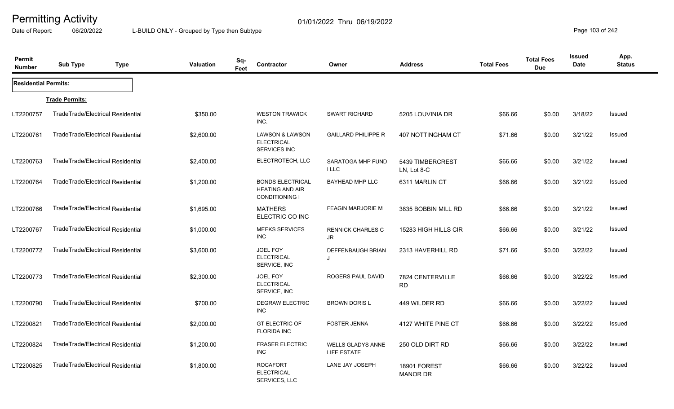Date of Report: 06/20/2022 L-BUILD ONLY - Grouped by Type then Subtype **Page 103** of 242

| Permit<br><b>Number</b>     | <b>Sub Type</b>                   | <b>Type</b> | Valuation  | Sq-<br>Feet | <b>Contractor</b>                                                          | Owner                                          | <b>Address</b>                  | <b>Total Fees</b> | <b>Total Fees</b><br><b>Due</b> | <b>Issued</b><br>Date | App.<br><b>Status</b> |
|-----------------------------|-----------------------------------|-------------|------------|-------------|----------------------------------------------------------------------------|------------------------------------------------|---------------------------------|-------------------|---------------------------------|-----------------------|-----------------------|
| <b>Residential Permits:</b> |                                   |             |            |             |                                                                            |                                                |                                 |                   |                                 |                       |                       |
|                             | <b>Trade Permits:</b>             |             |            |             |                                                                            |                                                |                                 |                   |                                 |                       |                       |
| LT2200757                   | TradeTrade/Electrical Residential |             | \$350.00   |             | <b>WESTON TRAWICK</b><br>INC.                                              | <b>SWART RICHARD</b>                           | 5205 LOUVINIA DR                | \$66.66           | \$0.00                          | 3/18/22               | Issued                |
| LT2200761                   | TradeTrade/Electrical Residential |             | \$2,600.00 |             | <b>LAWSON &amp; LAWSON</b><br><b>ELECTRICAL</b><br><b>SERVICES INC</b>     | <b>GAILLARD PHILIPPE R</b>                     | 407 NOTTINGHAM CT               | \$71.66           | \$0.00                          | 3/21/22               | <b>Issued</b>         |
| LT2200763                   | TradeTrade/Electrical Residential |             | \$2,400.00 |             | ELECTROTECH, LLC                                                           | SARATOGA MHP FUND<br><b>ILLC</b>               | 5439 TIMBERCREST<br>LN, Lot 8-C | \$66.66           | \$0.00                          | 3/21/22               | <b>Issued</b>         |
| LT2200764                   | TradeTrade/Electrical Residential |             | \$1,200.00 |             | <b>BONDS ELECTRICAL</b><br><b>HEATING AND AIR</b><br><b>CONDITIONING I</b> | <b>BAYHEAD MHP LLC</b>                         | 6311 MARLIN CT                  | \$66.66           | \$0.00                          | 3/21/22               | Issued                |
| LT2200766                   | TradeTrade/Electrical Residential |             | \$1,695.00 |             | <b>MATHERS</b><br>ELECTRIC CO INC                                          | <b>FEAGIN MARJORIE M</b>                       | 3835 BOBBIN MILL RD             | \$66.66           | \$0.00                          | 3/21/22               | Issued                |
| LT2200767                   | TradeTrade/Electrical Residential |             | \$1,000.00 |             | <b>MEEKS SERVICES</b><br><b>INC</b>                                        | <b>RENNICK CHARLES C</b><br>JR                 | 15283 HIGH HILLS CIR            | \$66.66           | \$0.00                          | 3/21/22               | Issued                |
| LT2200772                   | TradeTrade/Electrical Residential |             | \$3,600.00 |             | <b>JOEL FOY</b><br><b>ELECTRICAL</b><br>SERVICE, INC                       | <b>DEFFENBAUGH BRIAN</b><br>$\cdot$            | 2313 HAVERHILL RD               | \$71.66           | \$0.00                          | 3/22/22               | <b>Issued</b>         |
| LT2200773                   | TradeTrade/Electrical Residential |             | \$2,300.00 |             | <b>JOEL FOY</b><br><b>ELECTRICAL</b><br>SERVICE, INC                       | ROGERS PAUL DAVID                              | 7824 CENTERVILLE<br><b>RD</b>   | \$66.66           | \$0.00                          | 3/22/22               | <b>Issued</b>         |
| LT2200790                   | TradeTrade/Electrical Residential |             | \$700.00   |             | <b>DEGRAW ELECTRIC</b><br><b>INC</b>                                       | <b>BROWN DORIS L</b>                           | 449 WILDER RD                   | \$66.66           | \$0.00                          | 3/22/22               | <b>Issued</b>         |
| LT2200821                   | TradeTrade/Electrical Residential |             | \$2,000.00 |             | <b>GT ELECTRIC OF</b><br><b>FLORIDA INC</b>                                | <b>FOSTER JENNA</b>                            | 4127 WHITE PINE CT              | \$66.66           | \$0.00                          | 3/22/22               | Issued                |
| LT2200824                   | TradeTrade/Electrical Residential |             | \$1,200.00 |             | <b>FRASER ELECTRIC</b><br><b>INC</b>                                       | <b>WELLS GLADYS ANNE</b><br><b>LIFE ESTATE</b> | 250 OLD DIRT RD                 | \$66.66           | \$0.00                          | 3/22/22               | Issued                |
| LT2200825                   | TradeTrade/Electrical Residential |             | \$1,800.00 |             | <b>ROCAFORT</b><br><b>ELECTRICAL</b><br>SERVICES, LLC                      | LANE JAY JOSEPH                                | 18901 FOREST<br><b>MANOR DR</b> | \$66.66           | \$0.00                          | 3/22/22               | <b>Issued</b>         |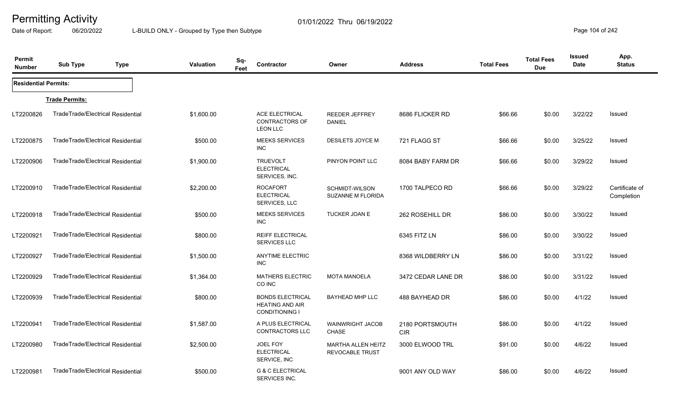Date of Report: 06/20/2022 L-BUILD ONLY - Grouped by Type then Subtype **Page 104** of 242

| Permit<br><b>Number</b>     | <b>Sub Type</b>                   | <b>Type</b> | Valuation  | Sq-<br>Feet | Contractor                                                                 | Owner                                               | <b>Address</b>                | <b>Total Fees</b> | <b>Total Fees</b><br><b>Due</b> | <b>Issued</b><br><b>Date</b> | App.<br><b>Status</b>        |
|-----------------------------|-----------------------------------|-------------|------------|-------------|----------------------------------------------------------------------------|-----------------------------------------------------|-------------------------------|-------------------|---------------------------------|------------------------------|------------------------------|
| <b>Residential Permits:</b> |                                   |             |            |             |                                                                            |                                                     |                               |                   |                                 |                              |                              |
|                             | <b>Trade Permits:</b>             |             |            |             |                                                                            |                                                     |                               |                   |                                 |                              |                              |
| LT2200826                   | TradeTrade/Electrical Residential |             | \$1,600.00 |             | ACE ELECTRICAL<br><b>CONTRACTORS OF</b><br><b>LEON LLC</b>                 | <b>REEDER JEFFREY</b><br><b>DANIEL</b>              | 8686 FLICKER RD               | \$66.66           | \$0.00                          | 3/22/22                      | Issued                       |
| LT2200875                   | TradeTrade/Electrical Residential |             | \$500.00   |             | <b>MEEKS SERVICES</b><br><b>INC</b>                                        | DESILETS JOYCE M                                    | 721 FLAGG ST                  | \$66.66           | \$0.00                          | 3/25/22                      | Issued                       |
| LT2200906                   | TradeTrade/Electrical Residential |             | \$1,900.00 |             | <b>TRUEVOLT</b><br><b>ELECTRICAL</b><br>SERVICES, INC.                     | PINYON POINT LLC                                    | 8084 BABY FARM DR             | \$66.66           | \$0.00                          | 3/29/22                      | <b>Issued</b>                |
| LT2200910                   | TradeTrade/Electrical Residential |             | \$2,200.00 |             | <b>ROCAFORT</b><br><b>ELECTRICAL</b><br>SERVICES, LLC                      | <b>SCHMIDT-WILSON</b><br><b>SUZANNE M FLORIDA</b>   | 1700 TALPECO RD               | \$66.66           | \$0.00                          | 3/29/22                      | Certificate of<br>Completion |
| LT2200918                   | TradeTrade/Electrical Residential |             | \$500.00   |             | <b>MEEKS SERVICES</b><br>INC.                                              | TUCKER JOAN E                                       | 262 ROSEHILL DR               | \$86.00           | \$0.00                          | 3/30/22                      | Issued                       |
| LT2200921                   | TradeTrade/Electrical Residential |             | \$800.00   |             | <b>REIFF ELECTRICAL</b><br>SERVICES LLC                                    |                                                     | 6345 FITZ LN                  | \$86.00           | \$0.00                          | 3/30/22                      | Issued                       |
| LT2200927                   | TradeTrade/Electrical Residential |             | \$1,500.00 |             | <b>ANYTIME ELECTRIC</b><br><b>INC</b>                                      |                                                     | 8368 WILDBERRY LN             | \$86.00           | \$0.00                          | 3/31/22                      | <b>Issued</b>                |
| LT2200929                   | TradeTrade/Electrical Residential |             | \$1,364.00 |             | <b>MATHERS ELECTRIC</b><br>CO INC                                          | <b>MOTA MANOELA</b>                                 | 3472 CEDAR LANE DR            | \$86.00           | \$0.00                          | 3/31/22                      | <b>Issued</b>                |
| LT2200939                   | TradeTrade/Electrical Residential |             | \$800.00   |             | <b>BONDS ELECTRICAL</b><br><b>HEATING AND AIR</b><br><b>CONDITIONING I</b> | BAYHEAD MHP LLC                                     | 488 BAYHEAD DR                | \$86.00           | \$0.00                          | 4/1/22                       | Issued                       |
| LT2200941                   | TradeTrade/Electrical Residential |             | \$1,587.00 |             | A PLUS ELECTRICAL<br><b>CONTRACTORS LLC</b>                                | WAINWRIGHT JACOB<br><b>CHASE</b>                    | 2180 PORTSMOUTH<br><b>CIR</b> | \$86.00           | \$0.00                          | 4/1/22                       | Issued                       |
| LT2200980                   | TradeTrade/Electrical Residential |             | \$2,500.00 |             | JOEL FOY<br><b>ELECTRICAL</b><br>SERVICE, INC                              | <b>MARTHA ALLEN HEITZ</b><br><b>REVOCABLE TRUST</b> | 3000 ELWOOD TRL               | \$91.00           | \$0.00                          | 4/6/22                       | Issued                       |
| LT2200981                   | TradeTrade/Electrical Residential |             | \$500.00   |             | <b>G &amp; C ELECTRICAL</b><br>SERVICES INC.                               |                                                     | 9001 ANY OLD WAY              | \$86.00           | \$0.00                          | 4/6/22                       | <b>Issued</b>                |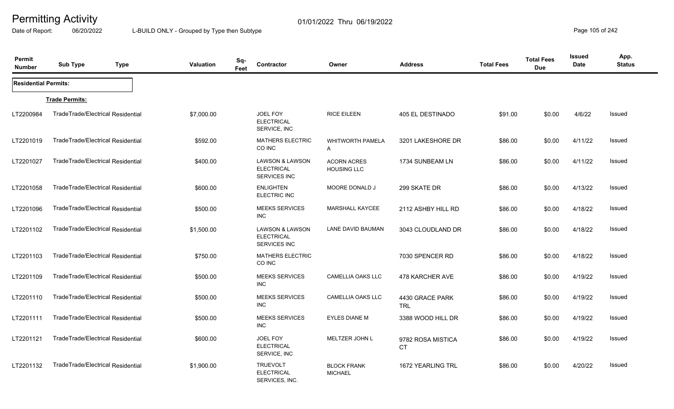Date of Report: 06/20/2022 L-BUILD ONLY - Grouped by Type then Subtype **Page 105** of 242

| Permit<br><b>Number</b>     | <b>Sub Type</b>                   | <b>Type</b> | <b>Valuation</b> | Sq-<br>Feet | <b>Contractor</b>                                                      | Owner                                    | <b>Address</b>                 | <b>Total Fees</b> | <b>Total Fees</b><br><b>Due</b> | <b>Issued</b><br><b>Date</b> | App.<br><b>Status</b> |
|-----------------------------|-----------------------------------|-------------|------------------|-------------|------------------------------------------------------------------------|------------------------------------------|--------------------------------|-------------------|---------------------------------|------------------------------|-----------------------|
| <b>Residential Permits:</b> |                                   |             |                  |             |                                                                        |                                          |                                |                   |                                 |                              |                       |
|                             | <b>Trade Permits:</b>             |             |                  |             |                                                                        |                                          |                                |                   |                                 |                              |                       |
| LT2200984                   | TradeTrade/Electrical Residential |             | \$7,000.00       |             | JOEL FOY<br><b>ELECTRICAL</b><br>SERVICE, INC                          | <b>RICE EILEEN</b>                       | 405 EL DESTINADO               | \$91.00           | \$0.00                          | 4/6/22                       | <b>Issued</b>         |
| LT2201019                   | TradeTrade/Electrical Residential |             | \$592.00         |             | <b>MATHERS ELECTRIC</b><br>CO INC                                      | <b>WHITWORTH PAMELA</b><br>A             | 3201 LAKESHORE DR              | \$86.00           | \$0.00                          | 4/11/22                      | Issued                |
| LT2201027                   | TradeTrade/Electrical Residential |             | \$400.00         |             | <b>LAWSON &amp; LAWSON</b><br><b>ELECTRICAL</b><br><b>SERVICES INC</b> | <b>ACORN ACRES</b><br><b>HOUSING LLC</b> | 1734 SUNBEAM LN                | \$86.00           | \$0.00                          | 4/11/22                      | Issued                |
| LT2201058                   | TradeTrade/Electrical Residential |             | \$600.00         |             | <b>ENLIGHTEN</b><br><b>ELECTRIC INC</b>                                | MOORE DONALD J                           | 299 SKATE DR                   | \$86.00           | \$0.00                          | 4/13/22                      | Issued                |
| LT2201096                   | TradeTrade/Electrical Residential |             | \$500.00         |             | <b>MEEKS SERVICES</b><br><b>INC</b>                                    | <b>MARSHALL KAYCEE</b>                   | 2112 ASHBY HILL RD             | \$86.00           | \$0.00                          | 4/18/22                      | Issued                |
| LT2201102                   | TradeTrade/Electrical Residential |             | \$1,500.00       |             | <b>LAWSON &amp; LAWSON</b><br><b>ELECTRICAL</b><br><b>SERVICES INC</b> | LANE DAVID BAUMAN                        | 3043 CLOUDLAND DR              | \$86.00           | \$0.00                          | 4/18/22                      | Issued                |
| LT2201103                   | TradeTrade/Electrical Residential |             | \$750.00         |             | MATHERS ELECTRIC<br>CO INC                                             |                                          | 7030 SPENCER RD                | \$86.00           | \$0.00                          | 4/18/22                      | <b>Issued</b>         |
| LT2201109                   | TradeTrade/Electrical Residential |             | \$500.00         |             | <b>MEEKS SERVICES</b><br><b>INC</b>                                    | <b>CAMELLIA OAKS LLC</b>                 | 478 KARCHER AVE                | \$86.00           | \$0.00                          | 4/19/22                      | <b>Issued</b>         |
| LT2201110                   | TradeTrade/Electrical Residential |             | \$500.00         |             | <b>MEEKS SERVICES</b><br><b>INC</b>                                    | <b>CAMELLIA OAKS LLC</b>                 | 4430 GRACE PARK<br><b>TRL</b>  | \$86.00           | \$0.00                          | 4/19/22                      | <b>Issued</b>         |
| LT2201111                   | TradeTrade/Electrical Residential |             | \$500.00         |             | <b>MEEKS SERVICES</b><br><b>INC</b>                                    | <b>EYLES DIANE M</b>                     | 3388 WOOD HILL DR              | \$86.00           | \$0.00                          | 4/19/22                      | Issued                |
| LT2201121                   | TradeTrade/Electrical Residential |             | \$600.00         |             | JOEL FOY<br><b>ELECTRICAL</b><br>SERVICE, INC                          | MELTZER JOHN L                           | 9782 ROSA MISTICA<br><b>CT</b> | \$86.00           | \$0.00                          | 4/19/22                      | Issued                |
| LT2201132                   | TradeTrade/Electrical Residential |             | \$1,900.00       |             | <b>TRUEVOLT</b><br><b>ELECTRICAL</b><br>SERVICES, INC.                 | <b>BLOCK FRANK</b><br><b>MICHAEL</b>     | 1672 YEARLING TRL              | \$86.00           | \$0.00                          | 4/20/22                      | Issued                |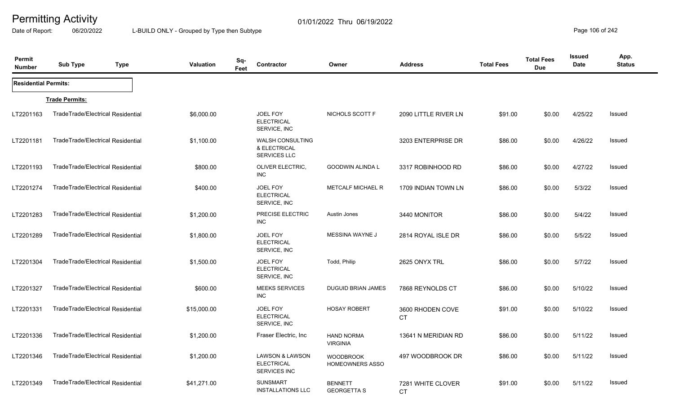Date of Report: 06/20/2022 L-BUILD ONLY - Grouped by Type then Subtype **Page 106** of 242

| Permit<br><b>Number</b>     | <b>Sub Type</b><br><b>Type</b>    | <b>Valuation</b> | Sq-<br>Contractor<br>Feet                                              | Owner                                | <b>Address</b>                | <b>Total Fees</b> | <b>Total Fees</b><br><b>Due</b> | Issued<br>Date | App.<br><b>Status</b> |
|-----------------------------|-----------------------------------|------------------|------------------------------------------------------------------------|--------------------------------------|-------------------------------|-------------------|---------------------------------|----------------|-----------------------|
| <b>Residential Permits:</b> |                                   |                  |                                                                        |                                      |                               |                   |                                 |                |                       |
|                             | <b>Trade Permits:</b>             |                  |                                                                        |                                      |                               |                   |                                 |                |                       |
| LT2201163                   | TradeTrade/Electrical Residential | \$6,000.00       | JOEL FOY<br><b>ELECTRICAL</b><br>SERVICE, INC                          | NICHOLS SCOTT F                      | 2090 LITTLE RIVER LN          | \$91.00           | \$0.00                          | 4/25/22        | Issued                |
| LT2201181                   | TradeTrade/Electrical Residential | \$1,100.00       | WALSH CONSULTING<br>& ELECTRICAL<br><b>SERVICES LLC</b>                |                                      | 3203 ENTERPRISE DR            | \$86.00           | \$0.00                          | 4/26/22        | Issued                |
| LT2201193                   | TradeTrade/Electrical Residential | \$800.00         | <b>OLIVER ELECTRIC,</b><br><b>INC</b>                                  | GOODWIN ALINDA L                     | 3317 ROBINHOOD RD             | \$86.00           | \$0.00                          | 4/27/22        | Issued                |
| LT2201274                   | TradeTrade/Electrical Residential | \$400.00         | JOEL FOY<br><b>ELECTRICAL</b><br>SERVICE, INC                          | <b>METCALF MICHAEL R</b>             | 1709 INDIAN TOWN LN           | \$86.00           | \$0.00                          | 5/3/22         | Issued                |
| LT2201283                   | TradeTrade/Electrical Residential | \$1,200.00       | PRECISE ELECTRIC<br>INC.                                               | Austin Jones                         | 3440 MONITOR                  | \$86.00           | \$0.00                          | 5/4/22         | <b>Issued</b>         |
| LT2201289                   | TradeTrade/Electrical Residential | \$1,800.00       | JOEL FOY<br><b>ELECTRICAL</b><br>SERVICE, INC                          | MESSINA WAYNE J                      | 2814 ROYAL ISLE DR            | \$86.00           | \$0.00                          | 5/5/22         | Issued                |
| LT2201304                   | TradeTrade/Electrical Residential | \$1,500.00       | JOEL FOY<br><b>ELECTRICAL</b><br>SERVICE, INC                          | Todd, Philip                         | 2625 ONYX TRL                 | \$86.00           | \$0.00                          | 5/7/22         | Issued                |
| LT2201327                   | TradeTrade/Electrical Residential | \$600.00         | <b>MEEKS SERVICES</b><br><b>INC</b>                                    | <b>DUGUID BRIAN JAMES</b>            | 7868 REYNOLDS CT              | \$86.00           | \$0.00                          | 5/10/22        | <b>Issued</b>         |
| LT2201331                   | TradeTrade/Electrical Residential | \$15,000.00      | JOEL FOY<br><b>ELECTRICAL</b><br>SERVICE, INC                          | <b>HOSAY ROBERT</b>                  | 3600 RHODEN COVE<br><b>CT</b> | \$91.00           | \$0.00                          | 5/10/22        | Issued                |
| LT2201336                   | TradeTrade/Electrical Residential | \$1,200.00       | Fraser Electric, Inc                                                   | <b>HAND NORMA</b><br><b>VIRGINIA</b> | 13641 N MERIDIAN RD           | \$86.00           | \$0.00                          | 5/11/22        | Issued                |
| LT2201346                   | TradeTrade/Electrical Residential | \$1,200.00       | <b>LAWSON &amp; LAWSON</b><br><b>ELECTRICAL</b><br><b>SERVICES INC</b> | <b>WOODBROOK</b><br>HOMEOWNERS ASSO  | 497 WOODBROOK DR              | \$86.00           | \$0.00                          | 5/11/22        | <b>Issued</b>         |
| LT2201349                   | TradeTrade/Electrical Residential | \$41,271.00      | <b>SUNSMART</b><br><b>INSTALLATIONS LLC</b>                            | <b>BENNETT</b><br><b>GEORGETTA S</b> | 7281 WHITE CLOVER<br>СT       | \$91.00           | \$0.00                          | 5/11/22        | Issued                |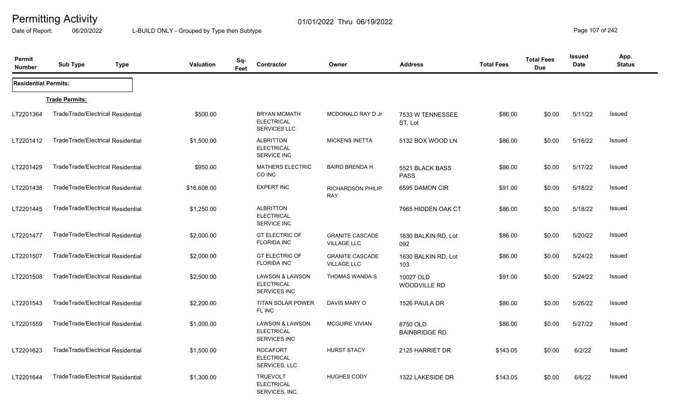Date of Report: 06/20/2022 L-BUILD ONLY - Grouped by Type then Subtype **Page 107** of 242

| Permit<br><b>Number</b>     | <b>Sub Type</b>                   | <b>Type</b> | Valuation   | Sq-<br>Feet | Contractor                                                             | Owner                                        | <b>Address</b>                   | <b>Total Fees</b> | <b>Total Fees</b><br><b>Due</b> | <b>Issued</b><br>Date | App.<br><b>Status</b> |
|-----------------------------|-----------------------------------|-------------|-------------|-------------|------------------------------------------------------------------------|----------------------------------------------|----------------------------------|-------------------|---------------------------------|-----------------------|-----------------------|
| <b>Residential Permits:</b> |                                   |             |             |             |                                                                        |                                              |                                  |                   |                                 |                       |                       |
|                             | <b>Trade Permits:</b>             |             |             |             |                                                                        |                                              |                                  |                   |                                 |                       |                       |
| LT2201364                   | TradeTrade/Electrical Residential |             | \$500.00    |             | <b>BRYAN MCMATH</b><br><b>ELECTRICAL</b><br><b>SERVICES LLC</b>        | MCDONALD RAY D Jr                            | 7533 W TENNESSEE<br>ST, Lot      | \$86.00           | \$0.00                          | 5/11/22               | Issued                |
| LT2201412                   | TradeTrade/Electrical Residential |             | \$1,500.00  |             | <b>ALBRITTON</b><br><b>ELECTRICAL</b><br><b>SERVICE INC</b>            | <b>MICKENS INETTA</b>                        | 5132 BOX WOOD LN                 | \$86.00           | \$0.00                          | 5/16/22               | Issued                |
| LT2201429                   | TradeTrade/Electrical Residential |             | \$950.00    |             | <b>MATHERS ELECTRIC</b><br>CO INC                                      | <b>BAIRD BRENDA H</b>                        | 5521 BLACK BASS<br><b>PASS</b>   | \$86.00           | \$0.00                          | 5/17/22               | Issued                |
| LT2201438                   | TradeTrade/Electrical Residential |             | \$16,608.00 |             | <b>EXPERT INC</b>                                                      | RICHARDSON PHILIP<br><b>RAY</b>              | 6595 DAMON CIR                   | \$91.00           | \$0.00                          | 5/18/22               | Issued                |
| LT2201445                   | TradeTrade/Electrical Residential |             | \$1,250.00  |             | <b>ALBRITTON</b><br><b>ELECTRICAL</b><br><b>SERVICE INC</b>            |                                              | 7965 HIDDEN OAK CT               | \$86.00           | \$0.00                          | 5/18/22               | Issued                |
| LT2201477                   | TradeTrade/Electrical Residential |             | \$2,000.00  |             | <b>GT ELECTRIC OF</b><br><b>FLORIDA INC</b>                            | <b>GRANITE CASCADE</b><br><b>VILLAGE LLC</b> | 1630 BALKIN RD, Lot<br>092       | \$86.00           | \$0.00                          | 5/20/22               | Issued                |
| LT2201507                   | TradeTrade/Electrical Residential |             | \$2,000.00  |             | <b>GT ELECTRIC OF</b><br><b>FLORIDA INC</b>                            | <b>GRANITE CASCADE</b><br><b>VILLAGE LLC</b> | 1630 BALKIN RD, Lot<br>103       | \$86.00           | \$0.00                          | 5/24/22               | Issued                |
| LT2201508                   | TradeTrade/Electrical Residential |             | \$2,500.00  |             | <b>LAWSON &amp; LAWSON</b><br><b>ELECTRICAL</b><br><b>SERVICES INC</b> | THOMAS WANDA S                               | 10027 OLD<br>WOODVILLE RD        | \$91.00           | \$0.00                          | 5/24/22               | Issued                |
| LT2201543                   | TradeTrade/Electrical Residential |             | \$2,200.00  |             | <b>TITAN SOLAR POWER</b><br>FL INC                                     | DAVIS MARY O                                 | 1526 PAULA DR                    | \$86.00           | \$0.00                          | 5/26/22               | Issued                |
| LT2201559                   | TradeTrade/Electrical Residential |             | \$1,000.00  |             | <b>LAWSON &amp; LAWSON</b><br><b>ELECTRICAL</b><br><b>SERVICES INC</b> | <b>MCGUIRE VIVIAN</b>                        | 8750 OLD<br><b>BAINBRIDGE RD</b> | \$86.00           | \$0.00                          | 5/27/22               | Issued                |
| LT2201623                   | TradeTrade/Electrical Residential |             | \$1,500.00  |             | <b>ROCAFORT</b><br><b>ELECTRICAL</b><br>SERVICES, LLC                  | HURST STACY                                  | 2125 HARRIET DR                  | \$143.05          | \$0.00                          | 6/2/22                | Issued                |
| LT2201644                   | TradeTrade/Electrical Residential |             | \$1,300.00  |             | <b>TRUEVOLT</b><br><b>ELECTRICAL</b><br>SERVICES, INC.                 | <b>HUGHES CODY</b>                           | 1322 LAKESIDE DR                 | \$143.05          | \$0.00                          | 6/6/22                | Issued                |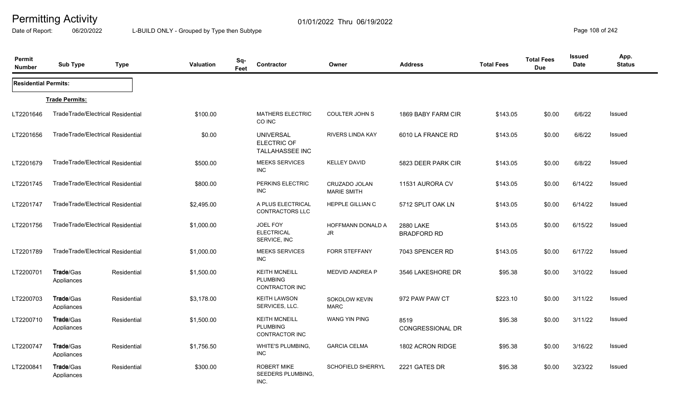Date of Report: 06/20/2022 L-BUILD ONLY - Grouped by Type then Subtype **Page 108** of 242

| Permit<br><b>Number</b>     | <b>Sub Type</b>                   | <b>Type</b> | <b>Valuation</b> | Sq-<br>Contractor<br>Feet                                        | Owner                               | <b>Address</b>                  | <b>Total Fees</b> | <b>Total Fees</b><br><b>Due</b> | <b>Issued</b><br><b>Date</b> | App.<br><b>Status</b> |
|-----------------------------|-----------------------------------|-------------|------------------|------------------------------------------------------------------|-------------------------------------|---------------------------------|-------------------|---------------------------------|------------------------------|-----------------------|
| <b>Residential Permits:</b> |                                   |             |                  |                                                                  |                                     |                                 |                   |                                 |                              |                       |
|                             | <b>Trade Permits:</b>             |             |                  |                                                                  |                                     |                                 |                   |                                 |                              |                       |
| LT2201646                   | TradeTrade/Electrical Residential |             | \$100.00         | <b>MATHERS ELECTRIC</b><br>CO INC                                | <b>COULTER JOHN S</b>               | 1869 BABY FARM CIR              | \$143.05          | \$0.00                          | 6/6/22                       | Issued                |
| LT2201656                   | TradeTrade/Electrical Residential |             | \$0.00           | <b>UNIVERSAL</b><br><b>ELECTRIC OF</b><br><b>TALLAHASSEE INC</b> | <b>RIVERS LINDA KAY</b>             | 6010 LA FRANCE RD               | \$143.05          | \$0.00                          | 6/6/22                       | <b>Issued</b>         |
| LT2201679                   | TradeTrade/Electrical Residential |             | \$500.00         | <b>MEEKS SERVICES</b><br>INC.                                    | <b>KELLEY DAVID</b>                 | 5823 DEER PARK CIR              | \$143.05          | \$0.00                          | 6/8/22                       | Issued                |
| LT2201745                   | TradeTrade/Electrical Residential |             | \$800.00         | PERKINS ELECTRIC<br><b>INC</b>                                   | CRUZADO JOLAN<br><b>MARIE SMITH</b> | 11531 AURORA CV                 | \$143.05          | \$0.00                          | 6/14/22                      | Issued                |
| LT2201747                   | TradeTrade/Electrical Residential |             | \$2,495.00       | A PLUS ELECTRICAL<br>CONTRACTORS LLC                             | HEPPLE GILLIAN C                    | 5712 SPLIT OAK LN               | \$143.05          | \$0.00                          | 6/14/22                      | <b>Issued</b>         |
| LT2201756                   | TradeTrade/Electrical Residential |             | \$1,000.00       | JOEL FOY<br><b>ELECTRICAL</b><br>SERVICE, INC                    | HOFFMANN DONALD A<br>JR             | 2880 LAKE<br><b>BRADFORD RD</b> | \$143.05          | \$0.00                          | 6/15/22                      | <b>Issued</b>         |
| LT2201789                   | TradeTrade/Electrical Residential |             | \$1,000.00       | <b>MEEKS SERVICES</b><br>INC.                                    | <b>FORR STEFFANY</b>                | 7043 SPENCER RD                 | \$143.05          | \$0.00                          | 6/17/22                      | Issued                |
| LT2200701                   | <b>Trade/Gas</b><br>Appliances    | Residential | \$1,500.00       | <b>KEITH MCNEILL</b><br><b>PLUMBING</b><br>CONTRACTOR INC        | MEDVID ANDREA P                     | 3546 LAKESHORE DR               | \$95.38           | \$0.00                          | 3/10/22                      | Issued                |
| LT2200703                   | <b>Trade/Gas</b><br>Appliances    | Residential | \$3,178.00       | <b>KEITH LAWSON</b><br>SERVICES, LLC.                            | SOKOLOW KEVIN<br><b>MARC</b>        | 972 PAW PAW CT                  | \$223.10          | \$0.00                          | 3/11/22                      | Issued                |
| LT2200710                   | <b>Trade</b> /Gas<br>Appliances   | Residential | \$1,500.00       | <b>KEITH MCNEILL</b><br><b>PLUMBING</b><br><b>CONTRACTOR INC</b> | WANG YIN PING                       | 8519<br><b>CONGRESSIONAL DR</b> | \$95.38           | \$0.00                          | 3/11/22                      | <b>Issued</b>         |
| LT2200747                   | Trade/Gas<br>Appliances           | Residential | \$1,756.50       | <b>WHITE'S PLUMBING,</b><br><b>INC</b>                           | <b>GARCIA CELMA</b>                 | 1802 ACRON RIDGE                | \$95.38           | \$0.00                          | 3/16/22                      | <b>Issued</b>         |
| LT2200841                   | Trade/Gas<br>Appliances           | Residential | \$300.00         | <b>ROBERT MIKE</b><br>SEEDERS PLUMBING,<br>INC.                  | <b>SCHOFIELD SHERRYL</b>            | 2221 GATES DR                   | \$95.38           | \$0.00                          | 3/23/22                      | Issued                |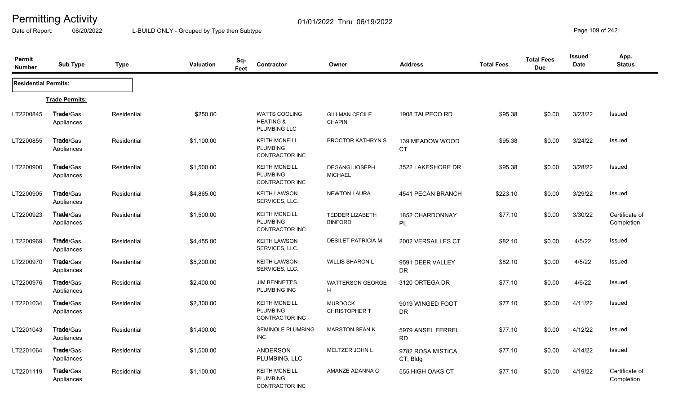Date of Report: 06/20/2022 L-BUILD ONLY - Grouped by Type then Subtype **Page 109 of 242** 

| Permit<br><b>Number</b>     | <b>Sub Type</b>                | <b>Type</b> | <b>Valuation</b> | Sq-<br><b>Contractor</b><br>Feet                             | Owner                                    | <b>Address</b>                 | <b>Total Fees</b> | <b>Total Fees</b><br><b>Due</b> | <b>Issued</b><br><b>Date</b> | App.<br><b>Status</b>        |
|-----------------------------|--------------------------------|-------------|------------------|--------------------------------------------------------------|------------------------------------------|--------------------------------|-------------------|---------------------------------|------------------------------|------------------------------|
| <b>Residential Permits:</b> |                                |             |                  |                                                              |                                          |                                |                   |                                 |                              |                              |
|                             | <b>Trade Permits:</b>          |             |                  |                                                              |                                          |                                |                   |                                 |                              |                              |
| LT2200845                   | <b>Trade/Gas</b><br>Appliances | Residential | \$250.00         | <b>WATTS COOLING</b><br><b>HEATING &amp;</b><br>PLUMBING LLC | <b>GILLMAN CECILE</b><br><b>CHAPIN</b>   | 1908 TALPECO RD                | \$95.38           | \$0.00                          | 3/23/22                      | Issued                       |
| LT2200855                   | <b>Trade/Gas</b><br>Appliances | Residential | \$1,100.00       | <b>KEITH MCNEILL</b><br><b>PLUMBING</b><br>CONTRACTOR INC    | PROCTOR KATHRYN S                        | 139 MEADOW WOOD<br><b>CT</b>   | \$95.38           | \$0.00                          | 3/24/22                      | Issued                       |
| LT2200900                   | Trade/Gas<br>Appliances        | Residential | \$1,500.00       | <b>KEITH MCNEILL</b><br><b>PLUMBING</b><br>CONTRACTOR INC    | <b>DEGANGI JOSEPH</b><br><b>MICHAEL</b>  | 3522 LAKESHORE DR              | \$95.38           | \$0.00                          | 3/28/22                      | Issued                       |
| LT2200905                   | <b>Trade/Gas</b><br>Appliances | Residential | \$4,865.00       | <b>KEITH LAWSON</b><br>SERVICES, LLC.                        | <b>NEWTON LAURA</b>                      | 4541 PECAN BRANCH              | \$223.10          | \$0.00                          | 3/29/22                      | Issued                       |
| LT2200923                   | Trade/Gas<br>Appliances        | Residential | \$1,500.00       | <b>KEITH MCNEILL</b><br><b>PLUMBING</b><br>CONTRACTOR INC    | <b>TEDDER LIZABETH</b><br><b>BINFORD</b> | 1852 CHARDONNAY<br>PL          | \$77.10           | \$0.00                          | 3/30/22                      | Certificate of<br>Completion |
| LT2200969                   | <b>Trade/Gas</b><br>Appliances | Residential | \$4,455.00       | <b>KEITH LAWSON</b><br>SERVICES, LLC.                        | <b>DESILET PATRICIA M</b>                | 2002 VERSAILLES CT             | \$82.10           | \$0.00                          | 4/5/22                       | Issued                       |
| LT2200970                   | Trade/Gas<br>Appliances        | Residential | \$5,200.00       | <b>KEITH LAWSON</b><br>SERVICES, LLC.                        | <b>WILLIS SHARON L</b>                   | 9591 DEER VALLEY<br><b>DR</b>  | \$82.10           | \$0.00                          | 4/5/22                       | Issued                       |
| LT2200976                   | Trade/Gas<br>Appliances        | Residential | \$2,400.00       | <b>JIM BENNETT'S</b><br>PLUMBING INC                         | <b>WATTERSON GEORGE</b><br>H.            | 3120 ORTEGA DR                 | \$77.10           | \$0.00                          | 4/6/22                       | <b>Issued</b>                |
| LT2201034                   | Trade/Gas<br>Appliances        | Residential | \$2,300.00       | <b>KEITH MCNEILL</b><br><b>PLUMBING</b><br>CONTRACTOR INC    | <b>MURDOCK</b><br><b>CHRISTOPHER T</b>   | 9019 WINGED FOOT<br><b>DR</b>  | \$77.10           | \$0.00                          | 4/11/22                      | Issued                       |
| LT2201043                   | Trade/Gas<br>Appliances        | Residential | \$1,400.00       | <b>SEMINOLE PLUMBING</b><br><b>INC</b>                       | <b>MARSTON SEAN K</b>                    | 5979 ANSEL FERREL<br><b>RD</b> | \$77.10           | \$0.00                          | 4/12/22                      | <b>Issued</b>                |
| LT2201064                   | <b>Trade/Gas</b><br>Appliances | Residential | \$1,500.00       | <b>ANDERSON</b><br>PLUMBING, LLC                             | MELTZER JOHN L                           | 9782 ROSA MISTICA<br>CT, Bldg  | \$77.10           | \$0.00                          | 4/14/22                      | Issued                       |
| LT2201119                   | Trade/Gas<br>Appliances        | Residential | \$1,100.00       | <b>KEITH MCNEILL</b><br><b>PLUMBING</b><br>CONTRACTOR INC    | AMANZE ADANNA C                          | 555 HIGH OAKS CT               | \$77.10           | \$0.00                          | 4/19/22                      | Certificate of<br>Completion |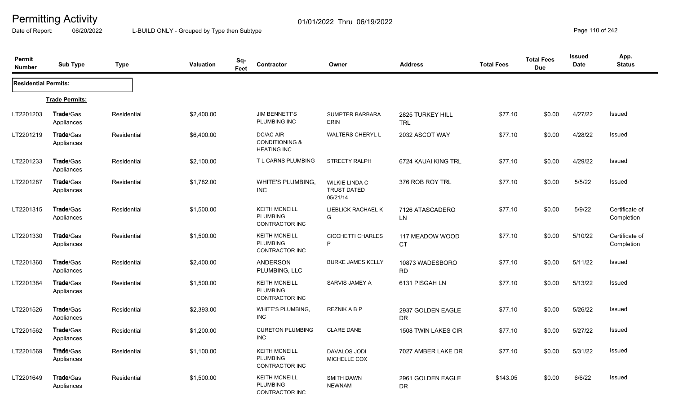Date of Report: 06/20/2022 L-BUILD ONLY - Grouped by Type then Subtype **Page 110** of 242

| Permit<br><b>Number</b>     | <b>Sub Type</b>                | <b>Type</b> | Valuation  | Sq-<br>Feet | Contractor                                                       | Owner                                            | <b>Address</b>                 | <b>Total Fees</b> | <b>Total Fees</b><br><b>Due</b> | <b>Issued</b><br>Date | App.<br><b>Status</b>        |
|-----------------------------|--------------------------------|-------------|------------|-------------|------------------------------------------------------------------|--------------------------------------------------|--------------------------------|-------------------|---------------------------------|-----------------------|------------------------------|
| <b>Residential Permits:</b> |                                |             |            |             |                                                                  |                                                  |                                |                   |                                 |                       |                              |
|                             | <b>Trade Permits:</b>          |             |            |             |                                                                  |                                                  |                                |                   |                                 |                       |                              |
| LT2201203                   | Trade/Gas<br>Appliances        | Residential | \$2,400.00 |             | <b>JIM BENNETT'S</b><br>PLUMBING INC                             | <b>SUMPTER BARBARA</b><br><b>ERIN</b>            | 2825 TURKEY HILL<br><b>TRL</b> | \$77.10           | \$0.00                          | 4/27/22               | Issued                       |
| LT2201219                   | Trade/Gas<br>Appliances        | Residential | \$6,400.00 |             | DC/AC AIR<br><b>CONDITIONING &amp;</b><br><b>HEATING INC</b>     | <b>WALTERS CHERYL L</b>                          | 2032 ASCOT WAY                 | \$77.10           | \$0.00                          | 4/28/22               | Issued                       |
| LT2201233                   | Trade/Gas<br>Appliances        | Residential | \$2,100.00 |             | T L CARNS PLUMBING                                               | <b>STREETY RALPH</b>                             | 6724 KAUAI KING TRL            | \$77.10           | \$0.00                          | 4/29/22               | Issued                       |
| LT2201287                   | Trade/Gas<br>Appliances        | Residential | \$1,782.00 |             | WHITE'S PLUMBING,<br>INC                                         | WILKIE LINDA C<br><b>TRUST DATED</b><br>05/21/14 | 376 ROB ROY TRL                | \$77.10           | \$0.00                          | 5/5/22                | Issued                       |
| LT2201315                   | Trade/Gas<br>Appliances        | Residential | \$1,500.00 |             | <b>KEITH MCNEILL</b><br><b>PLUMBING</b><br><b>CONTRACTOR INC</b> | LIEBLICK RACHAEL K<br>G                          | 7126 ATASCADERO<br>LN          | \$77.10           | \$0.00                          | 5/9/22                | Certificate of<br>Completion |
| LT2201330                   | Trade/Gas<br>Appliances        | Residential | \$1,500.00 |             | <b>KEITH MCNEILL</b><br><b>PLUMBING</b><br>CONTRACTOR INC        | <b>CICCHETTI CHARLES</b><br>P                    | 117 MEADOW WOOD<br><b>CT</b>   | \$77.10           | \$0.00                          | 5/10/22               | Certificate of<br>Completion |
| LT2201360                   | Trade/Gas<br>Appliances        | Residential | \$2,400.00 |             | <b>ANDERSON</b><br>PLUMBING, LLC                                 | <b>BURKE JAMES KELLY</b>                         | 10873 WADESBORO<br><b>RD</b>   | \$77.10           | \$0.00                          | 5/11/22               | Issued                       |
| LT2201384                   | <b>Trade/Gas</b><br>Appliances | Residential | \$1,500.00 |             | <b>KEITH MCNEILL</b><br><b>PLUMBING</b><br>CONTRACTOR INC        | SARVIS JAMEY A                                   | 6131 PISGAH LN                 | \$77.10           | \$0.00                          | 5/13/22               | Issued                       |
| LT2201526                   | <b>Trade/Gas</b><br>Appliances | Residential | \$2,393.00 |             | <b>WHITE'S PLUMBING.</b><br><b>INC</b>                           | REZNIK A B P                                     | 2937 GOLDEN EAGLE<br><b>DR</b> | \$77.10           | \$0.00                          | 5/26/22               | Issued                       |
| LT2201562                   | <b>Trade/Gas</b><br>Appliances | Residential | \$1,200.00 |             | <b>CURETON PLUMBING</b><br><b>INC</b>                            | <b>CLARE DANE</b>                                | 1508 TWIN LAKES CIR            | \$77.10           | \$0.00                          | 5/27/22               | Issued                       |
| LT2201569                   | Trade/Gas<br>Appliances        | Residential | \$1,100.00 |             | <b>KEITH MCNEILL</b><br><b>PLUMBING</b><br>CONTRACTOR INC        | <b>DAVALOS JODI</b><br>MICHELLE COX              | 7027 AMBER LAKE DR             | \$77.10           | \$0.00                          | 5/31/22               | Issued                       |
| LT2201649                   | Trade/Gas<br>Appliances        | Residential | \$1,500.00 |             | <b>KEITH MCNEILL</b><br><b>PLUMBING</b><br>CONTRACTOR INC        | <b>SMITH DAWN</b><br><b>NEWNAM</b>               | 2961 GOLDEN EAGLE<br>DR        | \$143.05          | \$0.00                          | 6/6/22                | Issued                       |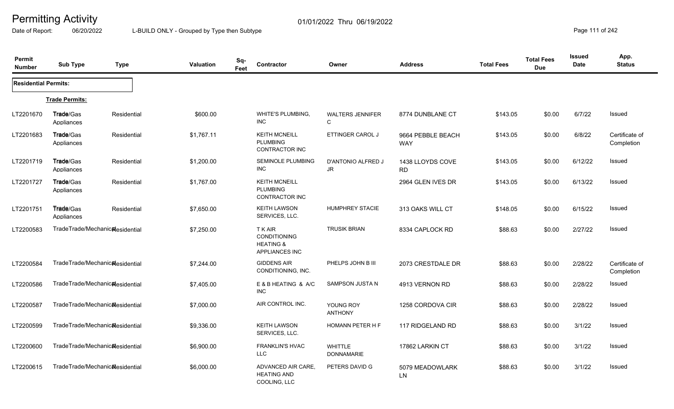Date of Report: 06/20/2022 L-BUILD ONLY - Grouped by Type then Subtype **Page 111** of 242

| Permit<br><b>Number</b>     | <b>Sub Type</b>                | <b>Type</b>                                  | <b>Valuation</b> | Sq-<br>Feet | Contractor                                                                      | Owner                               | <b>Address</b>                  | <b>Total Fees</b> | <b>Total Fees</b><br><b>Due</b> | <b>Issued</b><br><b>Date</b> | App.<br><b>Status</b>        |
|-----------------------------|--------------------------------|----------------------------------------------|------------------|-------------|---------------------------------------------------------------------------------|-------------------------------------|---------------------------------|-------------------|---------------------------------|------------------------------|------------------------------|
| <b>Residential Permits:</b> |                                |                                              |                  |             |                                                                                 |                                     |                                 |                   |                                 |                              |                              |
|                             | <b>Trade Permits:</b>          |                                              |                  |             |                                                                                 |                                     |                                 |                   |                                 |                              |                              |
| LT2201670                   | Trade/Gas<br>Appliances        | Residential                                  | \$600.00         |             | <b>WHITE'S PLUMBING,</b><br><b>INC</b>                                          | <b>WALTERS JENNIFER</b><br>C        | 8774 DUNBLANE CT                | \$143.05          | \$0.00                          | 6/7/22                       | Issued                       |
| LT2201683                   | Trade/Gas<br>Appliances        | Residential                                  | \$1,767.11       |             | <b>KEITH MCNEILL</b><br><b>PLUMBING</b><br><b>CONTRACTOR INC</b>                | ETTINGER CAROL J                    | 9664 PEBBLE BEACH<br><b>WAY</b> | \$143.05          | \$0.00                          | 6/8/22                       | Certificate of<br>Completion |
| LT2201719                   | Trade/Gas<br>Appliances        | Residential                                  | \$1,200.00       |             | <b>SEMINOLE PLUMBING</b><br><b>INC</b>                                          | D'ANTONIO ALFRED J<br><b>JR</b>     | 1438 LLOYDS COVE<br><b>RD</b>   | \$143.05          | \$0.00                          | 6/12/22                      | Issued                       |
| LT2201727                   | Trade/Gas<br>Appliances        | Residential                                  | \$1,767.00       |             | <b>KEITH MCNEILL</b><br><b>PLUMBING</b><br><b>CONTRACTOR INC</b>                |                                     | 2964 GLEN IVES DR               | \$143.05          | \$0.00                          | 6/13/22                      | Issued                       |
| LT2201751                   | <b>Trade/Gas</b><br>Appliances | Residential                                  | \$7,650.00       |             | <b>KEITH LAWSON</b><br>SERVICES, LLC.                                           | <b>HUMPHREY STACIE</b>              | 313 OAKS WILL CT                | \$148.05          | \$0.00                          | 6/15/22                      | <b>Issued</b>                |
| LT2200583                   |                                | TradeTrade/Mechanic&esidential               | \$7,250.00       |             | T K AIR<br><b>CONDITIONING</b><br><b>HEATING &amp;</b><br><b>APPLIANCES INC</b> | <b>TRUSIK BRIAN</b>                 | 8334 CAPLOCK RD                 | \$88.63           | \$0.00                          | 2/27/22                      | Issued                       |
| LT2200584                   |                                | TradeTrade/Mechanic&esidential               | \$7,244.00       |             | <b>GIDDENS AIR</b><br>CONDITIONING, INC.                                        | PHELPS JOHN B III                   | 2073 CRESTDALE DR               | \$88.63           | \$0.00                          | 2/28/22                      | Certificate of<br>Completion |
| LT2200586                   |                                | TradeTrade/Mechanicalesidential              | \$7,405.00       |             | E & B HEATING & A/C<br><b>INC</b>                                               | SAMPSON JUSTA N                     | 4913 VERNON RD                  | \$88.63           | \$0.00                          | 2/28/22                      | <b>Issued</b>                |
| LT2200587                   |                                | TradeTrade/Mechanic&esidential               | \$7,000.00       |             | AIR CONTROL INC.                                                                | YOUNG ROY<br><b>ANTHONY</b>         | 1258 CORDOVA CIR                | \$88.63           | \$0.00                          | 2/28/22                      | Issued                       |
| LT2200599                   |                                | TradeTrade/Mechanic&esidential               | \$9,336.00       |             | <b>KEITH LAWSON</b><br>SERVICES, LLC.                                           | HOMANN PETER H F                    | 117 RIDGELAND RD                | \$88.63           | \$0.00                          | 3/1/22                       | <b>Issued</b>                |
| LT2200600                   |                                | TradeTrade/Mechanic <sub>al</sub> esidential | \$6,900.00       |             | <b>FRANKLIN'S HVAC</b><br><b>LLC</b>                                            | <b>WHITTLE</b><br><b>DONNAMARIE</b> | 17862 LARKIN CT                 | \$88.63           | \$0.00                          | 3/1/22                       | Issued                       |
| LT2200615                   |                                | TradeTrade/Mechanic&esidential               | \$6,000.00       |             | ADVANCED AIR CARE,<br><b>HEATING AND</b><br>COOLING, LLC                        | PETERS DAVID G                      | 5079 MEADOWLARK<br>LN           | \$88.63           | \$0.00                          | 3/1/22                       | <b>Issued</b>                |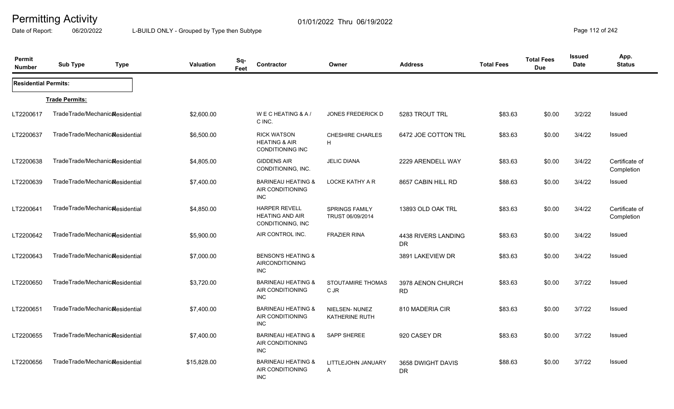Date of Report: 06/20/2022 L-BUILD ONLY - Grouped by Type then Subtype **Page 112** of 242

| Permit<br><b>Number</b>     | Sub Type                                     | <b>Type</b> | Valuation   | Sq-<br>Feet | Contractor                                                                | Owner                                     | <b>Address</b>                   | <b>Total Fees</b> | <b>Total Fees</b><br><b>Due</b> | <b>Issued</b><br><b>Date</b> | App.<br><b>Status</b>        |
|-----------------------------|----------------------------------------------|-------------|-------------|-------------|---------------------------------------------------------------------------|-------------------------------------------|----------------------------------|-------------------|---------------------------------|------------------------------|------------------------------|
| <b>Residential Permits:</b> |                                              |             |             |             |                                                                           |                                           |                                  |                   |                                 |                              |                              |
|                             | <b>Trade Permits:</b>                        |             |             |             |                                                                           |                                           |                                  |                   |                                 |                              |                              |
| LT2200617                   | TradeTrade/Mechanic&esidential               |             | \$2,600.00  |             | WECHEATING & A/<br>C INC.                                                 | <b>JONES FREDERICK D</b>                  | 5283 TROUT TRL                   | \$83.63           | \$0.00                          | 3/2/22                       | Issued                       |
| LT2200637                   | TradeTrade/Mechanic <sub>al</sub> esidential |             | \$6,500.00  |             | <b>RICK WATSON</b><br><b>HEATING &amp; AIR</b><br><b>CONDITIONING INC</b> | CHESHIRE CHARLES<br>H                     | 6472 JOE COTTON TRL              | \$83.63           | \$0.00                          | 3/4/22                       | <b>Issued</b>                |
| LT2200638                   | TradeTrade/Mechanicalesidential              |             | \$4,805.00  |             | <b>GIDDENS AIR</b><br>CONDITIONING, INC.                                  | <b>JELIC DIANA</b>                        | 2229 ARENDELL WAY                | \$83.63           | \$0.00                          | 3/4/22                       | Certificate of<br>Completion |
| LT2200639                   | TradeTrade/Mechanic&esidential               |             | \$7,400.00  |             | <b>BARINEAU HEATING &amp;</b><br>AIR CONDITIONING<br><b>INC</b>           | LOCKE KATHY A R                           | 8657 CABIN HILL RD               | \$88.63           | \$0.00                          | 3/4/22                       | Issued                       |
| LT2200641                   | TradeTrade/Mechanic&esidential               |             | \$4,850.00  |             | <b>HARPER REVELL</b><br><b>HEATING AND AIR</b><br>CONDITIONING, INC       | <b>SPRINGS FAMILY</b><br>TRUST 06/09/2014 | 13893 OLD OAK TRL                | \$83.63           | \$0.00                          | 3/4/22                       | Certificate of<br>Completion |
| LT2200642                   | TradeTrade/Mechanic&esidential               |             | \$5,900.00  |             | AIR CONTROL INC.                                                          | <b>FRAZIER RINA</b>                       | 4438 RIVERS LANDING<br><b>DR</b> | \$83.63           | \$0.00                          | 3/4/22                       | Issued                       |
| LT2200643                   | TradeTrade/Mechanic&esidential               |             | \$7,000.00  |             | <b>BENSON'S HEATING &amp;</b><br>AIRCONDITIONING<br><b>INC</b>            |                                           | 3891 LAKEVIEW DR                 | \$83.63           | \$0.00                          | 3/4/22                       | <b>Issued</b>                |
| LT2200650                   | TradeTrade/Mechanic&esidential               |             | \$3,720.00  |             | <b>BARINEAU HEATING &amp;</b><br>AIR CONDITIONING<br><b>INC</b>           | STOUTAMIRE THOMAS<br>C JR                 | 3978 AENON CHURCH<br><b>RD</b>   | \$83.63           | \$0.00                          | 3/7/22                       | <b>Issued</b>                |
| LT2200651                   | TradeTrade/Mechanic&esidential               |             | \$7,400.00  |             | <b>BARINEAU HEATING &amp;</b><br>AIR CONDITIONING<br><b>INC</b>           | NIELSEN-NUNEZ<br><b>KATHERINE RUTH</b>    | 810 MADERIA CIR                  | \$83.63           | \$0.00                          | 3/7/22                       | Issued                       |
| LT2200655                   | TradeTrade/Mechanic&esidential               |             | \$7,400.00  |             | <b>BARINEAU HEATING &amp;</b><br>AIR CONDITIONING<br><b>INC</b>           | <b>SAPP SHEREE</b>                        | 920 CASEY DR                     | \$83.63           | \$0.00                          | 3/7/22                       | Issued                       |
| LT2200656                   | TradeTrade/Mechanic&esidential               |             | \$15,828.00 |             | <b>BARINEAU HEATING &amp;</b><br>AIR CONDITIONING<br><b>INC</b>           | LITTLEJOHN JANUARY<br>A                   | 3658 DWIGHT DAVIS<br><b>DR</b>   | \$88.63           | \$0.00                          | 3/7/22                       | Issued                       |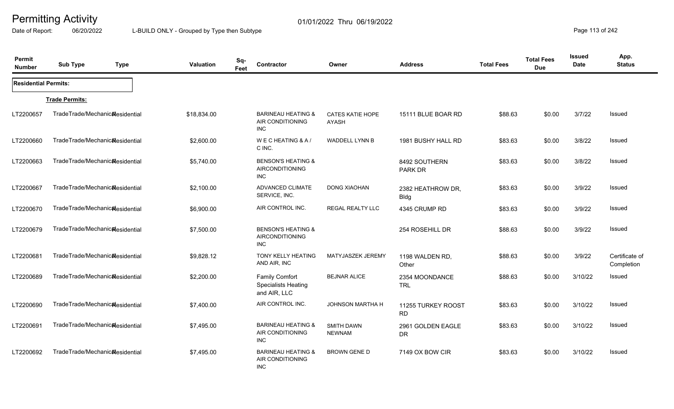Date of Report: 06/20/2022 L-BUILD ONLY - Grouped by Type then Subtype **Page 113** of 242

| Permit<br><b>Number</b>     | <b>Sub Type</b>                              | <b>Type</b> | Valuation   | Sq-<br>Feet | Contractor                                                            | Owner                              | <b>Address</b>                   | <b>Total Fees</b> | <b>Total Fees</b><br><b>Due</b> | <b>Issued</b><br><b>Date</b> | App.<br><b>Status</b>        |
|-----------------------------|----------------------------------------------|-------------|-------------|-------------|-----------------------------------------------------------------------|------------------------------------|----------------------------------|-------------------|---------------------------------|------------------------------|------------------------------|
| <b>Residential Permits:</b> |                                              |             |             |             |                                                                       |                                    |                                  |                   |                                 |                              |                              |
|                             | <b>Trade Permits:</b>                        |             |             |             |                                                                       |                                    |                                  |                   |                                 |                              |                              |
| LT2200657                   | TradeTrade/Mechanic&esidential               |             | \$18,834.00 |             | <b>BARINEAU HEATING &amp;</b><br>AIR CONDITIONING<br><b>INC</b>       | <b>CATES KATIE HOPE</b><br>AYASH   | 15111 BLUE BOAR RD               | \$88.63           | \$0.00                          | 3/7/22                       | <b>Issued</b>                |
| LT2200660                   | TradeTrade/Mechanic&esidential               |             | \$2,600.00  |             | WECHEATING & A/<br>C INC.                                             | <b>WADDELL LYNN B</b>              | 1981 BUSHY HALL RD               | \$83.63           | \$0.00                          | 3/8/22                       | <b>Issued</b>                |
| LT2200663                   | TradeTrade/Mechanic <sub>al</sub> esidential |             | \$5,740.00  |             | <b>BENSON'S HEATING &amp;</b><br><b>AIRCONDITIONING</b><br><b>INC</b> |                                    | 8492 SOUTHERN<br>PARK DR         | \$83.63           | \$0.00                          | 3/8/22                       | <b>Issued</b>                |
| LT2200667                   | TradeTrade/Mechanicalesidential              |             | \$2,100.00  |             | <b>ADVANCED CLIMATE</b><br>SERVICE, INC.                              | <b>DONG XIAOHAN</b>                | 2382 HEATHROW DR,<br><b>Bldg</b> | \$83.63           | \$0.00                          | 3/9/22                       | Issued                       |
| LT2200670                   | TradeTrade/Mechanic&esidential               |             | \$6,900.00  |             | AIR CONTROL INC.                                                      | <b>REGAL REALTY LLC</b>            | 4345 CRUMP RD                    | \$83.63           | \$0.00                          | 3/9/22                       | Issued                       |
| LT2200679                   | TradeTrade/Mechanic&esidential               |             | \$7,500.00  |             | <b>BENSON'S HEATING &amp;</b><br><b>AIRCONDITIONING</b><br><b>INC</b> |                                    | 254 ROSEHILL DR                  | \$88.63           | \$0.00                          | 3/9/22                       | Issued                       |
| LT2200681                   | TradeTrade/Mechanic&esidential               |             | \$9,828.12  |             | <b>TONY KELLY HEATING</b><br>AND AIR, INC                             | MATYJASZEK JEREMY                  | 1198 WALDEN RD,<br>Other         | \$88.63           | \$0.00                          | 3/9/22                       | Certificate of<br>Completion |
| LT2200689                   | TradeTrade/Mechanicalesidential              |             | \$2,200.00  |             | <b>Family Comfort</b><br><b>Specialists Heating</b><br>and AIR, LLC   | <b>BEJNAR ALICE</b>                | 2354 MOONDANCE<br><b>TRL</b>     | \$88.63           | \$0.00                          | 3/10/22                      | Issued                       |
| LT2200690                   | TradeTrade/Mechanicalesidential              |             | \$7,400.00  |             | AIR CONTROL INC.                                                      | <b>JOHNSON MARTHA H</b>            | 11255 TURKEY ROOST<br><b>RD</b>  | \$83.63           | \$0.00                          | 3/10/22                      | Issued                       |
| LT2200691                   | TradeTrade/Mechanic&esidential               |             | \$7,495.00  |             | <b>BARINEAU HEATING &amp;</b><br>AIR CONDITIONING<br><b>INC</b>       | <b>SMITH DAWN</b><br><b>NEWNAM</b> | 2961 GOLDEN EAGLE<br><b>DR</b>   | \$83.63           | \$0.00                          | 3/10/22                      | Issued                       |
| LT2200692                   | TradeTrade/Mechanic&esidential               |             | \$7,495.00  |             | <b>BARINEAU HEATING &amp;</b><br>AIR CONDITIONING<br><b>INC</b>       | BROWN GENE D                       | 7149 OX BOW CIR                  | \$83.63           | \$0.00                          | 3/10/22                      | Issued                       |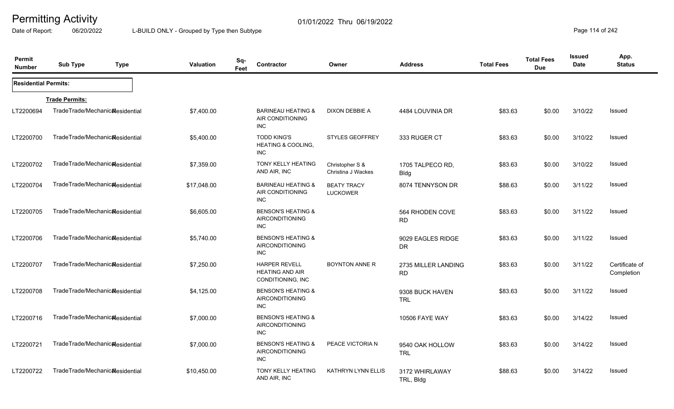Date of Report: 06/20/2022 L-BUILD ONLY - Grouped by Type then Subtype **Page 114** of 242

| Permit<br><b>Number</b>     | <b>Sub Type</b>                              | <b>Type</b> | Valuation   | Sq-<br>Feet | Contractor                                                            | Owner                                 | <b>Address</b>                   | <b>Total Fees</b> | <b>Total Fees</b><br><b>Due</b> | Issued<br>Date | App.<br><b>Status</b>        |
|-----------------------------|----------------------------------------------|-------------|-------------|-------------|-----------------------------------------------------------------------|---------------------------------------|----------------------------------|-------------------|---------------------------------|----------------|------------------------------|
| <b>Residential Permits:</b> |                                              |             |             |             |                                                                       |                                       |                                  |                   |                                 |                |                              |
|                             | <b>Trade Permits:</b>                        |             |             |             |                                                                       |                                       |                                  |                   |                                 |                |                              |
| LT2200694                   | TradeTrade/Mechanic&esidential               |             | \$7,400.00  |             | <b>BARINEAU HEATING &amp;</b><br>AIR CONDITIONING<br><b>INC</b>       | DIXON DEBBIE A                        | 4484 LOUVINIA DR                 | \$83.63           | \$0.00                          | 3/10/22        | Issued                       |
| LT2200700                   | TradeTrade/Mechanic&esidential               |             | \$5,400.00  |             | <b>TODD KING'S</b><br><b>HEATING &amp; COOLING,</b><br><b>INC</b>     | <b>STYLES GEOFFREY</b>                | 333 RUGER CT                     | \$83.63           | \$0.00                          | 3/10/22        | Issued                       |
| LT2200702                   | TradeTrade/Mechanic&esidential               |             | \$7,359.00  |             | <b>TONY KELLY HEATING</b><br>AND AIR, INC                             | Christopher S &<br>Christina J Wackes | 1705 TALPECO RD,<br><b>Bldg</b>  | \$83.63           | \$0.00                          | 3/10/22        | Issued                       |
| LT2200704                   | TradeTrade/Mechanicalesidential              |             | \$17,048.00 |             | <b>BARINEAU HEATING &amp;</b><br>AIR CONDITIONING<br><b>INC</b>       | <b>BEATY TRACY</b><br><b>LUCKOWER</b> | 8074 TENNYSON DR                 | \$88.63           | \$0.00                          | 3/11/22        | Issued                       |
| LT2200705                   | TradeTrade/Mechanicalesidential              |             | \$6,605.00  |             | <b>BENSON'S HEATING &amp;</b><br><b>AIRCONDITIONING</b><br><b>INC</b> |                                       | 564 RHODEN COVE<br><b>RD</b>     | \$83.63           | \$0.00                          | 3/11/22        | Issued                       |
| LT2200706                   | TradeTrade/Mechanicalesidential              |             | \$5,740.00  |             | <b>BENSON'S HEATING &amp;</b><br><b>AIRCONDITIONING</b><br><b>INC</b> |                                       | 9029 EAGLES RIDGE<br><b>DR</b>   | \$83.63           | \$0.00                          | 3/11/22        | Issued                       |
| LT2200707                   | TradeTrade/Mechanic <sub>al</sub> esidential |             | \$7,250.00  |             | <b>HARPER REVELL</b><br><b>HEATING AND AIR</b><br>CONDITIONING, INC   | <b>BOYNTON ANNE R</b>                 | 2735 MILLER LANDING<br><b>RD</b> | \$83.63           | \$0.00                          | 3/11/22        | Certificate of<br>Completion |
| LT2200708                   | TradeTrade/Mechanic <sub>al</sub> esidential |             | \$4,125.00  |             | <b>BENSON'S HEATING &amp;</b><br><b>AIRCONDITIONING</b><br><b>INC</b> |                                       | 9308 BUCK HAVEN<br><b>TRL</b>    | \$83.63           | \$0.00                          | 3/11/22        | Issued                       |
| LT2200716                   | TradeTrade/Mechanic <sub>al</sub> esidential |             | \$7,000.00  |             | <b>BENSON'S HEATING &amp;</b><br><b>AIRCONDITIONING</b><br><b>INC</b> |                                       | <b>10506 FAYE WAY</b>            | \$83.63           | \$0.00                          | 3/14/22        | Issued                       |
| LT2200721                   | TradeTrade/Mechanic <sub>al</sub> esidential |             | \$7,000.00  |             | <b>BENSON'S HEATING &amp;</b><br><b>AIRCONDITIONING</b><br><b>INC</b> | PEACE VICTORIA N                      | 9540 OAK HOLLOW<br><b>TRL</b>    | \$83.63           | \$0.00                          | 3/14/22        | Issued                       |
| LT2200722                   | TradeTrade/Mechanic <sub>al</sub> esidential |             | \$10,450.00 |             | <b>TONY KELLY HEATING</b><br>AND AIR, INC                             | <b>KATHRYN LYNN ELLIS</b>             | 3172 WHIRLAWAY<br>TRL, Bldg      | \$88.63           | \$0.00                          | 3/14/22        | Issued                       |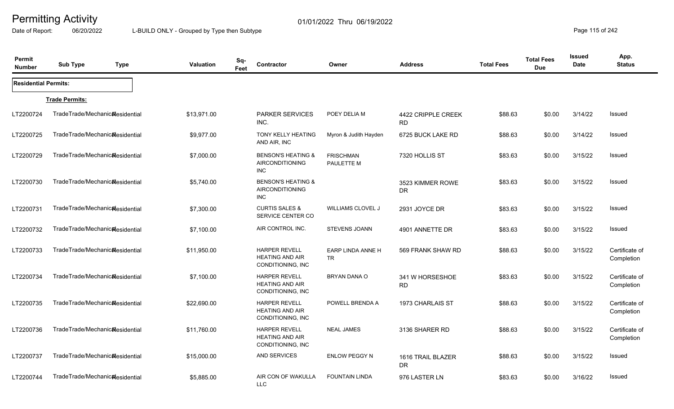Date of Report: 06/20/2022 L-BUILD ONLY - Grouped by Type then Subtype **Page 115** of 242

| Permit<br><b>Number</b>     | <b>Sub Type</b>                 | <b>Type</b> | <b>Valuation</b> | Sq-<br>Feet | <b>Contractor</b>                                                     | Owner                          | <b>Address</b>                  | <b>Total Fees</b> | <b>Total Fees</b><br><b>Due</b> | Issued<br><b>Date</b> | App.<br><b>Status</b>        |
|-----------------------------|---------------------------------|-------------|------------------|-------------|-----------------------------------------------------------------------|--------------------------------|---------------------------------|-------------------|---------------------------------|-----------------------|------------------------------|
| <b>Residential Permits:</b> |                                 |             |                  |             |                                                                       |                                |                                 |                   |                                 |                       |                              |
|                             | <b>Trade Permits:</b>           |             |                  |             |                                                                       |                                |                                 |                   |                                 |                       |                              |
| LT2200724                   | TradeTrade/Mechanic&esidential  |             | \$13,971.00      |             | PARKER SERVICES<br>INC.                                               | POEY DELIA M                   | 4422 CRIPPLE CREEK<br><b>RD</b> | \$88.63           | \$0.00                          | 3/14/22               | Issued                       |
| LT2200725                   | TradeTrade/Mechanicalesidential |             | \$9,977.00       |             | <b>TONY KELLY HEATING</b><br>AND AIR, INC                             | Myron & Judith Hayden          | 6725 BUCK LAKE RD               | \$88.63           | \$0.00                          | 3/14/22               | Issued                       |
| LT2200729                   | TradeTrade/Mechanic&esidential  |             | \$7,000.00       |             | <b>BENSON'S HEATING &amp;</b><br><b>AIRCONDITIONING</b><br><b>INC</b> | <b>FRISCHMAN</b><br>PAULETTE M | 7320 HOLLIS ST                  | \$83.63           | \$0.00                          | 3/15/22               | Issued                       |
| LT2200730                   | TradeTrade/Mechanic&esidential  |             | \$5,740.00       |             | <b>BENSON'S HEATING &amp;</b><br><b>AIRCONDITIONING</b><br><b>INC</b> |                                | 3523 KIMMER ROWE<br>DR.         | \$83.63           | \$0.00                          | 3/15/22               | Issued                       |
| LT2200731                   | TradeTrade/Mechanic&esidential  |             | \$7,300.00       |             | <b>CURTIS SALES &amp;</b><br>SERVICE CENTER CO                        | <b>WILLIAMS CLOVEL J</b>       | 2931 JOYCE DR                   | \$83.63           | \$0.00                          | 3/15/22               | Issued                       |
| LT2200732                   | TradeTrade/Mechanic&esidential  |             | \$7,100.00       |             | AIR CONTROL INC.                                                      | <b>STEVENS JOANN</b>           | 4901 ANNETTE DR                 | \$83.63           | \$0.00                          | 3/15/22               | Issued                       |
| LT2200733                   | TradeTrade/Mechanicalesidential |             | \$11,950.00      |             | <b>HARPER REVELL</b><br><b>HEATING AND AIR</b><br>CONDITIONING, INC   | EARP LINDA ANNE H<br>TR        | 569 FRANK SHAW RD               | \$88.63           | \$0.00                          | 3/15/22               | Certificate of<br>Completion |
| LT2200734                   | TradeTrade/Mechanicalesidential |             | \$7,100.00       |             | <b>HARPER REVELL</b><br><b>HEATING AND AIR</b><br>CONDITIONING, INC   | BRYAN DANA O                   | 341 W HORSESHOE<br><b>RD</b>    | \$83.63           | \$0.00                          | 3/15/22               | Certificate of<br>Completion |
| LT2200735                   | TradeTrade/Mechanicalesidential |             | \$22,690.00      |             | <b>HARPER REVELL</b><br><b>HEATING AND AIR</b><br>CONDITIONING, INC   | POWELL BRENDA A                | 1973 CHARLAIS ST                | \$88.63           | \$0.00                          | 3/15/22               | Certificate of<br>Completion |
| LT2200736                   | TradeTrade/Mechanicalesidential |             | \$11,760.00      |             | <b>HARPER REVELL</b><br><b>HEATING AND AIR</b><br>CONDITIONING, INC   | <b>NEAL JAMES</b>              | 3136 SHARER RD                  | \$88.63           | \$0.00                          | 3/15/22               | Certificate of<br>Completion |
| LT2200737                   | TradeTrade/Mechanicalesidential |             | \$15,000.00      |             | AND SERVICES                                                          | <b>ENLOW PEGGY N</b>           | 1616 TRAIL BLAZER<br>DR         | \$88.63           | \$0.00                          | 3/15/22               | Issued                       |
| LT2200744                   | TradeTrade/Mechanic&esidential  |             | \$5,885.00       |             | AIR CON OF WAKULLA<br><b>LLC</b>                                      | <b>FOUNTAIN LINDA</b>          | 976 LASTER LN                   | \$83.63           | \$0.00                          | 3/16/22               | Issued                       |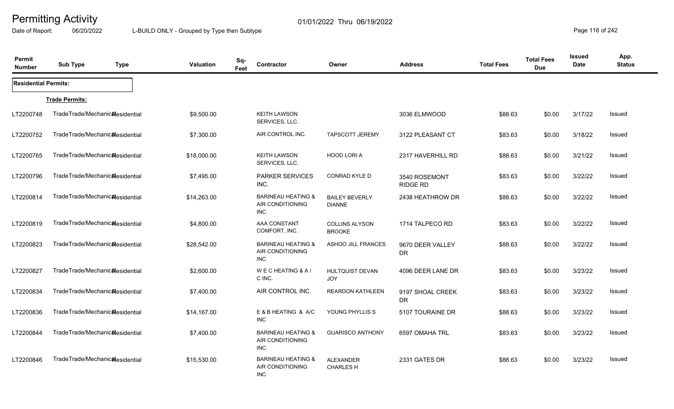Date of Report: 06/20/2022 L-BUILD ONLY - Grouped by Type then Subtype **Page 116** of 242

| Permit<br><b>Number</b>     | <b>Sub Type</b>                              | <b>Type</b> | Valuation   | Sq-<br>Feet | Contractor                                                      | Owner                                  | <b>Address</b>                | <b>Total Fees</b> | <b>Total Fees</b><br><b>Due</b> | <b>Issued</b><br>Date | App.<br><b>Status</b> |
|-----------------------------|----------------------------------------------|-------------|-------------|-------------|-----------------------------------------------------------------|----------------------------------------|-------------------------------|-------------------|---------------------------------|-----------------------|-----------------------|
| <b>Residential Permits:</b> |                                              |             |             |             |                                                                 |                                        |                               |                   |                                 |                       |                       |
|                             | <b>Trade Permits:</b>                        |             |             |             |                                                                 |                                        |                               |                   |                                 |                       |                       |
| LT2200748                   | TradeTrade/Mechanic&esidential               |             | \$9,500.00  |             | <b>KEITH LAWSON</b><br>SERVICES, LLC.                           |                                        | 3036 ELMWOOD                  | \$88.63           | \$0.00                          | 3/17/22               | Issued                |
| LT2200752                   | TradeTrade/Mechanic <sub>al</sub> esidential |             | \$7,300.00  |             | AIR CONTROL INC.                                                | <b>TAPSCOTT JEREMY</b>                 | 3122 PLEASANT CT              | \$83.63           | \$0.00                          | 3/18/22               | Issued                |
| LT2200765                   | TradeTrade/Mechanic&esidential               |             | \$18,000.00 |             | <b>KEITH LAWSON</b><br>SERVICES, LLC.                           | HOOD LORI A                            | 2317 HAVERHILL RD             | \$88.63           | \$0.00                          | 3/21/22               | Issued                |
| LT2200796                   | TradeTrade/Mechanic&esidential               |             | \$7,495.00  |             | <b>PARKER SERVICES</b><br>INC.                                  | <b>CONRAD KYLE D</b>                   | 3540 ROSEMONT<br>RIDGE RD     | \$83.63           | \$0.00                          | 3/22/22               | Issued                |
| LT2200814                   | TradeTrade/Mechanic <sub>al</sub> esidential |             | \$14,263.00 |             | <b>BARINEAU HEATING &amp;</b><br>AIR CONDITIONING<br><b>INC</b> | <b>BAILEY BEVERLY</b><br><b>DIANNE</b> | 2438 HEATHROW DR              | \$88.63           | \$0.00                          | 3/22/22               | <b>Issued</b>         |
| LT2200819                   | TradeTrade/Mechanic <sub>al</sub> esidential |             | \$4,800.00  |             | AAA CONSTANT<br>COMFORT, INC.                                   | <b>COLLINS ALYSON</b><br><b>BROOKE</b> | 1714 TALPECO RD               | \$83.63           | \$0.00                          | 3/22/22               | Issued                |
| LT2200823                   | TradeTrade/Mechanic&esidential               |             | \$28,542.00 |             | <b>BARINEAU HEATING &amp;</b><br>AIR CONDITIONING<br><b>INC</b> | ASHOO JILL FRANCES                     | 9670 DEER VALLEY<br><b>DR</b> | \$88.63           | \$0.00                          | 3/22/22               | Issued                |
| LT2200827                   | TradeTrade/Mechanic&esidential               |             | \$2,600.00  |             | WECHEATING & A/<br>C INC.                                       | HULTQUIST DEVAN<br><b>JOY</b>          | 4096 DEER LANE DR             | \$83.63           | \$0.00                          | 3/23/22               | Issued                |
| LT2200834                   | TradeTrade/Mechanic&esidential               |             | \$7,400.00  |             | AIR CONTROL INC.                                                | <b>REARDON KATHLEEN</b>                | 9197 SHOAL CREEK<br>DR.       | \$83.63           | \$0.00                          | 3/23/22               | Issued                |
| LT2200836                   | TradeTrade/Mechanic <sub>al</sub> esidential |             | \$14,167.00 |             | E & B HEATING & A/C<br><b>INC</b>                               | YOUNG PHYLLIS S                        | 5107 TOURAINE DR              | \$88.63           | \$0.00                          | 3/23/22               | Issued                |
| LT2200844                   | TradeTrade/Mechanic&esidential               |             | \$7,400.00  |             | <b>BARINEAU HEATING &amp;</b><br>AIR CONDITIONING<br><b>INC</b> | <b>GUARISCO ANTHONY</b>                | 6597 OMAHA TRL                | \$83.63           | \$0.00                          | 3/23/22               | Issued                |
| LT2200846                   | TradeTrade/Mechanic&esidential               |             | \$15,530.00 |             | <b>BARINEAU HEATING &amp;</b><br>AIR CONDITIONING<br><b>INC</b> | <b>ALEXANDER</b><br><b>CHARLES H</b>   | 2331 GATES DR                 | \$88.63           | \$0.00                          | 3/23/22               | Issued                |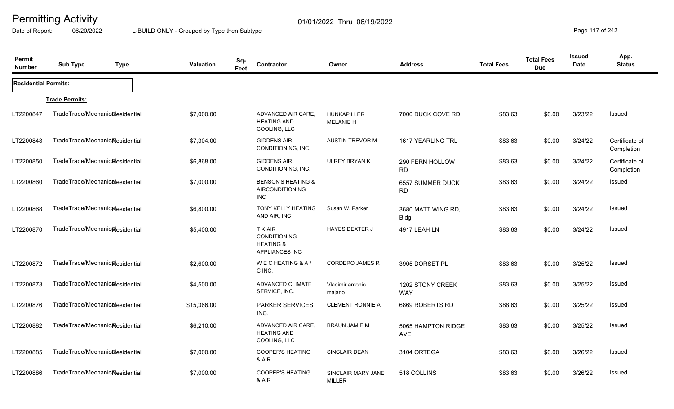Date of Report: 06/20/2022 L-BUILD ONLY - Grouped by Type then Subtype **Page 117** of 242

| Permit<br><b>Number</b>     | <b>Sub Type</b>                              | <b>Type</b> | <b>Valuation</b> | Sq-<br>Contractor<br>Feet                                                       | Owner                                  | <b>Address</b>                       | <b>Total Fees</b> | <b>Total Fees</b><br><b>Due</b> | Issued<br>Date | App.<br><b>Status</b>        |
|-----------------------------|----------------------------------------------|-------------|------------------|---------------------------------------------------------------------------------|----------------------------------------|--------------------------------------|-------------------|---------------------------------|----------------|------------------------------|
| <b>Residential Permits:</b> |                                              |             |                  |                                                                                 |                                        |                                      |                   |                                 |                |                              |
|                             | <b>Trade Permits:</b>                        |             |                  |                                                                                 |                                        |                                      |                   |                                 |                |                              |
| LT2200847                   | TradeTrade/Mechanic&esidential               |             | \$7,000.00       | ADVANCED AIR CARE,<br><b>HEATING AND</b><br>COOLING, LLC                        | <b>HUNKAPILLER</b><br><b>MELANIE H</b> | 7000 DUCK COVE RD                    | \$83.63           | \$0.00                          | 3/23/22        | Issued                       |
| LT2200848                   | TradeTrade/Mechanic&esidential               |             | \$7,304.00       | <b>GIDDENS AIR</b><br>CONDITIONING, INC.                                        | <b>AUSTIN TREVOR M</b>                 | 1617 YEARLING TRL                    | \$83.63           | \$0.00                          | 3/24/22        | Certificate of<br>Completion |
| LT2200850                   | TradeTrade/Mechanic <sub>al</sub> esidential |             | \$6,868.00       | <b>GIDDENS AIR</b><br>CONDITIONING, INC.                                        | ULREY BRYAN K                          | 290 FERN HOLLOW<br><b>RD</b>         | \$83.63           | \$0.00                          | 3/24/22        | Certificate of<br>Completion |
| LT2200860                   | TradeTrade/Mechanic&esidential               |             | \$7,000.00       | <b>BENSON'S HEATING &amp;</b><br><b>AIRCONDITIONING</b><br>INC                  |                                        | <b>6557 SUMMER DUCK</b><br><b>RD</b> | \$83.63           | \$0.00                          | 3/24/22        | Issued                       |
| LT2200868                   | TradeTrade/Mechanic&esidential               |             | \$6,800.00       | <b>TONY KELLY HEATING</b><br>AND AIR, INC                                       | Susan W. Parker                        | 3680 MATT WING RD,<br><b>Bldg</b>    | \$83.63           | \$0.00                          | 3/24/22        | Issued                       |
| LT2200870                   | TradeTrade/Mechanic&esidential               |             | \$5,400.00       | T K AIR<br><b>CONDITIONING</b><br><b>HEATING &amp;</b><br><b>APPLIANCES INC</b> | <b>HAYES DEXTER J</b>                  | 4917 LEAH LN                         | \$83.63           | \$0.00                          | 3/24/22        | Issued                       |
| LT2200872                   | TradeTrade/Mechanic&esidential               |             | \$2,600.00       | WECHEATING & A/<br>C INC.                                                       | <b>CORDERO JAMES R</b>                 | 3905 DORSET PL                       | \$83.63           | \$0.00                          | 3/25/22        | Issued                       |
| LT2200873                   | TradeTrade/Mechanicalesidential              |             | \$4,500.00       | <b>ADVANCED CLIMATE</b><br>SERVICE, INC.                                        | Vladimir antonio<br>majano             | 1202 STONY CREEK<br><b>WAY</b>       | \$83.63           | \$0.00                          | 3/25/22        | Issued                       |
| LT2200876                   | TradeTrade/Mechanic&esidential               |             | \$15,366.00      | <b>PARKER SERVICES</b><br>INC.                                                  | <b>CLEMENT RONNIE A</b>                | 6869 ROBERTS RD                      | \$88.63           | \$0.00                          | 3/25/22        | Issued                       |
| LT2200882                   | TradeTrade/Mechanic&esidential               |             | \$6,210.00       | ADVANCED AIR CARE,<br><b>HEATING AND</b><br>COOLING, LLC                        | <b>BRAUN JAMIE M</b>                   | 5065 HAMPTON RIDGE<br>AVE            | \$83.63           | \$0.00                          | 3/25/22        | Issued                       |
| LT2200885                   | TradeTrade/Mechanic&esidential               |             | \$7,000.00       | <b>COOPER'S HEATING</b><br>& AIR                                                | <b>SINCLAIR DEAN</b>                   | 3104 ORTEGA                          | \$83.63           | \$0.00                          | 3/26/22        | Issued                       |
| LT2200886                   | TradeTrade/Mechanicalesidential              |             | \$7,000.00       | <b>COOPER'S HEATING</b><br>& AIR                                                | SINCLAIR MARY JANE<br><b>MILLER</b>    | 518 COLLINS                          | \$83.63           | \$0.00                          | 3/26/22        | Issued                       |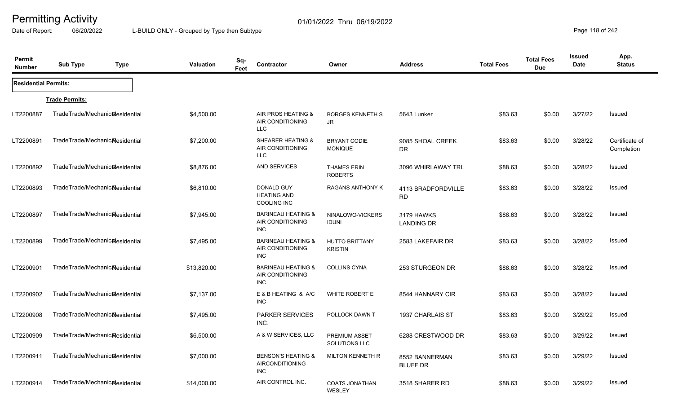Date of Report: 06/20/2022 L-BUILD ONLY - Grouped by Type then Subtype **Page 118** of 242

| Permit<br><b>Number</b>     | <b>Sub Type</b><br><b>Type</b>               | <b>Valuation</b> | Sq-<br>Feet | Contractor                                                      | Owner                                   | <b>Address</b>                    | <b>Total Fees</b> | <b>Total Fees</b><br><b>Due</b> | <b>Issued</b><br>Date | App.<br><b>Status</b>        |
|-----------------------------|----------------------------------------------|------------------|-------------|-----------------------------------------------------------------|-----------------------------------------|-----------------------------------|-------------------|---------------------------------|-----------------------|------------------------------|
| <b>Residential Permits:</b> |                                              |                  |             |                                                                 |                                         |                                   |                   |                                 |                       |                              |
|                             | <b>Trade Permits:</b>                        |                  |             |                                                                 |                                         |                                   |                   |                                 |                       |                              |
| LT2200887                   | TradeTrade/Mechanic&esidential               | \$4,500.00       |             | AIR PROS HEATING &<br>AIR CONDITIONING<br>LLC                   | <b>BORGES KENNETH S</b><br>JR.          | 5643 Lunker                       | \$83.63           | \$0.00                          | 3/27/22               | Issued                       |
| LT2200891                   | TradeTrade/Mechanic&esidential               | \$7,200.00       |             | <b>SHEARER HEATING &amp;</b><br>AIR CONDITIONING<br><b>LLC</b>  | <b>BRYANT CODIE</b><br><b>MONIQUE</b>   | 9085 SHOAL CREEK<br>DR            | \$83.63           | \$0.00                          | 3/28/22               | Certificate of<br>Completion |
| LT2200892                   | TradeTrade/Mechanicalesidential              | \$8,876.00       |             | <b>AND SERVICES</b>                                             | <b>THAMES ERIN</b><br><b>ROBERTS</b>    | 3096 WHIRLAWAY TRL                | \$88.63           | \$0.00                          | 3/28/22               | <b>Issued</b>                |
| LT2200893                   | TradeTrade/Mechanicalesidential              | \$6,810.00       |             | DONALD GUY<br><b>HEATING AND</b><br>COOLING INC                 | <b>RAGANS ANTHONY K</b>                 | 4113 BRADFORDVILLE<br><b>RD</b>   | \$83.63           | \$0.00                          | 3/28/22               | Issued                       |
| LT2200897                   | TradeTrade/Mechanicalesidential              | \$7,945.00       |             | <b>BARINEAU HEATING &amp;</b><br>AIR CONDITIONING<br>INC.       | NINALOWO-VICKERS<br><b>IDUNI</b>        | 3179 HAWKS<br><b>LANDING DR</b>   | \$88.63           | \$0.00                          | 3/28/22               | Issued                       |
| LT2200899                   | TradeTrade/Mechanicalesidential              | \$7,495.00       |             | <b>BARINEAU HEATING &amp;</b><br>AIR CONDITIONING<br><b>INC</b> | <b>HUTTO BRITTANY</b><br><b>KRISTIN</b> | 2583 LAKEFAIR DR                  | \$83.63           | \$0.00                          | 3/28/22               | Issued                       |
| LT2200901                   | TradeTrade/Mechanic <sub>al</sub> esidential | \$13,820.00      |             | <b>BARINEAU HEATING &amp;</b><br>AIR CONDITIONING<br><b>INC</b> | <b>COLLINS CYNA</b>                     | 253 STURGEON DR                   | \$88.63           | \$0.00                          | 3/28/22               | Issued                       |
| LT2200902                   | TradeTrade/Mechanicalesidential              | \$7,137.00       |             | E & B HEATING & A/C<br><b>INC</b>                               | WHITE ROBERT E                          | 8544 HANNARY CIR                  | \$83.63           | \$0.00                          | 3/28/22               | Issued                       |
| LT2200908                   | TradeTrade/Mechanic&esidential               | \$7,495.00       |             | PARKER SERVICES<br>INC.                                         | POLLOCK DAWN T                          | 1937 CHARLAIS ST                  | \$83.63           | \$0.00                          | 3/29/22               | Issued                       |
| LT2200909                   | TradeTrade/Mechanic&esidential               | \$6,500.00       |             | A & W SERVICES, LLC                                             | <b>PREMIUM ASSET</b><br>SOLUTIONS LLC   | 6288 CRESTWOOD DR                 | \$83.63           | \$0.00                          | 3/29/22               | <b>Issued</b>                |
| LT2200911                   | TradeTrade/Mechanic <sub>al</sub> esidential | \$7,000.00       |             | <b>BENSON'S HEATING &amp;</b><br>AIRCONDITIONING<br><b>INC</b>  | <b>MILTON KENNETH R</b>                 | 8552 BANNERMAN<br><b>BLUFF DR</b> | \$83.63           | \$0.00                          | 3/29/22               | <b>Issued</b>                |
| LT2200914                   | TradeTrade/Mechanic <sub>al</sub> esidential | \$14,000.00      |             | AIR CONTROL INC.                                                | <b>COATS JONATHAN</b><br><b>WESLEY</b>  | 3518 SHARER RD                    | \$88.63           | \$0.00                          | 3/29/22               | <b>Issued</b>                |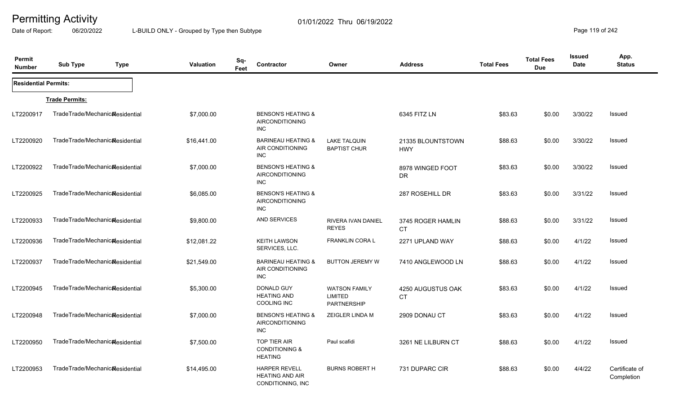Date of Report: 06/20/2022 L-BUILD ONLY - Grouped by Type then Subtype **Page 119** of 242

| Permit<br><b>Number</b>     | <b>Sub Type</b>                              | <b>Type</b> | <b>Valuation</b> | Sq-<br>Feet | <b>Contractor</b>                                                     | Owner                                                        | <b>Address</b>                  | <b>Total Fees</b> | <b>Total Fees</b><br><b>Due</b> | Issued<br><b>Date</b> | App.<br><b>Status</b>        |
|-----------------------------|----------------------------------------------|-------------|------------------|-------------|-----------------------------------------------------------------------|--------------------------------------------------------------|---------------------------------|-------------------|---------------------------------|-----------------------|------------------------------|
| <b>Residential Permits:</b> |                                              |             |                  |             |                                                                       |                                                              |                                 |                   |                                 |                       |                              |
|                             | <b>Trade Permits:</b>                        |             |                  |             |                                                                       |                                                              |                                 |                   |                                 |                       |                              |
| LT2200917                   | TradeTrade/Mechanic&esidential               |             | \$7,000.00       |             | <b>BENSON'S HEATING &amp;</b><br><b>AIRCONDITIONING</b><br>INC.       |                                                              | 6345 FITZ LN                    | \$83.63           | \$0.00                          | 3/30/22               | Issued                       |
| LT2200920                   | TradeTrade/Mechanic&esidential               |             | \$16,441.00      |             | <b>BARINEAU HEATING &amp;</b><br>AIR CONDITIONING<br><b>INC</b>       | <b>LAKE TALQUIN</b><br><b>BAPTIST CHUR</b>                   | 21335 BLOUNTSTOWN<br><b>HWY</b> | \$88.63           | \$0.00                          | 3/30/22               | <b>Issued</b>                |
| LT2200922                   | TradeTrade/Mechanic&esidential               |             | \$7,000.00       |             | <b>BENSON'S HEATING &amp;</b><br><b>AIRCONDITIONING</b><br><b>INC</b> |                                                              | 8978 WINGED FOOT<br><b>DR</b>   | \$83.63           | \$0.00                          | 3/30/22               | Issued                       |
| LT2200925                   | TradeTrade/Mechanic&esidential               |             | \$6,085.00       |             | <b>BENSON'S HEATING &amp;</b><br><b>AIRCONDITIONING</b><br><b>INC</b> |                                                              | 287 ROSEHILL DR                 | \$83.63           | \$0.00                          | 3/31/22               | Issued                       |
| LT2200933                   | TradeTrade/Mechanic&esidential               |             | \$9,800.00       |             | <b>AND SERVICES</b>                                                   | RIVERA IVAN DANIEL<br><b>REYES</b>                           | 3745 ROGER HAMLIN<br><b>CT</b>  | \$88.63           | \$0.00                          | 3/31/22               | <b>Issued</b>                |
| LT2200936                   | TradeTrade/Mechanic <sub>al</sub> esidential |             | \$12,081.22      |             | <b>KEITH LAWSON</b><br>SERVICES, LLC.                                 | FRANKLIN CORA L                                              | 2271 UPLAND WAY                 | \$88.63           | \$0.00                          | 4/1/22                | Issued                       |
| LT2200937                   | TradeTrade/Mechanic&esidential               |             | \$21,549.00      |             | <b>BARINEAU HEATING &amp;</b><br>AIR CONDITIONING<br><b>INC</b>       | <b>BUTTON JEREMY W</b>                                       | 7410 ANGLEWOOD LN               | \$88.63           | \$0.00                          | 4/1/22                | <b>Issued</b>                |
| LT2200945                   | TradeTrade/Mechanic&esidential               |             | \$5,300.00       |             | DONALD GUY<br><b>HEATING AND</b><br>COOLING INC                       | <b>WATSON FAMILY</b><br><b>LIMITED</b><br><b>PARTNERSHIP</b> | 4250 AUGUSTUS OAK<br><b>CT</b>  | \$83.63           | \$0.00                          | 4/1/22                | Issued                       |
| LT2200948                   | TradeTrade/Mechanic <sub>al</sub> esidential |             | \$7,000.00       |             | <b>BENSON'S HEATING &amp;</b><br><b>AIRCONDITIONING</b><br><b>INC</b> | ZEIGLER LINDA M                                              | 2909 DONAU CT                   | \$83.63           | \$0.00                          | 4/1/22                | Issued                       |
| LT2200950                   | TradeTrade/Mechanic <sub>al</sub> esidential |             | \$7,500.00       |             | <b>TOP TIER AIR</b><br><b>CONDITIONING &amp;</b><br><b>HEATING</b>    | Paul scafidi                                                 | 3261 NE LILBURN CT              | \$88.63           | \$0.00                          | 4/1/22                | Issued                       |
| LT2200953                   | TradeTrade/Mechanic <sub>al</sub> esidential |             | \$14,495.00      |             | <b>HARPER REVELL</b><br><b>HEATING AND AIR</b><br>CONDITIONING, INC   | <b>BURNS ROBERT H</b>                                        | 731 DUPARC CIR                  | \$88.63           | \$0.00                          | 4/4/22                | Certificate of<br>Completion |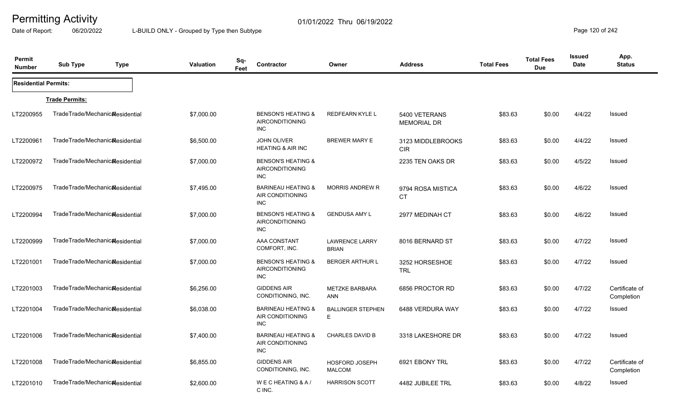Date of Report: 06/20/2022 L-BUILD ONLY - Grouped by Type then Subtype **Page 120** of 242

| Permit<br><b>Number</b>     | <b>Sub Type</b>                 | <b>Type</b> | <b>Valuation</b> | Sq-<br>Feet | <b>Contractor</b>                                                     | Owner                                  | <b>Address</b>                      | <b>Total Fees</b> | <b>Total Fees</b><br><b>Due</b> | <b>Issued</b><br><b>Date</b> | App.<br><b>Status</b>        |
|-----------------------------|---------------------------------|-------------|------------------|-------------|-----------------------------------------------------------------------|----------------------------------------|-------------------------------------|-------------------|---------------------------------|------------------------------|------------------------------|
| <b>Residential Permits:</b> |                                 |             |                  |             |                                                                       |                                        |                                     |                   |                                 |                              |                              |
|                             | <b>Trade Permits:</b>           |             |                  |             |                                                                       |                                        |                                     |                   |                                 |                              |                              |
| LT2200955                   | TradeTrade/Mechanic&esidential  |             | \$7,000.00       |             | <b>BENSON'S HEATING &amp;</b><br><b>AIRCONDITIONING</b><br><b>INC</b> | <b>REDFEARN KYLE L</b>                 | 5400 VETERANS<br><b>MEMORIAL DR</b> | \$83.63           | \$0.00                          | 4/4/22                       | Issued                       |
| LT2200961                   | TradeTrade/Mechanic&esidential  |             | \$6,500.00       |             | <b>JOHN OLIVER</b><br>HEATING & AIR INC                               | <b>BREWER MARY E</b>                   | 3123 MIDDLEBROOKS<br><b>CIR</b>     | \$83.63           | \$0.00                          | 4/4/22                       | Issued                       |
| LT2200972                   | TradeTrade/Mechanicalesidential |             | \$7,000.00       |             | <b>BENSON'S HEATING &amp;</b><br><b>AIRCONDITIONING</b><br><b>INC</b> |                                        | 2235 TEN OAKS DR                    | \$83.63           | \$0.00                          | 4/5/22                       | Issued                       |
| LT2200975                   | TradeTrade/Mechanicalesidential |             | \$7,495.00       |             | <b>BARINEAU HEATING &amp;</b><br>AIR CONDITIONING<br><b>INC</b>       | <b>MORRIS ANDREW R</b>                 | 9794 ROSA MISTICA<br><b>CT</b>      | \$83.63           | \$0.00                          | 4/6/22                       | Issued                       |
| LT2200994                   | TradeTrade/Mechanicalesidential |             | \$7,000.00       |             | <b>BENSON'S HEATING &amp;</b><br><b>AIRCONDITIONING</b><br><b>INC</b> | <b>GENDUSA AMY L</b>                   | 2977 MEDINAH CT                     | \$83.63           | \$0.00                          | 4/6/22                       | Issued                       |
| LT2200999                   | TradeTrade/Mechanicalesidential |             | \$7,000.00       |             | AAA CONSTANT<br>COMFORT, INC.                                         | <b>LAWRENCE LARRY</b><br><b>BRIAN</b>  | 8016 BERNARD ST                     | \$83.63           | \$0.00                          | 4/7/22                       | Issued                       |
| LT2201001                   | TradeTrade/Mechanic&esidential  |             | \$7,000.00       |             | <b>BENSON'S HEATING &amp;</b><br><b>AIRCONDITIONING</b><br><b>INC</b> | <b>BERGER ARTHUR L</b>                 | 3252 HORSESHOE<br><b>TRL</b>        | \$83.63           | \$0.00                          | 4/7/22                       | Issued                       |
| LT2201003                   | TradeTrade/Mechanic&esidential  |             | \$6,256.00       |             | <b>GIDDENS AIR</b><br>CONDITIONING, INC.                              | METZKE BARBARA<br><b>ANN</b>           | 6856 PROCTOR RD                     | \$83.63           | \$0.00                          | 4/7/22                       | Certificate of<br>Completion |
| LT2201004                   | TradeTrade/Mechanicalesidential |             | \$6,038.00       |             | <b>BARINEAU HEATING &amp;</b><br>AIR CONDITIONING<br><b>INC</b>       | <b>BALLINGER STEPHEN</b><br>E          | 6488 VERDURA WAY                    | \$83.63           | \$0.00                          | 4/7/22                       | Issued                       |
| LT2201006                   | TradeTrade/Mechanic&esidential  |             | \$7,400.00       |             | <b>BARINEAU HEATING &amp;</b><br>AIR CONDITIONING<br><b>INC</b>       | <b>CHARLES DAVID B</b>                 | 3318 LAKESHORE DR                   | \$83.63           | \$0.00                          | 4/7/22                       | Issued                       |
| LT2201008                   | TradeTrade/Mechanic&esidential  |             | \$6,855.00       |             | <b>GIDDENS AIR</b><br>CONDITIONING, INC.                              | <b>HOSFORD JOSEPH</b><br><b>MALCOM</b> | 6921 EBONY TRL                      | \$83.63           | \$0.00                          | 4/7/22                       | Certificate of<br>Completion |
| LT2201010                   | TradeTrade/Mechanicalesidential |             | \$2,600.00       |             | WECHEATING & A/<br>C INC.                                             | <b>HARRISON SCOTT</b>                  | 4482 JUBILEE TRL                    | \$83.63           | \$0.00                          | 4/8/22                       | <b>Issued</b>                |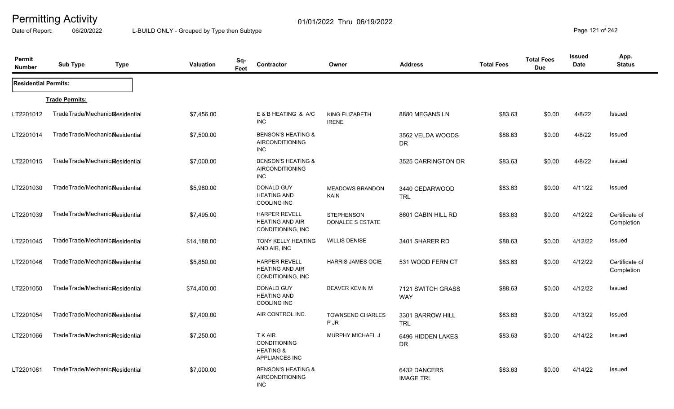Date of Report: 06/20/2022 L-BUILD ONLY - Grouped by Type then Subtype **Page 121** of 242

| Permit<br><b>Number</b>     | <b>Sub Type</b>                              | <b>Type</b> | <b>Valuation</b> | Sq-<br>Feet | Contractor                                                                      | Owner                                 | <b>Address</b>                   | <b>Total Fees</b> | <b>Total Fees</b><br><b>Due</b> | <b>Issued</b><br><b>Date</b> | App.<br><b>Status</b>        |
|-----------------------------|----------------------------------------------|-------------|------------------|-------------|---------------------------------------------------------------------------------|---------------------------------------|----------------------------------|-------------------|---------------------------------|------------------------------|------------------------------|
| <b>Residential Permits:</b> |                                              |             |                  |             |                                                                                 |                                       |                                  |                   |                                 |                              |                              |
|                             | <b>Trade Permits:</b>                        |             |                  |             |                                                                                 |                                       |                                  |                   |                                 |                              |                              |
| LT2201012                   | TradeTrade/Mechanic&esidential               |             | \$7,456.00       |             | E & B HEATING & A/C<br><b>INC</b>                                               | KING ELIZABETH<br><b>IRENE</b>        | 8880 MEGANS LN                   | \$83.63           | \$0.00                          | 4/8/22                       | Issued                       |
| LT2201014                   | TradeTrade/Mechanic <sub>al</sub> esidential |             | \$7,500.00       |             | <b>BENSON'S HEATING &amp;</b><br>AIRCONDITIONING<br><b>INC</b>                  |                                       | 3562 VELDA WOODS<br>DR.          | \$88.63           | \$0.00                          | 4/8/22                       | Issued                       |
| LT2201015                   | TradeTrade/Mechanicalesidential              |             | \$7,000.00       |             | <b>BENSON'S HEATING &amp;</b><br><b>AIRCONDITIONING</b><br><b>INC</b>           |                                       | 3525 CARRINGTON DR               | \$83.63           | \$0.00                          | 4/8/22                       | Issued                       |
| LT2201030                   | TradeTrade/Mechanic <sub>al</sub> esidential |             | \$5,980.00       |             | <b>DONALD GUY</b><br><b>HEATING AND</b><br>COOLING INC                          | <b>MEADOWS BRANDON</b><br>KAIN        | 3440 CEDARWOOD<br><b>TRL</b>     | \$83.63           | \$0.00                          | 4/11/22                      | Issued                       |
| LT2201039                   | TradeTrade/Mechanic <sub>al</sub> esidential |             | \$7,495.00       |             | <b>HARPER REVELL</b><br><b>HEATING AND AIR</b><br>CONDITIONING, INC             | <b>STEPHENSON</b><br>DONALEE S ESTATE | 8601 CABIN HILL RD               | \$83.63           | \$0.00                          | 4/12/22                      | Certificate of<br>Completion |
| LT2201045                   | TradeTrade/Mechanicalesidential              |             | \$14,188.00      |             | <b>TONY KELLY HEATING</b><br>AND AIR, INC                                       | <b>WILLIS DENISE</b>                  | 3401 SHARER RD                   | \$88.63           | \$0.00                          | 4/12/22                      | Issued                       |
| LT2201046                   | TradeTrade/Mechanic&esidential               |             | \$5,850.00       |             | <b>HARPER REVELL</b><br><b>HEATING AND AIR</b><br>CONDITIONING, INC             | <b>HARRIS JAMES OCIE</b>              | 531 WOOD FERN CT                 | \$83.63           | \$0.00                          | 4/12/22                      | Certificate of<br>Completion |
| LT2201050                   | TradeTrade/Mechanic&esidential               |             | \$74,400.00      |             | DONALD GUY<br><b>HEATING AND</b><br><b>COOLING INC</b>                          | <b>BEAVER KEVIN M</b>                 | 7121 SWITCH GRASS<br><b>WAY</b>  | \$88.63           | \$0.00                          | 4/12/22                      | Issued                       |
| LT2201054                   | TradeTrade/Mechanic&esidential               |             | \$7,400.00       |             | AIR CONTROL INC.                                                                | <b>TOWNSEND CHARLES</b><br><b>PJR</b> | 3301 BARROW HILL<br><b>TRL</b>   | \$83.63           | \$0.00                          | 4/13/22                      | Issued                       |
| LT2201066                   | TradeTrade/Mechanic&esidential               |             | \$7,250.00       |             | T K AIR<br><b>CONDITIONING</b><br><b>HEATING &amp;</b><br><b>APPLIANCES INC</b> | <b>MURPHY MICHAEL J</b>               | 6496 HIDDEN LAKES<br><b>DR</b>   | \$83.63           | \$0.00                          | 4/14/22                      | <b>Issued</b>                |
| LT2201081                   | TradeTrade/Mechanic&esidential               |             | \$7,000.00       |             | <b>BENSON'S HEATING &amp;</b><br>AIRCONDITIONING<br><b>INC</b>                  |                                       | 6432 DANCERS<br><b>IMAGE TRL</b> | \$83.63           | \$0.00                          | 4/14/22                      | Issued                       |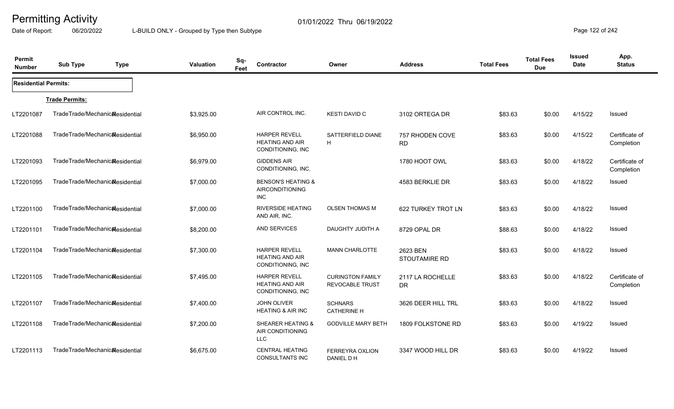Date of Report: 06/20/2022 L-BUILD ONLY - Grouped by Type then Subtype **Page 122 of 242** 

| Permit<br><b>Number</b>     | <b>Sub Type</b>                              | <b>Type</b> | Valuation  | Sq-<br>Feet | Contractor                                                            | Owner                                             | <b>Address</b>                | <b>Total Fees</b> | <b>Total Fees</b><br><b>Due</b> | <b>Issued</b><br><b>Date</b> | App.<br><b>Status</b>        |
|-----------------------------|----------------------------------------------|-------------|------------|-------------|-----------------------------------------------------------------------|---------------------------------------------------|-------------------------------|-------------------|---------------------------------|------------------------------|------------------------------|
| <b>Residential Permits:</b> |                                              |             |            |             |                                                                       |                                                   |                               |                   |                                 |                              |                              |
|                             | <b>Trade Permits:</b>                        |             |            |             |                                                                       |                                                   |                               |                   |                                 |                              |                              |
| LT2201087                   | TradeTrade/Mechanic&esidential               |             | \$3,925.00 |             | AIR CONTROL INC.                                                      | <b>KESTI DAVID C</b>                              | 3102 ORTEGA DR                | \$83.63           | \$0.00                          | 4/15/22                      | Issued                       |
| LT2201088                   | TradeTrade/Mechanicalesidential              |             | \$6,950.00 |             | <b>HARPER REVELL</b><br><b>HEATING AND AIR</b><br>CONDITIONING, INC   | SATTERFIELD DIANE<br>H                            | 757 RHODEN COVE<br><b>RD</b>  | \$83.63           | \$0.00                          | 4/15/22                      | Certificate of<br>Completion |
| LT2201093                   | TradeTrade/Mechanicalesidential              |             | \$6,979.00 |             | <b>GIDDENS AIR</b><br>CONDITIONING, INC.                              |                                                   | 1780 HOOT OWL                 | \$83.63           | \$0.00                          | 4/18/22                      | Certificate of<br>Completion |
| LT2201095                   | TradeTrade/Mechanic&esidential               |             | \$7,000.00 |             | <b>BENSON'S HEATING &amp;</b><br><b>AIRCONDITIONING</b><br><b>INC</b> |                                                   | 4583 BERKLIE DR               | \$83.63           | \$0.00                          | 4/18/22                      | Issued                       |
| LT2201100                   | TradeTrade/Mechanic&esidential               |             | \$7,000.00 |             | <b>RIVERSIDE HEATING</b><br>AND AIR, INC.                             | <b>OLSEN THOMAS M</b>                             | 622 TURKEY TROT LN            | \$83.63           | \$0.00                          | 4/18/22                      | <b>Issued</b>                |
| LT2201101                   | TradeTrade/Mechanic&esidential               |             | \$8,200.00 |             | <b>AND SERVICES</b>                                                   | DAUGHTY JUDITH A                                  | 8729 OPAL DR                  | \$88.63           | \$0.00                          | 4/18/22                      | Issued                       |
| LT2201104                   | TradeTrade/Mechanic <sub>al</sub> esidential |             | \$7,300.00 |             | <b>HARPER REVELL</b><br><b>HEATING AND AIR</b><br>CONDITIONING, INC   | <b>MANN CHARLOTTE</b>                             | 2623 BEN<br>STOUTAMIRE RD     | \$83.63           | \$0.00                          | 4/18/22                      | Issued                       |
| LT2201105                   | TradeTrade/Mechanicalesidential              |             | \$7,495.00 |             | <b>HARPER REVELL</b><br><b>HEATING AND AIR</b><br>CONDITIONING, INC   | <b>CURINGTON FAMILY</b><br><b>REVOCABLE TRUST</b> | 2117 LA ROCHELLE<br><b>DR</b> | \$83.63           | \$0.00                          | 4/18/22                      | Certificate of<br>Completion |
| LT2201107                   | TradeTrade/Mechanicalesidential              |             | \$7,400.00 |             | JOHN OLIVER<br><b>HEATING &amp; AIR INC</b>                           | <b>SCHNARS</b><br><b>CATHERINE H</b>              | 3626 DEER HILL TRL            | \$83.63           | \$0.00                          | 4/18/22                      | Issued                       |
| LT2201108                   | TradeTrade/Mechanic&esidential               |             | \$7,200.00 |             | <b>SHEARER HEATING &amp;</b><br>AIR CONDITIONING<br><b>LLC</b>        | <b>GODVILLE MARY BETH</b>                         | 1809 FOLKSTONE RD             | \$83.63           | \$0.00                          | 4/19/22                      | <b>Issued</b>                |
| LT2201113                   | TradeTrade/Mechanic&esidential               |             | \$6.675.00 |             | <b>CENTRAL HEATING</b><br><b>CONSULTANTS INC</b>                      | <b>FERREYRA OXLION</b><br>DANIEL D H              | 3347 WOOD HILL DR             | \$83.63           | \$0.00                          | 4/19/22                      | <b>Issued</b>                |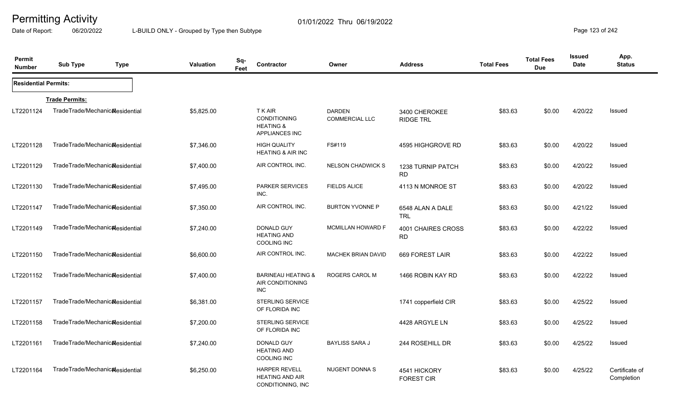Date of Report: 06/20/2022 L-BUILD ONLY - Grouped by Type then Subtype **Page 123 of 242** 

| Permit<br><b>Number</b>     | <b>Sub Type</b><br><b>Type</b>               | <b>Valuation</b> | Sq-<br>Feet | <b>Contractor</b>                                                             | Owner                                  | <b>Address</b>                    | <b>Total Fees</b> | <b>Total Fees</b><br><b>Due</b> | Issued<br><b>Date</b> | App.<br><b>Status</b>        |
|-----------------------------|----------------------------------------------|------------------|-------------|-------------------------------------------------------------------------------|----------------------------------------|-----------------------------------|-------------------|---------------------------------|-----------------------|------------------------------|
| <b>Residential Permits:</b> |                                              |                  |             |                                                                               |                                        |                                   |                   |                                 |                       |                              |
|                             | <b>Trade Permits:</b>                        |                  |             |                                                                               |                                        |                                   |                   |                                 |                       |                              |
| LT2201124                   | TradeTrade/Mechanic&esidential               | \$5,825.00       |             | <b>TKAIR</b><br>CONDITIONING<br><b>HEATING &amp;</b><br><b>APPLIANCES INC</b> | <b>DARDEN</b><br><b>COMMERCIAL LLC</b> | 3400 CHEROKEE<br><b>RIDGE TRL</b> | \$83.63           | \$0.00                          | 4/20/22               | Issued                       |
| LT2201128                   | TradeTrade/Mechanic&esidential               | \$7,346.00       |             | <b>HIGH QUALITY</b><br><b>HEATING &amp; AIR INC</b>                           | FS#119                                 | 4595 HIGHGROVE RD                 | \$83.63           | \$0.00                          | 4/20/22               | Issued                       |
| LT2201129                   | TradeTrade/Mechanic <sub>al</sub> esidential | \$7,400.00       |             | AIR CONTROL INC.                                                              | <b>NELSON CHADWICK S</b>               | 1238 TURNIP PATCH<br><b>RD</b>    | \$83.63           | \$0.00                          | 4/20/22               | Issued                       |
| LT2201130                   | TradeTrade/Mechanic&esidential               | \$7,495.00       |             | <b>PARKER SERVICES</b><br>INC.                                                | <b>FIELDS ALICE</b>                    | 4113 N MONROE ST                  | \$83.63           | \$0.00                          | 4/20/22               | Issued                       |
| LT2201147                   | TradeTrade/Mechanic&esidential               | \$7,350.00       |             | AIR CONTROL INC.                                                              | <b>BURTON YVONNE P</b>                 | 6548 ALAN A DALE<br><b>TRL</b>    | \$83.63           | \$0.00                          | 4/21/22               | <b>Issued</b>                |
| LT2201149                   | TradeTrade/Mechanic <sub>al</sub> esidential | \$7,240.00       |             | DONALD GUY<br><b>HEATING AND</b><br><b>COOLING INC</b>                        | MCMILLAN HOWARD F                      | 4001 CHAIRES CROSS<br><b>RD</b>   | \$83.63           | \$0.00                          | 4/22/22               | <b>Issued</b>                |
| LT2201150                   | TradeTrade/Mechanicalesidential              | \$6,600.00       |             | AIR CONTROL INC.                                                              | MACHEK BRIAN DAVID                     | 669 FOREST LAIR                   | \$83.63           | \$0.00                          | 4/22/22               | <b>Issued</b>                |
| LT2201152                   | TradeTrade/Mechanic&esidential               | \$7,400.00       |             | <b>BARINEAU HEATING &amp;</b><br>AIR CONDITIONING<br><b>INC</b>               | ROGERS CAROL M                         | 1466 ROBIN KAY RD                 | \$83.63           | \$0.00                          | 4/22/22               | <b>Issued</b>                |
| LT2201157                   | TradeTrade/Mechanic&esidential               | \$6,381.00       |             | STERLING SERVICE<br>OF FLORIDA INC                                            |                                        | 1741 copperfield CIR              | \$83.63           | \$0.00                          | 4/25/22               | <b>Issued</b>                |
| LT2201158                   | TradeTrade/Mechanic&esidential               | \$7,200.00       |             | <b>STERLING SERVICE</b><br>OF FLORIDA INC                                     |                                        | 4428 ARGYLE LN                    | \$83.63           | \$0.00                          | 4/25/22               | Issued                       |
| LT2201161                   | TradeTrade/Mechanic <sub>Residential</sub>   | \$7,240.00       |             | <b>DONALD GUY</b><br><b>HEATING AND</b><br>COOLING INC                        | <b>BAYLISS SARA J</b>                  | 244 ROSEHILL DR                   | \$83.63           | \$0.00                          | 4/25/22               | <b>Issued</b>                |
| LT2201164                   | TradeTrade/Mechanic <sub>al</sub> esidential | \$6,250.00       |             | <b>HARPER REVELL</b><br><b>HEATING AND AIR</b><br>CONDITIONING, INC           | NUGENT DONNA S                         | 4541 HICKORY<br><b>FOREST CIR</b> | \$83.63           | \$0.00                          | 4/25/22               | Certificate of<br>Completion |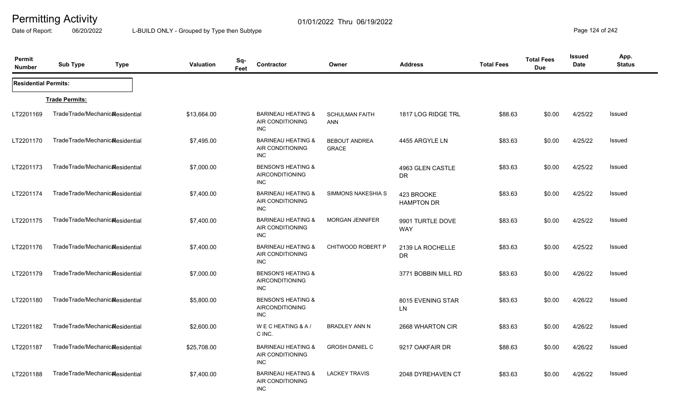Date of Report: 06/20/2022 L-BUILD ONLY - Grouped by Type then Subtype **Page 124** of 242

| Permit<br><b>Number</b>     | <b>Sub Type</b><br><b>Type</b>  | <b>Valuation</b> | Sq-<br>Feet | Contractor                                                            | Owner                                | <b>Address</b>                  | <b>Total Fees</b> | <b>Total Fees</b><br><b>Due</b> | Issued<br>Date | App.<br><b>Status</b> |
|-----------------------------|---------------------------------|------------------|-------------|-----------------------------------------------------------------------|--------------------------------------|---------------------------------|-------------------|---------------------------------|----------------|-----------------------|
| <b>Residential Permits:</b> |                                 |                  |             |                                                                       |                                      |                                 |                   |                                 |                |                       |
|                             | <b>Trade Permits:</b>           |                  |             |                                                                       |                                      |                                 |                   |                                 |                |                       |
| LT2201169                   | TradeTrade/Mechanic&esidential  | \$13,664.00      |             | <b>BARINEAU HEATING &amp;</b><br>AIR CONDITIONING<br><b>INC</b>       | <b>SCHULMAN FAITH</b><br><b>ANN</b>  | 1817 LOG RIDGE TRL              | \$88.63           | \$0.00                          | 4/25/22        | Issued                |
| LT2201170                   | TradeTrade/Mechanic&esidential  | \$7,495.00       |             | <b>BARINEAU HEATING &amp;</b><br>AIR CONDITIONING<br><b>INC</b>       | <b>BEBOUT ANDREA</b><br><b>GRACE</b> | 4455 ARGYLE LN                  | \$83.63           | \$0.00                          | 4/25/22        | Issued                |
| LT2201173                   | TradeTrade/Mechanic&esidential  | \$7,000.00       |             | <b>BENSON'S HEATING &amp;</b><br><b>AIRCONDITIONING</b><br><b>INC</b> |                                      | 4963 GLEN CASTLE<br><b>DR</b>   | \$83.63           | \$0.00                          | 4/25/22        | Issued                |
| LT2201174                   | TradeTrade/Mechanic&esidential  | \$7,400.00       |             | <b>BARINEAU HEATING &amp;</b><br>AIR CONDITIONING<br><b>INC</b>       | SIMMONS NAKESHIA S                   | 423 BROOKE<br><b>HAMPTON DR</b> | \$83.63           | \$0.00                          | 4/25/22        | Issued                |
| LT2201175                   | TradeTrade/Mechanic&esidential  | \$7,400.00       |             | <b>BARINEAU HEATING &amp;</b><br>AIR CONDITIONING<br><b>INC</b>       | <b>MORGAN JENNIFER</b>               | 9901 TURTLE DOVE<br><b>WAY</b>  | \$83.63           | \$0.00                          | 4/25/22        | Issued                |
| LT2201176                   | TradeTrade/Mechanic&esidential  | \$7,400.00       |             | <b>BARINEAU HEATING &amp;</b><br>AIR CONDITIONING<br><b>INC</b>       | CHITWOOD ROBERT P                    | 2139 LA ROCHELLE<br><b>DR</b>   | \$83.63           | \$0.00                          | 4/25/22        | Issued                |
| LT2201179                   | TradeTrade/Mechanic&esidential  | \$7,000.00       |             | <b>BENSON'S HEATING &amp;</b><br><b>AIRCONDITIONING</b><br><b>INC</b> |                                      | 3771 BOBBIN MILL RD             | \$83.63           | \$0.00                          | 4/26/22        | Issued                |
| LT2201180                   | TradeTrade/Mechanic&esidential  | \$5,800.00       |             | <b>BENSON'S HEATING &amp;</b><br>AIRCONDITIONING<br><b>INC</b>        |                                      | 8015 EVENING STAR<br>LN         | \$83.63           | \$0.00                          | 4/26/22        | Issued                |
| LT2201182                   | TradeTrade/Mechanic&esidential  | \$2,600.00       |             | WECHEATING & A/<br>C INC.                                             | <b>BRADLEY ANN N</b>                 | 2668 WHARTON CIR                | \$83.63           | \$0.00                          | 4/26/22        | Issued                |
| LT2201187                   | TradeTrade/Mechanicalesidential | \$25,708.00      |             | <b>BARINEAU HEATING &amp;</b><br>AIR CONDITIONING<br><b>INC</b>       | <b>GROSH DANIEL C</b>                | 9217 OAKFAIR DR                 | \$88.63           | \$0.00                          | 4/26/22        | Issued                |
| LT2201188                   | TradeTrade/Mechanicalesidential | \$7,400.00       |             | <b>BARINEAU HEATING &amp;</b><br>AIR CONDITIONING<br><b>INC</b>       | <b>LACKEY TRAVIS</b>                 | 2048 DYREHAVEN CT               | \$83.63           | \$0.00                          | 4/26/22        | Issued                |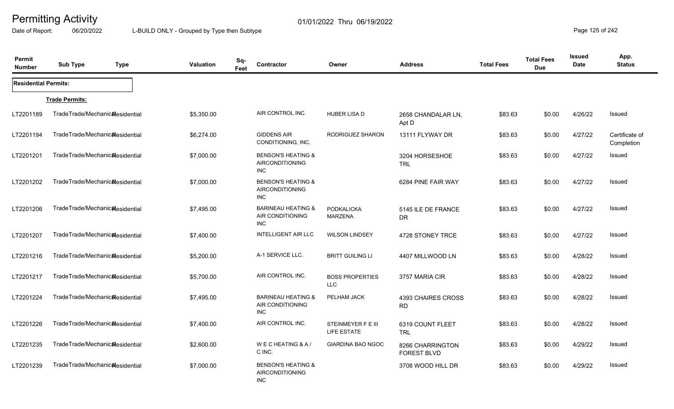Date of Report: 06/20/2022 L-BUILD ONLY - Grouped by Type then Subtype **Page 125** of 242

| Permit<br><b>Number</b>     | <b>Sub Type</b>                              | <b>Type</b> | Valuation  | Sq-<br>Feet | Contractor                                                            | Owner                               | <b>Address</b>                         | <b>Total Fees</b> | <b>Total Fees</b><br><b>Due</b> | <b>Issued</b><br>Date | App.<br><b>Status</b>        |
|-----------------------------|----------------------------------------------|-------------|------------|-------------|-----------------------------------------------------------------------|-------------------------------------|----------------------------------------|-------------------|---------------------------------|-----------------------|------------------------------|
| <b>Residential Permits:</b> |                                              |             |            |             |                                                                       |                                     |                                        |                   |                                 |                       |                              |
|                             | <b>Trade Permits:</b>                        |             |            |             |                                                                       |                                     |                                        |                   |                                 |                       |                              |
| LT2201189                   | TradeTrade/Mechanic&esidential               |             | \$5,350.00 |             | AIR CONTROL INC.                                                      | <b>HUBER LISA D</b>                 | 2658 CHANDALAR LN,<br>Apt D            | \$83.63           | \$0.00                          | 4/26/22               | Issued                       |
| LT2201194                   | TradeTrade/Mechanic <sub>Residential</sub>   |             | \$6,274.00 |             | <b>GIDDENS AIR</b><br>CONDITIONING, INC.                              | RODRIGUEZ SHARON                    | 13111 FLYWAY DR                        | \$83.63           | \$0.00                          | 4/27/22               | Certificate of<br>Completion |
| LT2201201                   | TradeTrade/Mechanic&esidential               |             | \$7,000.00 |             | <b>BENSON'S HEATING &amp;</b><br>AIRCONDITIONING<br><b>INC</b>        |                                     | 3204 HORSESHOE<br><b>TRL</b>           | \$83.63           | \$0.00                          | 4/27/22               | Issued                       |
| LT2201202                   | TradeTrade/Mechanic&esidential               |             | \$7,000.00 |             | <b>BENSON'S HEATING &amp;</b><br><b>AIRCONDITIONING</b><br><b>INC</b> |                                     | 6284 PINE FAIR WAY                     | \$83.63           | \$0.00                          | 4/27/22               | <b>Issued</b>                |
| LT2201206                   | TradeTrade/Mechanic&esidential               |             | \$7,495.00 |             | <b>BARINEAU HEATING &amp;</b><br>AIR CONDITIONING<br><b>INC</b>       | <b>PODKALICKA</b><br><b>MARZENA</b> | 5145 ILE DE FRANCE<br><b>DR</b>        | \$83.63           | \$0.00                          | 4/27/22               | <b>Issued</b>                |
| LT2201207                   | TradeTrade/Mechanic&esidential               |             | \$7,400.00 |             | <b>INTELLIGENT AIR LLC</b>                                            | <b>WILSON LINDSEY</b>               | 4728 STONEY TRCE                       | \$83.63           | \$0.00                          | 4/27/22               | <b>Issued</b>                |
| LT2201216                   | TradeTrade/Mechanic&esidential               |             | \$5,200.00 |             | A-1 SERVICE LLC.                                                      | <b>BRITT GUILING LI</b>             | 4407 MILLWOOD LN                       | \$83.63           | \$0.00                          | 4/28/22               | <b>Issued</b>                |
| LT2201217                   | TradeTrade/Mechanic <sub>al</sub> esidential |             | \$5,700.00 |             | AIR CONTROL INC.                                                      | <b>BOSS PROPERTIES</b><br>LLC       | 3757 MARIA CIR                         | \$83.63           | \$0.00                          | 4/28/22               | <b>Issued</b>                |
| LT2201224                   | TradeTrade/Mechanic&esidential               |             | \$7,495.00 |             | <b>BARINEAU HEATING &amp;</b><br>AIR CONDITIONING<br><b>INC</b>       | PELHAM JACK                         | 4393 CHAIRES CROSS<br><b>RD</b>        | \$83.63           | \$0.00                          | 4/28/22               | <b>Issued</b>                |
| LT2201226                   | TradeTrade/Mechanic&esidential               |             | \$7,400.00 |             | AIR CONTROL INC.                                                      | STEINMEYER F E III<br>LIFE ESTATE   | 6319 COUNT FLEET<br><b>TRL</b>         | \$83.63           | \$0.00                          | 4/28/22               | Issued                       |
| LT2201235                   | TradeTrade/Mechanic&esidential               |             | \$2,600.00 |             | WECHEATING & A/<br>C INC.                                             | <b>GIARDINA BAO NGOC</b>            | 8266 CHARRINGTON<br><b>FOREST BLVD</b> | \$83.63           | \$0.00                          | 4/29/22               | <b>Issued</b>                |
| LT2201239                   | TradeTrade/Mechanic <sub>al</sub> esidential |             | \$7,000.00 |             | <b>BENSON'S HEATING &amp;</b><br>AIRCONDITIONING<br><b>INC</b>        |                                     | 3708 WOOD HILL DR                      | \$83.63           | \$0.00                          | 4/29/22               | <b>Issued</b>                |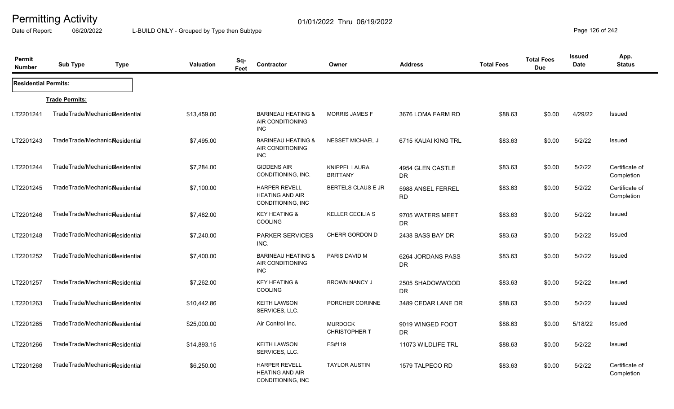Date of Report: 06/20/2022 L-BUILD ONLY - Grouped by Type then Subtype **Page 126** of 242

| Permit<br><b>Number</b>     | <b>Sub Type</b>                              | <b>Type</b> | <b>Valuation</b> | Sq-<br>Feet | <b>Contractor</b>                                                      | Owner                                   | <b>Address</b>                 | <b>Total Fees</b> | <b>Total Fees</b><br><b>Due</b> | <b>Issued</b><br><b>Date</b> | App.<br><b>Status</b>        |
|-----------------------------|----------------------------------------------|-------------|------------------|-------------|------------------------------------------------------------------------|-----------------------------------------|--------------------------------|-------------------|---------------------------------|------------------------------|------------------------------|
| <b>Residential Permits:</b> |                                              |             |                  |             |                                                                        |                                         |                                |                   |                                 |                              |                              |
|                             | <b>Trade Permits:</b>                        |             |                  |             |                                                                        |                                         |                                |                   |                                 |                              |                              |
| LT2201241                   | TradeTrade/Mechanic&esidential               |             | \$13,459.00      |             | <b>BARINEAU HEATING &amp;</b><br>AIR CONDITIONING<br><b>INC</b>        | <b>MORRIS JAMES F</b>                   | 3676 LOMA FARM RD              | \$88.63           | \$0.00                          | 4/29/22                      | Issued                       |
| LT2201243                   | TradeTrade/Mechanic&esidential               |             | \$7,495.00       |             | <b>BARINEAU HEATING &amp;</b><br>AIR CONDITIONING<br><b>INC</b>        | <b>NESSET MICHAEL J</b>                 | 6715 KAUAI KING TRL            | \$83.63           | \$0.00                          | 5/2/22                       | Issued                       |
| LT2201244                   | TradeTrade/Mechanic&esidential               |             | \$7,284.00       |             | <b>GIDDENS AIR</b><br>CONDITIONING, INC.                               | <b>KNIPPEL LAURA</b><br><b>BRITTANY</b> | 4954 GLEN CASTLE<br><b>DR</b>  | \$83.63           | \$0.00                          | 5/2/22                       | Certificate of<br>Completion |
| LT2201245                   | TradeTrade/Mechanic <sub>al</sub> esidential |             | \$7,100.00       |             | <b>HARPER REVELL</b><br><b>HEATING AND AIR</b><br>CONDITIONING, INC.   | <b>BERTELS CLAUS E JR</b>               | 5988 ANSEL FERREL<br><b>RD</b> | \$83.63           | \$0.00                          | 5/2/22                       | Certificate of<br>Completion |
| LT2201246                   | TradeTrade/Mechanicalesidential              |             | \$7,482.00       |             | <b>KEY HEATING &amp;</b><br><b>COOLING</b>                             | <b>KELLER CECILIA S</b>                 | 9705 WATERS MEET<br><b>DR</b>  | \$83.63           | \$0.00                          | 5/2/22                       | Issued                       |
| LT2201248                   | TradeTrade/Mechanic&esidential               |             | \$7,240.00       |             | <b>PARKER SERVICES</b><br>INC.                                         | CHERR GORDON D                          | 2438 BASS BAY DR               | \$83.63           | \$0.00                          | 5/2/22                       | Issued                       |
| LT2201252                   | TradeTrade/Mechanic&esidential               |             | \$7,400.00       |             | <b>BARINEAU HEATING &amp;</b><br><b>AIR CONDITIONING</b><br><b>INC</b> | PARIS DAVID M                           | 6264 JORDANS PASS<br><b>DR</b> | \$83.63           | \$0.00                          | 5/2/22                       | <b>Issued</b>                |
| LT2201257                   | TradeTrade/Mechanic&esidential               |             | \$7,262.00       |             | <b>KEY HEATING &amp;</b><br><b>COOLING</b>                             | <b>BROWN NANCY J</b>                    | 2505 SHADOWWOOD<br><b>DR</b>   | \$83.63           | \$0.00                          | 5/2/22                       | Issued                       |
| LT2201263                   | TradeTrade/Mechanicalesidential              |             | \$10,442.86      |             | <b>KEITH LAWSON</b><br>SERVICES, LLC.                                  | PORCHER CORINNE                         | 3489 CEDAR LANE DR             | \$88.63           | \$0.00                          | 5/2/22                       | Issued                       |
| LT2201265                   | TradeTrade/Mechanic&esidential               |             | \$25,000.00      |             | Air Control Inc.                                                       | <b>MURDOCK</b><br><b>CHRISTOPHER T</b>  | 9019 WINGED FOOT<br><b>DR</b>  | \$88.63           | \$0.00                          | 5/18/22                      | Issued                       |
| LT2201266                   | TradeTrade/Mechanic&esidential               |             | \$14,893.15      |             | <b>KEITH LAWSON</b><br>SERVICES, LLC.                                  | FS#119                                  | 11073 WILDLIFE TRL             | \$88.63           | \$0.00                          | 5/2/22                       | Issued                       |
| LT2201268                   | TradeTrade/Mechanic <sub>Residential</sub>   |             | \$6,250.00       |             | <b>HARPER REVELL</b><br><b>HEATING AND AIR</b><br>CONDITIONING, INC    | <b>TAYLOR AUSTIN</b>                    | 1579 TALPECO RD                | \$83.63           | \$0.00                          | 5/2/22                       | Certificate of<br>Completion |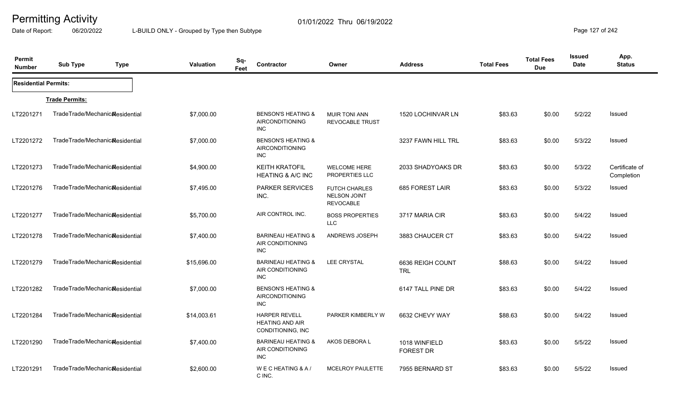Date of Report: 06/20/2022 L-BUILD ONLY - Grouped by Type then Subtype **Page 127** of 242

| Permit<br><b>Number</b>     | <b>Sub Type</b>                              | <b>Type</b> | Valuation   | Sq-<br>Feet | Contractor                                                            | Owner                                                           | <b>Address</b>                    | <b>Total Fees</b> | <b>Total Fees</b><br><b>Due</b> | <b>Issued</b><br><b>Date</b> | App.<br><b>Status</b>        |
|-----------------------------|----------------------------------------------|-------------|-------------|-------------|-----------------------------------------------------------------------|-----------------------------------------------------------------|-----------------------------------|-------------------|---------------------------------|------------------------------|------------------------------|
| <b>Residential Permits:</b> |                                              |             |             |             |                                                                       |                                                                 |                                   |                   |                                 |                              |                              |
|                             | <b>Trade Permits:</b>                        |             |             |             |                                                                       |                                                                 |                                   |                   |                                 |                              |                              |
| LT2201271                   | TradeTrade/Mechanic&esidential               |             | \$7,000.00  |             | <b>BENSON'S HEATING &amp;</b><br><b>AIRCONDITIONING</b><br><b>INC</b> | <b>MUIR TONI ANN</b><br><b>REVOCABLE TRUST</b>                  | 1520 LOCHINVAR LN                 | \$83.63           | \$0.00                          | 5/2/22                       | Issued                       |
| LT2201272                   | TradeTrade/Mechanic&esidential               |             | \$7,000.00  |             | <b>BENSON'S HEATING &amp;</b><br><b>AIRCONDITIONING</b><br><b>INC</b> |                                                                 | 3237 FAWN HILL TRL                | \$83.63           | \$0.00                          | 5/3/22                       | Issued                       |
| LT2201273                   | TradeTrade/Mechanic&esidential               |             | \$4,900.00  |             | <b>KEITH KRATOFIL</b><br><b>HEATING &amp; A/C INC</b>                 | <b>WELCOME HERE</b><br>PROPERTIES LLC                           | 2033 SHADYOAKS DR                 | \$83.63           | \$0.00                          | 5/3/22                       | Certificate of<br>Completion |
| LT2201276                   | TradeTrade/Mechanicalesidential              |             | \$7,495.00  |             | <b>PARKER SERVICES</b><br>INC.                                        | <b>FUTCH CHARLES</b><br><b>NELSON JOINT</b><br><b>REVOCABLE</b> | 685 FOREST LAIR                   | \$83.63           | \$0.00                          | 5/3/22                       | Issued                       |
| LT2201277                   | TradeTrade/Mechanic&esidential               |             | \$5,700.00  |             | AIR CONTROL INC.                                                      | <b>BOSS PROPERTIES</b><br><b>LLC</b>                            | 3717 MARIA CIR                    | \$83.63           | \$0.00                          | 5/4/22                       | Issued                       |
| LT2201278                   | TradeTrade/Mechanicalesidential              |             | \$7,400.00  |             | <b>BARINEAU HEATING &amp;</b><br>AIR CONDITIONING<br><b>INC</b>       | ANDREWS JOSEPH                                                  | 3883 CHAUCER CT                   | \$83.63           | \$0.00                          | 5/4/22                       | Issued                       |
| LT2201279                   | TradeTrade/Mechanic <sub>al</sub> esidential |             | \$15,696.00 |             | <b>BARINEAU HEATING &amp;</b><br>AIR CONDITIONING<br><b>INC</b>       | <b>LEE CRYSTAL</b>                                              | 6636 REIGH COUNT<br><b>TRL</b>    | \$88.63           | \$0.00                          | 5/4/22                       | Issued                       |
| LT2201282                   | TradeTrade/Mechanic <sub>al</sub> esidential |             | \$7,000.00  |             | <b>BENSON'S HEATING &amp;</b><br>AIRCONDITIONING<br>INC.              |                                                                 | 6147 TALL PINE DR                 | \$83.63           | \$0.00                          | 5/4/22                       | Issued                       |
| LT2201284                   | TradeTrade/Mechanicalesidential              |             | \$14,003.61 |             | <b>HARPER REVELL</b><br><b>HEATING AND AIR</b><br>CONDITIONING, INC   | PARKER KIMBERLY W                                               | 6632 CHEVY WAY                    | \$88.63           | \$0.00                          | 5/4/22                       | <b>Issued</b>                |
| LT2201290                   | TradeTrade/Mechanicalesidential              |             | \$7,400.00  |             | <b>BARINEAU HEATING &amp;</b><br>AIR CONDITIONING<br><b>INC</b>       | AKOS DEBORA L                                                   | 1018 WINFIELD<br><b>FOREST DR</b> | \$83.63           | \$0.00                          | 5/5/22                       | <b>Issued</b>                |
| LT2201291                   | TradeTrade/Mechanic <sub>al</sub> esidential |             | \$2,600.00  |             | WECHEATING & A/<br>C INC.                                             | <b>MCELROY PAULETTE</b>                                         | 7955 BERNARD ST                   | \$83.63           | \$0.00                          | 5/5/22                       | Issued                       |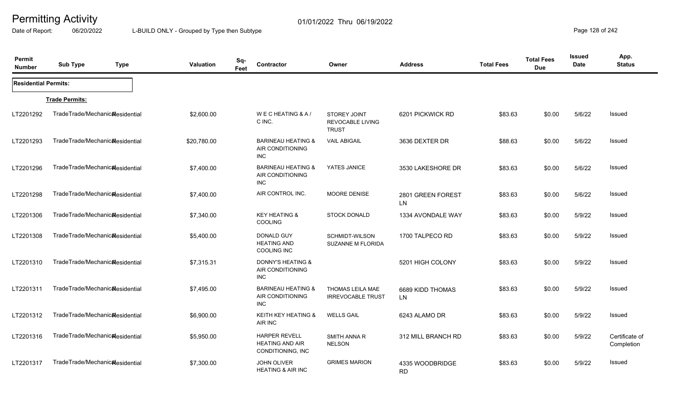Date of Report: 06/20/2022 L-BUILD ONLY - Grouped by Type then Subtype **Page 128** of 242

| Permit<br><b>Number</b>     | <b>Sub Type</b>                              | <b>Type</b> | Valuation   | Sq-<br>Feet | Contractor                                                          | Owner                                                          | <b>Address</b>                 | <b>Total Fees</b> | <b>Total Fees</b><br><b>Due</b> | <b>Issued</b><br>Date | App.<br><b>Status</b>        |
|-----------------------------|----------------------------------------------|-------------|-------------|-------------|---------------------------------------------------------------------|----------------------------------------------------------------|--------------------------------|-------------------|---------------------------------|-----------------------|------------------------------|
| <b>Residential Permits:</b> |                                              |             |             |             |                                                                     |                                                                |                                |                   |                                 |                       |                              |
|                             | <b>Trade Permits:</b>                        |             |             |             |                                                                     |                                                                |                                |                   |                                 |                       |                              |
| LT2201292                   | TradeTrade/Mechanic&esidential               |             | \$2,600.00  |             | WECHEATING & A/<br>C INC.                                           | <b>STOREY JOINT</b><br><b>REVOCABLE LIVING</b><br><b>TRUST</b> | 6201 PICKWICK RD               | \$83.63           | \$0.00                          | 5/6/22                | Issued                       |
| LT2201293                   | TradeTrade/Mechanic&esidential               |             | \$20,780.00 |             | <b>BARINEAU HEATING &amp;</b><br>AIR CONDITIONING<br>INC.           | <b>VAIL ABIGAIL</b>                                            | 3636 DEXTER DR                 | \$88.63           | \$0.00                          | 5/6/22                | Issued                       |
| LT2201296                   | TradeTrade/Mechanic <sub>Residential</sub>   |             | \$7,400.00  |             | <b>BARINEAU HEATING &amp;</b><br>AIR CONDITIONING<br>INC            | YATES JANICE                                                   | 3530 LAKESHORE DR              | \$83.63           | \$0.00                          | 5/6/22                | Issued                       |
| LT2201298                   | TradeTrade/Mechanic&esidential               |             | \$7,400.00  |             | AIR CONTROL INC.                                                    | <b>MOORE DENISE</b>                                            | 2801 GREEN FOREST<br><b>LN</b> | \$83.63           | \$0.00                          | 5/6/22                | Issued                       |
| LT2201306                   | TradeTrade/Mechanic&esidential               |             | \$7,340.00  |             | <b>KEY HEATING &amp;</b><br>COOLING                                 | <b>STOCK DONALD</b>                                            | 1334 AVONDALE WAY              | \$83.63           | \$0.00                          | 5/9/22                | Issued                       |
| LT2201308                   | TradeTrade/Mechanicalesidential              |             | \$5,400.00  |             | DONALD GUY<br><b>HEATING AND</b><br>COOLING INC                     | SCHMIDT-WILSON<br><b>SUZANNE M FLORIDA</b>                     | 1700 TALPECO RD                | \$83.63           | \$0.00                          | 5/9/22                | Issued                       |
| LT2201310                   | TradeTrade/Mechanic <sub>al</sub> esidential |             | \$7,315.31  |             | <b>DONNY'S HEATING &amp;</b><br>AIR CONDITIONING<br><b>INC</b>      |                                                                | 5201 HIGH COLONY               | \$83.63           | \$0.00                          | 5/9/22                | Issued                       |
| LT2201311                   | TradeTrade/Mechanicalesidential              |             | \$7,495.00  |             | <b>BARINEAU HEATING &amp;</b><br>AIR CONDITIONING<br><b>INC</b>     | THOMAS LEILA MAE<br><b>IRREVOCABLE TRUST</b>                   | 6689 KIDD THOMAS<br><b>LN</b>  | \$83.63           | \$0.00                          | 5/9/22                | Issued                       |
| LT2201312                   | TradeTrade/Mechanicalesidential              |             | \$6,900.00  |             | KEITH KEY HEATING &<br>AIR INC                                      | <b>WELLS GAIL</b>                                              | 6243 ALAMO DR                  | \$83.63           | \$0.00                          | 5/9/22                | Issued                       |
| LT2201316                   | TradeTrade/Mechanic&esidential               |             | \$5,950.00  |             | <b>HARPER REVELL</b><br><b>HEATING AND AIR</b><br>CONDITIONING, INC | <b>SMITH ANNA R</b><br><b>NELSON</b>                           | 312 MILL BRANCH RD             | \$83.63           | \$0.00                          | 5/9/22                | Certificate of<br>Completion |
| LT2201317                   | TradeTrade/Mechanic&esidential               |             | \$7,300.00  |             | <b>JOHN OLIVER</b><br><b>HEATING &amp; AIR INC</b>                  | <b>GRIMES MARION</b>                                           | 4335 WOODBRIDGE<br><b>RD</b>   | \$83.63           | \$0.00                          | 5/9/22                | Issued                       |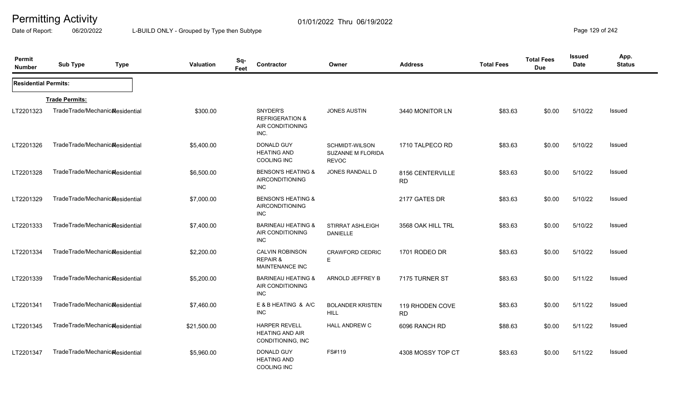Date of Report: 06/20/2022 L-BUILD ONLY - Grouped by Type then Subtype **Page 129 of 242** 

| Permit<br><b>Number</b>     | <b>Sub Type</b>                | <b>Type</b> | Valuation   | Sq-<br>Feet | Contractor                                                            | Owner                                                      | <b>Address</b>                | <b>Total Fees</b> | <b>Total Fees</b><br><b>Due</b> | <b>Issued</b><br>Date | App.<br><b>Status</b> |
|-----------------------------|--------------------------------|-------------|-------------|-------------|-----------------------------------------------------------------------|------------------------------------------------------------|-------------------------------|-------------------|---------------------------------|-----------------------|-----------------------|
| <b>Residential Permits:</b> |                                |             |             |             |                                                                       |                                                            |                               |                   |                                 |                       |                       |
|                             | <b>Trade Permits:</b>          |             |             |             |                                                                       |                                                            |                               |                   |                                 |                       |                       |
| LT2201323                   | TradeTrade/Mechanic&esidential |             | \$300.00    |             | SNYDER'S<br><b>REFRIGERATION &amp;</b><br>AIR CONDITIONING<br>INC.    | <b>JONES AUSTIN</b>                                        | 3440 MONITOR LN               | \$83.63           | \$0.00                          | 5/10/22               | Issued                |
| LT2201326                   | TradeTrade/Mechanic&esidential |             | \$5,400.00  |             | DONALD GUY<br><b>HEATING AND</b><br><b>COOLING INC</b>                | <b>SCHMIDT-WILSON</b><br>SUZANNE M FLORIDA<br><b>REVOC</b> | 1710 TALPECO RD               | \$83.63           | \$0.00                          | 5/10/22               | Issued                |
| LT2201328                   | TradeTrade/Mechanic&esidential |             | \$6,500.00  |             | <b>BENSON'S HEATING &amp;</b><br><b>AIRCONDITIONING</b><br>INC        | <b>JONES RANDALL D</b>                                     | 8156 CENTERVILLE<br><b>RD</b> | \$83.63           | \$0.00                          | 5/10/22               | Issued                |
| LT2201329                   | TradeTrade/Mechanic&esidential |             | \$7,000.00  |             | <b>BENSON'S HEATING &amp;</b><br><b>AIRCONDITIONING</b><br><b>INC</b> |                                                            | 2177 GATES DR                 | \$83.63           | \$0.00                          | 5/10/22               | Issued                |
| LT2201333                   | TradeTrade/Mechanic&esidential |             | \$7,400.00  |             | <b>BARINEAU HEATING &amp;</b><br>AIR CONDITIONING<br>INC.             | <b>STIRRAT ASHLEIGH</b><br><b>DANIELLE</b>                 | 3568 OAK HILL TRL             | \$83.63           | \$0.00                          | 5/10/22               | Issued                |
| LT2201334                   | TradeTrade/Mechanic&esidential |             | \$2,200.00  |             | <b>CALVIN ROBINSON</b><br><b>REPAIR &amp;</b><br>MAINTENANCE INC      | <b>CRAWFORD CEDRIC</b><br>E                                | 1701 RODEO DR                 | \$83.63           | \$0.00                          | 5/10/22               | Issued                |
| LT2201339                   | TradeTrade/Mechanic&esidential |             | \$5,200.00  |             | <b>BARINEAU HEATING &amp;</b><br>AIR CONDITIONING<br><b>INC</b>       | ARNOLD JEFFREY B                                           | 7175 TURNER ST                | \$83.63           | \$0.00                          | 5/11/22               | Issued                |
| LT2201341                   | TradeTrade/Mechanic&esidential |             | \$7,460.00  |             | E & B HEATING & A/C<br><b>INC</b>                                     | <b>BOLANDER KRISTEN</b><br><b>HILL</b>                     | 119 RHODEN COVE<br><b>RD</b>  | \$83.63           | \$0.00                          | 5/11/22               | Issued                |
| LT2201345                   | TradeTrade/Mechanic&esidential |             | \$21,500.00 |             | <b>HARPER REVELL</b><br><b>HEATING AND AIR</b><br>CONDITIONING, INC   | <b>HALL ANDREW C</b>                                       | 6096 RANCH RD                 | \$88.63           | \$0.00                          | 5/11/22               | Issued                |
| LT2201347                   | TradeTrade/Mechanic&esidential |             | \$5,960.00  |             | DONALD GUY<br><b>HEATING AND</b><br>COOLING INC                       | FS#119                                                     | 4308 MOSSY TOP CT             | \$83.63           | \$0.00                          | 5/11/22               | Issued                |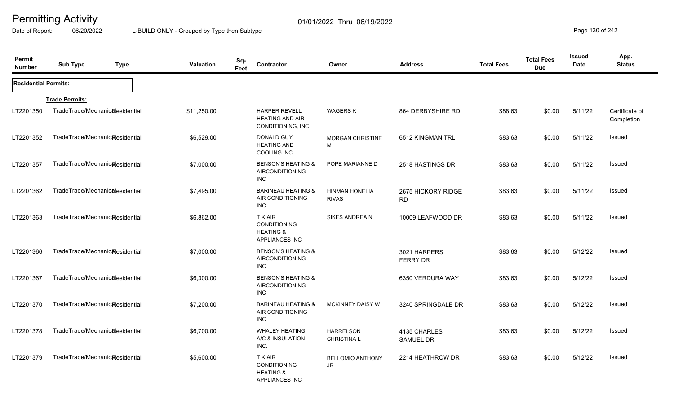Date of Report: 06/20/2022 L-BUILD ONLY - Grouped by Type then Subtype **Page 130** of 242

| Permit<br><b>Number</b>     | <b>Sub Type</b>                 | <b>Type</b> | <b>Valuation</b> | Sq-<br>Feet | Contractor                                                                           | Owner                                  | <b>Address</b>                   | <b>Total Fees</b> | <b>Total Fees</b><br><b>Due</b> | <b>Issued</b><br>Date | App.<br><b>Status</b>        |
|-----------------------------|---------------------------------|-------------|------------------|-------------|--------------------------------------------------------------------------------------|----------------------------------------|----------------------------------|-------------------|---------------------------------|-----------------------|------------------------------|
| <b>Residential Permits:</b> |                                 |             |                  |             |                                                                                      |                                        |                                  |                   |                                 |                       |                              |
|                             | <b>Trade Permits:</b>           |             |                  |             |                                                                                      |                                        |                                  |                   |                                 |                       |                              |
| LT2201350                   | TradeTrade/Mechanicalesidential |             | \$11,250.00      |             | <b>HARPER REVELL</b><br><b>HEATING AND AIR</b><br>CONDITIONING, INC                  | <b>WAGERS K</b>                        | 864 DERBYSHIRE RD                | \$88.63           | \$0.00                          | 5/11/22               | Certificate of<br>Completion |
| LT2201352                   | TradeTrade/Mechanic&esidential  |             | \$6,529.00       |             | DONALD GUY<br><b>HEATING AND</b><br><b>COOLING INC</b>                               | <b>MORGAN CHRISTINE</b><br>м           | 6512 KINGMAN TRL                 | \$83.63           | \$0.00                          | 5/11/22               | Issued                       |
| LT2201357                   | TradeTrade/Mechanic&esidential  |             | \$7,000.00       |             | <b>BENSON'S HEATING &amp;</b><br><b>AIRCONDITIONING</b><br><b>INC</b>                | POPE MARIANNE D                        | 2518 HASTINGS DR                 | \$83.63           | \$0.00                          | 5/11/22               | Issued                       |
| LT2201362                   | TradeTrade/Mechanic&esidential  |             | \$7,495.00       |             | <b>BARINEAU HEATING &amp;</b><br>AIR CONDITIONING<br><b>INC</b>                      | <b>HINMAN HONELIA</b><br><b>RIVAS</b>  | 2675 HICKORY RIDGE<br><b>RD</b>  | \$83.63           | \$0.00                          | 5/11/22               | <b>Issued</b>                |
| LT2201363                   | TradeTrade/Mechanic&esidential  |             | \$6,862.00       |             | <b>TKAIR</b><br><b>CONDITIONING</b><br><b>HEATING &amp;</b><br><b>APPLIANCES INC</b> | SIKES ANDREA N                         | 10009 LEAFWOOD DR                | \$83.63           | \$0.00                          | 5/11/22               | <b>Issued</b>                |
| LT2201366                   | TradeTrade/Mechanic&esidential  |             | \$7,000.00       |             | <b>BENSON'S HEATING &amp;</b><br><b>AIRCONDITIONING</b><br><b>INC</b>                |                                        | 3021 HARPERS<br><b>FERRY DR</b>  | \$83.63           | \$0.00                          | 5/12/22               | Issued                       |
| LT2201367                   | TradeTrade/Mechanic&esidential  |             | \$6,300.00       |             | <b>BENSON'S HEATING &amp;</b><br><b>AIRCONDITIONING</b><br><b>INC</b>                |                                        | 6350 VERDURA WAY                 | \$83.63           | \$0.00                          | 5/12/22               | Issued                       |
| LT2201370                   | TradeTrade/Mechanic&esidential  |             | \$7,200.00       |             | <b>BARINEAU HEATING &amp;</b><br>AIR CONDITIONING<br><b>INC</b>                      | <b>MCKINNEY DAISY W</b>                | 3240 SPRINGDALE DR               | \$83.63           | \$0.00                          | 5/12/22               | Issued                       |
| LT2201378                   | TradeTrade/Mechanic&esidential  |             | \$6,700.00       |             | <b>WHALEY HEATING,</b><br>A/C & INSULATION<br>INC.                                   | <b>HARRELSON</b><br><b>CHRISTINA L</b> | 4135 CHARLES<br><b>SAMUEL DR</b> | \$83.63           | \$0.00                          | 5/12/22               | Issued                       |
| LT2201379                   | TradeTrade/Mechanic&esidential  |             | \$5,600.00       |             | <b>TKAIR</b><br><b>CONDITIONING</b><br><b>HEATING &amp;</b><br><b>APPLIANCES INC</b> | <b>BELLOMIO ANTHONY</b><br>JR.         | 2214 HEATHROW DR                 | \$83.63           | \$0.00                          | 5/12/22               | Issued                       |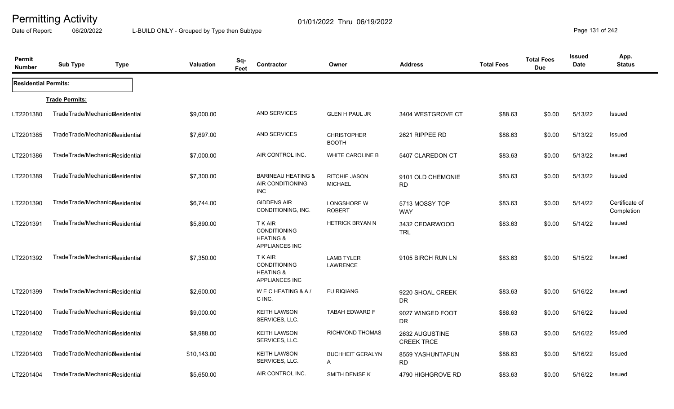Date of Report: 06/20/2022 L-BUILD ONLY - Grouped by Type then Subtype **Page 131** of 242

| Permit<br><b>Number</b>     | <b>Sub Type</b>                              | <b>Type</b> | Valuation   | Sq-<br>Feet | Contractor                                                                           | Owner                               | <b>Address</b>                      | <b>Total Fees</b> | <b>Total Fees</b><br><b>Due</b> | <b>Issued</b><br><b>Date</b> | App.<br><b>Status</b>        |
|-----------------------------|----------------------------------------------|-------------|-------------|-------------|--------------------------------------------------------------------------------------|-------------------------------------|-------------------------------------|-------------------|---------------------------------|------------------------------|------------------------------|
| <b>Residential Permits:</b> |                                              |             |             |             |                                                                                      |                                     |                                     |                   |                                 |                              |                              |
|                             | <b>Trade Permits:</b>                        |             |             |             |                                                                                      |                                     |                                     |                   |                                 |                              |                              |
| LT2201380                   | TradeTrade/Mechanic&esidential               |             | \$9,000.00  |             | <b>AND SERVICES</b>                                                                  | <b>GLEN H PAUL JR</b>               | 3404 WESTGROVE CT                   | \$88.63           | \$0.00                          | 5/13/22                      | Issued                       |
| LT2201385                   | TradeTrade/Mechanicalesidential              |             | \$7,697.00  |             | <b>AND SERVICES</b>                                                                  | <b>CHRISTOPHER</b><br><b>BOOTH</b>  | 2621 RIPPEE RD                      | \$88.63           | \$0.00                          | 5/13/22                      | <b>Issued</b>                |
| LT2201386                   | TradeTrade/Mechanic&esidential               |             | \$7,000.00  |             | AIR CONTROL INC.                                                                     | <b>WHITE CAROLINE B</b>             | 5407 CLAREDON CT                    | \$83.63           | \$0.00                          | 5/13/22                      | <b>Issued</b>                |
| LT2201389                   | TradeTrade/Mechanic&esidential               |             | \$7,300.00  |             | <b>BARINEAU HEATING &amp;</b><br>AIR CONDITIONING<br><b>INC</b>                      | RITCHIE JASON<br><b>MICHAEL</b>     | 9101 OLD CHEMONIE<br><b>RD</b>      | \$83.63           | \$0.00                          | 5/13/22                      | <b>Issued</b>                |
| LT2201390                   | TradeTrade/Mechanic&esidential               |             | \$6,744.00  |             | <b>GIDDENS AIR</b><br>CONDITIONING, INC.                                             | <b>LONGSHORE W</b><br><b>ROBERT</b> | 5713 MOSSY TOP<br><b>WAY</b>        | \$83.63           | \$0.00                          | 5/14/22                      | Certificate of<br>Completion |
| LT2201391                   | TradeTrade/Mechanicalesidential              |             | \$5,890.00  |             | <b>TKAIR</b><br><b>CONDITIONING</b><br><b>HEATING &amp;</b><br><b>APPLIANCES INC</b> | <b>HETRICK BRYAN N</b>              | 3432 CEDARWOOD<br><b>TRL</b>        | \$83.63           | \$0.00                          | 5/14/22                      | Issued                       |
| LT2201392                   | TradeTrade/Mechanic <sub>al</sub> esidential |             | \$7,350.00  |             | T K AIR<br><b>CONDITIONING</b><br><b>HEATING &amp;</b><br><b>APPLIANCES INC</b>      | <b>LAMB TYLER</b><br>LAWRENCE       | 9105 BIRCH RUN LN                   | \$83.63           | \$0.00                          | 5/15/22                      | Issued                       |
| LT2201399                   | TradeTrade/Mechanic <sub>al</sub> esidential |             | \$2,600.00  |             | WECHEATING & A/<br>C INC.                                                            | <b>FU RIQIANG</b>                   | 9220 SHOAL CREEK<br><b>DR</b>       | \$83.63           | \$0.00                          | 5/16/22                      | <b>Issued</b>                |
| LT2201400                   | TradeTrade/Mechanic&esidential               |             | \$9,000.00  |             | <b>KEITH LAWSON</b><br>SERVICES, LLC.                                                | <b>TABAH EDWARD F</b>               | 9027 WINGED FOOT<br><b>DR</b>       | \$88.63           | \$0.00                          | 5/16/22                      | Issued                       |
| LT2201402                   | TradeTrade/Mechanic&esidential               |             | \$8,988.00  |             | <b>KEITH LAWSON</b><br>SERVICES, LLC.                                                | RICHMOND THOMAS                     | 2632 AUGUSTINE<br><b>CREEK TRCE</b> | \$88.63           | \$0.00                          | 5/16/22                      | Issued                       |
| LT2201403                   | TradeTrade/Mechanicalesidential              |             | \$10,143.00 |             | <b>KEITH LAWSON</b><br>SERVICES, LLC.                                                | <b>BUCHHEIT GERALYN</b><br>A        | 8559 YASHUNTAFUN<br><b>RD</b>       | \$88.63           | \$0.00                          | 5/16/22                      | <b>Issued</b>                |
| LT2201404                   | TradeTrade/Mechanic&esidential               |             | \$5,650.00  |             | AIR CONTROL INC.                                                                     | SMITH DENISE K                      | 4790 HIGHGROVE RD                   | \$83.63           | \$0.00                          | 5/16/22                      | <b>Issued</b>                |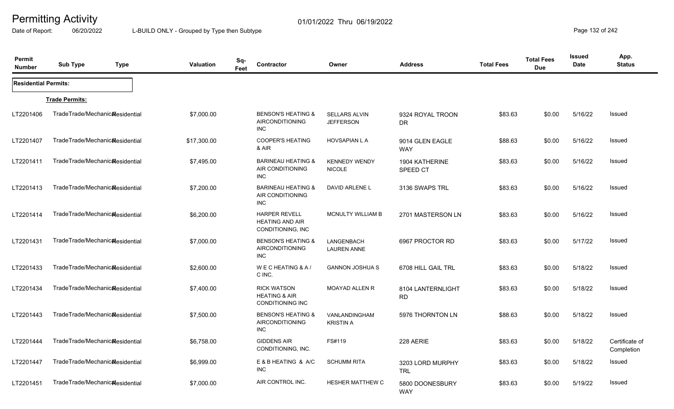Date of Report: 06/20/2022 L-BUILD ONLY - Grouped by Type then Subtype **Page 132 of 242** 

| Permit<br><b>Number</b>     | <b>Sub Type</b>                              | <b>Type</b> | Valuation   | Sq-<br>Feet | Contractor                                                                | Owner                                    | <b>Address</b>                 | <b>Total Fees</b> | <b>Total Fees</b><br><b>Due</b> | <b>Issued</b><br><b>Date</b> | App.<br><b>Status</b>        |
|-----------------------------|----------------------------------------------|-------------|-------------|-------------|---------------------------------------------------------------------------|------------------------------------------|--------------------------------|-------------------|---------------------------------|------------------------------|------------------------------|
| <b>Residential Permits:</b> |                                              |             |             |             |                                                                           |                                          |                                |                   |                                 |                              |                              |
|                             | <b>Trade Permits:</b>                        |             |             |             |                                                                           |                                          |                                |                   |                                 |                              |                              |
| LT2201406                   | TradeTrade/Mechanicalesidential              |             | \$7,000.00  |             | <b>BENSON'S HEATING &amp;</b><br>AIRCONDITIONING<br><b>INC</b>            | <b>SELLARS ALVIN</b><br><b>JEFFERSON</b> | 9324 ROYAL TROON<br><b>DR</b>  | \$83.63           | \$0.00                          | 5/16/22                      | Issued                       |
| LT2201407                   | TradeTrade/Mechanic&esidential               |             | \$17,300.00 |             | <b>COOPER'S HEATING</b><br>& AIR                                          | <b>HOVSAPIAN L A</b>                     | 9014 GLEN EAGLE<br><b>WAY</b>  | \$88.63           | \$0.00                          | 5/16/22                      | <b>Issued</b>                |
| LT2201411                   | TradeTrade/Mechanic <sub>al</sub> esidential |             | \$7,495.00  |             | <b>BARINEAU HEATING &amp;</b><br>AIR CONDITIONING<br><b>INC</b>           | <b>KENNEDY WENDY</b><br><b>NICOLE</b>    | 1904 KATHERINE<br>SPEED CT     | \$83.63           | \$0.00                          | 5/16/22                      | <b>Issued</b>                |
| LT2201413                   | TradeTrade/Mechanic&esidential               |             | \$7,200.00  |             | <b>BARINEAU HEATING &amp;</b><br>AIR CONDITIONING<br><b>INC</b>           | DAVID ARLENE L                           | 3136 SWAPS TRL                 | \$83.63           | \$0.00                          | 5/16/22                      | <b>Issued</b>                |
| LT2201414                   | TradeTrade/Mechanicalesidential              |             | \$6,200.00  |             | <b>HARPER REVELL</b><br><b>HEATING AND AIR</b><br>CONDITIONING, INC       | <b>MCNULTY WILLIAM B</b>                 | 2701 MASTERSON LN              | \$83.63           | \$0.00                          | 5/16/22                      | Issued                       |
| LT2201431                   | TradeTrade/Mechanicalesidential              |             | \$7,000.00  |             | <b>BENSON'S HEATING &amp;</b><br>AIRCONDITIONING<br><b>INC</b>            | LANGENBACH<br><b>LAUREN ANNE</b>         | 6967 PROCTOR RD                | \$83.63           | \$0.00                          | 5/17/22                      | <b>Issued</b>                |
| LT2201433                   | TradeTrade/Mechanicalesidential              |             | \$2,600.00  |             | WECHEATING & A/<br>C INC.                                                 | <b>GANNON JOSHUA S</b>                   | 6708 HILL GAIL TRL             | \$83.63           | \$0.00                          | 5/18/22                      | <b>Issued</b>                |
| LT2201434                   | TradeTrade/Mechanic&esidential               |             | \$7,400.00  |             | <b>RICK WATSON</b><br><b>HEATING &amp; AIR</b><br><b>CONDITIONING INC</b> | <b>MOAYAD ALLEN R</b>                    | 8104 LANTERNLIGHT<br><b>RD</b> | \$83.63           | \$0.00                          | 5/18/22                      | Issued                       |
| LT2201443                   | TradeTrade/Mechanic&esidential               |             | \$7,500.00  |             | <b>BENSON'S HEATING &amp;</b><br>AIRCONDITIONING<br><b>INC</b>            | VANLANDINGHAM<br><b>KRISTIN A</b>        | 5976 THORNTON LN               | \$88.63           | \$0.00                          | 5/18/22                      | Issued                       |
| LT2201444                   | TradeTrade/Mechanic&esidential               |             | \$6,758.00  |             | <b>GIDDENS AIR</b><br>CONDITIONING, INC.                                  | FS#119                                   | 228 AERIE                      | \$83.63           | \$0.00                          | 5/18/22                      | Certificate of<br>Completion |
| LT2201447                   | TradeTrade/Mechanic&esidential               |             | \$6,999.00  |             | E & B HEATING & A/C<br><b>INC</b>                                         | <b>SCHUMM RITA</b>                       | 3203 LORD MURPHY<br><b>TRL</b> | \$83.63           | \$0.00                          | 5/18/22                      | Issued                       |
| LT2201451                   | TradeTrade/Mechanic <sub>al</sub> esidential |             | \$7,000.00  |             | AIR CONTROL INC.                                                          | <b>HESHER MATTHEW C</b>                  | 5800 DOONESBURY<br><b>WAY</b>  | \$83.63           | \$0.00                          | 5/19/22                      | <b>Issued</b>                |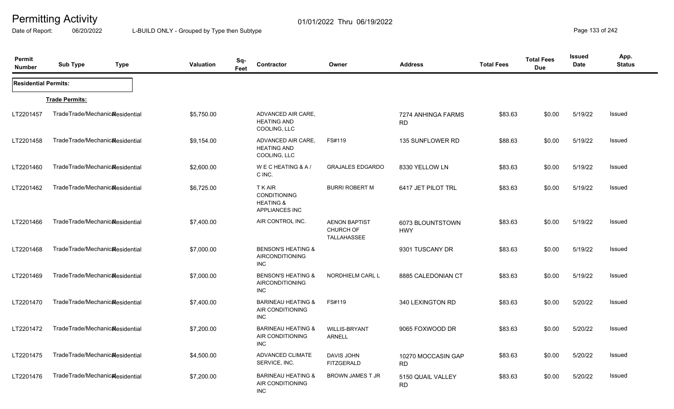Date of Report: 06/20/2022 L-BUILD ONLY - Grouped by Type then Subtype **Page 133 of 242** 

| Permit<br><b>Number</b>     | <b>Sub Type</b><br><b>Type</b>               | <b>Valuation</b> | Sq-<br>Contractor<br>Feet                                                     | Owner                                            | <b>Address</b>                  | <b>Total Fees</b> | <b>Total Fees</b><br><b>Due</b> | Issued<br><b>Date</b> | App.<br><b>Status</b> |
|-----------------------------|----------------------------------------------|------------------|-------------------------------------------------------------------------------|--------------------------------------------------|---------------------------------|-------------------|---------------------------------|-----------------------|-----------------------|
| <b>Residential Permits:</b> |                                              |                  |                                                                               |                                                  |                                 |                   |                                 |                       |                       |
|                             | <b>Trade Permits:</b>                        |                  |                                                                               |                                                  |                                 |                   |                                 |                       |                       |
| LT2201457                   | TradeTrade/Mechanic&esidential               | \$5,750.00       | ADVANCED AIR CARE,<br><b>HEATING AND</b><br>COOLING, LLC                      |                                                  | 7274 ANHINGA FARMS<br><b>RD</b> | \$83.63           | \$0.00                          | 5/19/22               | Issued                |
| LT2201458                   | TradeTrade/Mechanic&esidential               | \$9,154.00       | ADVANCED AIR CARE,<br><b>HEATING AND</b><br>COOLING, LLC                      | FS#119                                           | 135 SUNFLOWER RD                | \$88.63           | \$0.00                          | 5/19/22               | Issued                |
| LT2201460                   | TradeTrade/Mechanic&esidential               | \$2,600.00       | WECHEATING & A/<br>C INC.                                                     | <b>GRAJALES EDGARDO</b>                          | 8330 YELLOW LN                  | \$83.63           | \$0.00                          | 5/19/22               | Issued                |
| LT2201462                   | TradeTrade/Mechanicalesidential              | \$6,725.00       | <b>TKAIR</b><br>CONDITIONING<br><b>HEATING &amp;</b><br><b>APPLIANCES INC</b> | <b>BURRI ROBERT M</b>                            | 6417 JET PILOT TRL              | \$83.63           | \$0.00                          | 5/19/22               | Issued                |
| LT2201466                   | TradeTrade/Mechanic <sub>al</sub> esidential | \$7,400.00       | AIR CONTROL INC.                                                              | <b>AENON BAPTIST</b><br>CHURCH OF<br>TALLAHASSEE | 6073 BLOUNTSTOWN<br><b>HWY</b>  | \$83.63           | \$0.00                          | 5/19/22               | Issued                |
| LT2201468                   | TradeTrade/Mechanic&esidential               | \$7,000.00       | <b>BENSON'S HEATING &amp;</b><br><b>AIRCONDITIONING</b><br><b>INC</b>         |                                                  | 9301 TUSCANY DR                 | \$83.63           | \$0.00                          | 5/19/22               | Issued                |
| LT2201469                   | TradeTrade/Mechanicalesidential              | \$7,000.00       | <b>BENSON'S HEATING &amp;</b><br><b>AIRCONDITIONING</b><br><b>INC</b>         | NORDHIELM CARL L                                 | 8885 CALEDONIAN CT              | \$83.63           | \$0.00                          | 5/19/22               | Issued                |
| LT2201470                   | TradeTrade/Mechanicalesidential              | \$7,400.00       | <b>BARINEAU HEATING &amp;</b><br>AIR CONDITIONING<br><b>INC</b>               | FS#119                                           | 340 LEXINGTON RD                | \$83.63           | \$0.00                          | 5/20/22               | Issued                |
| LT2201472                   | TradeTrade/Mechanic&esidential               | \$7,200.00       | <b>BARINEAU HEATING &amp;</b><br>AIR CONDITIONING<br><b>INC</b>               | <b>WILLIS-BRYANT</b><br><b>ARNELL</b>            | 9065 FOXWOOD DR                 | \$83.63           | \$0.00                          | 5/20/22               | Issued                |
| LT2201475                   | TradeTrade/Mechanic&esidential               | \$4,500.00       | <b>ADVANCED CLIMATE</b><br>SERVICE, INC.                                      | <b>DAVIS JOHN</b><br><b>FITZGERALD</b>           | 10270 MOCCASIN GAP<br><b>RD</b> | \$83.63           | \$0.00                          | 5/20/22               | Issued                |
| LT2201476                   | TradeTrade/Mechanicalesidential              | \$7,200.00       | <b>BARINEAU HEATING &amp;</b><br>AIR CONDITIONING<br><b>INC</b>               | <b>BROWN JAMES T JR</b>                          | 5150 QUAIL VALLEY<br><b>RD</b>  | \$83.63           | \$0.00                          | 5/20/22               | Issued                |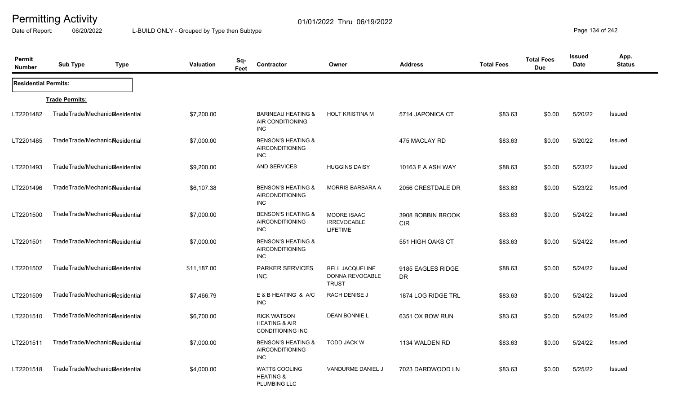Date of Report: 06/20/2022 L-BUILD ONLY - Grouped by Type then Subtype **Page 134** of 242

| Permit<br><b>Number</b>     | <b>Sub Type</b>                              | <b>Type</b> | <b>Valuation</b> | Sq-<br>Contractor<br>Feet                                          |                               | Owner                                                     | <b>Address</b>                  | <b>Total Fees</b> | <b>Total Fees</b><br><b>Due</b> | Issued<br><b>Date</b> | App.<br><b>Status</b> |
|-----------------------------|----------------------------------------------|-------------|------------------|--------------------------------------------------------------------|-------------------------------|-----------------------------------------------------------|---------------------------------|-------------------|---------------------------------|-----------------------|-----------------------|
| <b>Residential Permits:</b> |                                              |             |                  |                                                                    |                               |                                                           |                                 |                   |                                 |                       |                       |
|                             | <b>Trade Permits:</b>                        |             |                  |                                                                    |                               |                                                           |                                 |                   |                                 |                       |                       |
| LT2201482                   | TradeTrade/Mechanic&esidential               |             | \$7,200.00       | <b>BARINEAU HEATING &amp;</b><br>AIR CONDITIONING<br>INC           |                               | <b>HOLT KRISTINA M</b>                                    | 5714 JAPONICA CT                | \$83.63           | \$0.00                          | 5/20/22               | Issued                |
| LT2201485                   | TradeTrade/Mechanic&esidential               |             | \$7,000.00       | <b>AIRCONDITIONING</b><br>INC                                      | <b>BENSON'S HEATING &amp;</b> |                                                           | 475 MACLAY RD                   | \$83.63           | \$0.00                          | 5/20/22               | Issued                |
| LT2201493                   | TradeTrade/Mechanic&esidential               |             | \$9,200.00       | AND SERVICES                                                       |                               | <b>HUGGINS DAISY</b>                                      | 10163 F A ASH WAY               | \$88.63           | \$0.00                          | 5/23/22               | <b>Issued</b>         |
| LT2201496                   | TradeTrade/Mechanic <sub>al</sub> esidential |             | \$6,107.38       | <b>AIRCONDITIONING</b><br><b>INC</b>                               | <b>BENSON'S HEATING &amp;</b> | <b>MORRIS BARBARA A</b>                                   | 2056 CRESTDALE DR               | \$83.63           | \$0.00                          | 5/23/22               | Issued                |
| LT2201500                   | TradeTrade/Mechanicalesidential              |             | \$7,000.00       | <b>AIRCONDITIONING</b><br><b>INC</b>                               | <b>BENSON'S HEATING &amp;</b> | MOORE ISAAC<br><b>IRREVOCABLE</b><br><b>LIFETIME</b>      | 3908 BOBBIN BROOK<br><b>CIR</b> | \$83.63           | \$0.00                          | 5/24/22               | Issued                |
| LT2201501                   | TradeTrade/Mechanic <sub>al</sub> esidential |             | \$7,000.00       | <b>AIRCONDITIONING</b><br><b>INC</b>                               | <b>BENSON'S HEATING &amp;</b> |                                                           | 551 HIGH OAKS CT                | \$83.63           | \$0.00                          | 5/24/22               | Issued                |
| LT2201502                   | TradeTrade/Mechanicalesidential              |             | \$11,187.00      | <b>PARKER SERVICES</b><br>INC.                                     |                               | <b>BELL JACQUELINE</b><br>DONNA REVOCABLE<br><b>TRUST</b> | 9185 EAGLES RIDGE<br><b>DR</b>  | \$88.63           | \$0.00                          | 5/24/22               | Issued                |
| LT2201509                   | TradeTrade/Mechanic&esidential               |             | \$7,466.79       | E & B HEATING & A/C<br><b>INC</b>                                  |                               | <b>RACH DENISE J</b>                                      | 1874 LOG RIDGE TRL              | \$83.63           | \$0.00                          | 5/24/22               | <b>Issued</b>         |
| LT2201510                   | TradeTrade/Mechanic&esidential               |             | \$6,700.00       | <b>RICK WATSON</b><br><b>HEATING &amp; AIR</b><br>CONDITIONING INC |                               | <b>DEAN BONNIE L</b>                                      | 6351 OX BOW RUN                 | \$83.63           | \$0.00                          | 5/24/22               | Issued                |
| LT2201511                   | TradeTrade/Mechanic&esidential               |             | \$7,000.00       | <b>AIRCONDITIONING</b><br><b>INC</b>                               | <b>BENSON'S HEATING &amp;</b> | <b>TODD JACK W</b>                                        | 1134 WALDEN RD                  | \$83.63           | \$0.00                          | 5/24/22               | <b>Issued</b>         |
| LT2201518                   | TradeTrade/Mechanic&esidential               |             | \$4,000.00       | <b>WATTS COOLING</b><br><b>HEATING &amp;</b><br>PLUMBING LLC       |                               | VANDURME DANIEL J                                         | 7023 DARDWOOD LN                | \$83.63           | \$0.00                          | 5/25/22               | Issued                |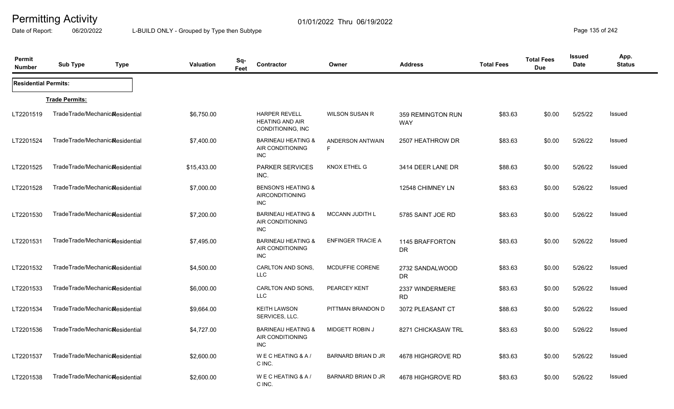Date of Report: 06/20/2022 L-BUILD ONLY - Grouped by Type then Subtype **Page 135** of 242

| Permit<br><b>Number</b>     | <b>Sub Type</b>                 | <b>Type</b> | <b>Valuation</b> | Sq-<br>Feet | Contractor                                                            | Owner                     | <b>Address</b>                  | <b>Total Fees</b> | <b>Total Fees</b><br><b>Due</b> | <b>Issued</b><br><b>Date</b> | App.<br><b>Status</b> |
|-----------------------------|---------------------------------|-------------|------------------|-------------|-----------------------------------------------------------------------|---------------------------|---------------------------------|-------------------|---------------------------------|------------------------------|-----------------------|
| <b>Residential Permits:</b> |                                 |             |                  |             |                                                                       |                           |                                 |                   |                                 |                              |                       |
|                             | <b>Trade Permits:</b>           |             |                  |             |                                                                       |                           |                                 |                   |                                 |                              |                       |
| LT2201519                   | TradeTrade/Mechanic&esidential  |             | \$6,750.00       |             | <b>HARPER REVELL</b><br><b>HEATING AND AIR</b><br>CONDITIONING, INC   | <b>WILSON SUSAN R</b>     | 359 REMINGTON RUN<br><b>WAY</b> | \$83.63           | \$0.00                          | 5/25/22                      | Issued                |
| LT2201524                   | TradeTrade/Mechanic&esidential  |             | \$7,400.00       |             | <b>BARINEAU HEATING &amp;</b><br>AIR CONDITIONING<br><b>INC</b>       | ANDERSON ANTWAIN<br>F.    | 2507 HEATHROW DR                | \$83.63           | \$0.00                          | 5/26/22                      | Issued                |
| LT2201525                   | TradeTrade/Mechanic&esidential  |             | \$15,433.00      |             | <b>PARKER SERVICES</b><br>INC.                                        | KNOX ETHEL G              | 3414 DEER LANE DR               | \$88.63           | \$0.00                          | 5/26/22                      | Issued                |
| LT2201528                   | TradeTrade/Mechanicalesidential |             | \$7,000.00       |             | <b>BENSON'S HEATING &amp;</b><br><b>AIRCONDITIONING</b><br><b>INC</b> |                           | 12548 CHIMNEY LN                | \$83.63           | \$0.00                          | 5/26/22                      | Issued                |
| LT2201530                   | TradeTrade/Mechanic&esidential  |             | \$7,200.00       |             | <b>BARINEAU HEATING &amp;</b><br>AIR CONDITIONING<br><b>INC</b>       | <b>MCCANN JUDITH L</b>    | 5785 SAINT JOE RD               | \$83.63           | \$0.00                          | 5/26/22                      | Issued                |
| LT2201531                   | TradeTrade/Mechanicalesidential |             | \$7,495.00       |             | <b>BARINEAU HEATING &amp;</b><br>AIR CONDITIONING<br><b>INC</b>       | <b>ENFINGER TRACIE A</b>  | 1145 BRAFFORTON<br>DR           | \$83.63           | \$0.00                          | 5/26/22                      | <b>Issued</b>         |
| LT2201532                   | TradeTrade/Mechanicalesidential |             | \$4,500.00       |             | CARLTON AND SONS.<br><b>LLC</b>                                       | <b>MCDUFFIE CORENE</b>    | 2732 SANDALWOOD<br><b>DR</b>    | \$83.63           | \$0.00                          | 5/26/22                      | Issued                |
| LT2201533                   | TradeTrade/Mechanic&esidential  |             | \$6,000.00       |             | CARLTON AND SONS,<br><b>LLC</b>                                       | PEARCEY KENT              | 2337 WINDERMERE<br><b>RD</b>    | \$83.63           | \$0.00                          | 5/26/22                      | <b>Issued</b>         |
| LT2201534                   | TradeTrade/Mechanic&esidential  |             | \$9,664.00       |             | <b>KEITH LAWSON</b><br>SERVICES, LLC.                                 | PITTMAN BRANDON D         | 3072 PLEASANT CT                | \$88.63           | \$0.00                          | 5/26/22                      | <b>Issued</b>         |
| LT2201536                   | TradeTrade/Mechanic&esidential  |             | \$4,727.00       |             | <b>BARINEAU HEATING &amp;</b><br>AIR CONDITIONING<br><b>INC</b>       | <b>MIDGETT ROBIN J</b>    | 8271 CHICKASAW TRL              | \$83.63           | \$0.00                          | 5/26/22                      | Issued                |
| LT2201537                   | TradeTrade/Mechanicalesidential |             | \$2,600.00       |             | WECHEATING & A/<br>C INC.                                             | <b>BARNARD BRIAN D JR</b> | 4678 HIGHGROVE RD               | \$83.63           | \$0.00                          | 5/26/22                      | <b>Issued</b>         |
| LT2201538                   | TradeTrade/Mechanic&esidential  |             | \$2,600.00       |             | WECHEATING & A/<br>C INC.                                             | <b>BARNARD BRIAN D JR</b> | 4678 HIGHGROVE RD               | \$83.63           | \$0.00                          | 5/26/22                      | Issued                |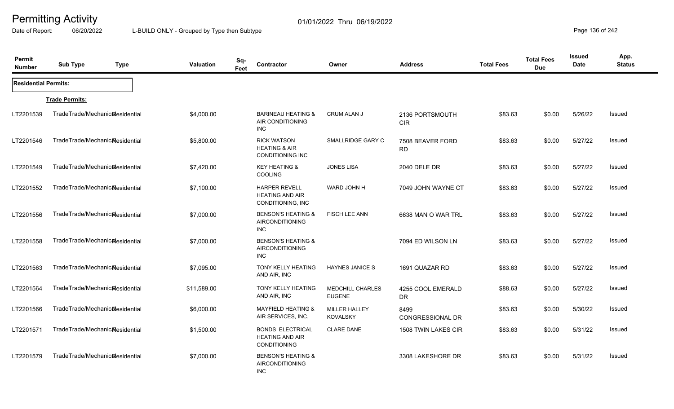Date of Report: 06/20/2022 L-BUILD ONLY - Grouped by Type then Subtype **Page 136** of 242

| Permit<br><b>Number</b>     | <b>Sub Type</b>                              | <b>Type</b> | <b>Valuation</b> | Sq-<br>Feet | Contractor                                                                | Owner                                    | <b>Address</b>                  | <b>Total Fees</b> | <b>Total Fees</b><br><b>Due</b> | Issued<br>Date | App.<br><b>Status</b> |
|-----------------------------|----------------------------------------------|-------------|------------------|-------------|---------------------------------------------------------------------------|------------------------------------------|---------------------------------|-------------------|---------------------------------|----------------|-----------------------|
| <b>Residential Permits:</b> |                                              |             |                  |             |                                                                           |                                          |                                 |                   |                                 |                |                       |
|                             | <b>Trade Permits:</b>                        |             |                  |             |                                                                           |                                          |                                 |                   |                                 |                |                       |
| LT2201539                   | TradeTrade/Mechanic&esidential               |             | \$4,000.00       |             | <b>BARINEAU HEATING &amp;</b><br>AIR CONDITIONING<br>INC                  | <b>CRUM ALAN J</b>                       | 2136 PORTSMOUTH<br><b>CIR</b>   | \$83.63           | \$0.00                          | 5/26/22        | Issued                |
| LT2201546                   | TradeTrade/Mechanic&esidential               |             | \$5,800.00       |             | <b>RICK WATSON</b><br><b>HEATING &amp; AIR</b><br><b>CONDITIONING INC</b> | SMALLRIDGE GARY C                        | 7508 BEAVER FORD<br><b>RD</b>   | \$83.63           | \$0.00                          | 5/27/22        | Issued                |
| LT2201549                   | TradeTrade/Mechanic&esidential               |             | \$7,420.00       |             | <b>KEY HEATING &amp;</b><br>COOLING                                       | <b>JONES LISA</b>                        | 2040 DELE DR                    | \$83.63           | \$0.00                          | 5/27/22        | Issued                |
| LT2201552                   | TradeTrade/Mechanic <sub>al</sub> esidential |             | \$7,100.00       |             | <b>HARPER REVELL</b><br><b>HEATING AND AIR</b><br>CONDITIONING, INC       | WARD JOHN H                              | 7049 JOHN WAYNE CT              | \$83.63           | \$0.00                          | 5/27/22        | Issued                |
| LT2201556                   | TradeTrade/Mechanicalesidential              |             | \$7,000.00       |             | <b>BENSON'S HEATING &amp;</b><br><b>AIRCONDITIONING</b><br>INC            | <b>FISCH LEE ANN</b>                     | 6638 MAN O WAR TRL              | \$83.63           | \$0.00                          | 5/27/22        | Issued                |
| LT2201558                   | TradeTrade/Mechanic <sub>Residential</sub>   |             | \$7,000.00       |             | <b>BENSON'S HEATING &amp;</b><br><b>AIRCONDITIONING</b><br>INC            |                                          | 7094 ED WILSON LN               | \$83.63           | \$0.00                          | 5/27/22        | Issued                |
| LT2201563                   | TradeTrade/Mechanicalesidential              |             | \$7,095.00       |             | <b>TONY KELLY HEATING</b><br>AND AIR, INC                                 | <b>HAYNES JANICE S</b>                   | 1691 QUAZAR RD                  | \$83.63           | \$0.00                          | 5/27/22        | Issued                |
| LT2201564                   | TradeTrade/Mechanic&esidential               |             | \$11,589.00      |             | TONY KELLY HEATING<br>AND AIR, INC                                        | <b>MEDCHILL CHARLES</b><br><b>EUGENE</b> | 4255 COOL EMERALD<br><b>DR</b>  | \$88.63           | \$0.00                          | 5/27/22        | Issued                |
| LT2201566                   | TradeTrade/Mechanic&esidential               |             | \$6,000.00       |             | <b>MAYFIELD HEATING &amp;</b><br>AIR SERVICES, INC.                       | <b>MILLER HALLEY</b><br><b>KOVALSKY</b>  | 8499<br><b>CONGRESSIONAL DR</b> | \$83.63           | \$0.00                          | 5/30/22        | Issued                |
| LT2201571                   | TradeTrade/Mechanicalesidential              |             | \$1,500.00       |             | <b>BONDS ELECTRICAL</b><br><b>HEATING AND AIR</b><br><b>CONDITIONING</b>  | <b>CLARE DANE</b>                        | 1508 TWIN LAKES CIR             | \$83.63           | \$0.00                          | 5/31/22        | Issued                |
| LT2201579                   | TradeTrade/Mechanic <sub>al</sub> esidential |             | \$7,000.00       |             | <b>BENSON'S HEATING &amp;</b><br><b>AIRCONDITIONING</b><br><b>INC</b>     |                                          | 3308 LAKESHORE DR               | \$83.63           | \$0.00                          | 5/31/22        | Issued                |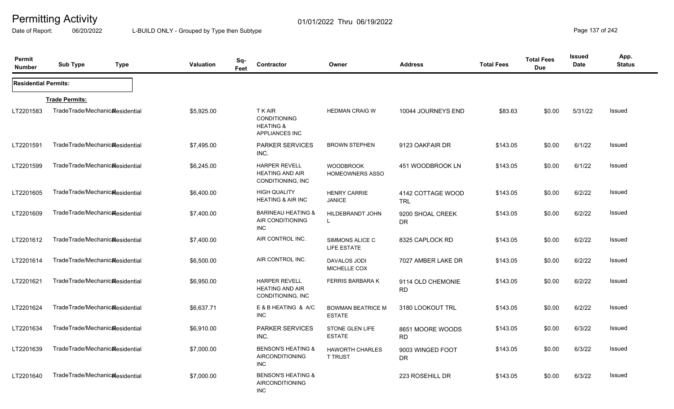Date of Report: 06/20/2022 L-BUILD ONLY - Grouped by Type then Subtype **Page 137** of 242

| Permit<br><b>Number</b>     | <b>Sub Type</b><br><b>Type</b>               | <b>Valuation</b> | Sq-<br>Contractor<br>Feet                                                     | Owner                                      | <b>Address</b>                  | <b>Total Fees</b> | <b>Total Fees</b><br><b>Due</b> | <b>Issued</b><br>Date | App.<br><b>Status</b> |
|-----------------------------|----------------------------------------------|------------------|-------------------------------------------------------------------------------|--------------------------------------------|---------------------------------|-------------------|---------------------------------|-----------------------|-----------------------|
| <b>Residential Permits:</b> |                                              |                  |                                                                               |                                            |                                 |                   |                                 |                       |                       |
|                             | <b>Trade Permits:</b>                        |                  |                                                                               |                                            |                                 |                   |                                 |                       |                       |
| LT2201583                   | TradeTrade/Mechanic&esidential               | \$5,925.00       | <b>TKAIR</b><br>CONDITIONING<br><b>HEATING &amp;</b><br><b>APPLIANCES INC</b> | <b>HEDMAN CRAIG W</b>                      | 10044 JOURNEYS END              | \$83.63           | \$0.00                          | 5/31/22               | Issued                |
| LT2201591                   | TradeTrade/Mechanic&esidential               | \$7,495.00       | <b>PARKER SERVICES</b><br>INC.                                                | <b>BROWN STEPHEN</b>                       | 9123 OAKFAIR DR                 | \$143.05          | \$0.00                          | 6/1/22                | Issued                |
| LT2201599                   | TradeTrade/Mechanicalesidential              | \$6,245.00       | <b>HARPER REVELL</b><br><b>HEATING AND AIR</b><br>CONDITIONING, INC.          | <b>WOODBROOK</b><br><b>HOMEOWNERS ASSO</b> | 451 WOODBROOK LN                | \$143.05          | \$0.00                          | 6/1/22                | Issued                |
| LT2201605                   | TradeTrade/Mechanicalesidential              | \$6,400.00       | <b>HIGH QUALITY</b><br><b>HEATING &amp; AIR INC</b>                           | <b>HENRY CARRIE</b><br><b>JANICE</b>       | 4142 COTTAGE WOOD<br><b>TRL</b> | \$143.05          | \$0.00                          | 6/2/22                | Issued                |
| LT2201609                   | TradeTrade/Mechanic&esidential               | \$7,400.00       | <b>BARINEAU HEATING &amp;</b><br>AIR CONDITIONING<br><b>INC</b>               | HILDEBRANDT JOHN<br>$\mathbf{L}$           | 9200 SHOAL CREEK<br><b>DR</b>   | \$143.05          | \$0.00                          | 6/2/22                | Issued                |
| LT2201612                   | TradeTrade/Mechanic&esidential               | \$7,400.00       | AIR CONTROL INC.                                                              | SIMMONS ALICE C<br>LIFE ESTATE             | 8325 CAPLOCK RD                 | \$143.05          | \$0.00                          | 6/2/22                | <b>Issued</b>         |
| LT2201614                   | TradeTrade/Mechanic&esidential               | \$6,500.00       | AIR CONTROL INC.                                                              | <b>DAVALOS JODI</b><br>MICHELLE COX        | 7027 AMBER LAKE DR              | \$143.05          | \$0.00                          | 6/2/22                | Issued                |
| LT2201621                   | TradeTrade/Mechanicalesidential              | \$6,950.00       | <b>HARPER REVELL</b><br><b>HEATING AND AIR</b><br>CONDITIONING, INC           | <b>FERRIS BARBARA K</b>                    | 9114 OLD CHEMONIE<br><b>RD</b>  | \$143.05          | \$0.00                          | 6/2/22                | Issued                |
| LT2201624                   | TradeTrade/Mechanicalesidential              | \$6,637.71       | E & B HEATING & A/C<br><b>INC</b>                                             | <b>BOWMAN BEATRICE M</b><br><b>ESTATE</b>  | 3180 LOOKOUT TRL                | \$143.05          | \$0.00                          | 6/2/22                | Issued                |
| LT2201634                   | TradeTrade/Mechanic&esidential               | \$6,910.00       | <b>PARKER SERVICES</b><br>INC.                                                | STONE GLEN LIFE<br><b>ESTATE</b>           | 8651 MOORE WOODS<br><b>RD</b>   | \$143.05          | \$0.00                          | 6/3/22                | Issued                |
| LT2201639                   | TradeTrade/Mechanic <sub>al</sub> esidential | \$7,000.00       | <b>BENSON'S HEATING &amp;</b><br><b>AIRCONDITIONING</b><br><b>INC</b>         | <b>HAWORTH CHARLES</b><br><b>T TRUST</b>   | 9003 WINGED FOOT<br><b>DR</b>   | \$143.05          | \$0.00                          | 6/3/22                | Issued                |
| LT2201640                   | TradeTrade/Mechanic&esidential               | \$7,000.00       | <b>BENSON'S HEATING &amp;</b><br><b>AIRCONDITIONING</b><br><b>INC</b>         |                                            | 223 ROSEHILL DR                 | \$143.05          | \$0.00                          | 6/3/22                | Issued                |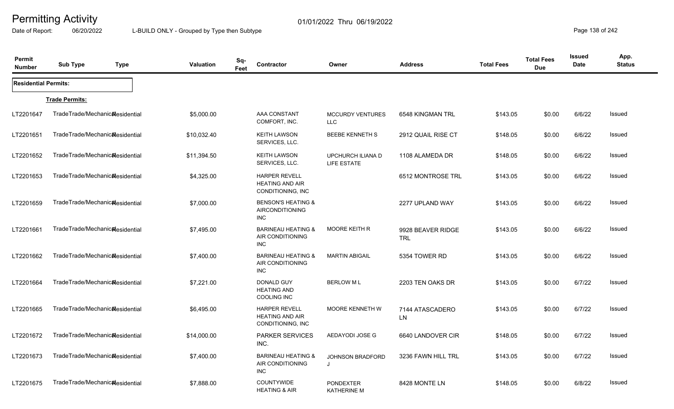Date of Report: 06/20/2022 L-BUILD ONLY - Grouped by Type then Subtype **Page 138** of 242

| Permit<br><b>Number</b>     | <b>Sub Type</b>                              | <b>Type</b> | <b>Valuation</b> | Sq-<br>Feet | Contractor                                                          | Owner                                   | <b>Address</b>           | <b>Total Fees</b> | <b>Total Fees</b><br><b>Due</b> | <b>Issued</b><br><b>Date</b> | App.<br><b>Status</b> |
|-----------------------------|----------------------------------------------|-------------|------------------|-------------|---------------------------------------------------------------------|-----------------------------------------|--------------------------|-------------------|---------------------------------|------------------------------|-----------------------|
| <b>Residential Permits:</b> |                                              |             |                  |             |                                                                     |                                         |                          |                   |                                 |                              |                       |
|                             | <b>Trade Permits:</b>                        |             |                  |             |                                                                     |                                         |                          |                   |                                 |                              |                       |
| LT2201647                   | TradeTrade/Mechanic&esidential               |             | \$5,000.00       |             | AAA CONSTANT<br>COMFORT, INC.                                       | <b>MCCURDY VENTURES</b><br><b>LLC</b>   | 6548 KINGMAN TRL         | \$143.05          | \$0.00                          | 6/6/22                       | Issued                |
| LT2201651                   | TradeTrade/Mechanic <sub>al</sub> esidential |             | \$10,032.40      |             | <b>KEITH LAWSON</b><br>SERVICES, LLC.                               | <b>BEEBE KENNETH S</b>                  | 2912 QUAIL RISE CT       | \$148.05          | \$0.00                          | 6/6/22                       | Issued                |
| LT2201652                   | TradeTrade/Mechanic&esidential               |             | \$11,394.50      |             | <b>KEITH LAWSON</b><br>SERVICES, LLC.                               | UPCHURCH ILIANA D<br><b>LIFE ESTATE</b> | 1108 ALAMEDA DR          | \$148.05          | \$0.00                          | 6/6/22                       | Issued                |
| LT2201653                   | TradeTrade/Mechanic&esidential               |             | \$4,325.00       |             | <b>HARPER REVELL</b><br><b>HEATING AND AIR</b><br>CONDITIONING, INC |                                         | 6512 MONTROSE TRL        | \$143.05          | \$0.00                          | 6/6/22                       | Issued                |
| LT2201659                   | TradeTrade/Mechanic&esidential               |             | \$7,000.00       |             | <b>BENSON'S HEATING &amp;</b><br>AIRCONDITIONING<br>INC             |                                         | 2277 UPLAND WAY          | \$143.05          | \$0.00                          | 6/6/22                       | Issued                |
| LT2201661                   | TradeTrade/Mechanic&esidential               |             | \$7,495.00       |             | <b>BARINEAU HEATING &amp;</b><br>AIR CONDITIONING<br><b>INC</b>     | <b>MOORE KEITH R</b>                    | 9928 BEAVER RIDGE<br>TRL | \$143.05          | \$0.00                          | 6/6/22                       | Issued                |
| LT2201662                   | TradeTrade/Mechanic&esidential               |             | \$7,400.00       |             | <b>BARINEAU HEATING &amp;</b><br>AIR CONDITIONING<br><b>INC</b>     | <b>MARTIN ABIGAIL</b>                   | 5354 TOWER RD            | \$143.05          | \$0.00                          | 6/6/22                       | Issued                |
| LT2201664                   | TradeTrade/Mechanic&esidential               |             | \$7,221.00       |             | DONALD GUY<br><b>HEATING AND</b><br>COOLING INC                     | <b>BERLOW ML</b>                        | 2203 TEN OAKS DR         | \$143.05          | \$0.00                          | 6/7/22                       | Issued                |
| LT2201665                   | TradeTrade/Mechanic&esidential               |             | \$6,495.00       |             | <b>HARPER REVELL</b><br><b>HEATING AND AIR</b><br>CONDITIONING, INC | <b>MOORE KENNETH W</b>                  | 7144 ATASCADERO<br>LN    | \$143.05          | \$0.00                          | 6/7/22                       | Issued                |
| LT2201672                   | TradeTrade/Mechanic&esidential               |             | \$14,000.00      |             | <b>PARKER SERVICES</b><br>INC.                                      | AEDAYODI JOSE G                         | 6640 LANDOVER CIR        | \$148.05          | \$0.00                          | 6/7/22                       | Issued                |
| LT2201673                   | TradeTrade/Mechanic <sub>al</sub> esidential |             | \$7,400.00       |             | <b>BARINEAU HEATING &amp;</b><br>AIR CONDITIONING<br><b>INC</b>     | <b>JOHNSON BRADFORD</b><br>J            | 3236 FAWN HILL TRL       | \$143.05          | \$0.00                          | 6/7/22                       | Issued                |
| LT2201675                   | TradeTrade/Mechanic <sub>al</sub> esidential |             | \$7,888.00       |             | <b>COUNTYWIDE</b><br><b>HEATING &amp; AIR</b>                       | <b>PONDEXTER</b><br><b>KATHERINE M</b>  | 8428 MONTE LN            | \$148.05          | \$0.00                          | 6/8/22                       | <b>Issued</b>         |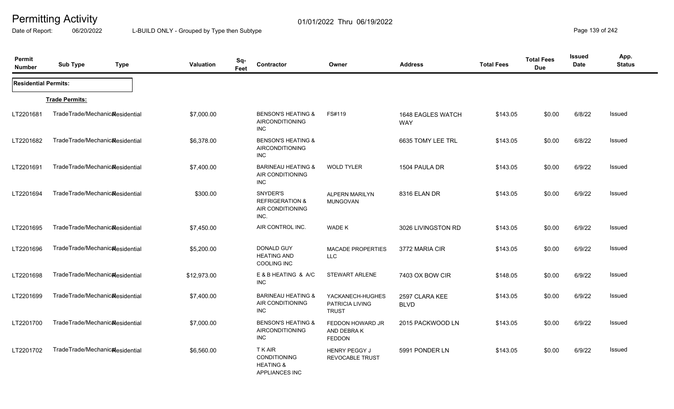Date of Report: 06/20/2022 L-BUILD ONLY - Grouped by Type then Subtype **Page 139 of 242** 

| Permit<br><b>Number</b>     | <b>Sub Type</b>                              | <b>Type</b> | Valuation   | Sq-<br>Feet | Contractor                                                                    | Owner                                               | <b>Address</b>                  | <b>Total Fees</b> | <b>Total Fees</b><br><b>Due</b> | <b>Issued</b><br>Date | App.<br><b>Status</b> |
|-----------------------------|----------------------------------------------|-------------|-------------|-------------|-------------------------------------------------------------------------------|-----------------------------------------------------|---------------------------------|-------------------|---------------------------------|-----------------------|-----------------------|
| <b>Residential Permits:</b> |                                              |             |             |             |                                                                               |                                                     |                                 |                   |                                 |                       |                       |
|                             | <b>Trade Permits:</b>                        |             |             |             |                                                                               |                                                     |                                 |                   |                                 |                       |                       |
| LT2201681                   | TradeTrade/Mechanic&esidential               |             | \$7,000.00  |             | <b>BENSON'S HEATING &amp;</b><br><b>AIRCONDITIONING</b><br>INC.               | FS#119                                              | 1648 EAGLES WATCH<br><b>WAY</b> | \$143.05          | \$0.00                          | 6/8/22                | Issued                |
| LT2201682                   | TradeTrade/Mechanic&esidential               |             | \$6,378.00  |             | <b>BENSON'S HEATING &amp;</b><br><b>AIRCONDITIONING</b><br>INC                |                                                     | 6635 TOMY LEE TRL               | \$143.05          | \$0.00                          | 6/8/22                | Issued                |
| LT2201691                   | TradeTrade/Mechanic <sub>al</sub> esidential |             | \$7,400.00  |             | <b>BARINEAU HEATING &amp;</b><br>AIR CONDITIONING<br><b>INC</b>               | <b>WOLD TYLER</b>                                   | 1504 PAULA DR                   | \$143.05          | \$0.00                          | 6/9/22                | Issued                |
| LT2201694                   | TradeTrade/Mechanic&esidential               |             | \$300.00    |             | SNYDER'S<br><b>REFRIGERATION &amp;</b><br>AIR CONDITIONING<br>INC.            | <b>ALPERN MARILYN</b><br><b>MUNGOVAN</b>            | 8316 ELAN DR                    | \$143.05          | \$0.00                          | 6/9/22                | Issued                |
| LT2201695                   | TradeTrade/Mechanic&esidential               |             | \$7,450.00  |             | AIR CONTROL INC.                                                              | WADE K                                              | 3026 LIVINGSTON RD              | \$143.05          | \$0.00                          | 6/9/22                | Issued                |
| LT2201696                   | TradeTrade/Mechanicalesidential              |             | \$5,200.00  |             | DONALD GUY<br><b>HEATING AND</b><br>COOLING INC                               | <b>MACADE PROPERTIES</b><br><b>LLC</b>              | 3772 MARIA CIR                  | \$143.05          | \$0.00                          | 6/9/22                | <b>Issued</b>         |
| LT2201698                   | TradeTrade/Mechanic <sub>al</sub> esidential |             | \$12,973.00 |             | E & B HEATING & A/C<br>INC                                                    | <b>STEWART ARLENE</b>                               | 7403 OX BOW CIR                 | \$148.05          | \$0.00                          | 6/9/22                | Issued                |
| LT2201699                   | TradeTrade/Mechanic&esidential               |             | \$7,400.00  |             | <b>BARINEAU HEATING &amp;</b><br>AIR CONDITIONING<br><b>INC</b>               | YACKANECH-HUGHES<br>PATRICIA LIVING<br><b>TRUST</b> | 2597 CLARA KEE<br><b>BLVD</b>   | \$143.05          | \$0.00                          | 6/9/22                | Issued                |
| LT2201700                   | TradeTrade/Mechanicalesidential              |             | \$7,000.00  |             | <b>BENSON'S HEATING &amp;</b><br>AIRCONDITIONING<br><b>INC</b>                | FEDDON HOWARD JR<br>AND DEBRAK<br><b>FEDDON</b>     | 2015 PACKWOOD LN                | \$143.05          | \$0.00                          | 6/9/22                | Issued                |
| LT2201702                   | TradeTrade/Mechanic&esidential               |             | \$6,560.00  |             | <b>TKAIR</b><br><b>CONDITIONING</b><br><b>HEATING &amp;</b><br>APPLIANCES INC | <b>HENRY PEGGY J</b><br><b>REVOCABLE TRUST</b>      | 5991 PONDER LN                  | \$143.05          | \$0.00                          | 6/9/22                | Issued                |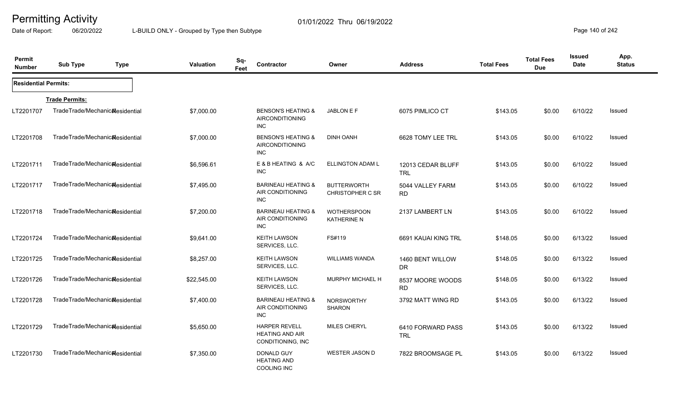Date of Report: 06/20/2022 L-BUILD ONLY - Grouped by Type then Subtype **Page 140** of 242

| Permit<br><b>Number</b>     | <b>Sub Type</b>                              | <b>Type</b> | <b>Valuation</b> | Sq-<br>Feet | Contractor                                                            | Owner                                         | <b>Address</b>                  | <b>Total Fees</b> | <b>Total Fees</b><br><b>Due</b> | <b>Issued</b><br>Date | App.<br><b>Status</b> |
|-----------------------------|----------------------------------------------|-------------|------------------|-------------|-----------------------------------------------------------------------|-----------------------------------------------|---------------------------------|-------------------|---------------------------------|-----------------------|-----------------------|
| <b>Residential Permits:</b> |                                              |             |                  |             |                                                                       |                                               |                                 |                   |                                 |                       |                       |
|                             | <b>Trade Permits:</b>                        |             |                  |             |                                                                       |                                               |                                 |                   |                                 |                       |                       |
| LT2201707                   | TradeTrade/Mechanic&esidential               |             | \$7,000.00       |             | <b>BENSON'S HEATING &amp;</b><br>AIRCONDITIONING<br>INC.              | JABLON E F                                    | 6075 PIMLICO CT                 | \$143.05          | \$0.00                          | 6/10/22               | <b>Issued</b>         |
| LT2201708                   | TradeTrade/Mechanic&esidential               |             | \$7,000.00       |             | <b>BENSON'S HEATING &amp;</b><br><b>AIRCONDITIONING</b><br><b>INC</b> | <b>DINH OANH</b>                              | 6628 TOMY LEE TRL               | \$143.05          | \$0.00                          | 6/10/22               | <b>Issued</b>         |
| LT2201711                   | TradeTrade/Mechanic&esidential               |             | \$6,596.61       |             | E & B HEATING & A/C<br><b>INC</b>                                     | ELLINGTON ADAM L                              | 12013 CEDAR BLUFF<br><b>TRL</b> | \$143.05          | \$0.00                          | 6/10/22               | Issued                |
| LT2201717                   | TradeTrade/Mechanicalesidential              |             | \$7,495.00       |             | <b>BARINEAU HEATING &amp;</b><br>AIR CONDITIONING<br><b>INC</b>       | <b>BUTTERWORTH</b><br><b>CHRISTOPHER C SR</b> | 5044 VALLEY FARM<br><b>RD</b>   | \$143.05          | \$0.00                          | 6/10/22               | Issued                |
| LT2201718                   | TradeTrade/Mechanicalesidential              |             | \$7,200.00       |             | <b>BARINEAU HEATING &amp;</b><br>AIR CONDITIONING<br>INC              | <b>WOTHERSPOON</b><br><b>KATHERINE N</b>      | 2137 LAMBERT LN                 | \$143.05          | \$0.00                          | 6/10/22               | Issued                |
| LT2201724                   | TradeTrade/Mechanicalesidential              |             | \$9,641.00       |             | <b>KEITH LAWSON</b><br>SERVICES, LLC.                                 | FS#119                                        | 6691 KAUAI KING TRL             | \$148.05          | \$0.00                          | 6/13/22               | <b>Issued</b>         |
| LT2201725                   | TradeTrade/Mechanic&esidential               |             | \$8,257.00       |             | <b>KEITH LAWSON</b><br>SERVICES, LLC.                                 | <b>WILLIAMS WANDA</b>                         | 1460 BENT WILLOW<br><b>DR</b>   | \$148.05          | \$0.00                          | 6/13/22               | Issued                |
| LT2201726                   | TradeTrade/Mechanic&esidential               |             | \$22,545.00      |             | <b>KEITH LAWSON</b><br>SERVICES, LLC.                                 | <b>MURPHY MICHAEL H</b>                       | 8537 MOORE WOODS<br><b>RD</b>   | \$148.05          | \$0.00                          | 6/13/22               | <b>Issued</b>         |
| LT2201728                   | TradeTrade/Mechanic <sub>Residential</sub>   |             | \$7,400.00       |             | <b>BARINEAU HEATING &amp;</b><br>AIR CONDITIONING<br><b>INC</b>       | <b>NORSWORTHY</b><br><b>SHARON</b>            | 3792 MATT WING RD               | \$143.05          | \$0.00                          | 6/13/22               | Issued                |
| LT2201729                   | TradeTrade/Mechanic <sub>al</sub> esidential |             | \$5,650.00       |             | <b>HARPER REVELL</b><br><b>HEATING AND AIR</b><br>CONDITIONING, INC   | <b>MILES CHERYL</b>                           | 6410 FORWARD PASS<br><b>TRL</b> | \$143.05          | \$0.00                          | 6/13/22               | Issued                |
| LT2201730                   | TradeTrade/Mechanicalesidential              |             | \$7,350.00       |             | DONALD GUY<br><b>HEATING AND</b><br>COOLING INC                       | <b>WESTER JASON D</b>                         | 7822 BROOMSAGE PL               | \$143.05          | \$0.00                          | 6/13/22               | Issued                |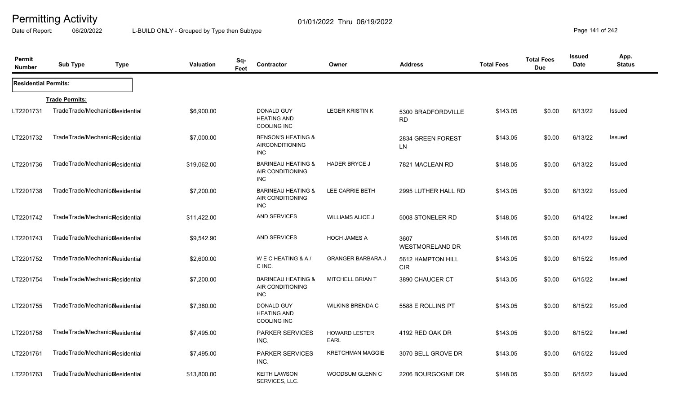Date of Report: 06/20/2022 L-BUILD ONLY - Grouped by Type then Subtype **Page 141** of 242

| Permit<br><b>Number</b>     | <b>Sub Type</b>                              | <b>Type</b> | Valuation   | Sq-<br><b>Contractor</b><br>Feet                                | Owner                        | <b>Address</b>                  | <b>Total Fees</b> | <b>Total Fees</b><br><b>Due</b> | <b>Issued</b><br><b>Date</b> | App.<br><b>Status</b> |
|-----------------------------|----------------------------------------------|-------------|-------------|-----------------------------------------------------------------|------------------------------|---------------------------------|-------------------|---------------------------------|------------------------------|-----------------------|
| <b>Residential Permits:</b> |                                              |             |             |                                                                 |                              |                                 |                   |                                 |                              |                       |
|                             | <b>Trade Permits:</b>                        |             |             |                                                                 |                              |                                 |                   |                                 |                              |                       |
| LT2201731                   | TradeTrade/Mechanic&esidential               |             | \$6,900.00  | DONALD GUY<br><b>HEATING AND</b><br><b>COOLING INC</b>          | <b>LEGER KRISTIN K</b>       | 5300 BRADFORDVILLE<br><b>RD</b> | \$143.05          | \$0.00                          | 6/13/22                      | <b>Issued</b>         |
| LT2201732                   | TradeTrade/Mechanic&esidential               |             | \$7,000.00  | <b>BENSON'S HEATING &amp;</b><br>AIRCONDITIONING<br><b>INC</b>  |                              | 2834 GREEN FOREST<br><b>LN</b>  | \$143.05          | \$0.00                          | 6/13/22                      | Issued                |
| LT2201736                   | TradeTrade/Mechanic&esidential               |             | \$19,062.00 | <b>BARINEAU HEATING &amp;</b><br>AIR CONDITIONING<br><b>INC</b> | <b>HADER BRYCE J</b>         | 7821 MACLEAN RD                 | \$148.05          | \$0.00                          | 6/13/22                      | Issued                |
| LT2201738                   | TradeTrade/Mechanic&esidential               |             | \$7,200.00  | <b>BARINEAU HEATING &amp;</b><br>AIR CONDITIONING<br><b>INC</b> | LEE CARRIE BETH              | 2995 LUTHER HALL RD             | \$143.05          | \$0.00                          | 6/13/22                      | <b>Issued</b>         |
| LT2201742                   | TradeTrade/Mechanic&esidential               |             | \$11,422.00 | <b>AND SERVICES</b>                                             | <b>WILLIAMS ALICE J</b>      | 5008 STONELER RD                | \$148.05          | \$0.00                          | 6/14/22                      | <b>Issued</b>         |
| LT2201743                   | TradeTrade/Mechanic <sub>al</sub> esidential |             | \$9,542.90  | <b>AND SERVICES</b>                                             | <b>HOCH JAMES A</b>          | 3607<br><b>WESTMORELAND DR</b>  | \$148.05          | \$0.00                          | 6/14/22                      | <b>Issued</b>         |
| LT2201752                   | TradeTrade/Mechanic&esidential               |             | \$2,600.00  | WECHEATING & A/<br>C INC.                                       | <b>GRANGER BARBARA J</b>     | 5612 HAMPTON HILL<br><b>CIR</b> | \$143.05          | \$0.00                          | 6/15/22                      | <b>Issued</b>         |
| LT2201754                   | TradeTrade/Mechanic&esidential               |             | \$7,200.00  | <b>BARINEAU HEATING &amp;</b><br>AIR CONDITIONING<br><b>INC</b> | MITCHELL BRIAN T             | 3890 CHAUCER CT                 | \$143.05          | \$0.00                          | 6/15/22                      | <b>Issued</b>         |
| LT2201755                   | TradeTrade/Mechanic&esidential               |             | \$7,380.00  | DONALD GUY<br><b>HEATING AND</b><br><b>COOLING INC</b>          | <b>WILKINS BRENDA C</b>      | 5588 E ROLLINS PT               | \$143.05          | \$0.00                          | 6/15/22                      | <b>Issued</b>         |
| LT2201758                   | TradeTrade/Mechanic&esidential               |             | \$7,495.00  | <b>PARKER SERVICES</b><br>INC.                                  | <b>HOWARD LESTER</b><br>EARL | 4192 RED OAK DR                 | \$143.05          | \$0.00                          | 6/15/22                      | Issued                |
| LT2201761                   | TradeTrade/Mechanicalesidential              |             | \$7,495.00  | <b>PARKER SERVICES</b><br>INC.                                  | <b>KRETCHMAN MAGGIE</b>      | 3070 BELL GROVE DR              | \$143.05          | \$0.00                          | 6/15/22                      | Issued                |
| LT2201763                   | TradeTrade/Mechanic <sub>Residential</sub>   |             | \$13,800.00 | <b>KEITH LAWSON</b><br>SERVICES, LLC.                           | WOODSUM GLENN C              | 2206 BOURGOGNE DR               | \$148.05          | \$0.00                          | 6/15/22                      | <b>Issued</b>         |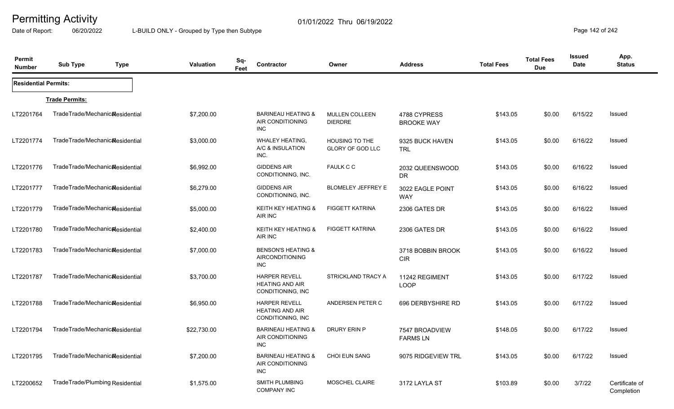Date of Report: 06/20/2022 L-BUILD ONLY - Grouped by Type then Subtype **Page 142** of 242

| Permit<br><b>Number</b>     | <b>Sub Type</b><br><b>Type</b>               | Valuation   | Sq-<br>Feet | Contractor                                                            | Owner                                     | <b>Address</b>                    | <b>Total Fees</b> | <b>Total Fees</b><br><b>Due</b> | <b>Issued</b><br><b>Date</b> | App.<br><b>Status</b>        |
|-----------------------------|----------------------------------------------|-------------|-------------|-----------------------------------------------------------------------|-------------------------------------------|-----------------------------------|-------------------|---------------------------------|------------------------------|------------------------------|
| <b>Residential Permits:</b> |                                              |             |             |                                                                       |                                           |                                   |                   |                                 |                              |                              |
|                             | <b>Trade Permits:</b>                        |             |             |                                                                       |                                           |                                   |                   |                                 |                              |                              |
| LT2201764                   | TradeTrade/Mechanic&esidential               | \$7,200.00  |             | <b>BARINEAU HEATING &amp;</b><br>AIR CONDITIONING<br><b>INC</b>       | MULLEN COLLEEN<br><b>DIERDRE</b>          | 4788 CYPRESS<br><b>BROOKE WAY</b> | \$143.05          | \$0.00                          | 6/15/22                      | Issued                       |
| LT2201774                   | TradeTrade/Mechanic&esidential               | \$3,000.00  |             | <b>WHALEY HEATING,</b><br>A/C & INSULATION<br>INC.                    | <b>HOUSING TO THE</b><br>GLORY OF GOD LLC | 9325 BUCK HAVEN<br><b>TRL</b>     | \$143.05          | \$0.00                          | 6/16/22                      | Issued                       |
| LT2201776                   | TradeTrade/Mechanic&esidential               | \$6,992.00  |             | <b>GIDDENS AIR</b><br>CONDITIONING, INC.                              | <b>FAULK C C</b>                          | 2032 QUEENSWOOD<br><b>DR</b>      | \$143.05          | \$0.00                          | 6/16/22                      | Issued                       |
| LT2201777                   | TradeTrade/Mechanic <sub>al</sub> esidential | \$6,279.00  |             | <b>GIDDENS AIR</b><br>CONDITIONING, INC.                              | <b>BLOMELEY JEFFREY E</b>                 | 3022 EAGLE POINT<br><b>WAY</b>    | \$143.05          | \$0.00                          | 6/16/22                      | Issued                       |
| LT2201779                   | TradeTrade/Mechanic&esidential               | \$5,000.00  |             | KEITH KEY HEATING &<br>AIR INC                                        | <b>FIGGETT KATRINA</b>                    | 2306 GATES DR                     | \$143.05          | \$0.00                          | 6/16/22                      | Issued                       |
| LT2201780                   | TradeTrade/Mechanic&esidential               | \$2,400.00  |             | KEITH KEY HEATING &<br>AIR INC                                        | <b>FIGGETT KATRINA</b>                    | 2306 GATES DR                     | \$143.05          | \$0.00                          | 6/16/22                      | Issued                       |
| LT2201783                   | TradeTrade/Mechanicalesidential              | \$7,000.00  |             | <b>BENSON'S HEATING &amp;</b><br><b>AIRCONDITIONING</b><br><b>INC</b> |                                           | 3718 BOBBIN BROOK<br><b>CIR</b>   | \$143.05          | \$0.00                          | 6/16/22                      | Issued                       |
| LT2201787                   | TradeTrade/Mechanicalesidential              | \$3,700.00  |             | <b>HARPER REVELL</b><br><b>HEATING AND AIR</b><br>CONDITIONING, INC   | STRICKLAND TRACY A                        | 11242 REGIMENT<br><b>LOOP</b>     | \$143.05          | \$0.00                          | 6/17/22                      | Issued                       |
| LT2201788                   | TradeTrade/Mechanicalesidential              | \$6,950.00  |             | <b>HARPER REVELL</b><br><b>HEATING AND AIR</b><br>CONDITIONING, INC   | ANDERSEN PETER C                          | 696 DERBYSHIRE RD                 | \$143.05          | \$0.00                          | 6/17/22                      | Issued                       |
| LT2201794                   | TradeTrade/Mechanic <sub>al</sub> esidential | \$22,730.00 |             | <b>BARINEAU HEATING &amp;</b><br>AIR CONDITIONING<br><b>INC</b>       | DRURY ERIN P                              | 7547 BROADVIEW<br><b>FARMS LN</b> | \$148.05          | \$0.00                          | 6/17/22                      | Issued                       |
| LT2201795                   | TradeTrade/Mechanic <sub>al</sub> esidential | \$7,200.00  |             | <b>BARINEAU HEATING &amp;</b><br>AIR CONDITIONING<br><b>INC</b>       | <b>CHOI EUN SANG</b>                      | 9075 RIDGEVIEW TRL                | \$143.05          | \$0.00                          | 6/17/22                      | Issued                       |
| LT2200652                   | TradeTrade/Plumbing Residential              | \$1,575.00  |             | <b>SMITH PLUMBING</b><br><b>COMPANY INC</b>                           | <b>MOSCHEL CLAIRE</b>                     | 3172 LAYLA ST                     | \$103.89          | \$0.00                          | 3/7/22                       | Certificate of<br>Completion |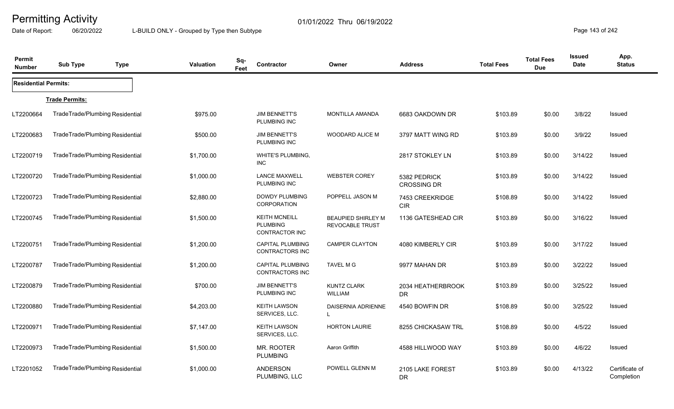Date of Report: 06/20/2022 L-BUILD ONLY - Grouped by Type then Subtype **Page 143 of 242** 

| Permit<br><b>Number</b>     | <b>Sub Type</b>                 | <b>Type</b> | <b>Valuation</b> | Sq-<br>Feet | Contractor                                                | Owner                                               | <b>Address</b>                     | <b>Total Fees</b> | <b>Total Fees</b><br><b>Due</b> | <b>Issued</b><br><b>Date</b> | App.<br><b>Status</b>        |
|-----------------------------|---------------------------------|-------------|------------------|-------------|-----------------------------------------------------------|-----------------------------------------------------|------------------------------------|-------------------|---------------------------------|------------------------------|------------------------------|
| <b>Residential Permits:</b> |                                 |             |                  |             |                                                           |                                                     |                                    |                   |                                 |                              |                              |
|                             | <b>Trade Permits:</b>           |             |                  |             |                                                           |                                                     |                                    |                   |                                 |                              |                              |
| LT2200664                   | TradeTrade/Plumbing Residential |             | \$975.00         |             | <b>JIM BENNETT'S</b><br>PLUMBING INC                      | <b>MONTILLA AMANDA</b>                              | 6683 OAKDOWN DR                    | \$103.89          | \$0.00                          | 3/8/22                       | Issued                       |
| LT2200683                   | TradeTrade/Plumbing Residential |             | \$500.00         |             | <b>JIM BENNETT'S</b><br>PLUMBING INC                      | <b>WOODARD ALICE M</b>                              | 3797 MATT WING RD                  | \$103.89          | \$0.00                          | 3/9/22                       | <b>Issued</b>                |
| LT2200719                   | TradeTrade/Plumbing Residential |             | \$1,700.00       |             | WHITE'S PLUMBING,<br><b>INC</b>                           |                                                     | 2817 STOKLEY LN                    | \$103.89          | \$0.00                          | 3/14/22                      | Issued                       |
| LT2200720                   | TradeTrade/Plumbing Residential |             | \$1,000.00       |             | <b>LANCE MAXWELL</b><br>PLUMBING INC                      | <b>WEBSTER COREY</b>                                | 5382 PEDRICK<br><b>CROSSING DR</b> | \$103.89          | \$0.00                          | 3/14/22                      | <b>Issued</b>                |
| LT2200723                   | TradeTrade/Plumbing Residential |             | \$2,880.00       |             | <b>DOWDY PLUMBING</b><br><b>CORPORATION</b>               | POPPELL JASON M                                     | 7453 CREEKRIDGE<br><b>CIR</b>      | \$108.89          | \$0.00                          | 3/14/22                      | Issued                       |
| LT2200745                   | TradeTrade/Plumbing Residential |             | \$1,500.00       |             | <b>KEITH MCNEILL</b><br><b>PLUMBING</b><br>CONTRACTOR INC | <b>BEAUPIED SHIRLEY M</b><br><b>REVOCABLE TRUST</b> | 1136 GATESHEAD CIR                 | \$103.89          | \$0.00                          | 3/16/22                      | <b>Issued</b>                |
| LT2200751                   | TradeTrade/Plumbing Residential |             | \$1,200.00       |             | <b>CAPITAL PLUMBING</b><br>CONTRACTORS INC                | <b>CAMPER CLAYTON</b>                               | 4080 KIMBERLY CIR                  | \$103.89          | \$0.00                          | 3/17/22                      | Issued                       |
| LT2200787                   | TradeTrade/Plumbing Residential |             | \$1,200.00       |             | <b>CAPITAL PLUMBING</b><br><b>CONTRACTORS INC</b>         | <b>TAVEL M G</b>                                    | 9977 MAHAN DR                      | \$103.89          | \$0.00                          | 3/22/22                      | <b>Issued</b>                |
| LT2200879                   | TradeTrade/Plumbing Residential |             | \$700.00         |             | <b>JIM BENNETT'S</b><br>PLUMBING INC                      | <b>KUNTZ CLARK</b><br><b>WILLIAM</b>                | 2034 HEATHERBROOK<br><b>DR</b>     | \$103.89          | \$0.00                          | 3/25/22                      | Issued                       |
| LT2200880                   | TradeTrade/Plumbing Residential |             | \$4,203.00       |             | <b>KEITH LAWSON</b><br>SERVICES, LLC.                     | DAISERNIA ADRIENNE<br>-L                            | 4540 BOWFIN DR                     | \$108.89          | \$0.00                          | 3/25/22                      | Issued                       |
| LT2200971                   | TradeTrade/Plumbing Residential |             | \$7,147.00       |             | <b>KEITH LAWSON</b><br>SERVICES, LLC.                     | <b>HORTON LAURIE</b>                                | 8255 CHICKASAW TRL                 | \$108.89          | \$0.00                          | 4/5/22                       | Issued                       |
| LT2200973                   | TradeTrade/Plumbing Residential |             | \$1,500.00       |             | MR. ROOTER<br><b>PLUMBING</b>                             | Aaron Griffith                                      | 4588 HILLWOOD WAY                  | \$103.89          | \$0.00                          | 4/6/22                       | Issued                       |
| LT2201052                   | TradeTrade/Plumbing Residential |             | \$1,000.00       |             | <b>ANDERSON</b><br>PLUMBING, LLC                          | POWELL GLENN M                                      | 2105 LAKE FOREST<br><b>DR</b>      | \$103.89          | \$0.00                          | 4/13/22                      | Certificate of<br>Completion |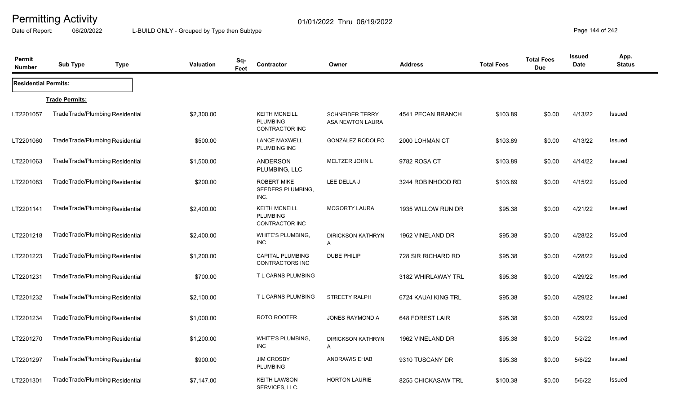Date of Report: 06/20/2022 L-BUILD ONLY - Grouped by Type then Subtype **Page 144** of 242

| Permit<br><b>Number</b>     | <b>Sub Type</b>                 | <b>Type</b> | <b>Valuation</b> | Sq-<br>Feet | Contractor                                                       | Owner                                      | <b>Address</b>      | <b>Total Fees</b> | <b>Total Fees</b><br><b>Due</b> | <b>Issued</b><br><b>Date</b> | App.<br><b>Status</b> |
|-----------------------------|---------------------------------|-------------|------------------|-------------|------------------------------------------------------------------|--------------------------------------------|---------------------|-------------------|---------------------------------|------------------------------|-----------------------|
| <b>Residential Permits:</b> |                                 |             |                  |             |                                                                  |                                            |                     |                   |                                 |                              |                       |
|                             | <b>Trade Permits:</b>           |             |                  |             |                                                                  |                                            |                     |                   |                                 |                              |                       |
| LT2201057                   | TradeTrade/Plumbing Residential |             | \$2,300.00       |             | <b>KEITH MCNEILL</b><br><b>PLUMBING</b><br>CONTRACTOR INC        | <b>SCHNEIDER TERRY</b><br>ASA NEWTON LAURA | 4541 PECAN BRANCH   | \$103.89          | \$0.00                          | 4/13/22                      | Issued                |
| LT2201060                   | TradeTrade/Plumbing Residential |             | \$500.00         |             | <b>LANCE MAXWELL</b><br>PLUMBING INC                             | <b>GONZALEZ RODOLFO</b>                    | 2000 LOHMAN CT      | \$103.89          | \$0.00                          | 4/13/22                      | Issued                |
| LT2201063                   | TradeTrade/Plumbing Residential |             | \$1,500.00       |             | <b>ANDERSON</b><br>PLUMBING, LLC                                 | MELTZER JOHN L                             | 9782 ROSA CT        | \$103.89          | \$0.00                          | 4/14/22                      | Issued                |
| LT2201083                   | TradeTrade/Plumbing Residential |             | \$200.00         |             | <b>ROBERT MIKE</b><br>SEEDERS PLUMBING.<br>INC.                  | LEE DELLA J                                | 3244 ROBINHOOD RD   | \$103.89          | \$0.00                          | 4/15/22                      | Issued                |
| LT2201141                   | TradeTrade/Plumbing Residential |             | \$2,400.00       |             | <b>KEITH MCNEILL</b><br><b>PLUMBING</b><br><b>CONTRACTOR INC</b> | <b>MCGORTY LAURA</b>                       | 1935 WILLOW RUN DR  | \$95.38           | \$0.00                          | 4/21/22                      | Issued                |
| LT2201218                   | TradeTrade/Plumbing Residential |             | \$2,400.00       |             | <b>WHITE'S PLUMBING,</b><br><b>INC</b>                           | <b>DIRICKSON KATHRYN</b><br>A              | 1962 VINELAND DR    | \$95.38           | \$0.00                          | 4/28/22                      | Issued                |
| LT2201223                   | TradeTrade/Plumbing Residential |             | \$1,200.00       |             | <b>CAPITAL PLUMBING</b><br><b>CONTRACTORS INC</b>                | <b>DUBE PHILIP</b>                         | 728 SIR RICHARD RD  | \$95.38           | \$0.00                          | 4/28/22                      | Issued                |
| LT2201231                   | TradeTrade/Plumbing Residential |             | \$700.00         |             | T L CARNS PLUMBING                                               |                                            | 3182 WHIRLAWAY TRL  | \$95.38           | \$0.00                          | 4/29/22                      | Issued                |
| LT2201232                   | TradeTrade/Plumbing Residential |             | \$2,100.00       |             | T L CARNS PLUMBING                                               | STREETY RALPH                              | 6724 KAUAI KING TRL | \$95.38           | \$0.00                          | 4/29/22                      | Issued                |
| LT2201234                   | TradeTrade/Plumbing Residential |             | \$1,000.00       |             | ROTO ROOTER                                                      | JONES RAYMOND A                            | 648 FOREST LAIR     | \$95.38           | \$0.00                          | 4/29/22                      | <b>Issued</b>         |
| LT2201270                   | TradeTrade/Plumbing Residential |             | \$1,200.00       |             | <b>WHITE'S PLUMBING,</b><br><b>INC</b>                           | <b>DIRICKSON KATHRYN</b><br>A              | 1962 VINELAND DR    | \$95.38           | \$0.00                          | 5/2/22                       | Issued                |
| LT2201297                   | TradeTrade/Plumbing Residential |             | \$900.00         |             | <b>JIM CROSBY</b><br><b>PLUMBING</b>                             | <b>ANDRAWIS EHAB</b>                       | 9310 TUSCANY DR     | \$95.38           | \$0.00                          | 5/6/22                       | <b>Issued</b>         |
| LT2201301                   | TradeTrade/Plumbing Residential |             | \$7,147.00       |             | <b>KEITH LAWSON</b><br>SERVICES, LLC.                            | <b>HORTON LAURIE</b>                       | 8255 CHICKASAW TRL  | \$100.38          | \$0.00                          | 5/6/22                       | Issued                |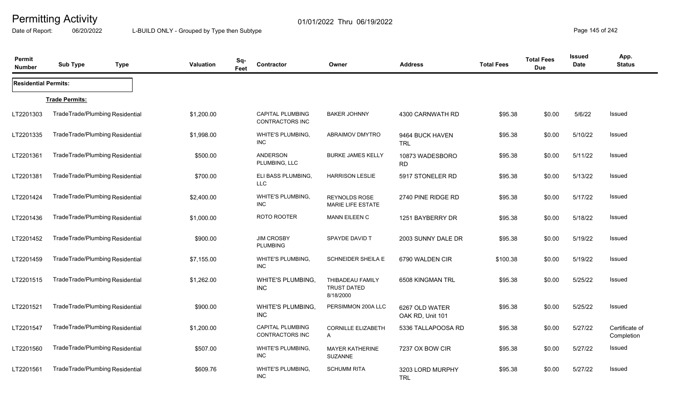Date of Report: 06/20/2022 L-BUILD ONLY - Grouped by Type then Subtype **Page 145** of 242

| Permit<br><b>Number</b>     | <b>Sub Type</b>                 | <b>Type</b> | <b>Valuation</b> | Sq-<br>Feet | Contractor                                 | Owner                                               | <b>Address</b>                     | <b>Total Fees</b> | <b>Total Fees</b><br><b>Due</b> | Issued<br>Date | App.<br><b>Status</b>        |
|-----------------------------|---------------------------------|-------------|------------------|-------------|--------------------------------------------|-----------------------------------------------------|------------------------------------|-------------------|---------------------------------|----------------|------------------------------|
| <b>Residential Permits:</b> |                                 |             |                  |             |                                            |                                                     |                                    |                   |                                 |                |                              |
|                             | <b>Trade Permits:</b>           |             |                  |             |                                            |                                                     |                                    |                   |                                 |                |                              |
| LT2201303                   | TradeTrade/Plumbing Residential |             | \$1,200.00       |             | CAPITAL PLUMBING<br>CONTRACTORS INC        | <b>BAKER JOHNNY</b>                                 | 4300 CARNWATH RD                   | \$95.38           | \$0.00                          | 5/6/22         | Issued                       |
| LT2201335                   | TradeTrade/Plumbing Residential |             | \$1,998.00       |             | <b>WHITE'S PLUMBING,</b><br>INC.           | ABRAIMOV DMYTRO                                     | 9464 BUCK HAVEN<br><b>TRL</b>      | \$95.38           | \$0.00                          | 5/10/22        | Issued                       |
| LT2201361                   | TradeTrade/Plumbing Residential |             | \$500.00         |             | ANDERSON<br>PLUMBING, LLC                  | <b>BURKE JAMES KELLY</b>                            | 10873 WADESBORO<br><b>RD</b>       | \$95.38           | \$0.00                          | 5/11/22        | Issued                       |
| LT2201381                   | TradeTrade/Plumbing Residential |             | \$700.00         |             | ELI BASS PLUMBING,<br><b>LLC</b>           | <b>HARRISON LESLIE</b>                              | 5917 STONELER RD                   | \$95.38           | \$0.00                          | 5/13/22        | Issued                       |
| LT2201424                   | TradeTrade/Plumbing Residential |             | \$2,400.00       |             | WHITE'S PLUMBING,<br><b>INC</b>            | <b>REYNOLDS ROSE</b><br><b>MARIE LIFE ESTATE</b>    | 2740 PINE RIDGE RD                 | \$95.38           | \$0.00                          | 5/17/22        | Issued                       |
| LT2201436                   | TradeTrade/Plumbing Residential |             | \$1,000.00       |             | ROTO ROOTER                                | <b>MANN EILEEN C</b>                                | 1251 BAYBERRY DR                   | \$95.38           | \$0.00                          | 5/18/22        | Issued                       |
| LT2201452                   | TradeTrade/Plumbing Residential |             | \$900.00         |             | <b>JIM CROSBY</b><br><b>PLUMBING</b>       | SPAYDE DAVID T                                      | 2003 SUNNY DALE DR                 | \$95.38           | \$0.00                          | 5/19/22        | Issued                       |
| LT2201459                   | TradeTrade/Plumbing Residential |             | \$7,155.00       |             | <b>WHITE'S PLUMBING,</b><br>INC.           | <b>SCHNEIDER SHEILA E</b>                           | 6790 WALDEN CIR                    | \$100.38          | \$0.00                          | 5/19/22        | Issued                       |
| LT2201515                   | TradeTrade/Plumbing Residential |             | \$1,262.00       |             | WHITE'S PLUMBING,<br><b>INC</b>            | THIBADEAU FAMILY<br><b>TRUST DATED</b><br>8/18/2000 | 6508 KINGMAN TRL                   | \$95.38           | \$0.00                          | 5/25/22        | Issued                       |
| LT2201521                   | TradeTrade/Plumbing Residential |             | \$900.00         |             | WHITE'S PLUMBING,<br><b>INC</b>            | PERSIMMON 200A LLC                                  | 6267 OLD WATER<br>OAK RD, Unit 101 | \$95.38           | \$0.00                          | 5/25/22        | Issued                       |
| LT2201547                   | TradeTrade/Plumbing Residential |             | \$1,200.00       |             | <b>CAPITAL PLUMBING</b><br>CONTRACTORS INC | <b>CORNILLE ELIZABETH</b><br>A                      | 5336 TALLAPOOSA RD                 | \$95.38           | \$0.00                          | 5/27/22        | Certificate of<br>Completion |
| LT2201560                   | TradeTrade/Plumbing Residential |             | \$507.00         |             | WHITE'S PLUMBING,<br><b>INC</b>            | <b>MAYER KATHERINE</b><br><b>SUZANNE</b>            | 7237 OX BOW CIR                    | \$95.38           | \$0.00                          | 5/27/22        | Issued                       |
| LT2201561                   | TradeTrade/Plumbing Residential |             | \$609.76         |             | WHITE'S PLUMBING,<br><b>INC</b>            | <b>SCHUMM RITA</b>                                  | 3203 LORD MURPHY<br><b>TRL</b>     | \$95.38           | \$0.00                          | 5/27/22        | Issued                       |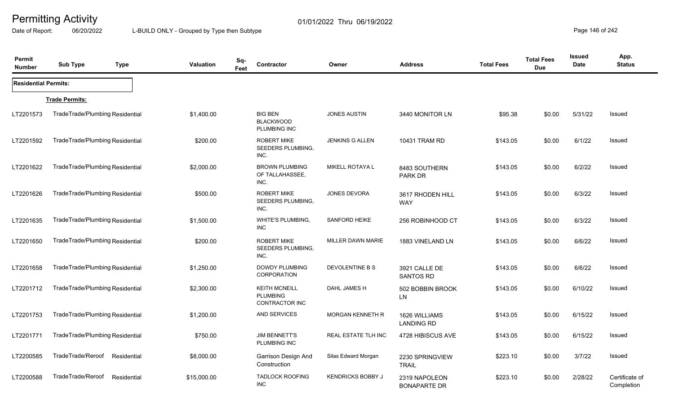Date of Report: 06/20/2022 L-BUILD ONLY - Grouped by Type then Subtype **Page 146** of 242

| Permit<br><b>Number</b>     | <b>Sub Type</b>                 | <b>Type</b> | <b>Valuation</b> | Sq-<br>Feet | Contractor                                                       | Owner                    | <b>Address</b>                       | <b>Total Fees</b> | <b>Total Fees</b><br><b>Due</b> | Issued<br><b>Date</b> | App.<br><b>Status</b>        |
|-----------------------------|---------------------------------|-------------|------------------|-------------|------------------------------------------------------------------|--------------------------|--------------------------------------|-------------------|---------------------------------|-----------------------|------------------------------|
| <b>Residential Permits:</b> |                                 |             |                  |             |                                                                  |                          |                                      |                   |                                 |                       |                              |
|                             | <b>Trade Permits:</b>           |             |                  |             |                                                                  |                          |                                      |                   |                                 |                       |                              |
| LT2201573                   | TradeTrade/Plumbing Residential |             | \$1,400.00       |             | <b>BIG BEN</b><br><b>BLACKWOOD</b><br>PLUMBING INC               | <b>JONES AUSTIN</b>      | 3440 MONITOR LN                      | \$95.38           | \$0.00                          | 5/31/22               | Issued                       |
| LT2201592                   | TradeTrade/Plumbing Residential |             | \$200.00         |             | <b>ROBERT MIKE</b><br>SEEDERS PLUMBING,<br>INC.                  | <b>JENKINS G ALLEN</b>   | 10431 TRAM RD                        | \$143.05          | \$0.00                          | 6/1/22                | Issued                       |
| LT2201622                   | TradeTrade/Plumbing Residential |             | \$2,000.00       |             | <b>BROWN PLUMBING</b><br>OF TALLAHASSEE,<br>INC.                 | MIKELL ROTAYA L          | 8483 SOUTHERN<br><b>PARK DR</b>      | \$143.05          | \$0.00                          | 6/2/22                | Issued                       |
| LT2201626                   | TradeTrade/Plumbing Residential |             | \$500.00         |             | <b>ROBERT MIKE</b><br>SEEDERS PLUMBING,<br>INC.                  | <b>JONES DEVORA</b>      | 3617 RHODEN HILL<br><b>WAY</b>       | \$143.05          | \$0.00                          | 6/3/22                | Issued                       |
| LT2201635                   | TradeTrade/Plumbing Residential |             | \$1,500.00       |             | WHITE'S PLUMBING,<br><b>INC</b>                                  | SANFORD HEIKE            | 256 ROBINHOOD CT                     | \$143.05          | \$0.00                          | 6/3/22                | Issued                       |
| LT2201650                   | TradeTrade/Plumbing Residential |             | \$200.00         |             | <b>ROBERT MIKE</b><br>SEEDERS PLUMBING,<br>INC.                  | MILLER DAWN MARIE        | 1883 VINELAND LN                     | \$143.05          | \$0.00                          | 6/6/22                | Issued                       |
| LT2201658                   | TradeTrade/Plumbing Residential |             | \$1,250.00       |             | <b>DOWDY PLUMBING</b><br><b>CORPORATION</b>                      | DEVOLENTINE B S          | 3921 CALLE DE<br><b>SANTOS RD</b>    | \$143.05          | \$0.00                          | 6/6/22                | Issued                       |
| LT2201712                   | TradeTrade/Plumbing Residential |             | \$2,300.00       |             | <b>KEITH MCNEILL</b><br><b>PLUMBING</b><br><b>CONTRACTOR INC</b> | DAHL JAMES H             | 502 BOBBIN BROOK<br>LN               | \$143.05          | \$0.00                          | 6/10/22               | Issued                       |
| LT2201753                   | TradeTrade/Plumbing Residential |             | \$1,200.00       |             | AND SERVICES                                                     | <b>MORGAN KENNETH R</b>  | 1626 WILLIAMS<br><b>LANDING RD</b>   | \$143.05          | \$0.00                          | 6/15/22               | Issued                       |
| LT2201771                   | TradeTrade/Plumbing Residential |             | \$750.00         |             | <b>JIM BENNETT'S</b><br>PLUMBING INC                             | REAL ESTATE TLH INC      | 4728 HIBISCUS AVE                    | \$143.05          | \$0.00                          | 6/15/22               | Issued                       |
| LT2200585                   | TradeTrade/Reroof               | Residential | \$8,000.00       |             | Garrison Design And<br>Construction                              | Silas Edward Morgan      | 2230 SPRINGVIEW<br><b>TRAIL</b>      | \$223.10          | \$0.00                          | 3/7/22                | Issued                       |
| LT2200588                   | TradeTrade/Reroof               | Residential | \$15,000.00      |             | <b>TADLOCK ROOFING</b><br><b>INC</b>                             | <b>KENDRICKS BOBBY J</b> | 2319 NAPOLEON<br><b>BONAPARTE DR</b> | \$223.10          | \$0.00                          | 2/28/22               | Certificate of<br>Completion |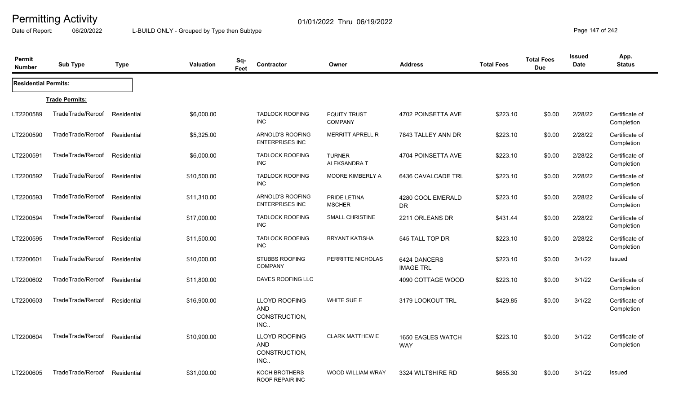Date of Report: 06/20/2022 L-BUILD ONLY - Grouped by Type then Subtype **Page 147** of 242

| Permit<br><b>Number</b>     | <b>Sub Type</b>       | <b>Type</b> | <b>Valuation</b> | Sq-<br>Feet | Contractor                                                 | Owner                                 | <b>Address</b>                   | <b>Total Fees</b> | <b>Total Fees</b><br><b>Due</b> | <b>Issued</b><br><b>Date</b> | App.<br><b>Status</b>        |
|-----------------------------|-----------------------|-------------|------------------|-------------|------------------------------------------------------------|---------------------------------------|----------------------------------|-------------------|---------------------------------|------------------------------|------------------------------|
| <b>Residential Permits:</b> |                       |             |                  |             |                                                            |                                       |                                  |                   |                                 |                              |                              |
|                             | <b>Trade Permits:</b> |             |                  |             |                                                            |                                       |                                  |                   |                                 |                              |                              |
| LT2200589                   | TradeTrade/Reroof     | Residential | \$6,000.00       |             | <b>TADLOCK ROOFING</b><br><b>INC</b>                       | <b>EQUITY TRUST</b><br><b>COMPANY</b> | 4702 POINSETTA AVE               | \$223.10          | \$0.00                          | 2/28/22                      | Certificate of<br>Completion |
| LT2200590                   | TradeTrade/Reroof     | Residential | \$5,325.00       |             | ARNOLD'S ROOFING<br><b>ENTERPRISES INC</b>                 | <b>MERRITT APRELL R</b>               | 7843 TALLEY ANN DR               | \$223.10          | \$0.00                          | 2/28/22                      | Certificate of<br>Completion |
| LT2200591                   | TradeTrade/Reroof     | Residential | \$6,000.00       |             | <b>TADLOCK ROOFING</b><br><b>INC</b>                       | <b>TURNER</b><br>ALEKSANDRA T         | 4704 POINSETTA AVE               | \$223.10          | \$0.00                          | 2/28/22                      | Certificate of<br>Completion |
| LT2200592                   | TradeTrade/Reroof     | Residential | \$10,500.00      |             | <b>TADLOCK ROOFING</b><br><b>INC</b>                       | MOORE KIMBERLY A                      | 6436 CAVALCADE TRL               | \$223.10          | \$0.00                          | 2/28/22                      | Certificate of<br>Completion |
| LT2200593                   | TradeTrade/Reroof     | Residential | \$11,310.00      |             | ARNOLD'S ROOFING<br><b>ENTERPRISES INC</b>                 | PRIDE LETINA<br><b>MSCHER</b>         | 4280 COOL EMERALD<br>DR.         | \$223.10          | \$0.00                          | 2/28/22                      | Certificate of<br>Completion |
| LT2200594                   | TradeTrade/Reroof     | Residential | \$17,000.00      |             | <b>TADLOCK ROOFING</b><br><b>INC</b>                       | <b>SMALL CHRISTINE</b>                | 2211 ORLEANS DR                  | \$431.44          | \$0.00                          | 2/28/22                      | Certificate of<br>Completion |
| LT2200595                   | TradeTrade/Reroof     | Residential | \$11,500.00      |             | <b>TADLOCK ROOFING</b><br><b>INC</b>                       | <b>BRYANT KATISHA</b>                 | 545 TALL TOP DR                  | \$223.10          | \$0.00                          | 2/28/22                      | Certificate of<br>Completion |
| LT2200601                   | TradeTrade/Reroof     | Residential | \$10,000.00      |             | <b>STUBBS ROOFING</b><br><b>COMPANY</b>                    | PERRITTE NICHOLAS                     | 6424 DANCERS<br><b>IMAGE TRL</b> | \$223.10          | \$0.00                          | 3/1/22                       | Issued                       |
| LT2200602                   | TradeTrade/Reroof     | Residential | \$11,800.00      |             | DAVES ROOFING LLC                                          |                                       | 4090 COTTAGE WOOD                | \$223.10          | \$0.00                          | 3/1/22                       | Certificate of<br>Completion |
| LT2200603                   | TradeTrade/Reroof     | Residential | \$16,900.00      |             | <b>LLOYD ROOFING</b><br><b>AND</b><br>CONSTRUCTION,<br>INC | WHITE SUE E                           | 3179 LOOKOUT TRL                 | \$429.85          | \$0.00                          | 3/1/22                       | Certificate of<br>Completion |
| LT2200604                   | TradeTrade/Reroof     | Residential | \$10,900.00      |             | <b>LLOYD ROOFING</b><br>AND<br>CONSTRUCTION,<br>INC        | <b>CLARK MATTHEW E</b>                | 1650 EAGLES WATCH<br><b>WAY</b>  | \$223.10          | \$0.00                          | 3/1/22                       | Certificate of<br>Completion |
| LT2200605                   | TradeTrade/Reroof     | Residential | \$31,000.00      |             | KOCH BROTHERS<br><b>ROOF REPAIR INC</b>                    | <b>WOOD WILLIAM WRAY</b>              | 3324 WILTSHIRE RD                | \$655.30          | \$0.00                          | 3/1/22                       | Issued                       |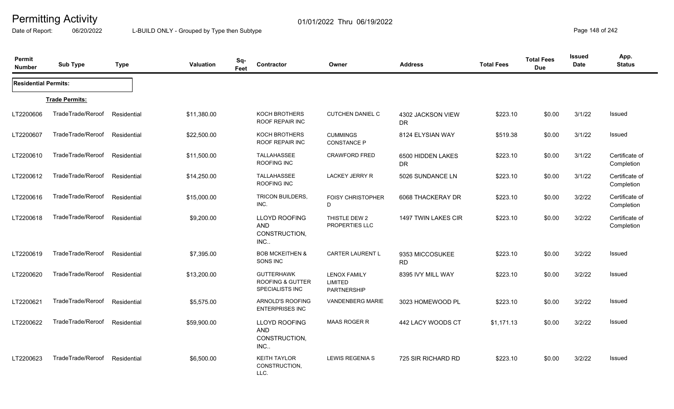Date of Report: 06/20/2022 L-BUILD ONLY - Grouped by Type then Subtype **Page 148 of 242** 

| Permit<br><b>Number</b>     | <b>Sub Type</b>       | <b>Type</b> | <b>Valuation</b> | Sq-<br>Feet | Contractor                                                          | Owner                                                | <b>Address</b>                 | <b>Total Fees</b> | <b>Total Fees</b><br><b>Due</b> | <b>Issued</b><br>Date | App.<br><b>Status</b>        |
|-----------------------------|-----------------------|-------------|------------------|-------------|---------------------------------------------------------------------|------------------------------------------------------|--------------------------------|-------------------|---------------------------------|-----------------------|------------------------------|
| <b>Residential Permits:</b> |                       |             |                  |             |                                                                     |                                                      |                                |                   |                                 |                       |                              |
|                             | <b>Trade Permits:</b> |             |                  |             |                                                                     |                                                      |                                |                   |                                 |                       |                              |
| LT2200606                   | TradeTrade/Reroof     | Residential | \$11,380.00      |             | KOCH BROTHERS<br><b>ROOF REPAIR INC</b>                             | <b>CUTCHEN DANIEL C</b>                              | 4302 JACKSON VIEW<br>DR.       | \$223.10          | \$0.00                          | 3/1/22                | Issued                       |
| LT2200607                   | TradeTrade/Reroof     | Residential | \$22,500.00      |             | <b>KOCH BROTHERS</b><br><b>ROOF REPAIR INC</b>                      | <b>CUMMINGS</b><br><b>CONSTANCE P</b>                | 8124 ELYSIAN WAY               | \$519.38          | \$0.00                          | 3/1/22                | <b>Issued</b>                |
| LT2200610                   | TradeTrade/Reroof     | Residential | \$11,500.00      |             | TALLAHASSEE<br>ROOFING INC                                          | <b>CRAWFORD FRED</b>                                 | 6500 HIDDEN LAKES<br><b>DR</b> | \$223.10          | \$0.00                          | 3/1/22                | Certificate of<br>Completion |
| LT2200612                   | TradeTrade/Reroof     | Residential | \$14,250.00      |             | <b>TALLAHASSEE</b><br>ROOFING INC                                   | <b>LACKEY JERRY R</b>                                | 5026 SUNDANCE LN               | \$223.10          | \$0.00                          | 3/1/22                | Certificate of<br>Completion |
| LT2200616                   | TradeTrade/Reroof     | Residential | \$15,000.00      |             | <b>TRICON BUILDERS,</b><br>INC.                                     | <b>FOISY CHRISTOPHER</b><br>D                        | 6068 THACKERAY DR              | \$223.10          | \$0.00                          | 3/2/22                | Certificate of<br>Completion |
| LT2200618                   | TradeTrade/Reroof     | Residential | \$9,200.00       |             | <b>LLOYD ROOFING</b><br><b>AND</b><br>CONSTRUCTION,<br>INC          | THISTLE DEW 2<br><b>PROPERTIES LLC</b>               | 1497 TWIN LAKES CIR            | \$223.10          | \$0.00                          | 3/2/22                | Certificate of<br>Completion |
| LT2200619                   | TradeTrade/Reroof     | Residential | \$7,395.00       |             | <b>BOB MCKEITHEN &amp;</b><br>SONS INC                              | <b>CARTER LAURENT L</b>                              | 9353 MICCOSUKEE<br><b>RD</b>   | \$223.10          | \$0.00                          | 3/2/22                | Issued                       |
| LT2200620                   | TradeTrade/Reroof     | Residential | \$13,200.00      |             | <b>GUTTERHAWK</b><br><b>ROOFING &amp; GUTTER</b><br>SPECIALISTS INC | <b>LENOX FAMILY</b><br><b>LIMITED</b><br>PARTNERSHIP | 8395 IVY MILL WAY              | \$223.10          | \$0.00                          | 3/2/22                | Issued                       |
| LT2200621                   | TradeTrade/Reroof     | Residential | \$5,575.00       |             | ARNOLD'S ROOFING<br><b>ENTERPRISES INC</b>                          | <b>VANDENBERG MARIE</b>                              | 3023 HOMEWOOD PL               | \$223.10          | \$0.00                          | 3/2/22                | Issued                       |
| LT2200622                   | TradeTrade/Reroof     | Residential | \$59,900.00      |             | LLOYD ROOFING<br><b>AND</b><br>CONSTRUCTION,<br>INC                 | <b>MAAS ROGER R</b>                                  | 442 LACY WOODS CT              | \$1,171.13        | \$0.00                          | 3/2/22                | Issued                       |
| LT2200623                   | TradeTrade/Reroof     | Residential | \$6,500.00       |             | <b>KEITH TAYLOR</b><br>CONSTRUCTION,<br>LLC.                        | <b>LEWIS REGENIA S</b>                               | 725 SIR RICHARD RD             | \$223.10          | \$0.00                          | 3/2/22                | Issued                       |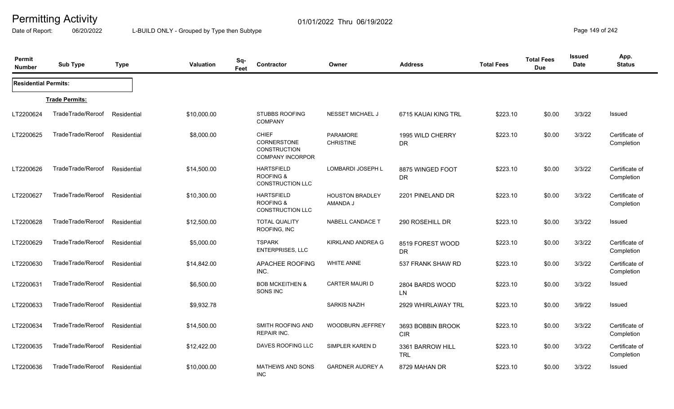Date of Report: 06/20/2022 L-BUILD ONLY - Grouped by Type then Subtype **Page 149 of 242** 

| Permit<br><b>Number</b>     | <b>Sub Type</b>       | <b>Type</b> | <b>Valuation</b> | Sq-<br>Feet | Contractor                                                                           | Owner                                     | <b>Address</b>                  | <b>Total Fees</b> | <b>Total Fees</b><br><b>Due</b> | Issued<br><b>Date</b> | App.<br><b>Status</b>        |
|-----------------------------|-----------------------|-------------|------------------|-------------|--------------------------------------------------------------------------------------|-------------------------------------------|---------------------------------|-------------------|---------------------------------|-----------------------|------------------------------|
| <b>Residential Permits:</b> |                       |             |                  |             |                                                                                      |                                           |                                 |                   |                                 |                       |                              |
|                             | <b>Trade Permits:</b> |             |                  |             |                                                                                      |                                           |                                 |                   |                                 |                       |                              |
| LT2200624                   | TradeTrade/Reroof     | Residential | \$10,000.00      |             | <b>STUBBS ROOFING</b><br><b>COMPANY</b>                                              | <b>NESSET MICHAEL J</b>                   | 6715 KAUAI KING TRL             | \$223.10          | \$0.00                          | 3/3/22                | Issued                       |
| LT2200625                   | TradeTrade/Reroof     | Residential | \$8,000.00       |             | <b>CHIEF</b><br><b>CORNERSTONE</b><br><b>CONSTRUCTION</b><br><b>COMPANY INCORPOR</b> | <b>PARAMORE</b><br><b>CHRISTINE</b>       | 1995 WILD CHERRY<br><b>DR</b>   | \$223.10          | \$0.00                          | 3/3/22                | Certificate of<br>Completion |
| LT2200626                   | TradeTrade/Reroof     | Residential | \$14,500.00      |             | <b>HARTSFIELD</b><br><b>ROOFING &amp;</b><br><b>CONSTRUCTION LLC</b>                 | LOMBARDI JOSEPH L                         | 8875 WINGED FOOT<br><b>DR</b>   | \$223.10          | \$0.00                          | 3/3/22                | Certificate of<br>Completion |
| LT2200627                   | TradeTrade/Reroof     | Residential | \$10,300.00      |             | <b>HARTSFIELD</b><br><b>ROOFING &amp;</b><br><b>CONSTRUCTION LLC</b>                 | <b>HOUSTON BRADLEY</b><br><b>AMANDA J</b> | 2201 PINELAND DR                | \$223.10          | \$0.00                          | 3/3/22                | Certificate of<br>Completion |
| LT2200628                   | TradeTrade/Reroof     | Residential | \$12,500.00      |             | <b>TOTAL QUALITY</b><br>ROOFING, INC                                                 | NABELL CANDACE T                          | 290 ROSEHILL DR                 | \$223.10          | \$0.00                          | 3/3/22                | Issued                       |
| LT2200629                   | TradeTrade/Reroof     | Residential | \$5,000.00       |             | <b>TSPARK</b><br><b>ENTERPRISES, LLC</b>                                             | KIRKLAND ANDREA G                         | 8519 FOREST WOOD<br><b>DR</b>   | \$223.10          | \$0.00                          | 3/3/22                | Certificate of<br>Completion |
| LT2200630                   | TradeTrade/Reroof     | Residential | \$14,842.00      |             | APACHEE ROOFING<br>INC.                                                              | <b>WHITE ANNE</b>                         | 537 FRANK SHAW RD               | \$223.10          | \$0.00                          | 3/3/22                | Certificate of<br>Completion |
| LT2200631                   | TradeTrade/Reroof     | Residential | \$6,500.00       |             | <b>BOB MCKEITHEN &amp;</b><br>SONS INC                                               | <b>CARTER MAURI D</b>                     | 2804 BARDS WOOD<br>LN           | \$223.10          | \$0.00                          | 3/3/22                | Issued                       |
| LT2200633                   | TradeTrade/Reroof     | Residential | \$9,932.78       |             |                                                                                      | <b>SARKIS NAZIH</b>                       | 2929 WHIRLAWAY TRL              | \$223.10          | \$0.00                          | 3/9/22                | Issued                       |
| LT2200634                   | TradeTrade/Reroof     | Residential | \$14,500.00      |             | SMITH ROOFING AND<br><b>REPAIR INC.</b>                                              | <b>WOODBURN JEFFREY</b>                   | 3693 BOBBIN BROOK<br><b>CIR</b> | \$223.10          | \$0.00                          | 3/3/22                | Certificate of<br>Completion |
| LT2200635                   | TradeTrade/Reroof     | Residential | \$12,422.00      |             | DAVES ROOFING LLC                                                                    | SIMPLER KAREN D                           | 3361 BARROW HILL<br><b>TRL</b>  | \$223.10          | \$0.00                          | 3/3/22                | Certificate of<br>Completion |
| LT2200636                   | TradeTrade/Reroof     | Residential | \$10,000.00      |             | <b>MATHEWS AND SONS</b><br><b>INC</b>                                                | <b>GARDNER AUDREY A</b>                   | 8729 MAHAN DR                   | \$223.10          | \$0.00                          | 3/3/22                | Issued                       |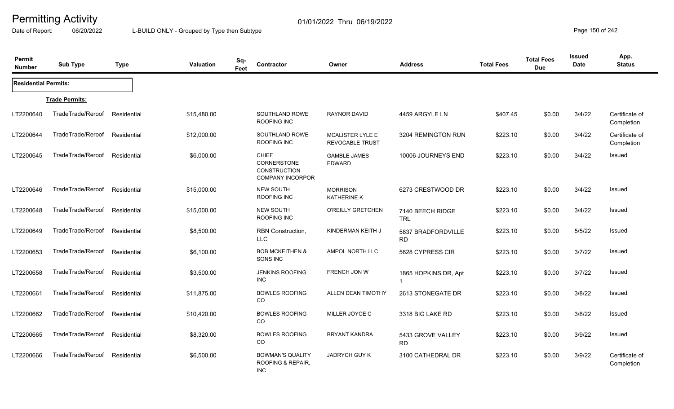Date of Report: 06/20/2022 L-BUILD ONLY - Grouped by Type then Subtype **Page 150** of 242

| Permit<br><b>Number</b>     | <b>Sub Type</b>       | <b>Type</b> | Valuation   | Sq-<br>Feet | Contractor                                                                           | Owner                                             | <b>Address</b>                         | <b>Total Fees</b> | <b>Total Fees</b><br><b>Due</b> | <b>Issued</b><br><b>Date</b> | App.<br><b>Status</b>        |
|-----------------------------|-----------------------|-------------|-------------|-------------|--------------------------------------------------------------------------------------|---------------------------------------------------|----------------------------------------|-------------------|---------------------------------|------------------------------|------------------------------|
| <b>Residential Permits:</b> |                       |             |             |             |                                                                                      |                                                   |                                        |                   |                                 |                              |                              |
|                             | <b>Trade Permits:</b> |             |             |             |                                                                                      |                                                   |                                        |                   |                                 |                              |                              |
| LT2200640                   | TradeTrade/Reroof     | Residential | \$15,480.00 |             | SOUTHLAND ROWE<br><b>ROOFING INC</b>                                                 | <b>RAYNOR DAVID</b>                               | 4459 ARGYLE LN                         | \$407.45          | \$0.00                          | 3/4/22                       | Certificate of<br>Completion |
| LT2200644                   | TradeTrade/Reroof     | Residential | \$12,000.00 |             | SOUTHLAND ROWE<br>ROOFING INC                                                        | <b>MCALISTER LYLE E</b><br><b>REVOCABLE TRUST</b> | 3204 REMINGTON RUN                     | \$223.10          | \$0.00                          | 3/4/22                       | Certificate of<br>Completion |
| LT2200645                   | TradeTrade/Reroof     | Residential | \$6,000.00  |             | <b>CHIEF</b><br><b>CORNERSTONE</b><br><b>CONSTRUCTION</b><br><b>COMPANY INCORPOR</b> | <b>GAMBLE JAMES</b><br><b>EDWARD</b>              | 10006 JOURNEYS END                     | \$223.10          | \$0.00                          | 3/4/22                       | Issued                       |
| LT2200646                   | TradeTrade/Reroof     | Residential | \$15,000.00 |             | NEW SOUTH<br>ROOFING INC                                                             | <b>MORRISON</b><br><b>KATHERINE K</b>             | 6273 CRESTWOOD DR                      | \$223.10          | \$0.00                          | 3/4/22                       | Issued                       |
| LT2200648                   | TradeTrade/Reroof     | Residential | \$15,000.00 |             | <b>NEW SOUTH</b><br>ROOFING INC                                                      | O'REILLY GRETCHEN                                 | 7140 BEECH RIDGE<br><b>TRL</b>         | \$223.10          | \$0.00                          | 3/4/22                       | <b>Issued</b>                |
| LT2200649                   | TradeTrade/Reroof     | Residential | \$8,500.00  |             | <b>RBN</b> Construction,<br><b>LLC</b>                                               | KINDERMAN KEITH J                                 | 5837 BRADFORDVILLE<br><b>RD</b>        | \$223.10          | \$0.00                          | 5/5/22                       | <b>Issued</b>                |
| LT2200653                   | TradeTrade/Reroof     | Residential | \$6,100.00  |             | <b>BOB MCKEITHEN &amp;</b><br>SONS INC                                               | <b>AMPOL NORTH LLC</b>                            | 5628 CYPRESS CIR                       | \$223.10          | \$0.00                          | 3/7/22                       | <b>Issued</b>                |
| LT2200658                   | TradeTrade/Reroof     | Residential | \$3,500.00  |             | <b>JENKINS ROOFING</b><br>INC                                                        | FRENCH JON W                                      | 1865 HOPKINS DR, Apt<br>$\overline{1}$ | \$223.10          | \$0.00                          | 3/7/22                       | Issued                       |
| LT2200661                   | TradeTrade/Reroof     | Residential | \$11,875.00 |             | <b>BOWLES ROOFING</b><br>CO                                                          | ALLEN DEAN TIMOTHY                                | 2613 STONEGATE DR                      | \$223.10          | \$0.00                          | 3/8/22                       | <b>Issued</b>                |
| LT2200662                   | TradeTrade/Reroof     | Residential | \$10,420.00 |             | <b>BOWLES ROOFING</b><br>CO                                                          | MILLER JOYCE C                                    | 3318 BIG LAKE RD                       | \$223.10          | \$0.00                          | 3/8/22                       | Issued                       |
| LT2200665                   | TradeTrade/Reroof     | Residential | \$8,320.00  |             | <b>BOWLES ROOFING</b><br>CO                                                          | <b>BRYANT KANDRA</b>                              | 5433 GROVE VALLEY<br><b>RD</b>         | \$223.10          | \$0.00                          | 3/9/22                       | <b>Issued</b>                |
| LT2200666                   | TradeTrade/Reroof     | Residential | \$6,500.00  |             | <b>BOWMAN'S QUALITY</b><br>ROOFING & REPAIR,<br><b>INC</b>                           | <b>JADRYCH GUY K</b>                              | 3100 CATHEDRAL DR                      | \$223.10          | \$0.00                          | 3/9/22                       | Certificate of<br>Completion |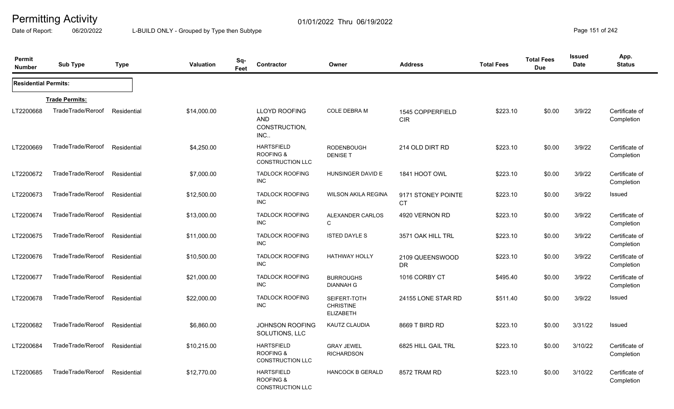Date of Report: 06/20/2022 L-BUILD ONLY - Grouped by Type then Subtype **Page 151** of 242

| <b>Permit</b><br><b>Number</b> | <b>Sub Type</b>       | <b>Type</b> | <b>Valuation</b> | Sq-<br>Feet | Contractor                                                           | Owner                                                | <b>Address</b>                  | <b>Total Fees</b> | <b>Total Fees</b><br><b>Due</b> | <b>Issued</b><br>Date | App.<br><b>Status</b>        |
|--------------------------------|-----------------------|-------------|------------------|-------------|----------------------------------------------------------------------|------------------------------------------------------|---------------------------------|-------------------|---------------------------------|-----------------------|------------------------------|
| <b>Residential Permits:</b>    |                       |             |                  |             |                                                                      |                                                      |                                 |                   |                                 |                       |                              |
|                                | <b>Trade Permits:</b> |             |                  |             |                                                                      |                                                      |                                 |                   |                                 |                       |                              |
| LT2200668                      | TradeTrade/Reroof     | Residential | \$14,000.00      |             | <b>LLOYD ROOFING</b><br><b>AND</b><br>CONSTRUCTION,<br>INC           | COLE DEBRA M                                         | 1545 COPPERFIELD<br><b>CIR</b>  | \$223.10          | \$0.00                          | 3/9/22                | Certificate of<br>Completion |
| LT2200669                      | TradeTrade/Reroof     | Residential | \$4,250.00       |             | <b>HARTSFIELD</b><br><b>ROOFING &amp;</b><br><b>CONSTRUCTION LLC</b> | <b>RODENBOUGH</b><br><b>DENISE T</b>                 | 214 OLD DIRT RD                 | \$223.10          | \$0.00                          | 3/9/22                | Certificate of<br>Completion |
| LT2200672                      | TradeTrade/Reroof     | Residential | \$7,000.00       |             | <b>TADLOCK ROOFING</b><br><b>INC</b>                                 | HUNSINGER DAVID E                                    | 1841 HOOT OWL                   | \$223.10          | \$0.00                          | 3/9/22                | Certificate of<br>Completion |
| LT2200673                      | TradeTrade/Reroof     | Residential | \$12,500.00      |             | <b>TADLOCK ROOFING</b><br><b>INC</b>                                 | <b>WILSON AKILA REGINA</b>                           | 9171 STONEY POINTE<br><b>CT</b> | \$223.10          | \$0.00                          | 3/9/22                | Issued                       |
| LT2200674                      | TradeTrade/Reroof     | Residential | \$13,000.00      |             | <b>TADLOCK ROOFING</b><br><b>INC</b>                                 | ALEXANDER CARLOS<br>$\mathsf{C}$                     | 4920 VERNON RD                  | \$223.10          | \$0.00                          | 3/9/22                | Certificate of<br>Completion |
| LT2200675                      | TradeTrade/Reroof     | Residential | \$11,000.00      |             | <b>TADLOCK ROOFING</b><br><b>INC</b>                                 | <b>ISTED DAYLE S</b>                                 | 3571 OAK HILL TRL               | \$223.10          | \$0.00                          | 3/9/22                | Certificate of<br>Completion |
| LT2200676                      | TradeTrade/Reroof     | Residential | \$10,500.00      |             | <b>TADLOCK ROOFING</b><br><b>INC</b>                                 | <b>HATHWAY HOLLY</b>                                 | 2109 QUEENSWOOD<br><b>DR</b>    | \$223.10          | \$0.00                          | 3/9/22                | Certificate of<br>Completion |
| LT2200677                      | TradeTrade/Reroof     | Residential | \$21,000.00      |             | <b>TADLOCK ROOFING</b><br><b>INC</b>                                 | <b>BURROUGHS</b><br><b>DIANNAH G</b>                 | 1016 CORBY CT                   | \$495.40          | \$0.00                          | 3/9/22                | Certificate of<br>Completion |
| LT2200678                      | TradeTrade/Reroof     | Residential | \$22,000.00      |             | <b>TADLOCK ROOFING</b><br><b>INC</b>                                 | SEIFERT-TOTH<br><b>CHRISTINE</b><br><b>ELIZABETH</b> | 24155 LONE STAR RD              | \$511.40          | \$0.00                          | 3/9/22                | Issued                       |
| LT2200682                      | TradeTrade/Reroof     | Residential | \$6,860.00       |             | JOHNSON ROOFING<br>SOLUTIONS, LLC                                    | <b>KAUTZ CLAUDIA</b>                                 | 8669 T BIRD RD                  | \$223.10          | \$0.00                          | 3/31/22               | Issued                       |
| LT2200684                      | TradeTrade/Reroof     | Residential | \$10,215.00      |             | <b>HARTSFIELD</b><br><b>ROOFING &amp;</b><br><b>CONSTRUCTION LLC</b> | <b>GRAY JEWEL</b><br><b>RICHARDSON</b>               | 6825 HILL GAIL TRL              | \$223.10          | \$0.00                          | 3/10/22               | Certificate of<br>Completion |
| LT2200685                      | TradeTrade/Reroof     | Residential | \$12,770.00      |             | <b>HARTSFIELD</b><br><b>ROOFING &amp;</b><br><b>CONSTRUCTION LLC</b> | <b>HANCOCK B GERALD</b>                              | 8572 TRAM RD                    | \$223.10          | \$0.00                          | 3/10/22               | Certificate of<br>Completion |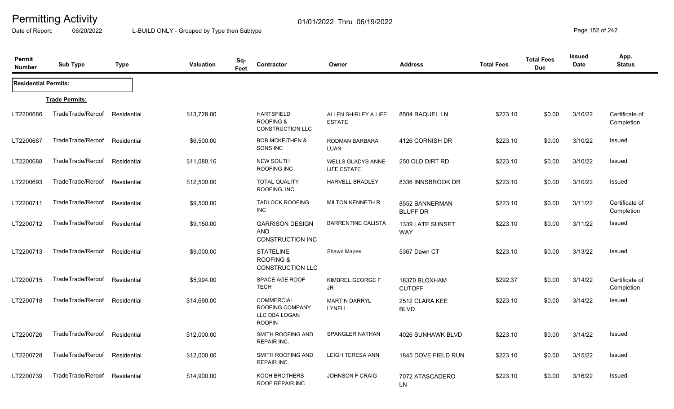Date of Report: 06/20/2022 L-BUILD ONLY - Grouped by Type then Subtype **Page 152 of 242** 

| Permit<br><b>Number</b>     | <b>Sub Type</b>       | <b>Type</b> | Sq-<br><b>Valuation</b><br>Feet | Contractor                                                                    | Owner                                   | <b>Address</b>                    | <b>Total Fees</b> | <b>Total Fees</b><br><b>Due</b> | Issued<br>Date | App.<br><b>Status</b>        |
|-----------------------------|-----------------------|-------------|---------------------------------|-------------------------------------------------------------------------------|-----------------------------------------|-----------------------------------|-------------------|---------------------------------|----------------|------------------------------|
| <b>Residential Permits:</b> |                       |             |                                 |                                                                               |                                         |                                   |                   |                                 |                |                              |
|                             | <b>Trade Permits:</b> |             |                                 |                                                                               |                                         |                                   |                   |                                 |                |                              |
| LT2200686                   | TradeTrade/Reroof     | Residential | \$13,728.00                     | <b>HARTSFIELD</b><br><b>ROOFING &amp;</b><br><b>CONSTRUCTION LLC</b>          | ALLEN SHIRLEY A LIFE<br><b>ESTATE</b>   | 8504 RAQUEL LN                    | \$223.10          | \$0.00                          | 3/10/22        | Certificate of<br>Completion |
| LT2200687                   | TradeTrade/Reroof     | Residential | \$6,500.00                      | <b>BOB MCKEITHEN &amp;</b><br>SONS INC                                        | RODMAN BARBARA<br><b>LUAN</b>           | 4126 CORNISH DR                   | \$223.10          | \$0.00                          | 3/10/22        | Issued                       |
| LT2200688                   | TradeTrade/Reroof     | Residential | \$11,080.16                     | <b>NEW SOUTH</b><br>ROOFING INC                                               | <b>WELLS GLADYS ANNE</b><br>LIFE ESTATE | 250 OLD DIRT RD                   | \$223.10          | \$0.00                          | 3/10/22        | Issued                       |
| LT2200693                   | TradeTrade/Reroof     | Residential | \$12,500.00                     | <b>TOTAL QUALITY</b><br>ROOFING, INC                                          | <b>HARVELL BRADLEY</b>                  | 8336 INNSBROOK DR                 | \$223.10          | \$0.00                          | 3/10/22        | <b>Issued</b>                |
| LT2200711                   | TradeTrade/Reroof     | Residential | \$9,500.00                      | <b>TADLOCK ROOFING</b><br>INC                                                 | <b>MILTON KENNETH R</b>                 | 8552 BANNERMAN<br><b>BLUFF DR</b> | \$223.10          | \$0.00                          | 3/11/22        | Certificate of<br>Completion |
| LT2200712                   | TradeTrade/Reroof     | Residential | \$9,150.00                      | <b>GARRISON DESIGN</b><br><b>AND</b><br><b>CONSTRUCTION INC</b>               | <b>BARRENTINE CALISTA</b>               | 1339 LATE SUNSET<br><b>WAY</b>    | \$223.10          | \$0.00                          | 3/11/22        | <b>Issued</b>                |
| LT2200713                   | TradeTrade/Reroof     | Residential | \$9,000.00                      | <b>STATELINE</b><br><b>ROOFING &amp;</b><br>CONSTRUCTION LLC                  | Shawn Mapes                             | 5367 Dawn CT                      | \$223.10          | \$0.00                          | 3/13/22        | <b>Issued</b>                |
| LT2200715                   | TradeTrade/Reroof     | Residential | \$5,994.00                      | SPACE AGE ROOF<br><b>TECH</b>                                                 | KIMBREL GEORGE F<br>JR                  | 18370 BLOXHAM<br><b>CUTOFF</b>    | \$292.37          | \$0.00                          | 3/14/22        | Certificate of<br>Completion |
| LT2200718                   | TradeTrade/Reroof     | Residential | \$14,690.00                     | <b>COMMERCIAL</b><br><b>ROOFING COMPANY</b><br>LLC DBA LOGAN<br><b>ROOFIN</b> | <b>MARTIN DARRYL</b><br>LYNELL          | 2512 CLARA KEE<br><b>BLVD</b>     | \$223.10          | \$0.00                          | 3/14/22        | Issued                       |
| LT2200726                   | TradeTrade/Reroof     | Residential | \$12,000.00                     | SMITH ROOFING AND<br><b>REPAIR INC.</b>                                       | <b>SPANGLER NATHAN</b>                  | 4026 SUNHAWK BLVD                 | \$223.10          | \$0.00                          | 3/14/22        | <b>Issued</b>                |
| LT2200728                   | TradeTrade/Reroof     | Residential | \$12,000.00                     | SMITH ROOFING AND<br>REPAIR INC.                                              | <b>LEIGH TERESA ANN</b>                 | 1845 DOVE FIELD RUN               | \$223.10          | \$0.00                          | 3/15/22        | <b>Issued</b>                |
| LT2200739                   | TradeTrade/Reroof     | Residential | \$14,900.00                     | KOCH BROTHERS<br><b>ROOF REPAIR INC</b>                                       | <b>JOHNSON F CRAIG</b>                  | 7072 ATASCADERO<br>LN             | \$223.10          | \$0.00                          | 3/16/22        | Issued                       |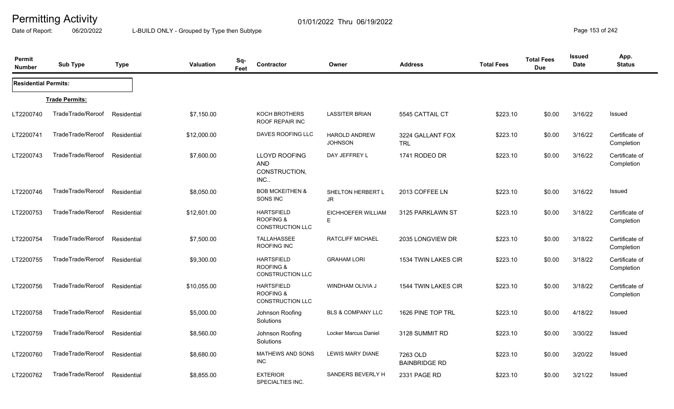Date of Report: 06/20/2022 L-BUILD ONLY - Grouped by Type then Subtype **Page 153 of 242** 

| Permit<br><b>Number</b>     | <b>Sub Type</b>       | <b>Type</b> | <b>Valuation</b> | Sq-<br>Feet | Contractor                                                           | Owner                                  | <b>Address</b>                   | <b>Total Fees</b> | <b>Total Fees</b><br><b>Due</b> | <b>Issued</b><br>Date | App.<br><b>Status</b>        |
|-----------------------------|-----------------------|-------------|------------------|-------------|----------------------------------------------------------------------|----------------------------------------|----------------------------------|-------------------|---------------------------------|-----------------------|------------------------------|
| <b>Residential Permits:</b> |                       |             |                  |             |                                                                      |                                        |                                  |                   |                                 |                       |                              |
|                             | <b>Trade Permits:</b> |             |                  |             |                                                                      |                                        |                                  |                   |                                 |                       |                              |
| LT2200740                   | TradeTrade/Reroof     | Residential | \$7,150.00       |             | <b>KOCH BROTHERS</b><br><b>ROOF REPAIR INC</b>                       | <b>LASSITER BRIAN</b>                  | 5545 CATTAIL CT                  | \$223.10          | \$0.00                          | 3/16/22               | Issued                       |
| LT2200741                   | TradeTrade/Reroof     | Residential | \$12,000.00      |             | DAVES ROOFING LLC                                                    | <b>HAROLD ANDREW</b><br><b>JOHNSON</b> | 3224 GALLANT FOX<br><b>TRL</b>   | \$223.10          | \$0.00                          | 3/16/22               | Certificate of<br>Completion |
| LT2200743                   | TradeTrade/Reroof     | Residential | \$7,600.00       |             | <b>LLOYD ROOFING</b><br>AND<br>CONSTRUCTION,<br>INC.                 | DAY JEFFREY L                          | 1741 RODEO DR                    | \$223.10          | \$0.00                          | 3/16/22               | Certificate of<br>Completion |
| LT2200746                   | TradeTrade/Reroof     | Residential | \$8,050.00       |             | <b>BOB MCKEITHEN &amp;</b><br>SONS INC                               | SHELTON HERBERT L<br>JR.               | 2013 COFFEE LN                   | \$223.10          | \$0.00                          | 3/16/22               | Issued                       |
| LT2200753                   | TradeTrade/Reroof     | Residential | \$12,601.00      |             | <b>HARTSFIELD</b><br><b>ROOFING &amp;</b><br><b>CONSTRUCTION LLC</b> | <b>EICHHOEFER WILLIAM</b><br>E         | 3125 PARKLAWN ST                 | \$223.10          | \$0.00                          | 3/18/22               | Certificate of<br>Completion |
| LT2200754                   | TradeTrade/Reroof     | Residential | \$7,500.00       |             | <b>TALLAHASSEE</b><br>ROOFING INC                                    | <b>RATCLIFF MICHAEL</b>                | 2035 LONGVIEW DR                 | \$223.10          | \$0.00                          | 3/18/22               | Certificate of<br>Completion |
| LT2200755                   | TradeTrade/Reroof     | Residential | \$9,300.00       |             | <b>HARTSFIELD</b><br><b>ROOFING &amp;</b><br><b>CONSTRUCTION LLC</b> | <b>GRAHAM LORI</b>                     | <b>1534 TWIN LAKES CIR</b>       | \$223.10          | \$0.00                          | 3/18/22               | Certificate of<br>Completion |
| LT2200756                   | TradeTrade/Reroof     | Residential | \$10,055.00      |             | <b>HARTSFIELD</b><br><b>ROOFING &amp;</b><br><b>CONSTRUCTION LLC</b> | WINDHAM OLIVIA J                       | 1544 TWIN LAKES CIR              | \$223.10          | \$0.00                          | 3/18/22               | Certificate of<br>Completion |
| LT2200758                   | TradeTrade/Reroof     | Residential | \$5,000.00       |             | Johnson Roofing<br>Solutions                                         | <b>BLS &amp; COMPANY LLC</b>           | 1626 PINE TOP TRL                | \$223.10          | \$0.00                          | 4/18/22               | Issued                       |
| LT2200759                   | TradeTrade/Reroof     | Residential | \$8,560.00       |             | Johnson Roofing<br>Solutions                                         | Locker Marcus Daniel                   | 3128 SUMMIT RD                   | \$223.10          | \$0.00                          | 3/30/22               | Issued                       |
| LT2200760                   | TradeTrade/Reroof     | Residential | \$8,680.00       |             | <b>MATHEWS AND SONS</b><br><b>INC</b>                                | <b>LEWIS MARY DIANE</b>                | 7263 OLD<br><b>BAINBRIDGE RD</b> | \$223.10          | \$0.00                          | 3/20/22               | Issued                       |
| LT2200762                   | TradeTrade/Reroof     | Residential | \$8,855.00       |             | <b>EXTERIOR</b><br>SPECIALTIES INC.                                  | SANDERS BEVERLY H                      | 2331 PAGE RD                     | \$223.10          | \$0.00                          | 3/21/22               | Issued                       |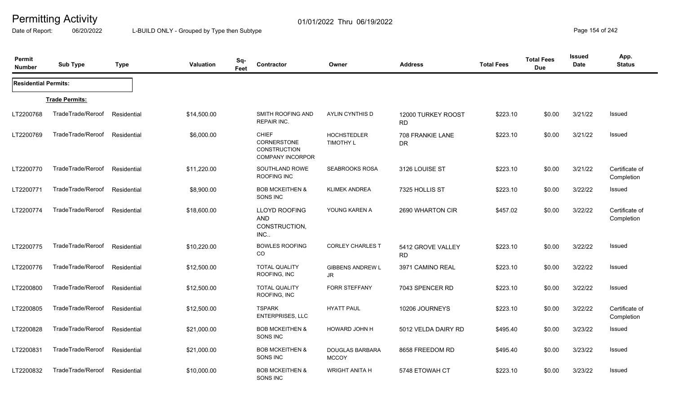Date of Report: 06/20/2022 L-BUILD ONLY - Grouped by Type then Subtype **Page 154** of 242

| Permit<br><b>Number</b>     | <b>Sub Type</b>       | <b>Type</b> | <b>Valuation</b> | Sq-<br>Feet | Contractor                                                                           | Owner                                  | <b>Address</b>                  | <b>Total Fees</b> | <b>Total Fees</b><br><b>Due</b> | <b>Issued</b><br>Date | App.<br><b>Status</b>        |
|-----------------------------|-----------------------|-------------|------------------|-------------|--------------------------------------------------------------------------------------|----------------------------------------|---------------------------------|-------------------|---------------------------------|-----------------------|------------------------------|
| <b>Residential Permits:</b> |                       |             |                  |             |                                                                                      |                                        |                                 |                   |                                 |                       |                              |
|                             | <b>Trade Permits:</b> |             |                  |             |                                                                                      |                                        |                                 |                   |                                 |                       |                              |
| LT2200768                   | TradeTrade/Reroof     | Residential | \$14,500.00      |             | SMITH ROOFING AND<br><b>REPAIR INC.</b>                                              | AYLIN CYNTHIS D                        | 12000 TURKEY ROOST<br><b>RD</b> | \$223.10          | \$0.00                          | 3/21/22               | Issued                       |
| LT2200769                   | TradeTrade/Reroof     | Residential | \$6,000.00       |             | <b>CHIEF</b><br><b>CORNERSTONE</b><br><b>CONSTRUCTION</b><br><b>COMPANY INCORPOR</b> | <b>HOCHSTEDLER</b><br><b>TIMOTHY L</b> | 708 FRANKIE LANE<br><b>DR</b>   | \$223.10          | \$0.00                          | 3/21/22               | Issued                       |
| LT2200770                   | TradeTrade/Reroof     | Residential | \$11,220.00      |             | SOUTHLAND ROWE<br>ROOFING INC                                                        | <b>SEABROOKS ROSA</b>                  | 3126 LOUISE ST                  | \$223.10          | \$0.00                          | 3/21/22               | Certificate of<br>Completion |
| LT2200771                   | TradeTrade/Reroof     | Residential | \$8,900.00       |             | <b>BOB MCKEITHEN &amp;</b><br>SONS INC                                               | <b>KLIMEK ANDREA</b>                   | 7325 HOLLIS ST                  | \$223.10          | \$0.00                          | 3/22/22               | Issued                       |
| LT2200774                   | TradeTrade/Reroof     | Residential | \$18,600.00      |             | <b>LLOYD ROOFING</b><br><b>AND</b><br>CONSTRUCTION,<br>INC.                          | YOUNG KAREN A                          | 2690 WHARTON CIR                | \$457.02          | \$0.00                          | 3/22/22               | Certificate of<br>Completion |
| LT2200775                   | TradeTrade/Reroof     | Residential | \$10,220.00      |             | <b>BOWLES ROOFING</b><br>CO                                                          | <b>CORLEY CHARLES T</b>                | 5412 GROVE VALLEY<br><b>RD</b>  | \$223.10          | \$0.00                          | 3/22/22               | Issued                       |
| LT2200776                   | TradeTrade/Reroof     | Residential | \$12,500.00      |             | <b>TOTAL QUALITY</b><br>ROOFING, INC                                                 | <b>GIBBENS ANDREW L</b><br>JR.         | 3971 CAMINO REAL                | \$223.10          | \$0.00                          | 3/22/22               | Issued                       |
| LT2200800                   | TradeTrade/Reroof     | Residential | \$12,500.00      |             | <b>TOTAL QUALITY</b><br>ROOFING, INC                                                 | <b>FORR STEFFANY</b>                   | 7043 SPENCER RD                 | \$223.10          | \$0.00                          | 3/22/22               | Issued                       |
| LT2200805                   | TradeTrade/Reroof     | Residential | \$12,500.00      |             | <b>TSPARK</b><br><b>ENTERPRISES, LLC</b>                                             | <b>HYATT PAUL</b>                      | 10206 JOURNEYS                  | \$223.10          | \$0.00                          | 3/22/22               | Certificate of<br>Completion |
| LT2200828                   | TradeTrade/Reroof     | Residential | \$21,000.00      |             | <b>BOB MCKEITHEN &amp;</b><br>SONS INC                                               | HOWARD JOHN H                          | 5012 VELDA DAIRY RD             | \$495.40          | \$0.00                          | 3/23/22               | Issued                       |
| LT2200831                   | TradeTrade/Reroof     | Residential | \$21,000.00      |             | <b>BOB MCKEITHEN &amp;</b><br>SONS INC                                               | <b>DOUGLAS BARBARA</b><br><b>MCCOY</b> | 8658 FREEDOM RD                 | \$495.40          | \$0.00                          | 3/23/22               | Issued                       |
| LT2200832                   | TradeTrade/Reroof     | Residential | \$10,000.00      |             | <b>BOB MCKEITHEN &amp;</b><br>SONS INC                                               | <b>WRIGHT ANITA H</b>                  | 5748 ETOWAH CT                  | \$223.10          | \$0.00                          | 3/23/22               | Issued                       |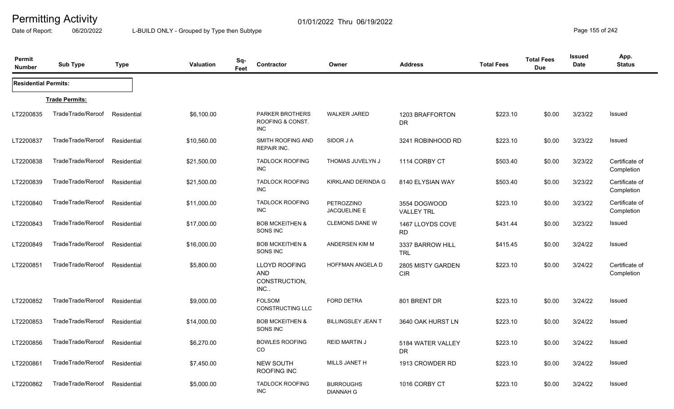Date of Report: 06/20/2022 L-BUILD ONLY - Grouped by Type then Subtype **Page 155** of 242

| Permit<br><b>Number</b>     | <b>Sub Type</b>       | <b>Type</b> | <b>Valuation</b> | Sq-<br>Feet | Contractor                                                 | Owner                                | <b>Address</b>                    | <b>Total Fees</b> | <b>Total Fees</b><br><b>Due</b> | <b>Issued</b><br>Date | App.<br><b>Status</b>        |
|-----------------------------|-----------------------|-------------|------------------|-------------|------------------------------------------------------------|--------------------------------------|-----------------------------------|-------------------|---------------------------------|-----------------------|------------------------------|
| <b>Residential Permits:</b> |                       |             |                  |             |                                                            |                                      |                                   |                   |                                 |                       |                              |
|                             | <b>Trade Permits:</b> |             |                  |             |                                                            |                                      |                                   |                   |                                 |                       |                              |
| LT2200835                   | TradeTrade/Reroof     | Residential | \$6,100.00       |             | <b>PARKER BROTHERS</b><br>ROOFING & CONST.<br>INC          | <b>WALKER JARED</b>                  | 1203 BRAFFORTON<br>DR.            | \$223.10          | \$0.00                          | 3/23/22               | Issued                       |
| LT2200837                   | TradeTrade/Reroof     | Residential | \$10,560.00      |             | SMITH ROOFING AND<br><b>REPAIR INC.</b>                    | SIDOR J A                            | 3241 ROBINHOOD RD                 | \$223.10          | \$0.00                          | 3/23/22               | <b>Issued</b>                |
| LT2200838                   | TradeTrade/Reroof     | Residential | \$21,500.00      |             | <b>TADLOCK ROOFING</b><br>INC                              | THOMAS JUVELYN J                     | 1114 CORBY CT                     | \$503.40          | \$0.00                          | 3/23/22               | Certificate of<br>Completion |
| LT2200839                   | TradeTrade/Reroof     | Residential | \$21,500.00      |             | <b>TADLOCK ROOFING</b><br><b>INC</b>                       | KIRKLAND DERINDA G                   | 8140 ELYSIAN WAY                  | \$503.40          | \$0.00                          | 3/23/22               | Certificate of<br>Completion |
| LT2200840                   | TradeTrade/Reroof     | Residential | \$11,000.00      |             | <b>TADLOCK ROOFING</b><br>INC                              | PETROZZINO<br><b>JACQUELINE E</b>    | 3554 DOGWOOD<br><b>VALLEY TRL</b> | \$223.10          | \$0.00                          | 3/23/22               | Certificate of<br>Completion |
| LT2200843                   | TradeTrade/Reroof     | Residential | \$17,000.00      |             | <b>BOB MCKEITHEN &amp;</b><br>SONS INC                     | <b>CLEMONS DANE W</b>                | 1467 LLOYDS COVE<br><b>RD</b>     | \$431.44          | \$0.00                          | 3/23/22               | Issued                       |
| LT2200849                   | TradeTrade/Reroof     | Residential | \$16,000.00      |             | <b>BOB MCKEITHEN &amp;</b><br>SONS INC                     | ANDERSEN KIM M                       | 3337 BARROW HILL<br><b>TRL</b>    | \$415.45          | \$0.00                          | 3/24/22               | Issued                       |
| LT2200851                   | TradeTrade/Reroof     | Residential | \$5,800.00       |             | <b>LLOYD ROOFING</b><br><b>AND</b><br>CONSTRUCTION,<br>INC | HOFFMAN ANGELA D                     | 2805 MISTY GARDEN<br><b>CIR</b>   | \$223.10          | \$0.00                          | 3/24/22               | Certificate of<br>Completion |
| LT2200852                   | TradeTrade/Reroof     | Residential | \$9,000.00       |             | <b>FOLSOM</b><br><b>CONSTRUCTING LLC</b>                   | <b>FORD DETRA</b>                    | 801 BRENT DR                      | \$223.10          | \$0.00                          | 3/24/22               | Issued                       |
| LT2200853                   | TradeTrade/Reroof     | Residential | \$14,000.00      |             | <b>BOB MCKEITHEN &amp;</b><br>SONS INC                     | <b>BILLINGSLEY JEAN T</b>            | 3640 OAK HURST LN                 | \$223.10          | \$0.00                          | 3/24/22               | <b>Issued</b>                |
| LT2200856                   | TradeTrade/Reroof     | Residential | \$6,270.00       |             | <b>BOWLES ROOFING</b><br>CO                                | <b>REID MARTIN J</b>                 | 5184 WATER VALLEY<br><b>DR</b>    | \$223.10          | \$0.00                          | 3/24/22               | Issued                       |
| LT2200861                   | TradeTrade/Reroof     | Residential | \$7,450.00       |             | <b>NEW SOUTH</b><br><b>ROOFING INC</b>                     | MILLS JANET H                        | 1913 CROWDER RD                   | \$223.10          | \$0.00                          | 3/24/22               | Issued                       |
| LT2200862                   | TradeTrade/Reroof     | Residential | \$5,000.00       |             | <b>TADLOCK ROOFING</b><br>INC                              | <b>BURROUGHS</b><br><b>DIANNAH G</b> | 1016 CORBY CT                     | \$223.10          | \$0.00                          | 3/24/22               | Issued                       |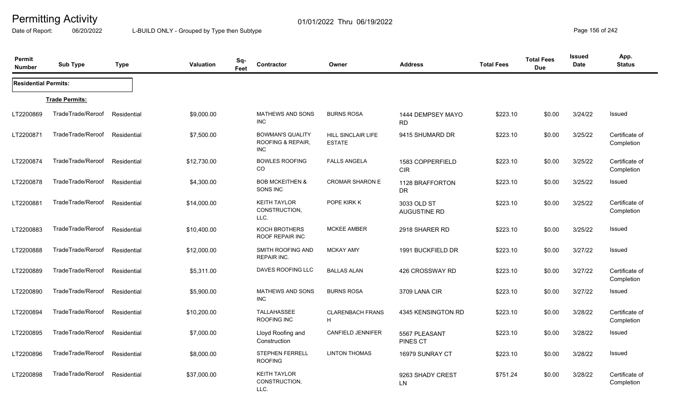Date of Report: 06/20/2022 L-BUILD ONLY - Grouped by Type then Subtype **Page 156** of 242

| <b>Permit</b><br><b>Number</b> | <b>Sub Type</b>       | <b>Type</b> | <b>Valuation</b> | Sq-<br>Feet | Contractor                                                 | Owner                               | <b>Address</b>                   | <b>Total Fees</b> | <b>Total Fees</b><br><b>Due</b> | <b>Issued</b><br>Date | App.<br><b>Status</b>        |
|--------------------------------|-----------------------|-------------|------------------|-------------|------------------------------------------------------------|-------------------------------------|----------------------------------|-------------------|---------------------------------|-----------------------|------------------------------|
| <b>Residential Permits:</b>    |                       |             |                  |             |                                                            |                                     |                                  |                   |                                 |                       |                              |
|                                | <b>Trade Permits:</b> |             |                  |             |                                                            |                                     |                                  |                   |                                 |                       |                              |
| LT2200869                      | TradeTrade/Reroof     | Residential | \$9,000.00       |             | <b>MATHEWS AND SONS</b><br><b>INC</b>                      | <b>BURNS ROSA</b>                   | 1444 DEMPSEY MAYO<br><b>RD</b>   | \$223.10          | \$0.00                          | 3/24/22               | Issued                       |
| LT2200871                      | TradeTrade/Reroof     | Residential | \$7,500.00       |             | <b>BOWMAN'S QUALITY</b><br>ROOFING & REPAIR.<br><b>INC</b> | HILL SINCLAIR LIFE<br><b>ESTATE</b> | 9415 SHUMARD DR                  | \$223.10          | \$0.00                          | 3/25/22               | Certificate of<br>Completion |
| LT2200874                      | TradeTrade/Reroof     | Residential | \$12,730.00      |             | <b>BOWLES ROOFING</b><br>CO                                | <b>FALLS ANGELA</b>                 | 1583 COPPERFIELD<br><b>CIR</b>   | \$223.10          | \$0.00                          | 3/25/22               | Certificate of<br>Completion |
| LT2200878                      | TradeTrade/Reroof     | Residential | \$4,300.00       |             | <b>BOB MCKEITHEN &amp;</b><br>SONS INC                     | <b>CROMAR SHARON E</b>              | 1128 BRAFFORTON<br><b>DR</b>     | \$223.10          | \$0.00                          | 3/25/22               | Issued                       |
| LT2200881                      | TradeTrade/Reroof     | Residential | \$14,000.00      |             | <b>KEITH TAYLOR</b><br>CONSTRUCTION,<br>LLC.               | POPE KIRK K                         | 3033 OLD ST<br>AUGUSTINE RD      | \$223.10          | \$0.00                          | 3/25/22               | Certificate of<br>Completion |
| LT2200883                      | TradeTrade/Reroof     | Residential | \$10,400.00      |             | KOCH BROTHERS<br><b>ROOF REPAIR INC</b>                    | <b>MCKEE AMBER</b>                  | 2918 SHARER RD                   | \$223.10          | \$0.00                          | 3/25/22               | Issued                       |
| LT2200888                      | TradeTrade/Reroof     | Residential | \$12,000.00      |             | SMITH ROOFING AND<br>REPAIR INC.                           | <b>MCKAY AMY</b>                    | 1991 BUCKFIELD DR                | \$223.10          | \$0.00                          | 3/27/22               | Issued                       |
| LT2200889                      | TradeTrade/Reroof     | Residential | \$5,311.00       |             | DAVES ROOFING LLC                                          | <b>BALLAS ALAN</b>                  | 426 CROSSWAY RD                  | \$223.10          | \$0.00                          | 3/27/22               | Certificate of<br>Completion |
| LT2200890                      | TradeTrade/Reroof     | Residential | \$5,900.00       |             | <b>MATHEWS AND SONS</b><br><b>INC</b>                      | <b>BURNS ROSA</b>                   | 3709 LANA CIR                    | \$223.10          | \$0.00                          | 3/27/22               | Issued                       |
| LT2200894                      | TradeTrade/Reroof     | Residential | \$10,200.00      |             | <b>TALLAHASSEE</b><br>ROOFING INC                          | <b>CLARENBACH FRANS</b><br>H        | 4345 KENSINGTON RD               | \$223.10          | \$0.00                          | 3/28/22               | Certificate of<br>Completion |
| LT2200895                      | TradeTrade/Reroof     | Residential | \$7,000.00       |             | Lloyd Roofing and<br>Construction                          | CANFIELD JENNIFER                   | 5567 PLEASANT<br><b>PINES CT</b> | \$223.10          | \$0.00                          | 3/28/22               | Issued                       |
| LT2200896                      | TradeTrade/Reroof     | Residential | \$8,000.00       |             | STEPHEN FERRELL<br><b>ROOFING</b>                          | <b>LINTON THOMAS</b>                | 16979 SUNRAY CT                  | \$223.10          | \$0.00                          | 3/28/22               | Issued                       |
| LT2200898                      | TradeTrade/Reroof     | Residential | \$37,000.00      |             | <b>KEITH TAYLOR</b><br>CONSTRUCTION,<br>LLC.               |                                     | 9263 SHADY CREST<br><b>LN</b>    | \$751.24          | \$0.00                          | 3/28/22               | Certificate of<br>Completion |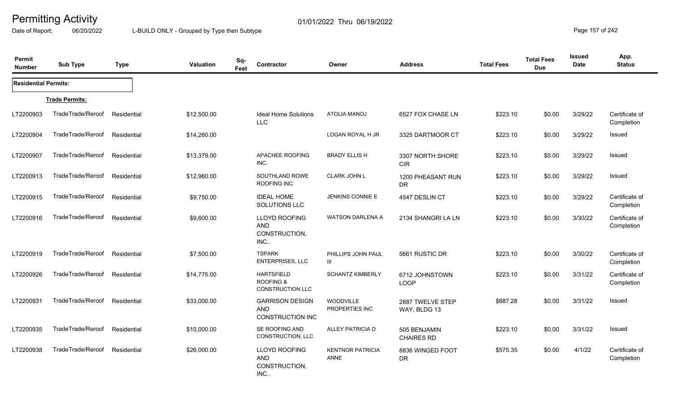Date of Report: 06/20/2022 L-BUILD ONLY - Grouped by Type then Subtype **Page 157** of 242

| Permit<br><b>Number</b>     | <b>Sub Type</b>       | <b>Type</b> | Valuation   | Sq-<br>Feet | Contractor                                                           | Owner                                  | <b>Address</b>                    | <b>Total Fees</b> | <b>Total Fees</b><br><b>Due</b> | Issued<br>Date | App.<br><b>Status</b>        |
|-----------------------------|-----------------------|-------------|-------------|-------------|----------------------------------------------------------------------|----------------------------------------|-----------------------------------|-------------------|---------------------------------|----------------|------------------------------|
| <b>Residential Permits:</b> |                       |             |             |             |                                                                      |                                        |                                   |                   |                                 |                |                              |
|                             | <b>Trade Permits:</b> |             |             |             |                                                                      |                                        |                                   |                   |                                 |                |                              |
| LT2200903                   | TradeTrade/Reroof     | Residential | \$12,500.00 |             | <b>Ideal Home Solutions</b><br><b>LLC</b>                            | <b>ATOLIA MANOJ</b>                    | 6527 FOX CHASE LN                 | \$223.10          | \$0.00                          | 3/29/22        | Certificate of<br>Completion |
| LT2200904                   | TradeTrade/Reroof     | Residential | \$14,260.00 |             |                                                                      | LOGAN ROYAL H JR                       | 3325 DARTMOOR CT                  | \$223.10          | \$0.00                          | 3/29/22        | Issued                       |
| LT2200907                   | TradeTrade/Reroof     | Residential | \$13,379.00 |             | APACHEE ROOFING<br>INC.                                              | <b>BRADY ELLIS H</b>                   | 3307 NORTH SHORE<br><b>CIR</b>    | \$223.10          | \$0.00                          | 3/29/22        | Issued                       |
| LT2200913                   | TradeTrade/Reroof     | Residential | \$12,960.00 |             | SOUTHLAND ROWE<br>ROOFING INC                                        | <b>CLARK JOHN L</b>                    | 1200 PHEASANT RUN<br>DR.          | \$223.10          | \$0.00                          | 3/29/22        | Issued                       |
| LT2200915                   | TradeTrade/Reroof     | Residential | \$9,750.00  |             | <b>IDEAL HOME</b><br>SOLUTIONS LLC                                   | <b>JENKINS CONNIE E</b>                | 4547 DESLIN CT                    | \$223.10          | \$0.00                          | 3/29/22        | Certificate of<br>Completion |
| LT2200916                   | TradeTrade/Reroof     | Residential | \$9,600.00  |             | <b>LLOYD ROOFING</b><br><b>AND</b><br>CONSTRUCTION,<br>INC           | <b>WATSON DARLENA A</b>                | 2134 SHANGRI LA LN                | \$223.10          | \$0.00                          | 3/30/22        | Certificate of<br>Completion |
| LT2200919                   | TradeTrade/Reroof     | Residential | \$7,500.00  |             | <b>TSPARK</b><br><b>ENTERPRISES, LLC</b>                             | PHILLIPS JOHN PAUL<br>Ш                | 5661 RUSTIC DR                    | \$223.10          | \$0.00                          | 3/30/22        | Certificate of<br>Completion |
| LT2200926                   | TradeTrade/Reroof     | Residential | \$14,775.00 |             | <b>HARTSFIELD</b><br><b>ROOFING &amp;</b><br><b>CONSTRUCTION LLC</b> | <b>SCHANTZ KIMBERLY</b>                | 6712 JOHNSTOWN<br><b>LOOP</b>     | \$223.10          | \$0.00                          | 3/31/22        | Certificate of<br>Completion |
| LT2200931                   | TradeTrade/Reroof     | Residential | \$33,000.00 |             | <b>GARRISON DESIGN</b><br><b>AND</b><br><b>CONSTRUCTION INC</b>      | WOODVILLE<br>PROPERTIES INC            | 2887 TWELVE STEP<br>WAY, BLDG 13  | \$687.28          | \$0.00                          | 3/31/22        | Issued                       |
| LT2200935                   | TradeTrade/Reroof     | Residential | \$10,000.00 |             | SE ROOFING AND<br>CONSTRUCTION, LLC                                  | ALLEY PATRICIA D                       | 505 BENJAMIN<br><b>CHAIRES RD</b> | \$223.10          | \$0.00                          | 3/31/22        | Issued                       |
| LT2200938                   | TradeTrade/Reroof     | Residential | \$26,000.00 |             | LLOYD ROOFING<br><b>AND</b><br>CONSTRUCTION,<br>INC.                 | <b>KENTNOR PATRICIA</b><br><b>ANNE</b> | 8836 WINGED FOOT<br>DR            | \$575.35          | \$0.00                          | 4/1/22         | Certificate of<br>Completion |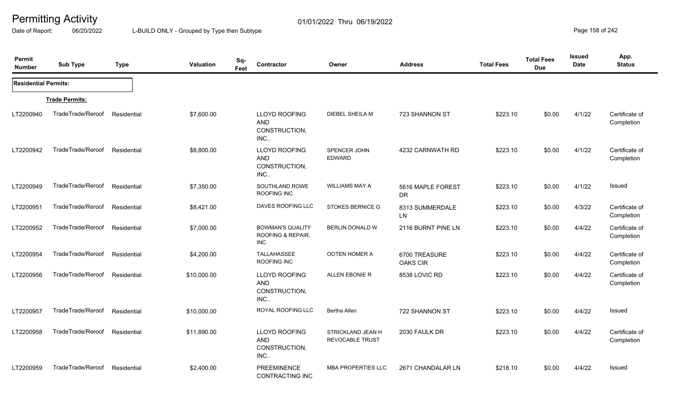Date of Report: 06/20/2022 L-BUILD ONLY - Grouped by Type then Subtype **Page 158** of 242

| Permit<br><b>Number</b>     | <b>Sub Type</b>       | <b>Type</b> | Valuation   | Sq-<br>Feet | Contractor                                                  | Owner                                | <b>Address</b>                   | <b>Total Fees</b> | <b>Total Fees</b><br><b>Due</b> | <b>Issued</b><br><b>Date</b> | App.<br><b>Status</b>        |
|-----------------------------|-----------------------|-------------|-------------|-------------|-------------------------------------------------------------|--------------------------------------|----------------------------------|-------------------|---------------------------------|------------------------------|------------------------------|
| <b>Residential Permits:</b> |                       |             |             |             |                                                             |                                      |                                  |                   |                                 |                              |                              |
|                             | <b>Trade Permits:</b> |             |             |             |                                                             |                                      |                                  |                   |                                 |                              |                              |
| LT2200940                   | TradeTrade/Reroof     | Residential | \$7,600.00  |             | LLOYD ROOFING<br><b>AND</b><br>CONSTRUCTION,<br>INC         | DIEBEL SHEILA M                      | 723 SHANNON ST                   | \$223.10          | \$0.00                          | 4/1/22                       | Certificate of<br>Completion |
| LT2200942                   | TradeTrade/Reroof     | Residential | \$8,800.00  |             | <b>LLOYD ROOFING</b><br><b>AND</b><br>CONSTRUCTION,<br>INC  | SPENCER JOHN<br><b>EDWARD</b>        | 4232 CARNWATH RD                 | \$223.10          | \$0.00                          | 4/1/22                       | Certificate of<br>Completion |
| LT2200949                   | TradeTrade/Reroof     | Residential | \$7,350.00  |             | SOUTHLAND ROWE<br>ROOFING INC                               | <b>WILLIAMS MAY A</b>                | 5616 MAPLE FOREST<br><b>DR</b>   | \$223.10          | \$0.00                          | 4/1/22                       | Issued                       |
| LT2200951                   | TradeTrade/Reroof     | Residential | \$8,421.00  |             | DAVES ROOFING LLC                                           | <b>STOKES BERNICE G</b>              | 8313 SUMMERDALE<br><b>LN</b>     | \$223.10          | \$0.00                          | 4/3/22                       | Certificate of<br>Completion |
| LT2200952                   | TradeTrade/Reroof     | Residential | \$7,000.00  |             | <b>BOWMAN'S QUALITY</b><br>ROOFING & REPAIR,<br>INC         | BERLIN DONALD W                      | 2116 BURNT PINE LN               | \$223.10          | \$0.00                          | 4/4/22                       | Certificate of<br>Completion |
| LT2200954                   | TradeTrade/Reroof     | Residential | \$4,200.00  |             | <b>TALLAHASSEE</b><br>ROOFING INC                           | OOTEN HOMER A                        | 6700 TREASURE<br><b>OAKS CIR</b> | \$223.10          | \$0.00                          | 4/4/22                       | Certificate of<br>Completion |
| LT2200956                   | TradeTrade/Reroof     | Residential | \$10,000.00 |             | <b>LLOYD ROOFING</b><br><b>AND</b><br>CONSTRUCTION,<br>INC  | ALLEN EBONIE R                       | 8538 LOVIC RD                    | \$223.10          | \$0.00                          | 4/4/22                       | Certificate of<br>Completion |
| LT2200957                   | TradeTrade/Reroof     | Residential | \$10,000.00 |             | ROYAL ROOFING LLC                                           | <b>Bertha Allen</b>                  | 722 SHANNON ST                   | \$223.10          | \$0.00                          | 4/4/22                       | Issued                       |
| LT2200958                   | TradeTrade/Reroof     | Residential | \$11,890.00 |             | <b>LLOYD ROOFING</b><br><b>AND</b><br>CONSTRUCTION,<br>INC. | STRICKLAND JEAN H<br>REVOCABLE TRUST | 2030 FAULK DR                    | \$223.10          | \$0.00                          | 4/4/22                       | Certificate of<br>Completion |
| LT2200959                   | TradeTrade/Reroof     | Residential | \$2,400.00  |             | <b>PREEMINENCE</b><br><b>CONTRACTING INC</b>                | <b>MBA PROPERTIES LLC</b>            | 2671 CHANDALAR LN                | \$218.10          | \$0.00                          | 4/4/22                       | Issued                       |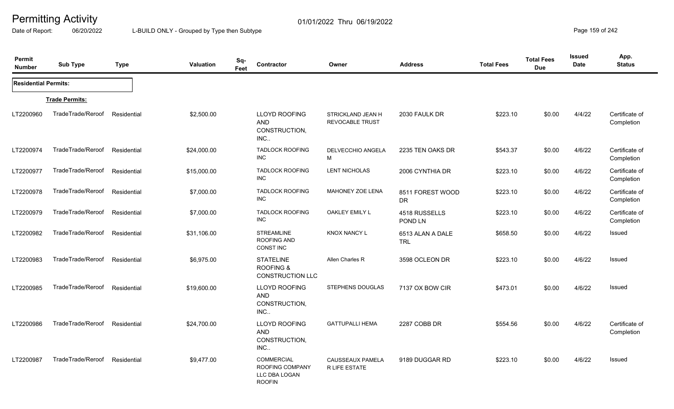Date of Report: 06/20/2022 L-BUILD ONLY - Grouped by Type then Subtype **Page 159 of 242** 

| Permit<br><b>Number</b>     | <b>Sub Type</b>       | <b>Type</b> | <b>Valuation</b> | Sq-<br>Contractor<br>Feet                                              | Owner                                       | <b>Address</b>                 | <b>Total Fees</b> | <b>Total Fees</b><br><b>Due</b> | <b>Issued</b><br><b>Date</b> | App.<br><b>Status</b>        |
|-----------------------------|-----------------------|-------------|------------------|------------------------------------------------------------------------|---------------------------------------------|--------------------------------|-------------------|---------------------------------|------------------------------|------------------------------|
| <b>Residential Permits:</b> |                       |             |                  |                                                                        |                                             |                                |                   |                                 |                              |                              |
|                             | <b>Trade Permits:</b> |             |                  |                                                                        |                                             |                                |                   |                                 |                              |                              |
| LT2200960                   | TradeTrade/Reroof     | Residential | \$2,500.00       | <b>LLOYD ROOFING</b><br><b>AND</b><br>CONSTRUCTION,<br>INC.            | STRICKLAND JEAN H<br><b>REVOCABLE TRUST</b> | 2030 FAULK DR                  | \$223.10          | \$0.00                          | 4/4/22                       | Certificate of<br>Completion |
| LT2200974                   | TradeTrade/Reroof     | Residential | \$24,000.00      | <b>TADLOCK ROOFING</b><br><b>INC</b>                                   | DELVECCHIO ANGELA<br>М                      | 2235 TEN OAKS DR               | \$543.37          | \$0.00                          | 4/6/22                       | Certificate of<br>Completion |
| LT2200977                   | TradeTrade/Reroof     | Residential | \$15,000.00      | <b>TADLOCK ROOFING</b><br><b>INC</b>                                   | <b>LENT NICHOLAS</b>                        | 2006 CYNTHIA DR                | \$223.10          | \$0.00                          | 4/6/22                       | Certificate of<br>Completion |
| LT2200978                   | TradeTrade/Reroof     | Residential | \$7,000.00       | <b>TADLOCK ROOFING</b><br><b>INC</b>                                   | MAHONEY ZOE LENA                            | 8511 FOREST WOOD<br><b>DR</b>  | \$223.10          | \$0.00                          | 4/6/22                       | Certificate of<br>Completion |
| LT2200979                   | TradeTrade/Reroof     | Residential | \$7,000.00       | <b>TADLOCK ROOFING</b><br><b>INC</b>                                   | OAKLEY EMILY L                              | 4518 RUSSELLS<br>POND LN       | \$223.10          | \$0.00                          | 4/6/22                       | Certificate of<br>Completion |
| LT2200982                   | TradeTrade/Reroof     | Residential | \$31,106.00      | <b>STREAMLINE</b><br>ROOFING AND<br><b>CONST INC</b>                   | <b>KNOX NANCY L</b>                         | 6513 ALAN A DALE<br><b>TRL</b> | \$658.50          | \$0.00                          | 4/6/22                       | Issued                       |
| LT2200983                   | TradeTrade/Reroof     | Residential | \$6,975.00       | <b>STATELINE</b><br><b>ROOFING &amp;</b><br><b>CONSTRUCTION LLC</b>    | Allen Charles R                             | 3598 OCLEON DR                 | \$223.10          | \$0.00                          | 4/6/22                       | <b>Issued</b>                |
| LT2200985                   | TradeTrade/Reroof     | Residential | \$19,600.00      | LLOYD ROOFING<br><b>AND</b><br>CONSTRUCTION,<br>INC.                   | <b>STEPHENS DOUGLAS</b>                     | 7137 OX BOW CIR                | \$473.01          | \$0.00                          | 4/6/22                       | Issued                       |
| LT2200986                   | TradeTrade/Reroof     | Residential | \$24,700.00      | LLOYD ROOFING<br><b>AND</b><br>CONSTRUCTION,<br>INC                    | <b>GATTUPALLI HEMA</b>                      | 2287 COBB DR                   | \$554.56          | \$0.00                          | 4/6/22                       | Certificate of<br>Completion |
| LT2200987                   | TradeTrade/Reroof     | Residential | \$9,477.00       | <b>COMMERCIAL</b><br>ROOFING COMPANY<br>LLC DBA LOGAN<br><b>ROOFIN</b> | CAUSSEAUX PAMELA<br><b>R LIFE ESTATE</b>    | 9189 DUGGAR RD                 | \$223.10          | \$0.00                          | 4/6/22                       | <b>Issued</b>                |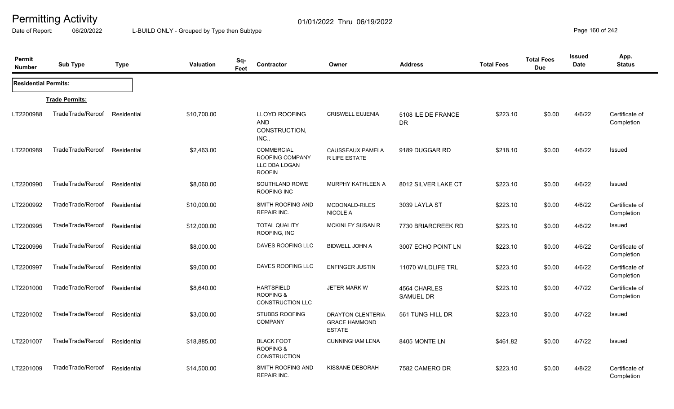Date of Report: 06/20/2022 L-BUILD ONLY - Grouped by Type then Subtype **Page 160** of 242

| Permit<br><b>Number</b>     | <b>Sub Type</b>       | <b>Type</b> | <b>Valuation</b> | Sq-<br>Feet | Contractor                                                             | Owner                                                             | <b>Address</b>                   | <b>Total Fees</b> | <b>Total Fees</b><br><b>Due</b> | <b>Issued</b><br>Date | App.<br><b>Status</b>        |
|-----------------------------|-----------------------|-------------|------------------|-------------|------------------------------------------------------------------------|-------------------------------------------------------------------|----------------------------------|-------------------|---------------------------------|-----------------------|------------------------------|
| <b>Residential Permits:</b> |                       |             |                  |             |                                                                        |                                                                   |                                  |                   |                                 |                       |                              |
|                             | <b>Trade Permits:</b> |             |                  |             |                                                                        |                                                                   |                                  |                   |                                 |                       |                              |
| LT2200988                   | TradeTrade/Reroof     | Residential | \$10,700.00      |             | <b>LLOYD ROOFING</b><br><b>AND</b><br>CONSTRUCTION,<br>INC             | <b>CRISWELL EUJENIA</b>                                           | 5108 ILE DE FRANCE<br><b>DR</b>  | \$223.10          | \$0.00                          | 4/6/22                | Certificate of<br>Completion |
| LT2200989                   | TradeTrade/Reroof     | Residential | \$2,463.00       |             | <b>COMMERCIAL</b><br>ROOFING COMPANY<br>LLC DBA LOGAN<br><b>ROOFIN</b> | CAUSSEAUX PAMELA<br>R LIFE ESTATE                                 | 9189 DUGGAR RD                   | \$218.10          | \$0.00                          | 4/6/22                | Issued                       |
| LT2200990                   | TradeTrade/Reroof     | Residential | \$8,060.00       |             | SOUTHLAND ROWE<br>ROOFING INC                                          | <b>MURPHY KATHLEEN A</b>                                          | 8012 SILVER LAKE CT              | \$223.10          | \$0.00                          | 4/6/22                | Issued                       |
| LT2200992                   | TradeTrade/Reroof     | Residential | \$10,000.00      |             | SMITH ROOFING AND<br><b>REPAIR INC.</b>                                | MCDONALD-RILES<br>NICOLE A                                        | 3039 LAYLA ST                    | \$223.10          | \$0.00                          | 4/6/22                | Certificate of<br>Completion |
| LT2200995                   | TradeTrade/Reroof     | Residential | \$12,000.00      |             | <b>TOTAL QUALITY</b><br>ROOFING, INC                                   | <b>MCKINLEY SUSAN R</b>                                           | 7730 BRIARCREEK RD               | \$223.10          | \$0.00                          | 4/6/22                | Issued                       |
| LT2200996                   | TradeTrade/Reroof     | Residential | \$8,000.00       |             | DAVES ROOFING LLC                                                      | <b>BIDWELL JOHN A</b>                                             | 3007 ECHO POINT LN               | \$223.10          | \$0.00                          | 4/6/22                | Certificate of<br>Completion |
| LT2200997                   | TradeTrade/Reroof     | Residential | \$9,000.00       |             | DAVES ROOFING LLC                                                      | <b>ENFINGER JUSTIN</b>                                            | 11070 WILDLIFE TRL               | \$223.10          | \$0.00                          | 4/6/22                | Certificate of<br>Completion |
| LT2201000                   | TradeTrade/Reroof     | Residential | \$8,640.00       |             | <b>HARTSFIELD</b><br>ROOFING &<br><b>CONSTRUCTION LLC</b>              | JETER MARK W                                                      | 4564 CHARLES<br><b>SAMUEL DR</b> | \$223.10          | \$0.00                          | 4/7/22                | Certificate of<br>Completion |
| LT2201002                   | TradeTrade/Reroof     | Residential | \$3,000.00       |             | <b>STUBBS ROOFING</b><br><b>COMPANY</b>                                | <b>DRAYTON CLENTERIA</b><br><b>GRACE HAMMOND</b><br><b>ESTATE</b> | 561 TUNG HILL DR                 | \$223.10          | \$0.00                          | 4/7/22                | Issued                       |
| LT2201007                   | TradeTrade/Reroof     | Residential | \$18,885.00      |             | <b>BLACK FOOT</b><br><b>ROOFING &amp;</b><br>CONSTRUCTION              | <b>CUNNINGHAM LENA</b>                                            | 8405 MONTE LN                    | \$461.82          | \$0.00                          | 4/7/22                | Issued                       |
| LT2201009                   | TradeTrade/Reroof     | Residential | \$14,500.00      |             | SMITH ROOFING AND<br><b>REPAIR INC.</b>                                | KISSANE DEBORAH                                                   | 7582 CAMERO DR                   | \$223.10          | \$0.00                          | 4/8/22                | Certificate of<br>Completion |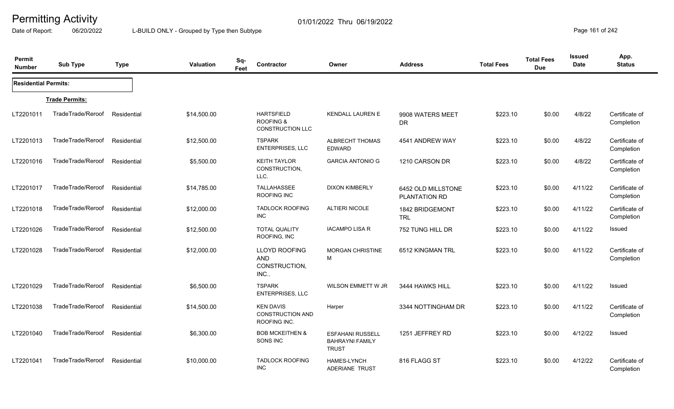Date of Report: 06/20/2022 L-BUILD ONLY - Grouped by Type then Subtype **Page 161** of 242

| Permit<br><b>Number</b>     | <b>Sub Type</b>       | <b>Type</b> | Valuation   | Sq-<br>Feet | Contractor                                                  | Owner                                                             | <b>Address</b>                      | <b>Total Fees</b> | <b>Total Fees</b><br><b>Due</b> | <b>Issued</b><br>Date | App.<br><b>Status</b>        |
|-----------------------------|-----------------------|-------------|-------------|-------------|-------------------------------------------------------------|-------------------------------------------------------------------|-------------------------------------|-------------------|---------------------------------|-----------------------|------------------------------|
| <b>Residential Permits:</b> |                       |             |             |             |                                                             |                                                                   |                                     |                   |                                 |                       |                              |
|                             | <b>Trade Permits:</b> |             |             |             |                                                             |                                                                   |                                     |                   |                                 |                       |                              |
| LT2201011                   | TradeTrade/Reroof     | Residential | \$14,500.00 |             | <b>HARTSFIELD</b><br>ROOFING &<br><b>CONSTRUCTION LLC</b>   | <b>KENDALL LAUREN E</b>                                           | 9908 WATERS MEET<br><b>DR</b>       | \$223.10          | \$0.00                          | 4/8/22                | Certificate of<br>Completion |
| LT2201013                   | TradeTrade/Reroof     | Residential | \$12,500.00 |             | <b>TSPARK</b><br>ENTERPRISES, LLC                           | ALBRECHT THOMAS<br><b>EDWARD</b>                                  | 4541 ANDREW WAY                     | \$223.10          | \$0.00                          | 4/8/22                | Certificate of<br>Completion |
| LT2201016                   | TradeTrade/Reroof     | Residential | \$5,500.00  |             | <b>KEITH TAYLOR</b><br>CONSTRUCTION,<br>LLC.                | <b>GARCIA ANTONIO G</b>                                           | 1210 CARSON DR                      | \$223.10          | \$0.00                          | 4/8/22                | Certificate of<br>Completion |
| LT2201017                   | TradeTrade/Reroof     | Residential | \$14,785.00 |             | TALLAHASSEE<br>ROOFING INC                                  | <b>DIXON KIMBERLY</b>                                             | 6452 OLD MILLSTONE<br>PLANTATION RD | \$223.10          | \$0.00                          | 4/11/22               | Certificate of<br>Completion |
| LT2201018                   | TradeTrade/Reroof     | Residential | \$12,000.00 |             | <b>TADLOCK ROOFING</b><br><b>INC</b>                        | <b>ALTIERI NICOLE</b>                                             | 1842 BRIDGEMONT<br><b>TRL</b>       | \$223.10          | \$0.00                          | 4/11/22               | Certificate of<br>Completion |
| LT2201026                   | TradeTrade/Reroof     | Residential | \$12,500.00 |             | <b>TOTAL QUALITY</b><br>ROOFING, INC                        | <b>IACAMPO LISA R</b>                                             | 752 TUNG HILL DR                    | \$223.10          | \$0.00                          | 4/11/22               | Issued                       |
| LT2201028                   | TradeTrade/Reroof     | Residential | \$12,000.00 |             | <b>LLOYD ROOFING</b><br>AND<br>CONSTRUCTION,<br>INC         | <b>MORGAN CHRISTINE</b><br>M                                      | 6512 KINGMAN TRL                    | \$223.10          | \$0.00                          | 4/11/22               | Certificate of<br>Completion |
| LT2201029                   | TradeTrade/Reroof     | Residential | \$6,500.00  |             | <b>TSPARK</b><br><b>ENTERPRISES, LLC</b>                    | WILSON EMMETT W JR                                                | 3444 HAWKS HILL                     | \$223.10          | \$0.00                          | 4/11/22               | Issued                       |
| LT2201038                   | TradeTrade/Reroof     | Residential | \$14,500.00 |             | <b>KEN DAVIS</b><br><b>CONSTRUCTION AND</b><br>ROOFING INC. | Harper                                                            | 3344 NOTTINGHAM DR                  | \$223.10          | \$0.00                          | 4/11/22               | Certificate of<br>Completion |
| LT2201040                   | TradeTrade/Reroof     | Residential | \$6,300.00  |             | <b>BOB MCKEITHEN &amp;</b><br>SONS INC                      | <b>ESFAHANI RUSSELL</b><br><b>BAHRAYNI FAMILY</b><br><b>TRUST</b> | 1251 JEFFREY RD                     | \$223.10          | \$0.00                          | 4/12/22               | Issued                       |
| LT2201041                   | TradeTrade/Reroof     | Residential | \$10,000.00 |             | <b>TADLOCK ROOFING</b><br><b>INC</b>                        | <b>HAMES-LYNCH</b><br><b>ADERIANE TRUST</b>                       | 816 FLAGG ST                        | \$223.10          | \$0.00                          | 4/12/22               | Certificate of<br>Completion |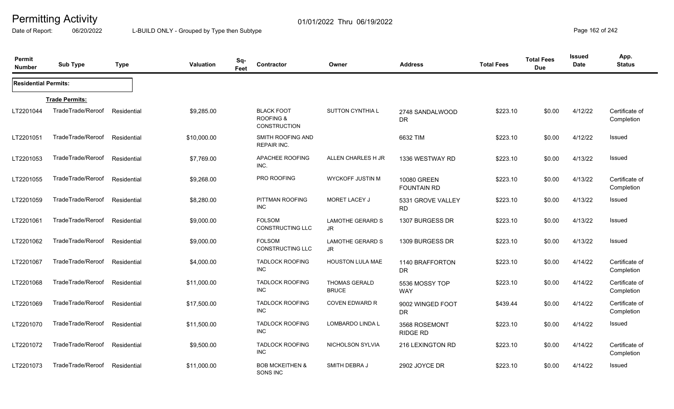Date of Report: 06/20/2022 L-BUILD ONLY - Grouped by Type then Subtype **Page 162** of 242

| Permit<br><b>Number</b>     | <b>Sub Type</b>       | <b>Type</b> | Valuation   | Sq-<br>Feet | Contractor                                                       | Owner                                | <b>Address</b>                    | <b>Total Fees</b> | <b>Total Fees</b><br><b>Due</b> | <b>Issued</b><br>Date | App.<br><b>Status</b>        |
|-----------------------------|-----------------------|-------------|-------------|-------------|------------------------------------------------------------------|--------------------------------------|-----------------------------------|-------------------|---------------------------------|-----------------------|------------------------------|
| <b>Residential Permits:</b> |                       |             |             |             |                                                                  |                                      |                                   |                   |                                 |                       |                              |
|                             | <b>Trade Permits:</b> |             |             |             |                                                                  |                                      |                                   |                   |                                 |                       |                              |
| LT2201044                   | TradeTrade/Reroof     | Residential | \$9,285.00  |             | <b>BLACK FOOT</b><br><b>ROOFING &amp;</b><br><b>CONSTRUCTION</b> | <b>SUTTON CYNTHIA L</b>              | 2748 SANDALWOOD<br><b>DR</b>      | \$223.10          | \$0.00                          | 4/12/22               | Certificate of<br>Completion |
| LT2201051                   | TradeTrade/Reroof     | Residential | \$10,000.00 |             | SMITH ROOFING AND<br>REPAIR INC.                                 |                                      | 6632 TIM                          | \$223.10          | \$0.00                          | 4/12/22               | Issued                       |
| LT2201053                   | TradeTrade/Reroof     | Residential | \$7,769.00  |             | APACHEE ROOFING<br>INC.                                          | ALLEN CHARLES H JR                   | 1336 WESTWAY RD                   | \$223.10          | \$0.00                          | 4/13/22               | Issued                       |
| LT2201055                   | TradeTrade/Reroof     | Residential | \$9,268,00  |             | PRO ROOFING                                                      | <b>WYCKOFF JUSTIN M</b>              | 10080 GREEN<br><b>FOUNTAIN RD</b> | \$223.10          | \$0.00                          | 4/13/22               | Certificate of<br>Completion |
| LT2201059                   | TradeTrade/Reroof     | Residential | \$8,280.00  |             | PITTMAN ROOFING<br><b>INC</b>                                    | MORET LACEY J                        | 5331 GROVE VALLEY<br><b>RD</b>    | \$223.10          | \$0.00                          | 4/13/22               | Issued                       |
| LT2201061                   | TradeTrade/Reroof     | Residential | \$9,000.00  |             | <b>FOLSOM</b><br><b>CONSTRUCTING LLC</b>                         | <b>LAMOTHE GERARD S</b><br>JR.       | 1307 BURGESS DR                   | \$223.10          | \$0.00                          | 4/13/22               | Issued                       |
| LT2201062                   | TradeTrade/Reroof     | Residential | \$9,000.00  |             | <b>FOLSOM</b><br><b>CONSTRUCTING LLC</b>                         | <b>LAMOTHE GERARD S</b><br>JR        | 1309 BURGESS DR                   | \$223.10          | \$0.00                          | 4/13/22               | Issued                       |
| LT2201067                   | TradeTrade/Reroof     | Residential | \$4,000.00  |             | <b>TADLOCK ROOFING</b><br><b>INC</b>                             | <b>HOUSTON LULA MAE</b>              | 1140 BRAFFORTON<br><b>DR</b>      | \$223.10          | \$0.00                          | 4/14/22               | Certificate of<br>Completion |
| LT2201068                   | TradeTrade/Reroof     | Residential | \$11,000.00 |             | <b>TADLOCK ROOFING</b><br><b>INC</b>                             | <b>THOMAS GERALD</b><br><b>BRUCE</b> | 5536 MOSSY TOP<br><b>WAY</b>      | \$223.10          | \$0.00                          | 4/14/22               | Certificate of<br>Completion |
| LT2201069                   | TradeTrade/Reroof     | Residential | \$17,500.00 |             | <b>TADLOCK ROOFING</b><br><b>INC</b>                             | <b>COVEN EDWARD R</b>                | 9002 WINGED FOOT<br><b>DR</b>     | \$439.44          | \$0.00                          | 4/14/22               | Certificate of<br>Completion |
| LT2201070                   | TradeTrade/Reroof     | Residential | \$11,500.00 |             | <b>TADLOCK ROOFING</b><br><b>INC</b>                             | LOMBARDO LINDA L                     | 3568 ROSEMONT<br><b>RIDGE RD</b>  | \$223.10          | \$0.00                          | 4/14/22               | Issued                       |
| LT2201072                   | TradeTrade/Reroof     | Residential | \$9,500.00  |             | <b>TADLOCK ROOFING</b><br><b>INC</b>                             | NICHOLSON SYLVIA                     | 216 LEXINGTON RD                  | \$223.10          | \$0.00                          | 4/14/22               | Certificate of<br>Completion |
| LT2201073                   | TradeTrade/Reroof     | Residential | \$11,000.00 |             | <b>BOB MCKEITHEN &amp;</b><br>SONS INC                           | SMITH DEBRA J                        | 2902 JOYCE DR                     | \$223.10          | \$0.00                          | 4/14/22               | Issued                       |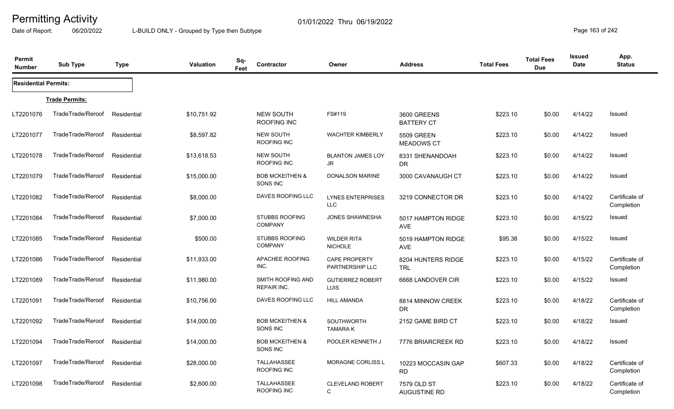Date of Report: 06/20/2022 L-BUILD ONLY - Grouped by Type then Subtype **Page 163 of 242** 

| Permit<br><b>Number</b>     | <b>Sub Type</b>       | <b>Type</b> | Valuation   | Sq-<br>Feet | Contractor                               | Owner                                   | <b>Address</b>                     | <b>Total Fees</b> | <b>Total Fees</b><br><b>Due</b> | Issued<br>Date | App.<br><b>Status</b>        |
|-----------------------------|-----------------------|-------------|-------------|-------------|------------------------------------------|-----------------------------------------|------------------------------------|-------------------|---------------------------------|----------------|------------------------------|
| <b>Residential Permits:</b> |                       |             |             |             |                                          |                                         |                                    |                   |                                 |                |                              |
|                             | <b>Trade Permits:</b> |             |             |             |                                          |                                         |                                    |                   |                                 |                |                              |
| LT2201076                   | TradeTrade/Reroof     | Residential | \$10,751.92 |             | <b>NEW SOUTH</b><br><b>ROOFING INC</b>   | FS#119                                  | 3600 GREENS<br><b>BATTERY CT</b>   | \$223.10          | \$0.00                          | 4/14/22        | Issued                       |
| LT2201077                   | TradeTrade/Reroof     | Residential | \$8,597.82  |             | <b>NEW SOUTH</b><br>ROOFING INC          | <b>WACHTER KIMBERLY</b>                 | <b>5509 GREEN</b><br>MEADOWS CT    | \$223.10          | \$0.00                          | 4/14/22        | Issued                       |
| LT2201078                   | TradeTrade/Reroof     | Residential | \$13,618.53 |             | <b>NEW SOUTH</b><br>ROOFING INC          | <b>BLANTON JAMES LOY</b><br>JR.         | 8331 SHENANDOAH<br>DR.             | \$223.10          | \$0.00                          | 4/14/22        | Issued                       |
| LT2201079                   | TradeTrade/Reroof     | Residential | \$15,000.00 |             | <b>BOB MCKEITHEN &amp;</b><br>SONS INC   | <b>DONALSON MARINE</b>                  | 3000 CAVANAUGH CT                  | \$223.10          | \$0.00                          | 4/14/22        | Issued                       |
| LT2201082                   | TradeTrade/Reroof     | Residential | \$8,000.00  |             | DAVES ROOFING LLC                        | <b>LYNES ENTERPRISES</b><br><b>LLC</b>  | 3219 CONNECTOR DR                  | \$223.10          | \$0.00                          | 4/14/22        | Certificate of<br>Completion |
| LT2201084                   | TradeTrade/Reroof     | Residential | \$7,000.00  |             | <b>STUBBS ROOFING</b><br><b>COMPANY</b>  | <b>JONES SHAWNESHA</b>                  | 5017 HAMPTON RIDGE<br><b>AVE</b>   | \$223.10          | \$0.00                          | 4/15/22        | Issued                       |
| LT2201085                   | TradeTrade/Reroof     | Residential | \$500.00    |             | <b>STUBBS ROOFING</b><br><b>COMPANY</b>  | <b>WILDER RITA</b><br><b>NICHOLE</b>    | 5019 HAMPTON RIDGE<br><b>AVE</b>   | \$95.38           | \$0.00                          | 4/15/22        | Issued                       |
| LT2201086                   | TradeTrade/Reroof     | Residential | \$11,933.00 |             | APACHEE ROOFING<br>INC.                  | <b>CAPE PROPERTY</b><br>PARTNERSHIP LLC | 8204 HUNTERS RIDGE<br><b>TRL</b>   | \$223.10          | \$0.00                          | 4/15/22        | Certificate of<br>Completion |
| LT2201089                   | TradeTrade/Reroof     | Residential | \$11,980.00 |             | SMITH ROOFING AND<br><b>REPAIR INC.</b>  | <b>GUTIERREZ ROBERT</b><br><b>LUIS</b>  | 6668 LANDOVER CIR                  | \$223.10          | \$0.00                          | 4/15/22        | Issued                       |
| LT2201091                   | TradeTrade/Reroof     | Residential | \$10,756.00 |             | <b>DAVES ROOFING LLC</b>                 | <b>HILL AMANDA</b>                      | 8814 MINNOW CREEK<br>DR.           | \$223.10          | \$0.00                          | 4/18/22        | Certificate of<br>Completion |
| LT2201092                   | TradeTrade/Reroof     | Residential | \$14,000.00 |             | <b>BOB MCKEITHEN &amp;</b><br>SONS INC   | SOUTHWORTH<br><b>TAMARA K</b>           | 2152 GAME BIRD CT                  | \$223.10          | \$0.00                          | 4/18/22        | Issued                       |
| LT2201094                   | TradeTrade/Reroof     | Residential | \$14,000.00 |             | <b>BOB MCKEITHEN &amp;</b><br>SONS INC   | POOLER KENNETH J                        | 7776 BRIARCREEK RD                 | \$223.10          | \$0.00                          | 4/18/22        | Issued                       |
| LT2201097                   | TradeTrade/Reroof     | Residential | \$28,000.00 |             | <b>TALLAHASSEE</b><br>ROOFING INC        | <b>MORAGNE CORLISS L</b>                | 10223 MOCCASIN GAP<br><b>RD</b>    | \$607.33          | \$0.00                          | 4/18/22        | Certificate of<br>Completion |
| LT2201098                   | TradeTrade/Reroof     | Residential | \$2,600.00  |             | <b>TALLAHASSEE</b><br><b>ROOFING INC</b> | <b>CLEVELAND ROBERT</b><br>C            | 7579 OLD ST<br><b>AUGUSTINE RD</b> | \$223.10          | \$0.00                          | 4/18/22        | Certificate of<br>Completion |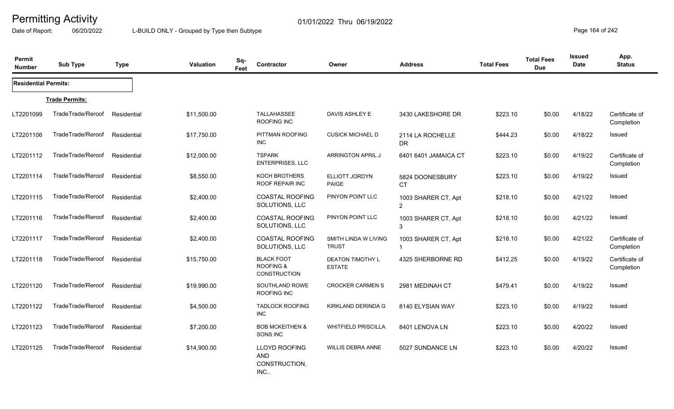Date of Report: 06/20/2022 L-BUILD ONLY - Grouped by Type then Subtype **Page 164** of 242

| Permit<br><b>Number</b>     | <b>Sub Type</b>       | <b>Type</b> | <b>Valuation</b> | Sq-<br>Feet | Contractor                                                  | Owner                                    | <b>Address</b>                      | <b>Total Fees</b> | <b>Total Fees</b><br><b>Due</b> | <b>Issued</b><br><b>Date</b> | App.<br><b>Status</b>        |
|-----------------------------|-----------------------|-------------|------------------|-------------|-------------------------------------------------------------|------------------------------------------|-------------------------------------|-------------------|---------------------------------|------------------------------|------------------------------|
| <b>Residential Permits:</b> |                       |             |                  |             |                                                             |                                          |                                     |                   |                                 |                              |                              |
|                             | <b>Trade Permits:</b> |             |                  |             |                                                             |                                          |                                     |                   |                                 |                              |                              |
| LT2201099                   | TradeTrade/Reroof     | Residential | \$11,500.00      |             | TALLAHASSEE<br>ROOFING INC                                  | DAVIS ASHLEY E                           | 3430 LAKESHORE DR                   | \$223.10          | \$0.00                          | 4/18/22                      | Certificate of<br>Completion |
| LT2201106                   | TradeTrade/Reroof     | Residential | \$17,750.00      |             | PITTMAN ROOFING<br><b>INC</b>                               | <b>CUSICK MICHAEL D</b>                  | 2114 LA ROCHELLE<br>DR.             | \$444.23          | \$0.00                          | 4/18/22                      | Issued                       |
| LT2201112                   | TradeTrade/Reroof     | Residential | \$12,000.00      |             | <b>TSPARK</b><br><b>ENTERPRISES, LLC</b>                    | <b>ARRINGTON APRIL J</b>                 | 6401 6401 JAMAICA CT                | \$223.10          | \$0.00                          | 4/19/22                      | Certificate of<br>Completion |
| LT2201114                   | TradeTrade/Reroof     | Residential | \$8,550.00       |             | KOCH BROTHERS<br><b>ROOF REPAIR INC</b>                     | ELLIOTT JORDYN<br><b>PAIGE</b>           | 5824 DOONESBURY<br><b>CT</b>        | \$223.10          | \$0.00                          | 4/19/22                      | Issued                       |
| LT2201115                   | TradeTrade/Reroof     | Residential | \$2,400.00       |             | <b>COASTAL ROOFING</b><br>SOLUTIONS, LLC                    | PINYON POINT LLC                         | 1003 SHARER CT, Apt<br>2            | \$218.10          | \$0.00                          | 4/21/22                      | <b>Issued</b>                |
| LT2201116                   | TradeTrade/Reroof     | Residential | \$2,400.00       |             | <b>COASTAL ROOFING</b><br>SOLUTIONS, LLC                    | PINYON POINT LLC                         | 1003 SHARER CT, Apt<br>3            | \$218.10          | \$0.00                          | 4/21/22                      | Issued                       |
| LT2201117                   | TradeTrade/Reroof     | Residential | \$2,400.00       |             | <b>COASTAL ROOFING</b><br>SOLUTIONS, LLC                    | SMITH LINDA W LIVING<br><b>TRUST</b>     | 1003 SHARER CT, Apt<br>$\mathbf{1}$ | \$218.10          | \$0.00                          | 4/21/22                      | Certificate of<br>Completion |
| LT2201118                   | TradeTrade/Reroof     | Residential | \$15,750.00      |             | <b>BLACK FOOT</b><br><b>ROOFING &amp;</b><br>CONSTRUCTION   | <b>DEATON TIMOTHY L</b><br><b>ESTATE</b> | 4325 SHERBORNE RD                   | \$412.25          | \$0.00                          | 4/19/22                      | Certificate of<br>Completion |
| LT2201120                   | TradeTrade/Reroof     | Residential | \$19,990.00      |             | SOUTHLAND ROWE<br>ROOFING INC                               | <b>CROCKER CARMEN S</b>                  | 2981 MEDINAH CT                     | \$479.41          | \$0.00                          | 4/19/22                      | Issued                       |
| LT2201122                   | TradeTrade/Reroof     | Residential | \$4,500.00       |             | <b>TADLOCK ROOFING</b><br><b>INC</b>                        | KIRKLAND DERINDA G                       | 8140 ELYSIAN WAY                    | \$223.10          | \$0.00                          | 4/19/22                      | Issued                       |
| LT2201123                   | TradeTrade/Reroof     | Residential | \$7,200.00       |             | <b>BOB MCKEITHEN &amp;</b><br>SONS INC                      | <b>WHITFIELD PRISCILLA</b>               | 8401 LENOVA LN                      | \$223.10          | \$0.00                          | 4/20/22                      | <b>Issued</b>                |
| LT2201125                   | TradeTrade/Reroof     | Residential | \$14,900.00      |             | <b>LLOYD ROOFING</b><br><b>AND</b><br>CONSTRUCTION,<br>INC. | <b>WILLIS DEBRA ANNE</b>                 | 5027 SUNDANCE LN                    | \$223.10          | \$0.00                          | 4/20/22                      | Issued                       |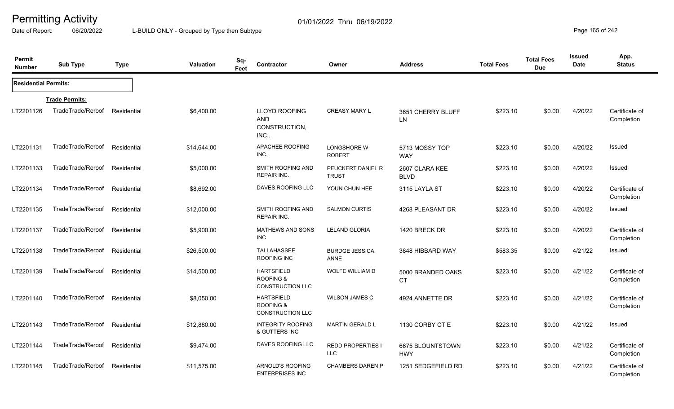Date of Report: 06/20/2022 L-BUILD ONLY - Grouped by Type then Subtype **Page 165** of 242

| Permit<br><b>Number</b>     | <b>Sub Type</b>       | <b>Type</b> | <b>Valuation</b> | Sq-<br>Feet | Contractor                                                           | Owner                                  | <b>Address</b>                 | <b>Total Fees</b> | <b>Total Fees</b><br><b>Due</b> | <b>Issued</b><br><b>Date</b> | App.<br><b>Status</b>        |
|-----------------------------|-----------------------|-------------|------------------|-------------|----------------------------------------------------------------------|----------------------------------------|--------------------------------|-------------------|---------------------------------|------------------------------|------------------------------|
| <b>Residential Permits:</b> |                       |             |                  |             |                                                                      |                                        |                                |                   |                                 |                              |                              |
|                             | <b>Trade Permits:</b> |             |                  |             |                                                                      |                                        |                                |                   |                                 |                              |                              |
| LT2201126                   | TradeTrade/Reroof     | Residential | \$6,400.00       |             | <b>LLOYD ROOFING</b><br><b>AND</b><br>CONSTRUCTION,<br>INC.          | <b>CREASY MARY L</b>                   | 3651 CHERRY BLUFF<br>LN        | \$223.10          | \$0.00                          | 4/20/22                      | Certificate of<br>Completion |
| LT2201131                   | TradeTrade/Reroof     | Residential | \$14,644.00      |             | APACHEE ROOFING<br>INC.                                              | LONGSHORE W<br><b>ROBERT</b>           | 5713 MOSSY TOP<br><b>WAY</b>   | \$223.10          | \$0.00                          | 4/20/22                      | Issued                       |
| LT2201133                   | TradeTrade/Reroof     | Residential | \$5,000.00       |             | SMITH ROOFING AND<br><b>REPAIR INC.</b>                              | PEUCKERT DANIEL R<br><b>TRUST</b>      | 2607 CLARA KEE<br><b>BLVD</b>  | \$223.10          | \$0.00                          | 4/20/22                      | Issued                       |
| LT2201134                   | TradeTrade/Reroof     | Residential | \$8,692.00       |             | DAVES ROOFING LLC                                                    | YOUN CHUN HEE                          | 3115 LAYLA ST                  | \$223.10          | \$0.00                          | 4/20/22                      | Certificate of<br>Completion |
| LT2201135                   | TradeTrade/Reroof     | Residential | \$12,000.00      |             | SMITH ROOFING AND<br><b>REPAIR INC.</b>                              | <b>SALMON CURTIS</b>                   | 4268 PLEASANT DR               | \$223.10          | \$0.00                          | 4/20/22                      | Issued                       |
| LT2201137                   | TradeTrade/Reroof     | Residential | \$5,900.00       |             | <b>MATHEWS AND SONS</b><br><b>INC</b>                                | LELAND GLORIA                          | 1420 BRECK DR                  | \$223.10          | \$0.00                          | 4/20/22                      | Certificate of<br>Completion |
| LT2201138                   | TradeTrade/Reroof     | Residential | \$26,500.00      |             | <b>TALLAHASSEE</b><br>ROOFING INC                                    | <b>BURDGE JESSICA</b><br>ANNE          | 3848 HIBBARD WAY               | \$583.35          | \$0.00                          | 4/21/22                      | Issued                       |
| LT2201139                   | TradeTrade/Reroof     | Residential | \$14,500.00      |             | <b>HARTSFIELD</b><br><b>ROOFING &amp;</b><br><b>CONSTRUCTION LLC</b> | <b>WOLFE WILLIAM D</b>                 | 5000 BRANDED OAKS<br><b>CT</b> | \$223.10          | \$0.00                          | 4/21/22                      | Certificate of<br>Completion |
| LT2201140                   | TradeTrade/Reroof     | Residential | \$8,050.00       |             | <b>HARTSFIELD</b><br><b>ROOFING &amp;</b><br><b>CONSTRUCTION LLC</b> | <b>WILSON JAMES C</b>                  | 4924 ANNETTE DR                | \$223.10          | \$0.00                          | 4/21/22                      | Certificate of<br>Completion |
| LT2201143                   | TradeTrade/Reroof     | Residential | \$12,880.00      |             | <b>INTEGRITY ROOFING</b><br>& GUTTERS INC                            | <b>MARTIN GERALD L</b>                 | 1130 CORBY CT E                | \$223.10          | \$0.00                          | 4/21/22                      | Issued                       |
| LT2201144                   | TradeTrade/Reroof     | Residential | \$9,474.00       |             | DAVES ROOFING LLC                                                    | <b>REDD PROPERTIES I</b><br><b>LLC</b> | 6675 BLOUNTSTOWN<br><b>HWY</b> | \$223.10          | \$0.00                          | 4/21/22                      | Certificate of<br>Completion |
| LT2201145                   | TradeTrade/Reroof     | Residential | \$11,575.00      |             | ARNOLD'S ROOFING<br><b>ENTERPRISES INC</b>                           | CHAMBERS DAREN P                       | 1251 SEDGEFIELD RD             | \$223.10          | \$0.00                          | 4/21/22                      | Certificate of<br>Completion |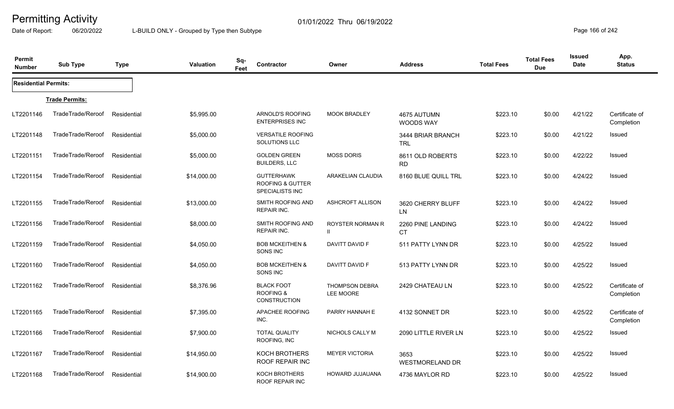Date of Report: 06/20/2022 L-BUILD ONLY - Grouped by Type then Subtype **Page 166** of 242

| Permit<br><b>Number</b>     | <b>Sub Type</b>       | <b>Type</b> | <b>Valuation</b> | Sq-<br>Feet | Contractor                                                                 | Owner                                   | <b>Address</b>                  | <b>Total Fees</b> | <b>Total Fees</b><br><b>Due</b> | <b>Issued</b><br>Date | App.<br><b>Status</b>        |
|-----------------------------|-----------------------|-------------|------------------|-------------|----------------------------------------------------------------------------|-----------------------------------------|---------------------------------|-------------------|---------------------------------|-----------------------|------------------------------|
| <b>Residential Permits:</b> |                       |             |                  |             |                                                                            |                                         |                                 |                   |                                 |                       |                              |
|                             | <b>Trade Permits:</b> |             |                  |             |                                                                            |                                         |                                 |                   |                                 |                       |                              |
| LT2201146                   | TradeTrade/Reroof     | Residential | \$5,995.00       |             | ARNOLD'S ROOFING<br><b>ENTERPRISES INC</b>                                 | <b>MOOK BRADLEY</b>                     | 4675 AUTUMN<br>WOODS WAY        | \$223.10          | \$0.00                          | 4/21/22               | Certificate of<br>Completion |
| LT2201148                   | TradeTrade/Reroof     | Residential | \$5,000.00       |             | <b>VERSATILE ROOFING</b><br>SOLUTIONS LLC                                  |                                         | 3444 BRIAR BRANCH<br><b>TRL</b> | \$223.10          | \$0.00                          | 4/21/22               | Issued                       |
| LT2201151                   | TradeTrade/Reroof     | Residential | \$5,000.00       |             | <b>GOLDEN GREEN</b><br><b>BUILDERS, LLC</b>                                | <b>MOSS DORIS</b>                       | 8611 OLD ROBERTS<br><b>RD</b>   | \$223.10          | \$0.00                          | 4/22/22               | Issued                       |
| LT2201154                   | TradeTrade/Reroof     | Residential | \$14,000.00      |             | <b>GUTTERHAWK</b><br><b>ROOFING &amp; GUTTER</b><br><b>SPECIALISTS INC</b> | ARAKELIAN CLAUDIA                       | 8160 BLUE QUILL TRL             | \$223.10          | \$0.00                          | 4/24/22               | Issued                       |
| LT2201155                   | TradeTrade/Reroof     | Residential | \$13,000.00      |             | SMITH ROOFING AND<br><b>REPAIR INC.</b>                                    | ASHCROFT ALLISON                        | 3620 CHERRY BLUFF<br>LN         | \$223.10          | \$0.00                          | 4/24/22               | Issued                       |
| LT2201156                   | TradeTrade/Reroof     | Residential | \$8,000.00       |             | SMITH ROOFING AND<br><b>REPAIR INC.</b>                                    | <b>ROYSTER NORMAN R</b><br>$\mathbf{H}$ | 2260 PINE LANDING<br><b>CT</b>  | \$223.10          | \$0.00                          | 4/24/22               | Issued                       |
| LT2201159                   | TradeTrade/Reroof     | Residential | \$4,050.00       |             | <b>BOB MCKEITHEN &amp;</b><br>SONS INC                                     | DAVITT DAVID F                          | 511 PATTY LYNN DR               | \$223.10          | \$0.00                          | 4/25/22               | Issued                       |
| LT2201160                   | TradeTrade/Reroof     | Residential | \$4,050.00       |             | <b>BOB MCKEITHEN &amp;</b><br>SONS INC                                     | DAVITT DAVID F                          | 513 PATTY LYNN DR               | \$223.10          | \$0.00                          | 4/25/22               | Issued                       |
| LT2201162                   | TradeTrade/Reroof     | Residential | \$8,376.96       |             | <b>BLACK FOOT</b><br><b>ROOFING &amp;</b><br><b>CONSTRUCTION</b>           | <b>THOMPSON DEBRA</b><br>LEE MOORE      | 2429 CHATEAU LN                 | \$223.10          | \$0.00                          | 4/25/22               | Certificate of<br>Completion |
| LT2201165                   | TradeTrade/Reroof     | Residential | \$7,395.00       |             | APACHEE ROOFING<br>INC.                                                    | PARRY HANNAH E                          | 4132 SONNET DR                  | \$223.10          | \$0.00                          | 4/25/22               | Certificate of<br>Completion |
| LT2201166                   | TradeTrade/Reroof     | Residential | \$7,900.00       |             | <b>TOTAL QUALITY</b><br>ROOFING, INC                                       | NICHOLS CALLY M                         | 2090 LITTLE RIVER LN            | \$223.10          | \$0.00                          | 4/25/22               | Issued                       |
| LT2201167                   | TradeTrade/Reroof     | Residential | \$14,950.00      |             | <b>KOCH BROTHERS</b><br>ROOF REPAIR INC                                    | <b>MEYER VICTORIA</b>                   | 3653<br><b>WESTMORELAND DR</b>  | \$223.10          | \$0.00                          | 4/25/22               | Issued                       |
| LT2201168                   | TradeTrade/Reroof     | Residential | \$14,900.00      |             | KOCH BROTHERS<br><b>ROOF REPAIR INC</b>                                    | HOWARD JUJAUANA                         | 4736 MAYLOR RD                  | \$223.10          | \$0.00                          | 4/25/22               | Issued                       |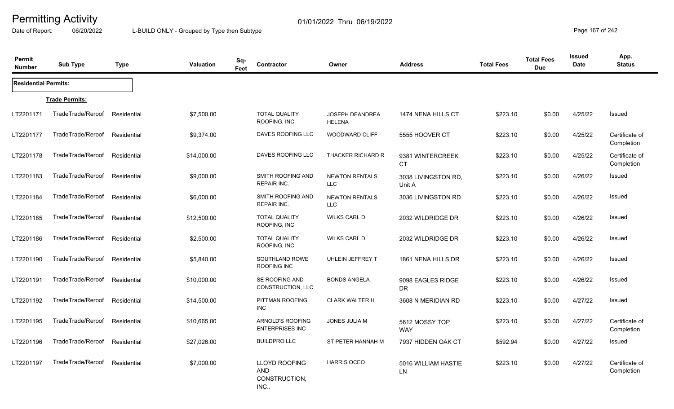Date of Report: 06/20/2022 L-BUILD ONLY - Grouped by Type then Subtype **Page 167** of 242

| <b>Permit</b><br><b>Number</b> | <b>Sub Type</b>       | <b>Type</b> | <b>Valuation</b> | Sq-<br>Feet | <b>Contractor</b>                             | Owner                               | <b>Address</b>                 | <b>Total Fees</b> | <b>Total Fees</b><br><b>Due</b> | <b>Issued</b><br><b>Date</b> | App.<br><b>Status</b>        |
|--------------------------------|-----------------------|-------------|------------------|-------------|-----------------------------------------------|-------------------------------------|--------------------------------|-------------------|---------------------------------|------------------------------|------------------------------|
| <b>Residential Permits:</b>    |                       |             |                  |             |                                               |                                     |                                |                   |                                 |                              |                              |
|                                | <b>Trade Permits:</b> |             |                  |             |                                               |                                     |                                |                   |                                 |                              |                              |
| LT2201171                      | TradeTrade/Reroof     | Residential | \$7,500.00       |             | <b>TOTAL QUALITY</b><br>ROOFING, INC          | JOSEPH DEANDREA<br><b>HELENA</b>    | 1474 NENA HILLS CT             | \$223.10          | \$0.00                          | 4/25/22                      | Issued                       |
| LT2201177                      | TradeTrade/Reroof     | Residential | \$9,374.00       |             | DAVES ROOFING LLC                             | WOODWARD CLIFF                      | 5555 HOOVER CT                 | \$223.10          | \$0.00                          | 4/25/22                      | Certificate of<br>Completion |
| LT2201178                      | TradeTrade/Reroof     | Residential | \$14,000.00      |             | DAVES ROOFING LLC                             | THACKER RICHARD R                   | 9381 WINTERCREEK<br>CT         | \$223.10          | \$0.00                          | 4/25/22                      | Certificate of<br>Completion |
| LT2201183                      | TradeTrade/Reroof     | Residential | \$9,000.00       |             | SMITH ROOFING AND<br>REPAIR INC.              | <b>NEWTON RENTALS</b><br>LLC        | 3038 LIVINGSTON RD,<br>Unit A  | \$223.10          | \$0.00                          | 4/26/22                      | Issued                       |
| LT2201184                      | TradeTrade/Reroof     | Residential | \$6,000.00       |             | SMITH ROOFING AND<br><b>REPAIR INC.</b>       | <b>NEWTON RENTALS</b><br><b>LLC</b> | 3036 LIVINGSTON RD             | \$223.10          | \$0.00                          | 4/26/22                      | Issued                       |
| LT2201185                      | TradeTrade/Reroof     | Residential | \$12,500.00      |             | <b>TOTAL QUALITY</b><br>ROOFING, INC          | <b>WILKS CARL D</b>                 | 2032 WILDRIDGE DR              | \$223.10          | \$0.00                          | 4/26/22                      | Issued                       |
| LT2201186                      | TradeTrade/Reroof     | Residential | \$2,500.00       |             | <b>TOTAL QUALITY</b><br>ROOFING, INC          | <b>WILKS CARL D</b>                 | 2032 WILDRIDGE DR              | \$223.10          | \$0.00                          | 4/26/22                      | Issued                       |
| LT2201190                      | TradeTrade/Reroof     | Residential | \$5,840.00       |             | SOUTHLAND ROWE<br>ROOFING INC                 | UHLEIN JEFFREY T                    | 1861 NENA HILLS DR             | \$223.10          | \$0.00                          | 4/26/22                      | Issued                       |
| LT2201191                      | TradeTrade/Reroof     | Residential | \$10,000.00      |             | SE ROOFING AND<br>CONSTRUCTION, LLC           | <b>BONDS ANGELA</b>                 | 9098 EAGLES RIDGE<br><b>DR</b> | \$223.10          | \$0.00                          | 4/26/22                      | Issued                       |
| LT2201192                      | TradeTrade/Reroof     | Residential | \$14,500.00      |             | PITTMAN ROOFING<br><b>INC</b>                 | <b>CLARK WALTER H</b>               | 3608 N MERIDIAN RD             | \$223.10          | \$0.00                          | 4/27/22                      | Issued                       |
| LT2201195                      | TradeTrade/Reroof     | Residential | \$10,665.00      |             | ARNOLD'S ROOFING<br>ENTERPRISES INC           | JONES JULIA M                       | 5612 MOSSY TOP<br><b>WAY</b>   | \$223.10          | \$0.00                          | 4/27/22                      | Certificate of<br>Completion |
| LT2201196                      | TradeTrade/Reroof     | Residential | \$27,026.00      |             | <b>BUILDPRO LLC</b>                           | ST PETER HANNAH M                   | 7937 HIDDEN OAK CT             | \$592.94          | \$0.00                          | 4/27/22                      | Issued                       |
| LT2201197                      | TradeTrade/Reroof     | Residential | \$7,000.00       |             | LLOYD ROOFING<br>AND<br>CONSTRUCTION,<br>INC. | <b>HARRIS OCEO</b>                  | 5016 WILLIAM HASTIE<br>LN.     | \$223.10          | \$0.00                          | 4/27/22                      | Certificate of<br>Completion |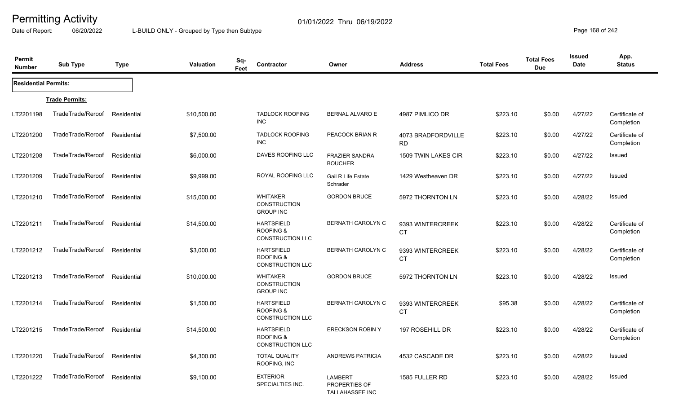Date of Report: 06/20/2022 L-BUILD ONLY - Grouped by Type then Subtype **Page 168 of 242** 

| Permit<br><b>Number</b>     | <b>Sub Type</b>       | <b>Type</b> | <b>Valuation</b> | Sq-<br>Feet | Contractor                                                           | Owner                                                     | <b>Address</b>                  | <b>Total Fees</b> | <b>Total Fees</b><br><b>Due</b> | <b>Issued</b><br>Date | App.<br><b>Status</b>        |
|-----------------------------|-----------------------|-------------|------------------|-------------|----------------------------------------------------------------------|-----------------------------------------------------------|---------------------------------|-------------------|---------------------------------|-----------------------|------------------------------|
| <b>Residential Permits:</b> |                       |             |                  |             |                                                                      |                                                           |                                 |                   |                                 |                       |                              |
|                             | <b>Trade Permits:</b> |             |                  |             |                                                                      |                                                           |                                 |                   |                                 |                       |                              |
| LT2201198                   | TradeTrade/Reroof     | Residential | \$10,500.00      |             | <b>TADLOCK ROOFING</b><br><b>INC</b>                                 | BERNAL ALVARO E                                           | 4987 PIMLICO DR                 | \$223.10          | \$0.00                          | 4/27/22               | Certificate of<br>Completion |
| LT2201200                   | TradeTrade/Reroof     | Residential | \$7,500.00       |             | <b>TADLOCK ROOFING</b><br><b>INC</b>                                 | PEACOCK BRIAN R                                           | 4073 BRADFORDVILLE<br><b>RD</b> | \$223.10          | \$0.00                          | 4/27/22               | Certificate of<br>Completion |
| LT2201208                   | TradeTrade/Reroof     | Residential | \$6,000.00       |             | DAVES ROOFING LLC                                                    | <b>FRAZIER SANDRA</b><br><b>BOUCHER</b>                   | 1509 TWIN LAKES CIR             | \$223.10          | \$0.00                          | 4/27/22               | Issued                       |
| LT2201209                   | TradeTrade/Reroof     | Residential | \$9,999.00       |             | ROYAL ROOFING LLC                                                    | Gail R Life Estate<br>Schrader                            | 1429 Westheaven DR              | \$223.10          | \$0.00                          | 4/27/22               | Issued                       |
| LT2201210                   | TradeTrade/Reroof     | Residential | \$15,000.00      |             | <b>WHITAKER</b><br><b>CONSTRUCTION</b><br><b>GROUP INC</b>           | <b>GORDON BRUCE</b>                                       | 5972 THORNTON LN                | \$223.10          | \$0.00                          | 4/28/22               | Issued                       |
| LT2201211                   | TradeTrade/Reroof     | Residential | \$14,500.00      |             | <b>HARTSFIELD</b><br><b>ROOFING &amp;</b><br><b>CONSTRUCTION LLC</b> | <b>BERNATH CAROLYN C</b>                                  | 9393 WINTERCREEK<br><b>CT</b>   | \$223.10          | \$0.00                          | 4/28/22               | Certificate of<br>Completion |
| LT2201212                   | TradeTrade/Reroof     | Residential | \$3,000.00       |             | <b>HARTSFIELD</b><br><b>ROOFING &amp;</b><br><b>CONSTRUCTION LLC</b> | <b>BERNATH CAROLYN C</b>                                  | 9393 WINTERCREEK<br><b>CT</b>   | \$223.10          | \$0.00                          | 4/28/22               | Certificate of<br>Completion |
| LT2201213                   | TradeTrade/Reroof     | Residential | \$10,000.00      |             | <b>WHITAKER</b><br><b>CONSTRUCTION</b><br><b>GROUP INC</b>           | <b>GORDON BRUCE</b>                                       | 5972 THORNTON LN                | \$223.10          | \$0.00                          | 4/28/22               | Issued                       |
| LT2201214                   | TradeTrade/Reroof     | Residential | \$1,500.00       |             | <b>HARTSFIELD</b><br><b>ROOFING &amp;</b><br><b>CONSTRUCTION LLC</b> | <b>BERNATH CAROLYN C</b>                                  | 9393 WINTERCREEK<br><b>CT</b>   | \$95.38           | \$0.00                          | 4/28/22               | Certificate of<br>Completion |
| LT2201215                   | TradeTrade/Reroof     | Residential | \$14,500.00      |             | <b>HARTSFIELD</b><br><b>ROOFING &amp;</b><br><b>CONSTRUCTION LLC</b> | <b>ERECKSON ROBIN Y</b>                                   | 197 ROSEHILL DR                 | \$223.10          | \$0.00                          | 4/28/22               | Certificate of<br>Completion |
| LT2201220                   | TradeTrade/Reroof     | Residential | \$4,300.00       |             | <b>TOTAL QUALITY</b><br>ROOFING, INC                                 | <b>ANDREWS PATRICIA</b>                                   | 4532 CASCADE DR                 | \$223.10          | \$0.00                          | 4/28/22               | Issued                       |
| LT2201222                   | TradeTrade/Reroof     | Residential | \$9,100.00       |             | <b>EXTERIOR</b><br>SPECIALTIES INC.                                  | <b>LAMBERT</b><br>PROPERTIES OF<br><b>TALLAHASSEE INC</b> | 1585 FULLER RD                  | \$223.10          | \$0.00                          | 4/28/22               | <b>Issued</b>                |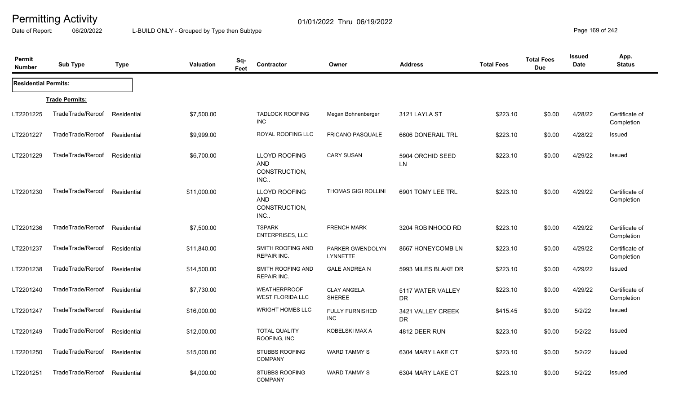Date of Report: 06/20/2022 L-BUILD ONLY - Grouped by Type then Subtype **Page 169 of 242** 

| <b>Permit</b><br><b>Number</b> | <b>Sub Type</b>       | <b>Type</b> | <b>Valuation</b> | Sq-<br><b>Contractor</b><br>Feet                           | Owner                                | <b>Address</b>                 | <b>Total Fees</b> | <b>Total Fees</b><br><b>Due</b> | Issued<br><b>Date</b> | App.<br><b>Status</b>        |
|--------------------------------|-----------------------|-------------|------------------|------------------------------------------------------------|--------------------------------------|--------------------------------|-------------------|---------------------------------|-----------------------|------------------------------|
| <b>Residential Permits:</b>    |                       |             |                  |                                                            |                                      |                                |                   |                                 |                       |                              |
|                                | <b>Trade Permits:</b> |             |                  |                                                            |                                      |                                |                   |                                 |                       |                              |
| LT2201225                      | TradeTrade/Reroof     | Residential | \$7,500.00       | <b>TADLOCK ROOFING</b><br><b>INC</b>                       | Megan Bohnenberger                   | 3121 LAYLA ST                  | \$223.10          | \$0.00                          | 4/28/22               | Certificate of<br>Completion |
| LT2201227                      | TradeTrade/Reroof     | Residential | \$9,999.00       | ROYAL ROOFING LLC                                          | <b>FRICANO PASQUALE</b>              | 6606 DONERAIL TRL              | \$223.10          | \$0.00                          | 4/28/22               | Issued                       |
| LT2201229                      | TradeTrade/Reroof     | Residential | \$6,700.00       | <b>LLOYD ROOFING</b><br><b>AND</b><br>CONSTRUCTION,<br>INC | <b>CARY SUSAN</b>                    | 5904 ORCHID SEED<br><b>LN</b>  | \$223.10          | \$0.00                          | 4/29/22               | Issued                       |
| LT2201230                      | TradeTrade/Reroof     | Residential | \$11,000.00      | <b>LLOYD ROOFING</b><br><b>AND</b><br>CONSTRUCTION,<br>INC | <b>THOMAS GIGI ROLLINI</b>           | 6901 TOMY LEE TRL              | \$223.10          | \$0.00                          | 4/29/22               | Certificate of<br>Completion |
| LT2201236                      | TradeTrade/Reroof     | Residential | \$7,500.00       | <b>TSPARK</b><br>ENTERPRISES, LLC                          | <b>FRENCH MARK</b>                   | 3204 ROBINHOOD RD              | \$223.10          | \$0.00                          | 4/29/22               | Certificate of<br>Completion |
| LT2201237                      | TradeTrade/Reroof     | Residential | \$11,840.00      | SMITH ROOFING AND<br><b>REPAIR INC.</b>                    | PARKER GWENDOLYN<br><b>LYNNETTE</b>  | 8667 HONEYCOMB LN              | \$223.10          | \$0.00                          | 4/29/22               | Certificate of<br>Completion |
| LT2201238                      | TradeTrade/Reroof     | Residential | \$14,500.00      | SMITH ROOFING AND<br><b>REPAIR INC.</b>                    | <b>GALE ANDREA N</b>                 | 5993 MILES BLAKE DR            | \$223.10          | \$0.00                          | 4/29/22               | Issued                       |
| LT2201240                      | TradeTrade/Reroof     | Residential | \$7,730.00       | <b>WEATHERPROOF</b><br><b>WEST FLORIDA LLC</b>             | <b>CLAY ANGELA</b><br>SHEREE         | 5117 WATER VALLEY<br><b>DR</b> | \$223.10          | \$0.00                          | 4/29/22               | Certificate of<br>Completion |
| LT2201247                      | TradeTrade/Reroof     | Residential | \$16,000.00      | <b>WRIGHT HOMES LLC</b>                                    | <b>FULLY FURNISHED</b><br><b>INC</b> | 3421 VALLEY CREEK<br><b>DR</b> | \$415.45          | \$0.00                          | 5/2/22                | <b>Issued</b>                |
| LT2201249                      | TradeTrade/Reroof     | Residential | \$12,000.00      | <b>TOTAL QUALITY</b><br>ROOFING, INC                       | KOBELSKI MAX A                       | 4812 DEER RUN                  | \$223.10          | \$0.00                          | 5/2/22                | Issued                       |
| LT2201250                      | TradeTrade/Reroof     | Residential | \$15,000.00      | <b>STUBBS ROOFING</b><br><b>COMPANY</b>                    | <b>WARD TAMMY S</b>                  | 6304 MARY LAKE CT              | \$223.10          | \$0.00                          | 5/2/22                | Issued                       |
| LT2201251                      | TradeTrade/Reroof     | Residential | \$4,000.00       | <b>STUBBS ROOFING</b><br><b>COMPANY</b>                    | <b>WARD TAMMY S</b>                  | 6304 MARY LAKE CT              | \$223.10          | \$0.00                          | 5/2/22                | Issued                       |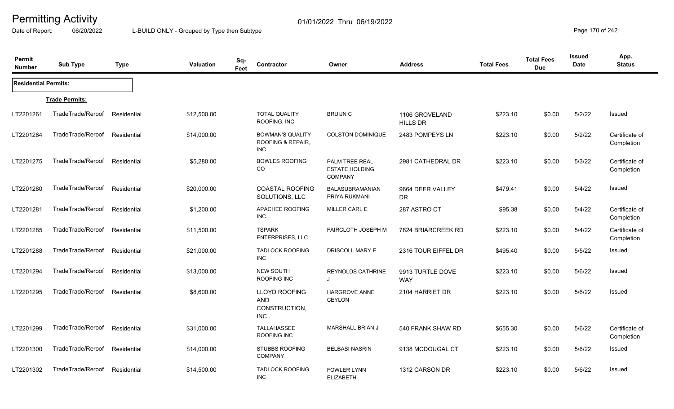Date of Report: 06/20/2022 L-BUILD ONLY - Grouped by Type then Subtype **Page 170** of 242

| Permit<br><b>Number</b>     | <b>Sub Type</b>       | <b>Type</b> | Valuation   | Sq-<br>Feet | Contractor                                                 | Owner                                                     | <b>Address</b>                    | <b>Total Fees</b> | <b>Total Fees</b><br><b>Due</b> | <b>Issued</b><br>Date | App.<br><b>Status</b>        |
|-----------------------------|-----------------------|-------------|-------------|-------------|------------------------------------------------------------|-----------------------------------------------------------|-----------------------------------|-------------------|---------------------------------|-----------------------|------------------------------|
| <b>Residential Permits:</b> |                       |             |             |             |                                                            |                                                           |                                   |                   |                                 |                       |                              |
|                             | <b>Trade Permits:</b> |             |             |             |                                                            |                                                           |                                   |                   |                                 |                       |                              |
| LT2201261                   | TradeTrade/Reroof     | Residential | \$12,500.00 |             | <b>TOTAL QUALITY</b><br>ROOFING, INC                       | <b>BRUIJN C</b>                                           | 1106 GROVELAND<br><b>HILLS DR</b> | \$223.10          | \$0.00                          | 5/2/22                | Issued                       |
| LT2201264                   | TradeTrade/Reroof     | Residential | \$14,000.00 |             | <b>BOWMAN'S QUALITY</b><br>ROOFING & REPAIR,<br><b>INC</b> | <b>COLSTON DOMINIQUE</b>                                  | 2483 POMPEYS LN                   | \$223.10          | \$0.00                          | 5/2/22                | Certificate of<br>Completion |
| LT2201275                   | TradeTrade/Reroof     | Residential | \$5,280.00  |             | <b>BOWLES ROOFING</b><br>CO                                | PALM TREE REAL<br><b>ESTATE HOLDING</b><br><b>COMPANY</b> | 2981 CATHEDRAL DR                 | \$223.10          | \$0.00                          | 5/3/22                | Certificate of<br>Completion |
| LT2201280                   | TradeTrade/Reroof     | Residential | \$20,000.00 |             | <b>COASTAL ROOFING</b><br>SOLUTIONS, LLC                   | BALASUBRAMANIAN<br>PRIYA RUKMANI                          | 9664 DEER VALLEY<br><b>DR</b>     | \$479.41          | \$0.00                          | 5/4/22                | Issued                       |
| LT2201281                   | TradeTrade/Reroof     | Residential | \$1,200.00  |             | APACHEE ROOFING<br>INC.                                    | MILLER CARL E                                             | 287 ASTRO CT                      | \$95.38           | \$0.00                          | 5/4/22                | Certificate of<br>Completion |
| LT2201285                   | TradeTrade/Reroof     | Residential | \$11,500.00 |             | <b>TSPARK</b><br><b>ENTERPRISES, LLC</b>                   | <b>FAIRCLOTH JOSEPH M</b>                                 | 7824 BRIARCREEK RD                | \$223.10          | \$0.00                          | 5/4/22                | Certificate of<br>Completion |
| LT2201288                   | TradeTrade/Reroof     | Residential | \$21,000.00 |             | <b>TADLOCK ROOFING</b><br><b>INC</b>                       | DRISCOLL MARY E                                           | 2316 TOUR EIFFEL DR               | \$495.40          | \$0.00                          | 5/5/22                | Issued                       |
| LT2201294                   | TradeTrade/Reroof     | Residential | \$13,000.00 |             | NEW SOUTH<br>ROOFING INC                                   | REYNOLDS CATHRINE<br>J                                    | 9913 TURTLE DOVE<br><b>WAY</b>    | \$223.10          | \$0.00                          | 5/6/22                | Issued                       |
| LT2201295                   | TradeTrade/Reroof     | Residential | \$8,600.00  |             | <b>LLOYD ROOFING</b><br>AND<br>CONSTRUCTION,<br>INC        | <b>HARGROVE ANNE</b><br><b>CEYLON</b>                     | 2104 HARRIET DR                   | \$223.10          | \$0.00                          | 5/6/22                | Issued                       |
| LT2201299                   | TradeTrade/Reroof     | Residential | \$31,000.00 |             | <b>TALLAHASSEE</b><br>ROOFING INC                          | <b>MARSHALL BRIAN J</b>                                   | 540 FRANK SHAW RD                 | \$655.30          | \$0.00                          | 5/6/22                | Certificate of<br>Completion |
| LT2201300                   | TradeTrade/Reroof     | Residential | \$14,000.00 |             | <b>STUBBS ROOFING</b><br><b>COMPANY</b>                    | <b>BELBASI NASRIN</b>                                     | 9138 MCDOUGAL CT                  | \$223.10          | \$0.00                          | 5/6/22                | Issued                       |
| LT2201302                   | TradeTrade/Reroof     | Residential | \$14,500.00 |             | <b>TADLOCK ROOFING</b><br>$\sf INC$                        | <b>FOWLER LYNN</b><br><b>ELIZABETH</b>                    | 1312 CARSON DR                    | \$223.10          | \$0.00                          | 5/6/22                | <b>Issued</b>                |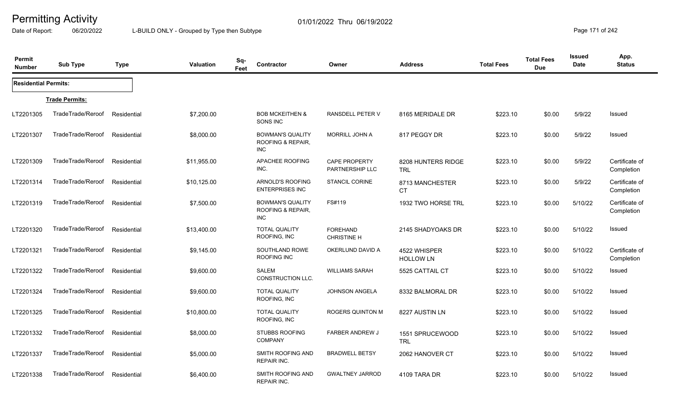Date of Report: 06/20/2022 L-BUILD ONLY - Grouped by Type then Subtype **Page 171** of 242

| Permit<br><b>Number</b>     | <b>Sub Type</b>       | <b>Type</b> | <b>Valuation</b> | Sq-<br>Feet | Contractor                                                 | Owner                                   | <b>Address</b>                   | <b>Total Fees</b> | <b>Total Fees</b><br><b>Due</b> | <b>Issued</b><br>Date | App.<br><b>Status</b>        |
|-----------------------------|-----------------------|-------------|------------------|-------------|------------------------------------------------------------|-----------------------------------------|----------------------------------|-------------------|---------------------------------|-----------------------|------------------------------|
| <b>Residential Permits:</b> |                       |             |                  |             |                                                            |                                         |                                  |                   |                                 |                       |                              |
|                             | <b>Trade Permits:</b> |             |                  |             |                                                            |                                         |                                  |                   |                                 |                       |                              |
| LT2201305                   | TradeTrade/Reroof     | Residential | \$7,200.00       |             | <b>BOB MCKEITHEN &amp;</b><br>SONS INC                     | RANSDELL PETER V                        | 8165 MERIDALE DR                 | \$223.10          | \$0.00                          | 5/9/22                | Issued                       |
| LT2201307                   | TradeTrade/Reroof     | Residential | \$8,000.00       |             | <b>BOWMAN'S QUALITY</b><br>ROOFING & REPAIR,<br><b>INC</b> | <b>MORRILL JOHN A</b>                   | 817 PEGGY DR                     | \$223.10          | \$0.00                          | 5/9/22                | <b>Issued</b>                |
| LT2201309                   | TradeTrade/Reroof     | Residential | \$11,955.00      |             | APACHEE ROOFING<br>INC.                                    | <b>CAPE PROPERTY</b><br>PARTNERSHIP LLC | 8208 HUNTERS RIDGE<br><b>TRL</b> | \$223.10          | \$0.00                          | 5/9/22                | Certificate of<br>Completion |
| LT2201314                   | TradeTrade/Reroof     | Residential | \$10,125.00      |             | <b>ARNOLD'S ROOFING</b><br><b>ENTERPRISES INC</b>          | <b>STANCIL CORINE</b>                   | 8713 MANCHESTER<br><b>CT</b>     | \$223.10          | \$0.00                          | 5/9/22                | Certificate of<br>Completion |
| LT2201319                   | TradeTrade/Reroof     | Residential | \$7,500.00       |             | <b>BOWMAN'S QUALITY</b><br>ROOFING & REPAIR,<br><b>INC</b> | FS#119                                  | 1932 TWO HORSE TRL               | \$223.10          | \$0.00                          | 5/10/22               | Certificate of<br>Completion |
| LT2201320                   | TradeTrade/Reroof     | Residential | \$13,400.00      |             | <b>TOTAL QUALITY</b><br>ROOFING, INC                       | <b>FOREHAND</b><br><b>CHRISTINE H</b>   | 2145 SHADYOAKS DR                | \$223.10          | \$0.00                          | 5/10/22               | Issued                       |
| LT2201321                   | TradeTrade/Reroof     | Residential | \$9,145.00       |             | SOUTHLAND ROWE<br>ROOFING INC                              | OKERLUND DAVID A                        | 4522 WHISPER<br><b>HOLLOW LN</b> | \$223.10          | \$0.00                          | 5/10/22               | Certificate of<br>Completion |
| LT2201322                   | TradeTrade/Reroof     | Residential | \$9,600.00       |             | <b>SALEM</b><br>CONSTRUCTION LLC.                          | <b>WILLIAMS SARAH</b>                   | 5525 CATTAIL CT                  | \$223.10          | \$0.00                          | 5/10/22               | Issued                       |
| LT2201324                   | TradeTrade/Reroof     | Residential | \$9,600.00       |             | <b>TOTAL QUALITY</b><br>ROOFING, INC                       | <b>JOHNSON ANGELA</b>                   | 8332 BALMORAL DR                 | \$223.10          | \$0.00                          | 5/10/22               | Issued                       |
| LT2201325                   | TradeTrade/Reroof     | Residential | \$10,800.00      |             | <b>TOTAL QUALITY</b><br>ROOFING, INC                       | <b>ROGERS QUINTON M</b>                 | 8227 AUSTIN LN                   | \$223.10          | \$0.00                          | 5/10/22               | Issued                       |
| LT2201332                   | TradeTrade/Reroof     | Residential | \$8,000.00       |             | <b>STUBBS ROOFING</b><br><b>COMPANY</b>                    | <b>FARBER ANDREW J</b>                  | 1551 SPRUCEWOOD<br><b>TRL</b>    | \$223.10          | \$0.00                          | 5/10/22               | Issued                       |
| LT2201337                   | TradeTrade/Reroof     | Residential | \$5,000.00       |             | SMITH ROOFING AND<br>REPAIR INC.                           | <b>BRADWELL BETSY</b>                   | 2062 HANOVER CT                  | \$223.10          | \$0.00                          | 5/10/22               | <b>Issued</b>                |
| LT2201338                   | TradeTrade/Reroof     | Residential | \$6,400.00       |             | SMITH ROOFING AND<br><b>REPAIR INC.</b>                    | <b>GWALTNEY JARROD</b>                  | 4109 TARA DR                     | \$223.10          | \$0.00                          | 5/10/22               | Issued                       |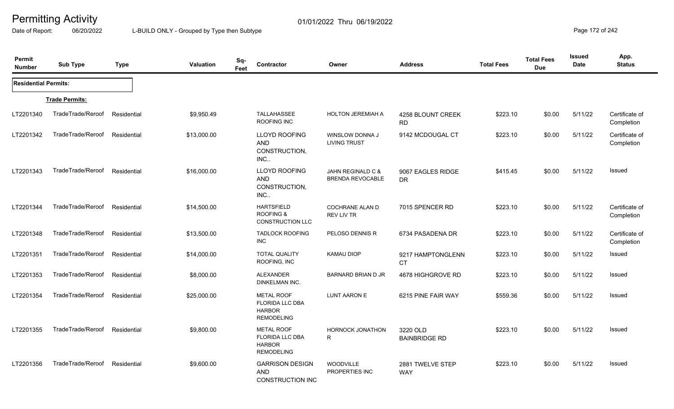Date of Report: 06/20/2022 L-BUILD ONLY - Grouped by Type then Subtype **Page 172** of 242

| Permit<br><b>Number</b>     | <b>Sub Type</b>       | <b>Type</b> | <b>Valuation</b> | Sq-<br>Contractor<br>Feet                                                         | Owner                                        | <b>Address</b>                   | <b>Total Fees</b> | <b>Total Fees</b><br><b>Due</b> | Issued<br>Date | App.<br><b>Status</b>        |
|-----------------------------|-----------------------|-------------|------------------|-----------------------------------------------------------------------------------|----------------------------------------------|----------------------------------|-------------------|---------------------------------|----------------|------------------------------|
| <b>Residential Permits:</b> |                       |             |                  |                                                                                   |                                              |                                  |                   |                                 |                |                              |
|                             | <b>Trade Permits:</b> |             |                  |                                                                                   |                                              |                                  |                   |                                 |                |                              |
| LT2201340                   | TradeTrade/Reroof     | Residential | \$9,950.49       | TALLAHASSEE<br>ROOFING INC                                                        | <b>HOLTON JEREMIAH A</b>                     | 4258 BLOUNT CREEK<br><b>RD</b>   | \$223.10          | \$0.00                          | 5/11/22        | Certificate of<br>Completion |
| LT2201342                   | TradeTrade/Reroof     | Residential | \$13,000.00      | <b>LLOYD ROOFING</b><br><b>AND</b><br>CONSTRUCTION,<br>INC                        | WINSLOW DONNA J<br><b>LIVING TRUST</b>       | 9142 MCDOUGAL CT                 | \$223.10          | \$0.00                          | 5/11/22        | Certificate of<br>Completion |
| LT2201343                   | TradeTrade/Reroof     | Residential | \$16,000.00      | <b>LLOYD ROOFING</b><br><b>AND</b><br>CONSTRUCTION,<br>INC                        | JAHN REGINALD C &<br><b>BRENDA REVOCABLE</b> | 9067 EAGLES RIDGE<br><b>DR</b>   | \$415.45          | \$0.00                          | 5/11/22        | Issued                       |
| LT2201344                   | TradeTrade/Reroof     | Residential | \$14,500.00      | <b>HARTSFIELD</b><br><b>ROOFING &amp;</b><br><b>CONSTRUCTION LLC</b>              | COCHRANE ALAN D<br><b>REV LIV TR</b>         | 7015 SPENCER RD                  | \$223.10          | \$0.00                          | 5/11/22        | Certificate of<br>Completion |
| LT2201348                   | TradeTrade/Reroof     | Residential | \$13,500.00      | <b>TADLOCK ROOFING</b><br><b>INC</b>                                              | PELOSO DENNIS R                              | 6734 PASADENA DR                 | \$223.10          | \$0.00                          | 5/11/22        | Certificate of<br>Completion |
| LT2201351                   | TradeTrade/Reroof     | Residential | \$14,000.00      | <b>TOTAL QUALITY</b><br>ROOFING, INC                                              | <b>KAMAU DIOP</b>                            | 9217 HAMPTONGLENN<br><b>CT</b>   | \$223.10          | \$0.00                          | 5/11/22        | Issued                       |
| LT2201353                   | TradeTrade/Reroof     | Residential | \$8,000.00       | <b>ALEXANDER</b><br>DINKELMAN INC.                                                | BARNARD BRIAN D JR                           | 4678 HIGHGROVE RD                | \$223.10          | \$0.00                          | 5/11/22        | Issued                       |
| LT2201354                   | TradeTrade/Reroof     | Residential | \$25,000.00      | <b>METAL ROOF</b><br><b>FLORIDA LLC DBA</b><br><b>HARBOR</b><br><b>REMODELING</b> | LUNT AARON E                                 | 6215 PINE FAIR WAY               | \$559.36          | \$0.00                          | 5/11/22        | Issued                       |
| LT2201355                   | TradeTrade/Reroof     | Residential | \$9,800.00       | <b>METAL ROOF</b><br>FLORIDA LLC DBA<br><b>HARBOR</b><br><b>REMODELING</b>        | <b>HORNOCK JONATHON</b><br>R                 | 3220 OLD<br><b>BAINBRIDGE RD</b> | \$223.10          | \$0.00                          | 5/11/22        | Issued                       |
| LT2201356                   | TradeTrade/Reroof     | Residential | \$9,600.00       | <b>GARRISON DESIGN</b><br><b>AND</b><br>CONSTRUCTION INC                          | <b>WOODVILLE</b><br>PROPERTIES INC           | 2881 TWELVE STEP<br><b>WAY</b>   | \$223.10          | \$0.00                          | 5/11/22        | Issued                       |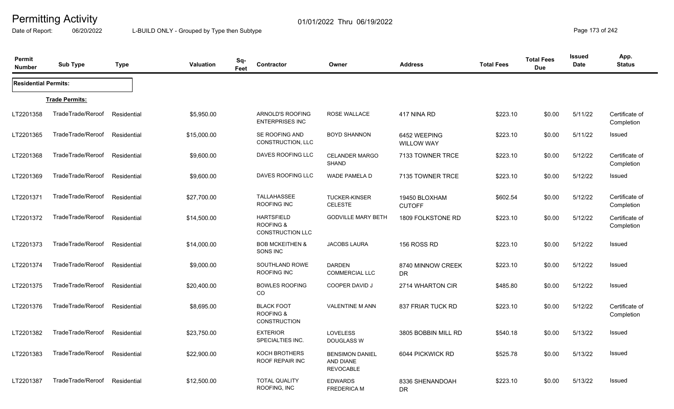Date of Report: 06/20/2022 L-BUILD ONLY - Grouped by Type then Subtype **Page 173** of 242

| Permit<br><b>Number</b>     | <b>Sub Type</b>       | <b>Type</b> | Sq-<br><b>Valuation</b><br>Feet | Contractor                                                | Owner                                                   | <b>Address</b>                    | <b>Total Fees</b> | <b>Total Fees</b><br><b>Due</b> | <b>Issued</b><br>Date | App.<br><b>Status</b>        |
|-----------------------------|-----------------------|-------------|---------------------------------|-----------------------------------------------------------|---------------------------------------------------------|-----------------------------------|-------------------|---------------------------------|-----------------------|------------------------------|
| <b>Residential Permits:</b> |                       |             |                                 |                                                           |                                                         |                                   |                   |                                 |                       |                              |
|                             | <b>Trade Permits:</b> |             |                                 |                                                           |                                                         |                                   |                   |                                 |                       |                              |
| LT2201358                   | TradeTrade/Reroof     | Residential | \$5,950.00                      | ARNOLD'S ROOFING<br><b>ENTERPRISES INC</b>                | ROSE WALLACE                                            | 417 NINA RD                       | \$223.10          | \$0.00                          | 5/11/22               | Certificate of<br>Completion |
| LT2201365                   | TradeTrade/Reroof     | Residential | \$15,000.00                     | SE ROOFING AND<br>CONSTRUCTION, LLC                       | <b>BOYD SHANNON</b>                                     | 6452 WEEPING<br><b>WILLOW WAY</b> | \$223.10          | \$0.00                          | 5/11/22               | Issued                       |
| LT2201368                   | TradeTrade/Reroof     | Residential | \$9,600.00                      | DAVES ROOFING LLC                                         | <b>CELANDER MARGO</b><br><b>SHAND</b>                   | 7133 TOWNER TRCE                  | \$223.10          | \$0.00                          | 5/12/22               | Certificate of<br>Completion |
| LT2201369                   | TradeTrade/Reroof     | Residential | \$9,600.00                      | DAVES ROOFING LLC                                         | WADE PAMELA D                                           | 7135 TOWNER TRCE                  | \$223.10          | \$0.00                          | 5/12/22               | Issued                       |
| LT2201371                   | TradeTrade/Reroof     | Residential | \$27,700.00                     | TALLAHASSEE<br>ROOFING INC                                | <b>TUCKER-KINSER</b><br><b>CELESTE</b>                  | 19450 BLOXHAM<br><b>CUTOFF</b>    | \$602.54          | \$0.00                          | 5/12/22               | Certificate of<br>Completion |
| LT2201372                   | TradeTrade/Reroof     | Residential | \$14,500.00                     | <b>HARTSFIELD</b><br>ROOFING &<br><b>CONSTRUCTION LLC</b> | <b>GODVILLE MARY BETH</b>                               | 1809 FOLKSTONE RD                 | \$223.10          | \$0.00                          | 5/12/22               | Certificate of<br>Completion |
| LT2201373                   | TradeTrade/Reroof     | Residential | \$14,000.00                     | <b>BOB MCKEITHEN &amp;</b><br>SONS INC                    | <b>JACOBS LAURA</b>                                     | 156 ROSS RD                       | \$223.10          | \$0.00                          | 5/12/22               | Issued                       |
| LT2201374                   | TradeTrade/Reroof     | Residential | \$9,000.00                      | SOUTHLAND ROWE<br><b>ROOFING INC</b>                      | <b>DARDEN</b><br><b>COMMERCIAL LLC</b>                  | 8740 MINNOW CREEK<br><b>DR</b>    | \$223.10          | \$0.00                          | 5/12/22               | Issued                       |
| LT2201375                   | TradeTrade/Reroof     | Residential | \$20,400.00                     | <b>BOWLES ROOFING</b><br>CO.                              | COOPER DAVID J                                          | 2714 WHARTON CIR                  | \$485.80          | \$0.00                          | 5/12/22               | Issued                       |
| LT2201376                   | TradeTrade/Reroof     | Residential | \$8,695.00                      | <b>BLACK FOOT</b><br>ROOFING &<br><b>CONSTRUCTION</b>     | <b>VALENTINE M ANN</b>                                  | 837 FRIAR TUCK RD                 | \$223.10          | \$0.00                          | 5/12/22               | Certificate of<br>Completion |
| LT2201382                   | TradeTrade/Reroof     | Residential | \$23,750.00                     | <b>EXTERIOR</b><br>SPECIALTIES INC.                       | <b>LOVELESS</b><br><b>DOUGLASS W</b>                    | 3805 BOBBIN MILL RD               | \$540.18          | \$0.00                          | 5/13/22               | Issued                       |
| LT2201383                   | TradeTrade/Reroof     | Residential | \$22,900.00                     | KOCH BROTHERS<br>ROOF REPAIR INC                          | <b>BENSIMON DANIEL</b><br>AND DIANE<br><b>REVOCABLE</b> | 6044 PICKWICK RD                  | \$525.78          | \$0.00                          | 5/13/22               | Issued                       |
| LT2201387                   | TradeTrade/Reroof     | Residential | \$12,500.00                     | <b>TOTAL QUALITY</b><br>ROOFING, INC                      | <b>EDWARDS</b><br><b>FREDERICA M</b>                    | 8336 SHENANDOAH<br><b>DR</b>      | \$223.10          | \$0.00                          | 5/13/22               | Issued                       |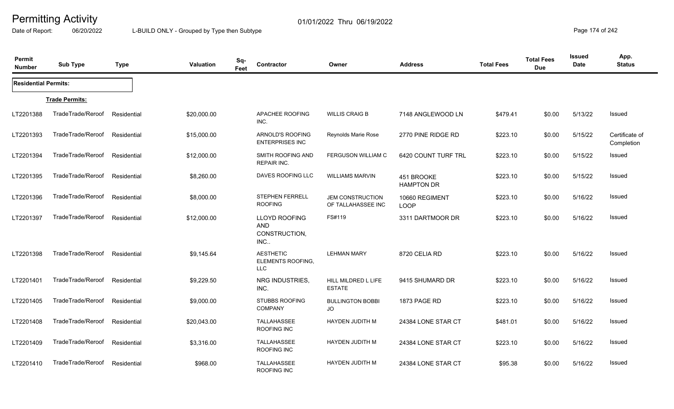Date of Report: 06/20/2022 L-BUILD ONLY - Grouped by Type then Subtype **Page 174** of 242

| Permit<br><b>Number</b>     | <b>Sub Type</b>       | <b>Type</b> | Valuation   | Sq-<br>Feet | Contractor                                          | Owner                                         | <b>Address</b>                  | <b>Total Fees</b> | <b>Total Fees</b><br><b>Due</b> | <b>Issued</b><br>Date | App.<br><b>Status</b>        |
|-----------------------------|-----------------------|-------------|-------------|-------------|-----------------------------------------------------|-----------------------------------------------|---------------------------------|-------------------|---------------------------------|-----------------------|------------------------------|
| <b>Residential Permits:</b> |                       |             |             |             |                                                     |                                               |                                 |                   |                                 |                       |                              |
|                             | <b>Trade Permits:</b> |             |             |             |                                                     |                                               |                                 |                   |                                 |                       |                              |
| LT2201388                   | TradeTrade/Reroof     | Residential | \$20,000.00 |             | APACHEE ROOFING<br>INC.                             | <b>WILLIS CRAIG B</b>                         | 7148 ANGLEWOOD LN               | \$479.41          | \$0.00                          | 5/13/22               | Issued                       |
| LT2201393                   | TradeTrade/Reroof     | Residential | \$15,000.00 |             | ARNOLD'S ROOFING<br><b>ENTERPRISES INC</b>          | Reynolds Marie Rose                           | 2770 PINE RIDGE RD              | \$223.10          | \$0.00                          | 5/15/22               | Certificate of<br>Completion |
| LT2201394                   | TradeTrade/Reroof     | Residential | \$12,000.00 |             | SMITH ROOFING AND<br><b>REPAIR INC.</b>             | <b>FERGUSON WILLIAM C</b>                     | 6420 COUNT TURF TRL             | \$223.10          | \$0.00                          | 5/15/22               | Issued                       |
| LT2201395                   | TradeTrade/Reroof     | Residential | \$8,260.00  |             | DAVES ROOFING LLC                                   | <b>WILLIAMS MARVIN</b>                        | 451 BROOKE<br><b>HAMPTON DR</b> | \$223.10          | \$0.00                          | 5/15/22               | Issued                       |
| LT2201396                   | TradeTrade/Reroof     | Residential | \$8,000.00  |             | STEPHEN FERRELL<br><b>ROOFING</b>                   | <b>JEM CONSTRUCTION</b><br>OF TALLAHASSEE INC | 10660 REGIMENT<br><b>LOOP</b>   | \$223.10          | \$0.00                          | 5/16/22               | Issued                       |
| LT2201397                   | TradeTrade/Reroof     | Residential | \$12,000.00 |             | LLOYD ROOFING<br><b>AND</b><br>CONSTRUCTION,<br>INC | FS#119                                        | 3311 DARTMOOR DR                | \$223.10          | \$0.00                          | 5/16/22               | Issued                       |
| LT2201398                   | TradeTrade/Reroof     | Residential | \$9,145.64  |             | <b>AESTHETIC</b><br>ELEMENTS ROOFING,<br><b>LLC</b> | <b>LEHMAN MARY</b>                            | 8720 CELIA RD                   | \$223.10          | \$0.00                          | 5/16/22               | Issued                       |
| LT2201401                   | TradeTrade/Reroof     | Residential | \$9,229.50  |             | NRG INDUSTRIES,<br>INC.                             | HILL MILDRED L LIFE<br><b>ESTATE</b>          | 9415 SHUMARD DR                 | \$223.10          | \$0.00                          | 5/16/22               | Issued                       |
| LT2201405                   | TradeTrade/Reroof     | Residential | \$9,000.00  |             | <b>STUBBS ROOFING</b><br>COMPANY                    | <b>BULLINGTON BOBBI</b><br>JO                 | 1873 PAGE RD                    | \$223.10          | \$0.00                          | 5/16/22               | Issued                       |
| LT2201408                   | TradeTrade/Reroof     | Residential | \$20,043.00 |             | TALLAHASSEE<br>ROOFING INC                          | <b>HAYDEN JUDITH M</b>                        | 24384 LONE STAR CT              | \$481.01          | \$0.00                          | 5/16/22               | Issued                       |
| LT2201409                   | TradeTrade/Reroof     | Residential | \$3,316.00  |             | TALLAHASSEE<br>ROOFING INC                          | <b>HAYDEN JUDITH M</b>                        | 24384 LONE STAR CT              | \$223.10          | \$0.00                          | 5/16/22               | Issued                       |
| LT2201410                   | TradeTrade/Reroof     | Residential | \$968.00    |             | <b>TALLAHASSEE</b><br>ROOFING INC                   | <b>HAYDEN JUDITH M</b>                        | 24384 LONE STAR CT              | \$95.38           | \$0.00                          | 5/16/22               | Issued                       |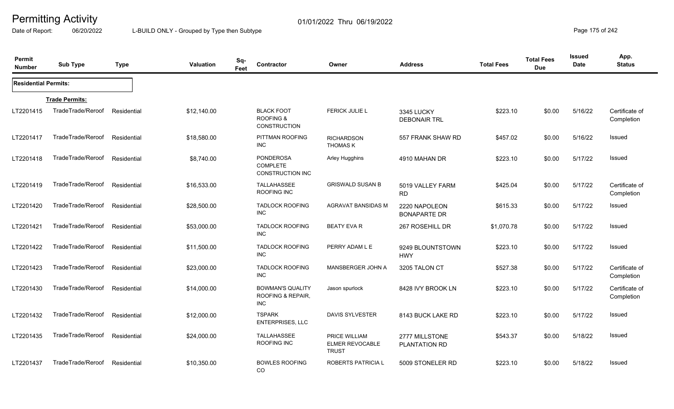Date of Report: 06/20/2022 L-BUILD ONLY - Grouped by Type then Subtype **Page 175** of 242

| Permit<br><b>Number</b>     | <b>Sub Type</b>       | <b>Type</b> | <b>Valuation</b> | Sq-<br>Feet | Contractor                                                     | Owner                                                   | <b>Address</b>                       | <b>Total Fees</b> | <b>Total Fees</b><br><b>Due</b> | <b>Issued</b><br>Date | App.<br><b>Status</b>        |
|-----------------------------|-----------------------|-------------|------------------|-------------|----------------------------------------------------------------|---------------------------------------------------------|--------------------------------------|-------------------|---------------------------------|-----------------------|------------------------------|
| <b>Residential Permits:</b> |                       |             |                  |             |                                                                |                                                         |                                      |                   |                                 |                       |                              |
|                             | <b>Trade Permits:</b> |             |                  |             |                                                                |                                                         |                                      |                   |                                 |                       |                              |
| LT2201415                   | TradeTrade/Reroof     | Residential | \$12,140.00      |             | <b>BLACK FOOT</b><br><b>ROOFING &amp;</b><br>CONSTRUCTION      | FERICK JULIE L                                          | 3345 LUCKY<br><b>DEBONAIR TRL</b>    | \$223.10          | \$0.00                          | 5/16/22               | Certificate of<br>Completion |
| LT2201417                   | TradeTrade/Reroof     | Residential | \$18,580.00      |             | PITTMAN ROOFING<br><b>INC</b>                                  | <b>RICHARDSON</b><br><b>THOMAS K</b>                    | 557 FRANK SHAW RD                    | \$457.02          | \$0.00                          | 5/16/22               | Issued                       |
| LT2201418                   | TradeTrade/Reroof     | Residential | \$8,740.00       |             | <b>PONDEROSA</b><br><b>COMPLETE</b><br><b>CONSTRUCTION INC</b> | Arley Hugghins                                          | 4910 MAHAN DR                        | \$223.10          | \$0.00                          | 5/17/22               | Issued                       |
| LT2201419                   | TradeTrade/Reroof     | Residential | \$16,533.00      |             | TALLAHASSEE<br>ROOFING INC                                     | <b>GRISWALD SUSAN B</b>                                 | 5019 VALLEY FARM<br><b>RD</b>        | \$425.04          | \$0.00                          | 5/17/22               | Certificate of<br>Completion |
| LT2201420                   | TradeTrade/Reroof     | Residential | \$28,500.00      |             | <b>TADLOCK ROOFING</b><br><b>INC</b>                           | AGRAVAT BANSIDAS M                                      | 2220 NAPOLEON<br><b>BONAPARTE DR</b> | \$615.33          | \$0.00                          | 5/17/22               | Issued                       |
| LT2201421                   | TradeTrade/Reroof     | Residential | \$53,000.00      |             | <b>TADLOCK ROOFING</b><br><b>INC</b>                           | <b>BEATY EVA R</b>                                      | 267 ROSEHILL DR                      | \$1,070.78        | \$0.00                          | 5/17/22               | Issued                       |
| LT2201422                   | TradeTrade/Reroof     | Residential | \$11,500.00      |             | <b>TADLOCK ROOFING</b><br><b>INC</b>                           | PERRY ADAM L E                                          | 9249 BLOUNTSTOWN<br><b>HWY</b>       | \$223.10          | \$0.00                          | 5/17/22               | <b>Issued</b>                |
| LT2201423                   | TradeTrade/Reroof     | Residential | \$23,000.00      |             | <b>TADLOCK ROOFING</b><br><b>INC</b>                           | MANSBERGER JOHN A                                       | 3205 TALON CT                        | \$527.38          | \$0.00                          | 5/17/22               | Certificate of<br>Completion |
| LT2201430                   | TradeTrade/Reroof     | Residential | \$14,000.00      |             | <b>BOWMAN'S QUALITY</b><br>ROOFING & REPAIR.<br><b>INC</b>     | Jason spurlock                                          | 8428 IVY BROOK LN                    | \$223.10          | \$0.00                          | 5/17/22               | Certificate of<br>Completion |
| LT2201432                   | TradeTrade/Reroof     | Residential | \$12,000.00      |             | <b>TSPARK</b><br>ENTERPRISES, LLC                              | <b>DAVIS SYLVESTER</b>                                  | 8143 BUCK LAKE RD                    | \$223.10          | \$0.00                          | 5/17/22               | Issued                       |
| LT2201435                   | TradeTrade/Reroof     | Residential | \$24,000.00      |             | <b>TALLAHASSEE</b><br>ROOFING INC                              | PRICE WILLIAM<br><b>ELMER REVOCABLE</b><br><b>TRUST</b> | 2777 MILLSTONE<br>PLANTATION RD      | \$543.37          | \$0.00                          | 5/18/22               | Issued                       |
| LT2201437                   | TradeTrade/Reroof     | Residential | \$10,350.00      |             | <b>BOWLES ROOFING</b><br>CO                                    | <b>ROBERTS PATRICIA L</b>                               | 5009 STONELER RD                     | \$223.10          | \$0.00                          | 5/18/22               | Issued                       |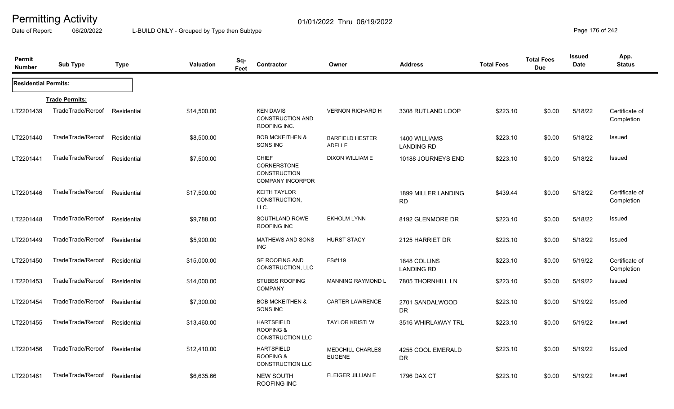Date of Report: 06/20/2022 L-BUILD ONLY - Grouped by Type then Subtype **Page 176** of 242

| Permit<br><b>Number</b>     | <b>Sub Type</b>       | <b>Type</b> | <b>Valuation</b> | Sq-<br>Feet | Contractor                                                                    | Owner                                    | <b>Address</b>                     | <b>Total Fees</b> | <b>Total Fees</b><br><b>Due</b> | <b>Issued</b><br>Date | App.<br><b>Status</b>        |
|-----------------------------|-----------------------|-------------|------------------|-------------|-------------------------------------------------------------------------------|------------------------------------------|------------------------------------|-------------------|---------------------------------|-----------------------|------------------------------|
| <b>Residential Permits:</b> |                       |             |                  |             |                                                                               |                                          |                                    |                   |                                 |                       |                              |
|                             | <b>Trade Permits:</b> |             |                  |             |                                                                               |                                          |                                    |                   |                                 |                       |                              |
| LT2201439                   | TradeTrade/Reroof     | Residential | \$14,500.00      |             | <b>KEN DAVIS</b><br><b>CONSTRUCTION AND</b><br>ROOFING INC.                   | <b>VERNON RICHARD H</b>                  | 3308 RUTLAND LOOP                  | \$223.10          | \$0.00                          | 5/18/22               | Certificate of<br>Completion |
| LT2201440                   | TradeTrade/Reroof     | Residential | \$8,500.00       |             | <b>BOB MCKEITHEN &amp;</b><br>SONS INC                                        | <b>BARFIELD HESTER</b><br><b>ADELLE</b>  | 1400 WILLIAMS<br><b>LANDING RD</b> | \$223.10          | \$0.00                          | 5/18/22               | Issued                       |
| LT2201441                   | TradeTrade/Reroof     | Residential | \$7,500.00       |             | <b>CHIEF</b><br>CORNERSTONE<br><b>CONSTRUCTION</b><br><b>COMPANY INCORPOR</b> | DIXON WILLIAM E                          | 10188 JOURNEYS END                 | \$223.10          | \$0.00                          | 5/18/22               | Issued                       |
| LT2201446                   | TradeTrade/Reroof     | Residential | \$17,500.00      |             | <b>KEITH TAYLOR</b><br>CONSTRUCTION,<br>LLC.                                  |                                          | 1899 MILLER LANDING<br><b>RD</b>   | \$439.44          | \$0.00                          | 5/18/22               | Certificate of<br>Completion |
| LT2201448                   | TradeTrade/Reroof     | Residential | \$9,788.00       |             | SOUTHLAND ROWE<br>ROOFING INC                                                 | <b>EKHOLM LYNN</b>                       | 8192 GLENMORE DR                   | \$223.10          | \$0.00                          | 5/18/22               | <b>Issued</b>                |
| LT2201449                   | TradeTrade/Reroof     | Residential | \$5,900.00       |             | <b>MATHEWS AND SONS</b><br><b>INC</b>                                         | <b>HURST STACY</b>                       | 2125 HARRIET DR                    | \$223.10          | \$0.00                          | 5/18/22               | Issued                       |
| LT2201450                   | TradeTrade/Reroof     | Residential | \$15,000.00      |             | SE ROOFING AND<br><b>CONSTRUCTION, LLC</b>                                    | FS#119                                   | 1848 COLLINS<br><b>LANDING RD</b>  | \$223.10          | \$0.00                          | 5/19/22               | Certificate of<br>Completion |
| LT2201453                   | TradeTrade/Reroof     | Residential | \$14,000.00      |             | <b>STUBBS ROOFING</b><br><b>COMPANY</b>                                       | <b>MANNING RAYMOND L</b>                 | 7805 THORNHILL LN                  | \$223.10          | \$0.00                          | 5/19/22               | Issued                       |
| LT2201454                   | TradeTrade/Reroof     | Residential | \$7,300.00       |             | <b>BOB MCKEITHEN &amp;</b><br>SONS INC                                        | <b>CARTER LAWRENCE</b>                   | 2701 SANDALWOOD<br><b>DR</b>       | \$223.10          | \$0.00                          | 5/19/22               | Issued                       |
| LT2201455                   | TradeTrade/Reroof     | Residential | \$13,460.00      |             | <b>HARTSFIELD</b><br><b>ROOFING &amp;</b><br><b>CONSTRUCTION LLC</b>          | <b>TAYLOR KRISTI W</b>                   | 3516 WHIRLAWAY TRL                 | \$223.10          | \$0.00                          | 5/19/22               | Issued                       |
| LT2201456                   | TradeTrade/Reroof     | Residential | \$12,410.00      |             | <b>HARTSFIELD</b><br><b>ROOFING &amp;</b><br><b>CONSTRUCTION LLC</b>          | <b>MEDCHILL CHARLES</b><br><b>EUGENE</b> | 4255 COOL EMERALD<br>DR            | \$223.10          | \$0.00                          | 5/19/22               | Issued                       |
| LT2201461                   | TradeTrade/Reroof     | Residential | \$6,635.66       |             | NEW SOUTH<br><b>ROOFING INC</b>                                               | FLEIGER JILLIAN E                        | 1796 DAX CT                        | \$223.10          | \$0.00                          | 5/19/22               | Issued                       |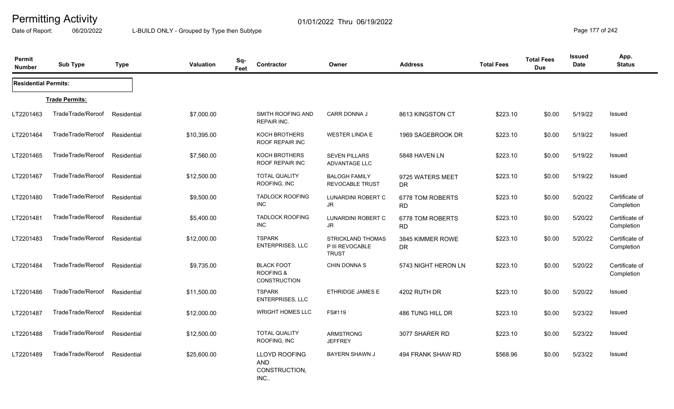Date of Report: 06/20/2022 L-BUILD ONLY - Grouped by Type then Subtype **Page 177** of 242

| Permit<br><b>Number</b>     | <b>Sub Type</b>       | <b>Type</b> | Valuation   | Sq-<br>Feet | Contractor                                                       | Owner                                                       | <b>Address</b>                | <b>Total Fees</b> | <b>Total Fees</b><br><b>Due</b> | Issued<br>Date | App.<br><b>Status</b>        |
|-----------------------------|-----------------------|-------------|-------------|-------------|------------------------------------------------------------------|-------------------------------------------------------------|-------------------------------|-------------------|---------------------------------|----------------|------------------------------|
| <b>Residential Permits:</b> |                       |             |             |             |                                                                  |                                                             |                               |                   |                                 |                |                              |
|                             | <b>Trade Permits:</b> |             |             |             |                                                                  |                                                             |                               |                   |                                 |                |                              |
| LT2201463                   | TradeTrade/Reroof     | Residential | \$7,000.00  |             | SMITH ROOFING AND<br><b>REPAIR INC.</b>                          | <b>CARR DONNA J</b>                                         | 8613 KINGSTON CT              | \$223.10          | \$0.00                          | 5/19/22        | Issued                       |
| LT2201464                   | TradeTrade/Reroof     | Residential | \$10,395.00 |             | <b>KOCH BROTHERS</b><br>ROOF REPAIR INC                          | <b>WESTER LINDA E</b>                                       | 1969 SAGEBROOK DR             | \$223.10          | \$0.00                          | 5/19/22        | Issued                       |
| LT2201465                   | TradeTrade/Reroof     | Residential | \$7,560.00  |             | <b>KOCH BROTHERS</b><br><b>ROOF REPAIR INC</b>                   | <b>SEVEN PILLARS</b><br>ADVANTAGE LLC                       | 5848 HAVEN LN                 | \$223.10          | \$0.00                          | 5/19/22        | Issued                       |
| LT2201467                   | TradeTrade/Reroof     | Residential | \$12,500.00 |             | <b>TOTAL QUALITY</b><br>ROOFING, INC                             | <b>BALOGH FAMILY</b><br><b>REVOCABLE TRUST</b>              | 9725 WATERS MEET<br>DR.       | \$223.10          | \$0.00                          | 5/19/22        | Issued                       |
| LT2201480                   | TradeTrade/Reroof     | Residential | \$9,500.00  |             | <b>TADLOCK ROOFING</b><br><b>INC</b>                             | LUNARDINI ROBERT C<br>JR.                                   | 6778 TOM ROBERTS<br><b>RD</b> | \$223.10          | \$0.00                          | 5/20/22        | Certificate of<br>Completion |
| LT2201481                   | TradeTrade/Reroof     | Residential | \$5,400.00  |             | <b>TADLOCK ROOFING</b><br><b>INC</b>                             | LUNARDINI ROBERT C<br>JR.                                   | 6778 TOM ROBERTS<br><b>RD</b> | \$223.10          | \$0.00                          | 5/20/22        | Certificate of<br>Completion |
| LT2201483                   | TradeTrade/Reroof     | Residential | \$12,000.00 |             | <b>TSPARK</b><br><b>ENTERPRISES, LLC</b>                         | <b>STRICKLAND THOMAS</b><br>P III REVOCABLE<br><b>TRUST</b> | 3845 KIMMER ROWE<br><b>DR</b> | \$223.10          | \$0.00                          | 5/20/22        | Certificate of<br>Completion |
| LT2201484                   | TradeTrade/Reroof     | Residential | \$9,735.00  |             | <b>BLACK FOOT</b><br><b>ROOFING &amp;</b><br><b>CONSTRUCTION</b> | CHIN DONNA S                                                | 5743 NIGHT HERON LN           | \$223.10          | \$0.00                          | 5/20/22        | Certificate of<br>Completion |
| LT2201486                   | TradeTrade/Reroof     | Residential | \$11,500.00 |             | <b>TSPARK</b><br><b>ENTERPRISES, LLC</b>                         | <b>ETHRIDGE JAMES E</b>                                     | 4202 RUTH DR                  | \$223.10          | \$0.00                          | 5/20/22        | Issued                       |
| LT2201487                   | TradeTrade/Reroof     | Residential | \$12,000.00 |             | <b>WRIGHT HOMES LLC</b>                                          | FS#119                                                      | 486 TUNG HILL DR              | \$223.10          | \$0.00                          | 5/23/22        | Issued                       |
| LT2201488                   | TradeTrade/Reroof     | Residential | \$12,500.00 |             | <b>TOTAL QUALITY</b><br>ROOFING, INC                             | <b>ARMSTRONG</b><br><b>JEFFREY</b>                          | 3077 SHARER RD                | \$223.10          | \$0.00                          | 5/23/22        | Issued                       |
| LT2201489                   | TradeTrade/Reroof     | Residential | \$25,600.00 |             | <b>LLOYD ROOFING</b><br><b>AND</b><br>CONSTRUCTION,<br>INC       | <b>BAYERN SHAWN J</b>                                       | 494 FRANK SHAW RD             | \$568.96          | \$0.00                          | 5/23/22        | Issued                       |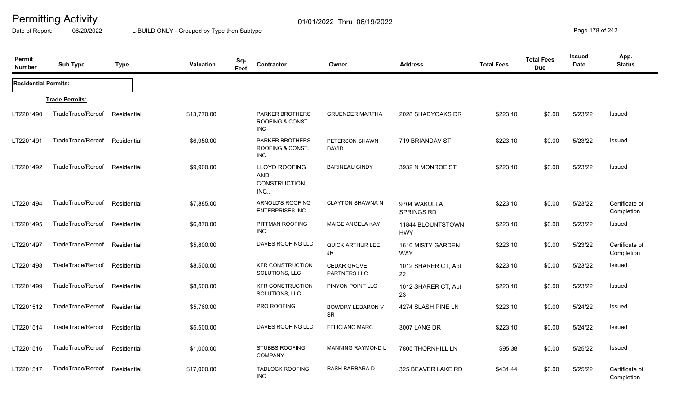Date of Report: 06/20/2022 L-BUILD ONLY - Grouped by Type then Subtype **Page 178** of 242

| Permit<br><b>Number</b>     | <b>Sub Type</b>       | <b>Type</b> | <b>Valuation</b> | Sq-<br>Feet | Contractor                                                 | Owner                                      | <b>Address</b>                  | <b>Total Fees</b> | <b>Total Fees</b><br><b>Due</b> | Issued<br>Date | App.<br><b>Status</b>        |
|-----------------------------|-----------------------|-------------|------------------|-------------|------------------------------------------------------------|--------------------------------------------|---------------------------------|-------------------|---------------------------------|----------------|------------------------------|
| <b>Residential Permits:</b> |                       |             |                  |             |                                                            |                                            |                                 |                   |                                 |                |                              |
|                             | <b>Trade Permits:</b> |             |                  |             |                                                            |                                            |                                 |                   |                                 |                |                              |
| LT2201490                   | TradeTrade/Reroof     | Residential | \$13,770.00      |             | <b>PARKER BROTHERS</b><br>ROOFING & CONST.<br>INC          | <b>GRUENDER MARTHA</b>                     | 2028 SHADYOAKS DR               | \$223.10          | \$0.00                          | 5/23/22        | Issued                       |
| LT2201491                   | TradeTrade/Reroof     | Residential | \$6,950.00       |             | <b>PARKER BROTHERS</b><br>ROOFING & CONST.<br><b>INC</b>   | PETERSON SHAWN<br><b>DAVID</b>             | 719 BRIANDAV ST                 | \$223.10          | \$0.00                          | 5/23/22        | Issued                       |
| LT2201492                   | TradeTrade/Reroof     | Residential | \$9,900.00       |             | <b>LLOYD ROOFING</b><br><b>AND</b><br>CONSTRUCTION,<br>INC | <b>BARINEAU CINDY</b>                      | 3932 N MONROE ST                | \$223.10          | \$0.00                          | 5/23/22        | Issued                       |
| LT2201494                   | TradeTrade/Reroof     | Residential | \$7,885.00       |             | ARNOLD'S ROOFING<br><b>ENTERPRISES INC</b>                 | <b>CLAYTON SHAWNA N</b>                    | 9704 WAKULLA<br>SPRINGS RD      | \$223.10          | \$0.00                          | 5/23/22        | Certificate of<br>Completion |
| LT2201495                   | TradeTrade/Reroof     | Residential | \$6,870.00       |             | PITTMAN ROOFING<br><b>INC</b>                              | MAIGE ANGELA KAY                           | 11844 BLOUNTSTOWN<br><b>HWY</b> | \$223.10          | \$0.00                          | 5/23/22        | Issued                       |
| LT2201497                   | TradeTrade/Reroof     | Residential | \$5,800.00       |             | DAVES ROOFING LLC                                          | QUICK ARTHUR LEE<br>$\mathsf{J}\mathsf{R}$ | 1610 MISTY GARDEN<br><b>WAY</b> | \$223.10          | \$0.00                          | 5/23/22        | Certificate of<br>Completion |
| LT2201498                   | TradeTrade/Reroof     | Residential | \$8,500.00       |             | <b>KFR CONSTRUCTION</b><br>SOLUTIONS, LLC                  | <b>CEDAR GROVE</b><br><b>PARTNERS LLC</b>  | 1012 SHARER CT, Apt<br>22       | \$223.10          | \$0.00                          | 5/23/22        | Issued                       |
| LT2201499                   | TradeTrade/Reroof     | Residential | \$8,500.00       |             | <b>KFR CONSTRUCTION</b><br>SOLUTIONS, LLC                  | PINYON POINT LLC                           | 1012 SHARER CT, Apt<br>23       | \$223.10          | \$0.00                          | 5/23/22        | Issued                       |
| LT2201512                   | TradeTrade/Reroof     | Residential | \$5,760.00       |             | PRO ROOFING                                                | <b>BOWDRY LEBARON V</b><br><b>SR</b>       | 4274 SLASH PINE LN              | \$223.10          | \$0.00                          | 5/24/22        | Issued                       |
| LT2201514                   | TradeTrade/Reroof     | Residential | \$5,500.00       |             | DAVES ROOFING LLC                                          | <b>FELICIANO MARC</b>                      | 3007 LANG DR                    | \$223.10          | \$0.00                          | 5/24/22        | Issued                       |
| LT2201516                   | TradeTrade/Reroof     | Residential | \$1,000.00       |             | <b>STUBBS ROOFING</b><br><b>COMPANY</b>                    | <b>MANNING RAYMOND L</b>                   | 7805 THORNHILL LN               | \$95.38           | \$0.00                          | 5/25/22        | Issued                       |
| LT2201517                   | TradeTrade/Reroof     | Residential | \$17,000.00      |             | <b>TADLOCK ROOFING</b><br>INC                              | RASH BARBARA D                             | 325 BEAVER LAKE RD              | \$431.44          | \$0.00                          | 5/25/22        | Certificate of<br>Completion |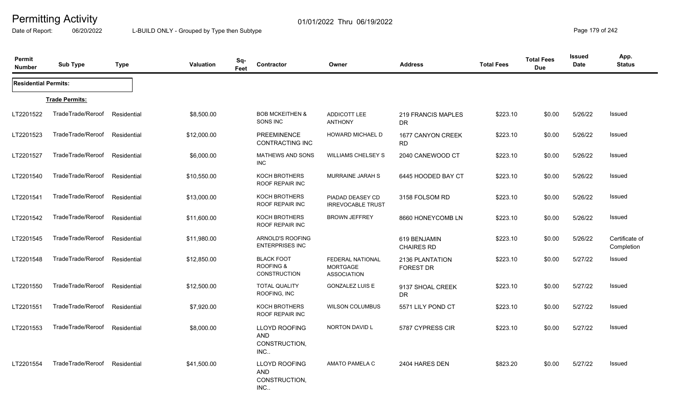Date of Report: 06/20/2022 L-BUILD ONLY - Grouped by Type then Subtype **Page 179** of 242

| Permit<br><b>Number</b>     | <b>Sub Type</b>       | <b>Type</b> | <b>Valuation</b> | Sq-<br>Feet | Contractor                                                       | Owner                                                            | <b>Address</b>                      | <b>Total Fees</b> | <b>Total Fees</b><br><b>Due</b> | <b>Issued</b><br>Date | App.<br><b>Status</b>        |
|-----------------------------|-----------------------|-------------|------------------|-------------|------------------------------------------------------------------|------------------------------------------------------------------|-------------------------------------|-------------------|---------------------------------|-----------------------|------------------------------|
| <b>Residential Permits:</b> |                       |             |                  |             |                                                                  |                                                                  |                                     |                   |                                 |                       |                              |
|                             | <b>Trade Permits:</b> |             |                  |             |                                                                  |                                                                  |                                     |                   |                                 |                       |                              |
| LT2201522                   | TradeTrade/Reroof     | Residential | \$8,500.00       |             | <b>BOB MCKEITHEN &amp;</b><br>SONS INC                           | ADDICOTT LEE<br><b>ANTHONY</b>                                   | 219 FRANCIS MAPLES<br><b>DR</b>     | \$223.10          | \$0.00                          | 5/26/22               | Issued                       |
| LT2201523                   | TradeTrade/Reroof     | Residential | \$12,000.00      |             | <b>PREEMINENCE</b><br>CONTRACTING INC                            | <b>HOWARD MICHAEL D</b>                                          | 1677 CANYON CREEK<br><b>RD</b>      | \$223.10          | \$0.00                          | 5/26/22               | Issued                       |
| LT2201527                   | TradeTrade/Reroof     | Residential | \$6,000.00       |             | <b>MATHEWS AND SONS</b><br>INC                                   | <b>WILLIAMS CHELSEY S</b>                                        | 2040 CANEWOOD CT                    | \$223.10          | \$0.00                          | 5/26/22               | Issued                       |
| LT2201540                   | TradeTrade/Reroof     | Residential | \$10,550.00      |             | KOCH BROTHERS<br><b>ROOF REPAIR INC</b>                          | MURRAINE JARAH S                                                 | 6445 HOODED BAY CT                  | \$223.10          | \$0.00                          | 5/26/22               | Issued                       |
| LT2201541                   | TradeTrade/Reroof     | Residential | \$13,000.00      |             | KOCH BROTHERS<br><b>ROOF REPAIR INC</b>                          | PIADAD DEASEY CD<br><b>IRREVOCABLE TRUST</b>                     | 3158 FOLSOM RD                      | \$223.10          | \$0.00                          | 5/26/22               | Issued                       |
| LT2201542                   | TradeTrade/Reroof     | Residential | \$11,600.00      |             | KOCH BROTHERS<br>ROOF REPAIR INC                                 | <b>BROWN JEFFREY</b>                                             | 8660 HONEYCOMB LN                   | \$223.10          | \$0.00                          | 5/26/22               | Issued                       |
| LT2201545                   | TradeTrade/Reroof     | Residential | \$11,980.00      |             | ARNOLD'S ROOFING<br><b>ENTERPRISES INC</b>                       |                                                                  | 619 BENJAMIN<br><b>CHAIRES RD</b>   | \$223.10          | \$0.00                          | 5/26/22               | Certificate of<br>Completion |
| LT2201548                   | TradeTrade/Reroof     | Residential | \$12,850.00      |             | <b>BLACK FOOT</b><br><b>ROOFING &amp;</b><br><b>CONSTRUCTION</b> | <b>FEDERAL NATIONAL</b><br><b>MORTGAGE</b><br><b>ASSOCIATION</b> | 2136 PLANTATION<br><b>FOREST DR</b> | \$223.10          | \$0.00                          | 5/27/22               | Issued                       |
| LT2201550                   | TradeTrade/Reroof     | Residential | \$12,500.00      |             | <b>TOTAL QUALITY</b><br>ROOFING, INC                             | <b>GONZALEZ LUIS E</b>                                           | 9137 SHOAL CREEK<br>DR.             | \$223.10          | \$0.00                          | 5/27/22               | Issued                       |
| LT2201551                   | TradeTrade/Reroof     | Residential | \$7,920.00       |             | KOCH BROTHERS<br>ROOF REPAIR INC                                 | <b>WILSON COLUMBUS</b>                                           | 5571 LILY POND CT                   | \$223.10          | \$0.00                          | 5/27/22               | Issued                       |
| LT2201553                   | TradeTrade/Reroof     | Residential | \$8,000.00       |             | <b>LLOYD ROOFING</b><br><b>AND</b><br>CONSTRUCTION,<br>INC.      | <b>NORTON DAVID L</b>                                            | 5787 CYPRESS CIR                    | \$223.10          | \$0.00                          | 5/27/22               | Issued                       |
| LT2201554                   | TradeTrade/Reroof     | Residential | \$41,500.00      |             | <b>LLOYD ROOFING</b><br><b>AND</b><br>CONSTRUCTION,<br>INC       | AMATO PAMELA C                                                   | 2404 HARES DEN                      | \$823.20          | \$0.00                          | 5/27/22               | Issued                       |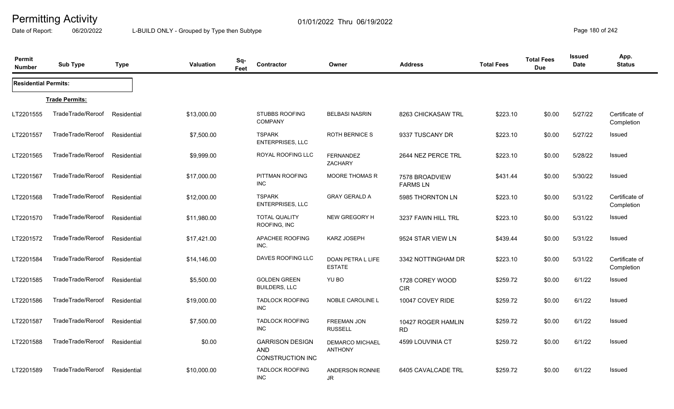Date of Report: 06/20/2022 L-BUILD ONLY - Grouped by Type then Subtype **Page 180** of 242

| Permit<br><b>Number</b>     | <b>Sub Type</b>       | <b>Type</b> | <b>Valuation</b> | Sq-<br>Feet | <b>Contractor</b>                                               | Owner                                    | <b>Address</b>                    | <b>Total Fees</b> | <b>Total Fees</b><br><b>Due</b> | Issued<br><b>Date</b> | App.<br><b>Status</b>        |
|-----------------------------|-----------------------|-------------|------------------|-------------|-----------------------------------------------------------------|------------------------------------------|-----------------------------------|-------------------|---------------------------------|-----------------------|------------------------------|
| <b>Residential Permits:</b> |                       |             |                  |             |                                                                 |                                          |                                   |                   |                                 |                       |                              |
|                             | <b>Trade Permits:</b> |             |                  |             |                                                                 |                                          |                                   |                   |                                 |                       |                              |
| LT2201555                   | TradeTrade/Reroof     | Residential | \$13,000.00      |             | <b>STUBBS ROOFING</b><br><b>COMPANY</b>                         | <b>BELBASI NASRIN</b>                    | 8263 CHICKASAW TRL                | \$223.10          | \$0.00                          | 5/27/22               | Certificate of<br>Completion |
| LT2201557                   | TradeTrade/Reroof     | Residential | \$7,500.00       |             | <b>TSPARK</b><br><b>ENTERPRISES, LLC</b>                        | <b>ROTH BERNICE S</b>                    | 9337 TUSCANY DR                   | \$223.10          | \$0.00                          | 5/27/22               | <b>Issued</b>                |
| LT2201565                   | TradeTrade/Reroof     | Residential | \$9,999.00       |             | ROYAL ROOFING LLC                                               | FERNANDEZ<br><b>ZACHARY</b>              | 2644 NEZ PERCE TRL                | \$223.10          | \$0.00                          | 5/28/22               | <b>Issued</b>                |
| LT2201567                   | TradeTrade/Reroof     | Residential | \$17,000.00      |             | PITTMAN ROOFING<br>INC                                          | <b>MOORE THOMAS R</b>                    | 7578 BROADVIEW<br><b>FARMS LN</b> | \$431.44          | \$0.00                          | 5/30/22               | Issued                       |
| LT2201568                   | TradeTrade/Reroof     | Residential | \$12,000.00      |             | <b>TSPARK</b><br><b>ENTERPRISES, LLC</b>                        | <b>GRAY GERALD A</b>                     | 5985 THORNTON LN                  | \$223.10          | \$0.00                          | 5/31/22               | Certificate of<br>Completion |
| LT2201570                   | TradeTrade/Reroof     | Residential | \$11,980.00      |             | <b>TOTAL QUALITY</b><br>ROOFING, INC                            | NEW GREGORY H                            | 3237 FAWN HILL TRL                | \$223.10          | \$0.00                          | 5/31/22               | Issued                       |
| LT2201572                   | TradeTrade/Reroof     | Residential | \$17,421.00      |             | APACHEE ROOFING<br>INC.                                         | KARZ JOSEPH                              | 9524 STAR VIEW LN                 | \$439.44          | \$0.00                          | 5/31/22               | <b>Issued</b>                |
| LT2201584                   | TradeTrade/Reroof     | Residential | \$14,146.00      |             | DAVES ROOFING LLC                                               | DOAN PETRA L LIFE<br><b>ESTATE</b>       | 3342 NOTTINGHAM DR                | \$223.10          | \$0.00                          | 5/31/22               | Certificate of<br>Completion |
| LT2201585                   | TradeTrade/Reroof     | Residential | \$5,500.00       |             | <b>GOLDEN GREEN</b><br><b>BUILDERS, LLC</b>                     | YU BO                                    | 1728 COREY WOOD<br><b>CIR</b>     | \$259.72          | \$0.00                          | 6/1/22                | Issued                       |
| LT2201586                   | TradeTrade/Reroof     | Residential | \$19,000.00      |             | <b>TADLOCK ROOFING</b><br>INC                                   | <b>NOBLE CAROLINE L</b>                  | 10047 COVEY RIDE                  | \$259.72          | \$0.00                          | 6/1/22                | <b>Issued</b>                |
| LT2201587                   | TradeTrade/Reroof     | Residential | \$7,500.00       |             | <b>TADLOCK ROOFING</b><br><b>INC</b>                            | <b>FREEMAN JON</b><br><b>RUSSELL</b>     | 10427 ROGER HAMLIN<br>RD.         | \$259.72          | \$0.00                          | 6/1/22                | <b>Issued</b>                |
| LT2201588                   | TradeTrade/Reroof     | Residential | \$0.00           |             | <b>GARRISON DESIGN</b><br><b>AND</b><br><b>CONSTRUCTION INC</b> | <b>DEMARCO MICHAEL</b><br><b>ANTHONY</b> | 4599 LOUVINIA CT                  | \$259.72          | \$0.00                          | 6/1/22                | <b>Issued</b>                |
| LT2201589                   | TradeTrade/Reroof     | Residential | \$10,000.00      |             | <b>TADLOCK ROOFING</b><br><b>INC</b>                            | ANDERSON RONNIE<br>JR                    | 6405 CAVALCADE TRL                | \$259.72          | \$0.00                          | 6/1/22                | <b>Issued</b>                |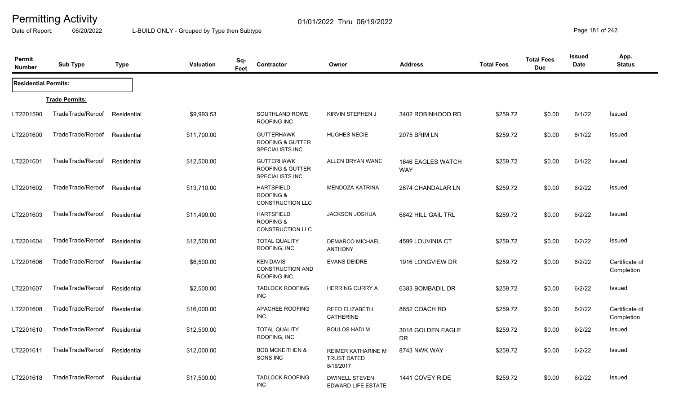Date of Report: 06/20/2022 L-BUILD ONLY - Grouped by Type then Subtype **Page 181** of 242

| Permit<br><b>Number</b>     | <b>Sub Type</b>       | <b>Type</b> | Sq-<br><b>Valuation</b><br>Feet | Contractor                                                                 | Owner                                                        | <b>Address</b>                  | <b>Total Fees</b> | <b>Total Fees</b><br><b>Due</b> | Issued<br><b>Date</b> | App.<br><b>Status</b>        |
|-----------------------------|-----------------------|-------------|---------------------------------|----------------------------------------------------------------------------|--------------------------------------------------------------|---------------------------------|-------------------|---------------------------------|-----------------------|------------------------------|
| <b>Residential Permits:</b> |                       |             |                                 |                                                                            |                                                              |                                 |                   |                                 |                       |                              |
|                             | <b>Trade Permits:</b> |             |                                 |                                                                            |                                                              |                                 |                   |                                 |                       |                              |
| LT2201590                   | TradeTrade/Reroof     | Residential | \$9,993.53                      | SOUTHLAND ROWE<br>ROOFING INC                                              | KIRVIN STEPHEN J                                             | 3402 ROBINHOOD RD               | \$259.72          | \$0.00                          | 6/1/22                | Issued                       |
| LT2201600                   | TradeTrade/Reroof     | Residential | \$11,700.00                     | <b>GUTTERHAWK</b><br><b>ROOFING &amp; GUTTER</b><br><b>SPECIALISTS INC</b> | <b>HUGHES NECIE</b>                                          | 2075 BRIM LN                    | \$259.72          | \$0.00                          | 6/1/22                | Issued                       |
| LT2201601                   | TradeTrade/Reroof     | Residential | \$12,500.00                     | <b>GUTTERHAWK</b><br><b>ROOFING &amp; GUTTER</b><br><b>SPECIALISTS INC</b> | ALLEN BRYAN WANE                                             | 1646 EAGLES WATCH<br><b>WAY</b> | \$259.72          | \$0.00                          | 6/1/22                | Issued                       |
| LT2201602                   | TradeTrade/Reroof     | Residential | \$13,710.00                     | <b>HARTSFIELD</b><br><b>ROOFING &amp;</b><br>CONSTRUCTION LLC              | <b>MENDOZA KATRINA</b>                                       | 2674 CHANDALAR LN               | \$259.72          | \$0.00                          | 6/2/22                | Issued                       |
| LT2201603                   | TradeTrade/Reroof     | Residential | \$11,490.00                     | <b>HARTSFIELD</b><br>ROOFING &<br><b>CONSTRUCTION LLC</b>                  | <b>JACKSON JOSHUA</b>                                        | 6842 HILL GAIL TRL              | \$259.72          | \$0.00                          | 6/2/22                | Issued                       |
| LT2201604                   | TradeTrade/Reroof     | Residential | \$12,500.00                     | <b>TOTAL QUALITY</b><br>ROOFING, INC                                       | <b>DEMARCO MICHAEL</b><br><b>ANTHONY</b>                     | 4599 LOUVINIA CT                | \$259.72          | \$0.00                          | 6/2/22                | Issued                       |
| LT2201606                   | TradeTrade/Reroof     | Residential | \$6,500.00                      | <b>KEN DAVIS</b><br><b>CONSTRUCTION AND</b><br>ROOFING INC.                | <b>EVANS DEIDRE</b>                                          | 1916 LONGVIEW DR                | \$259.72          | \$0.00                          | 6/2/22                | Certificate of<br>Completion |
| LT2201607                   | TradeTrade/Reroof     | Residential | \$2,500.00                      | <b>TADLOCK ROOFING</b><br><b>INC</b>                                       | <b>HERRING CURRY A</b>                                       | 6383 BOMBADIL DR                | \$259.72          | \$0.00                          | 6/2/22                | Issued                       |
| LT2201608                   | TradeTrade/Reroof     | Residential | \$16,000.00                     | APACHEE ROOFING<br>INC.                                                    | <b>REED ELIZABETH</b><br><b>CATHERINE</b>                    | 8652 COACH RD                   | \$259.72          | \$0.00                          | 6/2/22                | Certificate of<br>Completion |
| LT2201610                   | TradeTrade/Reroof     | Residential | \$12,500.00                     | <b>TOTAL QUALITY</b><br>ROOFING, INC                                       | <b>BOULOS HADI M</b>                                         | 3018 GOLDEN EAGLE<br>DR         | \$259.72          | \$0.00                          | 6/2/22                | Issued                       |
| LT2201611                   | TradeTrade/Reroof     | Residential | \$12,000.00                     | <b>BOB MCKEITHEN &amp;</b><br>SONS INC                                     | <b>REIMER KATHARINE M</b><br><b>TRUST DATED</b><br>8/16/2017 | 8743 NWK WAY                    | \$259.72          | \$0.00                          | 6/2/22                | Issued                       |
| LT2201618                   | TradeTrade/Reroof     | Residential | \$17,500.00                     | <b>TADLOCK ROOFING</b><br><b>INC</b>                                       | <b>DWINELL STEVEN</b><br>EDWARD LIFE ESTATE                  | 1441 COVEY RIDE                 | \$259.72          | \$0.00                          | 6/2/22                | Issued                       |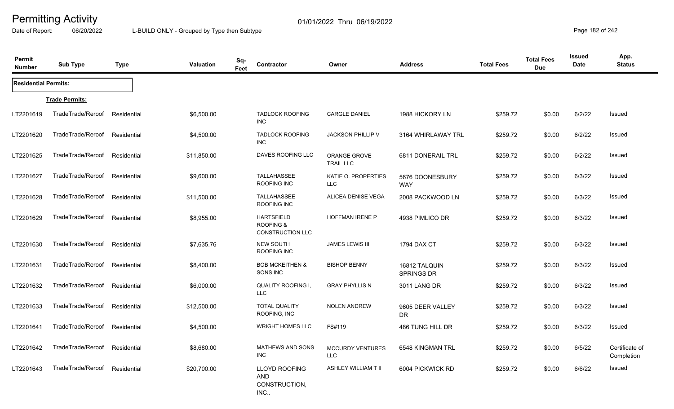Date of Report: 06/20/2022 L-BUILD ONLY - Grouped by Type then Subtype **Page 182 of 242** 

| Permit<br><b>Number</b>     | <b>Sub Type</b>               | <b>Type</b> | <b>Valuation</b> | Sq-<br>Contractor<br>Feet                                     | Owner                                 | <b>Address</b>                     | <b>Total Fees</b> | <b>Total Fees</b><br><b>Due</b> | <b>Issued</b><br>Date | App.<br><b>Status</b>        |
|-----------------------------|-------------------------------|-------------|------------------|---------------------------------------------------------------|---------------------------------------|------------------------------------|-------------------|---------------------------------|-----------------------|------------------------------|
| <b>Residential Permits:</b> |                               |             |                  |                                                               |                                       |                                    |                   |                                 |                       |                              |
|                             | <b>Trade Permits:</b>         |             |                  |                                                               |                                       |                                    |                   |                                 |                       |                              |
| LT2201619                   | TradeTrade/Reroof             | Residential | \$6,500.00       | <b>TADLOCK ROOFING</b><br>INC                                 | CARGLE DANIEL                         | 1988 HICKORY LN                    | \$259.72          | \$0.00                          | 6/2/22                | Issued                       |
| LT2201620                   | TradeTrade/Reroof             | Residential | \$4,500.00       | <b>TADLOCK ROOFING</b><br>INC                                 | <b>JACKSON PHILLIP V</b>              | 3164 WHIRLAWAY TRL                 | \$259.72          | \$0.00                          | 6/2/22                | Issued                       |
| LT2201625                   | TradeTrade/Reroof             | Residential | \$11,850.00      | DAVES ROOFING LLC                                             | ORANGE GROVE<br><b>TRAIL LLC</b>      | 6811 DONERAIL TRL                  | \$259.72          | \$0.00                          | 6/2/22                | Issued                       |
| LT2201627                   | TradeTrade/Reroof             | Residential | \$9,600.00       | <b>TALLAHASSEE</b><br>ROOFING INC                             | KATIE O. PROPERTIES<br><b>LLC</b>     | 5676 DOONESBURY<br><b>WAY</b>      | \$259.72          | \$0.00                          | 6/3/22                | Issued                       |
| LT2201628                   | TradeTrade/Reroof             | Residential | \$11,500.00      | TALLAHASSEE<br>ROOFING INC                                    | ALICEA DENISE VEGA                    | 2008 PACKWOOD LN                   | \$259.72          | \$0.00                          | 6/3/22                | Issued                       |
| LT2201629                   | TradeTrade/Reroof             | Residential | \$8,955.00       | <b>HARTSFIELD</b><br><b>ROOFING &amp;</b><br>CONSTRUCTION LLC | <b>HOFFMAN IRENE P</b>                | 4938 PIMLICO DR                    | \$259.72          | \$0.00                          | 6/3/22                | Issued                       |
| LT2201630                   | TradeTrade/Reroof             | Residential | \$7,635.76       | <b>NEW SOUTH</b><br>ROOFING INC                               | <b>JAMES LEWIS III</b>                | 1794 DAX CT                        | \$259.72          | \$0.00                          | 6/3/22                | <b>Issued</b>                |
| LT2201631                   | TradeTrade/Reroof             | Residential | \$8,400.00       | <b>BOB MCKEITHEN &amp;</b><br>SONS INC                        | <b>BISHOP BENNY</b>                   | 16812 TALQUIN<br><b>SPRINGS DR</b> | \$259.72          | \$0.00                          | 6/3/22                | <b>Issued</b>                |
| LT2201632                   | TradeTrade/Reroof             | Residential | \$6,000.00       | <b>QUALITY ROOFING I,</b><br><b>LLC</b>                       | <b>GRAY PHYLLIS N</b>                 | 3011 LANG DR                       | \$259.72          | \$0.00                          | 6/3/22                | Issued                       |
| LT2201633                   | TradeTrade/Reroof             | Residential | \$12,500.00      | <b>TOTAL QUALITY</b><br>ROOFING, INC                          | <b>NOLEN ANDREW</b>                   | 9605 DEER VALLEY<br>DR             | \$259.72          | \$0.00                          | 6/3/22                | Issued                       |
| LT2201641                   | TradeTrade/Reroof             | Residential | \$4,500.00       | <b>WRIGHT HOMES LLC</b>                                       | FS#119                                | 486 TUNG HILL DR                   | \$259.72          | \$0.00                          | 6/3/22                | <b>Issued</b>                |
| LT2201642                   | TradeTrade/Reroof             | Residential | \$8,680.00       | MATHEWS AND SONS<br>INC                                       | <b>MCCURDY VENTURES</b><br><b>LLC</b> | 6548 KINGMAN TRL                   | \$259.72          | \$0.00                          | 6/5/22                | Certificate of<br>Completion |
| LT2201643                   | TradeTrade/Reroof Residential |             | \$20,700.00      | LLOYD ROOFING<br><b>AND</b><br>CONSTRUCTION,<br>INC           | <b>ASHLEY WILLIAM T II</b>            | 6004 PICKWICK RD                   | \$259.72          | \$0.00                          | 6/6/22                | Issued                       |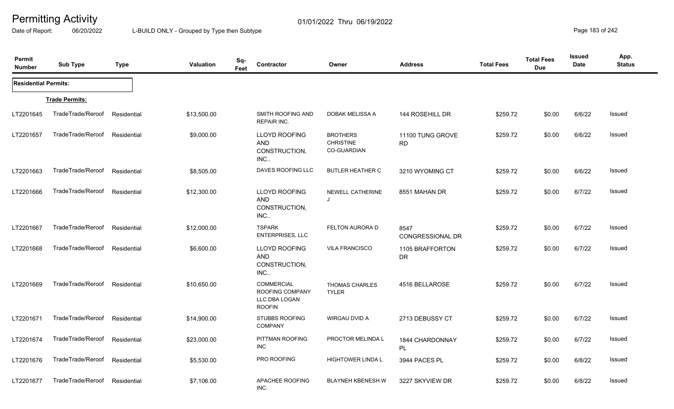Date of Report: 06/20/2022 L-BUILD ONLY - Grouped by Type then Subtype **Page 183 of 242** 

| Permit<br><b>Number</b>     | <b>Sub Type</b>       | <b>Type</b> | <b>Valuation</b> | Sq-<br>Contractor<br>Feet                                              | Owner                                                     | <b>Address</b>                  | <b>Total Fees</b> | <b>Total Fees</b><br><b>Due</b> | Issued<br>Date | App.<br><b>Status</b> |
|-----------------------------|-----------------------|-------------|------------------|------------------------------------------------------------------------|-----------------------------------------------------------|---------------------------------|-------------------|---------------------------------|----------------|-----------------------|
| <b>Residential Permits:</b> |                       |             |                  |                                                                        |                                                           |                                 |                   |                                 |                |                       |
|                             | <b>Trade Permits:</b> |             |                  |                                                                        |                                                           |                                 |                   |                                 |                |                       |
| LT2201645                   | TradeTrade/Reroof     | Residential | \$13,500.00      | SMITH ROOFING AND<br><b>REPAIR INC.</b>                                | DOBAK MELISSA A                                           | 144 ROSEHILL DR                 | \$259.72          | \$0.00                          | 6/6/22         | Issued                |
| LT2201657                   | TradeTrade/Reroof     | Residential | \$9,000.00       | <b>LLOYD ROOFING</b><br><b>AND</b><br>CONSTRUCTION,<br>INC.            | <b>BROTHERS</b><br><b>CHRISTINE</b><br><b>CO-GUARDIAN</b> | 11100 TUNG GROVE<br><b>RD</b>   | \$259.72          | \$0.00                          | 6/6/22         | Issued                |
| LT2201663                   | TradeTrade/Reroof     | Residential | \$8,505.00       | DAVES ROOFING LLC                                                      | <b>BUTLER HEATHER C</b>                                   | 3210 WYOMING CT                 | \$259.72          | \$0.00                          | 6/6/22         | Issued                |
| LT2201666                   | TradeTrade/Reroof     | Residential | \$12,300.00      | <b>LLOYD ROOFING</b><br><b>AND</b><br>CONSTRUCTION,<br>INC             | NEWELL CATHERINE<br>J                                     | 8551 MAHAN DR                   | \$259.72          | \$0.00                          | 6/7/22         | Issued                |
| LT2201667                   | TradeTrade/Reroof     | Residential | \$12,000.00      | <b>TSPARK</b><br>ENTERPRISES, LLC                                      | FELTON AURORA D                                           | 8547<br><b>CONGRESSIONAL DR</b> | \$259.72          | \$0.00                          | 6/7/22         | Issued                |
| LT2201668                   | TradeTrade/Reroof     | Residential | \$6,600.00       | LLOYD ROOFING<br>AND<br>CONSTRUCTION,<br>INC                           | <b>VILA FRANCISCO</b>                                     | 1105 BRAFFORTON<br><b>DR</b>    | \$259.72          | \$0.00                          | 6/7/22         | <b>Issued</b>         |
| LT2201669                   | TradeTrade/Reroof     | Residential | \$10,650.00      | <b>COMMERCIAL</b><br>ROOFING COMPANY<br>LLC DBA LOGAN<br><b>ROOFIN</b> | <b>THOMAS CHARLES</b><br><b>TYLER</b>                     | 4516 BELLAROSE                  | \$259.72          | \$0.00                          | 6/7/22         | Issued                |
| LT2201671                   | TradeTrade/Reroof     | Residential | \$14,900.00      | <b>STUBBS ROOFING</b><br><b>COMPANY</b>                                | WIRGAU DVID A                                             | 2713 DEBUSSY CT                 | \$259.72          | \$0.00                          | 6/7/22         | Issued                |
| LT2201674                   | TradeTrade/Reroof     | Residential | \$23,000.00      | PITTMAN ROOFING<br>INC                                                 | PROCTOR MELINDA L                                         | 1844 CHARDONNAY<br>PL           | \$259.72          | \$0.00                          | 6/7/22         | <b>Issued</b>         |
| LT2201676                   | TradeTrade/Reroof     | Residential | \$5,530.00       | PRO ROOFING                                                            | <b>HIGHTOWER LINDA L</b>                                  | 3944 PACES PL                   | \$259.72          | \$0.00                          | 6/8/22         | Issued                |
| LT2201677                   | TradeTrade/Reroof     | Residential | \$7,106.00       | APACHEE ROOFING<br>INC.                                                | <b>BLAYNEH KBENESH W</b>                                  | 3227 SKYVIEW DR                 | \$259.72          | \$0.00                          | 6/8/22         | Issued                |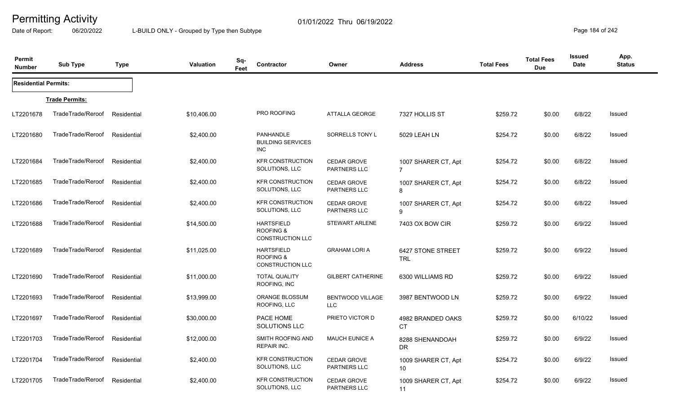Date of Report: 06/20/2022 L-BUILD ONLY - Grouped by Type then Subtype **Page 184** of 242

| Permit<br><b>Number</b>     | <b>Sub Type</b>       | <b>Type</b> | <b>Valuation</b> | Sq-<br>Feet | Contractor                                                           | Owner                                     | <b>Address</b>                        | <b>Total Fees</b> | <b>Total Fees</b><br><b>Due</b> | Issued<br>Date | App.<br><b>Status</b> |
|-----------------------------|-----------------------|-------------|------------------|-------------|----------------------------------------------------------------------|-------------------------------------------|---------------------------------------|-------------------|---------------------------------|----------------|-----------------------|
| <b>Residential Permits:</b> |                       |             |                  |             |                                                                      |                                           |                                       |                   |                                 |                |                       |
|                             | <b>Trade Permits:</b> |             |                  |             |                                                                      |                                           |                                       |                   |                                 |                |                       |
| LT2201678                   | TradeTrade/Reroof     | Residential | \$10,406.00      |             | PRO ROOFING                                                          | ATTALLA GEORGE                            | 7327 HOLLIS ST                        | \$259.72          | \$0.00                          | 6/8/22         | Issued                |
| LT2201680                   | TradeTrade/Reroof     | Residential | \$2,400.00       |             | PANHANDLE<br><b>BUILDING SERVICES</b><br>INC                         | SORRELLS TONY L                           | 5029 LEAH LN                          | \$254.72          | \$0.00                          | 6/8/22         | Issued                |
| LT2201684                   | TradeTrade/Reroof     | Residential | \$2,400.00       |             | <b>KFR CONSTRUCTION</b><br>SOLUTIONS, LLC                            | <b>CEDAR GROVE</b><br>PARTNERS LLC        | 1007 SHARER CT, Apt<br>$\overline{7}$ | \$254.72          | \$0.00                          | 6/8/22         | <b>Issued</b>         |
| LT2201685                   | TradeTrade/Reroof     | Residential | \$2,400.00       |             | <b>KFR CONSTRUCTION</b><br>SOLUTIONS, LLC                            | <b>CEDAR GROVE</b><br><b>PARTNERS LLC</b> | 1007 SHARER CT, Apt<br>8              | \$254.72          | \$0.00                          | 6/8/22         | Issued                |
| LT2201686                   | TradeTrade/Reroof     | Residential | \$2,400.00       |             | <b>KFR CONSTRUCTION</b><br>SOLUTIONS, LLC                            | <b>CEDAR GROVE</b><br><b>PARTNERS LLC</b> | 1007 SHARER CT, Apt<br>9              | \$254.72          | \$0.00                          | 6/8/22         | <b>Issued</b>         |
| LT2201688                   | TradeTrade/Reroof     | Residential | \$14,500.00      |             | <b>HARTSFIELD</b><br><b>ROOFING &amp;</b><br><b>CONSTRUCTION LLC</b> | <b>STEWART ARLENE</b>                     | 7403 OX BOW CIR                       | \$259.72          | \$0.00                          | 6/9/22         | Issued                |
| LT2201689                   | TradeTrade/Reroof     | Residential | \$11,025.00      |             | <b>HARTSFIELD</b><br><b>ROOFING &amp;</b><br>CONSTRUCTION LLC        | <b>GRAHAM LORI A</b>                      | 6427 STONE STREET<br><b>TRL</b>       | \$259.72          | \$0.00                          | 6/9/22         | Issued                |
| LT2201690                   | TradeTrade/Reroof     | Residential | \$11,000.00      |             | <b>TOTAL QUALITY</b><br>ROOFING, INC                                 | <b>GILBERT CATHERINE</b>                  | 6300 WILLIAMS RD                      | \$259.72          | \$0.00                          | 6/9/22         | <b>Issued</b>         |
| LT2201693                   | TradeTrade/Reroof     | Residential | \$13,999.00      |             | ORANGE BLOSSUM<br>ROOFING, LLC                                       | <b>BENTWOOD VILLAGE</b><br>LLC            | 3987 BENTWOOD LN                      | \$259.72          | \$0.00                          | 6/9/22         | Issued                |
| LT2201697                   | TradeTrade/Reroof     | Residential | \$30,000.00      |             | PACE HOME<br>SOLUTIONS LLC                                           | PRIETO VICTOR D                           | 4982 BRANDED OAKS<br>CT.              | \$259.72          | \$0.00                          | 6/10/22        | Issued                |
| LT2201703                   | TradeTrade/Reroof     | Residential | \$12,000.00      |             | SMITH ROOFING AND<br><b>REPAIR INC.</b>                              | <b>MAUCH EUNICE A</b>                     | 8288 SHENANDOAH<br>DR.                | \$259.72          | \$0.00                          | 6/9/22         | Issued                |
| LT2201704                   | TradeTrade/Reroof     | Residential | \$2,400.00       |             | <b>KFR CONSTRUCTION</b><br>SOLUTIONS, LLC                            | <b>CEDAR GROVE</b><br>PARTNERS LLC        | 1009 SHARER CT, Apt<br>10             | \$254.72          | \$0.00                          | 6/9/22         | Issued                |
| LT2201705                   | TradeTrade/Reroof     | Residential | \$2,400.00       |             | <b>KFR CONSTRUCTION</b><br>SOLUTIONS, LLC                            | <b>CEDAR GROVE</b><br>PARTNERS LLC        | 1009 SHARER CT, Apt<br>11             | \$254.72          | \$0.00                          | 6/9/22         | Issued                |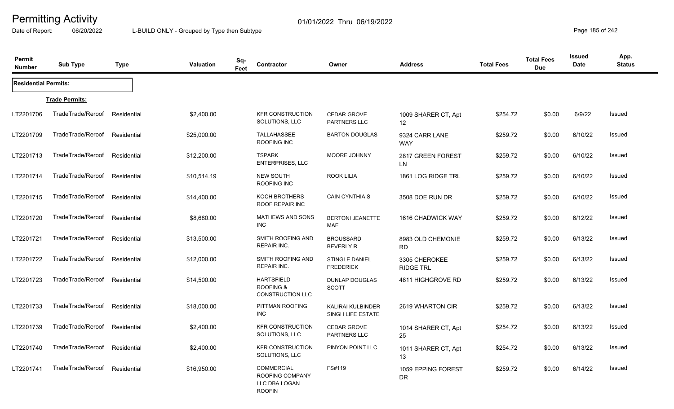Date of Report: 06/20/2022 L-BUILD ONLY - Grouped by Type then Subtype **Page 185** of 242

| Permit<br><b>Number</b>     | <b>Sub Type</b>       | <b>Type</b> | <b>Valuation</b> | Sq-<br>Feet | Contractor                                                             | Owner                                         | <b>Address</b>                           | <b>Total Fees</b> | <b>Total Fees</b><br><b>Due</b> | Issued<br>Date | App.<br><b>Status</b> |
|-----------------------------|-----------------------|-------------|------------------|-------------|------------------------------------------------------------------------|-----------------------------------------------|------------------------------------------|-------------------|---------------------------------|----------------|-----------------------|
| <b>Residential Permits:</b> |                       |             |                  |             |                                                                        |                                               |                                          |                   |                                 |                |                       |
|                             | <b>Trade Permits:</b> |             |                  |             |                                                                        |                                               |                                          |                   |                                 |                |                       |
| LT2201706                   | TradeTrade/Reroof     | Residential | \$2,400.00       |             | <b>KFR CONSTRUCTION</b><br>SOLUTIONS, LLC                              | CEDAR GROVE<br><b>PARTNERS LLC</b>            | 1009 SHARER CT, Apt<br>$12 \overline{ }$ | \$254.72          | \$0.00                          | 6/9/22         | Issued                |
| LT2201709                   | TradeTrade/Reroof     | Residential | \$25,000.00      |             | <b>TALLAHASSEE</b><br>ROOFING INC                                      | <b>BARTON DOUGLAS</b>                         | 9324 CARR LANE<br><b>WAY</b>             | \$259.72          | \$0.00                          | 6/10/22        | <b>Issued</b>         |
| LT2201713                   | TradeTrade/Reroof     | Residential | \$12,200.00      |             | <b>TSPARK</b><br><b>ENTERPRISES, LLC</b>                               | MOORE JOHNNY                                  | 2817 GREEN FOREST<br><b>LN</b>           | \$259.72          | \$0.00                          | 6/10/22        | Issued                |
| LT2201714                   | TradeTrade/Reroof     | Residential | \$10,514.19      |             | <b>NEW SOUTH</b><br>ROOFING INC                                        | ROOK LILIA                                    | 1861 LOG RIDGE TRL                       | \$259.72          | \$0.00                          | 6/10/22        | <b>Issued</b>         |
| LT2201715                   | TradeTrade/Reroof     | Residential | \$14,400.00      |             | KOCH BROTHERS<br>ROOF REPAIR INC                                       | <b>CAIN CYNTHIA S</b>                         | 3508 DOE RUN DR                          | \$259.72          | \$0.00                          | 6/10/22        | Issued                |
| LT2201720                   | TradeTrade/Reroof     | Residential | \$8,680.00       |             | <b>MATHEWS AND SONS</b><br><b>INC</b>                                  | <b>BERTONI JEANETTE</b><br>MAE                | 1616 CHADWICK WAY                        | \$259.72          | \$0.00                          | 6/12/22        | Issued                |
| LT2201721                   | TradeTrade/Reroof     | Residential | \$13,500.00      |             | SMITH ROOFING AND<br><b>REPAIR INC.</b>                                | <b>BROUSSARD</b><br><b>BEVERLY R</b>          | 8983 OLD CHEMONIE<br><b>RD</b>           | \$259.72          | \$0.00                          | 6/13/22        | Issued                |
| LT2201722                   | TradeTrade/Reroof     | Residential | \$12,000.00      |             | <b>SMITH ROOFING AND</b><br><b>REPAIR INC.</b>                         | <b>STINGLE DANIEL</b><br><b>FREDERICK</b>     | 3305 CHEROKEE<br><b>RIDGE TRL</b>        | \$259.72          | \$0.00                          | 6/13/22        | Issued                |
| LT2201723                   | TradeTrade/Reroof     | Residential | \$14,500.00      |             | <b>HARTSFIELD</b><br><b>ROOFING &amp;</b><br><b>CONSTRUCTION LLC</b>   | <b>DUNLAP DOUGLAS</b><br><b>SCOTT</b>         | 4811 HIGHGROVE RD                        | \$259.72          | \$0.00                          | 6/13/22        | Issued                |
| LT2201733                   | TradeTrade/Reroof     | Residential | \$18,000.00      |             | PITTMAN ROOFING<br>INC                                                 | <b>KALIRAI KULBINDER</b><br>SINGH LIFE ESTATE | 2619 WHARTON CIR                         | \$259.72          | \$0.00                          | 6/13/22        | Issued                |
| LT2201739                   | TradeTrade/Reroof     | Residential | \$2,400.00       |             | <b>KFR CONSTRUCTION</b><br>SOLUTIONS, LLC                              | <b>CEDAR GROVE</b><br>PARTNERS LLC            | 1014 SHARER CT, Apt<br>25                | \$254.72          | \$0.00                          | 6/13/22        | Issued                |
| LT2201740                   | TradeTrade/Reroof     | Residential | \$2,400.00       |             | <b>KFR CONSTRUCTION</b><br>SOLUTIONS, LLC                              | PINYON POINT LLC                              | 1011 SHARER CT, Apt<br>13                | \$254.72          | \$0.00                          | 6/13/22        | Issued                |
| LT2201741                   | TradeTrade/Reroof     | Residential | \$16,950.00      |             | <b>COMMERCIAL</b><br>ROOFING COMPANY<br>LLC DBA LOGAN<br><b>ROOFIN</b> | FS#119                                        | 1059 EPPING FOREST<br><b>DR</b>          | \$259.72          | \$0.00                          | 6/14/22        | Issued                |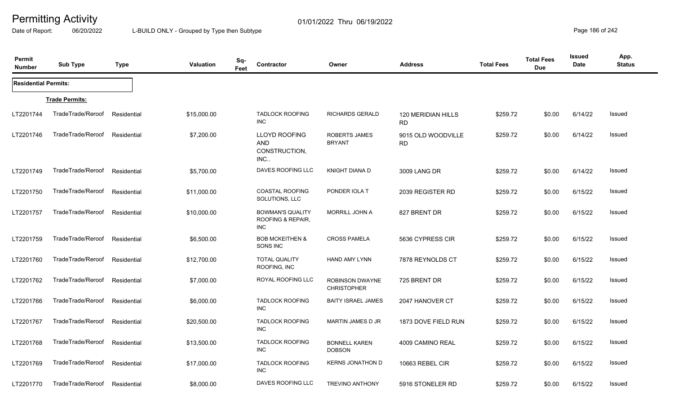Date of Report: 06/20/2022 L-BUILD ONLY - Grouped by Type then Subtype **Page 186** of 242

| Permit<br><b>Number</b>     | <b>Sub Type</b>       | <b>Type</b> | <b>Valuation</b> | Sq-<br>Feet | <b>Contractor</b>                                    | Owner                                        | <b>Address</b>                  | <b>Total Fees</b> | <b>Total Fees</b><br><b>Due</b> | <b>Issued</b><br><b>Date</b> | App.<br><b>Status</b> |
|-----------------------------|-----------------------|-------------|------------------|-------------|------------------------------------------------------|----------------------------------------------|---------------------------------|-------------------|---------------------------------|------------------------------|-----------------------|
| <b>Residential Permits:</b> |                       |             |                  |             |                                                      |                                              |                                 |                   |                                 |                              |                       |
|                             | <b>Trade Permits:</b> |             |                  |             |                                                      |                                              |                                 |                   |                                 |                              |                       |
| LT2201744                   | TradeTrade/Reroof     | Residential | \$15,000.00      |             | <b>TADLOCK ROOFING</b><br><b>INC</b>                 | <b>RICHARDS GERALD</b>                       | 120 MERIDIAN HILLS<br><b>RD</b> | \$259.72          | \$0.00                          | 6/14/22                      | Issued                |
| LT2201746                   | TradeTrade/Reroof     | Residential | \$7,200.00       |             | LLOYD ROOFING<br><b>AND</b><br>CONSTRUCTION,<br>INC  | <b>ROBERTS JAMES</b><br><b>BRYANT</b>        | 9015 OLD WOODVILLE<br><b>RD</b> | \$259.72          | \$0.00                          | 6/14/22                      | Issued                |
| LT2201749                   | TradeTrade/Reroof     | Residential | \$5,700.00       |             | DAVES ROOFING LLC                                    | <b>KNIGHT DIANA D</b>                        | 3009 LANG DR                    | \$259.72          | \$0.00                          | 6/14/22                      | Issued                |
| LT2201750                   | TradeTrade/Reroof     | Residential | \$11,000.00      |             | <b>COASTAL ROOFING</b><br>SOLUTIONS, LLC             | PONDER IOLA T                                | 2039 REGISTER RD                | \$259.72          | \$0.00                          | 6/15/22                      | Issued                |
| LT2201757                   | TradeTrade/Reroof     | Residential | \$10,000.00      |             | <b>BOWMAN'S QUALITY</b><br>ROOFING & REPAIR,<br>INC. | <b>MORRILL JOHN A</b>                        | 827 BRENT DR                    | \$259.72          | \$0.00                          | 6/15/22                      | Issued                |
| LT2201759                   | TradeTrade/Reroof     | Residential | \$6,500.00       |             | <b>BOB MCKEITHEN &amp;</b><br>SONS INC               | <b>CROSS PAMELA</b>                          | 5636 CYPRESS CIR                | \$259.72          | \$0.00                          | 6/15/22                      | Issued                |
| LT2201760                   | TradeTrade/Reroof     | Residential | \$12,700.00      |             | <b>TOTAL QUALITY</b><br>ROOFING, INC                 | <b>HAND AMY LYNN</b>                         | 7878 REYNOLDS CT                | \$259.72          | \$0.00                          | 6/15/22                      | <b>Issued</b>         |
| LT2201762                   | TradeTrade/Reroof     | Residential | \$7,000.00       |             | ROYAL ROOFING LLC                                    | <b>ROBINSON DWAYNE</b><br><b>CHRISTOPHER</b> | 725 BRENT DR                    | \$259.72          | \$0.00                          | 6/15/22                      | <b>Issued</b>         |
| LT2201766                   | TradeTrade/Reroof     | Residential | \$6,000.00       |             | <b>TADLOCK ROOFING</b><br>INC                        | <b>BAITY ISRAEL JAMES</b>                    | 2047 HANOVER CT                 | \$259.72          | \$0.00                          | 6/15/22                      | Issued                |
| LT2201767                   | TradeTrade/Reroof     | Residential | \$20,500.00      |             | <b>TADLOCK ROOFING</b><br><b>INC</b>                 | <b>MARTIN JAMES D JR</b>                     | 1873 DOVE FIELD RUN             | \$259.72          | \$0.00                          | 6/15/22                      | Issued                |
| LT2201768                   | TradeTrade/Reroof     | Residential | \$13,500.00      |             | <b>TADLOCK ROOFING</b><br><b>INC</b>                 | <b>BONNELL KAREN</b><br><b>DOBSON</b>        | 4009 CAMINO REAL                | \$259.72          | \$0.00                          | 6/15/22                      | <b>Issued</b>         |
| LT2201769                   | TradeTrade/Reroof     | Residential | \$17,000.00      |             | <b>TADLOCK ROOFING</b><br>INC.                       | <b>KERNS JONATHON D</b>                      | 10663 REBEL CIR                 | \$259.72          | \$0.00                          | 6/15/22                      | <b>Issued</b>         |
| LT2201770                   | TradeTrade/Reroof     | Residential | \$8,000.00       |             | DAVES ROOFING LLC                                    | <b>TREVINO ANTHONY</b>                       | 5916 STONELER RD                | \$259.72          | \$0.00                          | 6/15/22                      | Issued                |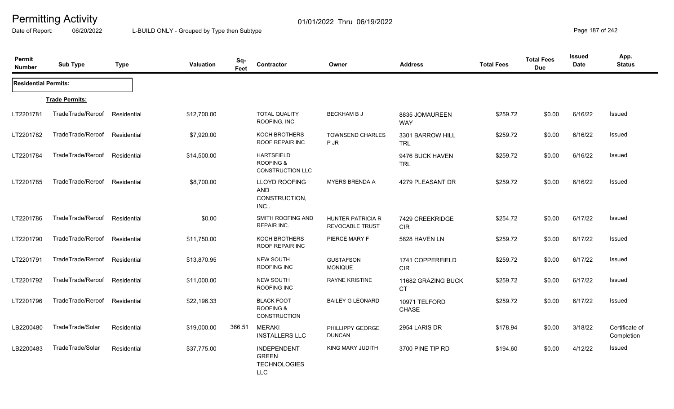Date of Report: 06/20/2022 L-BUILD ONLY - Grouped by Type then Subtype **Page 187** of 242

| Permit<br><b>Number</b>     | <b>Sub Type</b>       | <b>Type</b> | <b>Valuation</b> | Sq-<br>Feet | Contractor                                                              | Owner                                              | <b>Address</b>                  | <b>Total Fees</b> | <b>Total Fees</b><br><b>Due</b> | Issued<br>Date | App.<br><b>Status</b>        |
|-----------------------------|-----------------------|-------------|------------------|-------------|-------------------------------------------------------------------------|----------------------------------------------------|---------------------------------|-------------------|---------------------------------|----------------|------------------------------|
| <b>Residential Permits:</b> |                       |             |                  |             |                                                                         |                                                    |                                 |                   |                                 |                |                              |
|                             | <b>Trade Permits:</b> |             |                  |             |                                                                         |                                                    |                                 |                   |                                 |                |                              |
| LT2201781                   | TradeTrade/Reroof     | Residential | \$12,700.00      |             | <b>TOTAL QUALITY</b><br>ROOFING, INC                                    | <b>BECKHAM B J</b>                                 | 8835 JOMAUREEN<br><b>WAY</b>    | \$259.72          | \$0.00                          | 6/16/22        | Issued                       |
| LT2201782                   | TradeTrade/Reroof     | Residential | \$7,920.00       |             | <b>KOCH BROTHERS</b><br><b>ROOF REPAIR INC</b>                          | <b>TOWNSEND CHARLES</b><br>P JR                    | 3301 BARROW HILL<br><b>TRL</b>  | \$259.72          | \$0.00                          | 6/16/22        | Issued                       |
| LT2201784                   | TradeTrade/Reroof     | Residential | \$14,500.00      |             | <b>HARTSFIELD</b><br><b>ROOFING &amp;</b><br>CONSTRUCTION LLC           |                                                    | 9476 BUCK HAVEN<br><b>TRL</b>   | \$259.72          | \$0.00                          | 6/16/22        | Issued                       |
| LT2201785                   | TradeTrade/Reroof     | Residential | \$8,700.00       |             | <b>LLOYD ROOFING</b><br>AND<br>CONSTRUCTION,<br>INC                     | <b>MYERS BRENDA A</b>                              | 4279 PLEASANT DR                | \$259.72          | \$0.00                          | 6/16/22        | Issued                       |
| LT2201786                   | TradeTrade/Reroof     | Residential | \$0.00           |             | SMITH ROOFING AND<br><b>REPAIR INC.</b>                                 | <b>HUNTER PATRICIA R</b><br><b>REVOCABLE TRUST</b> | 7429 CREEKRIDGE<br><b>CIR</b>   | \$254.72          | \$0.00                          | 6/17/22        | Issued                       |
| LT2201790                   | TradeTrade/Reroof     | Residential | \$11,750.00      |             | <b>KOCH BROTHERS</b><br>ROOF REPAIR INC                                 | PIERCE MARY F                                      | 5828 HAVEN LN                   | \$259.72          | \$0.00                          | 6/17/22        | Issued                       |
| LT2201791                   | TradeTrade/Reroof     | Residential | \$13,870.95      |             | NEW SOUTH<br>ROOFING INC                                                | <b>GUSTAFSON</b><br><b>MONIQUE</b>                 | 1741 COPPERFIELD<br><b>CIR</b>  | \$259.72          | \$0.00                          | 6/17/22        | Issued                       |
| LT2201792                   | TradeTrade/Reroof     | Residential | \$11,000.00      |             | NEW SOUTH<br><b>ROOFING INC</b>                                         | <b>RAYNE KRISTINE</b>                              | 11682 GRAZING BUCK<br><b>CT</b> | \$259.72          | \$0.00                          | 6/17/22        | Issued                       |
| LT2201796                   | TradeTrade/Reroof     | Residential | \$22,196.33      |             | <b>BLACK FOOT</b><br><b>ROOFING &amp;</b><br>CONSTRUCTION               | <b>BAILEY G LEONARD</b>                            | 10971 TELFORD<br>CHASE          | \$259.72          | \$0.00                          | 6/17/22        | Issued                       |
| LB2200480                   | TradeTrade/Solar      | Residential | \$19,000.00      | 366.51      | <b>MERAKI</b><br><b>INSTALLERS LLC</b>                                  | PHILLIPPY GEORGE<br><b>DUNCAN</b>                  | 2954 LARIS DR                   | \$178.94          | \$0.00                          | 3/18/22        | Certificate of<br>Completion |
| LB2200483                   | TradeTrade/Solar      | Residential | \$37,775.00      |             | <b>INDEPENDENT</b><br><b>GREEN</b><br><b>TECHNOLOGIES</b><br><b>LLC</b> | KING MARY JUDITH                                   | 3700 PINE TIP RD                | \$194.60          | \$0.00                          | 4/12/22        | Issued                       |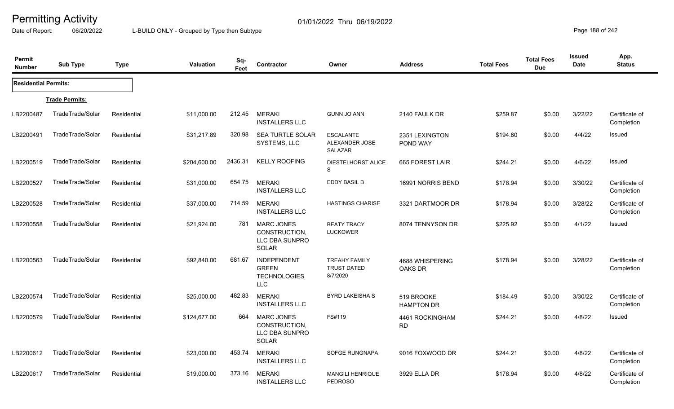Date of Report: 06/20/2022 L-BUILD ONLY - Grouped by Type then Subtype **Page 188** of 242

| Permit<br><b>Number</b>     | <b>Sub Type</b>       | <b>Type</b> | <b>Valuation</b> | Sq-<br>Feet | Contractor                                                              | Owner                                                  | <b>Address</b>                  | <b>Total Fees</b> | <b>Total Fees</b><br><b>Due</b> | <b>Issued</b><br><b>Date</b> | App.<br><b>Status</b>        |
|-----------------------------|-----------------------|-------------|------------------|-------------|-------------------------------------------------------------------------|--------------------------------------------------------|---------------------------------|-------------------|---------------------------------|------------------------------|------------------------------|
| <b>Residential Permits:</b> |                       |             |                  |             |                                                                         |                                                        |                                 |                   |                                 |                              |                              |
|                             | <b>Trade Permits:</b> |             |                  |             |                                                                         |                                                        |                                 |                   |                                 |                              |                              |
| LB2200487                   | TradeTrade/Solar      | Residential | \$11,000.00      | 212.45      | <b>MERAKI</b><br><b>INSTALLERS LLC</b>                                  | <b>GUNN JO ANN</b>                                     | 2140 FAULK DR                   | \$259.87          | \$0.00                          | 3/22/22                      | Certificate of<br>Completion |
| LB2200491                   | TradeTrade/Solar      | Residential | \$31,217.89      | 320.98      | <b>SEA TURTLE SOLAR</b><br>SYSTEMS, LLC                                 | <b>ESCALANTE</b><br>ALEXANDER JOSE<br>SALAZAR          | 2351 LEXINGTON<br>POND WAY      | \$194.60          | \$0.00                          | 4/4/22                       | Issued                       |
| LB2200519                   | TradeTrade/Solar      | Residential | \$204,600.00     | 2436.31     | <b>KELLY ROOFING</b>                                                    | <b>DIESTELHORST ALICE</b><br>S                         | 665 FOREST LAIR                 | \$244.21          | \$0.00                          | 4/6/22                       | Issued                       |
| LB2200527                   | TradeTrade/Solar      | Residential | \$31,000.00      | 654.75      | <b>MERAKI</b><br><b>INSTALLERS LLC</b>                                  | EDDY BASIL B                                           | 16991 NORRIS BEND               | \$178.94          | \$0.00                          | 3/30/22                      | Certificate of<br>Completion |
| LB2200528                   | TradeTrade/Solar      | Residential | \$37,000.00      | 714.59      | <b>MERAKI</b><br><b>INSTALLERS LLC</b>                                  | <b>HASTINGS CHARISE</b>                                | 3321 DARTMOOR DR                | \$178.94          | \$0.00                          | 3/28/22                      | Certificate of<br>Completion |
| LB2200558                   | TradeTrade/Solar      | Residential | \$21,924.00      | 781         | <b>MARC JONES</b><br>CONSTRUCTION,<br>LLC DBA SUNPRO<br>SOLAR           | <b>BEATY TRACY</b><br><b>LUCKOWER</b>                  | 8074 TENNYSON DR                | \$225.92          | \$0.00                          | 4/1/22                       | Issued                       |
| LB2200563                   | TradeTrade/Solar      | Residential | \$92,840.00      | 681.67      | <b>INDEPENDENT</b><br><b>GREEN</b><br><b>TECHNOLOGIES</b><br><b>LLC</b> | <b>TREAHY FAMILY</b><br><b>TRUST DATED</b><br>8/7/2020 | 4688 WHISPERING<br>OAKS DR      | \$178.94          | \$0.00                          | 3/28/22                      | Certificate of<br>Completion |
| LB2200574                   | TradeTrade/Solar      | Residential | \$25,000.00      | 482.83      | <b>MERAKI</b><br><b>INSTALLERS LLC</b>                                  | <b>BYRD LAKEISHA S</b>                                 | 519 BROOKE<br><b>HAMPTON DR</b> | \$184.49          | \$0.00                          | 3/30/22                      | Certificate of<br>Completion |
| LB2200579                   | TradeTrade/Solar      | Residential | \$124,677.00     | 664         | <b>MARC JONES</b><br>CONSTRUCTION,<br>LLC DBA SUNPRO<br>SOLAR           | FS#119                                                 | 4461 ROCKINGHAM<br>RD           | \$244.21          | \$0.00                          | 4/8/22                       | Issued                       |
| LB2200612                   | TradeTrade/Solar      | Residential | \$23,000.00      | 453.74      | <b>MERAKI</b><br><b>INSTALLERS LLC</b>                                  | SOFGE RUNGNAPA                                         | 9016 FOXWOOD DR                 | \$244.21          | \$0.00                          | 4/8/22                       | Certificate of<br>Completion |
| LB2200617                   | TradeTrade/Solar      | Residential | \$19,000.00      | 373.16      | <b>MERAKI</b><br><b>INSTALLERS LLC</b>                                  | <b>MANGILI HENRIQUE</b><br><b>PEDROSO</b>              | 3929 ELLA DR                    | \$178.94          | \$0.00                          | 4/8/22                       | Certificate of<br>Completion |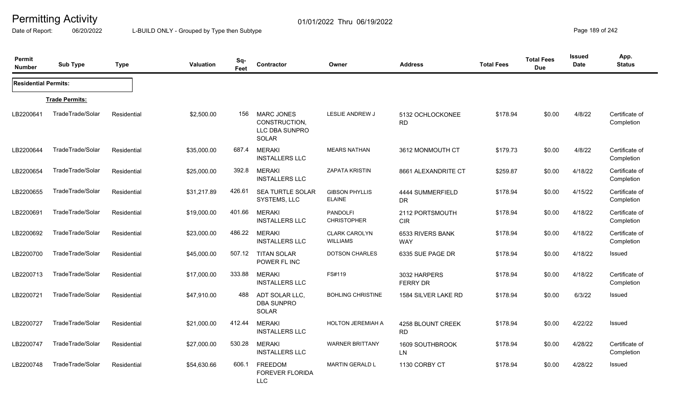Date of Report: 06/20/2022 L-BUILD ONLY - Grouped by Type then Subtype **Page 189 of 242** 

| Permit<br><b>Number</b>     | <b>Sub Type</b>       | <b>Type</b> | <b>Valuation</b> | Sq-<br>Feet | Contractor                                                           | Owner                                   | <b>Address</b>                  | <b>Total Fees</b> | <b>Total Fees</b><br><b>Due</b> | Issued<br><b>Date</b> | App.<br><b>Status</b>        |
|-----------------------------|-----------------------|-------------|------------------|-------------|----------------------------------------------------------------------|-----------------------------------------|---------------------------------|-------------------|---------------------------------|-----------------------|------------------------------|
| <b>Residential Permits:</b> |                       |             |                  |             |                                                                      |                                         |                                 |                   |                                 |                       |                              |
|                             | <b>Trade Permits:</b> |             |                  |             |                                                                      |                                         |                                 |                   |                                 |                       |                              |
| LB2200641                   | TradeTrade/Solar      | Residential | \$2,500.00       | 156         | <b>MARC JONES</b><br>CONSTRUCTION,<br>LLC DBA SUNPRO<br><b>SOLAR</b> | <b>LESLIE ANDREW J</b>                  | 5132 OCHLOCKONEE<br><b>RD</b>   | \$178.94          | \$0.00                          | 4/8/22                | Certificate of<br>Completion |
| LB2200644                   | TradeTrade/Solar      | Residential | \$35,000.00      | 687.4       | <b>MERAKI</b><br><b>INSTALLERS LLC</b>                               | <b>MEARS NATHAN</b>                     | 3612 MONMOUTH CT                | \$179.73          | \$0.00                          | 4/8/22                | Certificate of<br>Completion |
| LB2200654                   | TradeTrade/Solar      | Residential | \$25,000.00      | 392.8       | <b>MERAKI</b><br><b>INSTALLERS LLC</b>                               | <b>ZAPATA KRISTIN</b>                   | 8661 ALEXANDRITE CT             | \$259.87          | \$0.00                          | 4/18/22               | Certificate of<br>Completion |
| LB2200655                   | TradeTrade/Solar      | Residential | \$31,217.89      | 426.61      | <b>SEA TURTLE SOLAR</b><br>SYSTEMS, LLC                              | <b>GIBSON PHYLLIS</b><br><b>ELAINE</b>  | 4444 SUMMERFIELD<br><b>DR</b>   | \$178.94          | \$0.00                          | 4/15/22               | Certificate of<br>Completion |
| LB2200691                   | TradeTrade/Solar      | Residential | \$19,000.00      | 401.66      | <b>MERAKI</b><br><b>INSTALLERS LLC</b>                               | <b>PANDOLFI</b><br><b>CHRISTOPHER</b>   | 2112 PORTSMOUTH<br><b>CIR</b>   | \$178.94          | \$0.00                          | 4/18/22               | Certificate of<br>Completion |
| LB2200692                   | TradeTrade/Solar      | Residential | \$23,000.00      | 486.22      | <b>MERAKI</b><br><b>INSTALLERS LLC</b>                               | <b>CLARK CAROLYN</b><br><b>WILLIAMS</b> | 6533 RIVERS BANK<br><b>WAY</b>  | \$178.94          | \$0.00                          | 4/18/22               | Certificate of<br>Completion |
| LB2200700                   | TradeTrade/Solar      | Residential | \$45,000.00      | 507.12      | <b>TITAN SOLAR</b><br>POWER FL INC                                   | <b>DOTSON CHARLES</b>                   | 6335 SUE PAGE DR                | \$178.94          | \$0.00                          | 4/18/22               | Issued                       |
| LB2200713                   | TradeTrade/Solar      | Residential | \$17,000.00      | 333.88      | <b>MERAKI</b><br><b>INSTALLERS LLC</b>                               | FS#119                                  | 3032 HARPERS<br><b>FERRY DR</b> | \$178.94          | \$0.00                          | 4/18/22               | Certificate of<br>Completion |
| LB2200721                   | TradeTrade/Solar      | Residential | \$47,910.00      | 488         | ADT SOLAR LLC,<br><b>DBA SUNPRO</b><br>SOLAR                         | <b>BOHLING CHRISTINE</b>                | 1584 SILVER LAKE RD             | \$178.94          | \$0.00                          | 6/3/22                | Issued                       |
| LB2200727                   | TradeTrade/Solar      | Residential | \$21,000.00      | 412.44      | <b>MERAKI</b><br><b>INSTALLERS LLC</b>                               | <b>HOLTON JEREMIAH A</b>                | 4258 BLOUNT CREEK<br><b>RD</b>  | \$178.94          | \$0.00                          | 4/22/22               | Issued                       |
| LB2200747                   | TradeTrade/Solar      | Residential | \$27,000.00      | 530.28      | <b>MERAKI</b><br><b>INSTALLERS LLC</b>                               | <b>WARNER BRITTANY</b>                  | 1609 SOUTHBROOK<br>LN           | \$178.94          | \$0.00                          | 4/28/22               | Certificate of<br>Completion |
| LB2200748                   | TradeTrade/Solar      | Residential | \$54,630.66      | 606.1       | FREEDOM<br><b>FOREVER FLORIDA</b><br><b>LLC</b>                      | <b>MARTIN GERALD L</b>                  | 1130 CORBY CT                   | \$178.94          | \$0.00                          | 4/28/22               | Issued                       |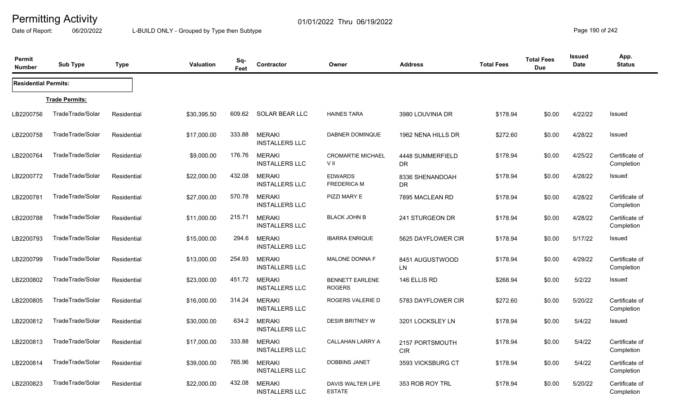Date of Report: 06/20/2022 L-BUILD ONLY - Grouped by Type then Subtype **Page 190** of 242

| Permit<br><b>Number</b>     | <b>Sub Type</b>       | <b>Type</b> | <b>Valuation</b> | Sq-<br>Feet | Contractor                             | Owner                                   | <b>Address</b>                | <b>Total Fees</b> | <b>Total Fees</b><br><b>Due</b> | <b>Issued</b><br>Date | App.<br><b>Status</b>        |
|-----------------------------|-----------------------|-------------|------------------|-------------|----------------------------------------|-----------------------------------------|-------------------------------|-------------------|---------------------------------|-----------------------|------------------------------|
| <b>Residential Permits:</b> |                       |             |                  |             |                                        |                                         |                               |                   |                                 |                       |                              |
|                             | <b>Trade Permits:</b> |             |                  |             |                                        |                                         |                               |                   |                                 |                       |                              |
| LB2200756                   | TradeTrade/Solar      | Residential | \$30,395.50      | 609.62      | <b>SOLAR BEAR LLC</b>                  | <b>HAINES TARA</b>                      | 3980 LOUVINIA DR              | \$178.94          | \$0.00                          | 4/22/22               | Issued                       |
| LB2200758                   | TradeTrade/Solar      | Residential | \$17,000.00      | 333.88      | <b>MERAKI</b><br><b>INSTALLERS LLC</b> | DABNER DOMINQUE                         | 1962 NENA HILLS DR            | \$272.60          | \$0.00                          | 4/28/22               | <b>Issued</b>                |
| LB2200764                   | TradeTrade/Solar      | Residential | \$9,000.00       | 176.76      | <b>MERAKI</b><br><b>INSTALLERS LLC</b> | <b>CROMARTIE MICHAEL</b><br>V II        | 4448 SUMMERFIELD<br><b>DR</b> | \$178.94          | \$0.00                          | 4/25/22               | Certificate of<br>Completion |
| LB2200772                   | TradeTrade/Solar      | Residential | \$22,000.00      | 432.08      | <b>MERAKI</b><br><b>INSTALLERS LLC</b> | <b>EDWARDS</b><br><b>FREDERICA M</b>    | 8336 SHENANDOAH<br><b>DR</b>  | \$178.94          | \$0.00                          | 4/28/22               | Issued                       |
| LB2200781                   | TradeTrade/Solar      | Residential | \$27,000.00      | 570.78      | <b>MERAKI</b><br><b>INSTALLERS LLC</b> | PIZZI MARY E                            | 7895 MACLEAN RD               | \$178.94          | \$0.00                          | 4/28/22               | Certificate of<br>Completion |
| LB2200788                   | TradeTrade/Solar      | Residential | \$11,000.00      | 215.71      | <b>MERAKI</b><br><b>INSTALLERS LLC</b> | <b>BLACK JOHN B</b>                     | 241 STURGEON DR               | \$178.94          | \$0.00                          | 4/28/22               | Certificate of<br>Completion |
| LB2200793                   | TradeTrade/Solar      | Residential | \$15,000.00      | 294.6       | <b>MERAKI</b><br><b>INSTALLERS LLC</b> | <b>IBARRA ENRIQUE</b>                   | 5625 DAYFLOWER CIR            | \$178.94          | \$0.00                          | 5/17/22               | Issued                       |
| LB2200799                   | TradeTrade/Solar      | Residential | \$13,000.00      | 254.93      | <b>MERAKI</b><br><b>INSTALLERS LLC</b> | MALONE DONNA F                          | 8451 AUGUSTWOOD<br>LN         | \$178.94          | \$0.00                          | 4/29/22               | Certificate of<br>Completion |
| LB2200802                   | TradeTrade/Solar      | Residential | \$23,000.00      | 451.72      | <b>MERAKI</b><br><b>INSTALLERS LLC</b> | <b>BENNETT EARLENE</b><br><b>ROGERS</b> | 146 ELLIS RD                  | \$268.94          | \$0.00                          | 5/2/22                | Issued                       |
| LB2200805                   | TradeTrade/Solar      | Residential | \$16,000.00      | 314.24      | <b>MERAKI</b><br><b>INSTALLERS LLC</b> | ROGERS VALERIE D                        | 5783 DAYFLOWER CIR            | \$272.60          | \$0.00                          | 5/20/22               | Certificate of<br>Completion |
| LB2200812                   | TradeTrade/Solar      | Residential | \$30,000.00      | 634.2       | <b>MERAKI</b><br><b>INSTALLERS LLC</b> | <b>DESIR BRITNEY W</b>                  | 3201 LOCKSLEY LN              | \$178.94          | \$0.00                          | 5/4/22                | Issued                       |
| LB2200813                   | TradeTrade/Solar      | Residential | \$17,000.00      | 333.88      | <b>MERAKI</b><br><b>INSTALLERS LLC</b> | <b>CALLAHAN LARRY A</b>                 | 2157 PORTSMOUTH<br><b>CIR</b> | \$178.94          | \$0.00                          | 5/4/22                | Certificate of<br>Completion |
| LB2200814                   | TradeTrade/Solar      | Residential | \$39,000.00      | 765.96      | <b>MERAKI</b><br><b>INSTALLERS LLC</b> | <b>DOBBINS JANET</b>                    | 3593 VICKSBURG CT             | \$178.94          | \$0.00                          | 5/4/22                | Certificate of<br>Completion |
| LB2200823                   | TradeTrade/Solar      | Residential | \$22,000.00      | 432.08      | <b>MERAKI</b><br><b>INSTALLERS LLC</b> | DAVIS WALTER LIFE<br><b>ESTATE</b>      | 353 ROB ROY TRL               | \$178.94          | \$0.00                          | 5/20/22               | Certificate of<br>Completion |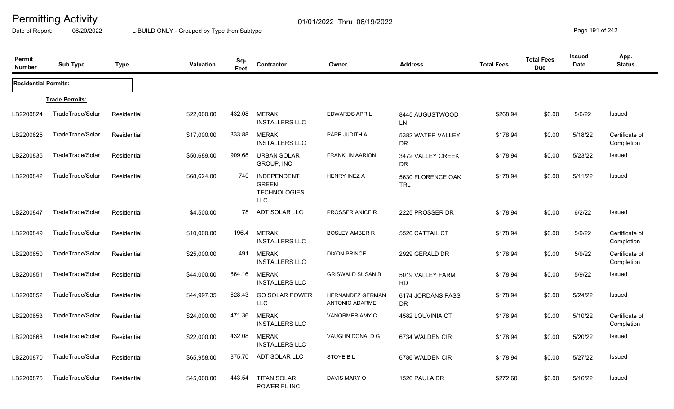Date of Report: 06/20/2022 L-BUILD ONLY - Grouped by Type then Subtype **Page 191** of 242

| Permit<br><b>Number</b>     | <b>Sub Type</b>       | <b>Type</b> | <b>Valuation</b> | Sq-<br>Feet | <b>Contractor</b>                                                       | Owner                                            | <b>Address</b>                  | <b>Total Fees</b> | <b>Total Fees</b><br><b>Due</b> | <b>Issued</b><br><b>Date</b> | App.<br><b>Status</b>        |
|-----------------------------|-----------------------|-------------|------------------|-------------|-------------------------------------------------------------------------|--------------------------------------------------|---------------------------------|-------------------|---------------------------------|------------------------------|------------------------------|
| <b>Residential Permits:</b> |                       |             |                  |             |                                                                         |                                                  |                                 |                   |                                 |                              |                              |
|                             | <b>Trade Permits:</b> |             |                  |             |                                                                         |                                                  |                                 |                   |                                 |                              |                              |
| LB2200824                   | TradeTrade/Solar      | Residential | \$22,000.00      | 432.08      | <b>MERAKI</b><br><b>INSTALLERS LLC</b>                                  | <b>EDWARDS APRIL</b>                             | 8445 AUGUSTWOOD<br>LN           | \$268.94          | \$0.00                          | 5/6/22                       | Issued                       |
| LB2200825                   | TradeTrade/Solar      | Residential | \$17,000.00      | 333.88      | <b>MERAKI</b><br><b>INSTALLERS LLC</b>                                  | PAPE JUDITH A                                    | 5382 WATER VALLEY<br>DR.        | \$178.94          | \$0.00                          | 5/18/22                      | Certificate of<br>Completion |
| LB2200835                   | TradeTrade/Solar      | Residential | \$50,689.00      | 909.68      | <b>URBAN SOLAR</b><br>GROUP, INC                                        | <b>FRANKLIN AARION</b>                           | 3472 VALLEY CREEK<br><b>DR</b>  | \$178.94          | \$0.00                          | 5/23/22                      | Issued                       |
| LB2200842                   | TradeTrade/Solar      | Residential | \$68,624.00      | 740         | <b>INDEPENDENT</b><br><b>GREEN</b><br><b>TECHNOLOGIES</b><br><b>LLC</b> | <b>HENRY INEZ A</b>                              | 5630 FLORENCE OAK<br><b>TRL</b> | \$178.94          | \$0.00                          | 5/11/22                      | <b>Issued</b>                |
| LB2200847                   | TradeTrade/Solar      | Residential | \$4,500.00       | 78          | ADT SOLAR LLC                                                           | PROSSER ANICE R                                  | 2225 PROSSER DR                 | \$178.94          | \$0.00                          | 6/2/22                       | <b>Issued</b>                |
| LB2200849                   | TradeTrade/Solar      | Residential | \$10,000.00      | 196.4       | <b>MERAKI</b><br><b>INSTALLERS LLC</b>                                  | <b>BOSLEY AMBER R</b>                            | 5520 CATTAIL CT                 | \$178.94          | \$0.00                          | 5/9/22                       | Certificate of<br>Completion |
| LB2200850                   | TradeTrade/Solar      | Residential | \$25,000.00      | 491         | <b>MERAKI</b><br><b>INSTALLERS LLC</b>                                  | <b>DIXON PRINCE</b>                              | 2929 GERALD DR                  | \$178.94          | \$0.00                          | 5/9/22                       | Certificate of<br>Completion |
| LB2200851                   | TradeTrade/Solar      | Residential | \$44,000.00      | 864.16      | <b>MERAKI</b><br><b>INSTALLERS LLC</b>                                  | <b>GRISWALD SUSAN B</b>                          | 5019 VALLEY FARM<br><b>RD</b>   | \$178.94          | \$0.00                          | 5/9/22                       | Issued                       |
| LB2200852                   | TradeTrade/Solar      | Residential | \$44,997.35      | 628.43      | <b>GO SOLAR POWER</b><br><b>LLC</b>                                     | <b>HERNANDEZ GERMAN</b><br><b>ANTONIO ADARME</b> | 6174 JORDANS PASS<br>DR         | \$178.94          | \$0.00                          | 5/24/22                      | Issued                       |
| LB2200853                   | TradeTrade/Solar      | Residential | \$24,000.00      | 471.36      | <b>MERAKI</b><br><b>INSTALLERS LLC</b>                                  | VANORMER AMY C                                   | 4582 LOUVINIA CT                | \$178.94          | \$0.00                          | 5/10/22                      | Certificate of<br>Completion |
| LB2200868                   | TradeTrade/Solar      | Residential | \$22,000.00      | 432.08      | <b>MERAKI</b><br><b>INSTALLERS LLC</b>                                  | VAUGHN DONALD G                                  | 6734 WALDEN CIR                 | \$178.94          | \$0.00                          | 5/20/22                      | Issued                       |
| LB2200870                   | TradeTrade/Solar      | Residential | \$65,958.00      | 875.70      | <b>ADT SOLAR LLC</b>                                                    | <b>STOYE BL</b>                                  | 6786 WALDEN CIR                 | \$178.94          | \$0.00                          | 5/27/22                      | Issued                       |
| LB2200875                   | TradeTrade/Solar      | Residential | \$45,000.00      | 443.54      | <b>TITAN SOLAR</b><br>POWER FL INC                                      | DAVIS MARY O                                     | 1526 PAULA DR                   | \$272.60          | \$0.00                          | 5/16/22                      | Issued                       |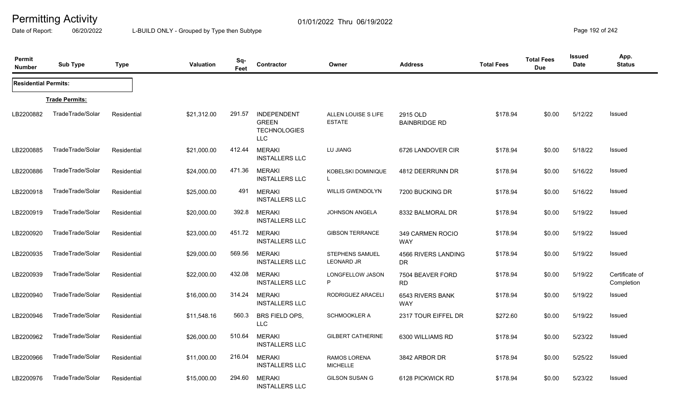Date of Report: 06/20/2022 L-BUILD ONLY - Grouped by Type then Subtype **Page 192 of 242** 

| Permit<br><b>Number</b>     | <b>Sub Type</b>       | <b>Type</b> | <b>Valuation</b> | Sq-<br>Feet | <b>Contractor</b>                                                       | Owner                                       | <b>Address</b>                   | <b>Total Fees</b> | <b>Total Fees</b><br><b>Due</b> | Issued<br><b>Date</b> | App.<br><b>Status</b>        |
|-----------------------------|-----------------------|-------------|------------------|-------------|-------------------------------------------------------------------------|---------------------------------------------|----------------------------------|-------------------|---------------------------------|-----------------------|------------------------------|
| <b>Residential Permits:</b> |                       |             |                  |             |                                                                         |                                             |                                  |                   |                                 |                       |                              |
|                             | <b>Trade Permits:</b> |             |                  |             |                                                                         |                                             |                                  |                   |                                 |                       |                              |
| LB2200882                   | TradeTrade/Solar      | Residential | \$21,312.00      | 291.57      | <b>INDEPENDENT</b><br><b>GREEN</b><br><b>TECHNOLOGIES</b><br><b>LLC</b> | ALLEN LOUISE S LIFE<br><b>ESTATE</b>        | 2915 OLD<br><b>BAINBRIDGE RD</b> | \$178.94          | \$0.00                          | 5/12/22               | Issued                       |
| LB2200885                   | TradeTrade/Solar      | Residential | \$21,000.00      | 412.44      | <b>MERAKI</b><br><b>INSTALLERS LLC</b>                                  | LU JIANG                                    | 6726 LANDOVER CIR                | \$178.94          | \$0.00                          | 5/18/22               | Issued                       |
| LB2200886                   | TradeTrade/Solar      | Residential | \$24,000.00      | 471.36      | <b>MERAKI</b><br><b>INSTALLERS LLC</b>                                  | KOBELSKI DOMINIQUE<br>L.                    | 4812 DEERRUNN DR                 | \$178.94          | \$0.00                          | 5/16/22               | Issued                       |
| LB2200918                   | TradeTrade/Solar      | Residential | \$25,000.00      | 491         | <b>MERAKI</b><br><b>INSTALLERS LLC</b>                                  | <b>WILLIS GWENDOLYN</b>                     | 7200 BUCKING DR                  | \$178.94          | \$0.00                          | 5/16/22               | Issued                       |
| LB2200919                   | TradeTrade/Solar      | Residential | \$20,000.00      | 392.8       | <b>MERAKI</b><br><b>INSTALLERS LLC</b>                                  | <b>JOHNSON ANGELA</b>                       | 8332 BALMORAL DR                 | \$178.94          | \$0.00                          | 5/19/22               | Issued                       |
| LB2200920                   | TradeTrade/Solar      | Residential | \$23,000.00      | 451.72      | <b>MERAKI</b><br><b>INSTALLERS LLC</b>                                  | <b>GIBSON TERRANCE</b>                      | 349 CARMEN ROCIO<br><b>WAY</b>   | \$178.94          | \$0.00                          | 5/19/22               | Issued                       |
| LB2200935                   | TradeTrade/Solar      | Residential | \$29,000.00      | 569.56      | <b>MERAKI</b><br><b>INSTALLERS LLC</b>                                  | <b>STEPHENS SAMUEL</b><br><b>LEONARD JR</b> | 4566 RIVERS LANDING<br><b>DR</b> | \$178.94          | \$0.00                          | 5/19/22               | Issued                       |
| LB2200939                   | TradeTrade/Solar      | Residential | \$22,000.00      | 432.08      | <b>MERAKI</b><br><b>INSTALLERS LLC</b>                                  | LONGFELLOW JASON<br>P                       | 7504 BEAVER FORD<br><b>RD</b>    | \$178.94          | \$0.00                          | 5/19/22               | Certificate of<br>Completion |
| LB2200940                   | TradeTrade/Solar      | Residential | \$16,000.00      | 314.24      | <b>MERAKI</b><br><b>INSTALLERS LLC</b>                                  | RODRIGUEZ ARACELI                           | 6543 RIVERS BANK<br><b>WAY</b>   | \$178.94          | \$0.00                          | 5/19/22               | Issued                       |
| LB2200946                   | TradeTrade/Solar      | Residential | \$11,548.16      | 560.3       | BRS FIELD OPS,<br><b>LLC</b>                                            | <b>SCHMOOKLER A</b>                         | 2317 TOUR EIFFEL DR              | \$272.60          | \$0.00                          | 5/19/22               | Issued                       |
| LB2200962                   | TradeTrade/Solar      | Residential | \$26,000.00      | 510.64      | <b>MERAKI</b><br><b>INSTALLERS LLC</b>                                  | <b>GILBERT CATHERINE</b>                    | 6300 WILLIAMS RD                 | \$178.94          | \$0.00                          | 5/23/22               | Issued                       |
| LB2200966                   | TradeTrade/Solar      | Residential | \$11,000.00      | 216.04      | <b>MERAKI</b><br><b>INSTALLERS LLC</b>                                  | RAMOS LORENA<br><b>MICHELLE</b>             | 3842 ARBOR DR                    | \$178.94          | \$0.00                          | 5/25/22               | Issued                       |
| LB2200976                   | TradeTrade/Solar      | Residential | \$15,000.00      | 294.60      | <b>MERAKI</b><br><b>INSTALLERS LLC</b>                                  | <b>GILSON SUSAN G</b>                       | 6128 PICKWICK RD                 | \$178.94          | \$0.00                          | 5/23/22               | Issued                       |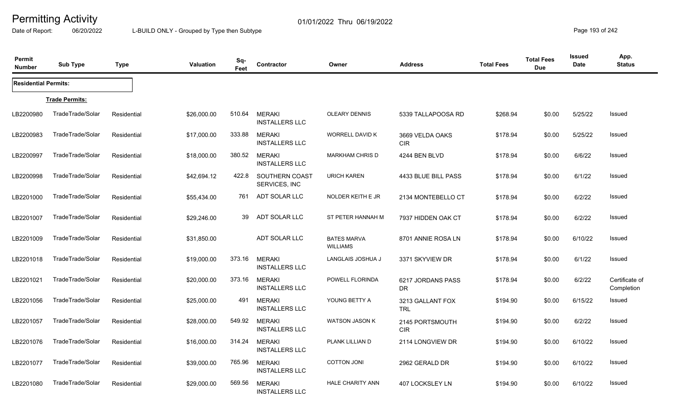Date of Report: 06/20/2022 L-BUILD ONLY - Grouped by Type then Subtype **Page 193 of 242** 

| Permit<br><b>Number</b>     | <b>Sub Type</b>       | <b>Type</b> | <b>Valuation</b> | Sq-<br>Feet | Contractor                             | Owner                                 | <b>Address</b>                 | <b>Total Fees</b> | <b>Total Fees</b><br><b>Due</b> | <b>Issued</b><br><b>Date</b> | App.<br><b>Status</b>        |
|-----------------------------|-----------------------|-------------|------------------|-------------|----------------------------------------|---------------------------------------|--------------------------------|-------------------|---------------------------------|------------------------------|------------------------------|
| <b>Residential Permits:</b> |                       |             |                  |             |                                        |                                       |                                |                   |                                 |                              |                              |
|                             | <b>Trade Permits:</b> |             |                  |             |                                        |                                       |                                |                   |                                 |                              |                              |
| LB2200980                   | TradeTrade/Solar      | Residential | \$26,000.00      | 510.64      | <b>MERAKI</b><br><b>INSTALLERS LLC</b> | <b>OLEARY DENNIS</b>                  | 5339 TALLAPOOSA RD             | \$268.94          | \$0.00                          | 5/25/22                      | Issued                       |
| LB2200983                   | TradeTrade/Solar      | Residential | \$17,000.00      | 333.88      | <b>MERAKI</b><br><b>INSTALLERS LLC</b> | <b>WORRELL DAVID K</b>                | 3669 VELDA OAKS<br><b>CIR</b>  | \$178.94          | \$0.00                          | 5/25/22                      | <b>Issued</b>                |
| LB2200997                   | TradeTrade/Solar      | Residential | \$18,000.00      | 380.52      | <b>MERAKI</b><br><b>INSTALLERS LLC</b> | <b>MARKHAM CHRIS D</b>                | 4244 BEN BLVD                  | \$178.94          | \$0.00                          | 6/6/22                       | Issued                       |
| LB2200998                   | TradeTrade/Solar      | Residential | \$42,694.12      | 422.8       | SOUTHERN COAST<br>SERVICES, INC        | <b>URICH KAREN</b>                    | 4433 BLUE BILL PASS            | \$178.94          | \$0.00                          | 6/1/22                       | <b>Issued</b>                |
| LB2201000                   | TradeTrade/Solar      | Residential | \$55,434.00      | 761         | ADT SOLAR LLC                          | NOLDER KEITH E JR                     | 2134 MONTEBELLO CT             | \$178.94          | \$0.00                          | 6/2/22                       | Issued                       |
| LB2201007                   | TradeTrade/Solar      | Residential | \$29,246.00      | 39          | ADT SOLAR LLC                          | ST PETER HANNAH M                     | 7937 HIDDEN OAK CT             | \$178.94          | \$0.00                          | 6/2/22                       | Issued                       |
| LB2201009                   | TradeTrade/Solar      | Residential | \$31,850.00      |             | ADT SOLAR LLC                          | <b>BATES MARVA</b><br><b>WILLIAMS</b> | 8701 ANNIE ROSA LN             | \$178.94          | \$0.00                          | 6/10/22                      | <b>Issued</b>                |
| LB2201018                   | TradeTrade/Solar      | Residential | \$19,000.00      | 373.16      | <b>MERAKI</b><br><b>INSTALLERS LLC</b> | LANGLAIS JOSHUA J                     | 3371 SKYVIEW DR                | \$178.94          | \$0.00                          | 6/1/22                       | Issued                       |
| LB2201021                   | TradeTrade/Solar      | Residential | \$20,000.00      | 373.16      | <b>MERAKI</b><br><b>INSTALLERS LLC</b> | POWELL FLORINDA                       | 6217 JORDANS PASS<br><b>DR</b> | \$178.94          | \$0.00                          | 6/2/22                       | Certificate of<br>Completion |
| LB2201056                   | TradeTrade/Solar      | Residential | \$25,000.00      | 491         | <b>MERAKI</b><br><b>INSTALLERS LLC</b> | YOUNG BETTY A                         | 3213 GALLANT FOX<br><b>TRL</b> | \$194.90          | \$0.00                          | 6/15/22                      | Issued                       |
| LB2201057                   | TradeTrade/Solar      | Residential | \$28,000.00      | 549.92      | <b>MERAKI</b><br><b>INSTALLERS LLC</b> | <b>WATSON JASON K</b>                 | 2145 PORTSMOUTH<br><b>CIR</b>  | \$194.90          | \$0.00                          | 6/2/22                       | Issued                       |
| LB2201076                   | TradeTrade/Solar      | Residential | \$16,000.00      | 314.24      | <b>MERAKI</b><br><b>INSTALLERS LLC</b> | PLANK LILLIAN D                       | 2114 LONGVIEW DR               | \$194.90          | \$0.00                          | 6/10/22                      | <b>Issued</b>                |
| LB2201077                   | TradeTrade/Solar      | Residential | \$39,000.00      | 765.96      | <b>MERAKI</b><br><b>INSTALLERS LLC</b> | <b>COTTON JONI</b>                    | 2962 GERALD DR                 | \$194.90          | \$0.00                          | 6/10/22                      | <b>Issued</b>                |
| LB2201080                   | TradeTrade/Solar      | Residential | \$29,000.00      | 569.56      | <b>MERAKI</b><br><b>INSTALLERS LLC</b> | <b>HALE CHARITY ANN</b>               | 407 LOCKSLEY LN                | \$194.90          | \$0.00                          | 6/10/22                      | Issued                       |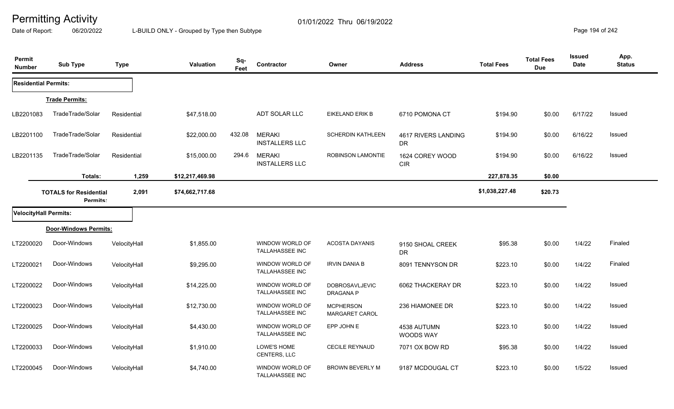Date of Report: 06/20/2022 L-BUILD ONLY - Grouped by Type then Subtype **Page 194** of 242

| Permit<br><b>Number</b>      | <b>Sub Type</b>                           | <b>Type</b>  | Valuation       | Sq-<br>Feet | Contractor                                | Owner                                     | <b>Address</b>                   | <b>Total Fees</b> | <b>Total Fees</b><br><b>Due</b> | <b>Issued</b><br><b>Date</b> | App.<br><b>Status</b> |
|------------------------------|-------------------------------------------|--------------|-----------------|-------------|-------------------------------------------|-------------------------------------------|----------------------------------|-------------------|---------------------------------|------------------------------|-----------------------|
| <b>Residential Permits:</b>  |                                           |              |                 |             |                                           |                                           |                                  |                   |                                 |                              |                       |
|                              | <b>Trade Permits:</b>                     |              |                 |             |                                           |                                           |                                  |                   |                                 |                              |                       |
| LB2201083                    | TradeTrade/Solar                          | Residential  | \$47,518.00     |             | ADT SOLAR LLC                             | <b>EIKELAND ERIK B</b>                    | 6710 POMONA CT                   | \$194.90          | \$0.00                          | 6/17/22                      | Issued                |
| LB2201100                    | TradeTrade/Solar                          | Residential  | \$22,000.00     | 432.08      | <b>MERAKI</b><br><b>INSTALLERS LLC</b>    | <b>SCHERDIN KATHLEEN</b>                  | 4617 RIVERS LANDING<br><b>DR</b> | \$194.90          | \$0.00                          | 6/16/22                      | Issued                |
| LB2201135                    | TradeTrade/Solar                          | Residential  | \$15,000.00     | 294.6       | <b>MERAKI</b><br><b>INSTALLERS LLC</b>    | <b>ROBINSON LAMONTIE</b>                  | 1624 COREY WOOD<br><b>CIR</b>    | \$194.90          | \$0.00                          | 6/16/22                      | Issued                |
|                              | Totals:                                   | 1,259        | \$12,217,469.98 |             |                                           |                                           |                                  | 227,878.35        | \$0.00                          |                              |                       |
|                              | <b>TOTALS for Residential</b><br>Permits: | 2,091        | \$74,662,717.68 |             |                                           |                                           |                                  | \$1,038,227.48    | \$20.73                         |                              |                       |
| <b>VelocityHall Permits:</b> |                                           |              |                 |             |                                           |                                           |                                  |                   |                                 |                              |                       |
|                              | Door-Windows Permits:                     |              |                 |             |                                           |                                           |                                  |                   |                                 |                              |                       |
| LT2200020                    | Door-Windows                              | VelocityHall | \$1,855.00      |             | WINDOW WORLD OF<br><b>TALLAHASSEE INC</b> | <b>ACOSTA DAYANIS</b>                     | 9150 SHOAL CREEK<br>DR           | \$95.38           | \$0.00                          | 1/4/22                       | Finaled               |
| LT2200021                    | Door-Windows                              | VelocityHall | \$9,295.00      |             | WINDOW WORLD OF<br>TALLAHASSEE INC        | <b>IRVIN DANIA B</b>                      | 8091 TENNYSON DR                 | \$223.10          | \$0.00                          | 1/4/22                       | Finaled               |
| LT2200022                    | Door-Windows                              | VelocityHall | \$14,225.00     |             | WINDOW WORLD OF<br>TALLAHASSEE INC        | DOBROSAVLJEVIC<br>DRAGANA P               | 6062 THACKERAY DR                | \$223.10          | \$0.00                          | 1/4/22                       | Issued                |
| LT2200023                    | Door-Windows                              | VelocityHall | \$12,730.00     |             | WINDOW WORLD OF<br>TALLAHASSEE INC        | <b>MCPHERSON</b><br><b>MARGARET CAROL</b> | 236 HIAMONEE DR                  | \$223.10          | \$0.00                          | 1/4/22                       | Issued                |
| LT2200025                    | Door-Windows                              | VelocityHall | \$4,430.00      |             | WINDOW WORLD OF<br><b>TALLAHASSEE INC</b> | EPP JOHN E                                | 4538 AUTUMN<br>WOODS WAY         | \$223.10          | \$0.00                          | 1/4/22                       | Issued                |
| LT2200033                    | Door-Windows                              | VelocityHall | \$1,910.00      |             | LOWE'S HOME<br>CENTERS, LLC               | <b>CECILE REYNAUD</b>                     | 7071 OX BOW RD                   | \$95.38           | \$0.00                          | 1/4/22                       | Issued                |
| LT2200045                    | Door-Windows                              | VelocityHall | \$4,740.00      |             | WINDOW WORLD OF<br><b>TALLAHASSEE INC</b> | <b>BROWN BEVERLY M</b>                    | 9187 MCDOUGAL CT                 | \$223.10          | \$0.00                          | 1/5/22                       | Issued                |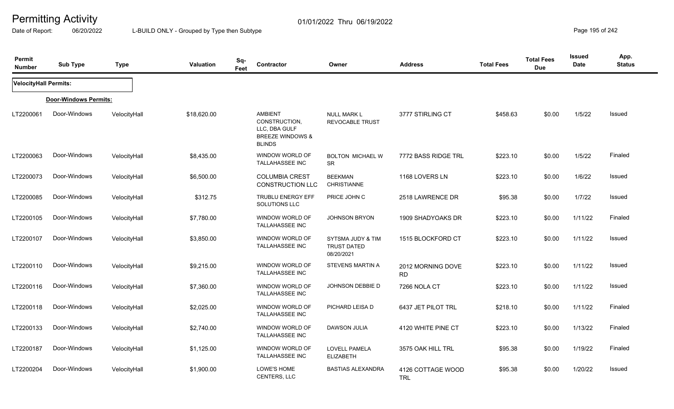Date of Report: 06/20/2022 L-BUILD ONLY - Grouped by Type then Subtype **Page 195** of 242

| Permit<br><b>Number</b> | <b>Sub Type</b>       | <b>Type</b>  | <b>Valuation</b> | Sq-<br>Feet | Contractor                                                                                       | Owner                                                 | <b>Address</b>                  | <b>Total Fees</b> | <b>Total Fees</b><br><b>Due</b> | Issued<br><b>Date</b> | App.<br><b>Status</b> |
|-------------------------|-----------------------|--------------|------------------|-------------|--------------------------------------------------------------------------------------------------|-------------------------------------------------------|---------------------------------|-------------------|---------------------------------|-----------------------|-----------------------|
| VelocityHall Permits:   |                       |              |                  |             |                                                                                                  |                                                       |                                 |                   |                                 |                       |                       |
|                         | Door-Windows Permits: |              |                  |             |                                                                                                  |                                                       |                                 |                   |                                 |                       |                       |
| LT2200061               | Door-Windows          | VelocityHall | \$18,620.00      |             | <b>AMBIENT</b><br>CONSTRUCTION,<br>LLC, DBA GULF<br><b>BREEZE WINDOWS &amp;</b><br><b>BLINDS</b> | <b>NULL MARK L</b><br><b>REVOCABLE TRUST</b>          | 3777 STIRLING CT                | \$458.63          | \$0.00                          | 1/5/22                | <b>Issued</b>         |
| LT2200063               | Door-Windows          | VelocityHall | \$8,435.00       |             | WINDOW WORLD OF<br><b>TALLAHASSEE INC</b>                                                        | <b>BOLTON MICHAEL W</b><br><b>SR</b>                  | 7772 BASS RIDGE TRL             | \$223.10          | \$0.00                          | 1/5/22                | Finaled               |
| LT2200073               | Door-Windows          | VelocityHall | \$6,500.00       |             | <b>COLUMBIA CREST</b><br><b>CONSTRUCTION LLC</b>                                                 | <b>BEEKMAN</b><br><b>CHRISTIANNE</b>                  | 1168 LOVERS LN                  | \$223.10          | \$0.00                          | 1/6/22                | Issued                |
| LT2200085               | Door-Windows          | VelocityHall | \$312.75         |             | <b>TRUBLU ENERGY EFF</b><br>SOLUTIONS LLC                                                        | PRICE JOHN C                                          | 2518 LAWRENCE DR                | \$95.38           | \$0.00                          | 1/7/22                | <b>Issued</b>         |
| LT2200105               | Door-Windows          | VelocityHall | \$7,780.00       |             | WINDOW WORLD OF<br><b>TALLAHASSEE INC</b>                                                        | <b>JOHNSON BRYON</b>                                  | 1909 SHADYOAKS DR               | \$223.10          | \$0.00                          | 1/11/22               | Finaled               |
| LT2200107               | Door-Windows          | VelocityHall | \$3,850.00       |             | WINDOW WORLD OF<br><b>TALLAHASSEE INC</b>                                                        | SYTSMA JUDY & TIM<br><b>TRUST DATED</b><br>08/20/2021 | 1515 BLOCKFORD CT               | \$223.10          | \$0.00                          | 1/11/22               | <b>Issued</b>         |
| LT2200110               | Door-Windows          | VelocityHall | \$9,215.00       |             | WINDOW WORLD OF<br><b>TALLAHASSEE INC</b>                                                        | STEVENS MARTIN A                                      | 2012 MORNING DOVE<br><b>RD</b>  | \$223.10          | \$0.00                          | 1/11/22               | <b>Issued</b>         |
| LT2200116               | Door-Windows          | VelocityHall | \$7,360.00       |             | WINDOW WORLD OF<br><b>TALLAHASSEE INC</b>                                                        | JOHNSON DEBBIE D                                      | 7266 NOLA CT                    | \$223.10          | \$0.00                          | 1/11/22               | Issued                |
| LT2200118               | Door-Windows          | VelocityHall | \$2,025.00       |             | WINDOW WORLD OF<br><b>TALLAHASSEE INC</b>                                                        | PICHARD LEISA D                                       | 6437 JET PILOT TRL              | \$218.10          | \$0.00                          | 1/11/22               | Finaled               |
| LT2200133               | Door-Windows          | VelocityHall | \$2,740.00       |             | WINDOW WORLD OF<br><b>TALLAHASSEE INC</b>                                                        | DAWSON JULIA                                          | 4120 WHITE PINE CT              | \$223.10          | \$0.00                          | 1/13/22               | Finaled               |
| LT2200187               | Door-Windows          | VelocityHall | \$1,125.00       |             | WINDOW WORLD OF<br>TALLAHASSEE INC                                                               | LOVELL PAMELA<br><b>ELIZABETH</b>                     | 3575 OAK HILL TRL               | \$95.38           | \$0.00                          | 1/19/22               | Finaled               |
| LT2200204               | Door-Windows          | VelocityHall | \$1,900.00       |             | LOWE'S HOME<br><b>CENTERS, LLC</b>                                                               | <b>BASTIAS ALEXANDRA</b>                              | 4126 COTTAGE WOOD<br><b>TRL</b> | \$95.38           | \$0.00                          | 1/20/22               | Issued                |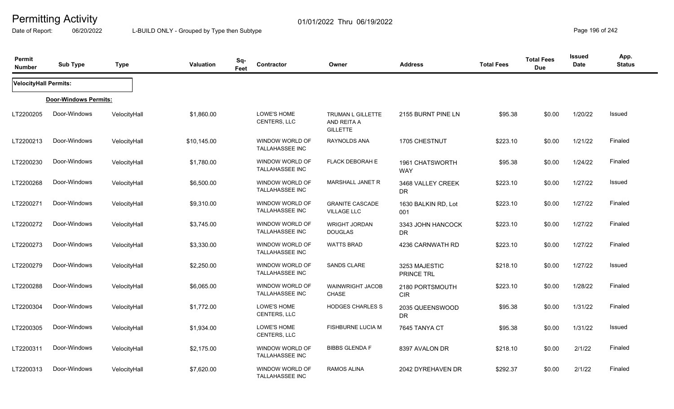Date of Report: 06/20/2022 L-BUILD ONLY - Grouped by Type then Subtype **Page 196** of 242

| Permit<br><b>Number</b>      | <b>Sub Type</b>       | <b>Type</b>  | <b>Valuation</b> | Sq-<br>Contractor<br>Feet                 | Owner                                               | <b>Address</b>                 | <b>Total Fees</b> | <b>Total Fees</b><br><b>Due</b> | <b>Issued</b><br>Date | App.<br><b>Status</b> |
|------------------------------|-----------------------|--------------|------------------|-------------------------------------------|-----------------------------------------------------|--------------------------------|-------------------|---------------------------------|-----------------------|-----------------------|
| <b>VelocityHall Permits:</b> |                       |              |                  |                                           |                                                     |                                |                   |                                 |                       |                       |
|                              | Door-Windows Permits: |              |                  |                                           |                                                     |                                |                   |                                 |                       |                       |
| LT2200205                    | Door-Windows          | VelocityHall | \$1,860.00       | LOWE'S HOME<br>CENTERS, LLC               | TRUMAN L GILLETTE<br>AND REITA A<br><b>GILLETTE</b> | 2155 BURNT PINE LN             | \$95.38           | \$0.00                          | 1/20/22               | Issued                |
| LT2200213                    | Door-Windows          | VelocityHall | \$10,145.00      | WINDOW WORLD OF<br>TALLAHASSEE INC        | RAYNOLDS ANA                                        | 1705 CHESTNUT                  | \$223.10          | \$0.00                          | 1/21/22               | Finaled               |
| LT2200230                    | Door-Windows          | VelocityHall | \$1,780.00       | WINDOW WORLD OF<br>TALLAHASSEE INC        | <b>FLACK DEBORAH E</b>                              | 1961 CHATSWORTH<br><b>WAY</b>  | \$95.38           | \$0.00                          | 1/24/22               | Finaled               |
| LT2200268                    | Door-Windows          | VelocityHall | \$6,500.00       | WINDOW WORLD OF<br><b>TALLAHASSEE INC</b> | MARSHALL JANET R                                    | 3468 VALLEY CREEK<br>DR        | \$223.10          | \$0.00                          | 1/27/22               | Issued                |
| LT2200271                    | Door-Windows          | VelocityHall | \$9,310.00       | WINDOW WORLD OF<br>TALLAHASSEE INC        | <b>GRANITE CASCADE</b><br><b>VILLAGE LLC</b>        | 1630 BALKIN RD, Lot<br>001     | \$223.10          | \$0.00                          | 1/27/22               | Finaled               |
| LT2200272                    | Door-Windows          | VelocityHall | \$3,745.00       | WINDOW WORLD OF<br><b>TALLAHASSEE INC</b> | <b>WRIGHT JORDAN</b><br><b>DOUGLAS</b>              | 3343 JOHN HANCOCK<br><b>DR</b> | \$223.10          | \$0.00                          | 1/27/22               | Finaled               |
| LT2200273                    | Door-Windows          | VelocityHall | \$3,330.00       | WINDOW WORLD OF<br>TALLAHASSEE INC        | <b>WATTS BRAD</b>                                   | 4236 CARNWATH RD               | \$223.10          | \$0.00                          | 1/27/22               | Finaled               |
| LT2200279                    | Door-Windows          | VelocityHall | \$2,250.00       | WINDOW WORLD OF<br>TALLAHASSEE INC        | <b>SANDS CLARE</b>                                  | 3253 MAJESTIC<br>PRINCE TRL    | \$218.10          | \$0.00                          | 1/27/22               | <b>Issued</b>         |
| LT2200288                    | Door-Windows          | VelocityHall | \$6,065.00       | WINDOW WORLD OF<br>TALLAHASSEE INC        | <b>WAINWRIGHT JACOB</b><br><b>CHASE</b>             | 2180 PORTSMOUTH<br><b>CIR</b>  | \$223.10          | \$0.00                          | 1/28/22               | Finaled               |
| LT2200304                    | Door-Windows          | VelocityHall | \$1,772.00       | LOWE'S HOME<br>CENTERS, LLC               | <b>HODGES CHARLES S</b>                             | 2035 QUEENSWOOD<br>DR.         | \$95.38           | \$0.00                          | 1/31/22               | Finaled               |
| LT2200305                    | Door-Windows          | VelocityHall | \$1,934.00       | LOWE'S HOME<br>CENTERS, LLC               | <b>FISHBURNE LUCIA M</b>                            | 7645 TANYA CT                  | \$95.38           | \$0.00                          | 1/31/22               | <b>Issued</b>         |
| LT2200311                    | Door-Windows          | VelocityHall | \$2,175.00       | WINDOW WORLD OF<br><b>TALLAHASSEE INC</b> | <b>BIBBS GLENDA F</b>                               | 8397 AVALON DR                 | \$218.10          | \$0.00                          | 2/1/22                | Finaled               |
| LT2200313                    | Door-Windows          | VelocityHall | \$7,620.00       | WINDOW WORLD OF<br><b>TALLAHASSEE INC</b> | <b>RAMOS ALINA</b>                                  | 2042 DYREHAVEN DR              | \$292.37          | \$0.00                          | 2/1/22                | Finaled               |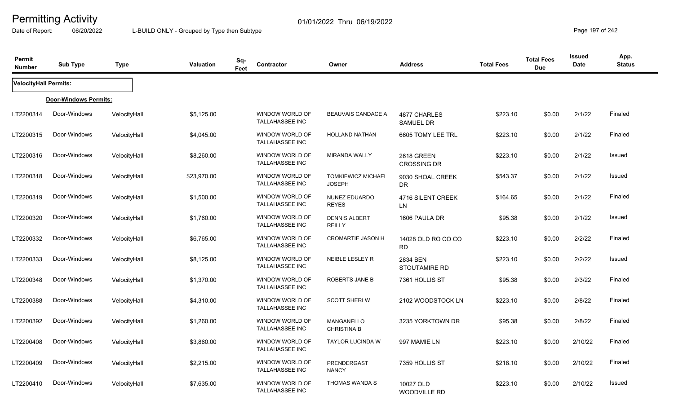Date of Report: 06/20/2022 L-BUILD ONLY - Grouped by Type then Subtype **Page 197 of 242** 

| Permit<br><b>Number</b>      | <b>Sub Type</b>       | <b>Type</b>  | Valuation   | Sq-<br>Feet | Contractor                                | Owner                                      | <b>Address</b>                   | <b>Total Fees</b> | <b>Total Fees</b><br><b>Due</b> | <b>Issued</b><br><b>Date</b> | App.<br><b>Status</b> |
|------------------------------|-----------------------|--------------|-------------|-------------|-------------------------------------------|--------------------------------------------|----------------------------------|-------------------|---------------------------------|------------------------------|-----------------------|
| <b>VelocityHall Permits:</b> |                       |              |             |             |                                           |                                            |                                  |                   |                                 |                              |                       |
|                              | Door-Windows Permits: |              |             |             |                                           |                                            |                                  |                   |                                 |                              |                       |
| LT2200314                    | Door-Windows          | VelocityHall | \$5,125.00  |             | WINDOW WORLD OF<br>TALLAHASSEE INC        | BEAUVAIS CANDACE A                         | 4877 CHARLES<br><b>SAMUEL DR</b> | \$223.10          | \$0.00                          | 2/1/22                       | Finaled               |
| LT2200315                    | Door-Windows          | VelocityHall | \$4,045.00  |             | WINDOW WORLD OF<br>TALLAHASSEE INC        | HOLLAND NATHAN                             | 6605 TOMY LEE TRL                | \$223.10          | \$0.00                          | 2/1/22                       | Finaled               |
| LT2200316                    | Door-Windows          | VelocityHall | \$8,260.00  |             | WINDOW WORLD OF<br>TALLAHASSEE INC        | <b>MIRANDA WALLY</b>                       | 2618 GREEN<br><b>CROSSING DR</b> | \$223.10          | \$0.00                          | 2/1/22                       | Issued                |
| LT2200318                    | Door-Windows          | VelocityHall | \$23,970.00 |             | WINDOW WORLD OF<br>TALLAHASSEE INC        | <b>TOMKIEWICZ MICHAEL</b><br><b>JOSEPH</b> | 9030 SHOAL CREEK<br><b>DR</b>    | \$543.37          | \$0.00                          | 2/1/22                       | Issued                |
| LT2200319                    | Door-Windows          | VelocityHall | \$1,500.00  |             | WINDOW WORLD OF<br>TALLAHASSEE INC        | NUNEZ EDUARDO<br><b>REYES</b>              | 4716 SILENT CREEK<br><b>LN</b>   | \$164.65          | \$0.00                          | 2/1/22                       | Finaled               |
| LT2200320                    | Door-Windows          | VelocityHall | \$1,760.00  |             | WINDOW WORLD OF<br><b>TALLAHASSEE INC</b> | <b>DENNIS ALBERT</b><br><b>REILLY</b>      | 1606 PAULA DR                    | \$95.38           | \$0.00                          | 2/1/22                       | Issued                |
| LT2200332                    | Door-Windows          | VelocityHall | \$6,765.00  |             | WINDOW WORLD OF<br>TALLAHASSEE INC        | <b>CROMARTIE JASON H</b>                   | 14028 OLD RO CO CO<br><b>RD</b>  | \$223.10          | \$0.00                          | 2/2/22                       | Finaled               |
| LT2200333                    | Door-Windows          | VelocityHall | \$8,125.00  |             | WINDOW WORLD OF<br><b>TALLAHASSEE INC</b> | NEIBLE LESLEY R                            | 2834 BEN<br><b>STOUTAMIRE RD</b> | \$223.10          | \$0.00                          | 2/2/22                       | <b>Issued</b>         |
| LT2200348                    | Door-Windows          | VelocityHall | \$1,370.00  |             | WINDOW WORLD OF<br><b>TALLAHASSEE INC</b> | <b>ROBERTS JANE B</b>                      | 7361 HOLLIS ST                   | \$95.38           | \$0.00                          | 2/3/22                       | Finaled               |
| LT2200388                    | Door-Windows          | VelocityHall | \$4,310.00  |             | WINDOW WORLD OF<br>TALLAHASSEE INC        | <b>SCOTT SHERIW</b>                        | 2102 WOODSTOCK LN                | \$223.10          | \$0.00                          | 2/8/22                       | Finaled               |
| LT2200392                    | Door-Windows          | VelocityHall | \$1,260.00  |             | WINDOW WORLD OF<br><b>TALLAHASSEE INC</b> | MANGANELLO<br><b>CHRISTINA B</b>           | 3235 YORKTOWN DR                 | \$95.38           | \$0.00                          | 2/8/22                       | Finaled               |
| LT2200408                    | Door-Windows          | VelocityHall | \$3,860.00  |             | WINDOW WORLD OF<br><b>TALLAHASSEE INC</b> | <b>TAYLOR LUCINDA W</b>                    | 997 MAMIE LN                     | \$223.10          | \$0.00                          | 2/10/22                      | Finaled               |
| LT2200409                    | Door-Windows          | VelocityHall | \$2,215.00  |             | WINDOW WORLD OF<br>TALLAHASSEE INC        | <b>PRENDERGAST</b><br><b>NANCY</b>         | 7359 HOLLIS ST                   | \$218.10          | \$0.00                          | 2/10/22                      | Finaled               |
| LT2200410                    | Door-Windows          | VelocityHall | \$7,635.00  |             | WINDOW WORLD OF<br>TALLAHASSEE INC        | THOMAS WANDA S                             | 10027 OLD<br><b>WOODVILLE RD</b> | \$223.10          | \$0.00                          | 2/10/22                      | Issued                |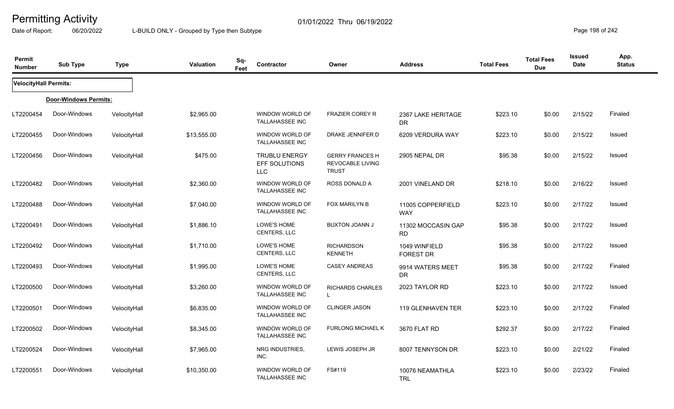Date of Report: 06/20/2022 L-BUILD ONLY - Grouped by Type then Subtype **Page 198 of 242** 

| Permit<br><b>Number</b>      | <b>Sub Type</b>       | <b>Type</b>  | <b>Valuation</b> | Sq-<br>Contractor<br>Feet                           | Owner                                                             | <b>Address</b>                  | <b>Total Fees</b> | <b>Total Fees</b><br><b>Due</b> | Issued<br>Date | App.<br><b>Status</b> |
|------------------------------|-----------------------|--------------|------------------|-----------------------------------------------------|-------------------------------------------------------------------|---------------------------------|-------------------|---------------------------------|----------------|-----------------------|
| <b>VelocityHall Permits:</b> |                       |              |                  |                                                     |                                                                   |                                 |                   |                                 |                |                       |
|                              | Door-Windows Permits: |              |                  |                                                     |                                                                   |                                 |                   |                                 |                |                       |
| LT2200454                    | Door-Windows          | VelocityHall | \$2,965.00       | WINDOW WORLD OF<br>TALLAHASSEE INC                  | <b>FRAZIER COREY R</b>                                            | 2367 LAKE HERITAGE<br>DR.       | \$223.10          | \$0.00                          | 2/15/22        | Finaled               |
| LT2200455                    | Door-Windows          | VelocityHall | \$13,555.00      | WINDOW WORLD OF<br>TALLAHASSEE INC                  | DRAKE JENNIFER D                                                  | 6209 VERDURA WAY                | \$223.10          | \$0.00                          | 2/15/22        | Issued                |
| LT2200456                    | Door-Windows          | VelocityHall | \$475.00         | <b>TRUBLU ENERGY</b><br>EFF SOLUTIONS<br><b>LLC</b> | <b>GERRY FRANCES H</b><br><b>REVOCABLE LIVING</b><br><b>TRUST</b> | 2905 NEPAL DR                   | \$95.38           | \$0.00                          | 2/15/22        | Issued                |
| LT2200482                    | Door-Windows          | VelocityHall | \$2,360.00       | WINDOW WORLD OF<br>TALLAHASSEE INC                  | ROSS DONALD A                                                     | 2001 VINELAND DR                | \$218.10          | \$0.00                          | 2/16/22        | Issued                |
| LT2200488                    | Door-Windows          | VelocityHall | \$7,040.00       | WINDOW WORLD OF<br><b>TALLAHASSEE INC</b>           | FOX MARILYN B                                                     | 11005 COPPERFIELD<br><b>WAY</b> | \$223.10          | \$0.00                          | 2/17/22        | Issued                |
| LT2200491                    | Door-Windows          | VelocityHall | \$1,886.10       | LOWE'S HOME<br>CENTERS, LLC                         | <b>BUXTON JOANN J</b>                                             | 11302 MOCCASIN GAP<br>RD.       | \$95.38           | \$0.00                          | 2/17/22        | Issued                |
| LT2200492                    | Door-Windows          | VelocityHall | \$1,710.00       | LOWE'S HOME<br>CENTERS, LLC                         | <b>RICHARDSON</b><br><b>KENNETH</b>                               | 1049 WINFIELD<br>FOREST DR      | \$95.38           | \$0.00                          | 2/17/22        | Issued                |
| LT2200493                    | Door-Windows          | VelocityHall | \$1,995.00       | LOWE'S HOME<br>CENTERS, LLC                         | <b>CASEY ANDREAS</b>                                              | 9914 WATERS MEET<br><b>DR</b>   | \$95.38           | \$0.00                          | 2/17/22        | Finaled               |
| LT2200500                    | Door-Windows          | VelocityHall | \$3,260.00       | WINDOW WORLD OF<br>TALLAHASSEE INC                  | <b>RICHARDS CHARLES</b><br>$\mathbf{L}$                           | 2023 TAYLOR RD                  | \$223.10          | \$0.00                          | 2/17/22        | Issued                |
| LT2200501                    | Door-Windows          | VelocityHall | \$6,835.00       | WINDOW WORLD OF<br>TALLAHASSEE INC                  | <b>CLINGER JASON</b>                                              | 119 GLENHAVEN TER               | \$223.10          | \$0.00                          | 2/17/22        | Finaled               |
| LT2200502                    | Door-Windows          | VelocityHall | \$8,345.00       | WINDOW WORLD OF<br><b>TALLAHASSEE INC</b>           | <b>FURLONG MICHAEL K</b>                                          | 3670 FLAT RD                    | \$292.37          | \$0.00                          | 2/17/22        | Finaled               |
| LT2200524                    | Door-Windows          | VelocityHall | \$7,965.00       | NRG INDUSTRIES,<br>INC.                             | LEWIS JOSEPH JR                                                   | 8007 TENNYSON DR                | \$223.10          | \$0.00                          | 2/21/22        | Finaled               |
| LT2200551                    | Door-Windows          | VelocityHall | \$10,350.00      | WINDOW WORLD OF<br>TALLAHASSEE INC                  | FS#119                                                            | 10076 NEAMATHLA<br><b>TRL</b>   | \$223.10          | \$0.00                          | 2/23/22        | Finaled               |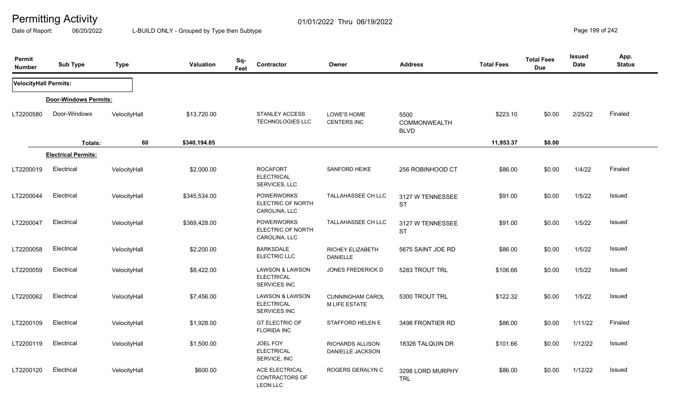Date of Report: 06/20/2022 L-BUILD ONLY - Grouped by Type then Subtype **Page 199 of 242** 

| Permit<br><b>Number</b>      | <b>Sub Type</b>            | <b>Type</b>  | <b>Valuation</b> | Sq-<br>Feet | Contractor                                                      | Owner                                           | <b>Address</b>                      | <b>Total Fees</b> | <b>Total Fees</b><br><b>Due</b> | <b>Issued</b><br>Date | App.<br><b>Status</b> |
|------------------------------|----------------------------|--------------|------------------|-------------|-----------------------------------------------------------------|-------------------------------------------------|-------------------------------------|-------------------|---------------------------------|-----------------------|-----------------------|
| <b>VelocityHall Permits:</b> |                            |              |                  |             |                                                                 |                                                 |                                     |                   |                                 |                       |                       |
|                              | Door-Windows Permits:      |              |                  |             |                                                                 |                                                 |                                     |                   |                                 |                       |                       |
| LT2200580                    | Door-Windows               | VelocityHall | \$13,720.00      |             | <b>STANLEY ACCESS</b><br>TECHNOLOGIES LLC                       | LOWE'S HOME<br>CENTERS INC                      | 5500<br>COMMONWEALTH<br><b>BLVD</b> | \$223.10          | \$0.00                          | 2/25/22               | Finaled               |
|                              | Totals:                    | 60           | \$340,194.85     |             |                                                                 |                                                 |                                     | 11,953.37         | \$0.00                          |                       |                       |
|                              | <b>Electrical Permits:</b> |              |                  |             |                                                                 |                                                 |                                     |                   |                                 |                       |                       |
| LT2200019                    | Electrical                 | VelocityHall | \$2,000.00       |             | <b>ROCAFORT</b><br><b>ELECTRICAL</b><br>SERVICES, LLC           | SANFORD HEIKE                                   | 256 ROBINHOOD CT                    | \$86.00           | \$0.00                          | 1/4/22                | Finaled               |
| LT2200044                    | Electrical                 | VelocityHall | \$345,534.00     |             | <b>POWERWORKS</b><br>ELECTRIC OF NORTH<br>CAROLINA, LLC         | <b>TALLAHASSEE CH LLC</b>                       | 3127 W TENNESSEE<br><b>ST</b>       | \$91.00           | \$0.00                          | 1/5/22                | Issued                |
| LT2200047                    | Electrical                 | VelocityHall | \$369,428.00     |             | <b>POWERWORKS</b><br>ELECTRIC OF NORTH<br>CAROLINA, LLC         | TALLAHASSEE CH LLC                              | 3127 W TENNESSEE<br><b>ST</b>       | \$91.00           | \$0.00                          | 1/5/22                | <b>Issued</b>         |
| LT2200058                    | Electrical                 | VelocityHall | \$2,200.00       |             | <b>BARKSDALE</b><br>ELECTRIC LLC                                | RICHEY ELIZABETH<br><b>DANIELLE</b>             | 5675 SAINT JOE RD                   | \$86.00           | \$0.00                          | 1/5/22                | Issued                |
| LT2200059                    | Electrical                 | VelocityHall | \$8,422.00       |             | <b>LAWSON &amp; LAWSON</b><br><b>ELECTRICAL</b><br>SERVICES INC | JONES FREDERICK D                               | 5283 TROUT TRL                      | \$106.66          | \$0.00                          | 1/5/22                | Issued                |
| LT2200062                    | Electrical                 | VelocityHall | \$7,456.00       |             | <b>LAWSON &amp; LAWSON</b><br><b>ELECTRICAL</b><br>SERVICES INC | <b>CUNNINGHAM CAROL</b><br><b>M LIFE ESTATE</b> | 5300 TROUT TRL                      | \$122.32          | \$0.00                          | 1/5/22                | <b>Issued</b>         |
| LT2200109                    | Electrical                 | VelocityHall | \$1,928.00       |             | <b>GT ELECTRIC OF</b><br><b>FLORIDA INC</b>                     | STAFFORD HELEN E                                | 3498 FRONTIER RD                    | \$86.00           | \$0.00                          | 1/11/22               | Finaled               |
| LT2200119                    | Electrical                 | VelocityHall | \$1,500.00       |             | JOEL FOY<br><b>ELECTRICAL</b><br>SERVICE, INC                   | <b>RICHARDS ALLISON</b><br>DANIELLE JACKSON     | 18326 TALQUIN DR                    | \$101.66          | \$0.00                          | 1/12/22               | <b>Issued</b>         |
| LT2200120                    | Electrical                 | VelocityHall | \$600.00         |             | <b>ACE ELECTRICAL</b><br>CONTRACTORS OF<br><b>LEON LLC</b>      | ROGERS GERALYN C                                | 3298 LORD MURPHY<br><b>TRL</b>      | \$86.00           | \$0.00                          | 1/12/22               | Issued                |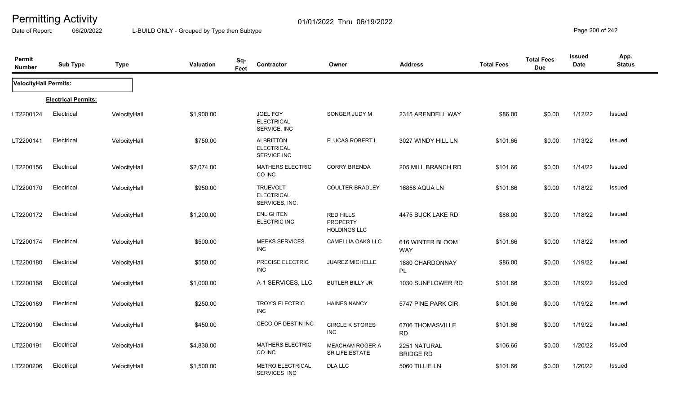Date of Report: 06/20/2022 L-BUILD ONLY - Grouped by Type then Subtype **Page 200** of 242

| Permit<br><b>Number</b> | <b>Sub Type</b>            | <b>Type</b>  | Valuation  | Sq-<br>Feet | Contractor                                             | Owner                                                      | <b>Address</b>                   | <b>Total Fees</b> | <b>Total Fees</b><br><b>Due</b> | <b>Issued</b><br><b>Date</b> | App.<br><b>Status</b> |
|-------------------------|----------------------------|--------------|------------|-------------|--------------------------------------------------------|------------------------------------------------------------|----------------------------------|-------------------|---------------------------------|------------------------------|-----------------------|
| VelocityHall Permits:   |                            |              |            |             |                                                        |                                                            |                                  |                   |                                 |                              |                       |
|                         | <b>Electrical Permits:</b> |              |            |             |                                                        |                                                            |                                  |                   |                                 |                              |                       |
| LT2200124               | Electrical                 | VelocityHall | \$1,900.00 |             | JOEL FOY<br><b>ELECTRICAL</b><br>SERVICE, INC          | SONGER JUDY M                                              | 2315 ARENDELL WAY                | \$86.00           | \$0.00                          | 1/12/22                      | Issued                |
| LT2200141               | Electrical                 | VelocityHall | \$750.00   |             | <b>ALBRITTON</b><br><b>ELECTRICAL</b><br>SERVICE INC   | FLUCAS ROBERT L                                            | 3027 WINDY HILL LN               | \$101.66          | \$0.00                          | 1/13/22                      | Issued                |
| LT2200156               | Electrical                 | VelocityHall | \$2,074.00 |             | <b>MATHERS ELECTRIC</b><br>CO INC                      | <b>CORRY BRENDA</b>                                        | 205 MILL BRANCH RD               | \$101.66          | \$0.00                          | 1/14/22                      | Issued                |
| LT2200170               | Electrical                 | VelocityHall | \$950.00   |             | <b>TRUEVOLT</b><br><b>ELECTRICAL</b><br>SERVICES, INC. | <b>COULTER BRADLEY</b>                                     | 16856 AQUA LN                    | \$101.66          | \$0.00                          | 1/18/22                      | <b>Issued</b>         |
| LT2200172               | Electrical                 | VelocityHall | \$1,200.00 |             | <b>ENLIGHTEN</b><br>ELECTRIC INC                       | <b>RED HILLS</b><br><b>PROPERTY</b><br><b>HOLDINGS LLC</b> | 4475 BUCK LAKE RD                | \$86.00           | \$0.00                          | 1/18/22                      | Issued                |
| LT2200174               | Electrical                 | VelocityHall | \$500.00   |             | <b>MEEKS SERVICES</b><br><b>INC</b>                    | CAMELLIA OAKS LLC                                          | 616 WINTER BLOOM<br><b>WAY</b>   | \$101.66          | \$0.00                          | 1/18/22                      | Issued                |
| LT2200180               | Electrical                 | VelocityHall | \$550.00   |             | PRECISE ELECTRIC<br><b>INC</b>                         | JUAREZ MICHELLE                                            | 1880 CHARDONNAY<br>PL            | \$86.00           | \$0.00                          | 1/19/22                      | Issued                |
| LT2200188               | Electrical                 | VelocityHall | \$1,000.00 |             | A-1 SERVICES, LLC                                      | <b>BUTLER BILLY JR</b>                                     | 1030 SUNFLOWER RD                | \$101.66          | \$0.00                          | 1/19/22                      | Issued                |
| LT2200189               | Electrical                 | VelocityHall | \$250.00   |             | TROY'S ELECTRIC<br><b>INC</b>                          | <b>HAINES NANCY</b>                                        | 5747 PINE PARK CIR               | \$101.66          | \$0.00                          | 1/19/22                      | Issued                |
| LT2200190               | Electrical                 | VelocityHall | \$450.00   |             | CECO OF DESTIN INC                                     | <b>CIRCLE K STORES</b><br>INC                              | 6706 THOMASVILLE<br><b>RD</b>    | \$101.66          | \$0.00                          | 1/19/22                      | Issued                |
| LT2200191               | Electrical                 | VelocityHall | \$4,830.00 |             | <b>MATHERS ELECTRIC</b><br>CO INC                      | <b>MEACHAM ROGER A</b><br>SR LIFE ESTATE                   | 2251 NATURAL<br><b>BRIDGE RD</b> | \$106.66          | \$0.00                          | 1/20/22                      | Issued                |
| LT2200206               | Electrical                 | VelocityHall | \$1,500.00 |             | <b>METRO ELECTRICAL</b><br>SERVICES INC                | DLA LLC                                                    | 5060 TILLIE LN                   | \$101.66          | \$0.00                          | 1/20/22                      | Issued                |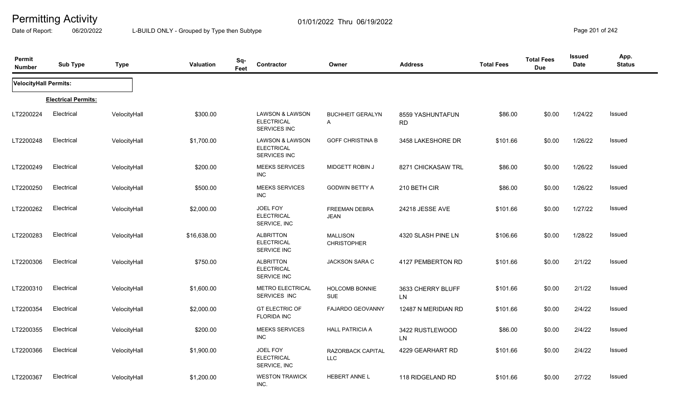Date of Report: 06/20/2022 L-BUILD ONLY - Grouped by Type then Subtype **Page 201** of 242

| Permit<br><b>Number</b>      | <b>Sub Type</b>            | <b>Type</b>  | <b>Valuation</b> | Sq-<br>Feet | <b>Contractor</b>                                               | Owner                                 | <b>Address</b>                 | <b>Total Fees</b> | <b>Total Fees</b><br><b>Due</b> | <b>Issued</b><br>Date | App.<br><b>Status</b> |
|------------------------------|----------------------------|--------------|------------------|-------------|-----------------------------------------------------------------|---------------------------------------|--------------------------------|-------------------|---------------------------------|-----------------------|-----------------------|
| <b>VelocityHall Permits:</b> |                            |              |                  |             |                                                                 |                                       |                                |                   |                                 |                       |                       |
|                              | <b>Electrical Permits:</b> |              |                  |             |                                                                 |                                       |                                |                   |                                 |                       |                       |
| LT2200224                    | Electrical                 | VelocityHall | \$300.00         |             | <b>LAWSON &amp; LAWSON</b><br><b>ELECTRICAL</b><br>SERVICES INC | <b>BUCHHEIT GERALYN</b><br>A          | 8559 YASHUNTAFUN<br><b>RD</b>  | \$86.00           | \$0.00                          | 1/24/22               | Issued                |
| LT2200248                    | Electrical                 | VelocityHall | \$1,700.00       |             | LAWSON & LAWSON<br><b>ELECTRICAL</b><br>SERVICES INC            | <b>GOFF CHRISTINA B</b>               | 3458 LAKESHORE DR              | \$101.66          | \$0.00                          | 1/26/22               | <b>Issued</b>         |
| LT2200249                    | Electrical                 | VelocityHall | \$200.00         |             | <b>MEEKS SERVICES</b><br><b>INC</b>                             | MIDGETT ROBIN J                       | 8271 CHICKASAW TRL             | \$86.00           | \$0.00                          | 1/26/22               | Issued                |
| LT2200250                    | Electrical                 | VelocityHall | \$500.00         |             | <b>MEEKS SERVICES</b><br><b>INC</b>                             | <b>GODWIN BETTY A</b>                 | 210 BETH CIR                   | \$86.00           | \$0.00                          | 1/26/22               | Issued                |
| LT2200262                    | Electrical                 | VelocityHall | \$2,000.00       |             | JOEL FOY<br><b>ELECTRICAL</b><br>SERVICE, INC                   | FREEMAN DEBRA<br><b>JEAN</b>          | 24218 JESSE AVE                | \$101.66          | \$0.00                          | 1/27/22               | Issued                |
| LT2200283                    | Electrical                 | VelocityHall | \$16,638.00      |             | <b>ALBRITTON</b><br><b>ELECTRICAL</b><br>SERVICE INC            | <b>MALLISON</b><br><b>CHRISTOPHER</b> | 4320 SLASH PINE LN             | \$106.66          | \$0.00                          | 1/28/22               | Issued                |
| LT2200306                    | Electrical                 | VelocityHall | \$750.00         |             | <b>ALBRITTON</b><br><b>ELECTRICAL</b><br>SERVICE INC            | <b>JACKSON SARA C</b>                 | 4127 PEMBERTON RD              | \$101.66          | \$0.00                          | 2/1/22                | Issued                |
| LT2200310                    | Electrical                 | VelocityHall | \$1,600.00       |             | <b>METRO ELECTRICAL</b><br>SERVICES INC                         | <b>HOLCOMB BONNIE</b><br><b>SUE</b>   | 3633 CHERRY BLUFF<br><b>LN</b> | \$101.66          | \$0.00                          | 2/1/22                | Issued                |
| LT2200354                    | Electrical                 | VelocityHall | \$2,000.00       |             | <b>GT ELECTRIC OF</b><br><b>FLORIDA INC</b>                     | <b>FAJARDO GEOVANNY</b>               | 12487 N MERIDIAN RD            | \$101.66          | \$0.00                          | 2/4/22                | Issued                |
| LT2200355                    | Electrical                 | VelocityHall | \$200.00         |             | <b>MEEKS SERVICES</b><br><b>INC</b>                             | <b>HALL PATRICIA A</b>                | 3422 RUSTLEWOOD<br><b>LN</b>   | \$86.00           | \$0.00                          | 2/4/22                | Issued                |
| LT2200366                    | Electrical                 | VelocityHall | \$1,900.00       |             | JOEL FOY<br><b>ELECTRICAL</b><br>SERVICE, INC                   | RAZORBACK CAPITAL<br><b>LLC</b>       | 4229 GEARHART RD               | \$101.66          | \$0.00                          | 2/4/22                | Issued                |
| LT2200367                    | Electrical                 | VelocityHall | \$1,200.00       |             | <b>WESTON TRAWICK</b><br>INC.                                   | <b>HEBERT ANNE L</b>                  | 118 RIDGELAND RD               | \$101.66          | \$0.00                          | 2/7/22                | Issued                |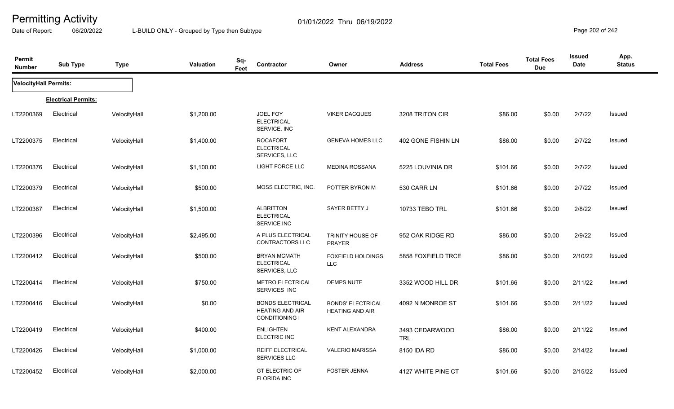Date of Report: 06/20/2022 L-BUILD ONLY - Grouped by Type then Subtype **Page 202** of 242

| Permit<br><b>Number</b> | <b>Sub Type</b>            | <b>Type</b>  | <b>Valuation</b> | Sq-<br>Contractor<br>Feet                                                  | Owner                                              | <b>Address</b>               | <b>Total Fees</b> | <b>Total Fees</b><br><b>Due</b> | <b>Issued</b><br>Date | App.<br><b>Status</b> |
|-------------------------|----------------------------|--------------|------------------|----------------------------------------------------------------------------|----------------------------------------------------|------------------------------|-------------------|---------------------------------|-----------------------|-----------------------|
| VelocityHall Permits:   |                            |              |                  |                                                                            |                                                    |                              |                   |                                 |                       |                       |
|                         | <b>Electrical Permits:</b> |              |                  |                                                                            |                                                    |                              |                   |                                 |                       |                       |
| LT2200369               | Electrical                 | VelocityHall | \$1,200.00       | <b>JOEL FOY</b><br><b>ELECTRICAL</b><br>SERVICE, INC                       | <b>VIKER DACQUES</b>                               | 3208 TRITON CIR              | \$86.00           | \$0.00                          | 2/7/22                | Issued                |
| LT2200375               | Electrical                 | VelocityHall | \$1,400.00       | <b>ROCAFORT</b><br><b>ELECTRICAL</b><br>SERVICES, LLC                      | <b>GENEVA HOMES LLC</b>                            | 402 GONE FISHIN LN           | \$86.00           | \$0.00                          | 2/7/22                | Issued                |
| LT2200376               | Electrical                 | VelocityHall | \$1,100.00       | <b>LIGHT FORCE LLC</b>                                                     | <b>MEDINA ROSSANA</b>                              | 5225 LOUVINIA DR             | \$101.66          | \$0.00                          | 2/7/22                | Issued                |
| LT2200379               | Electrical                 | VelocityHall | \$500.00         | MOSS ELECTRIC, INC.                                                        | POTTER BYRON M                                     | 530 CARR LN                  | \$101.66          | \$0.00                          | 2/7/22                | <b>Issued</b>         |
| LT2200387               | Electrical                 | VelocityHall | \$1,500.00       | <b>ALBRITTON</b><br><b>ELECTRICAL</b><br><b>SERVICE INC</b>                | SAYER BETTY J                                      | 10733 TEBO TRL               | \$101.66          | \$0.00                          | 2/8/22                | Issued                |
| LT2200396               | Electrical                 | VelocityHall | \$2,495.00       | A PLUS ELECTRICAL<br>CONTRACTORS LLC                                       | TRINITY HOUSE OF<br><b>PRAYER</b>                  | 952 OAK RIDGE RD             | \$86.00           | \$0.00                          | 2/9/22                | Issued                |
| LT2200412               | Electrical                 | VelocityHall | \$500.00         | <b>BRYAN MCMATH</b><br><b>ELECTRICAL</b><br>SERVICES, LLC                  | <b>FOXFIELD HOLDINGS</b><br><b>LLC</b>             | 5858 FOXFIELD TRCE           | \$86.00           | \$0.00                          | 2/10/22               | Issued                |
| LT2200414               | Electrical                 | VelocityHall | \$750.00         | <b>METRO ELECTRICAL</b><br>SERVICES INC                                    | <b>DEMPS NUTE</b>                                  | 3352 WOOD HILL DR            | \$101.66          | \$0.00                          | 2/11/22               | Issued                |
| LT2200416               | Electrical                 | VelocityHall | \$0.00           | <b>BONDS ELECTRICAL</b><br><b>HEATING AND AIR</b><br><b>CONDITIONING I</b> | <b>BONDS' ELECTRICAL</b><br><b>HEATING AND AIR</b> | 4092 N MONROE ST             | \$101.66          | \$0.00                          | 2/11/22               | Issued                |
| LT2200419               | Electrical                 | VelocityHall | \$400.00         | <b>ENLIGHTEN</b><br>ELECTRIC INC                                           | <b>KENT ALEXANDRA</b>                              | 3493 CEDARWOOD<br><b>TRL</b> | \$86.00           | \$0.00                          | 2/11/22               | Issued                |
| LT2200426               | Electrical                 | VelocityHall | \$1,000.00       | REIFF ELECTRICAL<br>SERVICES LLC                                           | <b>VALERIO MARISSA</b>                             | 8150 IDA RD                  | \$86.00           | \$0.00                          | 2/14/22               | Issued                |
| LT2200452               | Electrical                 | VelocityHall | \$2,000.00       | <b>GT ELECTRIC OF</b><br><b>FLORIDA INC</b>                                | <b>FOSTER JENNA</b>                                | 4127 WHITE PINE CT           | \$101.66          | \$0.00                          | 2/15/22               | Issued                |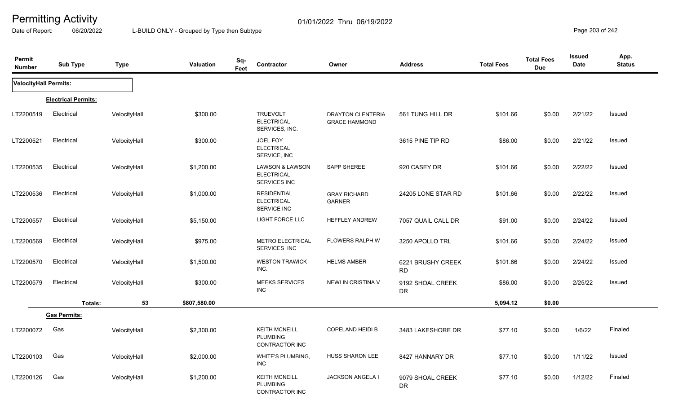Date of Report: 06/20/2022 L-BUILD ONLY - Grouped by Type then Subtype **Page 203** of 242

| Permit<br><b>Number</b> | <b>Sub Type</b>            | <b>Type</b>  | <b>Valuation</b> | Sq-<br>Feet | Contractor                                                      | Owner                                            | <b>Address</b>                 | <b>Total Fees</b> | <b>Total Fees</b><br><b>Due</b> | Issued<br>Date | App.<br><b>Status</b> |
|-------------------------|----------------------------|--------------|------------------|-------------|-----------------------------------------------------------------|--------------------------------------------------|--------------------------------|-------------------|---------------------------------|----------------|-----------------------|
| VelocityHall Permits:   |                            |              |                  |             |                                                                 |                                                  |                                |                   |                                 |                |                       |
|                         | <b>Electrical Permits:</b> |              |                  |             |                                                                 |                                                  |                                |                   |                                 |                |                       |
| LT2200519               | Electrical                 | VelocityHall | \$300.00         |             | <b>TRUEVOLT</b><br><b>ELECTRICAL</b><br>SERVICES, INC.          | <b>DRAYTON CLENTERIA</b><br><b>GRACE HAMMOND</b> | 561 TUNG HILL DR               | \$101.66          | \$0.00                          | 2/21/22        | Issued                |
| LT2200521               | Electrical                 | VelocityHall | \$300.00         |             | JOEL FOY<br><b>ELECTRICAL</b><br>SERVICE, INC                   |                                                  | 3615 PINE TIP RD               | \$86.00           | \$0.00                          | 2/21/22        | Issued                |
| LT2200535               | Electrical                 | VelocityHall | \$1,200.00       |             | <b>LAWSON &amp; LAWSON</b><br><b>ELECTRICAL</b><br>SERVICES INC | SAPP SHEREE                                      | 920 CASEY DR                   | \$101.66          | \$0.00                          | 2/22/22        | Issued                |
| LT2200536               | Electrical                 | VelocityHall | \$1,000.00       |             | <b>RESIDENTIAL</b><br><b>ELECTRICAL</b><br>SERVICE INC          | <b>GRAY RICHARD</b><br>GARNER                    | 24205 LONE STAR RD             | \$101.66          | \$0.00                          | 2/22/22        | Issued                |
| LT2200557               | Electrical                 | VelocityHall | \$5,150.00       |             | LIGHT FORCE LLC                                                 | HEFFLEY ANDREW                                   | 7057 QUAIL CALL DR             | \$91.00           | \$0.00                          | 2/24/22        | Issued                |
| LT2200569               | Electrical                 | VelocityHall | \$975.00         |             | METRO ELECTRICAL<br>SERVICES INC                                | <b>FLOWERS RALPH W</b>                           | 3250 APOLLO TRL                | \$101.66          | \$0.00                          | 2/24/22        | Issued                |
| LT2200570               | Electrical                 | VelocityHall | \$1,500.00       |             | <b>WESTON TRAWICK</b><br>INC.                                   | <b>HELMS AMBER</b>                               | 6221 BRUSHY CREEK<br><b>RD</b> | \$101.66          | \$0.00                          | 2/24/22        | Issued                |
| LT2200579               | Electrical                 | VelocityHall | \$300.00         |             | <b>MEEKS SERVICES</b><br><b>INC</b>                             | <b>NEWLIN CRISTINA V</b>                         | 9192 SHOAL CREEK<br>DR         | \$86.00           | \$0.00                          | 2/25/22        | Issued                |
|                         | Totals:                    | 53           | \$807,580.00     |             |                                                                 |                                                  |                                | 5,094.12          | \$0.00                          |                |                       |
|                         | <b>Gas Permits:</b>        |              |                  |             |                                                                 |                                                  |                                |                   |                                 |                |                       |
| LT2200072               | Gas                        | VelocityHall | \$2,300.00       |             | <b>KEITH MCNEILL</b><br><b>PLUMBING</b><br>CONTRACTOR INC       | COPELAND HEIDI B                                 | 3483 LAKESHORE DR              | \$77.10           | \$0.00                          | 1/6/22         | Finaled               |
| LT2200103               | Gas                        | VelocityHall | \$2,000.00       |             | WHITE'S PLUMBING,<br><b>INC</b>                                 | HUSS SHARON LEE                                  | 8427 HANNARY DR                | \$77.10           | \$0.00                          | 1/11/22        | Issued                |
| LT2200126               | Gas                        | VelocityHall | \$1,200.00       |             | <b>KEITH MCNEILL</b><br><b>PLUMBING</b><br>CONTRACTOR INC       | JACKSON ANGELA I                                 | 9079 SHOAL CREEK<br><b>DR</b>  | \$77.10           | \$0.00                          | 1/12/22        | Finaled               |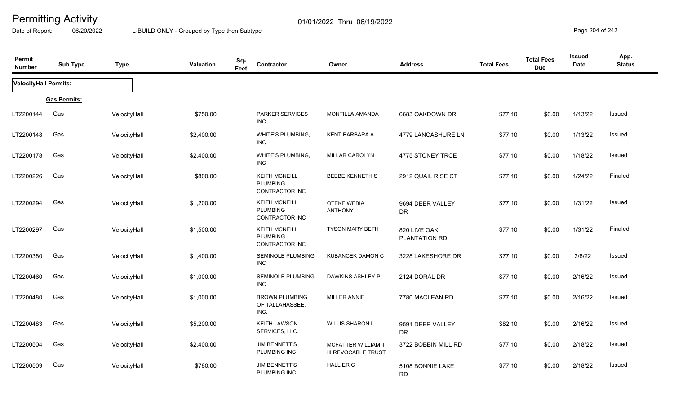Date of Report: 06/20/2022 L-BUILD ONLY - Grouped by Type then Subtype **Page 204 of 242** 

| Permit<br><b>Number</b> | <b>Sub Type</b>     | <b>Type</b>  | Valuation  | Sq-<br>Feet | Contractor                                                | Owner                                            | <b>Address</b>                | <b>Total Fees</b> | <b>Total Fees</b><br><b>Due</b> | <b>Issued</b><br><b>Date</b> | App.<br><b>Status</b> |
|-------------------------|---------------------|--------------|------------|-------------|-----------------------------------------------------------|--------------------------------------------------|-------------------------------|-------------------|---------------------------------|------------------------------|-----------------------|
| VelocityHall Permits:   |                     |              |            |             |                                                           |                                                  |                               |                   |                                 |                              |                       |
|                         | <b>Gas Permits:</b> |              |            |             |                                                           |                                                  |                               |                   |                                 |                              |                       |
| LT2200144               | Gas                 | VelocityHall | \$750.00   |             | PARKER SERVICES<br>INC.                                   | <b>MONTILLA AMANDA</b>                           | 6683 OAKDOWN DR               | \$77.10           | \$0.00                          | 1/13/22                      | Issued                |
| LT2200148               | Gas                 | VelocityHall | \$2,400.00 |             | WHITE'S PLUMBING,<br><b>INC</b>                           | KENT BARBARA A                                   | 4779 LANCASHURE LN            | \$77.10           | \$0.00                          | 1/13/22                      | Issued                |
| LT2200178               | Gas                 | VelocityHall | \$2,400.00 |             | WHITE'S PLUMBING,<br><b>INC</b>                           | <b>MILLAR CAROLYN</b>                            | 4775 STONEY TRCE              | \$77.10           | \$0.00                          | 1/18/22                      | Issued                |
| LT2200226               | Gas                 | VelocityHall | \$800.00   |             | <b>KEITH MCNEILL</b><br><b>PLUMBING</b><br>CONTRACTOR INC | <b>BEEBE KENNETH S</b>                           | 2912 QUAIL RISE CT            | \$77.10           | \$0.00                          | 1/24/22                      | Finaled               |
| LT2200294               | Gas                 | VelocityHall | \$1,200.00 |             | <b>KEITH MCNEILL</b><br><b>PLUMBING</b><br>CONTRACTOR INC | <b>OTEKEIWEBIA</b><br><b>ANTHONY</b>             | 9694 DEER VALLEY<br><b>DR</b> | \$77.10           | \$0.00                          | 1/31/22                      | Issued                |
| LT2200297               | Gas                 | VelocityHall | \$1,500.00 |             | <b>KEITH MCNEILL</b><br><b>PLUMBING</b><br>CONTRACTOR INC | <b>TYSON MARY BETH</b>                           | 820 LIVE OAK<br>PLANTATION RD | \$77.10           | \$0.00                          | 1/31/22                      | Finaled               |
| LT2200380               | Gas                 | VelocityHall | \$1,400.00 |             | <b>SEMINOLE PLUMBING</b><br><b>INC</b>                    | <b>KUBANCEK DAMON C</b>                          | 3228 LAKESHORE DR             | \$77.10           | \$0.00                          | 2/8/22                       | Issued                |
| LT2200460               | Gas                 | VelocityHall | \$1,000.00 |             | <b>SEMINOLE PLUMBING</b><br><b>INC</b>                    | DAWKINS ASHLEY P                                 | 2124 DORAL DR                 | \$77.10           | \$0.00                          | 2/16/22                      | Issued                |
| LT2200480               | Gas                 | VelocityHall | \$1,000.00 |             | <b>BROWN PLUMBING</b><br>OF TALLAHASSEE,<br>INC.          | <b>MILLER ANNIE</b>                              | 7780 MACLEAN RD               | \$77.10           | \$0.00                          | 2/16/22                      | Issued                |
| LT2200483               | Gas                 | VelocityHall | \$5,200.00 |             | <b>KEITH LAWSON</b><br>SERVICES, LLC.                     | <b>WILLIS SHARON L</b>                           | 9591 DEER VALLEY<br><b>DR</b> | \$82.10           | \$0.00                          | 2/16/22                      | Issued                |
| LT2200504               | Gas                 | VelocityHall | \$2,400.00 |             | <b>JIM BENNETT'S</b><br>PLUMBING INC                      | MCFATTER WILLIAM T<br><b>III REVOCABLE TRUST</b> | 3722 BOBBIN MILL RD           | \$77.10           | \$0.00                          | 2/18/22                      | Issued                |
| LT2200509               | Gas                 | VelocityHall | \$780.00   |             | <b>JIM BENNETT'S</b><br>PLUMBING INC                      | <b>HALL ERIC</b>                                 | 5108 BONNIE LAKE<br><b>RD</b> | \$77.10           | \$0.00                          | 2/18/22                      | Issued                |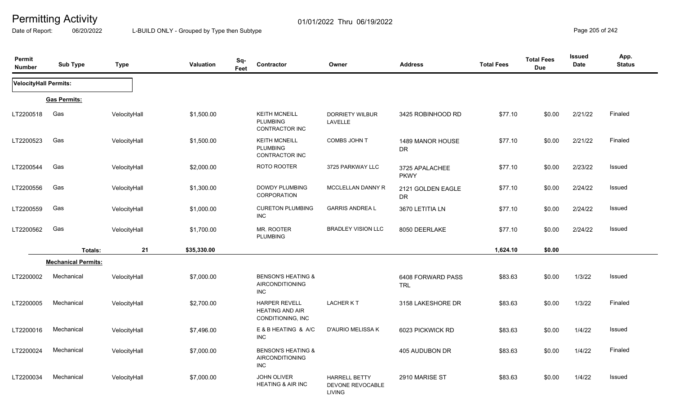Date of Report: 06/20/2022 L-BUILD ONLY - Grouped by Type then Subtype **Page 205** of 242

| Permit<br><b>Number</b> | <b>Sub Type</b>            | <b>Type</b>  | Valuation   | Sq-<br>Contractor<br>Feet                                             | Owner                                                     | <b>Address</b>                  | <b>Total Fees</b> | <b>Total Fees</b><br><b>Due</b> | <b>Issued</b><br><b>Date</b> | App.<br><b>Status</b> |
|-------------------------|----------------------------|--------------|-------------|-----------------------------------------------------------------------|-----------------------------------------------------------|---------------------------------|-------------------|---------------------------------|------------------------------|-----------------------|
| VelocityHall Permits:   |                            |              |             |                                                                       |                                                           |                                 |                   |                                 |                              |                       |
|                         | <b>Gas Permits:</b>        |              |             |                                                                       |                                                           |                                 |                   |                                 |                              |                       |
| LT2200518               | Gas                        | VelocityHall | \$1,500.00  | <b>KEITH MCNEILL</b><br><b>PLUMBING</b><br>CONTRACTOR INC             | <b>DORRIETY WILBUR</b><br>LAVELLE                         | 3425 ROBINHOOD RD               | \$77.10           | \$0.00                          | 2/21/22                      | Finaled               |
| LT2200523               | Gas                        | VelocityHall | \$1,500.00  | <b>KEITH MCNEILL</b><br><b>PLUMBING</b><br><b>CONTRACTOR INC</b>      | COMBS JOHN T                                              | 1489 MANOR HOUSE<br>DR          | \$77.10           | \$0.00                          | 2/21/22                      | Finaled               |
| LT2200544               | Gas                        | VelocityHall | \$2,000.00  | ROTO ROOTER                                                           | 3725 PARKWAY LLC                                          | 3725 APALACHEE<br><b>PKWY</b>   | \$77.10           | \$0.00                          | 2/23/22                      | Issued                |
| LT2200556               | Gas                        | VelocityHall | \$1,300.00  | <b>DOWDY PLUMBING</b><br>CORPORATION                                  | MCCLELLAN DANNY R                                         | 2121 GOLDEN EAGLE<br><b>DR</b>  | \$77.10           | \$0.00                          | 2/24/22                      | Issued                |
| LT2200559               | Gas                        | VelocityHall | \$1,000.00  | <b>CURETON PLUMBING</b><br><b>INC</b>                                 | <b>GARRIS ANDREA L</b>                                    | 3670 LETITIA LN                 | \$77.10           | \$0.00                          | 2/24/22                      | Issued                |
| LT2200562               | Gas                        | VelocityHall | \$1,700.00  | MR. ROOTER<br>PLUMBING                                                | <b>BRADLEY VISION LLC</b>                                 | 8050 DEERLAKE                   | \$77.10           | \$0.00                          | 2/24/22                      | Issued                |
|                         | Totals:                    | 21           | \$35,330.00 |                                                                       |                                                           |                                 | 1,624.10          | \$0.00                          |                              |                       |
|                         | <b>Mechanical Permits:</b> |              |             |                                                                       |                                                           |                                 |                   |                                 |                              |                       |
| LT2200002               | Mechanical                 | VelocityHall | \$7,000.00  | <b>BENSON'S HEATING &amp;</b><br><b>AIRCONDITIONING</b><br><b>INC</b> |                                                           | 6408 FORWARD PASS<br><b>TRL</b> | \$83.63           | \$0.00                          | 1/3/22                       | Issued                |
| LT2200005               | Mechanical                 | VelocityHall | \$2,700.00  | <b>HARPER REVELL</b><br><b>HEATING AND AIR</b><br>CONDITIONING, INC   | <b>LACHERKT</b>                                           | 3158 LAKESHORE DR               | \$83.63           | \$0.00                          | 1/3/22                       | Finaled               |
| LT2200016               | Mechanical                 | VelocityHall | \$7,496.00  | E & B HEATING & A/C<br><b>INC</b>                                     | D'AURIO MELISSA K                                         | 6023 PICKWICK RD                | \$83.63           | \$0.00                          | 1/4/22                       | Issued                |
| LT2200024               | Mechanical                 | VelocityHall | \$7,000.00  | <b>BENSON'S HEATING &amp;</b><br><b>AIRCONDITIONING</b><br>INC        |                                                           | 405 AUDUBON DR                  | \$83.63           | \$0.00                          | 1/4/22                       | Finaled               |
| LT2200034               | Mechanical                 | VelocityHall | \$7,000.00  | <b>JOHN OLIVER</b><br><b>HEATING &amp; AIR INC</b>                    | <b>HARRELL BETTY</b><br>DEVONE REVOCABLE<br><b>LIVING</b> | 2910 MARISE ST                  | \$83.63           | \$0.00                          | 1/4/22                       | Issued                |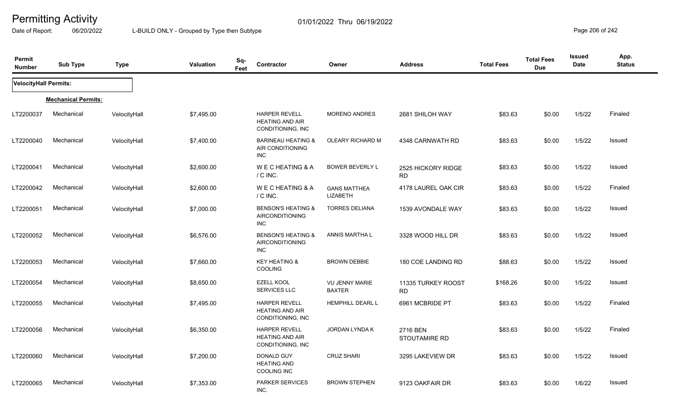Date of Report: 06/20/2022 L-BUILD ONLY - Grouped by Type then Subtype **Page 206** of 242

| Permit<br><b>Number</b>      | <b>Sub Type</b>            | <b>Type</b>  | Sq-<br><b>Valuation</b><br>Feet | Contractor                                                            | Owner                                  | <b>Address</b>                   | <b>Total Fees</b> | <b>Total Fees</b><br><b>Due</b> | <b>Issued</b><br>Date | App.<br><b>Status</b> |
|------------------------------|----------------------------|--------------|---------------------------------|-----------------------------------------------------------------------|----------------------------------------|----------------------------------|-------------------|---------------------------------|-----------------------|-----------------------|
| <b>VelocityHall Permits:</b> |                            |              |                                 |                                                                       |                                        |                                  |                   |                                 |                       |                       |
|                              | <b>Mechanical Permits:</b> |              |                                 |                                                                       |                                        |                                  |                   |                                 |                       |                       |
| LT2200037                    | Mechanical                 | VelocityHall | \$7,495.00                      | <b>HARPER REVELL</b><br><b>HEATING AND AIR</b><br>CONDITIONING, INC   | <b>MORENO ANDRES</b>                   | 2681 SHILOH WAY                  | \$83.63           | \$0.00                          | 1/5/22                | Finaled               |
| LT2200040                    | Mechanical                 | VelocityHall | \$7,400.00                      | <b>BARINEAU HEATING &amp;</b><br>AIR CONDITIONING<br><b>INC</b>       | OLEARY RICHARD M                       | 4348 CARNWATH RD                 | \$83.63           | \$0.00                          | 1/5/22                | Issued                |
| LT2200041                    | Mechanical                 | VelocityHall | \$2,600.00                      | WE CHEATING & A<br>/ C INC.                                           | <b>BOWER BEVERLY L</b>                 | 2525 HICKORY RIDGE<br><b>RD</b>  | \$83.63           | \$0.00                          | 1/5/22                | Issued                |
| LT2200042                    | Mechanical                 | VelocityHall | \$2,600.00                      | WECHEATING & A<br>/ C INC.                                            | <b>GANS MATTHEA</b><br>LIZABETH        | 4178 LAUREL OAK CIR              | \$83.63           | \$0.00                          | 1/5/22                | Finaled               |
| LT2200051                    | Mechanical                 | VelocityHall | \$7,000.00                      | <b>BENSON'S HEATING &amp;</b><br>AIRCONDITIONING<br>INC               | <b>TORRES DELIANA</b>                  | 1539 AVONDALE WAY                | \$83.63           | \$0.00                          | 1/5/22                | <b>Issued</b>         |
| LT2200052                    | Mechanical                 | VelocityHall | \$6,576.00                      | <b>BENSON'S HEATING &amp;</b><br><b>AIRCONDITIONING</b><br><b>INC</b> | <b>ANNIS MARTHA L</b>                  | 3328 WOOD HILL DR                | \$83.63           | \$0.00                          | 1/5/22                | <b>Issued</b>         |
| LT2200053                    | Mechanical                 | VelocityHall | \$7,660.00                      | <b>KEY HEATING &amp;</b><br><b>COOLING</b>                            | <b>BROWN DEBBIE</b>                    | 180 COE LANDING RD               | \$88.63           | \$0.00                          | 1/5/22                | <b>Issued</b>         |
| LT2200054                    | Mechanical                 | VelocityHall | \$8,650.00                      | <b>EZELL KOOL</b><br><b>SERVICES LLC</b>                              | <b>VU JENNY MARIE</b><br><b>BAXTER</b> | 11335 TURKEY ROOST<br><b>RD</b>  | \$168.26          | \$0.00                          | 1/5/22                | Issued                |
| LT2200055                    | Mechanical                 | VelocityHall | \$7,495.00                      | <b>HARPER REVELL</b><br><b>HEATING AND AIR</b><br>CONDITIONING, INC   | HEMPHILL DEARL L                       | 6961 MCBRIDE PT                  | \$83.63           | \$0.00                          | 1/5/22                | Finaled               |
| LT2200056                    | Mechanical                 | VelocityHall | \$6,350.00                      | <b>HARPER REVELL</b><br><b>HEATING AND AIR</b><br>CONDITIONING, INC   | JORDAN LYNDA K                         | 2716 BEN<br><b>STOUTAMIRE RD</b> | \$83.63           | \$0.00                          | 1/5/22                | Finaled               |
| LT2200060                    | Mechanical                 | VelocityHall | \$7,200.00                      | DONALD GUY<br><b>HEATING AND</b><br><b>COOLING INC</b>                | <b>CRUZ SHARI</b>                      | 3295 LAKEVIEW DR                 | \$83.63           | \$0.00                          | 1/5/22                | Issued                |
| LT2200065                    | Mechanical                 | VelocityHall | \$7,353.00                      | <b>PARKER SERVICES</b><br>INC.                                        | <b>BROWN STEPHEN</b>                   | 9123 OAKFAIR DR                  | \$83.63           | \$0.00                          | 1/6/22                | Issued                |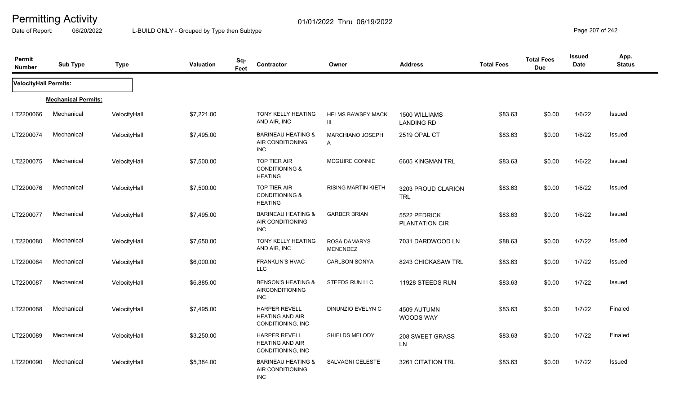Date of Report: 06/20/2022 L-BUILD ONLY - Grouped by Type then Subtype **Page 207** of 242

| Permit<br><b>Number</b> | <b>Sub Type</b>            | <b>Type</b>  | <b>Valuation</b> | Sq-<br>Feet | Contractor                                                          | Owner                                   | <b>Address</b>                     | <b>Total Fees</b> | <b>Total Fees</b><br><b>Due</b> | <b>Issued</b><br>Date | App.<br><b>Status</b> |
|-------------------------|----------------------------|--------------|------------------|-------------|---------------------------------------------------------------------|-----------------------------------------|------------------------------------|-------------------|---------------------------------|-----------------------|-----------------------|
| VelocityHall Permits:   |                            |              |                  |             |                                                                     |                                         |                                    |                   |                                 |                       |                       |
|                         | <b>Mechanical Permits:</b> |              |                  |             |                                                                     |                                         |                                    |                   |                                 |                       |                       |
| LT2200066               | Mechanical                 | VelocityHall | \$7,221.00       |             | <b>TONY KELLY HEATING</b><br>AND AIR, INC                           | <b>HELMS BAWSEY MACK</b><br>Ш           | 1500 WILLIAMS<br><b>LANDING RD</b> | \$83.63           | \$0.00                          | 1/6/22                | Issued                |
| LT2200074               | Mechanical                 | VelocityHall | \$7,495.00       |             | <b>BARINEAU HEATING &amp;</b><br>AIR CONDITIONING<br><b>INC</b>     | <b>MARCHIANO JOSEPH</b><br>$\mathsf{A}$ | <b>2519 OPAL CT</b>                | \$83.63           | \$0.00                          | 1/6/22                | Issued                |
| LT2200075               | Mechanical                 | VelocityHall | \$7,500.00       |             | <b>TOP TIER AIR</b><br><b>CONDITIONING &amp;</b><br><b>HEATING</b>  | MCGUIRE CONNIE                          | 6605 KINGMAN TRL                   | \$83.63           | \$0.00                          | 1/6/22                | Issued                |
| LT2200076               | Mechanical                 | VelocityHall | \$7,500.00       |             | <b>TOP TIER AIR</b><br><b>CONDITIONING &amp;</b><br><b>HEATING</b>  | <b>RISING MARTIN KIETH</b>              | 3203 PROUD CLARION<br><b>TRL</b>   | \$83.63           | \$0.00                          | 1/6/22                | Issued                |
| LT2200077               | Mechanical                 | VelocityHall | \$7,495.00       |             | <b>BARINEAU HEATING &amp;</b><br>AIR CONDITIONING<br>INC.           | <b>GARBER BRIAN</b>                     | 5522 PEDRICK<br>PLANTATION CIR     | \$83.63           | \$0.00                          | 1/6/22                | Issued                |
| LT2200080               | Mechanical                 | VelocityHall | \$7,650.00       |             | TONY KELLY HEATING<br>AND AIR, INC                                  | <b>ROSA DAMARYS</b><br>MENENDEZ         | 7031 DARDWOOD LN                   | \$88.63           | \$0.00                          | 1/7/22                | Issued                |
| LT2200084               | Mechanical                 | VelocityHall | \$6,000.00       |             | <b>FRANKLIN'S HVAC</b><br>LLC                                       | <b>CARLSON SONYA</b>                    | 8243 CHICKASAW TRL                 | \$83.63           | \$0.00                          | 1/7/22                | Issued                |
| LT2200087               | Mechanical                 | VelocityHall | \$6,885.00       |             | <b>BENSON'S HEATING &amp;</b><br>AIRCONDITIONING<br><b>INC</b>      | <b>STEEDS RUN LLC</b>                   | 11928 STEEDS RUN                   | \$83.63           | \$0.00                          | 1/7/22                | Issued                |
| LT2200088               | Mechanical                 | VelocityHall | \$7,495.00       |             | <b>HARPER REVELL</b><br><b>HEATING AND AIR</b><br>CONDITIONING, INC | DINUNZIO EVELYN C                       | 4509 AUTUMN<br><b>WOODS WAY</b>    | \$83.63           | \$0.00                          | 1/7/22                | Finaled               |
| LT2200089               | Mechanical                 | VelocityHall | \$3,250.00       |             | <b>HARPER REVELL</b><br><b>HEATING AND AIR</b><br>CONDITIONING, INC | SHIELDS MELODY                          | 208 SWEET GRASS<br>LN              | \$83.63           | \$0.00                          | 1/7/22                | Finaled               |
| LT2200090               | Mechanical                 | VelocityHall | \$5,384.00       |             | <b>BARINEAU HEATING &amp;</b><br>AIR CONDITIONING<br><b>INC</b>     | <b>SALVAGNI CELESTE</b>                 | 3261 CITATION TRL                  | \$83.63           | \$0.00                          | 1/7/22                | Issued                |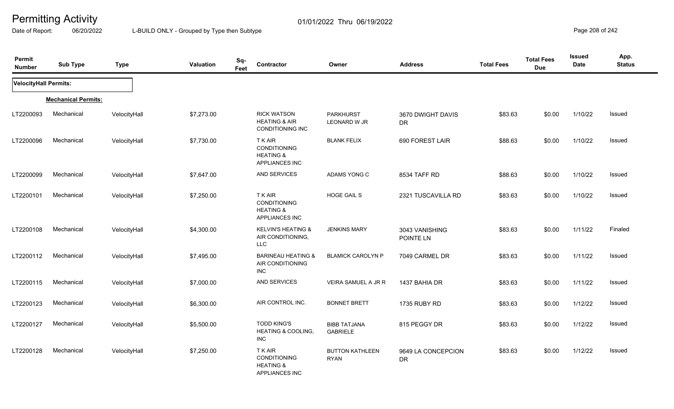Date of Report: 06/20/2022 L-BUILD ONLY - Grouped by Type then Subtype **Page 208** of 242

| Permit<br><b>Number</b> | <b>Sub Type</b>            | <b>Type</b>  | Valuation  | Sq-<br>Feet | Contractor                                                                           | Owner                                   | <b>Address</b>                  | <b>Total Fees</b> | <b>Total Fees</b><br><b>Due</b> | <b>Issued</b><br><b>Date</b> | App.<br><b>Status</b> |
|-------------------------|----------------------------|--------------|------------|-------------|--------------------------------------------------------------------------------------|-----------------------------------------|---------------------------------|-------------------|---------------------------------|------------------------------|-----------------------|
| VelocityHall Permits:   |                            |              |            |             |                                                                                      |                                         |                                 |                   |                                 |                              |                       |
|                         | <b>Mechanical Permits:</b> |              |            |             |                                                                                      |                                         |                                 |                   |                                 |                              |                       |
| LT2200093               | Mechanical                 | VelocityHall | \$7,273.00 |             | <b>RICK WATSON</b><br><b>HEATING &amp; AIR</b><br>CONDITIONING INC                   | <b>PARKHURST</b><br><b>LEONARD W JR</b> | 3670 DWIGHT DAVIS<br><b>DR</b>  | \$83.63           | \$0.00                          | 1/10/22                      | Issued                |
| LT2200096               | Mechanical                 | VelocityHall | \$7,730.00 |             | <b>TKAIR</b><br><b>CONDITIONING</b><br><b>HEATING &amp;</b><br><b>APPLIANCES INC</b> | <b>BLANK FELIX</b>                      | 690 FOREST LAIR                 | \$88.63           | \$0.00                          | 1/10/22                      | Issued                |
| LT2200099               | Mechanical                 | VelocityHall | \$7,647.00 |             | AND SERVICES                                                                         | ADAMS YONG C                            | 8534 TAFF RD                    | \$88.63           | \$0.00                          | 1/10/22                      | Issued                |
| LT2200101               | Mechanical                 | VelocityHall | \$7,250.00 |             | <b>TKAIR</b><br><b>CONDITIONING</b><br><b>HEATING &amp;</b><br>APPLIANCES INC        | <b>HOGE GAIL S</b>                      | 2321 TUSCAVILLA RD              | \$83.63           | \$0.00                          | 1/10/22                      | Issued                |
| LT2200108               | Mechanical                 | VelocityHall | \$4,300.00 |             | <b>KELVIN'S HEATING &amp;</b><br>AIR CONDITIONING,<br><b>LLC</b>                     | <b>JENKINS MARY</b>                     | 3043 VANISHING<br>POINTE LN     | \$83.63           | \$0.00                          | 1/11/22                      | Finaled               |
| LT2200112               | Mechanical                 | VelocityHall | \$7,495.00 |             | <b>BARINEAU HEATING &amp;</b><br>AIR CONDITIONING<br><b>INC</b>                      | <b>BLAMICK CAROLYN P</b>                | 7049 CARMEL DR                  | \$83.63           | \$0.00                          | 1/11/22                      | Issued                |
| LT2200115               | Mechanical                 | VelocityHall | \$7,000.00 |             | AND SERVICES                                                                         | VEIRA SAMUEL A JR R                     | 1437 BAHIA DR                   | \$83.63           | \$0.00                          | 1/11/22                      | Issued                |
| LT2200123               | Mechanical                 | VelocityHall | \$6,300.00 |             | AIR CONTROL INC.                                                                     | <b>BONNET BRETT</b>                     | 1735 RUBY RD                    | \$83.63           | \$0.00                          | 1/12/22                      | Issued                |
| LT2200127               | Mechanical                 | VelocityHall | \$5,500.00 |             | <b>TODD KING'S</b><br><b>HEATING &amp; COOLING.</b><br>INC                           | <b>BIBB TATJANA</b><br><b>GABRIELE</b>  | 815 PEGGY DR                    | \$83.63           | \$0.00                          | 1/12/22                      | Issued                |
| LT2200128               | Mechanical                 | VelocityHall | \$7,250.00 |             | <b>TKAIR</b><br><b>CONDITIONING</b><br><b>HEATING &amp;</b><br><b>APPLIANCES INC</b> | <b>BUTTON KATHLEEN</b><br><b>RYAN</b>   | 9649 LA CONCEPCION<br><b>DR</b> | \$83.63           | \$0.00                          | 1/12/22                      | Issued                |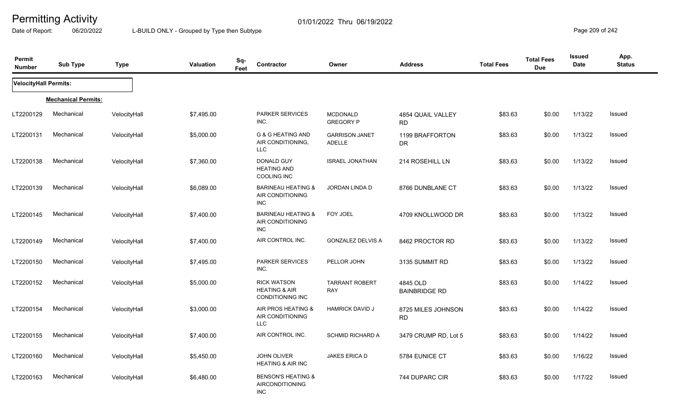Date of Report: 06/20/2022 L-BUILD ONLY - Grouped by Type then Subtype **Page 2011** Page 209 of 242

| Permit<br><b>Number</b>      | <b>Sub Type</b>            | <b>Type</b>  | Valuation  | Sq-<br>Feet | Contractor                                                                | Owner                                  | <b>Address</b>                   | <b>Total Fees</b> | <b>Total Fees</b><br><b>Due</b> | <b>Issued</b><br>Date | App.<br><b>Status</b> |
|------------------------------|----------------------------|--------------|------------|-------------|---------------------------------------------------------------------------|----------------------------------------|----------------------------------|-------------------|---------------------------------|-----------------------|-----------------------|
| <b>VelocityHall Permits:</b> |                            |              |            |             |                                                                           |                                        |                                  |                   |                                 |                       |                       |
|                              | <b>Mechanical Permits:</b> |              |            |             |                                                                           |                                        |                                  |                   |                                 |                       |                       |
| LT2200129                    | Mechanical                 | VelocityHall | \$7,495.00 |             | <b>PARKER SERVICES</b><br>INC.                                            | <b>MCDONALD</b><br><b>GREGORY P</b>    | 4854 QUAIL VALLEY<br><b>RD</b>   | \$83.63           | \$0.00                          | 1/13/22               | Issued                |
| LT2200131                    | Mechanical                 | VelocityHall | \$5,000.00 |             | <b>G &amp; G HEATING AND</b><br>AIR CONDITIONING,<br><b>LLC</b>           | <b>GARRISON JANET</b><br><b>ADELLE</b> | 1199 BRAFFORTON<br>DR            | \$83.63           | \$0.00                          | 1/13/22               | Issued                |
| LT2200138                    | Mechanical                 | VelocityHall | \$7,360.00 |             | DONALD GUY<br><b>HEATING AND</b><br><b>COOLING INC</b>                    | <b>ISRAEL JONATHAN</b>                 | 214 ROSEHILL LN                  | \$83.63           | \$0.00                          | 1/13/22               | Issued                |
| LT2200139                    | Mechanical                 | VelocityHall | \$6,089.00 |             | <b>BARINEAU HEATING &amp;</b><br>AIR CONDITIONING<br><b>INC</b>           | JORDAN LINDA D                         | 8766 DUNBLANE CT                 | \$83.63           | \$0.00                          | 1/13/22               | Issued                |
| LT2200145                    | Mechanical                 | VelocityHall | \$7,400.00 |             | <b>BARINEAU HEATING &amp;</b><br>AIR CONDITIONING<br><b>INC</b>           | FOY JOEL                               | 4709 KNOLLWOOD DR                | \$83.63           | \$0.00                          | 1/13/22               | Issued                |
| LT2200149                    | Mechanical                 | VelocityHall | \$7,400.00 |             | AIR CONTROL INC.                                                          | GONZALEZ DELVIS A                      | 8462 PROCTOR RD                  | \$83.63           | \$0.00                          | 1/13/22               | Issued                |
| LT2200150                    | Mechanical                 | VelocityHall | \$7,495.00 |             | <b>PARKER SERVICES</b><br>INC.                                            | PELLOR JOHN                            | 3135 SUMMIT RD                   | \$83.63           | \$0.00                          | 1/13/22               | Issued                |
| LT2200152                    | Mechanical                 | VelocityHall | \$5,000.00 |             | <b>RICK WATSON</b><br><b>HEATING &amp; AIR</b><br><b>CONDITIONING INC</b> | <b>TARRANT ROBERT</b><br><b>RAY</b>    | 4845 OLD<br><b>BAINBRIDGE RD</b> | \$83.63           | \$0.00                          | 1/14/22               | <b>Issued</b>         |
| LT2200154                    | Mechanical                 | VelocityHall | \$3,000.00 |             | AIR PROS HEATING &<br>AIR CONDITIONING<br><b>LLC</b>                      | <b>HAMRICK DAVID J</b>                 | 8725 MILES JOHNSON<br><b>RD</b>  | \$83.63           | \$0.00                          | 1/14/22               | Issued                |
| LT2200155                    | Mechanical                 | VelocityHall | \$7,400.00 |             | AIR CONTROL INC.                                                          | <b>SCHMID RICHARD A</b>                | 3479 CRUMP RD, Lot 5             | \$83.63           | \$0.00                          | 1/14/22               | Issued                |
| LT2200160                    | Mechanical                 | VelocityHall | \$5,450.00 |             | <b>JOHN OLIVER</b><br><b>HEATING &amp; AIR INC</b>                        | JAKES ERICA D                          | 5784 EUNICE CT                   | \$83.63           | \$0.00                          | 1/16/22               | Issued                |
| LT2200163                    | Mechanical                 | VelocityHall | \$6,480.00 |             | <b>BENSON'S HEATING &amp;</b><br><b>AIRCONDITIONING</b><br><b>INC</b>     |                                        | 744 DUPARC CIR                   | \$83.63           | \$0.00                          | 1/17/22               | Issued                |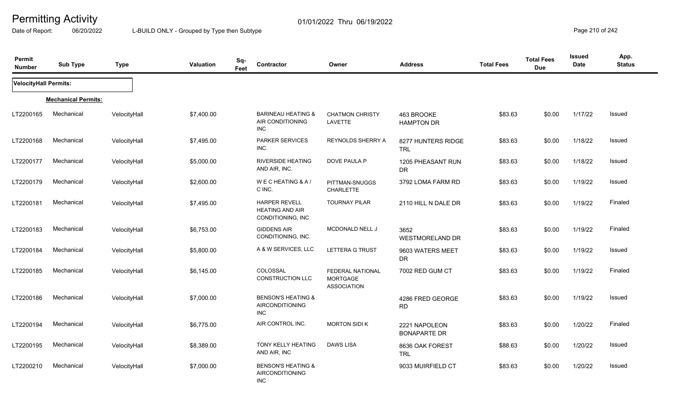Date of Report: 06/20/2022 L-BUILD ONLY - Grouped by Type then Subtype **Page 210** of 242

| Permit<br><b>Number</b> | <b>Sub Type</b>            | <b>Type</b>  | <b>Valuation</b> | Sq-<br>Feet | <b>Contractor</b>                                                     | Owner                                                            | <b>Address</b>                       | <b>Total Fees</b> | <b>Total Fees</b><br><b>Due</b> | <b>Issued</b><br><b>Date</b> | App.<br><b>Status</b> |
|-------------------------|----------------------------|--------------|------------------|-------------|-----------------------------------------------------------------------|------------------------------------------------------------------|--------------------------------------|-------------------|---------------------------------|------------------------------|-----------------------|
| VelocityHall Permits:   |                            |              |                  |             |                                                                       |                                                                  |                                      |                   |                                 |                              |                       |
|                         | <b>Mechanical Permits:</b> |              |                  |             |                                                                       |                                                                  |                                      |                   |                                 |                              |                       |
| LT2200165               | Mechanical                 | VelocityHall | \$7,400.00       |             | <b>BARINEAU HEATING &amp;</b><br>AIR CONDITIONING<br><b>INC</b>       | <b>CHATMON CHRISTY</b><br>LAVETTE                                | 463 BROOKE<br><b>HAMPTON DR</b>      | \$83.63           | \$0.00                          | 1/17/22                      | Issued                |
| LT2200168               | Mechanical                 | VelocityHall | \$7,495.00       |             | <b>PARKER SERVICES</b><br>INC.                                        | REYNOLDS SHERRY A                                                | 8277 HUNTERS RIDGE<br>TRL            | \$83.63           | \$0.00                          | 1/18/22                      | Issued                |
| LT2200177               | Mechanical                 | VelocityHall | \$5,000.00       |             | <b>RIVERSIDE HEATING</b><br>AND AIR, INC.                             | DOVE PAULA P                                                     | 1205 PHEASANT RUN<br><b>DR</b>       | \$83.63           | \$0.00                          | 1/18/22                      | Issued                |
| LT2200179               | Mechanical                 | VelocityHall | \$2,600.00       |             | WECHEATING & A/<br>C INC.                                             | PITTMAN-SNUGGS<br><b>CHARLETTE</b>                               | 3792 LOMA FARM RD                    | \$83.63           | \$0.00                          | 1/19/22                      | Issued                |
| LT2200181               | Mechanical                 | VelocityHall | \$7,495.00       |             | <b>HARPER REVELL</b><br><b>HEATING AND AIR</b><br>CONDITIONING, INC   | <b>TOURNAY PILAR</b>                                             | 2110 HILL N DALE DR                  | \$83.63           | \$0.00                          | 1/19/22                      | Finaled               |
| LT2200183               | Mechanical                 | VelocityHall | \$6,753.00       |             | <b>GIDDENS AIR</b><br>CONDITIONING, INC.                              | MCDONALD NELL J                                                  | 3652<br><b>WESTMORELAND DR</b>       | \$83.63           | \$0.00                          | 1/19/22                      | Finaled               |
| LT2200184               | Mechanical                 | VelocityHall | \$5,800.00       |             | A & W SERVICES, LLC                                                   | LETTERA G TRUST                                                  | 9603 WATERS MEET<br>DR.              | \$83.63           | \$0.00                          | 1/19/22                      | Issued                |
| LT2200185               | Mechanical                 | VelocityHall | \$6,145.00       |             | COLOSSAL<br><b>CONSTRUCTION LLC</b>                                   | <b>FEDERAL NATIONAL</b><br><b>MORTGAGE</b><br><b>ASSOCIATION</b> | 7002 RED GUM CT                      | \$83.63           | \$0.00                          | 1/19/22                      | Finaled               |
| LT2200186               | Mechanical                 | VelocityHall | \$7,000.00       |             | <b>BENSON'S HEATING &amp;</b><br><b>AIRCONDITIONING</b><br><b>INC</b> |                                                                  | 4286 FRED GEORGE<br><b>RD</b>        | \$83.63           | \$0.00                          | 1/19/22                      | Issued                |
| LT2200194               | Mechanical                 | VelocityHall | \$6,775.00       |             | AIR CONTROL INC.                                                      | <b>MORTON SIDI K</b>                                             | 2221 NAPOLEON<br><b>BONAPARTE DR</b> | \$83.63           | \$0.00                          | 1/20/22                      | Finaled               |
| LT2200195               | Mechanical                 | VelocityHall | \$8,389.00       |             | TONY KELLY HEATING<br>AND AIR, INC                                    | <b>DAWS LISA</b>                                                 | 8636 OAK FOREST<br><b>TRL</b>        | \$88.63           | \$0.00                          | 1/20/22                      | Issued                |
| LT2200210               | Mechanical                 | VelocityHall | \$7,000.00       |             | <b>BENSON'S HEATING &amp;</b><br>AIRCONDITIONING<br><b>INC</b>        |                                                                  | 9033 MUIRFIELD CT                    | \$83.63           | \$0.00                          | 1/20/22                      | Issued                |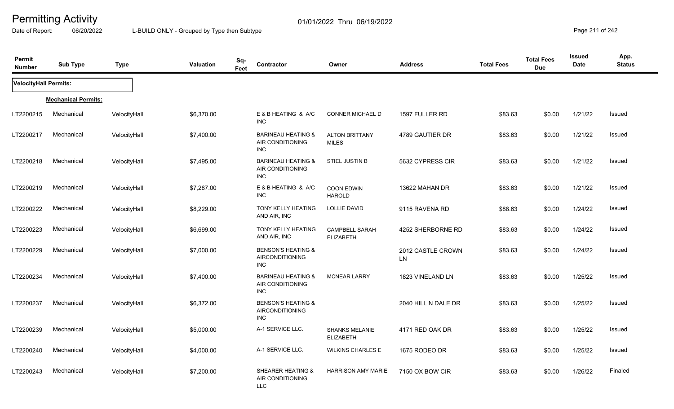Date of Report: 06/20/2022 L-BUILD ONLY - Grouped by Type then Subtype **Page 211** of 242

| Permit<br><b>Number</b>      | <b>Sub Type</b>            | <b>Type</b>  | Valuation  | Sq-<br>Feet | Contractor                                                            | Owner                                     | <b>Address</b>          | <b>Total Fees</b> | <b>Total Fees</b><br><b>Due</b> | <b>Issued</b><br><b>Date</b> | App.<br><b>Status</b> |
|------------------------------|----------------------------|--------------|------------|-------------|-----------------------------------------------------------------------|-------------------------------------------|-------------------------|-------------------|---------------------------------|------------------------------|-----------------------|
| <b>VelocityHall Permits:</b> |                            |              |            |             |                                                                       |                                           |                         |                   |                                 |                              |                       |
|                              | <b>Mechanical Permits:</b> |              |            |             |                                                                       |                                           |                         |                   |                                 |                              |                       |
| LT2200215                    | Mechanical                 | VelocityHall | \$6,370.00 |             | E & B HEATING & A/C<br><b>INC</b>                                     | <b>CONNER MICHAEL D</b>                   | 1597 FULLER RD          | \$83.63           | \$0.00                          | 1/21/22                      | Issued                |
| LT2200217                    | Mechanical                 | VelocityHall | \$7,400.00 |             | <b>BARINEAU HEATING &amp;</b><br>AIR CONDITIONING<br><b>INC</b>       | <b>ALTON BRITTANY</b><br><b>MILES</b>     | 4789 GAUTIER DR         | \$83.63           | \$0.00                          | 1/21/22                      | Issued                |
| LT2200218                    | Mechanical                 | VelocityHall | \$7,495.00 |             | <b>BARINEAU HEATING &amp;</b><br>AIR CONDITIONING<br><b>INC</b>       | STIEL JUSTIN B                            | 5632 CYPRESS CIR        | \$83.63           | \$0.00                          | 1/21/22                      | Issued                |
| LT2200219                    | Mechanical                 | VelocityHall | \$7,287.00 |             | E & B HEATING & A/C<br><b>INC</b>                                     | <b>COON EDWIN</b><br><b>HAROLD</b>        | 13622 MAHAN DR          | \$83.63           | \$0.00                          | 1/21/22                      | Issued                |
| LT2200222                    | Mechanical                 | VelocityHall | \$8,229.00 |             | TONY KELLY HEATING<br>AND AIR, INC                                    | LOLLIE DAVID                              | 9115 RAVENA RD          | \$88.63           | \$0.00                          | 1/24/22                      | Issued                |
| LT2200223                    | Mechanical                 | VelocityHall | \$6,699.00 |             | TONY KELLY HEATING<br>AND AIR, INC                                    | <b>CAMPBELL SARAH</b><br><b>ELIZABETH</b> | 4252 SHERBORNE RD       | \$83.63           | \$0.00                          | 1/24/22                      | Issued                |
| LT2200229                    | Mechanical                 | VelocityHall | \$7,000.00 |             | <b>BENSON'S HEATING &amp;</b><br><b>AIRCONDITIONING</b><br><b>INC</b> |                                           | 2012 CASTLE CROWN<br>LN | \$83.63           | \$0.00                          | 1/24/22                      | Issued                |
| LT2200234                    | Mechanical                 | VelocityHall | \$7,400.00 |             | <b>BARINEAU HEATING &amp;</b><br>AIR CONDITIONING<br><b>INC</b>       | <b>MCNEAR LARRY</b>                       | 1823 VINELAND LN        | \$83.63           | \$0.00                          | 1/25/22                      | Issued                |
| LT2200237                    | Mechanical                 | VelocityHall | \$6,372.00 |             | <b>BENSON'S HEATING &amp;</b><br>AIRCONDITIONING<br><b>INC</b>        |                                           | 2040 HILL N DALE DR     | \$83.63           | \$0.00                          | 1/25/22                      | Issued                |
| LT2200239                    | Mechanical                 | VelocityHall | \$5,000.00 |             | A-1 SERVICE LLC.                                                      | <b>SHANKS MELANIE</b><br><b>ELIZABETH</b> | 4171 RED OAK DR         | \$83.63           | \$0.00                          | 1/25/22                      | <b>Issued</b>         |
| LT2200240                    | Mechanical                 | VelocityHall | \$4,000.00 |             | A-1 SERVICE LLC.                                                      | <b>WILKINS CHARLES E</b>                  | 1675 RODEO DR           | \$83.63           | \$0.00                          | 1/25/22                      | Issued                |
| LT2200243                    | Mechanical                 | VelocityHall | \$7,200.00 |             | SHEARER HEATING &<br>AIR CONDITIONING<br>LLC                          | <b>HARRISON AMY MARIE</b>                 | 7150 OX BOW CIR         | \$83.63           | \$0.00                          | 1/26/22                      | Finaled               |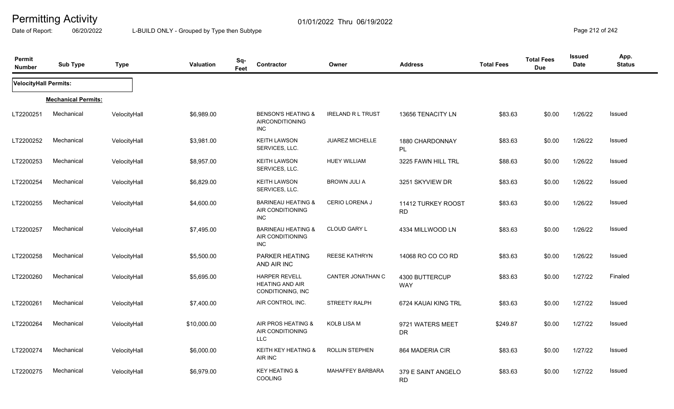Date of Report: 06/20/2022 L-BUILD ONLY - Grouped by Type then Subtype **Page 212** of 242

| Permit<br><b>Number</b>      | <b>Sub Type</b>            | <b>Type</b>  | Valuation   | Sq-<br>Feet | <b>Contractor</b>                                                   | Owner                    | <b>Address</b>                  | <b>Total Fees</b> | <b>Total Fees</b><br><b>Due</b> | <b>Issued</b><br>Date | App.<br><b>Status</b> |
|------------------------------|----------------------------|--------------|-------------|-------------|---------------------------------------------------------------------|--------------------------|---------------------------------|-------------------|---------------------------------|-----------------------|-----------------------|
| <b>VelocityHall Permits:</b> |                            |              |             |             |                                                                     |                          |                                 |                   |                                 |                       |                       |
|                              | <b>Mechanical Permits:</b> |              |             |             |                                                                     |                          |                                 |                   |                                 |                       |                       |
| LT2200251                    | Mechanical                 | VelocityHall | \$6,989.00  |             | <b>BENSON'S HEATING &amp;</b><br><b>AIRCONDITIONING</b><br>INC      | <b>IRELAND R L TRUST</b> | 13656 TENACITY LN               | \$83.63           | \$0.00                          | 1/26/22               | Issued                |
| LT2200252                    | Mechanical                 | VelocityHall | \$3,981.00  |             | <b>KEITH LAWSON</b><br>SERVICES, LLC.                               | <b>JUAREZ MICHELLE</b>   | 1880 CHARDONNAY<br>PL           | \$83.63           | \$0.00                          | 1/26/22               | Issued                |
| LT2200253                    | Mechanical                 | VelocityHall | \$8,957.00  |             | <b>KEITH LAWSON</b><br>SERVICES, LLC.                               | <b>HUEY WILLIAM</b>      | 3225 FAWN HILL TRL              | \$88.63           | \$0.00                          | 1/26/22               | Issued                |
| LT2200254                    | Mechanical                 | VelocityHall | \$6,829.00  |             | <b>KEITH LAWSON</b><br>SERVICES, LLC.                               | <b>BROWN JULI A</b>      | 3251 SKYVIEW DR                 | \$83.63           | \$0.00                          | 1/26/22               | Issued                |
| LT2200255                    | Mechanical                 | VelocityHall | \$4,600.00  |             | <b>BARINEAU HEATING &amp;</b><br>AIR CONDITIONING<br><b>INC</b>     | CERIO LORENA J           | 11412 TURKEY ROOST<br><b>RD</b> | \$83.63           | \$0.00                          | 1/26/22               | Issued                |
| LT2200257                    | Mechanical                 | VelocityHall | \$7,495.00  |             | <b>BARINEAU HEATING &amp;</b><br>AIR CONDITIONING<br><b>INC</b>     | <b>CLOUD GARY L</b>      | 4334 MILLWOOD LN                | \$83.63           | \$0.00                          | 1/26/22               | Issued                |
| LT2200258                    | Mechanical                 | VelocityHall | \$5,500.00  |             | PARKER HEATING<br>AND AIR INC                                       | <b>REESE KATHRYN</b>     | 14068 RO CO CO RD               | \$83.63           | \$0.00                          | 1/26/22               | Issued                |
| LT2200260                    | Mechanical                 | VelocityHall | \$5,695.00  |             | <b>HARPER REVELL</b><br><b>HEATING AND AIR</b><br>CONDITIONING, INC | CANTER JONATHAN C        | 4300 BUTTERCUP<br><b>WAY</b>    | \$83.63           | \$0.00                          | 1/27/22               | Finaled               |
| LT2200261                    | Mechanical                 | VelocityHall | \$7,400.00  |             | AIR CONTROL INC.                                                    | STREETY RALPH            | 6724 KAUAI KING TRL             | \$83.63           | \$0.00                          | 1/27/22               | Issued                |
| LT2200264                    | Mechanical                 | VelocityHall | \$10,000.00 |             | AIR PROS HEATING &<br>AIR CONDITIONING<br><b>LLC</b>                | KOLB LISA M              | 9721 WATERS MEET<br><b>DR</b>   | \$249.87          | \$0.00                          | 1/27/22               | Issued                |
| LT2200274                    | Mechanical                 | VelocityHall | \$6,000.00  |             | <b>KEITH KEY HEATING &amp;</b><br>AIR INC                           | <b>ROLLIN STEPHEN</b>    | 864 MADERIA CIR                 | \$83.63           | \$0.00                          | 1/27/22               | Issued                |
| LT2200275                    | Mechanical                 | VelocityHall | \$6,979.00  |             | <b>KEY HEATING &amp;</b><br>COOLING                                 | <b>MAHAFFEY BARBARA</b>  | 379 E SAINT ANGELO<br><b>RD</b> | \$83.63           | \$0.00                          | 1/27/22               | Issued                |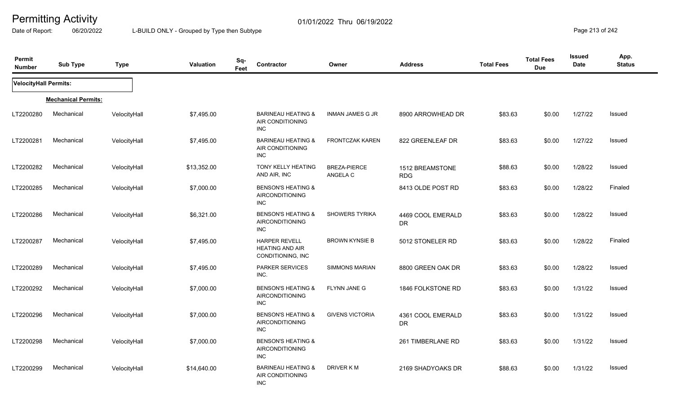Date of Report: 06/20/2022 L-BUILD ONLY - Grouped by Type then Subtype **Page 213** of 242

| Permit<br><b>Number</b> | <b>Sub Type</b>            | <b>Type</b>  | Valuation   | Sq-<br>Feet | Contractor                                                            | Owner                    | <b>Address</b>                 | <b>Total Fees</b> | <b>Total Fees</b><br><b>Due</b> | <b>Issued</b><br><b>Date</b> | App.<br><b>Status</b> |
|-------------------------|----------------------------|--------------|-------------|-------------|-----------------------------------------------------------------------|--------------------------|--------------------------------|-------------------|---------------------------------|------------------------------|-----------------------|
| VelocityHall Permits:   |                            |              |             |             |                                                                       |                          |                                |                   |                                 |                              |                       |
|                         | <b>Mechanical Permits:</b> |              |             |             |                                                                       |                          |                                |                   |                                 |                              |                       |
| LT2200280               | Mechanical                 | VelocityHall | \$7,495.00  |             | <b>BARINEAU HEATING &amp;</b><br>AIR CONDITIONING<br><b>INC</b>       | <b>INMAN JAMES G JR</b>  | 8900 ARROWHEAD DR              | \$83.63           | \$0.00                          | 1/27/22                      | Issued                |
| LT2200281               | Mechanical                 | VelocityHall | \$7,495.00  |             | <b>BARINEAU HEATING &amp;</b><br>AIR CONDITIONING<br>INC.             | <b>FRONTCZAK KAREN</b>   | 822 GREENLEAF DR               | \$83.63           | \$0.00                          | 1/27/22                      | Issued                |
| LT2200282               | Mechanical                 | VelocityHall | \$13,352.00 |             | <b>TONY KELLY HEATING</b><br>AND AIR, INC                             | BREZA-PIERCE<br>ANGELA C | 1512 BREAMSTONE<br><b>RDG</b>  | \$88.63           | \$0.00                          | 1/28/22                      | Issued                |
| LT2200285               | Mechanical                 | VelocityHall | \$7,000.00  |             | <b>BENSON'S HEATING &amp;</b><br>AIRCONDITIONING<br><b>INC</b>        |                          | 8413 OLDE POST RD              | \$83.63           | \$0.00                          | 1/28/22                      | Finaled               |
| LT2200286               | Mechanical                 | VelocityHall | \$6,321.00  |             | <b>BENSON'S HEATING &amp;</b><br>AIRCONDITIONING<br><b>INC</b>        | <b>SHOWERS TYRIKA</b>    | 4469 COOL EMERALD<br><b>DR</b> | \$83.63           | \$0.00                          | 1/28/22                      | Issued                |
| LT2200287               | Mechanical                 | VelocityHall | \$7,495.00  |             | <b>HARPER REVELL</b><br><b>HEATING AND AIR</b><br>CONDITIONING, INC   | <b>BROWN KYNSIE B</b>    | 5012 STONELER RD               | \$83.63           | \$0.00                          | 1/28/22                      | Finaled               |
| LT2200289               | Mechanical                 | VelocityHall | \$7,495.00  |             | <b>PARKER SERVICES</b><br>INC.                                        | <b>SIMMONS MARIAN</b>    | 8800 GREEN OAK DR              | \$83.63           | \$0.00                          | 1/28/22                      | Issued                |
| LT2200292               | Mechanical                 | VelocityHall | \$7,000.00  |             | <b>BENSON'S HEATING &amp;</b><br><b>AIRCONDITIONING</b><br><b>INC</b> | <b>FLYNN JANE G</b>      | 1846 FOLKSTONE RD              | \$83.63           | \$0.00                          | 1/31/22                      | Issued                |
| LT2200296               | Mechanical                 | VelocityHall | \$7,000.00  |             | <b>BENSON'S HEATING &amp;</b><br><b>AIRCONDITIONING</b><br><b>INC</b> | <b>GIVENS VICTORIA</b>   | 4361 COOL EMERALD<br><b>DR</b> | \$83.63           | \$0.00                          | 1/31/22                      | <b>Issued</b>         |
| LT2200298               | Mechanical                 | VelocityHall | \$7,000.00  |             | <b>BENSON'S HEATING &amp;</b><br><b>AIRCONDITIONING</b><br><b>INC</b> |                          | 261 TIMBERLANE RD              | \$83.63           | \$0.00                          | 1/31/22                      | Issued                |
| LT2200299               | Mechanical                 | VelocityHall | \$14,640.00 |             | <b>BARINEAU HEATING &amp;</b><br>AIR CONDITIONING<br><b>INC</b>       | DRIVER KM                | 2169 SHADYOAKS DR              | \$88.63           | \$0.00                          | 1/31/22                      | Issued                |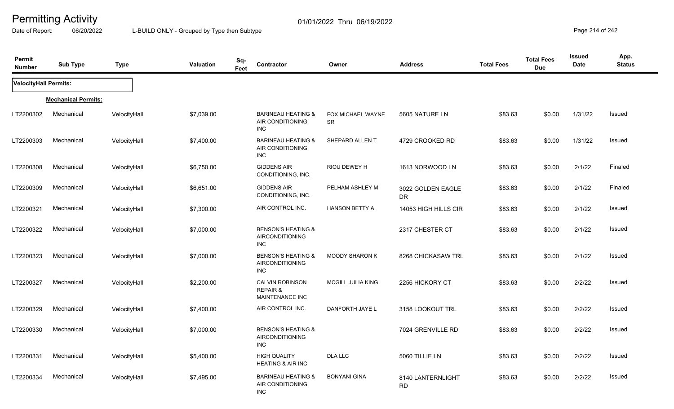Date of Report: 06/20/2022 L-BUILD ONLY - Grouped by Type then Subtype **Page 214** of 242

| Permit<br><b>Number</b> | <b>Sub Type</b>            | <b>Type</b>  | <b>Valuation</b> | Sq-<br><b>Contractor</b><br>Feet                                      | Owner                          | <b>Address</b>                 | <b>Total Fees</b> | <b>Total Fees</b><br><b>Due</b> | <b>Issued</b><br><b>Date</b> | App.<br><b>Status</b> |
|-------------------------|----------------------------|--------------|------------------|-----------------------------------------------------------------------|--------------------------------|--------------------------------|-------------------|---------------------------------|------------------------------|-----------------------|
| VelocityHall Permits:   |                            |              |                  |                                                                       |                                |                                |                   |                                 |                              |                       |
|                         | <b>Mechanical Permits:</b> |              |                  |                                                                       |                                |                                |                   |                                 |                              |                       |
| LT2200302               | Mechanical                 | VelocityHall | \$7,039.00       | <b>BARINEAU HEATING &amp;</b><br>AIR CONDITIONING<br><b>INC</b>       | FOX MICHAEL WAYNE<br><b>SR</b> | 5605 NATURE LN                 | \$83.63           | \$0.00                          | 1/31/22                      | Issued                |
| LT2200303               | Mechanical                 | VelocityHall | \$7,400.00       | <b>BARINEAU HEATING &amp;</b><br>AIR CONDITIONING<br><b>INC</b>       | SHEPARD ALLENT                 | 4729 CROOKED RD                | \$83.63           | \$0.00                          | 1/31/22                      | Issued                |
| LT2200308               | Mechanical                 | VelocityHall | \$6,750.00       | <b>GIDDENS AIR</b><br>CONDITIONING, INC.                              | RIOU DEWEY H                   | 1613 NORWOOD LN                | \$83.63           | \$0.00                          | 2/1/22                       | Finaled               |
| LT2200309               | Mechanical                 | VelocityHall | \$6,651.00       | <b>GIDDENS AIR</b><br>CONDITIONING, INC.                              | PELHAM ASHLEY M                | 3022 GOLDEN EAGLE<br><b>DR</b> | \$83.63           | \$0.00                          | 2/1/22                       | Finaled               |
| LT2200321               | Mechanical                 | VelocityHall | \$7,300.00       | AIR CONTROL INC.                                                      | <b>HANSON BETTY A</b>          | 14053 HIGH HILLS CIR           | \$83.63           | \$0.00                          | 2/1/22                       | Issued                |
| LT2200322               | Mechanical                 | VelocityHall | \$7,000.00       | <b>BENSON'S HEATING &amp;</b><br>AIRCONDITIONING<br><b>INC</b>        |                                | 2317 CHESTER CT                | \$83.63           | \$0.00                          | 2/1/22                       | Issued                |
| LT2200323               | Mechanical                 | VelocityHall | \$7,000.00       | <b>BENSON'S HEATING &amp;</b><br><b>AIRCONDITIONING</b><br><b>INC</b> | <b>MOODY SHARON K</b>          | 8268 CHICKASAW TRL             | \$83.63           | \$0.00                          | 2/1/22                       | <b>Issued</b>         |
| LT2200327               | Mechanical                 | VelocityHall | \$2,200.00       | CALVIN ROBINSON<br><b>REPAIR &amp;</b><br>MAINTENANCE INC             | <b>MCGILL JULIA KING</b>       | 2256 HICKORY CT                | \$83.63           | \$0.00                          | 2/2/22                       | Issued                |
| LT2200329               | Mechanical                 | VelocityHall | \$7,400.00       | AIR CONTROL INC.                                                      | DANFORTH JAYE L                | 3158 LOOKOUT TRL               | \$83.63           | \$0.00                          | 2/2/22                       | Issued                |
| LT2200330               | Mechanical                 | VelocityHall | \$7,000.00       | <b>BENSON'S HEATING &amp;</b><br>AIRCONDITIONING<br><b>INC</b>        |                                | 7024 GRENVILLE RD              | \$83.63           | \$0.00                          | 2/2/22                       | Issued                |
| LT2200331               | Mechanical                 | VelocityHall | \$5,400.00       | <b>HIGH QUALITY</b><br><b>HEATING &amp; AIR INC</b>                   | DLA LLC                        | 5060 TILLIE LN                 | \$83.63           | \$0.00                          | 2/2/22                       | Issued                |
| LT2200334               | Mechanical                 | VelocityHall | \$7,495.00       | <b>BARINEAU HEATING &amp;</b><br>AIR CONDITIONING<br><b>INC</b>       | <b>BONYANI GINA</b>            | 8140 LANTERNLIGHT<br><b>RD</b> | \$83.63           | \$0.00                          | 2/2/22                       | Issued                |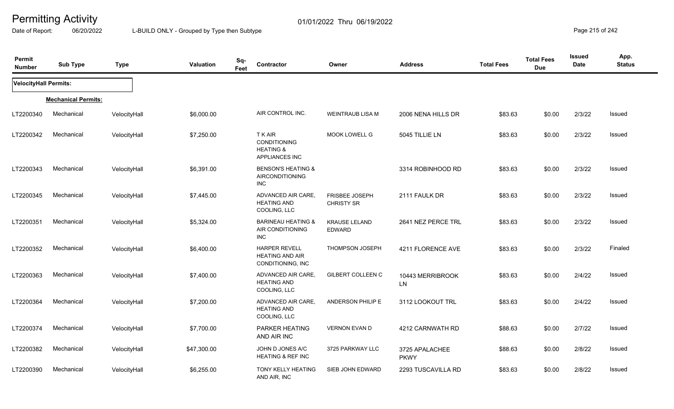Date of Report: 06/20/2022 L-BUILD ONLY - Grouped by Type then Subtype **Page 215** of 242

| Permit<br><b>Number</b>      | <b>Sub Type</b>            | <b>Type</b>  | Valuation   | Sq-<br>Feet | Contractor                                                                           | Owner                                 | <b>Address</b>                | <b>Total Fees</b> | <b>Total Fees</b><br><b>Due</b> | <b>Issued</b><br><b>Date</b> | App.<br><b>Status</b> |
|------------------------------|----------------------------|--------------|-------------|-------------|--------------------------------------------------------------------------------------|---------------------------------------|-------------------------------|-------------------|---------------------------------|------------------------------|-----------------------|
| <b>VelocityHall Permits:</b> |                            |              |             |             |                                                                                      |                                       |                               |                   |                                 |                              |                       |
|                              | <b>Mechanical Permits:</b> |              |             |             |                                                                                      |                                       |                               |                   |                                 |                              |                       |
| LT2200340                    | Mechanical                 | VelocityHall | \$6,000.00  |             | AIR CONTROL INC.                                                                     | WEINTRAUB LISA M                      | 2006 NENA HILLS DR            | \$83.63           | \$0.00                          | 2/3/22                       | Issued                |
| LT2200342                    | Mechanical                 | VelocityHall | \$7,250.00  |             | <b>TKAIR</b><br><b>CONDITIONING</b><br><b>HEATING &amp;</b><br><b>APPLIANCES INC</b> | MOOK LOWELL G                         | 5045 TILLIE LN                | \$83.63           | \$0.00                          | 2/3/22                       | <b>Issued</b>         |
| LT2200343                    | Mechanical                 | VelocityHall | \$6,391.00  |             | <b>BENSON'S HEATING &amp;</b><br>AIRCONDITIONING<br><b>INC</b>                       |                                       | 3314 ROBINHOOD RD             | \$83.63           | \$0.00                          | 2/3/22                       | Issued                |
| LT2200345                    | Mechanical                 | VelocityHall | \$7,445.00  |             | ADVANCED AIR CARE,<br><b>HEATING AND</b><br>COOLING, LLC                             | FRISBEE JOSEPH<br><b>CHRISTY SR</b>   | 2111 FAULK DR                 | \$83.63           | \$0.00                          | 2/3/22                       | Issued                |
| LT2200351                    | Mechanical                 | VelocityHall | \$5,324.00  |             | <b>BARINEAU HEATING &amp;</b><br>AIR CONDITIONING<br><b>INC</b>                      | <b>KRAUSE LELAND</b><br><b>EDWARD</b> | 2641 NEZ PERCE TRL            | \$83.63           | \$0.00                          | 2/3/22                       | Issued                |
| LT2200352                    | Mechanical                 | VelocityHall | \$6,400.00  |             | <b>HARPER REVELL</b><br><b>HEATING AND AIR</b><br>CONDITIONING, INC                  | <b>THOMPSON JOSEPH</b>                | 4211 FLORENCE AVE             | \$83.63           | \$0.00                          | 2/3/22                       | Finaled               |
| LT2200363                    | Mechanical                 | VelocityHall | \$7,400.00  |             | ADVANCED AIR CARE,<br><b>HEATING AND</b><br>COOLING, LLC                             | <b>GILBERT COLLEEN C</b>              | 10443 MERRIBROOK<br>LN.       | \$83.63           | \$0.00                          | 2/4/22                       | Issued                |
| LT2200364                    | Mechanical                 | VelocityHall | \$7,200.00  |             | ADVANCED AIR CARE,<br><b>HEATING AND</b><br>COOLING, LLC                             | ANDERSON PHILIP E                     | 3112 LOOKOUT TRL              | \$83.63           | \$0.00                          | 2/4/22                       | Issued                |
| LT2200374                    | Mechanical                 | VelocityHall | \$7,700.00  |             | PARKER HEATING<br>AND AIR INC                                                        | <b>VERNON EVAN D</b>                  | 4212 CARNWATH RD              | \$88.63           | \$0.00                          | 2/7/22                       | Issued                |
| LT2200382                    | Mechanical                 | VelocityHall | \$47,300.00 |             | JOHN D JONES A/C<br>HEATING & REF INC                                                | 3725 PARKWAY LLC                      | 3725 APALACHEE<br><b>PKWY</b> | \$88.63           | \$0.00                          | 2/8/22                       | Issued                |
| LT2200390                    | Mechanical                 | VelocityHall | \$6,255.00  |             | TONY KELLY HEATING<br>AND AIR, INC                                                   | SIEB JOHN EDWARD                      | 2293 TUSCAVILLA RD            | \$83.63           | \$0.00                          | 2/8/22                       | Issued                |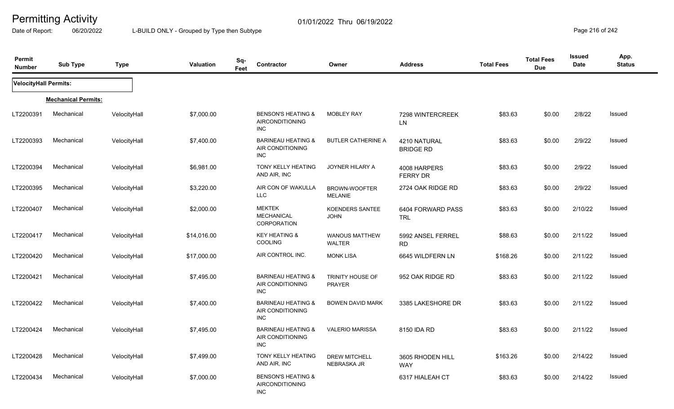Date of Report: 06/20/2022 L-BUILD ONLY - Grouped by Type then Subtype **Page 216** of 242

| Permit<br><b>Number</b> | <b>Sub Type</b>            | <b>Type</b>  | <b>Valuation</b> | Sq-<br>Feet | <b>Contractor</b>                                                     | Owner                                  | <b>Address</b>                   | <b>Total Fees</b> | <b>Total Fees</b><br><b>Due</b> | <b>Issued</b><br><b>Date</b> | App.<br><b>Status</b> |
|-------------------------|----------------------------|--------------|------------------|-------------|-----------------------------------------------------------------------|----------------------------------------|----------------------------------|-------------------|---------------------------------|------------------------------|-----------------------|
| VelocityHall Permits:   |                            |              |                  |             |                                                                       |                                        |                                  |                   |                                 |                              |                       |
|                         | <b>Mechanical Permits:</b> |              |                  |             |                                                                       |                                        |                                  |                   |                                 |                              |                       |
| LT2200391               | Mechanical                 | VelocityHall | \$7,000.00       |             | <b>BENSON'S HEATING &amp;</b><br>AIRCONDITIONING<br><b>INC</b>        | <b>MOBLEY RAY</b>                      | 7298 WINTERCREEK<br>LN           | \$83.63           | \$0.00                          | 2/8/22                       | Issued                |
| LT2200393               | Mechanical                 | VelocityHall | \$7,400.00       |             | <b>BARINEAU HEATING &amp;</b><br>AIR CONDITIONING<br><b>INC</b>       | <b>BUTLER CATHERINE A</b>              | 4210 NATURAL<br><b>BRIDGE RD</b> | \$83.63           | \$0.00                          | 2/9/22                       | Issued                |
| LT2200394               | Mechanical                 | VelocityHall | \$6,981.00       |             | <b>TONY KELLY HEATING</b><br>AND AIR, INC                             | JOYNER HILARY A                        | 4008 HARPERS<br>FERRY DR         | \$83.63           | \$0.00                          | 2/9/22                       | <b>Issued</b>         |
| LT2200395               | Mechanical                 | VelocityHall | \$3,220.00       |             | AIR CON OF WAKULLA<br>LLC                                             | <b>BROWN-WOOFTER</b><br><b>MELANIE</b> | 2724 OAK RIDGE RD                | \$83.63           | \$0.00                          | 2/9/22                       | Issued                |
| LT2200407               | Mechanical                 | VelocityHall | \$2,000.00       |             | <b>MEKTEK</b><br><b>MECHANICAL</b><br>CORPORATION                     | <b>KOENDERS SANTEE</b><br><b>JOHN</b>  | 6404 FORWARD PASS<br><b>TRL</b>  | \$83.63           | \$0.00                          | 2/10/22                      | <b>Issued</b>         |
| LT2200417               | Mechanical                 | VelocityHall | \$14,016.00      |             | <b>KEY HEATING &amp;</b><br><b>COOLING</b>                            | WANOUS MATTHEW<br>WALTER               | 5992 ANSEL FERREL<br><b>RD</b>   | \$88.63           | \$0.00                          | 2/11/22                      | <b>Issued</b>         |
| LT2200420               | Mechanical                 | VelocityHall | \$17,000.00      |             | AIR CONTROL INC.                                                      | <b>MONK LISA</b>                       | 6645 WILDFERN LN                 | \$168.26          | \$0.00                          | 2/11/22                      | Issued                |
| LT2200421               | Mechanical                 | VelocityHall | \$7,495.00       |             | <b>BARINEAU HEATING &amp;</b><br>AIR CONDITIONING<br><b>INC</b>       | TRINITY HOUSE OF<br><b>PRAYER</b>      | 952 OAK RIDGE RD                 | \$83.63           | \$0.00                          | 2/11/22                      | <b>Issued</b>         |
| LT2200422               | Mechanical                 | VelocityHall | \$7,400.00       |             | <b>BARINEAU HEATING &amp;</b><br>AIR CONDITIONING<br><b>INC</b>       | BOWEN DAVID MARK                       | 3385 LAKESHORE DR                | \$83.63           | \$0.00                          | 2/11/22                      | <b>Issued</b>         |
| LT2200424               | Mechanical                 | VelocityHall | \$7,495.00       |             | <b>BARINEAU HEATING &amp;</b><br>AIR CONDITIONING<br><b>INC</b>       | <b>VALERIO MARISSA</b>                 | 8150 IDA RD                      | \$83.63           | \$0.00                          | 2/11/22                      | <b>Issued</b>         |
| LT2200428               | Mechanical                 | VelocityHall | \$7,499.00       |             | TONY KELLY HEATING<br>AND AIR, INC                                    | <b>DREW MITCHELL</b><br>NEBRASKA JR    | 3605 RHODEN HILL<br><b>WAY</b>   | \$163.26          | \$0.00                          | 2/14/22                      | Issued                |
| LT2200434               | Mechanical                 | VelocityHall | \$7,000.00       |             | <b>BENSON'S HEATING &amp;</b><br><b>AIRCONDITIONING</b><br><b>INC</b> |                                        | 6317 HIALEAH CT                  | \$83.63           | \$0.00                          | 2/14/22                      | Issued                |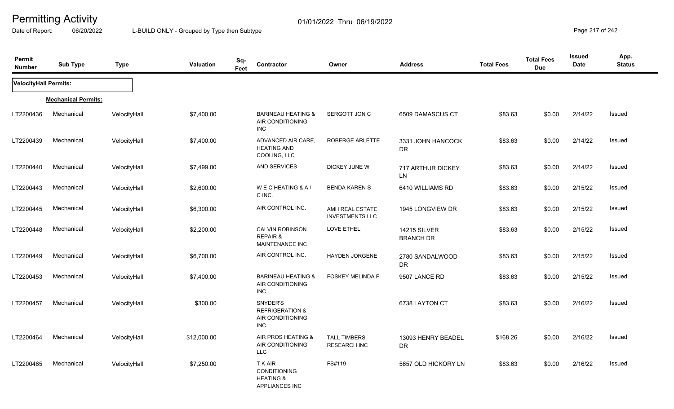Date of Report: 06/20/2022 L-BUILD ONLY - Grouped by Type then Subtype **Page 217** of 242

| Permit<br><b>Number</b> | <b>Sub Type</b>            | <b>Type</b>  | <b>Valuation</b> | Sq-<br>Feet | Contractor                                                              | Owner                                      | <b>Address</b>                          | <b>Total Fees</b> | <b>Total Fees</b><br><b>Due</b> | Issued<br>Date | App.<br><b>Status</b> |
|-------------------------|----------------------------|--------------|------------------|-------------|-------------------------------------------------------------------------|--------------------------------------------|-----------------------------------------|-------------------|---------------------------------|----------------|-----------------------|
| VelocityHall Permits:   |                            |              |                  |             |                                                                         |                                            |                                         |                   |                                 |                |                       |
|                         | <b>Mechanical Permits:</b> |              |                  |             |                                                                         |                                            |                                         |                   |                                 |                |                       |
| LT2200436               | Mechanical                 | VelocityHall | \$7,400.00       |             | <b>BARINEAU HEATING &amp;</b><br>AIR CONDITIONING<br><b>INC</b>         | SERGOTT JON C                              | 6509 DAMASCUS CT                        | \$83.63           | \$0.00                          | 2/14/22        | Issued                |
| LT2200439               | Mechanical                 | VelocityHall | \$7,400.00       |             | ADVANCED AIR CARE,<br><b>HEATING AND</b><br>COOLING, LLC                | ROBERGE ARLETTE                            | 3331 JOHN HANCOCK<br><b>DR</b>          | \$83.63           | \$0.00                          | 2/14/22        | Issued                |
| LT2200440               | Mechanical                 | VelocityHall | \$7,499.00       |             | AND SERVICES                                                            | DICKEY JUNE W                              | 717 ARTHUR DICKEY<br>LN                 | \$83.63           | \$0.00                          | 2/14/22        | Issued                |
| LT2200443               | Mechanical                 | VelocityHall | \$2,600.00       |             | WECHEATING & A/<br>C INC.                                               | <b>BENDA KAREN S</b>                       | 6410 WILLIAMS RD                        | \$83.63           | \$0.00                          | 2/15/22        | Issued                |
| LT2200445               | Mechanical                 | VelocityHall | \$6,300.00       |             | AIR CONTROL INC.                                                        | AMH REAL ESTATE<br><b>INVESTMENTS LLC</b>  | 1945 LONGVIEW DR                        | \$83.63           | \$0.00                          | 2/15/22        | Issued                |
| LT2200448               | Mechanical                 | VelocityHall | \$2,200.00       |             | <b>CALVIN ROBINSON</b><br><b>REPAIR &amp;</b><br><b>MAINTENANCE INC</b> | LOVE ETHEL                                 | <b>14215 SILVER</b><br><b>BRANCH DR</b> | \$83.63           | \$0.00                          | 2/15/22        | Issued                |
| LT2200449               | Mechanical                 | VelocityHall | \$6,700.00       |             | AIR CONTROL INC.                                                        | HAYDEN JORGENE                             | 2780 SANDALWOOD<br><b>DR</b>            | \$83.63           | \$0.00                          | 2/15/22        | Issued                |
| LT2200453               | Mechanical                 | VelocityHall | \$7,400.00       |             | <b>BARINEAU HEATING &amp;</b><br>AIR CONDITIONING<br><b>INC</b>         | <b>FOSKEY MELINDA F</b>                    | 9507 LANCE RD                           | \$83.63           | \$0.00                          | 2/15/22        | Issued                |
| LT2200457               | Mechanical                 | VelocityHall | \$300.00         |             | SNYDER'S<br><b>REFRIGERATION &amp;</b><br>AIR CONDITIONING<br>INC.      |                                            | 6738 LAYTON CT                          | \$83.63           | \$0.00                          | 2/16/22        | Issued                |
| LT2200464               | Mechanical                 | VelocityHall | \$12,000.00      |             | AIR PROS HEATING &<br>AIR CONDITIONING<br><b>LLC</b>                    | <b>TALL TIMBERS</b><br><b>RESEARCH INC</b> | 13093 HENRY BEADEL<br>DR                | \$168.26          | \$0.00                          | 2/16/22        | <b>Issued</b>         |
| LT2200465               | Mechanical                 | VelocityHall | \$7,250.00       |             | <b>TKAIR</b><br>CONDITIONING<br><b>HEATING &amp;</b><br>APPLIANCES INC  | FS#119                                     | 5657 OLD HICKORY LN                     | \$83.63           | \$0.00                          | 2/16/22        | Issued                |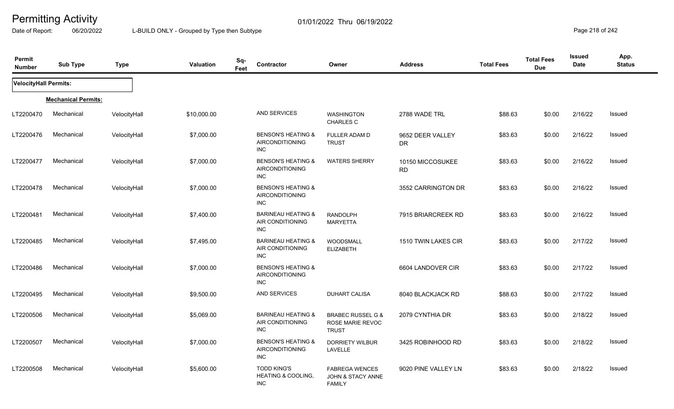Date of Report: 06/20/2022 L-BUILD ONLY - Grouped by Type then Subtype **Page 218** of 242

| Permit<br><b>Number</b>      | <b>Sub Type</b>            | <b>Type</b>  | <b>Valuation</b> | Sq-<br>Contractor<br>Feet        |                                                         | Owner                                                                  | <b>Address</b>                | <b>Total Fees</b> | <b>Total Fees</b><br><b>Due</b> | <b>Issued</b><br><b>Date</b> | App.<br><b>Status</b> |
|------------------------------|----------------------------|--------------|------------------|----------------------------------|---------------------------------------------------------|------------------------------------------------------------------------|-------------------------------|-------------------|---------------------------------|------------------------------|-----------------------|
| <b>VelocityHall Permits:</b> |                            |              |                  |                                  |                                                         |                                                                        |                               |                   |                                 |                              |                       |
|                              | <b>Mechanical Permits:</b> |              |                  |                                  |                                                         |                                                                        |                               |                   |                                 |                              |                       |
| LT2200470                    | Mechanical                 | VelocityHall | \$10,000.00      |                                  | AND SERVICES                                            | <b>WASHINGTON</b><br>CHARLES C                                         | 2788 WADE TRL                 | \$88.63           | \$0.00                          | 2/16/22                      | Issued                |
| LT2200476                    | Mechanical                 | VelocityHall | \$7,000.00       | <b>INC</b>                       | <b>BENSON'S HEATING &amp;</b><br><b>AIRCONDITIONING</b> | FULLER ADAM D<br><b>TRUST</b>                                          | 9652 DEER VALLEY<br><b>DR</b> | \$83.63           | \$0.00                          | 2/16/22                      | <b>Issued</b>         |
| LT2200477                    | Mechanical                 | VelocityHall | \$7,000.00       | <b>INC</b>                       | <b>BENSON'S HEATING &amp;</b><br><b>AIRCONDITIONING</b> | <b>WATERS SHERRY</b>                                                   | 10150 MICCOSUKEE<br><b>RD</b> | \$83.63           | \$0.00                          | 2/16/22                      | Issued                |
| LT2200478                    | Mechanical                 | VelocityHall | \$7,000.00       | <b>INC</b>                       | <b>BENSON'S HEATING &amp;</b><br><b>AIRCONDITIONING</b> |                                                                        | 3552 CARRINGTON DR            | \$83.63           | \$0.00                          | 2/16/22                      | Issued                |
| LT2200481                    | Mechanical                 | VelocityHall | \$7,400.00       | <b>INC</b>                       | <b>BARINEAU HEATING &amp;</b><br>AIR CONDITIONING       | <b>RANDOLPH</b><br><b>MARYETTA</b>                                     | 7915 BRIARCREEK RD            | \$83.63           | \$0.00                          | 2/16/22                      | Issued                |
| LT2200485                    | Mechanical                 | VelocityHall | \$7,495.00       | <b>INC</b>                       | <b>BARINEAU HEATING &amp;</b><br>AIR CONDITIONING       | WOODSMALL<br><b>ELIZABETH</b>                                          | 1510 TWIN LAKES CIR           | \$83.63           | \$0.00                          | 2/17/22                      | Issued                |
| LT2200486                    | Mechanical                 | VelocityHall | \$7,000.00       | <b>INC</b>                       | <b>BENSON'S HEATING &amp;</b><br><b>AIRCONDITIONING</b> |                                                                        | 6604 LANDOVER CIR             | \$83.63           | \$0.00                          | 2/17/22                      | Issued                |
| LT2200495                    | Mechanical                 | VelocityHall | \$9,500.00       |                                  | AND SERVICES                                            | <b>DUHART CALISA</b>                                                   | 8040 BLACKJACK RD             | \$88.63           | \$0.00                          | 2/17/22                      | Issued                |
| LT2200506                    | Mechanical                 | VelocityHall | \$5,069.00       | <b>INC</b>                       | <b>BARINEAU HEATING &amp;</b><br>AIR CONDITIONING       | <b>BRABEC RUSSEL G &amp;</b><br>ROSE MARIE REVOC<br><b>TRUST</b>       | 2079 CYNTHIA DR               | \$83.63           | \$0.00                          | 2/18/22                      | Issued                |
| LT2200507                    | Mechanical                 | VelocityHall | \$7,000.00       | <b>INC</b>                       | <b>BENSON'S HEATING &amp;</b><br><b>AIRCONDITIONING</b> | <b>DORRIETY WILBUR</b><br>LAVELLE                                      | 3425 ROBINHOOD RD             | \$83.63           | \$0.00                          | 2/18/22                      | Issued                |
| LT2200508                    | Mechanical                 | VelocityHall | \$5,600.00       | <b>TODD KING'S</b><br><b>INC</b> | <b>HEATING &amp; COOLING,</b>                           | <b>FABREGA WENCES</b><br><b>JOHN &amp; STACY ANNE</b><br><b>FAMILY</b> | 9020 PINE VALLEY LN           | \$83.63           | \$0.00                          | 2/18/22                      | Issued                |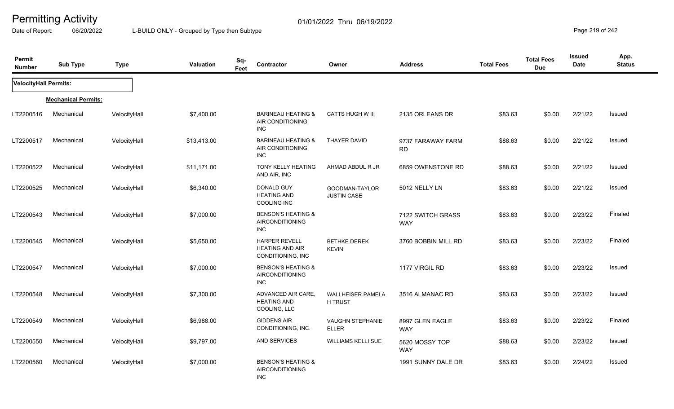Date of Report: 06/20/2022 L-BUILD ONLY - Grouped by Type then Subtype **Page 219** of 242

| Permit<br><b>Number</b>      | <b>Sub Type</b>            | <b>Type</b>  | Valuation   | Sq-<br>Feet | Contractor                                                            | Owner                                   | <b>Address</b>                  | <b>Total Fees</b> | <b>Total Fees</b><br><b>Due</b> | <b>Issued</b><br><b>Date</b> | App.<br><b>Status</b> |
|------------------------------|----------------------------|--------------|-------------|-------------|-----------------------------------------------------------------------|-----------------------------------------|---------------------------------|-------------------|---------------------------------|------------------------------|-----------------------|
| <b>VelocityHall Permits:</b> |                            |              |             |             |                                                                       |                                         |                                 |                   |                                 |                              |                       |
|                              | <b>Mechanical Permits:</b> |              |             |             |                                                                       |                                         |                                 |                   |                                 |                              |                       |
| LT2200516                    | Mechanical                 | VelocityHall | \$7,400.00  |             | <b>BARINEAU HEATING &amp;</b><br>AIR CONDITIONING<br><b>INC</b>       | <b>CATTS HUGH W III</b>                 | 2135 ORLEANS DR                 | \$83.63           | \$0.00                          | 2/21/22                      | Issued                |
| LT2200517                    | Mechanical                 | VelocityHall | \$13,413.00 |             | <b>BARINEAU HEATING &amp;</b><br>AIR CONDITIONING<br><b>INC</b>       | <b>THAYER DAVID</b>                     | 9737 FARAWAY FARM<br><b>RD</b>  | \$88.63           | \$0.00                          | 2/21/22                      | Issued                |
| LT2200522                    | Mechanical                 | VelocityHall | \$11,171.00 |             | TONY KELLY HEATING<br>AND AIR, INC                                    | AHMAD ABDUL R JR                        | 6859 OWENSTONE RD               | \$88.63           | \$0.00                          | 2/21/22                      | Issued                |
| LT2200525                    | Mechanical                 | VelocityHall | \$6,340.00  |             | DONALD GUY<br><b>HEATING AND</b><br>COOLING INC                       | GOODMAN-TAYLOR<br><b>JUSTIN CASE</b>    | 5012 NELLY LN                   | \$83.63           | \$0.00                          | 2/21/22                      | Issued                |
| LT2200543                    | Mechanical                 | VelocityHall | \$7,000.00  |             | <b>BENSON'S HEATING &amp;</b><br><b>AIRCONDITIONING</b><br><b>INC</b> |                                         | 7122 SWITCH GRASS<br><b>WAY</b> | \$83.63           | \$0.00                          | 2/23/22                      | Finaled               |
| LT2200545                    | Mechanical                 | VelocityHall | \$5,650.00  |             | <b>HARPER REVELL</b><br><b>HEATING AND AIR</b><br>CONDITIONING, INC.  | <b>BETHKE DEREK</b><br><b>KEVIN</b>     | 3760 BOBBIN MILL RD             | \$83.63           | \$0.00                          | 2/23/22                      | Finaled               |
| LT2200547                    | Mechanical                 | VelocityHall | \$7,000.00  |             | <b>BENSON'S HEATING &amp;</b><br><b>AIRCONDITIONING</b><br><b>INC</b> |                                         | 1177 VIRGIL RD                  | \$83.63           | \$0.00                          | 2/23/22                      | Issued                |
| LT2200548                    | Mechanical                 | VelocityHall | \$7,300.00  |             | ADVANCED AIR CARE,<br><b>HEATING AND</b><br>COOLING, LLC              | WALLHEISER PAMELA<br>H TRUST            | 3516 ALMANAC RD                 | \$83.63           | \$0.00                          | 2/23/22                      | Issued                |
| LT2200549                    | Mechanical                 | VelocityHall | \$6,988.00  |             | <b>GIDDENS AIR</b><br>CONDITIONING, INC.                              | <b>VAUGHN STEPHANIE</b><br><b>ELLER</b> | 8997 GLEN EAGLE<br><b>WAY</b>   | \$83.63           | \$0.00                          | 2/23/22                      | Finaled               |
| LT2200550                    | Mechanical                 | VelocityHall | \$9,797.00  |             | AND SERVICES                                                          | <b>WILLIAMS KELLI SUE</b>               | 5620 MOSSY TOP<br><b>WAY</b>    | \$88.63           | \$0.00                          | 2/23/22                      | <b>Issued</b>         |
| LT2200560                    | Mechanical                 | VelocityHall | \$7,000.00  |             | <b>BENSON'S HEATING &amp;</b><br>AIRCONDITIONING<br><b>INC</b>        |                                         | 1991 SUNNY DALE DR              | \$83.63           | \$0.00                          | 2/24/22                      | Issued                |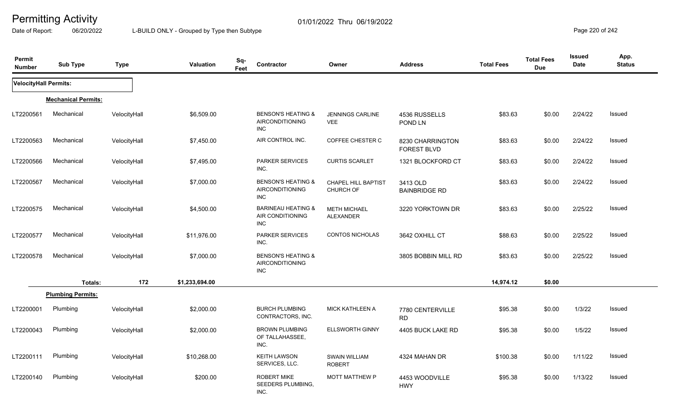Date of Report: 06/20/2022 L-BUILD ONLY - Grouped by Type then Subtype **Page 220** of 242

| Permit<br><b>Number</b>      | <b>Sub Type</b>            | <b>Type</b>  | Valuation      | Sq-<br>Feet | Contractor                                                      | Owner                                   | <b>Address</b>                         | <b>Total Fees</b> | <b>Total Fees</b><br><b>Due</b> | Issued<br>Date | App.<br><b>Status</b> |
|------------------------------|----------------------------|--------------|----------------|-------------|-----------------------------------------------------------------|-----------------------------------------|----------------------------------------|-------------------|---------------------------------|----------------|-----------------------|
| <b>VelocityHall Permits:</b> |                            |              |                |             |                                                                 |                                         |                                        |                   |                                 |                |                       |
|                              | <b>Mechanical Permits:</b> |              |                |             |                                                                 |                                         |                                        |                   |                                 |                |                       |
| LT2200561                    | Mechanical                 | VelocityHall | \$6,509.00     |             | <b>BENSON'S HEATING &amp;</b><br>AIRCONDITIONING<br><b>INC</b>  | JENNINGS CARLINE<br><b>VEE</b>          | 4536 RUSSELLS<br>POND LN               | \$83.63           | \$0.00                          | 2/24/22        | Issued                |
| LT2200563                    | Mechanical                 | VelocityHall | \$7,450.00     |             | AIR CONTROL INC.                                                | COFFEE CHESTER C                        | 8230 CHARRINGTON<br><b>FOREST BLVD</b> | \$83.63           | \$0.00                          | 2/24/22        | Issued                |
| LT2200566                    | Mechanical                 | VelocityHall | \$7,495.00     |             | PARKER SERVICES<br>INC.                                         | <b>CURTIS SCARLET</b>                   | 1321 BLOCKFORD CT                      | \$83.63           | \$0.00                          | 2/24/22        | <b>Issued</b>         |
| LT2200567                    | Mechanical                 | VelocityHall | \$7,000.00     |             | <b>BENSON'S HEATING &amp;</b><br><b>AIRCONDITIONING</b><br>INC  | <b>CHAPEL HILL BAPTIST</b><br>CHURCH OF | 3413 OLD<br><b>BAINBRIDGE RD</b>       | \$83.63           | \$0.00                          | 2/24/22        | Issued                |
| LT2200575                    | Mechanical                 | VelocityHall | \$4,500.00     |             | <b>BARINEAU HEATING &amp;</b><br>AIR CONDITIONING<br><b>INC</b> | <b>METH MICHAEL</b><br><b>ALEXANDER</b> | 3220 YORKTOWN DR                       | \$83.63           | \$0.00                          | 2/25/22        | Issued                |
| LT2200577                    | Mechanical                 | VelocityHall | \$11,976.00    |             | <b>PARKER SERVICES</b><br>INC.                                  | <b>CONTOS NICHOLAS</b>                  | 3642 OXHILL CT                         | \$88.63           | \$0.00                          | 2/25/22        | Issued                |
| LT2200578                    | Mechanical                 | VelocityHall | \$7,000.00     |             | <b>BENSON'S HEATING &amp;</b><br>AIRCONDITIONING<br><b>INC</b>  |                                         | 3805 BOBBIN MILL RD                    | \$83.63           | \$0.00                          | 2/25/22        | Issued                |
|                              | Totals:                    | 172          | \$1,233,694.00 |             |                                                                 |                                         |                                        | 14,974.12         | \$0.00                          |                |                       |
|                              | <b>Plumbing Permits:</b>   |              |                |             |                                                                 |                                         |                                        |                   |                                 |                |                       |
| LT2200001                    | Plumbing                   | VelocityHall | \$2,000.00     |             | <b>BURCH PLUMBING</b><br>CONTRACTORS, INC.                      | <b>MICK KATHLEEN A</b>                  | 7780 CENTERVILLE<br><b>RD</b>          | \$95.38           | \$0.00                          | 1/3/22         | <b>Issued</b>         |
| LT2200043                    | Plumbing                   | VelocityHall | \$2,000.00     |             | <b>BROWN PLUMBING</b><br>OF TALLAHASSEE,<br>INC.                | <b>ELLSWORTH GINNY</b>                  | 4405 BUCK LAKE RD                      | \$95.38           | \$0.00                          | 1/5/22         | <b>Issued</b>         |
| LT2200111                    | Plumbing                   | VelocityHall | \$10,268.00    |             | <b>KEITH LAWSON</b><br>SERVICES, LLC.                           | <b>SWAIN WILLIAM</b><br><b>ROBERT</b>   | 4324 MAHAN DR                          | \$100.38          | \$0.00                          | 1/11/22        | Issued                |
| LT2200140                    | Plumbing                   | VelocityHall | \$200.00       |             | <b>ROBERT MIKE</b><br>SEEDERS PLUMBING,<br>INC.                 | <b>MOTT MATTHEW P</b>                   | 4453 WOODVILLE<br><b>HWY</b>           | \$95.38           | \$0.00                          | 1/13/22        | Issued                |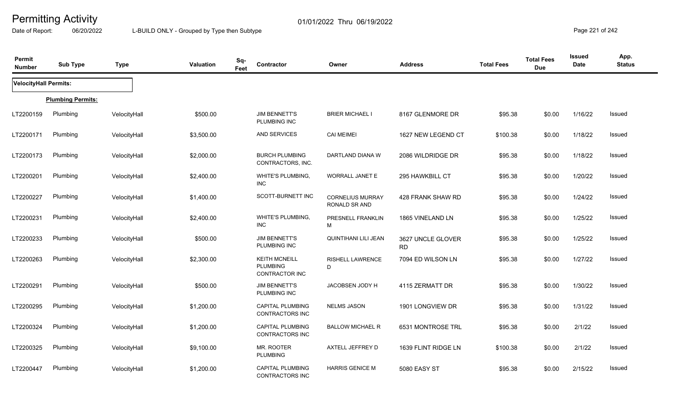Date of Report: 06/20/2022 L-BUILD ONLY - Grouped by Type then Subtype **Page 221** of 242

| Permit<br><b>Number</b>      | <b>Sub Type</b>          | <b>Type</b>  | <b>Valuation</b> | Sq-<br>Feet | Contractor                                                | Owner                                    | <b>Address</b>                 | <b>Total Fees</b> | <b>Total Fees</b><br><b>Due</b> | <b>Issued</b><br>Date | App.<br><b>Status</b> |
|------------------------------|--------------------------|--------------|------------------|-------------|-----------------------------------------------------------|------------------------------------------|--------------------------------|-------------------|---------------------------------|-----------------------|-----------------------|
| <b>VelocityHall Permits:</b> |                          |              |                  |             |                                                           |                                          |                                |                   |                                 |                       |                       |
|                              | <b>Plumbing Permits:</b> |              |                  |             |                                                           |                                          |                                |                   |                                 |                       |                       |
| LT2200159                    | Plumbing                 | VelocityHall | \$500.00         |             | <b>JIM BENNETT'S</b><br>PLUMBING INC                      | <b>BRIER MICHAEL I</b>                   | 8167 GLENMORE DR               | \$95.38           | \$0.00                          | 1/16/22               | <b>Issued</b>         |
| LT2200171                    | Plumbing                 | VelocityHall | \$3,500.00       |             | AND SERVICES                                              | <b>CAI MEIMEI</b>                        | 1627 NEW LEGEND CT             | \$100.38          | \$0.00                          | 1/18/22               | Issued                |
| LT2200173                    | Plumbing                 | VelocityHall | \$2,000.00       |             | <b>BURCH PLUMBING</b><br>CONTRACTORS, INC.                | DARTLAND DIANA W                         | 2086 WILDRIDGE DR              | \$95.38           | \$0.00                          | 1/18/22               | Issued                |
| LT2200201                    | Plumbing                 | VelocityHall | \$2,400.00       |             | WHITE'S PLUMBING,<br><b>INC</b>                           | WORRALL JANET E                          | 295 HAWKBILL CT                | \$95.38           | \$0.00                          | 1/20/22               | <b>Issued</b>         |
| LT2200227                    | Plumbing                 | VelocityHall | \$1,400.00       |             | SCOTT-BURNETT INC                                         | <b>CORNELIUS MURRAY</b><br>RONALD SR AND | 428 FRANK SHAW RD              | \$95.38           | \$0.00                          | 1/24/22               | Issued                |
| LT2200231                    | Plumbing                 | VelocityHall | \$2,400.00       |             | WHITE'S PLUMBING,<br><b>INC</b>                           | PRESNELL FRANKLIN<br>м                   | 1865 VINELAND LN               | \$95.38           | \$0.00                          | 1/25/22               | <b>Issued</b>         |
| LT2200233                    | Plumbing                 | VelocityHall | \$500.00         |             | <b>JIM BENNETT'S</b><br>PLUMBING INC                      | <b>QUINTIHANI LILI JEAN</b>              | 3627 UNCLE GLOVER<br><b>RD</b> | \$95.38           | \$0.00                          | 1/25/22               | Issued                |
| LT2200263                    | Plumbing                 | VelocityHall | \$2,300.00       |             | <b>KEITH MCNEILL</b><br><b>PLUMBING</b><br>CONTRACTOR INC | <b>RISHELL LAWRENCE</b><br>D             | 7094 ED WILSON LN              | \$95.38           | \$0.00                          | 1/27/22               | <b>Issued</b>         |
| LT2200291                    | Plumbing                 | VelocityHall | \$500.00         |             | <b>JIM BENNETT'S</b><br>PLUMBING INC                      | JACOBSEN JODY H                          | 4115 ZERMATT DR                | \$95.38           | \$0.00                          | 1/30/22               | <b>Issued</b>         |
| LT2200295                    | Plumbing                 | VelocityHall | \$1,200.00       |             | CAPITAL PLUMBING<br>CONTRACTORS INC                       | <b>NELMS JASON</b>                       | 1901 LONGVIEW DR               | \$95.38           | \$0.00                          | 1/31/22               | Issued                |
| LT2200324                    | Plumbing                 | VelocityHall | \$1,200.00       |             | CAPITAL PLUMBING<br>CONTRACTORS INC                       | <b>BALLOW MICHAEL R</b>                  | 6531 MONTROSE TRL              | \$95.38           | \$0.00                          | 2/1/22                | <b>Issued</b>         |
| LT2200325                    | Plumbing                 | VelocityHall | \$9,100.00       |             | MR. ROOTER<br><b>PLUMBING</b>                             | AXTELL JEFFREY D                         | 1639 FLINT RIDGE LN            | \$100.38          | \$0.00                          | 2/1/22                | Issued                |
| LT2200447                    | Plumbing                 | VelocityHall | \$1,200.00       |             | <b>CAPITAL PLUMBING</b><br>CONTRACTORS INC                | <b>HARRIS GENICE M</b>                   | 5080 EASY ST                   | \$95.38           | \$0.00                          | 2/15/22               | Issued                |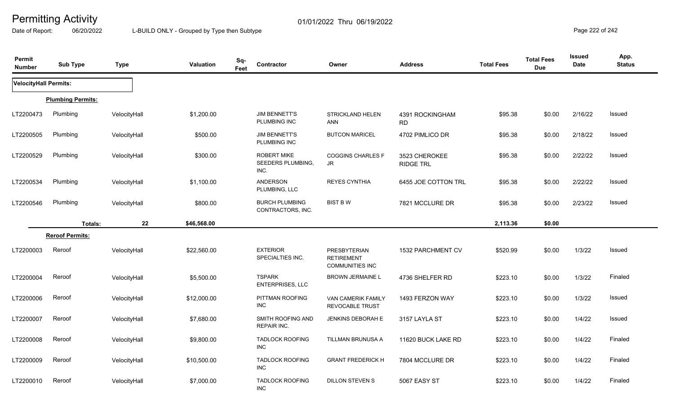Date of Report: 06/20/2022 L-BUILD ONLY - Grouped by Type then Subtype **Page 222 of 242** 

| Permit<br><b>Number</b>      | <b>Sub Type</b>          | <b>Type</b>  | Sq-<br><b>Valuation</b><br>Feet | Contractor                                             | Owner                                                              | <b>Address</b>                    | <b>Total Fees</b> | <b>Total Fees</b><br><b>Due</b> | <b>Issued</b><br>Date | App.<br><b>Status</b> |
|------------------------------|--------------------------|--------------|---------------------------------|--------------------------------------------------------|--------------------------------------------------------------------|-----------------------------------|-------------------|---------------------------------|-----------------------|-----------------------|
| <b>VelocityHall Permits:</b> |                          |              |                                 |                                                        |                                                                    |                                   |                   |                                 |                       |                       |
|                              | <b>Plumbing Permits:</b> |              |                                 |                                                        |                                                                    |                                   |                   |                                 |                       |                       |
| LT2200473                    | Plumbing                 | VelocityHall | \$1,200.00                      | <b>JIM BENNETT'S</b><br>PLUMBING INC                   | STRICKLAND HELEN<br><b>ANN</b>                                     | 4391 ROCKINGHAM<br><b>RD</b>      | \$95.38           | \$0.00                          | 2/16/22               | Issued                |
| LT2200505                    | Plumbing                 | VelocityHall | \$500.00                        | <b>JIM BENNETT'S</b><br>PLUMBING INC                   | <b>BUTCON MARICEL</b>                                              | 4702 PIMLICO DR                   | \$95.38           | \$0.00                          | 2/18/22               | Issued                |
| LT2200529                    | Plumbing                 | VelocityHall | \$300.00                        | <b>ROBERT MIKE</b><br><b>SEEDERS PLUMBING.</b><br>INC. | <b>COGGINS CHARLES F</b><br>JR                                     | 3523 CHEROKEE<br><b>RIDGE TRL</b> | \$95.38           | \$0.00                          | 2/22/22               | Issued                |
| LT2200534                    | Plumbing                 | VelocityHall | \$1,100.00                      | <b>ANDERSON</b><br>PLUMBING, LLC                       | <b>REYES CYNTHIA</b>                                               | 6455 JOE COTTON TRL               | \$95.38           | \$0.00                          | 2/22/22               | Issued                |
| LT2200546                    | Plumbing                 | VelocityHall | \$800.00                        | <b>BURCH PLUMBING</b><br>CONTRACTORS, INC.             | <b>BIST B W</b>                                                    | 7821 MCCLURE DR                   | \$95.38           | \$0.00                          | 2/23/22               | Issued                |
|                              | Totals:                  | 22           | \$46,568.00                     |                                                        |                                                                    |                                   | 2,113.36          | \$0.00                          |                       |                       |
|                              | <b>Reroof Permits:</b>   |              |                                 |                                                        |                                                                    |                                   |                   |                                 |                       |                       |
| LT2200003                    | Reroof                   | VelocityHall | \$22,560.00                     | <b>EXTERIOR</b><br>SPECIALTIES INC.                    | <b>PRESBYTERIAN</b><br><b>RETIREMENT</b><br><b>COMMUNITIES INC</b> | 1532 PARCHMENT CV                 | \$520.99          | \$0.00                          | 1/3/22                | Issued                |
| LT2200004                    | Reroof                   | VelocityHall | \$5,500.00                      | <b>TSPARK</b><br>ENTERPRISES, LLC                      | <b>BROWN JERMAINE L</b>                                            | 4736 SHELFER RD                   | \$223.10          | \$0.00                          | 1/3/22                | Finaled               |
| LT2200006                    | Reroof                   | VelocityHall | \$12,000.00                     | PITTMAN ROOFING<br><b>INC</b>                          | VAN CAMERIK FAMILY<br><b>REVOCABLE TRUST</b>                       | 1493 FERZON WAY                   | \$223.10          | \$0.00                          | 1/3/22                | Issued                |
| LT2200007                    | Reroof                   | VelocityHall | \$7,680.00                      | SMITH ROOFING AND<br><b>REPAIR INC.</b>                | <b>JENKINS DEBORAH E</b>                                           | 3157 LAYLA ST                     | \$223.10          | \$0.00                          | 1/4/22                | Issued                |
| LT2200008                    | Reroof                   | VelocityHall | \$9,800.00                      | <b>TADLOCK ROOFING</b><br><b>INC</b>                   | TILLMAN BRUNUSA A                                                  | 11620 BUCK LAKE RD                | \$223.10          | \$0.00                          | 1/4/22                | Finaled               |
| LT2200009                    | Reroof                   | VelocityHall | \$10,500.00                     | <b>TADLOCK ROOFING</b><br>INC                          | <b>GRANT FREDERICK H</b>                                           | 7804 MCCLURE DR                   | \$223.10          | \$0.00                          | 1/4/22                | Finaled               |
| LT2200010                    | Reroof                   | VelocityHall | \$7,000.00                      | <b>TADLOCK ROOFING</b><br><b>INC</b>                   | DILLON STEVEN S                                                    | 5067 EASY ST                      | \$223.10          | \$0.00                          | 1/4/22                | Finaled               |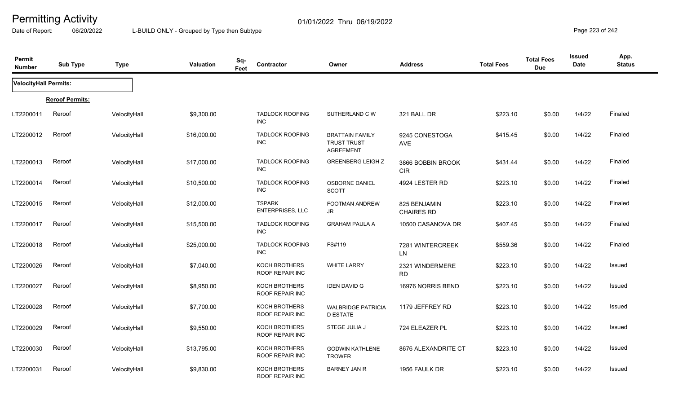Date of Report: 06/20/2022 L-BUILD ONLY - Grouped by Type then Subtype **Page 223** of 242

| Permit<br><b>Number</b>      | <b>Sub Type</b>        | <b>Type</b>  | Valuation   | Sq-<br>Feet | Contractor                               | Owner                                                            | <b>Address</b>                    | <b>Total Fees</b> | <b>Total Fees</b><br><b>Due</b> | <b>Issued</b><br><b>Date</b> | App.<br><b>Status</b> |
|------------------------------|------------------------|--------------|-------------|-------------|------------------------------------------|------------------------------------------------------------------|-----------------------------------|-------------------|---------------------------------|------------------------------|-----------------------|
| <b>VelocityHall Permits:</b> |                        |              |             |             |                                          |                                                                  |                                   |                   |                                 |                              |                       |
|                              | <b>Reroof Permits:</b> |              |             |             |                                          |                                                                  |                                   |                   |                                 |                              |                       |
| LT2200011                    | Reroof                 | VelocityHall | \$9,300.00  |             | <b>TADLOCK ROOFING</b><br><b>INC</b>     | SUTHERLAND C W                                                   | 321 BALL DR                       | \$223.10          | \$0.00                          | 1/4/22                       | Finaled               |
| LT2200012                    | Reroof                 | VelocityHall | \$16,000.00 |             | <b>TADLOCK ROOFING</b><br><b>INC</b>     | <b>BRATTAIN FAMILY</b><br><b>TRUST TRUST</b><br><b>AGREEMENT</b> | 9245 CONESTOGA<br>AVE             | \$415.45          | \$0.00                          | 1/4/22                       | Finaled               |
| LT2200013                    | Reroof                 | VelocityHall | \$17,000.00 |             | <b>TADLOCK ROOFING</b><br><b>INC</b>     | <b>GREENBERG LEIGH Z</b>                                         | 3866 BOBBIN BROOK<br><b>CIR</b>   | \$431.44          | \$0.00                          | 1/4/22                       | Finaled               |
| LT2200014                    | Reroof                 | VelocityHall | \$10,500.00 |             | <b>TADLOCK ROOFING</b><br><b>INC</b>     | <b>OSBORNE DANIEL</b><br><b>SCOTT</b>                            | 4924 LESTER RD                    | \$223.10          | \$0.00                          | 1/4/22                       | Finaled               |
| LT2200015                    | Reroof                 | VelocityHall | \$12,000.00 |             | <b>TSPARK</b><br><b>ENTERPRISES, LLC</b> | FOOTMAN ANDREW<br>JR                                             | 825 BENJAMIN<br><b>CHAIRES RD</b> | \$223.10          | \$0.00                          | 1/4/22                       | Finaled               |
| LT2200017                    | Reroof                 | VelocityHall | \$15,500.00 |             | <b>TADLOCK ROOFING</b><br><b>INC</b>     | <b>GRAHAM PAULA A</b>                                            | 10500 CASANOVA DR                 | \$407.45          | \$0.00                          | 1/4/22                       | Finaled               |
| LT2200018                    | Reroof                 | VelocityHall | \$25,000.00 |             | <b>TADLOCK ROOFING</b><br><b>INC</b>     | FS#119                                                           | 7281 WINTERCREEK<br><b>LN</b>     | \$559.36          | \$0.00                          | 1/4/22                       | Finaled               |
| LT2200026                    | Reroof                 | VelocityHall | \$7,040.00  |             | KOCH BROTHERS<br>ROOF REPAIR INC         | <b>WHITE LARRY</b>                                               | 2321 WINDERMERE<br><b>RD</b>      | \$223.10          | \$0.00                          | 1/4/22                       | Issued                |
| LT2200027                    | Reroof                 | VelocityHall | \$8,950.00  |             | KOCH BROTHERS<br>ROOF REPAIR INC         | <b>IDEN DAVID G</b>                                              | 16976 NORRIS BEND                 | \$223.10          | \$0.00                          | 1/4/22                       | Issued                |
| LT2200028                    | Reroof                 | VelocityHall | \$7,700.00  |             | KOCH BROTHERS<br>ROOF REPAIR INC         | <b>WALBRIDGE PATRICIA</b><br><b>D ESTATE</b>                     | 1179 JEFFREY RD                   | \$223.10          | \$0.00                          | 1/4/22                       | Issued                |
| LT2200029                    | Reroof                 | VelocityHall | \$9,550.00  |             | <b>KOCH BROTHERS</b><br>ROOF REPAIR INC  | STEGE JULIA J                                                    | 724 ELEAZER PL                    | \$223.10          | \$0.00                          | 1/4/22                       | Issued                |
| LT2200030                    | Reroof                 | VelocityHall | \$13,795.00 |             | KOCH BROTHERS<br><b>ROOF REPAIR INC</b>  | <b>GODWIN KATHLENE</b><br><b>TROWER</b>                          | 8676 ALEXANDRITE CT               | \$223.10          | \$0.00                          | 1/4/22                       | Issued                |
| LT2200031                    | Reroof                 | VelocityHall | \$9,830.00  |             | KOCH BROTHERS<br>ROOF REPAIR INC         | <b>BARNEY JAN R</b>                                              | 1956 FAULK DR                     | \$223.10          | \$0.00                          | 1/4/22                       | Issued                |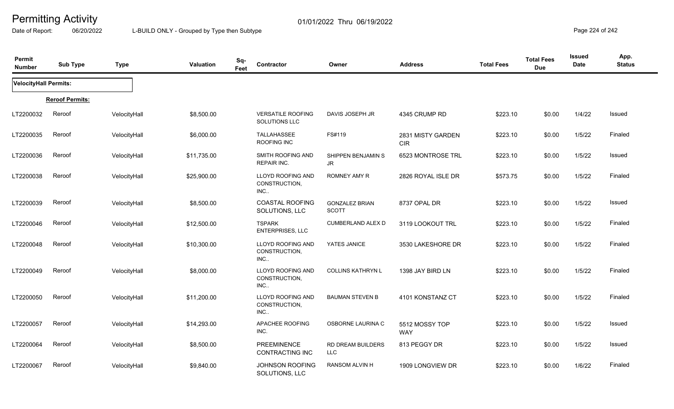Date of Report: 06/20/2022 L-BUILD ONLY - Grouped by Type then Subtype **Page 224** of 242

| Permit<br><b>Number</b>      | <b>Sub Type</b>        | <b>Type</b>  | Valuation   | Sq-<br>Feet | Contractor                                 | Owner                                 | <b>Address</b>                  | <b>Total Fees</b> | <b>Total Fees</b><br><b>Due</b> | <b>Issued</b><br><b>Date</b> | App.<br><b>Status</b> |
|------------------------------|------------------------|--------------|-------------|-------------|--------------------------------------------|---------------------------------------|---------------------------------|-------------------|---------------------------------|------------------------------|-----------------------|
| <b>VelocityHall Permits:</b> |                        |              |             |             |                                            |                                       |                                 |                   |                                 |                              |                       |
|                              | <b>Reroof Permits:</b> |              |             |             |                                            |                                       |                                 |                   |                                 |                              |                       |
| LT2200032                    | Reroof                 | VelocityHall | \$8,500.00  |             | <b>VERSATILE ROOFING</b><br>SOLUTIONS LLC  | DAVIS JOSEPH JR                       | 4345 CRUMP RD                   | \$223.10          | \$0.00                          | 1/4/22                       | Issued                |
| LT2200035                    | Reroof                 | VelocityHall | \$6,000.00  |             | <b>TALLAHASSEE</b><br>ROOFING INC          | FS#119                                | 2831 MISTY GARDEN<br><b>CIR</b> | \$223.10          | \$0.00                          | 1/5/22                       | Finaled               |
| LT2200036                    | Reroof                 | VelocityHall | \$11,735.00 |             | SMITH ROOFING AND<br><b>REPAIR INC.</b>    | SHIPPEN BENJAMIN S<br>JR.             | 6523 MONTROSE TRL               | \$223.10          | \$0.00                          | 1/5/22                       | Issued                |
| LT2200038                    | Reroof                 | VelocityHall | \$25,900.00 |             | LLOYD ROOFING AND<br>CONSTRUCTION,<br>INC. | ROMNEY AMY R                          | 2826 ROYAL ISLE DR              | \$573.75          | \$0.00                          | 1/5/22                       | Finaled               |
| LT2200039                    | Reroof                 | VelocityHall | \$8,500.00  |             | <b>COASTAL ROOFING</b><br>SOLUTIONS, LLC   | <b>GONZALEZ BRIAN</b><br><b>SCOTT</b> | 8737 OPAL DR                    | \$223.10          | \$0.00                          | 1/5/22                       | Issued                |
| LT2200046                    | Reroof                 | VelocityHall | \$12,500.00 |             | <b>TSPARK</b><br>ENTERPRISES, LLC          | <b>CUMBERLAND ALEX D</b>              | 3119 LOOKOUT TRL                | \$223.10          | \$0.00                          | 1/5/22                       | Finaled               |
| LT2200048                    | Reroof                 | VelocityHall | \$10,300.00 |             | LLOYD ROOFING AND<br>CONSTRUCTION,<br>INC. | YATES JANICE                          | 3530 LAKESHORE DR               | \$223.10          | \$0.00                          | 1/5/22                       | Finaled               |
| LT2200049                    | Reroof                 | VelocityHall | \$8,000.00  |             | LLOYD ROOFING AND<br>CONSTRUCTION,<br>INC. | <b>COLLINS KATHRYN L</b>              | 1398 JAY BIRD LN                | \$223.10          | \$0.00                          | 1/5/22                       | Finaled               |
| LT2200050                    | Reroof                 | VelocityHall | \$11,200.00 |             | LLOYD ROOFING AND<br>CONSTRUCTION,<br>INC  | <b>BAUMAN STEVEN B</b>                | 4101 KONSTANZ CT                | \$223.10          | \$0.00                          | 1/5/22                       | Finaled               |
| LT2200057                    | Reroof                 | VelocityHall | \$14,293.00 |             | APACHEE ROOFING<br>INC.                    | OSBORNE LAURINA C                     | 5512 MOSSY TOP<br><b>WAY</b>    | \$223.10          | \$0.00                          | 1/5/22                       | Issued                |
| LT2200064                    | Reroof                 | VelocityHall | \$8,500.00  |             | <b>PREEMINENCE</b><br>CONTRACTING INC      | RD DREAM BUILDERS<br><b>LLC</b>       | 813 PEGGY DR                    | \$223.10          | \$0.00                          | 1/5/22                       | <b>Issued</b>         |
| LT2200067                    | Reroof                 | VelocityHall | \$9,840.00  |             | JOHNSON ROOFING<br>SOLUTIONS, LLC          | RANSOM ALVIN H                        | 1909 LONGVIEW DR                | \$223.10          | \$0.00                          | 1/6/22                       | Finaled               |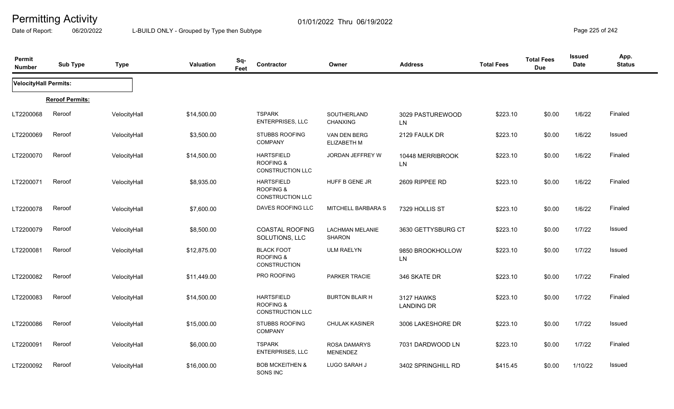Date of Report: 06/20/2022 L-BUILD ONLY - Grouped by Type then Subtype **Page 225** of 242

| Permit<br><b>Number</b>      | <b>Sub Type</b>        | <b>Type</b>  | Valuation   | Sq-<br>Feet | Contractor                                                           | Owner                                   | <b>Address</b>                  | <b>Total Fees</b> | <b>Total Fees</b><br><b>Due</b> | <b>Issued</b><br><b>Date</b> | App.<br><b>Status</b> |
|------------------------------|------------------------|--------------|-------------|-------------|----------------------------------------------------------------------|-----------------------------------------|---------------------------------|-------------------|---------------------------------|------------------------------|-----------------------|
| <b>VelocityHall Permits:</b> |                        |              |             |             |                                                                      |                                         |                                 |                   |                                 |                              |                       |
|                              | <b>Reroof Permits:</b> |              |             |             |                                                                      |                                         |                                 |                   |                                 |                              |                       |
| LT2200068                    | Reroof                 | VelocityHall | \$14,500.00 |             | <b>TSPARK</b><br><b>ENTERPRISES, LLC</b>                             | SOUTHERLAND<br><b>CHANXING</b>          | 3029 PASTUREWOOD<br>LN.         | \$223.10          | \$0.00                          | 1/6/22                       | Finaled               |
| LT2200069                    | Reroof                 | VelocityHall | \$3,500.00  |             | <b>STUBBS ROOFING</b><br><b>COMPANY</b>                              | VAN DEN BERG<br><b>ELIZABETH M</b>      | 2129 FAULK DR                   | \$223.10          | \$0.00                          | 1/6/22                       | Issued                |
| LT2200070                    | Reroof                 | VelocityHall | \$14,500.00 |             | <b>HARTSFIELD</b><br>ROOFING &<br><b>CONSTRUCTION LLC</b>            | JORDAN JEFFREY W                        | 10448 MERRIBROOK<br><b>LN</b>   | \$223.10          | \$0.00                          | 1/6/22                       | Finaled               |
| LT2200071                    | Reroof                 | VelocityHall | \$8,935.00  |             | <b>HARTSFIELD</b><br><b>ROOFING &amp;</b><br><b>CONSTRUCTION LLC</b> | HUFF B GENE JR                          | 2609 RIPPEE RD                  | \$223.10          | \$0.00                          | 1/6/22                       | Finaled               |
| LT2200078                    | Reroof                 | VelocityHall | \$7,600.00  |             | DAVES ROOFING LLC                                                    | MITCHELL BARBARA S                      | 7329 HOLLIS ST                  | \$223.10          | \$0.00                          | 1/6/22                       | Finaled               |
| LT2200079                    | Reroof                 | VelocityHall | \$8,500.00  |             | <b>COASTAL ROOFING</b><br>SOLUTIONS, LLC                             | <b>LACHMAN MELANIE</b><br><b>SHARON</b> | 3630 GETTYSBURG CT              | \$223.10          | \$0.00                          | 1/7/22                       | Issued                |
| LT2200081                    | Reroof                 | VelocityHall | \$12,875.00 |             | <b>BLACK FOOT</b><br><b>ROOFING &amp;</b><br><b>CONSTRUCTION</b>     | <b>ULM RAELYN</b>                       | 9850 BROOKHOLLOW<br>LN          | \$223.10          | \$0.00                          | 1/7/22                       | Issued                |
| LT2200082                    | Reroof                 | VelocityHall | \$11,449.00 |             | PRO ROOFING                                                          | PARKER TRACIE                           | 346 SKATE DR                    | \$223.10          | \$0.00                          | 1/7/22                       | Finaled               |
| LT2200083                    | Reroof                 | VelocityHall | \$14,500.00 |             | <b>HARTSFIELD</b><br><b>ROOFING &amp;</b><br><b>CONSTRUCTION LLC</b> | <b>BURTON BLAIR H</b>                   | 3127 HAWKS<br><b>LANDING DR</b> | \$223.10          | \$0.00                          | 1/7/22                       | Finaled               |
| LT2200086                    | Reroof                 | VelocityHall | \$15,000.00 |             | <b>STUBBS ROOFING</b><br>COMPANY                                     | <b>CHULAK KASINER</b>                   | 3006 LAKESHORE DR               | \$223.10          | \$0.00                          | 1/7/22                       | Issued                |
| LT2200091                    | Reroof                 | VelocityHall | \$6,000.00  |             | <b>TSPARK</b><br><b>ENTERPRISES, LLC</b>                             | <b>ROSA DAMARYS</b><br><b>MENENDEZ</b>  | 7031 DARDWOOD LN                | \$223.10          | \$0.00                          | 1/7/22                       | Finaled               |
| LT2200092                    | Reroof                 | VelocityHall | \$16,000.00 |             | <b>BOB MCKEITHEN &amp;</b><br>SONS INC                               | LUGO SARAH J                            | 3402 SPRINGHILL RD              | \$415.45          | \$0.00                          | 1/10/22                      | Issued                |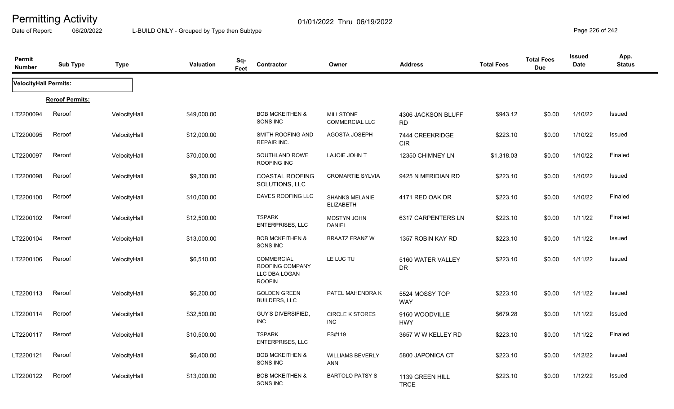Date of Report: 06/20/2022 L-BUILD ONLY - Grouped by Type then Subtype **Page 226** of 242

| Permit<br><b>Number</b>      | <b>Sub Type</b>        | <b>Type</b>  | <b>Valuation</b> | Sq-<br>Feet | Contractor                                                             | Owner                                     | <b>Address</b>                  | <b>Total Fees</b> | <b>Total Fees</b><br><b>Due</b> | <b>Issued</b><br><b>Date</b> | App.<br><b>Status</b> |
|------------------------------|------------------------|--------------|------------------|-------------|------------------------------------------------------------------------|-------------------------------------------|---------------------------------|-------------------|---------------------------------|------------------------------|-----------------------|
| <b>VelocityHall Permits:</b> |                        |              |                  |             |                                                                        |                                           |                                 |                   |                                 |                              |                       |
|                              | <b>Reroof Permits:</b> |              |                  |             |                                                                        |                                           |                                 |                   |                                 |                              |                       |
| LT2200094                    | Reroof                 | VelocityHall | \$49,000.00      |             | <b>BOB MCKEITHEN &amp;</b><br>SONS INC                                 | <b>MILLSTONE</b><br><b>COMMERCIAL LLC</b> | 4306 JACKSON BLUFF<br><b>RD</b> | \$943.12          | \$0.00                          | 1/10/22                      | Issued                |
| LT2200095                    | Reroof                 | VelocityHall | \$12,000.00      |             | SMITH ROOFING AND<br><b>REPAIR INC.</b>                                | <b>AGOSTA JOSEPH</b>                      | 7444 CREEKRIDGE<br><b>CIR</b>   | \$223.10          | \$0.00                          | 1/10/22                      | Issued                |
| LT2200097                    | Reroof                 | VelocityHall | \$70,000.00      |             | SOUTHLAND ROWE<br>ROOFING INC                                          | LAJOIE JOHN T                             | 12350 CHIMNEY LN                | \$1,318.03        | \$0.00                          | 1/10/22                      | Finaled               |
| LT2200098                    | Reroof                 | VelocityHall | \$9,300.00       |             | <b>COASTAL ROOFING</b><br>SOLUTIONS, LLC                               | <b>CROMARTIE SYLVIA</b>                   | 9425 N MERIDIAN RD              | \$223.10          | \$0.00                          | 1/10/22                      | Issued                |
| LT2200100                    | Reroof                 | VelocityHall | \$10,000.00      |             | DAVES ROOFING LLC                                                      | <b>SHANKS MELANIE</b><br><b>ELIZABETH</b> | 4171 RED OAK DR                 | \$223.10          | \$0.00                          | 1/10/22                      | Finaled               |
| LT2200102                    | Reroof                 | VelocityHall | \$12,500.00      |             | <b>TSPARK</b><br><b>ENTERPRISES, LLC</b>                               | <b>MOSTYN JOHN</b><br><b>DANIEL</b>       | 6317 CARPENTERS LN              | \$223.10          | \$0.00                          | 1/11/22                      | Finaled               |
| LT2200104                    | Reroof                 | VelocityHall | \$13,000.00      |             | <b>BOB MCKEITHEN &amp;</b><br>SONS INC                                 | <b>BRAATZ FRANZ W</b>                     | 1357 ROBIN KAY RD               | \$223.10          | \$0.00                          | 1/11/22                      | Issued                |
| LT2200106                    | Reroof                 | VelocityHall | \$6,510.00       |             | <b>COMMERCIAL</b><br>ROOFING COMPANY<br>LLC DBA LOGAN<br><b>ROOFIN</b> | LE LUC TU                                 | 5160 WATER VALLEY<br><b>DR</b>  | \$223.10          | \$0.00                          | 1/11/22                      | Issued                |
| LT2200113                    | Reroof                 | VelocityHall | \$6,200.00       |             | <b>GOLDEN GREEN</b><br><b>BUILDERS, LLC</b>                            | PATEL MAHENDRA K                          | 5524 MOSSY TOP<br><b>WAY</b>    | \$223.10          | \$0.00                          | 1/11/22                      | Issued                |
| LT2200114                    | Reroof                 | VelocityHall | \$32,500.00      |             | GUY'S DIVERSIFIED,<br><b>INC</b>                                       | <b>CIRCLE K STORES</b><br><b>INC</b>      | 9160 WOODVILLE<br><b>HWY</b>    | \$679.28          | \$0.00                          | 1/11/22                      | Issued                |
| LT2200117                    | Reroof                 | VelocityHall | \$10,500.00      |             | <b>TSPARK</b><br>ENTERPRISES, LLC                                      | FS#119                                    | 3657 W W KELLEY RD              | \$223.10          | \$0.00                          | 1/11/22                      | Finaled               |
| LT2200121                    | Reroof                 | VelocityHall | \$6,400.00       |             | <b>BOB MCKEITHEN &amp;</b><br>SONS INC                                 | <b>WILLIAMS BEVERLY</b><br>ANN            | 5800 JAPONICA CT                | \$223.10          | \$0.00                          | 1/12/22                      | Issued                |
| LT2200122                    | Reroof                 | VelocityHall | \$13,000.00      |             | <b>BOB MCKEITHEN &amp;</b><br>SONS INC                                 | <b>BARTOLO PATSY S</b>                    | 1139 GREEN HILL<br><b>TRCE</b>  | \$223.10          | \$0.00                          | 1/12/22                      | Issued                |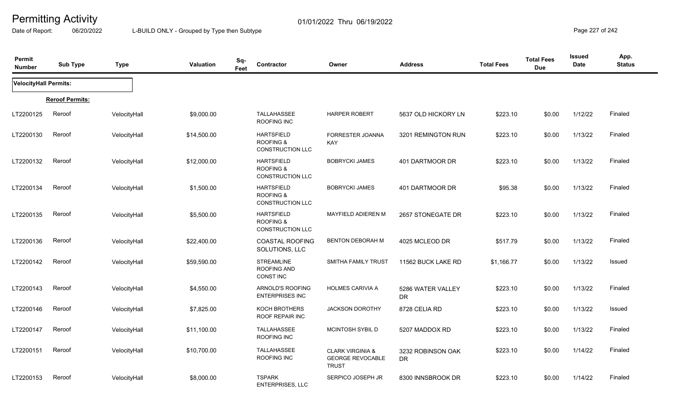Date of Report: 06/20/2022 L-BUILD ONLY - Grouped by Type then Subtype **Page 227** of 242

| Permit<br><b>Number</b>      | <b>Sub Type</b>        | <b>Type</b>  | <b>Valuation</b> | Sq-<br>Contractor<br>Feet                                            | Owner                                                                  | <b>Address</b>                 | <b>Total Fees</b> | <b>Total Fees</b><br><b>Due</b> | <b>Issued</b><br><b>Date</b> | App.<br><b>Status</b> |
|------------------------------|------------------------|--------------|------------------|----------------------------------------------------------------------|------------------------------------------------------------------------|--------------------------------|-------------------|---------------------------------|------------------------------|-----------------------|
| <b>VelocityHall Permits:</b> |                        |              |                  |                                                                      |                                                                        |                                |                   |                                 |                              |                       |
|                              | <b>Reroof Permits:</b> |              |                  |                                                                      |                                                                        |                                |                   |                                 |                              |                       |
| LT2200125                    | Reroof                 | VelocityHall | \$9,000.00       | <b>TALLAHASSEE</b><br>ROOFING INC                                    | <b>HARPER ROBERT</b>                                                   | 5637 OLD HICKORY LN            | \$223.10          | \$0.00                          | 1/12/22                      | Finaled               |
| LT2200130                    | Reroof                 | VelocityHall | \$14,500.00      | <b>HARTSFIELD</b><br><b>ROOFING &amp;</b><br><b>CONSTRUCTION LLC</b> | FORRESTER JOANNA<br>KAY                                                | 3201 REMINGTON RUN             | \$223.10          | \$0.00                          | 1/13/22                      | Finaled               |
| LT2200132                    | Reroof                 | VelocityHall | \$12,000.00      | <b>HARTSFIELD</b><br>ROOFING &<br>CONSTRUCTION LLC                   | <b>BOBRYCKI JAMES</b>                                                  | 401 DARTMOOR DR                | \$223.10          | \$0.00                          | 1/13/22                      | Finaled               |
| LT2200134                    | Reroof                 | VelocityHall | \$1,500.00       | <b>HARTSFIELD</b><br><b>ROOFING &amp;</b><br><b>CONSTRUCTION LLC</b> | <b>BOBRYCKI JAMES</b>                                                  | 401 DARTMOOR DR                | \$95.38           | \$0.00                          | 1/13/22                      | Finaled               |
| LT2200135                    | Reroof                 | VelocityHall | \$5,500.00       | <b>HARTSFIELD</b><br><b>ROOFING &amp;</b><br>CONSTRUCTION LLC        | MAYFIELD ADIEREN M                                                     | 2657 STONEGATE DR              | \$223.10          | \$0.00                          | 1/13/22                      | Finaled               |
| LT2200136                    | Reroof                 | VelocityHall | \$22,400.00      | <b>COASTAL ROOFING</b><br>SOLUTIONS, LLC                             | BENTON DEBORAH M                                                       | 4025 MCLEOD DR                 | \$517.79          | \$0.00                          | 1/13/22                      | Finaled               |
| LT2200142                    | Reroof                 | VelocityHall | \$59,590.00      | <b>STREAMLINE</b><br>ROOFING AND<br><b>CONST INC</b>                 | SMITHA FAMILY TRUST                                                    | 11562 BUCK LAKE RD             | \$1,166.77        | \$0.00                          | 1/13/22                      | <b>Issued</b>         |
| LT2200143                    | Reroof                 | VelocityHall | \$4,550.00       | ARNOLD'S ROOFING<br><b>ENTERPRISES INC</b>                           | HOLMES CARIVIA A                                                       | 5286 WATER VALLEY<br>DR        | \$223.10          | \$0.00                          | 1/13/22                      | Finaled               |
| LT2200146                    | Reroof                 | VelocityHall | \$7,825.00       | KOCH BROTHERS<br>ROOF REPAIR INC                                     | <b>JACKSON DOROTHY</b>                                                 | 8728 CELIA RD                  | \$223.10          | \$0.00                          | 1/13/22                      | <b>Issued</b>         |
| LT2200147                    | Reroof                 | VelocityHall | \$11,100.00      | TALLAHASSEE<br>ROOFING INC                                           | MCINTOSH SYBIL D                                                       | 5207 MADDOX RD                 | \$223.10          | \$0.00                          | 1/13/22                      | Finaled               |
| LT2200151                    | Reroof                 | VelocityHall | \$10,700.00      | <b>TALLAHASSEE</b><br>ROOFING INC                                    | <b>CLARK VIRGINIA &amp;</b><br><b>GEORGE REVOCABLE</b><br><b>TRUST</b> | 3232 ROBINSON OAK<br><b>DR</b> | \$223.10          | \$0.00                          | 1/14/22                      | Finaled               |
| LT2200153                    | Reroof                 | VelocityHall | \$8,000.00       | <b>TSPARK</b><br><b>ENTERPRISES, LLC</b>                             | SERPICO JOSEPH JR                                                      | 8300 INNSBROOK DR              | \$223.10          | \$0.00                          | 1/14/22                      | Finaled               |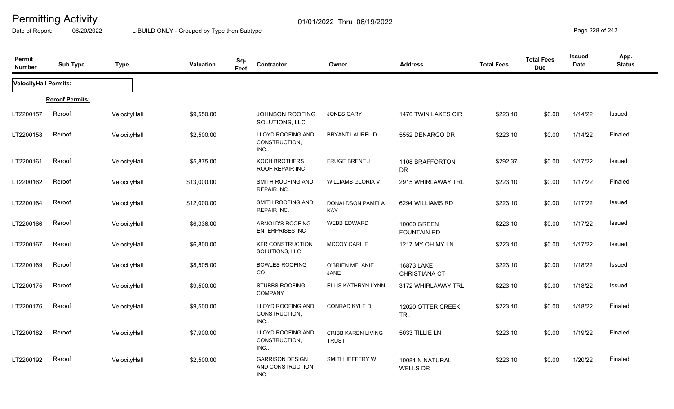Date of Report: 06/20/2022 L-BUILD ONLY - Grouped by Type then Subtype **Page 228** of 242

| Permit<br><b>Number</b> | <b>Sub Type</b>        | <b>Type</b>  | Valuation   | Sq-<br>Feet | Contractor                                               | Owner                                     | <b>Address</b>                     | <b>Total Fees</b> | <b>Total Fees</b><br><b>Due</b> | <b>Issued</b><br><b>Date</b> | App.<br><b>Status</b> |
|-------------------------|------------------------|--------------|-------------|-------------|----------------------------------------------------------|-------------------------------------------|------------------------------------|-------------------|---------------------------------|------------------------------|-----------------------|
| VelocityHall Permits:   |                        |              |             |             |                                                          |                                           |                                    |                   |                                 |                              |                       |
|                         | <b>Reroof Permits:</b> |              |             |             |                                                          |                                           |                                    |                   |                                 |                              |                       |
| LT2200157               | Reroof                 | VelocityHall | \$9,550.00  |             | <b>JOHNSON ROOFING</b><br>SOLUTIONS, LLC                 | <b>JONES GARY</b>                         | 1470 TWIN LAKES CIR                | \$223.10          | \$0.00                          | 1/14/22                      | Issued                |
| LT2200158               | Reroof                 | VelocityHall | \$2,500.00  |             | LLOYD ROOFING AND<br>CONSTRUCTION,<br>INC.               | <b>BRYANT LAUREL D</b>                    | 5552 DENARGO DR                    | \$223.10          | \$0.00                          | 1/14/22                      | Finaled               |
| LT2200161               | Reroof                 | VelocityHall | \$5,875.00  |             | KOCH BROTHERS<br>ROOF REPAIR INC                         | FRUGE BRENT J                             | 1108 BRAFFORTON<br><b>DR</b>       | \$292.37          | \$0.00                          | 1/17/22                      | Issued                |
| LT2200162               | Reroof                 | VelocityHall | \$13,000.00 |             | SMITH ROOFING AND<br><b>REPAIR INC.</b>                  | <b>WILLIAMS GLORIA V</b>                  | 2915 WHIRLAWAY TRL                 | \$223.10          | \$0.00                          | 1/17/22                      | Finaled               |
| LT2200164               | Reroof                 | VelocityHall | \$12,000.00 |             | SMITH ROOFING AND<br><b>REPAIR INC.</b>                  | <b>DONALDSON PAMELA</b><br>KAY            | 6294 WILLIAMS RD                   | \$223.10          | \$0.00                          | 1/17/22                      | Issued                |
| LT2200166               | Reroof                 | VelocityHall | \$6,336.00  |             | ARNOLD'S ROOFING<br>ENTERPRISES INC                      | <b>WEBB EDWARD</b>                        | 10060 GREEN<br><b>FOUNTAIN RD</b>  | \$223.10          | \$0.00                          | 1/17/22                      | <b>Issued</b>         |
| LT2200167               | Reroof                 | VelocityHall | \$6,800.00  |             | <b>KFR CONSTRUCTION</b><br>SOLUTIONS, LLC                | <b>MCCOY CARL F</b>                       | 1217 MY OH MY LN                   | \$223.10          | \$0.00                          | 1/17/22                      | <b>Issued</b>         |
| LT2200169               | Reroof                 | VelocityHall | \$8,505.00  |             | <b>BOWLES ROOFING</b><br>CO                              | <b>O'BRIEN MELANIE</b><br><b>JANE</b>     | 16873 LAKE<br><b>CHRISTIANA CT</b> | \$223.10          | \$0.00                          | 1/18/22                      | Issued                |
| LT2200175               | Reroof                 | VelocityHall | \$9,500.00  |             | STUBBS ROOFING<br><b>COMPANY</b>                         | ELLIS KATHRYN LYNN                        | 3172 WHIRLAWAY TRL                 | \$223.10          | \$0.00                          | 1/18/22                      | Issued                |
| LT2200176               | Reroof                 | VelocityHall | \$9,500.00  |             | LLOYD ROOFING AND<br>CONSTRUCTION,<br>INC.               | CONRAD KYLE D                             | 12020 OTTER CREEK<br><b>TRL</b>    | \$223.10          | \$0.00                          | 1/18/22                      | Finaled               |
| LT2200182               | Reroof                 | VelocityHall | \$7,900.00  |             | LLOYD ROOFING AND<br>CONSTRUCTION,<br>INC                | <b>CRIBB KAREN LIVING</b><br><b>TRUST</b> | 5033 TILLIE LN                     | \$223.10          | \$0.00                          | 1/19/22                      | Finaled               |
| LT2200192               | Reroof                 | VelocityHall | \$2,500.00  |             | <b>GARRISON DESIGN</b><br>AND CONSTRUCTION<br><b>INC</b> | SMITH JEFFERY W                           | 10081 N NATURAL<br><b>WELLS DR</b> | \$223.10          | \$0.00                          | 1/20/22                      | Finaled               |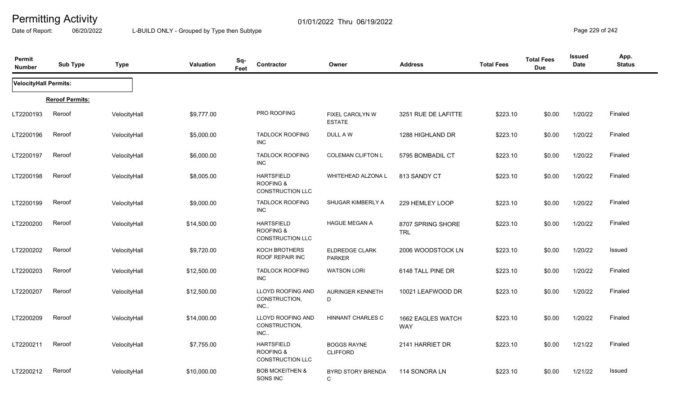Date of Report: 06/20/2022 L-BUILD ONLY - Grouped by Type then Subtype **Page 229 of 242** 

| Permit<br><b>Number</b> | <b>Sub Type</b>        | <b>Type</b>  | Valuation   | Sq-<br>Feet | Contractor                                                           | Owner                                 | <b>Address</b>                  | <b>Total Fees</b> | <b>Total Fees</b><br><b>Due</b> | <b>Issued</b><br><b>Date</b> | App.<br><b>Status</b> |
|-------------------------|------------------------|--------------|-------------|-------------|----------------------------------------------------------------------|---------------------------------------|---------------------------------|-------------------|---------------------------------|------------------------------|-----------------------|
| VelocityHall Permits:   |                        |              |             |             |                                                                      |                                       |                                 |                   |                                 |                              |                       |
|                         | <b>Reroof Permits:</b> |              |             |             |                                                                      |                                       |                                 |                   |                                 |                              |                       |
| LT2200193               | Reroof                 | VelocityHall | \$9,777.00  |             | PRO ROOFING                                                          | FIXEL CAROLYN W<br><b>ESTATE</b>      | 3251 RUE DE LAFITTE             | \$223.10          | \$0.00                          | 1/20/22                      | Finaled               |
| LT2200196               | Reroof                 | VelocityHall | \$5,000.00  |             | <b>TADLOCK ROOFING</b><br><b>INC</b>                                 | DULL A W                              | 1288 HIGHLAND DR                | \$223.10          | \$0.00                          | 1/20/22                      | Finaled               |
| LT2200197               | Reroof                 | VelocityHall | \$6,000.00  |             | <b>TADLOCK ROOFING</b><br><b>INC</b>                                 | <b>COLEMAN CLIFTON L</b>              | 5795 BOMBADIL CT                | \$223.10          | \$0.00                          | 1/20/22                      | Finaled               |
| LT2200198               | Reroof                 | VelocityHall | \$8,005.00  |             | <b>HARTSFIELD</b><br><b>ROOFING &amp;</b><br>CONSTRUCTION LLC        | WHITEHEAD ALZONA L                    | 813 SANDY CT                    | \$223.10          | \$0.00                          | 1/20/22                      | Finaled               |
| LT2200199               | Reroof                 | VelocityHall | \$9,000.00  |             | <b>TADLOCK ROOFING</b><br><b>INC</b>                                 | SHUGAR KIMBERLY A                     | 229 HEMLEY LOOP                 | \$223.10          | \$0.00                          | 1/20/22                      | Finaled               |
| LT2200200               | Reroof                 | VelocityHall | \$14,500.00 |             | <b>HARTSFIELD</b><br><b>ROOFING &amp;</b><br><b>CONSTRUCTION LLC</b> | <b>HAGUE MEGAN A</b>                  | 8707 SPRING SHORE<br><b>TRL</b> | \$223.10          | \$0.00                          | 1/20/22                      | Finaled               |
| LT2200202               | Reroof                 | VelocityHall | \$9,720.00  |             | KOCH BROTHERS<br>ROOF REPAIR INC                                     | ELDREDGE CLARK<br><b>PARKER</b>       | 2006 WOODSTOCK LN               | \$223.10          | \$0.00                          | 1/20/22                      | <b>Issued</b>         |
| LT2200203               | Reroof                 | VelocityHall | \$12,500.00 |             | <b>TADLOCK ROOFING</b><br><b>INC</b>                                 | <b>WATSON LORI</b>                    | 6148 TALL PINE DR               | \$223.10          | \$0.00                          | 1/20/22                      | Finaled               |
| LT2200207               | Reroof                 | VelocityHall | \$12,500.00 |             | LLOYD ROOFING AND<br>CONSTRUCTION,<br>INC.                           | AURINGER KENNETH<br>D                 | 10021 LEAFWOOD DR               | \$223.10          | \$0.00                          | 1/20/22                      | Finaled               |
| LT2200209               | Reroof                 | VelocityHall | \$14,000.00 |             | LLOYD ROOFING AND<br>CONSTRUCTION,<br>INC.                           | HINNANT CHARLES C                     | 1662 EAGLES WATCH<br><b>WAY</b> | \$223.10          | \$0.00                          | 1/20/22                      | Finaled               |
| LT2200211               | Reroof                 | VelocityHall | \$7,755.00  |             | <b>HARTSFIELD</b><br><b>ROOFING &amp;</b><br>CONSTRUCTION LLC        | <b>BOGGS RAYNE</b><br><b>CLIFFORD</b> | 2141 HARRIET DR                 | \$223.10          | \$0.00                          | 1/21/22                      | Finaled               |
| LT2200212               | Reroof                 | VelocityHall | \$10,000.00 |             | <b>BOB MCKEITHEN &amp;</b><br>SONS INC                               | <b>BYRD STORY BRENDA</b><br>C         | 114 SONORA LN                   | \$223.10          | \$0.00                          | 1/21/22                      | Issued                |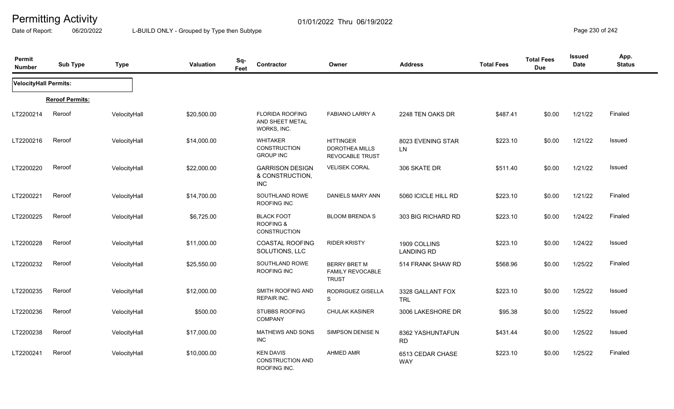Date of Report: 06/20/2022 L-BUILD ONLY - Grouped by Type then Subtype **Page 230** of 242

| Permit<br><b>Number</b> | <b>Sub Type</b>        | <b>Type</b>  | Valuation   | Sq-<br>Feet | Contractor                                                  | Owner                                                               | <b>Address</b>                    | <b>Total Fees</b> | <b>Total Fees</b><br><b>Due</b> | <b>Issued</b><br>Date | App.<br><b>Status</b> |
|-------------------------|------------------------|--------------|-------------|-------------|-------------------------------------------------------------|---------------------------------------------------------------------|-----------------------------------|-------------------|---------------------------------|-----------------------|-----------------------|
| VelocityHall Permits:   |                        |              |             |             |                                                             |                                                                     |                                   |                   |                                 |                       |                       |
|                         | <b>Reroof Permits:</b> |              |             |             |                                                             |                                                                     |                                   |                   |                                 |                       |                       |
| LT2200214               | Reroof                 | VelocityHall | \$20,500.00 |             | <b>FLORIDA ROOFING</b><br>AND SHEET METAL<br>WORKS, INC.    | FABIANO LARRY A                                                     | 2248 TEN OAKS DR                  | \$487.41          | \$0.00                          | 1/21/22               | Finaled               |
| LT2200216               | Reroof                 | VelocityHall | \$14,000.00 |             | <b>WHITAKER</b><br>CONSTRUCTION<br><b>GROUP INC</b>         | <b>HITTINGER</b><br><b>DOROTHEA MILLS</b><br><b>REVOCABLE TRUST</b> | 8023 EVENING STAR<br><b>LN</b>    | \$223.10          | \$0.00                          | 1/21/22               | <b>Issued</b>         |
| LT2200220               | Reroof                 | VelocityHall | \$22,000.00 |             | <b>GARRISON DESIGN</b><br>& CONSTRUCTION,<br><b>INC</b>     | <b>VELISEK CORAL</b>                                                | 306 SKATE DR                      | \$511.40          | \$0.00                          | 1/21/22               | <b>Issued</b>         |
| LT2200221               | Reroof                 | VelocityHall | \$14,700.00 |             | SOUTHLAND ROWE<br>ROOFING INC                               | DANIELS MARY ANN                                                    | 5060 ICICLE HILL RD               | \$223.10          | \$0.00                          | 1/21/22               | Finaled               |
| LT2200225               | Reroof                 | VelocityHall | \$6,725.00  |             | <b>BLACK FOOT</b><br><b>ROOFING &amp;</b><br>CONSTRUCTION   | <b>BLOOM BRENDA S</b>                                               | 303 BIG RICHARD RD                | \$223.10          | \$0.00                          | 1/24/22               | Finaled               |
| LT2200228               | Reroof                 | VelocityHall | \$11,000.00 |             | <b>COASTAL ROOFING</b><br>SOLUTIONS, LLC                    | <b>RIDER KRISTY</b>                                                 | 1909 COLLINS<br><b>LANDING RD</b> | \$223.10          | \$0.00                          | 1/24/22               | <b>Issued</b>         |
| LT2200232               | Reroof                 | VelocityHall | \$25,550.00 |             | SOUTHLAND ROWE<br>ROOFING INC                               | <b>BERRY BRET M</b><br><b>FAMILY REVOCABLE</b><br><b>TRUST</b>      | 514 FRANK SHAW RD                 | \$568.96          | \$0.00                          | 1/25/22               | Finaled               |
| LT2200235               | Reroof                 | VelocityHall | \$12,000.00 |             | <b>SMITH ROOFING AND</b><br><b>REPAIR INC.</b>              | RODRIGUEZ GISELLA<br>S                                              | 3328 GALLANT FOX<br><b>TRL</b>    | \$223.10          | \$0.00                          | 1/25/22               | <b>Issued</b>         |
| LT2200236               | Reroof                 | VelocityHall | \$500.00    |             | <b>STUBBS ROOFING</b><br><b>COMPANY</b>                     | <b>CHULAK KASINER</b>                                               | 3006 LAKESHORE DR                 | \$95.38           | \$0.00                          | 1/25/22               | <b>Issued</b>         |
| LT2200238               | Reroof                 | VelocityHall | \$17,000.00 |             | MATHEWS AND SONS<br><b>INC</b>                              | SIMPSON DENISE N                                                    | 8362 YASHUNTAFUN<br><b>RD</b>     | \$431.44          | \$0.00                          | 1/25/22               | <b>Issued</b>         |
| LT2200241               | Reroof                 | VelocityHall | \$10,000.00 |             | <b>KEN DAVIS</b><br><b>CONSTRUCTION AND</b><br>ROOFING INC. | <b>AHMED AMR</b>                                                    | 6513 CEDAR CHASE<br><b>WAY</b>    | \$223.10          | \$0.00                          | 1/25/22               | Finaled               |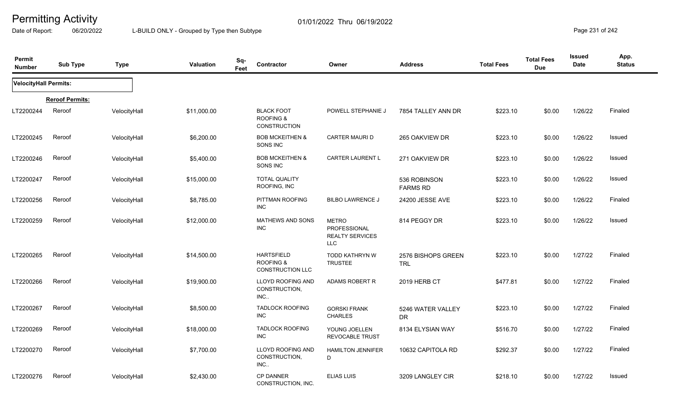Date of Report: 06/20/2022 L-BUILD ONLY - Grouped by Type then Subtype **Page 231** of 242

| Permit<br><b>Number</b> | <b>Sub Type</b>        | <b>Type</b>  | <b>Valuation</b> | Sq-<br>Feet | Contractor                                                           | Owner                                                                | <b>Address</b>                   | <b>Total Fees</b> | <b>Total Fees</b><br><b>Due</b> | <b>Issued</b><br>Date | App.<br><b>Status</b> |
|-------------------------|------------------------|--------------|------------------|-------------|----------------------------------------------------------------------|----------------------------------------------------------------------|----------------------------------|-------------------|---------------------------------|-----------------------|-----------------------|
| VelocityHall Permits:   |                        |              |                  |             |                                                                      |                                                                      |                                  |                   |                                 |                       |                       |
|                         | <b>Reroof Permits:</b> |              |                  |             |                                                                      |                                                                      |                                  |                   |                                 |                       |                       |
| LT2200244               | Reroof                 | VelocityHall | \$11,000.00      |             | <b>BLACK FOOT</b><br><b>ROOFING &amp;</b><br>CONSTRUCTION            | POWELL STEPHANIE J                                                   | 7854 TALLEY ANN DR               | \$223.10          | \$0.00                          | 1/26/22               | Finaled               |
| LT2200245               | Reroof                 | VelocityHall | \$6,200.00       |             | <b>BOB MCKEITHEN &amp;</b><br>SONS INC                               | CARTER MAURI D                                                       | 265 OAKVIEW DR                   | \$223.10          | \$0.00                          | 1/26/22               | Issued                |
| LT2200246               | Reroof                 | VelocityHall | \$5,400.00       |             | <b>BOB MCKEITHEN &amp;</b><br>SONS INC                               | CARTER LAURENT L                                                     | 271 OAKVIEW DR                   | \$223.10          | \$0.00                          | 1/26/22               | Issued                |
| LT2200247               | Reroof                 | VelocityHall | \$15,000.00      |             | <b>TOTAL QUALITY</b><br>ROOFING, INC                                 |                                                                      | 536 ROBINSON<br><b>FARMS RD</b>  | \$223.10          | \$0.00                          | 1/26/22               | <b>Issued</b>         |
| LT2200256               | Reroof                 | VelocityHall | \$8,785.00       |             | PITTMAN ROOFING<br><b>INC</b>                                        | <b>BILBO LAWRENCE J</b>                                              | 24200 JESSE AVE                  | \$223.10          | \$0.00                          | 1/26/22               | Finaled               |
| LT2200259               | Reroof                 | VelocityHall | \$12,000.00      |             | <b>MATHEWS AND SONS</b><br><b>INC</b>                                | <b>METRO</b><br>PROFESSIONAL<br><b>REALTY SERVICES</b><br><b>LLC</b> | 814 PEGGY DR                     | \$223.10          | \$0.00                          | 1/26/22               | <b>Issued</b>         |
| LT2200265               | Reroof                 | VelocityHall | \$14,500.00      |             | <b>HARTSFIELD</b><br><b>ROOFING &amp;</b><br><b>CONSTRUCTION LLC</b> | TODD KATHRYN W<br><b>TRUSTEE</b>                                     | 2576 BISHOPS GREEN<br><b>TRL</b> | \$223.10          | \$0.00                          | 1/27/22               | Finaled               |
| LT2200266               | Reroof                 | VelocityHall | \$19,900.00      |             | <b>LLOYD ROOFING AND</b><br>CONSTRUCTION,<br>INC.                    | ADAMS ROBERT R                                                       | 2019 HERB CT                     | \$477.81          | \$0.00                          | 1/27/22               | Finaled               |
| LT2200267               | Reroof                 | VelocityHall | \$8,500.00       |             | <b>TADLOCK ROOFING</b><br><b>INC</b>                                 | <b>GORSKI FRANK</b><br><b>CHARLES</b>                                | 5246 WATER VALLEY<br><b>DR</b>   | \$223.10          | \$0.00                          | 1/27/22               | Finaled               |
| LT2200269               | Reroof                 | VelocityHall | \$18,000.00      |             | <b>TADLOCK ROOFING</b><br><b>INC</b>                                 | YOUNG JOELLEN<br><b>REVOCABLE TRUST</b>                              | 8134 ELYSIAN WAY                 | \$516.70          | \$0.00                          | 1/27/22               | Finaled               |
| LT2200270               | Reroof                 | VelocityHall | \$7,700.00       |             | LLOYD ROOFING AND<br>CONSTRUCTION,<br>INC.                           | <b>HAMILTON JENNIFER</b><br>D                                        | 10632 CAPITOLA RD                | \$292.37          | \$0.00                          | 1/27/22               | Finaled               |
| LT2200276               | Reroof                 | VelocityHall | \$2,430.00       |             | <b>CP DANNER</b><br>CONSTRUCTION, INC.                               | <b>ELIAS LUIS</b>                                                    | 3209 LANGLEY CIR                 | \$218.10          | \$0.00                          | 1/27/22               | Issued                |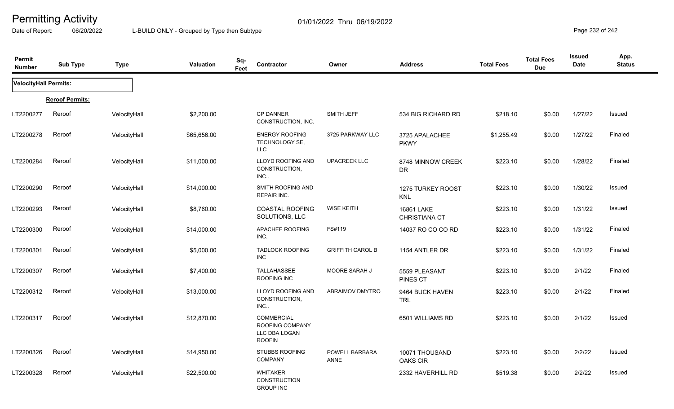Date of Report: 06/20/2022 L-BUILD ONLY - Grouped by Type then Subtype **Page 232 of 242** 

| Permit<br><b>Number</b>      | <b>Sub Type</b>        | <b>Type</b>  | <b>Valuation</b> | Sq-<br>Feet | Contractor                                                             | Owner                         | <b>Address</b>                     | <b>Total Fees</b> | <b>Total Fees</b><br><b>Due</b> | <b>Issued</b><br>Date | App.<br><b>Status</b> |
|------------------------------|------------------------|--------------|------------------|-------------|------------------------------------------------------------------------|-------------------------------|------------------------------------|-------------------|---------------------------------|-----------------------|-----------------------|
| <b>VelocityHall Permits:</b> |                        |              |                  |             |                                                                        |                               |                                    |                   |                                 |                       |                       |
|                              | <b>Reroof Permits:</b> |              |                  |             |                                                                        |                               |                                    |                   |                                 |                       |                       |
| LT2200277                    | Reroof                 | VelocityHall | \$2,200.00       |             | <b>CP DANNER</b><br>CONSTRUCTION, INC.                                 | SMITH JEFF                    | 534 BIG RICHARD RD                 | \$218.10          | \$0.00                          | 1/27/22               | Issued                |
| LT2200278                    | Reroof                 | VelocityHall | \$65,656.00      |             | <b>ENERGY ROOFING</b><br>TECHNOLOGY SE,<br><b>LLC</b>                  | 3725 PARKWAY LLC              | 3725 APALACHEE<br><b>PKWY</b>      | \$1,255.49        | \$0.00                          | 1/27/22               | Finaled               |
| LT2200284                    | Reroof                 | VelocityHall | \$11,000.00      |             | LLOYD ROOFING AND<br>CONSTRUCTION,<br>INC.                             | <b>UPACREEK LLC</b>           | 8748 MINNOW CREEK<br>DR            | \$223.10          | \$0.00                          | 1/28/22               | Finaled               |
| LT2200290                    | Reroof                 | VelocityHall | \$14,000.00      |             | SMITH ROOFING AND<br>REPAIR INC.                                       |                               | 1275 TURKEY ROOST<br><b>KNL</b>    | \$223.10          | \$0.00                          | 1/30/22               | Issued                |
| LT2200293                    | Reroof                 | VelocityHall | \$8,760.00       |             | <b>COASTAL ROOFING</b><br>SOLUTIONS, LLC                               | <b>WISE KEITH</b>             | 16861 LAKE<br><b>CHRISTIANA CT</b> | \$223.10          | \$0.00                          | 1/31/22               | Issued                |
| LT2200300                    | Reroof                 | VelocityHall | \$14,000.00      |             | APACHEE ROOFING<br>INC.                                                | FS#119                        | 14037 RO CO CO RD                  | \$223.10          | \$0.00                          | 1/31/22               | Finaled               |
| LT2200301                    | Reroof                 | VelocityHall | \$5,000.00       |             | <b>TADLOCK ROOFING</b><br>INC                                          | <b>GRIFFITH CAROL B</b>       | 1154 ANTLER DR                     | \$223.10          | \$0.00                          | 1/31/22               | Finaled               |
| LT2200307                    | Reroof                 | VelocityHall | \$7,400.00       |             | TALLAHASSEE<br>ROOFING INC                                             | MOORE SARAH J                 | 5559 PLEASANT<br><b>PINES CT</b>   | \$223.10          | \$0.00                          | 2/1/22                | Finaled               |
| LT2200312                    | Reroof                 | VelocityHall | \$13,000.00      |             | LLOYD ROOFING AND<br>CONSTRUCTION,<br>$INC$                            | ABRAIMOV DMYTRO               | 9464 BUCK HAVEN<br><b>TRL</b>      | \$223.10          | \$0.00                          | 2/1/22                | Finaled               |
| LT2200317                    | Reroof                 | VelocityHall | \$12,870.00      |             | <b>COMMERCIAL</b><br>ROOFING COMPANY<br>LLC DBA LOGAN<br><b>ROOFIN</b> |                               | 6501 WILLIAMS RD                   | \$223.10          | \$0.00                          | 2/1/22                | Issued                |
| LT2200326                    | Reroof                 | VelocityHall | \$14,950.00      |             | STUBBS ROOFING<br><b>COMPANY</b>                                       | POWELL BARBARA<br><b>ANNE</b> | 10071 THOUSAND<br><b>OAKS CIR</b>  | \$223.10          | \$0.00                          | 2/2/22                | Issued                |
| LT2200328                    | Reroof                 | VelocityHall | \$22,500.00      |             | <b>WHITAKER</b><br><b>CONSTRUCTION</b><br><b>GROUP INC</b>             |                               | 2332 HAVERHILL RD                  | \$519.38          | \$0.00                          | 2/2/22                | Issued                |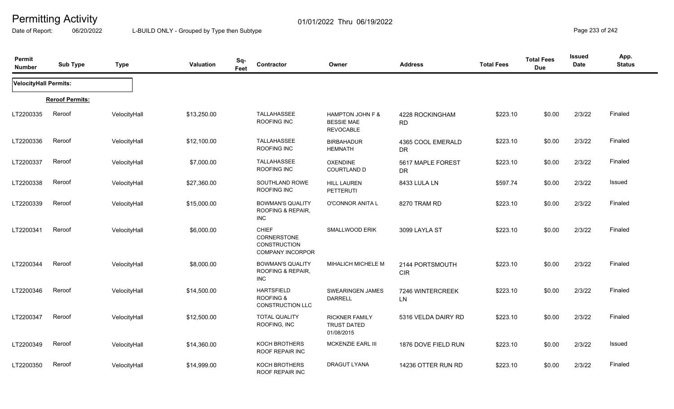Date of Report: 06/20/2022 L-BUILD ONLY - Grouped by Type then Subtype **Page 233 of 242** 

| Permit<br><b>Number</b> | <b>Sub Type</b>        | <b>Type</b>  | <b>Valuation</b> | Sq-<br>Feet | Contractor                                                                    | Owner                                                     | <b>Address</b>                 | <b>Total Fees</b> | <b>Total Fees</b><br><b>Due</b> | <b>Issued</b><br>Date | App.<br><b>Status</b> |
|-------------------------|------------------------|--------------|------------------|-------------|-------------------------------------------------------------------------------|-----------------------------------------------------------|--------------------------------|-------------------|---------------------------------|-----------------------|-----------------------|
| VelocityHall Permits:   |                        |              |                  |             |                                                                               |                                                           |                                |                   |                                 |                       |                       |
|                         | <b>Reroof Permits:</b> |              |                  |             |                                                                               |                                                           |                                |                   |                                 |                       |                       |
| LT2200335               | Reroof                 | VelocityHall | \$13,250.00      |             | TALLAHASSEE<br>ROOFING INC                                                    | HAMPTON JOHN F &<br><b>BESSIE MAE</b><br><b>REVOCABLE</b> | 4228 ROCKINGHAM<br><b>RD</b>   | \$223.10          | \$0.00                          | 2/3/22                | Finaled               |
| LT2200336               | Reroof                 | VelocityHall | \$12,100.00      |             | <b>TALLAHASSEE</b><br>ROOFING INC                                             | <b>BIRBAHADUR</b><br><b>HEMNATH</b>                       | 4365 COOL EMERALD<br><b>DR</b> | \$223.10          | \$0.00                          | 2/3/22                | Finaled               |
| LT2200337               | Reroof                 | VelocityHall | \$7,000.00       |             | TALLAHASSEE<br>ROOFING INC                                                    | <b>OXENDINE</b><br>COURTLAND D                            | 5617 MAPLE FOREST<br><b>DR</b> | \$223.10          | \$0.00                          | 2/3/22                | Finaled               |
| LT2200338               | Reroof                 | VelocityHall | \$27,360.00      |             | SOUTHLAND ROWE<br>ROOFING INC                                                 | <b>HILL LAUREN</b><br><b>PETTERUTI</b>                    | 8433 LULA LN                   | \$597.74          | \$0.00                          | 2/3/22                | Issued                |
| LT2200339               | Reroof                 | VelocityHall | \$15,000.00      |             | <b>BOWMAN'S QUALITY</b><br>ROOFING & REPAIR,<br><b>INC</b>                    | O'CONNOR ANITA L                                          | 8270 TRAM RD                   | \$223.10          | \$0.00                          | 2/3/22                | Finaled               |
| LT2200341               | Reroof                 | VelocityHall | \$6,000.00       |             | <b>CHIEF</b><br>CORNERSTONE<br><b>CONSTRUCTION</b><br><b>COMPANY INCORPOR</b> | SMALLWOOD ERIK                                            | 3099 LAYLA ST                  | \$223.10          | \$0.00                          | 2/3/22                | Finaled               |
| LT2200344               | Reroof                 | VelocityHall | \$8,000.00       |             | <b>BOWMAN'S QUALITY</b><br>ROOFING & REPAIR,<br><b>INC</b>                    | MIHALICH MICHELE M                                        | 2144 PORTSMOUTH<br><b>CIR</b>  | \$223.10          | \$0.00                          | 2/3/22                | Finaled               |
| LT2200346               | Reroof                 | VelocityHall | \$14,500.00      |             | <b>HARTSFIELD</b><br><b>ROOFING &amp;</b><br><b>CONSTRUCTION LLC</b>          | SWEARINGEN JAMES<br><b>DARRELL</b>                        | 7246 WINTERCREEK<br>LN         | \$223.10          | \$0.00                          | 2/3/22                | Finaled               |
| LT2200347               | Reroof                 | VelocityHall | \$12,500.00      |             | <b>TOTAL QUALITY</b><br>ROOFING, INC                                          | <b>RICKNER FAMILY</b><br><b>TRUST DATED</b><br>01/08/2015 | 5316 VELDA DAIRY RD            | \$223.10          | \$0.00                          | 2/3/22                | Finaled               |
| LT2200349               | Reroof                 | VelocityHall | \$14,360.00      |             | KOCH BROTHERS<br>ROOF REPAIR INC                                              | MCKENZIE EARL III                                         | 1876 DOVE FIELD RUN            | \$223.10          | \$0.00                          | 2/3/22                | Issued                |
| LT2200350               | Reroof                 | VelocityHall | \$14,999.00      |             | KOCH BROTHERS<br>ROOF REPAIR INC                                              | <b>DRAGUT LYANA</b>                                       | 14236 OTTER RUN RD             | \$223.10          | \$0.00                          | 2/3/22                | Finaled               |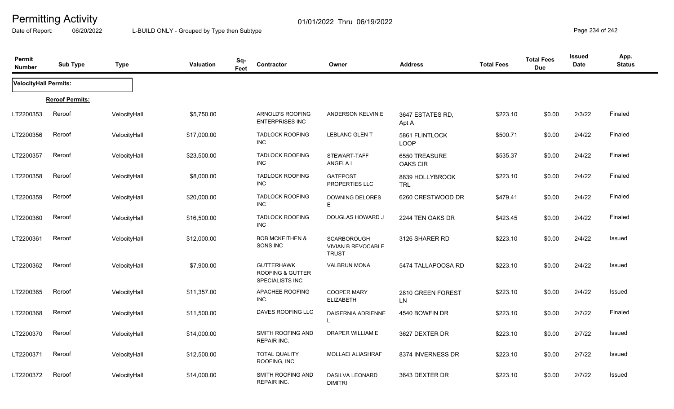Date of Report: 06/20/2022 L-BUILD ONLY - Grouped by Type then Subtype **Page 234** of 242

| Permit<br><b>Number</b>      | <b>Sub Type</b>        | <b>Type</b>  | <b>Valuation</b> | Sq-<br>Contractor<br>Feet                                                  | Owner                                                           | <b>Address</b>                | <b>Total Fees</b> | <b>Total Fees</b><br><b>Due</b> | <b>Issued</b><br><b>Date</b> | App.<br><b>Status</b> |
|------------------------------|------------------------|--------------|------------------|----------------------------------------------------------------------------|-----------------------------------------------------------------|-------------------------------|-------------------|---------------------------------|------------------------------|-----------------------|
| <b>VelocityHall Permits:</b> |                        |              |                  |                                                                            |                                                                 |                               |                   |                                 |                              |                       |
|                              | <b>Reroof Permits:</b> |              |                  |                                                                            |                                                                 |                               |                   |                                 |                              |                       |
| LT2200353                    | Reroof                 | VelocityHall | \$5,750.00       | ARNOLD'S ROOFING<br><b>ENTERPRISES INC</b>                                 | ANDERSON KELVIN E                                               | 3647 ESTATES RD,<br>Apt A     | \$223.10          | \$0.00                          | 2/3/22                       | Finaled               |
| LT2200356                    | Reroof                 | VelocityHall | \$17,000.00      | <b>TADLOCK ROOFING</b><br>INC                                              | <b>LEBLANC GLENT</b>                                            | 5861 FLINTLOCK<br><b>LOOP</b> | \$500.71          | \$0.00                          | 2/4/22                       | Finaled               |
| LT2200357                    | Reroof                 | VelocityHall | \$23,500.00      | <b>TADLOCK ROOFING</b><br><b>INC</b>                                       | STEWART-TAFF<br>ANGELA L                                        | 6550 TREASURE<br>OAKS CIR     | \$535.37          | \$0.00                          | 2/4/22                       | Finaled               |
| LT2200358                    | Reroof                 | VelocityHall | \$8,000.00       | <b>TADLOCK ROOFING</b><br><b>INC</b>                                       | <b>GATEPOST</b><br>PROPERTIES LLC                               | 8839 HOLLYBROOK<br><b>TRL</b> | \$223.10          | \$0.00                          | 2/4/22                       | Finaled               |
| LT2200359                    | Reroof                 | VelocityHall | \$20,000.00      | <b>TADLOCK ROOFING</b><br><b>INC</b>                                       | <b>DOWNING DELORES</b><br>Е                                     | 6260 CRESTWOOD DR             | \$479.41          | \$0.00                          | 2/4/22                       | Finaled               |
| LT2200360                    | Reroof                 | VelocityHall | \$16,500.00      | <b>TADLOCK ROOFING</b><br><b>INC</b>                                       | DOUGLAS HOWARD J                                                | 2244 TEN OAKS DR              | \$423.45          | \$0.00                          | 2/4/22                       | Finaled               |
| LT2200361                    | Reroof                 | VelocityHall | \$12,000.00      | <b>BOB MCKEITHEN &amp;</b><br>SONS INC                                     | <b>SCARBOROUGH</b><br><b>VIVIAN B REVOCABLE</b><br><b>TRUST</b> | 3126 SHARER RD                | \$223.10          | \$0.00                          | 2/4/22                       | Issued                |
| LT2200362                    | Reroof                 | VelocityHall | \$7,900.00       | <b>GUTTERHAWK</b><br><b>ROOFING &amp; GUTTER</b><br><b>SPECIALISTS INC</b> | <b>VALBRUN MONA</b>                                             | 5474 TALLAPOOSA RD            | \$223.10          | \$0.00                          | 2/4/22                       | Issued                |
| LT2200365                    | Reroof                 | VelocityHall | \$11,357.00      | APACHEE ROOFING<br>INC.                                                    | COOPER MARY<br><b>ELIZABETH</b>                                 | 2810 GREEN FOREST<br>LN       | \$223.10          | \$0.00                          | 2/4/22                       | Issued                |
| LT2200368                    | Reroof                 | VelocityHall | \$11,500.00      | DAVES ROOFING LLC                                                          | <b>DAISERNIA ADRIENNE</b><br><sup>L</sup>                       | 4540 BOWFIN DR                | \$223.10          | \$0.00                          | 2/7/22                       | Finaled               |
| LT2200370                    | Reroof                 | VelocityHall | \$14,000.00      | SMITH ROOFING AND<br><b>REPAIR INC.</b>                                    | DRAPER WILLIAM E                                                | 3627 DEXTER DR                | \$223.10          | \$0.00                          | 2/7/22                       | Issued                |
| LT2200371                    | Reroof                 | VelocityHall | \$12,500.00      | <b>TOTAL QUALITY</b><br>ROOFING, INC                                       | MOLLAEI ALIASHRAF                                               | 8374 INVERNESS DR             | \$223.10          | \$0.00                          | 2/7/22                       | Issued                |
| LT2200372                    | Reroof                 | VelocityHall | \$14,000.00      | SMITH ROOFING AND<br><b>REPAIR INC.</b>                                    | DASILVA LEONARD<br><b>DIMITRI</b>                               | 3643 DEXTER DR                | \$223.10          | \$0.00                          | 2/7/22                       | Issued                |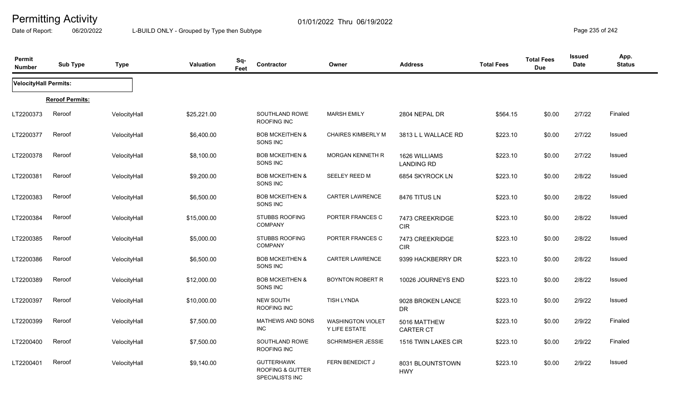Date of Report: 06/20/2022 L-BUILD ONLY - Grouped by Type then Subtype **Page 235** of 242

| Permit<br><b>Number</b> | <b>Sub Type</b>        | <b>Type</b>  | Valuation   | Sq-<br>Feet | Contractor                                                                 | Owner                                     | <b>Address</b>                     | <b>Total Fees</b> | <b>Total Fees</b><br><b>Due</b> | <b>Issued</b><br><b>Date</b> | App.<br><b>Status</b> |
|-------------------------|------------------------|--------------|-------------|-------------|----------------------------------------------------------------------------|-------------------------------------------|------------------------------------|-------------------|---------------------------------|------------------------------|-----------------------|
| VelocityHall Permits:   |                        |              |             |             |                                                                            |                                           |                                    |                   |                                 |                              |                       |
|                         | <b>Reroof Permits:</b> |              |             |             |                                                                            |                                           |                                    |                   |                                 |                              |                       |
| LT2200373               | Reroof                 | VelocityHall | \$25,221.00 |             | SOUTHLAND ROWE<br>ROOFING INC                                              | <b>MARSH EMILY</b>                        | 2804 NEPAL DR                      | \$564.15          | \$0.00                          | 2/7/22                       | Finaled               |
| LT2200377               | Reroof                 | VelocityHall | \$6,400.00  |             | <b>BOB MCKEITHEN &amp;</b><br>SONS INC                                     | <b>CHAIRES KIMBERLY M</b>                 | 3813 L L WALLACE RD                | \$223.10          | \$0.00                          | 2/7/22                       | <b>Issued</b>         |
| LT2200378               | Reroof                 | VelocityHall | \$8,100.00  |             | <b>BOB MCKEITHEN &amp;</b><br>SONS INC                                     | <b>MORGAN KENNETH R</b>                   | 1626 WILLIAMS<br><b>LANDING RD</b> | \$223.10          | \$0.00                          | 2/7/22                       | Issued                |
| LT2200381               | Reroof                 | VelocityHall | \$9,200.00  |             | <b>BOB MCKEITHEN &amp;</b><br>SONS INC                                     | <b>SEELEY REED M</b>                      | 6854 SKYROCK LN                    | \$223.10          | \$0.00                          | 2/8/22                       | Issued                |
| LT2200383               | Reroof                 | VelocityHall | \$6,500.00  |             | <b>BOB MCKEITHEN &amp;</b><br>SONS INC                                     | <b>CARTER LAWRENCE</b>                    | 8476 TITUS LN                      | \$223.10          | \$0.00                          | 2/8/22                       | <b>Issued</b>         |
| LT2200384               | Reroof                 | VelocityHall | \$15,000.00 |             | STUBBS ROOFING<br><b>COMPANY</b>                                           | PORTER FRANCES C                          | 7473 CREEKRIDGE<br><b>CIR</b>      | \$223.10          | \$0.00                          | 2/8/22                       | Issued                |
| LT2200385               | Reroof                 | VelocityHall | \$5,000.00  |             | <b>STUBBS ROOFING</b><br><b>COMPANY</b>                                    | PORTER FRANCES C                          | 7473 CREEKRIDGE<br><b>CIR</b>      | \$223.10          | \$0.00                          | 2/8/22                       | Issued                |
| LT2200386               | Reroof                 | VelocityHall | \$6,500.00  |             | <b>BOB MCKEITHEN &amp;</b><br>SONS INC                                     | <b>CARTER LAWRENCE</b>                    | 9399 HACKBERRY DR                  | \$223.10          | \$0.00                          | 2/8/22                       | Issued                |
| LT2200389               | Reroof                 | VelocityHall | \$12,000.00 |             | <b>BOB MCKEITHEN &amp;</b><br>SONS INC                                     | <b>BOYNTON ROBERT R</b>                   | 10026 JOURNEYS END                 | \$223.10          | \$0.00                          | 2/8/22                       | Issued                |
| LT2200397               | Reroof                 | VelocityHall | \$10,000.00 |             | <b>NEW SOUTH</b><br>ROOFING INC                                            | <b>TISH LYNDA</b>                         | 9028 BROKEN LANCE<br><b>DR</b>     | \$223.10          | \$0.00                          | 2/9/22                       | Issued                |
| LT2200399               | Reroof                 | VelocityHall | \$7,500.00  |             | <b>MATHEWS AND SONS</b><br><b>INC</b>                                      | <b>WASHINGTON VIOLET</b><br>Y LIFE ESTATE | 5016 MATTHEW<br><b>CARTER CT</b>   | \$223.10          | \$0.00                          | 2/9/22                       | Finaled               |
| LT2200400               | Reroof                 | VelocityHall | \$7,500.00  |             | SOUTHLAND ROWE<br>ROOFING INC                                              | <b>SCHRIMSHER JESSIE</b>                  | 1516 TWIN LAKES CIR                | \$223.10          | \$0.00                          | 2/9/22                       | Finaled               |
| LT2200401               | Reroof                 | VelocityHall | \$9,140.00  |             | <b>GUTTERHAWK</b><br><b>ROOFING &amp; GUTTER</b><br><b>SPECIALISTS INC</b> | FERN BENEDICT J                           | 8031 BLOUNTSTOWN<br><b>HWY</b>     | \$223.10          | \$0.00                          | 2/9/22                       | Issued                |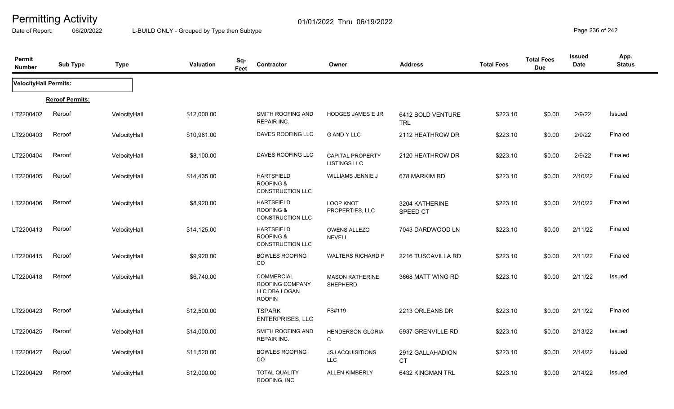Date of Report: 06/20/2022 L-BUILD ONLY - Grouped by Type then Subtype **Page 236** of 242

| Permit<br><b>Number</b> | <b>Sub Type</b>        | <b>Type</b>  | <b>Valuation</b> | Sq-<br>Contractor<br>Feet                                              | Owner                                          | <b>Address</b>                  | <b>Total Fees</b> | <b>Total Fees</b><br><b>Due</b> | <b>Issued</b><br><b>Date</b> | App.<br><b>Status</b> |
|-------------------------|------------------------|--------------|------------------|------------------------------------------------------------------------|------------------------------------------------|---------------------------------|-------------------|---------------------------------|------------------------------|-----------------------|
| VelocityHall Permits:   |                        |              |                  |                                                                        |                                                |                                 |                   |                                 |                              |                       |
|                         | <b>Reroof Permits:</b> |              |                  |                                                                        |                                                |                                 |                   |                                 |                              |                       |
| LT2200402               | Reroof                 | VelocityHall | \$12,000.00      | SMITH ROOFING AND<br><b>REPAIR INC.</b>                                | <b>HODGES JAMES E JR</b>                       | 6412 BOLD VENTURE<br><b>TRL</b> | \$223.10          | \$0.00                          | 2/9/22                       | Issued                |
| LT2200403               | Reroof                 | VelocityHall | \$10,961.00      | DAVES ROOFING LLC                                                      | <b>G AND Y LLC</b>                             | 2112 HEATHROW DR                | \$223.10          | \$0.00                          | 2/9/22                       | Finaled               |
| LT2200404               | Reroof                 | VelocityHall | \$8,100.00       | DAVES ROOFING LLC                                                      | <b>CAPITAL PROPERTY</b><br><b>LISTINGS LLC</b> | 2120 HEATHROW DR                | \$223.10          | \$0.00                          | 2/9/22                       | Finaled               |
| LT2200405               | Reroof                 | VelocityHall | \$14,435.00      | <b>HARTSFIELD</b><br><b>ROOFING &amp;</b><br><b>CONSTRUCTION LLC</b>   | <b>WILLIAMS JENNIE J</b>                       | 678 MARKIM RD                   | \$223.10          | \$0.00                          | 2/10/22                      | Finaled               |
| LT2200406               | Reroof                 | VelocityHall | \$8,920.00       | <b>HARTSFIELD</b><br><b>ROOFING &amp;</b><br><b>CONSTRUCTION LLC</b>   | <b>LOOP KNOT</b><br>PROPERTIES, LLC            | 3204 KATHERINE<br>SPEED CT      | \$223.10          | \$0.00                          | 2/10/22                      | Finaled               |
| LT2200413               | Reroof                 | VelocityHall | \$14,125.00      | <b>HARTSFIELD</b><br><b>ROOFING &amp;</b><br><b>CONSTRUCTION LLC</b>   | <b>OWENS ALLEZO</b><br><b>NEVELL</b>           | 7043 DARDWOOD LN                | \$223.10          | \$0.00                          | 2/11/22                      | Finaled               |
| LT2200415               | Reroof                 | VelocityHall | \$9,920.00       | <b>BOWLES ROOFING</b><br>CO                                            | <b>WALTERS RICHARD P</b>                       | 2216 TUSCAVILLA RD              | \$223.10          | \$0.00                          | 2/11/22                      | Finaled               |
| LT2200418               | Reroof                 | VelocityHall | \$6,740.00       | <b>COMMERCIAL</b><br>ROOFING COMPANY<br>LLC DBA LOGAN<br><b>ROOFIN</b> | <b>MASON KATHERINE</b><br><b>SHEPHERD</b>      | 3668 MATT WING RD               | \$223.10          | \$0.00                          | 2/11/22                      | Issued                |
| LT2200423               | Reroof                 | VelocityHall | \$12,500.00      | <b>TSPARK</b><br><b>ENTERPRISES, LLC</b>                               | FS#119                                         | 2213 ORLEANS DR                 | \$223.10          | \$0.00                          | 2/11/22                      | Finaled               |
| LT2200425               | Reroof                 | VelocityHall | \$14,000.00      | SMITH ROOFING AND<br><b>REPAIR INC.</b>                                | <b>HENDERSON GLORIA</b><br>$\mathsf{C}$        | 6937 GRENVILLE RD               | \$223.10          | \$0.00                          | 2/13/22                      | Issued                |
| LT2200427               | Reroof                 | VelocityHall | \$11,520.00      | <b>BOWLES ROOFING</b><br>CO                                            | <b>JSJ ACQUISITIONS</b><br><b>LLC</b>          | 2912 GALLAHADION<br><b>CT</b>   | \$223.10          | \$0.00                          | 2/14/22                      | Issued                |
| LT2200429               | Reroof                 | VelocityHall | \$12,000.00      | <b>TOTAL QUALITY</b><br>ROOFING, INC                                   | <b>ALLEN KIMBERLY</b>                          | 6432 KINGMAN TRL                | \$223.10          | \$0.00                          | 2/14/22                      | Issued                |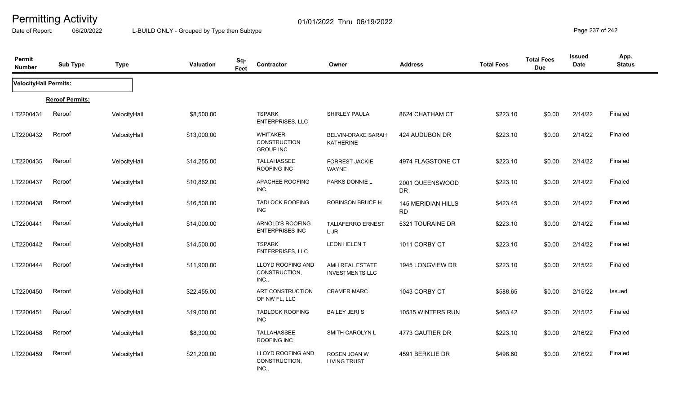Date of Report: 06/20/2022 L-BUILD ONLY - Grouped by Type then Subtype **Page 237** of 242

| Permit<br><b>Number</b>      | <b>Sub Type</b>        | <b>Type</b>  | Valuation   | Sq-<br>Feet | Contractor                                          | Owner                                     | <b>Address</b>                         | <b>Total Fees</b> | <b>Total Fees</b><br><b>Due</b> | <b>Issued</b><br>Date | App.<br><b>Status</b> |
|------------------------------|------------------------|--------------|-------------|-------------|-----------------------------------------------------|-------------------------------------------|----------------------------------------|-------------------|---------------------------------|-----------------------|-----------------------|
| <b>VelocityHall Permits:</b> |                        |              |             |             |                                                     |                                           |                                        |                   |                                 |                       |                       |
|                              | <b>Reroof Permits:</b> |              |             |             |                                                     |                                           |                                        |                   |                                 |                       |                       |
| LT2200431                    | Reroof                 | VelocityHall | \$8,500.00  |             | <b>TSPARK</b><br>ENTERPRISES, LLC                   | SHIRLEY PAULA                             | 8624 CHATHAM CT                        | \$223.10          | \$0.00                          | 2/14/22               | Finaled               |
| LT2200432                    | Reroof                 | VelocityHall | \$13,000.00 |             | <b>WHITAKER</b><br>CONSTRUCTION<br><b>GROUP INC</b> | <b>BELVIN-DRAKE SARAH</b><br>KATHERINE    | 424 AUDUBON DR                         | \$223.10          | \$0.00                          | 2/14/22               | Finaled               |
| LT2200435                    | Reroof                 | VelocityHall | \$14,255.00 |             | <b>TALLAHASSEE</b><br>ROOFING INC                   | <b>FORREST JACKIE</b><br><b>WAYNE</b>     | 4974 FLAGSTONE CT                      | \$223.10          | \$0.00                          | 2/14/22               | Finaled               |
| LT2200437                    | Reroof                 | VelocityHall | \$10,862.00 |             | <b>APACHEE ROOFING</b><br>INC.                      | PARKS DONNIE L                            | 2001 QUEENSWOOD<br><b>DR</b>           | \$223.10          | \$0.00                          | 2/14/22               | Finaled               |
| LT2200438                    | Reroof                 | VelocityHall | \$16,500.00 |             | <b>TADLOCK ROOFING</b><br><b>INC</b>                | <b>ROBINSON BRUCE H</b>                   | <b>145 MERIDIAN HILLS</b><br><b>RD</b> | \$423.45          | \$0.00                          | 2/14/22               | Finaled               |
| LT2200441                    | Reroof                 | VelocityHall | \$14,000.00 |             | ARNOLD'S ROOFING<br><b>ENTERPRISES INC</b>          | <b>TALIAFERRO ERNEST</b><br>L JR          | 5321 TOURAINE DR                       | \$223.10          | \$0.00                          | 2/14/22               | Finaled               |
| LT2200442                    | Reroof                 | VelocityHall | \$14,500.00 |             | <b>TSPARK</b><br><b>ENTERPRISES, LLC</b>            | <b>LEON HELEN T</b>                       | 1011 CORBY CT                          | \$223.10          | \$0.00                          | 2/14/22               | Finaled               |
| LT2200444                    | Reroof                 | VelocityHall | \$11,900.00 |             | LLOYD ROOFING AND<br>CONSTRUCTION,<br>INC.          | AMH REAL ESTATE<br><b>INVESTMENTS LLC</b> | 1945 LONGVIEW DR                       | \$223.10          | \$0.00                          | 2/15/22               | Finaled               |
| LT2200450                    | Reroof                 | VelocityHall | \$22,455.00 |             | ART CONSTRUCTION<br>OF NW FL, LLC                   | <b>CRAMER MARC</b>                        | 1043 CORBY CT                          | \$588.65          | \$0.00                          | 2/15/22               | Issued                |
| LT2200451                    | Reroof                 | VelocityHall | \$19,000.00 |             | <b>TADLOCK ROOFING</b><br><b>INC</b>                | <b>BAILEY JERIS</b>                       | 10535 WINTERS RUN                      | \$463.42          | \$0.00                          | 2/15/22               | Finaled               |
| LT2200458                    | Reroof                 | VelocityHall | \$8,300.00  |             | <b>TALLAHASSEE</b><br>ROOFING INC                   | <b>SMITH CAROLYN L</b>                    | 4773 GAUTIER DR                        | \$223.10          | \$0.00                          | 2/16/22               | Finaled               |
| LT2200459                    | Reroof                 | VelocityHall | \$21,200.00 |             | <b>LLOYD ROOFING AND</b><br>CONSTRUCTION,<br>INC.   | ROSEN JOAN W<br><b>LIVING TRUST</b>       | 4591 BERKLIE DR                        | \$498.60          | \$0.00                          | 2/16/22               | Finaled               |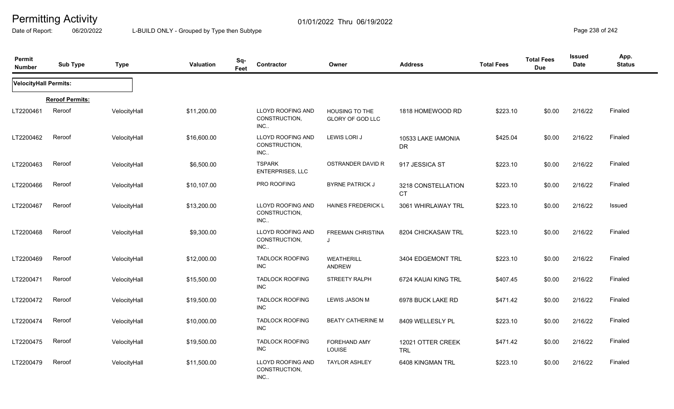Date of Report: 06/20/2022 L-BUILD ONLY - Grouped by Type then Subtype **Page 238 of 242** 

| Permit<br><b>Number</b> | <b>Sub Type</b>        | <b>Type</b>  | <b>Valuation</b> | Sq-<br>Feet | <b>Contractor</b>                                 | Owner                                            | <b>Address</b>                  | <b>Total Fees</b> | <b>Total Fees</b><br><b>Due</b> | <b>Issued</b><br>Date | App.<br><b>Status</b> |
|-------------------------|------------------------|--------------|------------------|-------------|---------------------------------------------------|--------------------------------------------------|---------------------------------|-------------------|---------------------------------|-----------------------|-----------------------|
| VelocityHall Permits:   |                        |              |                  |             |                                                   |                                                  |                                 |                   |                                 |                       |                       |
|                         | <b>Reroof Permits:</b> |              |                  |             |                                                   |                                                  |                                 |                   |                                 |                       |                       |
| LT2200461               | Reroof                 | VelocityHall | \$11,200.00      |             | <b>LLOYD ROOFING AND</b><br>CONSTRUCTION.<br>INC. | <b>HOUSING TO THE</b><br><b>GLORY OF GOD LLC</b> | 1818 HOMEWOOD RD                | \$223.10          | \$0.00                          | 2/16/22               | Finaled               |
| LT2200462               | Reroof                 | VelocityHall | \$16,600.00      |             | LLOYD ROOFING AND<br>CONSTRUCTION,<br>INC.        | LEWIS LORI J                                     | 10533 LAKE IAMONIA<br><b>DR</b> | \$425.04          | \$0.00                          | 2/16/22               | Finaled               |
| LT2200463               | Reroof                 | VelocityHall | \$6,500.00       |             | <b>TSPARK</b><br><b>ENTERPRISES, LLC</b>          | <b>OSTRANDER DAVID R</b>                         | 917 JESSICA ST                  | \$223.10          | \$0.00                          | 2/16/22               | Finaled               |
| LT2200466               | Reroof                 | VelocityHall | \$10,107.00      |             | PRO ROOFING                                       | <b>BYRNE PATRICK J</b>                           | 3218 CONSTELLATION<br><b>CT</b> | \$223.10          | \$0.00                          | 2/16/22               | Finaled               |
| LT2200467               | Reroof                 | VelocityHall | \$13,200.00      |             | LLOYD ROOFING AND<br>CONSTRUCTION.<br>INC.        | HAINES FREDERICK L                               | 3061 WHIRLAWAY TRL              | \$223.10          | \$0.00                          | 2/16/22               | Issued                |
| LT2200468               | Reroof                 | VelocityHall | \$9,300.00       |             | LLOYD ROOFING AND<br>CONSTRUCTION,<br>INC.        | <b>FREEMAN CHRISTINA</b>                         | 8204 CHICKASAW TRL              | \$223.10          | \$0.00                          | 2/16/22               | Finaled               |
| LT2200469               | Reroof                 | VelocityHall | \$12,000.00      |             | <b>TADLOCK ROOFING</b><br><b>INC</b>              | WEATHERILL<br><b>ANDREW</b>                      | 3404 EDGEMONT TRL               | \$223.10          | \$0.00                          | 2/16/22               | Finaled               |
| LT2200471               | Reroof                 | VelocityHall | \$15,500.00      |             | <b>TADLOCK ROOFING</b><br><b>INC</b>              | <b>STREETY RALPH</b>                             | 6724 KAUAI KING TRL             | \$407.45          | \$0.00                          | 2/16/22               | Finaled               |
| LT2200472               | Reroof                 | VelocityHall | \$19,500.00      |             | <b>TADLOCK ROOFING</b><br><b>INC</b>              | <b>LEWIS JASON M</b>                             | 6978 BUCK LAKE RD               | \$471.42          | \$0.00                          | 2/16/22               | Finaled               |
| LT2200474               | Reroof                 | VelocityHall | \$10,000.00      |             | <b>TADLOCK ROOFING</b><br>INC                     | <b>BEATY CATHERINE M</b>                         | 8409 WELLESLY PL                | \$223.10          | \$0.00                          | 2/16/22               | Finaled               |
| LT2200475               | Reroof                 | VelocityHall | \$19,500.00      |             | <b>TADLOCK ROOFING</b><br>INC                     | <b>FOREHAND AMY</b><br><b>LOUISE</b>             | 12021 OTTER CREEK<br><b>TRL</b> | \$471.42          | \$0.00                          | 2/16/22               | Finaled               |
| LT2200479               | Reroof                 | VelocityHall | \$11,500.00      |             | LLOYD ROOFING AND<br>CONSTRUCTION,<br>INC.        | <b>TAYLOR ASHLEY</b>                             | 6408 KINGMAN TRL                | \$223.10          | \$0.00                          | 2/16/22               | Finaled               |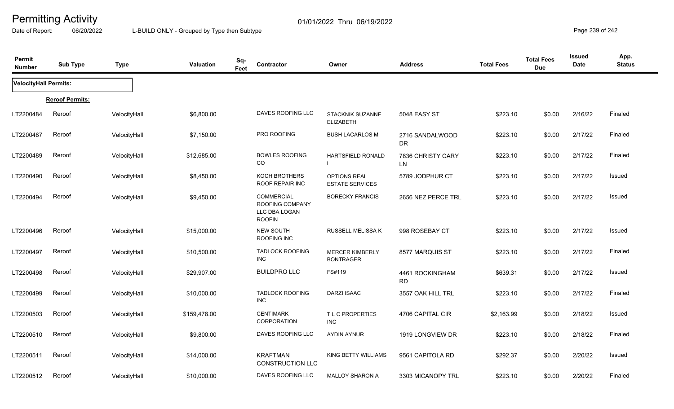Date of Report: 06/20/2022 L-BUILD ONLY - Grouped by Type then Subtype **Page 239 of 242** 

| Permit<br><b>Number</b>      | <b>Sub Type</b>        | <b>Type</b>  | <b>Valuation</b> | Sq-<br>Contractor<br>Feet                                              | Owner                                         | <b>Address</b>                 | <b>Total Fees</b> | <b>Total Fees</b><br><b>Due</b> | <b>Issued</b><br>Date | App.<br><b>Status</b> |
|------------------------------|------------------------|--------------|------------------|------------------------------------------------------------------------|-----------------------------------------------|--------------------------------|-------------------|---------------------------------|-----------------------|-----------------------|
| <b>VelocityHall Permits:</b> |                        |              |                  |                                                                        |                                               |                                |                   |                                 |                       |                       |
|                              | <b>Reroof Permits:</b> |              |                  |                                                                        |                                               |                                |                   |                                 |                       |                       |
| LT2200484                    | Reroof                 | VelocityHall | \$6,800.00       | DAVES ROOFING LLC                                                      | STACKNIK SUZANNE<br><b>ELIZABETH</b>          | 5048 EASY ST                   | \$223.10          | \$0.00                          | 2/16/22               | Finaled               |
| LT2200487                    | Reroof                 | VelocityHall | \$7,150.00       | PRO ROOFING                                                            | <b>BUSH LACARLOS M</b>                        | 2716 SANDALWOOD<br>DR          | \$223.10          | \$0.00                          | 2/17/22               | Finaled               |
| LT2200489                    | Reroof                 | VelocityHall | \$12,685.00      | <b>BOWLES ROOFING</b><br>CO                                            | HARTSFIELD RONALD<br>L                        | 7836 CHRISTY CARY<br><b>LN</b> | \$223.10          | \$0.00                          | 2/17/22               | Finaled               |
| LT2200490                    | Reroof                 | VelocityHall | \$8,450.00       | KOCH BROTHERS<br>ROOF REPAIR INC                                       | <b>OPTIONS REAL</b><br><b>ESTATE SERVICES</b> | 5789 JODPHUR CT                | \$223.10          | \$0.00                          | 2/17/22               | Issued                |
| LT2200494                    | Reroof                 | VelocityHall | \$9,450.00       | <b>COMMERCIAL</b><br>ROOFING COMPANY<br>LLC DBA LOGAN<br><b>ROOFIN</b> | <b>BORECKY FRANCIS</b>                        | 2656 NEZ PERCE TRL             | \$223.10          | \$0.00                          | 2/17/22               | Issued                |
| LT2200496                    | Reroof                 | VelocityHall | \$15,000.00      | <b>NEW SOUTH</b><br>ROOFING INC                                        | RUSSELL MELISSA K                             | 998 ROSEBAY CT                 | \$223.10          | \$0.00                          | 2/17/22               | Issued                |
| LT2200497                    | Reroof                 | VelocityHall | \$10,500.00      | <b>TADLOCK ROOFING</b><br><b>INC</b>                                   | <b>MERCER KIMBERLY</b><br><b>BONTRAGER</b>    | 8577 MARQUIS ST                | \$223.10          | \$0.00                          | 2/17/22               | Finaled               |
| LT2200498                    | Reroof                 | VelocityHall | \$29,907.00      | <b>BUILDPRO LLC</b>                                                    | FS#119                                        | 4461 ROCKINGHAM<br><b>RD</b>   | \$639.31          | \$0.00                          | 2/17/22               | Issued                |
| LT2200499                    | Reroof                 | VelocityHall | \$10,000.00      | <b>TADLOCK ROOFING</b><br>INC                                          | <b>DARZI ISAAC</b>                            | 3557 OAK HILL TRL              | \$223.10          | \$0.00                          | 2/17/22               | Finaled               |
| LT2200503                    | Reroof                 | VelocityHall | \$159,478.00     | <b>CENTIMARK</b><br><b>CORPORATION</b>                                 | T L C PROPERTIES<br><b>INC</b>                | 4706 CAPITAL CIR               | \$2,163.99        | \$0.00                          | 2/18/22               | Issued                |
| LT2200510                    | Reroof                 | VelocityHall | \$9,800.00       | DAVES ROOFING LLC                                                      | <b>AYDIN AYNUR</b>                            | 1919 LONGVIEW DR               | \$223.10          | \$0.00                          | 2/18/22               | Finaled               |
| LT2200511                    | Reroof                 | VelocityHall | \$14,000.00      | <b>KRAFTMAN</b><br><b>CONSTRUCTION LLC</b>                             | KING BETTY WILLIAMS                           | 9561 CAPITOLA RD               | \$292.37          | \$0.00                          | 2/20/22               | Issued                |
| LT2200512                    | Reroof                 | VelocityHall | \$10,000.00      | DAVES ROOFING LLC                                                      | <b>MALLOY SHARON A</b>                        | 3303 MICANOPY TRL              | \$223.10          | \$0.00                          | 2/20/22               | Finaled               |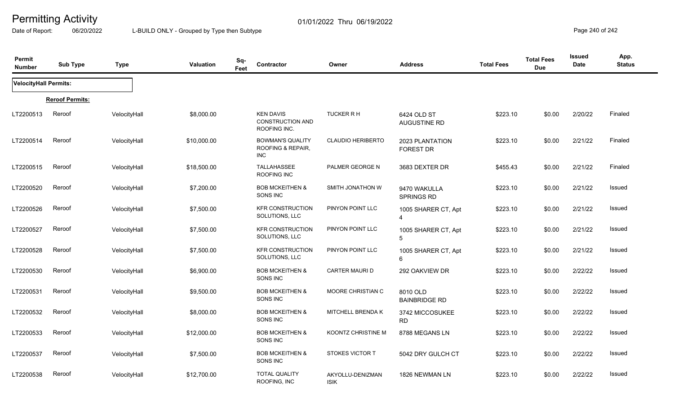Date of Report: 06/20/2022 L-BUILD ONLY - Grouped by Type then Subtype **Page 240** of 242

| Permit<br><b>Number</b> | <b>Sub Type</b>        | <b>Type</b>  | <b>Valuation</b> | Sq-<br><b>Contractor</b><br>Feet                            | Owner                           | <b>Address</b>                        | <b>Total Fees</b> | <b>Total Fees</b><br><b>Due</b> | <b>Issued</b><br>Date | App.<br><b>Status</b> |
|-------------------------|------------------------|--------------|------------------|-------------------------------------------------------------|---------------------------------|---------------------------------------|-------------------|---------------------------------|-----------------------|-----------------------|
| VelocityHall Permits:   |                        |              |                  |                                                             |                                 |                                       |                   |                                 |                       |                       |
|                         | <b>Reroof Permits:</b> |              |                  |                                                             |                                 |                                       |                   |                                 |                       |                       |
| LT2200513               | Reroof                 | VelocityHall | \$8,000.00       | <b>KEN DAVIS</b><br><b>CONSTRUCTION AND</b><br>ROOFING INC. | TUCKER R H                      | 6424 OLD ST<br><b>AUGUSTINE RD</b>    | \$223.10          | \$0.00                          | 2/20/22               | Finaled               |
| LT2200514               | Reroof                 | VelocityHall | \$10,000.00      | <b>BOWMAN'S QUALITY</b><br>ROOFING & REPAIR,<br><b>INC</b>  | <b>CLAUDIO HERIBERTO</b>        | 2023 PLANTATION<br><b>FOREST DR</b>   | \$223.10          | \$0.00                          | 2/21/22               | Finaled               |
| LT2200515               | Reroof                 | VelocityHall | \$18,500.00      | TALLAHASSEE<br>ROOFING INC                                  | PALMER GEORGE N                 | 3683 DEXTER DR                        | \$455.43          | \$0.00                          | 2/21/22               | Finaled               |
| LT2200520               | Reroof                 | VelocityHall | \$7,200.00       | <b>BOB MCKEITHEN &amp;</b><br>SONS INC                      | SMITH JONATHON W                | 9470 WAKULLA<br><b>SPRINGS RD</b>     | \$223.10          | \$0.00                          | 2/21/22               | Issued                |
| LT2200526               | Reroof                 | VelocityHall | \$7,500.00       | <b>KFR CONSTRUCTION</b><br>SOLUTIONS, LLC                   | PINYON POINT LLC                | 1005 SHARER CT, Apt<br>$\overline{4}$ | \$223.10          | \$0.00                          | 2/21/22               | Issued                |
| LT2200527               | Reroof                 | VelocityHall | \$7,500.00       | <b>KFR CONSTRUCTION</b><br>SOLUTIONS, LLC                   | PINYON POINT LLC                | 1005 SHARER CT, Apt<br>5              | \$223.10          | \$0.00                          | 2/21/22               | Issued                |
| LT2200528               | Reroof                 | VelocityHall | \$7,500.00       | <b>KFR CONSTRUCTION</b><br>SOLUTIONS, LLC                   | PINYON POINT LLC                | 1005 SHARER CT, Apt<br>6              | \$223.10          | \$0.00                          | 2/21/22               | Issued                |
| LT2200530               | Reroof                 | VelocityHall | \$6,900.00       | <b>BOB MCKEITHEN &amp;</b><br>SONS INC                      | CARTER MAURI D                  | 292 OAKVIEW DR                        | \$223.10          | \$0.00                          | 2/22/22               | Issued                |
| LT2200531               | Reroof                 | VelocityHall | \$9,500.00       | <b>BOB MCKEITHEN &amp;</b><br>SONS INC                      | MOORE CHRISTIAN C               | 8010 OLD<br><b>BAINBRIDGE RD</b>      | \$223.10          | \$0.00                          | 2/22/22               | Issued                |
| LT2200532               | Reroof                 | VelocityHall | \$8,000.00       | <b>BOB MCKEITHEN &amp;</b><br>SONS INC                      | <b>MITCHELL BRENDA K</b>        | 3742 MICCOSUKEE<br><b>RD</b>          | \$223.10          | \$0.00                          | 2/22/22               | <b>Issued</b>         |
| LT2200533               | Reroof                 | VelocityHall | \$12,000.00      | <b>BOB MCKEITHEN &amp;</b><br>SONS INC                      | KOONTZ CHRISTINE M              | 8788 MEGANS LN                        | \$223.10          | \$0.00                          | 2/22/22               | <b>Issued</b>         |
| LT2200537               | Reroof                 | VelocityHall | \$7,500.00       | <b>BOB MCKEITHEN &amp;</b><br>SONS INC                      | <b>STOKES VICTOR T</b>          | 5042 DRY GULCH CT                     | \$223.10          | \$0.00                          | 2/22/22               | Issued                |
| LT2200538               | Reroof                 | VelocityHall | \$12,700.00      | <b>TOTAL QUALITY</b><br>ROOFING, INC                        | AKYOLLU-DENIZMAN<br><b>ISIK</b> | 1826 NEWMAN LN                        | \$223.10          | \$0.00                          | 2/22/22               | Issued                |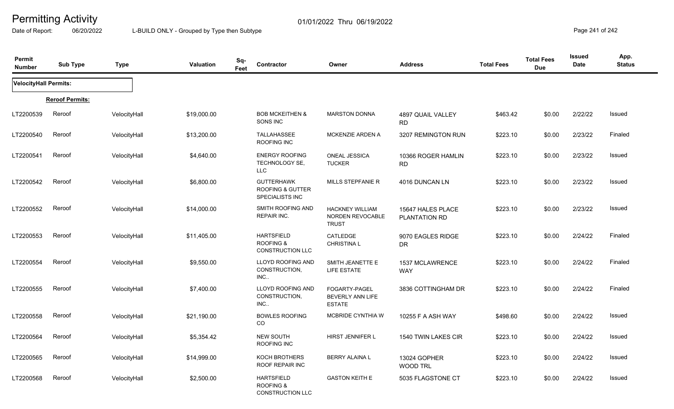Date of Report: 06/20/2022 L-BUILD ONLY - Grouped by Type then Subtype **Page 241** of 242

| Permit<br><b>Number</b>      | <b>Sub Type</b>        | <b>Type</b>  | <b>Valuation</b> | Sq-<br>Feet | Contractor                                                           | Owner                                                      | <b>Address</b>                     | <b>Total Fees</b> | <b>Total Fees</b><br><b>Due</b> | <b>Issued</b><br>Date | App.<br><b>Status</b> |
|------------------------------|------------------------|--------------|------------------|-------------|----------------------------------------------------------------------|------------------------------------------------------------|------------------------------------|-------------------|---------------------------------|-----------------------|-----------------------|
| <b>VelocityHall Permits:</b> |                        |              |                  |             |                                                                      |                                                            |                                    |                   |                                 |                       |                       |
|                              | <b>Reroof Permits:</b> |              |                  |             |                                                                      |                                                            |                                    |                   |                                 |                       |                       |
| LT2200539                    | Reroof                 | VelocityHall | \$19,000.00      |             | <b>BOB MCKEITHEN &amp;</b><br>SONS INC                               | <b>MARSTON DONNA</b>                                       | 4897 QUAIL VALLEY<br><b>RD</b>     | \$463.42          | \$0.00                          | 2/22/22               | <b>Issued</b>         |
| LT2200540                    | Reroof                 | VelocityHall | \$13,200.00      |             | TALLAHASSEE<br>ROOFING INC                                           | <b>MCKENZIE ARDEN A</b>                                    | 3207 REMINGTON RUN                 | \$223.10          | \$0.00                          | 2/23/22               | Finaled               |
| LT2200541                    | Reroof                 | VelocityHall | \$4,640.00       |             | <b>ENERGY ROOFING</b><br>TECHNOLOGY SE,<br><b>LLC</b>                | ONEAL JESSICA<br><b>TUCKER</b>                             | 10366 ROGER HAMLIN<br><b>RD</b>    | \$223.10          | \$0.00                          | 2/23/22               | <b>Issued</b>         |
| LT2200542                    | Reroof                 | VelocityHall | \$6,800.00       |             | <b>GUTTERHAWK</b><br><b>ROOFING &amp; GUTTER</b><br>SPECIALISTS INC  | MILLS STEPFANIE R                                          | 4016 DUNCAN LN                     | \$223.10          | \$0.00                          | 2/23/22               | Issued                |
| LT2200552                    | Reroof                 | VelocityHall | \$14,000.00      |             | SMITH ROOFING AND<br>REPAIR INC.                                     | <b>HACKNEY WILLIAM</b><br>NORDEN REVOCABLE<br><b>TRUST</b> | 15647 HALES PLACE<br>PLANTATION RD | \$223.10          | \$0.00                          | 2/23/22               | Issued                |
| LT2200553                    | Reroof                 | VelocityHall | \$11,405.00      |             | <b>HARTSFIELD</b><br><b>ROOFING &amp;</b><br><b>CONSTRUCTION LLC</b> | CATLEDGE<br>CHRISTINA L                                    | 9070 EAGLES RIDGE<br><b>DR</b>     | \$223.10          | \$0.00                          | 2/24/22               | Finaled               |
| LT2200554                    | Reroof                 | VelocityHall | \$9,550.00       |             | <b>LLOYD ROOFING AND</b><br>CONSTRUCTION,<br>$INC$                   | SMITH JEANETTE E<br>LIFE ESTATE                            | 1537 MCLAWRENCE<br><b>WAY</b>      | \$223.10          | \$0.00                          | 2/24/22               | Finaled               |
| LT2200555                    | Reroof                 | VelocityHall | \$7,400.00       |             | LLOYD ROOFING AND<br>CONSTRUCTION,<br>INC.                           | FOGARTY-PAGEL<br>BEVERLY ANN LIFE<br><b>ESTATE</b>         | 3836 COTTINGHAM DR                 | \$223.10          | \$0.00                          | 2/24/22               | Finaled               |
| LT2200558                    | Reroof                 | VelocityHall | \$21,190.00      |             | <b>BOWLES ROOFING</b><br>CO                                          | MCBRIDE CYNTHIA W                                          | 10255 F A ASH WAY                  | \$498.60          | \$0.00                          | 2/24/22               | <b>Issued</b>         |
| LT2200564                    | Reroof                 | VelocityHall | \$5,354.42       |             | <b>NEW SOUTH</b><br>ROOFING INC                                      | HIRST JENNIFER L                                           | 1540 TWIN LAKES CIR                | \$223.10          | \$0.00                          | 2/24/22               | <b>Issued</b>         |
| LT2200565                    | Reroof                 | VelocityHall | \$14,999.00      |             | KOCH BROTHERS<br>ROOF REPAIR INC                                     | <b>BERRY ALAINA L</b>                                      | 13024 GOPHER<br><b>WOOD TRL</b>    | \$223.10          | \$0.00                          | 2/24/22               | <b>Issued</b>         |
| LT2200568                    | Reroof                 | VelocityHall | \$2,500.00       |             | <b>HARTSFIELD</b><br><b>ROOFING &amp;</b><br><b>CONSTRUCTION LLC</b> | <b>GASTON KEITH E</b>                                      | 5035 FLAGSTONE CT                  | \$223.10          | \$0.00                          | 2/24/22               | Issued                |